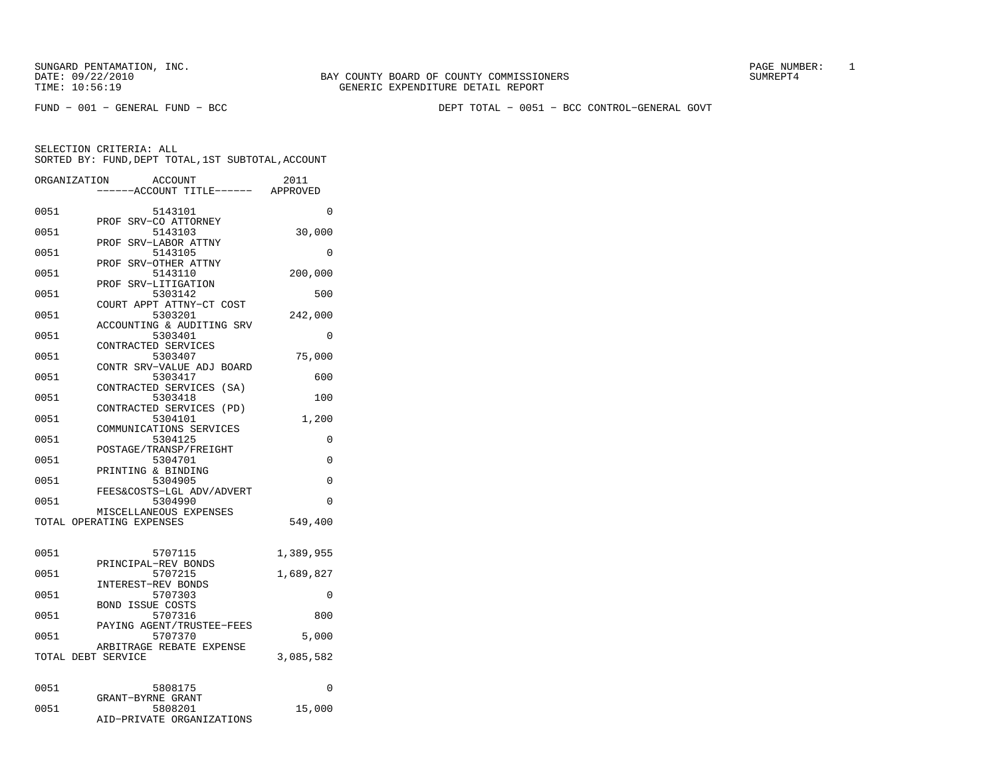FUND − 001 − GENERAL FUND − BCC DEPT TOTAL − 0051 − BCC CONTROL−GENERAL GOVT

| ORGANIZATION       | <b>ACCOUNT</b><br>--ACCOUNT TITLE------ APPROVED   | 2011      |
|--------------------|----------------------------------------------------|-----------|
| 0051               | 5143101                                            | 0         |
| 0051               | SRV-CO ATTORNEY<br>PROF<br>5143103                 | 30,000    |
| 0051               | PROF<br>SRV-LABOR ATTNY<br>5143105                 | 0         |
| 0051               | SRV-OTHER ATTNY<br>PROF<br>5143110                 | 200,000   |
| 0051               | SRV-LITIGATION<br>PROF<br>5303142                  | 500       |
| 0051               | COURT APPT ATTNY-CT COST<br>5303201                | 242,000   |
| 0051               | ACCOUNTING & AUDITING SRV<br>5303401               | 0         |
| 0051               | CONTRACTED SERVICES<br>5303407                     | 75,000    |
| 0051               | CONTR SRV-VALUE ADJ BOARD<br>5303417               | 600       |
| 0051               | CONTRACTED SERVICES (SA)<br>5303418                | 100       |
| 0051               | CONTRACTED SERVICES<br>(PD)<br>5304101             | 1,200     |
| 0051               | COMMUNICATIONS SERVICES<br>5304125                 | 0         |
| 0051               | POSTAGE/TRANSP/FREIGHT<br>5304701                  | $\Omega$  |
| 0051               | PRINTING & BINDING<br>5304905                      | 0         |
| 0051               | FEES&COSTS-LGL ADV/ADVERT<br>5304990               | 0         |
|                    | MISCELLANEOUS EXPENSES<br>TOTAL OPERATING EXPENSES | 549,400   |
| 0051               | 5707115                                            | 1,389,955 |
| 0051               | PRINCIPAL-REV BONDS<br>5707215                     | 1,689,827 |
| 0051               | INTEREST-REV BONDS<br>5707303                      | $\Omega$  |
| 0051               | <b>BOND ISSUE COSTS</b><br>5707316                 | 800       |
| 0051               | PAYING AGENT/TRUSTEE-FEES<br>5707370               | 5,000     |
| TOTAL DEBT SERVICE | ARBITRAGE REBATE EXPENSE                           | 3,085,582 |
|                    |                                                    |           |
| 0051               | 5808175<br>GRANT-BYRNE GRANT                       | 0         |
| 0051               | 5808201<br>AID-PRIVATE ORGANIZATIONS               | 15,000    |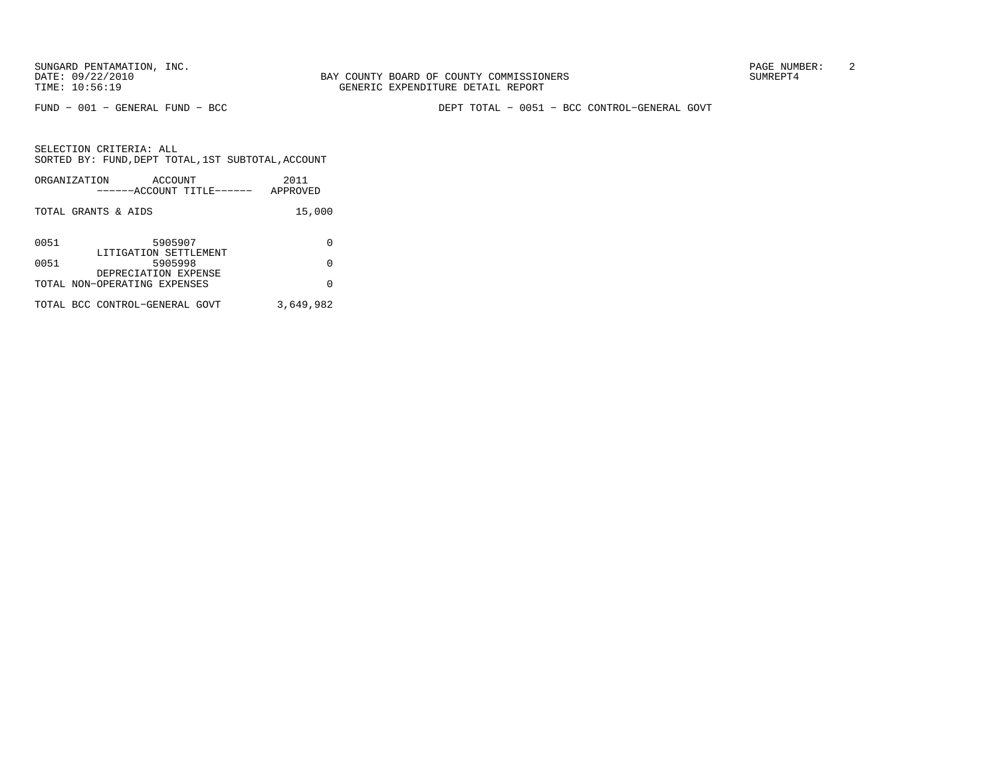FUND − 001 − GENERAL FUND − BCC DEPT TOTAL − 0051 − BCC CONTROL−GENERAL GOVT

| ORGANIZATION        | ACCOUNT<br>------ACCOUNT TITLE------                 | 2011<br>APPROVED |
|---------------------|------------------------------------------------------|------------------|
| TOTAL GRANTS & AIDS |                                                      | 15,000           |
| 0051                | 5905907<br>LITIGATION SETTLEMENT                     | O                |
| 0051                | 5905998                                              | 0                |
|                     | DEPRECIATION EXPENSE<br>TOTAL NON-OPERATING EXPENSES | O                |
|                     | TOTAL BCC CONTROL-GENERAL GOVT                       | 3,649,982        |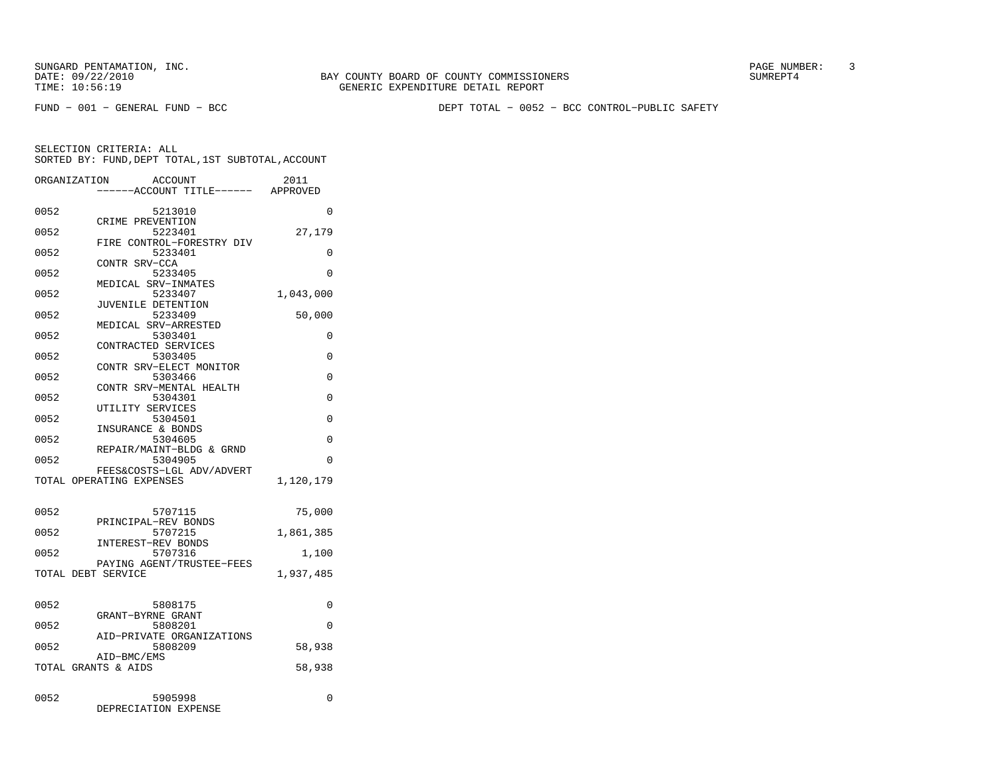FUND − 001 − GENERAL FUND − BCC DEPT TOTAL − 0052 − BCC CONTROL−PUBLIC SAFETY

|      | ORGANIZATION<br>ACCOUNT<br>---ACCOUNT TITLE------ | 2011<br>APPROVED |
|------|---------------------------------------------------|------------------|
| 0052 | 5213010                                           | 0                |
| 0052 | CRIME PREVENTION<br>5223401                       | 27,179           |
| 0052 | FIRE CONTROL-FORESTRY DIV<br>5233401              | $\Omega$         |
| 0052 | CONTR SRV-CCA<br>5233405                          | 0                |
| 0052 | MEDICAL SRV-INMATES<br>5233407                    | 1,043,000        |
| 0052 | JUVENILE DETENTION<br>5233409                     | 50,000           |
| 0052 | MEDICAL SRV-ARRESTED<br>5303401                   | 0                |
| 0052 | CONTRACTED SERVICES<br>5303405                    | 0                |
| 0052 | CONTR SRV-ELECT MONITOR<br>5303466                | 0                |
| 0052 | CONTR SRV-MENTAL HEALTH<br>5304301                | 0                |
| 0052 | UTILITY SERVICES<br>5304501                       | $\Omega$         |
| 0052 | INSURANCE & BONDS<br>5304605                      | 0                |
| 0052 | REPAIR/MAINT-BLDG & GRND                          | $\Omega$         |
|      | 5304905<br>FEES&COSTS-LGL ADV/ADVERT              |                  |
|      | TOTAL OPERATING EXPENSES                          | 1,120,179        |
| 0052 | 5707115                                           | 75,000           |
| 0052 | PRINCIPAL-REV BONDS<br>5707215                    | 1,861,385        |
| 0052 | INTEREST-REV BONDS<br>5707316                     | 1,100            |
|      | PAYING AGENT/TRUSTEE-FEES<br>TOTAL DEBT SERVICE   | 1,937,485        |
|      |                                                   |                  |
| 0052 | 5808175<br>GRANT-BYRNE GRANT                      | 0                |
| 0052 | 5808201<br>AID-PRIVATE ORGANIZATIONS              | 0                |
| 0052 | 5808209<br>AID-BMC/EMS                            | 58,938           |
|      | TOTAL GRANTS & AIDS                               | 58,938           |
| 0052 | 5905998<br>DEPRECIATION EXPENSE                   | 0                |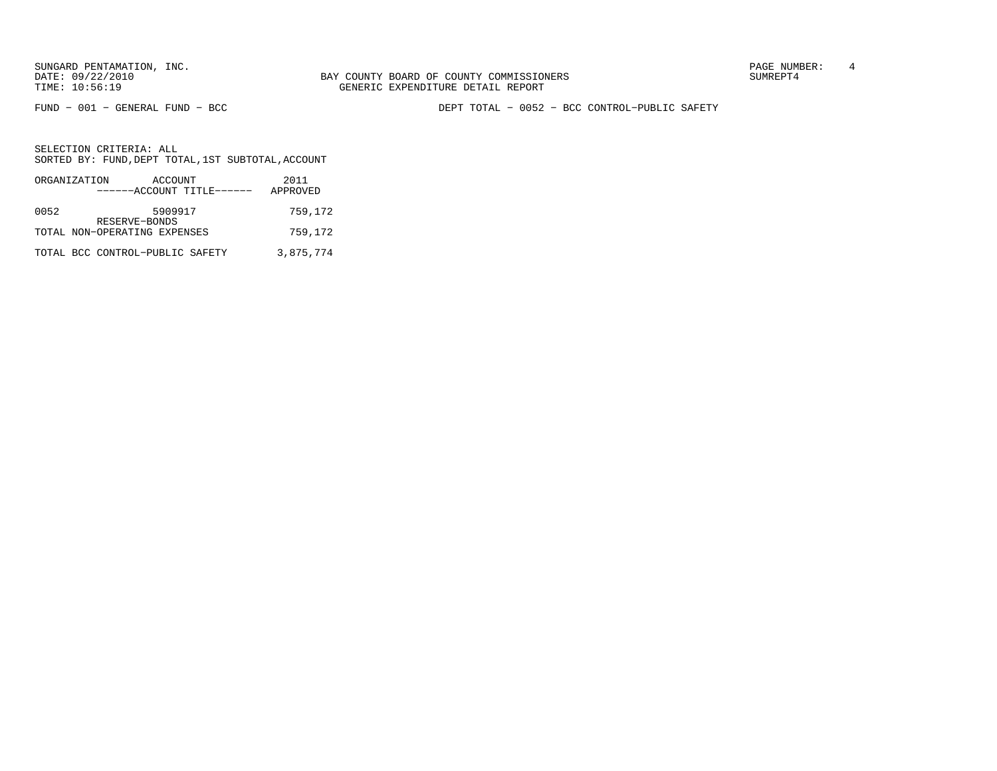SUNGARD PENTAMATION, INC.<br>
BAY COUNTY BOARD OF COUNTY COMMISSIONERS AND SUNREPT4 SUMREPT4

FUND − 001 − GENERAL FUND − BCC DEPT TOTAL − 0052 − BCC CONTROL−PUBLIC SAFETY

|      | ORGANIZATION<br>ACCOUNT<br>------ACCOUNT TITLE------ | 2011<br>APPROVED |
|------|------------------------------------------------------|------------------|
| 0052 | 5909917                                              | 759,172          |
|      | RESERVE-BONDS<br>TOTAL NON-OPERATING EXPENSES        | 759,172          |
|      | TOTAL BCC CONTROL-PUBLIC SAFETY                      | 3,875,774        |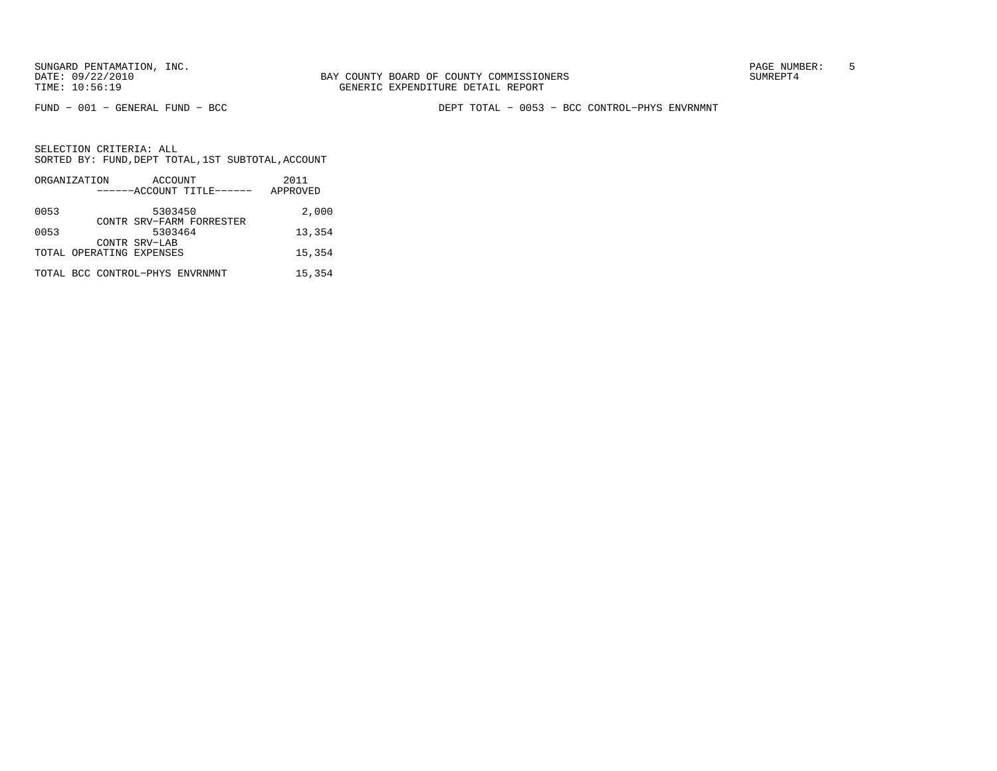FUND − 001 − GENERAL FUND − BCC DEPT TOTAL − 0053 − BCC CONTROL−PHYS ENVRNMNT

|      | ORGANIZATION                    | ACCOUNT                  |                           | 2011     |
|------|---------------------------------|--------------------------|---------------------------|----------|
|      |                                 |                          | ------ACCOUNT TITLE------ | APPROVED |
| 0053 |                                 | 5303450                  |                           | 2,000    |
|      |                                 | CONTR SRV-FARM FORRESTER |                           |          |
| 0053 |                                 | 5303464<br>CONTR SRV-LAB |                           | 13,354   |
|      | TOTAL OPERATING EXPENSES        |                          |                           | 15,354   |
|      | TOTAL BCC CONTROL-PHYS ENVRNMNT |                          |                           | 15,354   |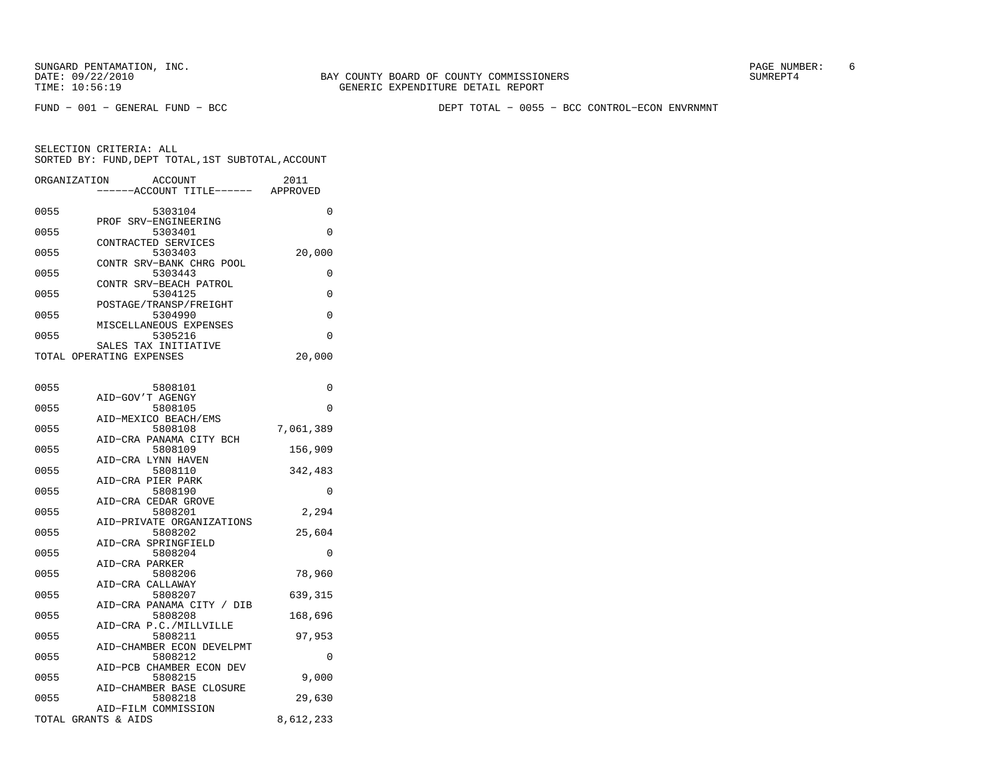FUND − 001 − GENERAL FUND − BCC DEPT TOTAL − 0055 − BCC CONTROL−ECON ENVRNMNT

| ORGANIZATION             |                  | <b>ACCOUNT</b>                      | 2011      |
|--------------------------|------------------|-------------------------------------|-----------|
|                          |                  | ---ACCOUNT TITLE------ APPROVED     |           |
|                          |                  |                                     |           |
| 0055                     |                  | 5303104<br>PROF SRV-ENGINEERING     | 0         |
| 0055                     |                  | 5303401                             | 0         |
|                          |                  | CONTRACTED SERVICES                 |           |
| 0055                     |                  | 5303403                             | 20,000    |
|                          |                  | CONTR SRV-BANK CHRG POOL            |           |
| 0055                     |                  | 5303443                             | 0         |
|                          |                  | CONTR SRV-BEACH PATROL              |           |
| 0055                     |                  | 5304125                             | 0         |
| 0055                     |                  | POSTAGE/TRANSP/FREIGHT<br>5304990   | 0         |
|                          |                  | MISCELLANEOUS EXPENSES              |           |
| 0055                     |                  | 5305216                             | 0         |
|                          |                  | SALES TAX INITIATIVE                |           |
| TOTAL OPERATING EXPENSES |                  |                                     | 20,000    |
|                          |                  |                                     |           |
|                          |                  |                                     | 0         |
| 0055                     | AID-GOV'T AGENGY | 5808101                             |           |
| 0055                     |                  | 5808105                             | 0         |
|                          |                  | AID-MEXICO BEACH/EMS                |           |
| 0055                     |                  | 5808108                             | 7,061,389 |
|                          |                  | AID-CRA PANAMA CITY BCH             |           |
| 0055                     |                  | 5808109                             | 156,909   |
|                          |                  | AID-CRA LYNN HAVEN                  |           |
| 0055                     |                  | 5808110                             | 342,483   |
| 0055                     |                  | AID-CRA PIER PARK<br>5808190        | 0         |
|                          |                  | AID-CRA CEDAR GROVE                 |           |
| 0055                     |                  | 5808201                             | 2,294     |
|                          |                  | AID-PRIVATE ORGANIZATIONS           |           |
| 0055                     |                  | 5808202                             | 25,604    |
|                          |                  | AID-CRA SPRINGFIELD                 |           |
| 0055                     |                  | 5808204                             | 0         |
| 0055                     | AID-CRA PARKER   | 5808206                             | 78,960    |
|                          | AID-CRA CALLAWAY |                                     |           |
| 0055                     |                  | 5808207                             | 639,315   |
|                          |                  | AID-CRA PANAMA CITY / DIB           |           |
| 0055                     |                  | 5808208                             | 168,696   |
|                          |                  | AID-CRA P.C./MILLVILLE              |           |
| 0055                     |                  | 5808211                             | 97,953    |
|                          |                  | AID-CHAMBER ECON DEVELPMT           |           |
| 0055                     |                  | 5808212<br>AID-PCB CHAMBER ECON DEV | 0         |
| 0055                     |                  | 5808215                             | 9,000     |
|                          |                  | AID-CHAMBER BASE CLOSURE            |           |
| 0055                     |                  | 5808218                             | 29,630    |
|                          |                  | AID-FILM COMMISSION                 |           |
| TOTAL GRANTS & AIDS      |                  |                                     | 8,612,233 |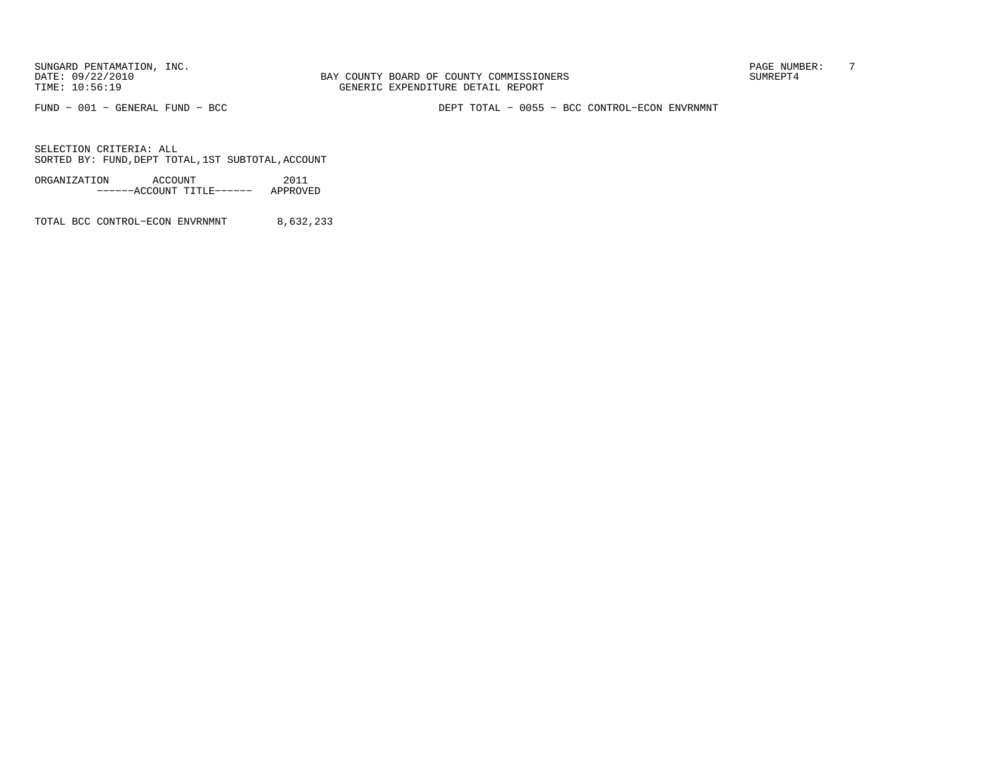BAY COUNTY BOARD OF COUNTY COMMISSIONERS TIME: 10:56:19 GENERIC EXPENDITURE DETAIL REPORT

FUND − 001 − GENERAL FUND − BCC DEPT TOTAL − 0055 − BCC CONTROL−ECON ENVRNMNT

SELECTION CRITERIA: ALLSORTED BY: FUND, DEPT TOTAL, 1ST SUBTOTAL, ACCOUNT

ORGANIZATION ACCOUNT 2011−−−−−−ACCOUNT TITLE−−−−−− APPROVED

TOTAL BCC CONTROL−ECON ENVRNMNT 8,632,233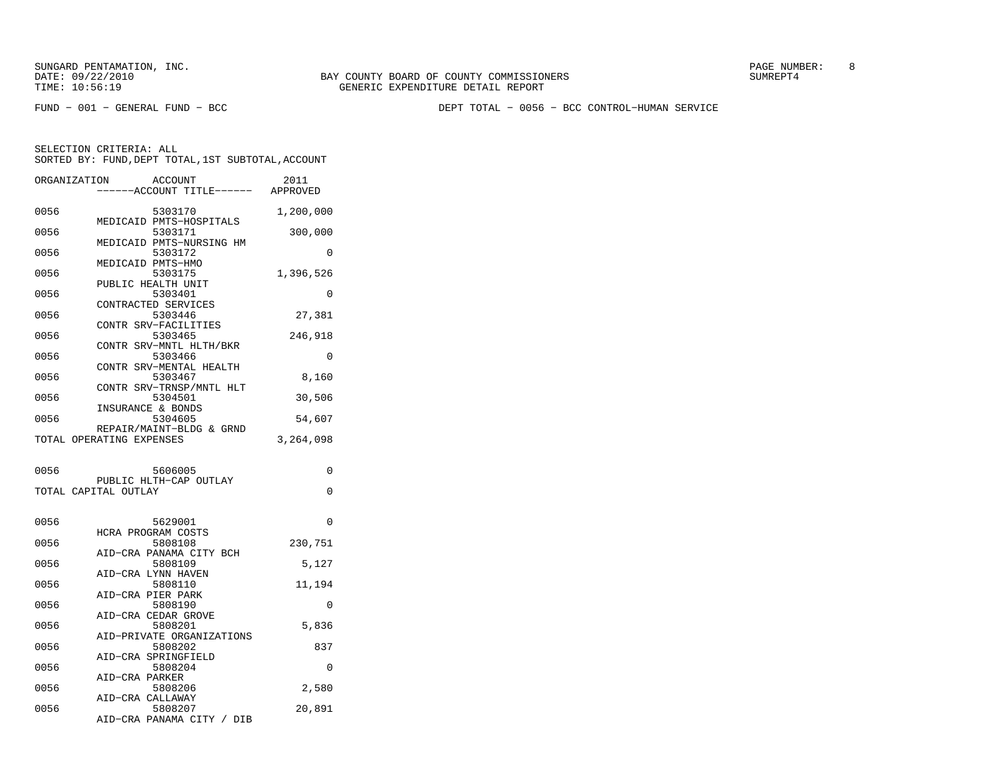SUNGARD PENTAMATION, INC.<br>
BAY COUNTY BOARD OF COUNTY COMMISSIONERS AND SUNREPT4 SUMREPT4

FUND − 001 − GENERAL FUND − BCC DEPT TOTAL − 0056 − BCC CONTROL−HUMAN SERVICE

| ORGANIZATION |                          | <b>ACCOUNT</b>                       | 2011      |
|--------------|--------------------------|--------------------------------------|-----------|
|              |                          | --ACCOUNT TITLE------ APPROVED       |           |
| 0056         |                          | 5303170<br>MEDICAID PMTS-HOSPITALS   | 1,200,000 |
| 0056         |                          | 5303171                              | 300,000   |
| 0056         |                          | MEDICAID PMTS-NURSING HM<br>5303172  | 0         |
| 0056         |                          | MEDICAID PMTS-HMO<br>5303175         | 1,396,526 |
| 0056         |                          | PUBLIC HEALTH UNIT<br>5303401        | 0         |
| 0056         |                          | CONTRACTED SERVICES<br>5303446       | 27,381    |
| 0056         |                          | CONTR SRV-FACILITIES<br>5303465      | 246,918   |
| 0056         |                          | CONTR SRV-MNTL HLTH/BKR<br>5303466   | 0         |
| 0056         |                          | CONTR SRV-MENTAL HEALTH<br>5303467   | 8,160     |
| 0056         |                          | CONTR SRV-TRNSP/MNTL HLT<br>5304501  | 30,506    |
| 0056         |                          | INSURANCE & BONDS<br>5304605         | 54,607    |
|              | TOTAL OPERATING EXPENSES | REPAIR/MAINT-BLDG & GRND             | 3,264,098 |
| 0056         |                          | 5606005                              | 0         |
|              | TOTAL CAPITAL OUTLAY     | PUBLIC HLTH-CAP OUTLAY               | 0         |
|              |                          |                                      |           |
| 0056         |                          | 5629001<br>HCRA PROGRAM COSTS        | $\Omega$  |
| 0056         |                          | 5808108<br>AID-CRA PANAMA CITY BCH   | 230,751   |
| 0056         |                          | 5808109<br>AID-CRA LYNN HAVEN        | 5,127     |
| 0056         |                          | 5808110                              | 11,194    |
| 0056         |                          | AID-CRA PIER PARK<br>5808190         | 0         |
| 0056         |                          | AID-CRA CEDAR GROVE<br>5808201       | 5,836     |
| 0056         |                          | AID-PRIVATE ORGANIZATIONS<br>5808202 | 837       |
| 0056         |                          | AID-CRA SPRINGFIELD<br>5808204       | 0         |
| 0056         | AID-CRA PARKER           | 5808206                              | 2,580     |
| 0056         |                          | AID-CRA CALLAWAY<br>5808207          | 20,891    |
|              |                          | AID-CRA PANAMA CITY / DIB            |           |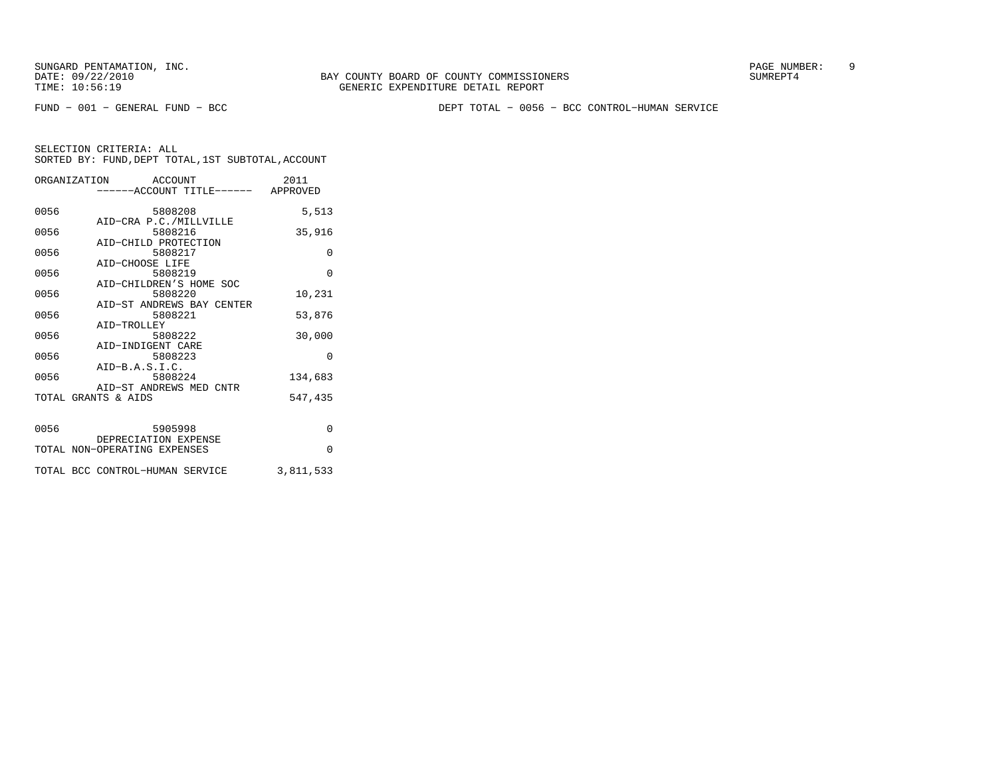FUND − 001 − GENERAL FUND − BCC DEPT TOTAL − 0056 − BCC CONTROL−HUMAN SERVICE

|      | ORGANIZATION ACCOUNT<br>------ACCOUNT TITLE------ APPROVED | 2011      |
|------|------------------------------------------------------------|-----------|
| 0056 | 5808208<br>AID-CRA P.C./MILLVILLE                          | 5,513     |
| 0056 | 5808216<br>AID-CHILD PROTECTION                            | 35,916    |
| 0056 | 5808217<br>AID-CHOOSE LIFE                                 | $\Omega$  |
| 0056 | 5808219<br>AID-CHILDREN'S HOME SOC                         | $\Omega$  |
| 0056 | 5808220<br>AID-ST ANDREWS BAY CENTER                       | 10,231    |
| 0056 | 5808221<br>AID-TROLLEY                                     | 53,876    |
| 0056 | 5808222<br>AID-INDIGENT CARE                               | 30,000    |
| 0056 | 5808223<br>$AID-B.A.S.I.C.$                                | $\Omega$  |
| 0056 | 5808224<br>AID-ST ANDREWS MED CNTR                         | 134,683   |
|      | TOTAL GRANTS & AIDS                                        | 547,435   |
| 0056 | 5905998<br>DEPRECIATION EXPENSE                            | $\Omega$  |
|      | TOTAL NON-OPERATING EXPENSES                               | $\Omega$  |
|      | TOTAL BCC CONTROL-HUMAN SERVICE                            | 3,811,533 |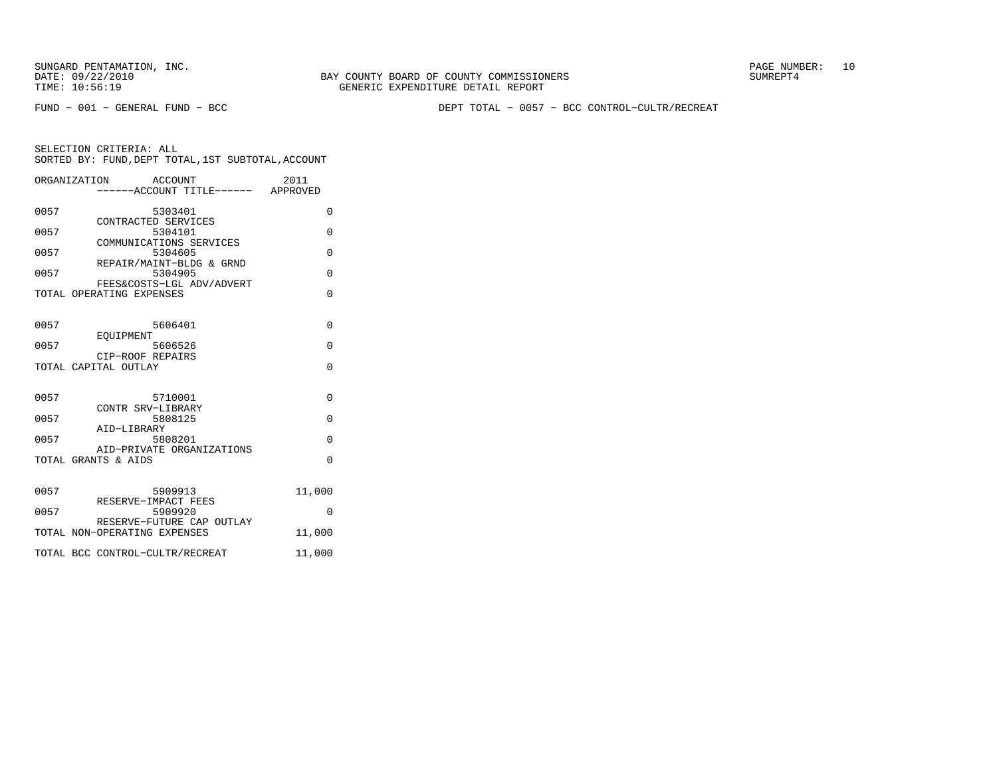FUND − 001 − GENERAL FUND − BCC DEPT TOTAL − 0057 − BCC CONTROL−CULTR/RECREAT

|      | ORGANIZATION<br>ACCOUNT                               | -----ACCOUNT TITLE------ APPROVED | 2011     |
|------|-------------------------------------------------------|-----------------------------------|----------|
| 0057 | 5303401<br>CONTRACTED SERVICES                        |                                   | $\Omega$ |
| 0057 | 5304101                                               |                                   | $\Omega$ |
| 0057 | COMMUNICATIONS SERVICES<br>5304605                    |                                   | O        |
| 0057 | REPAIR/MAINT-BLDG & GRND<br>5304905                   |                                   | $\Omega$ |
|      | FEES&COSTS-LGL ADV/ADVERT<br>TOTAL OPERATING EXPENSES |                                   | $\Omega$ |
| 0057 | 5606401                                               |                                   | $\Omega$ |
| 0057 | EOUIPMENT<br>5606526<br>CIP-ROOF REPAIRS              |                                   | $\Omega$ |
|      | TOTAL CAPITAL OUTLAY                                  |                                   | $\Omega$ |
| 0057 | 5710001<br>CONTR SRV-LIBRARY                          |                                   | $\Omega$ |
| 0057 | 5808125<br>AID-LIBRARY                                |                                   | $\Omega$ |
| 0057 | 5808201<br>AID-PRIVATE ORGANIZATIONS                  |                                   | $\Omega$ |
|      | TOTAL GRANTS & AIDS                                   |                                   | $\Omega$ |
| 0057 | 5909913<br>RESERVE-IMPACT FEES                        |                                   | 11,000   |
| 0057 | 5909920<br>RESERVE-FUTURE CAP OUTLAY                  |                                   | 0        |
|      | TOTAL NON-OPERATING EXPENSES                          |                                   | 11,000   |
|      | TOTAL BCC CONTROL-CULTR/RECREAT                       |                                   | 11,000   |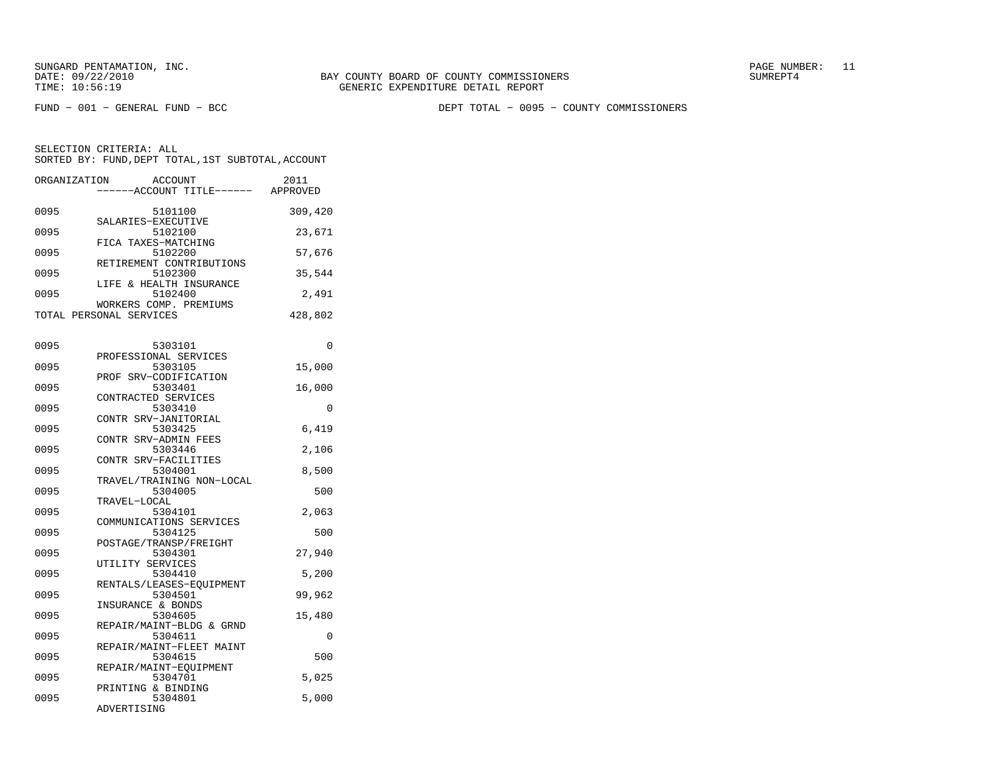FUND − 001 − GENERAL FUND − BCC DEPT TOTAL − 0095 − COUNTY COMMISSIONERS

| ORGANIZATION | <b>ACCOUNT</b><br>----ACCOUNT TITLE------                  | 2011<br>APPROVED |
|--------------|------------------------------------------------------------|------------------|
| 0095         | 5101100                                                    | 309,420          |
| 0095         | SALARIES-EXECUTIVE<br>5102100                              | 23,671           |
| 0095         | FICA TAXES-MATCHING<br>5102200<br>RETIREMENT CONTRIBUTIONS | 57,676           |
| 0095         | 5102300<br>LIFE & HEALTH INSURANCE                         | 35,544           |
| 0095         | 5102400<br>WORKERS COMP. PREMIUMS                          | 2,491            |
|              | TOTAL PERSONAL SERVICES                                    | 428,802          |
| 0095         | 5303101                                                    | 0                |
| 0095         | PROFESSIONAL SERVICES<br>5303105                           | 15,000           |
| 0095         | PROF SRV-CODIFICATION<br>5303401                           | 16,000           |
| 0095         | CONTRACTED SERVICES<br>5303410<br>CONTR SRV-JANITORIAL     | $\Omega$         |
| 0095         | 5303425<br>CONTR SRV-ADMIN FEES                            | 6,419            |
| 0095         | 5303446<br>CONTR SRV-FACILITIES                            | 2,106            |
| 0095         | 5304001<br>TRAVEL/TRAINING NON-LOCAL                       | 8,500            |
| 0095         | 5304005<br>TRAVEL-LOCAL                                    | 500              |
| 0095         | 5304101<br>COMMUNICATIONS SERVICES                         | 2,063            |
| 0095         | 5304125<br>POSTAGE/TRANSP/FREIGHT                          | 500              |
| 0095<br>0095 | 5304301<br>UTILITY SERVICES                                | 27,940           |
| 0095         | 5304410<br>RENTALS/LEASES-EQUIPMENT<br>5304501             | 5,200<br>99,962  |
| 0095         | INSURANCE & BONDS<br>5304605                               | 15,480           |
| 0095         | REPAIR/MAINT-BLDG & GRND<br>5304611                        | 0                |
| 0095         | REPAIR/MAINT-FLEET MAINT<br>5304615                        | 500              |
| 0095         | REPAIR/MAINT-EQUIPMENT<br>5304701                          | 5,025            |
| 0095         | PRINTING & BINDING<br>5304801<br>ADVERTISING               | 5,000            |
|              |                                                            |                  |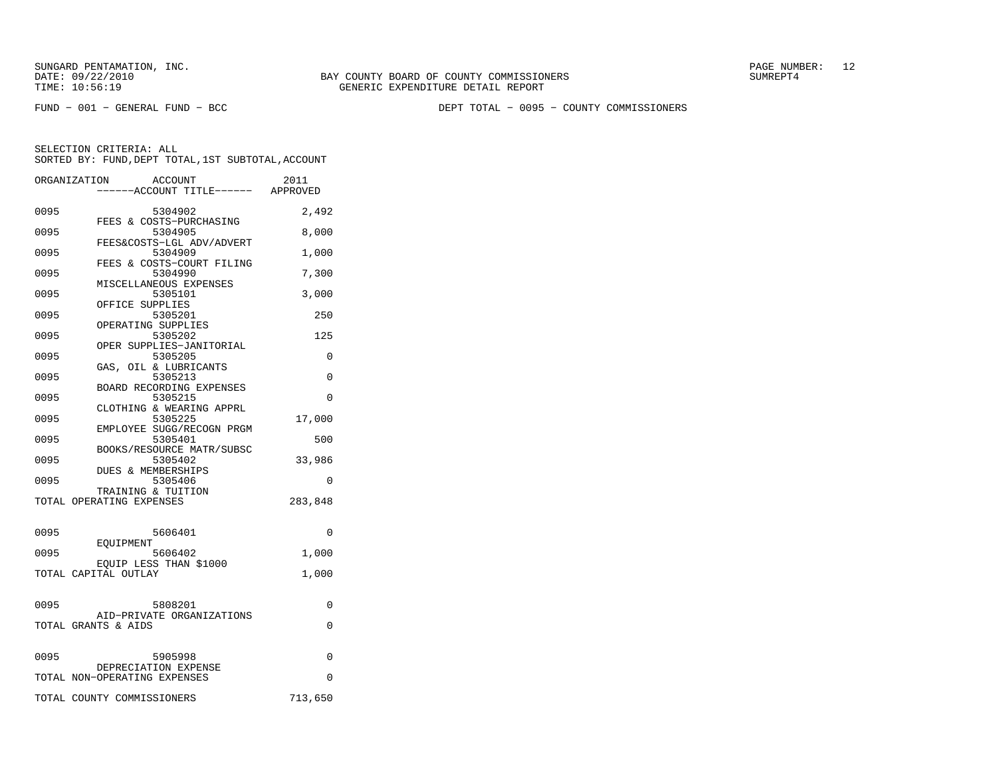FUND − 001 − GENERAL FUND − BCC DEPT TOTAL − 0095 − COUNTY COMMISSIONERS

|      | ORGANIZATION<br><b>ACCOUNT</b><br>---ACCOUNT TITLE------ APPROVED | 2011     |
|------|-------------------------------------------------------------------|----------|
| 0095 | 5304902                                                           | 2,492    |
| 0095 | FEES & COSTS-PURCHASING<br>5304905                                | 8,000    |
| 0095 | FEES&COSTS-LGL ADV/ADVERT<br>5304909                              | 1,000    |
| 0095 | FEES & COSTS-COURT FILING<br>5304990                              | 7,300    |
| 0095 | MISCELLANEOUS EXPENSES<br>5305101                                 | 3,000    |
| 0095 | OFFICE SUPPLIES<br>5305201                                        | 250      |
| 0095 | OPERATING SUPPLIES<br>5305202                                     | 125      |
| 0095 | OPER SUPPLIES-JANITORIAL<br>5305205                               | $\Omega$ |
| 0095 | GAS, OIL & LUBRICANTS<br>5305213                                  | $\Omega$ |
| 0095 | BOARD RECORDING EXPENSES<br>5305215                               | $\Omega$ |
| 0095 | CLOTHING & WEARING APPRL<br>5305225                               | 17,000   |
| 0095 | EMPLOYEE SUGG/RECOGN PRGM                                         | 500      |
|      | 5305401<br>BOOKS/RESOURCE MATR/SUBSC                              |          |
| 0095 | 5305402<br>DUES & MEMBERSHIPS                                     | 33,986   |
| 0095 | 5305406<br>TRAINING & TUITION                                     | $\Omega$ |
|      | TOTAL OPERATING EXPENSES                                          | 283,848  |
| 0095 | 5606401                                                           | 0        |
| 0095 | EOUIPMENT<br>5606402                                              | 1,000    |
|      | EQUIP LESS THAN \$1000<br>TOTAL CAPITAL OUTLAY                    | 1,000    |
|      |                                                                   |          |
| 0095 | 5808201<br>AID-PRIVATE ORGANIZATIONS                              | 0        |
|      | TOTAL GRANTS & AIDS                                               | 0        |
| 0095 | 5905998                                                           | 0        |
|      | DEPRECIATION EXPENSE<br>TOTAL NON-OPERATING EXPENSES              | 0        |
|      | TOTAL COUNTY COMMISSIONERS                                        | 713,650  |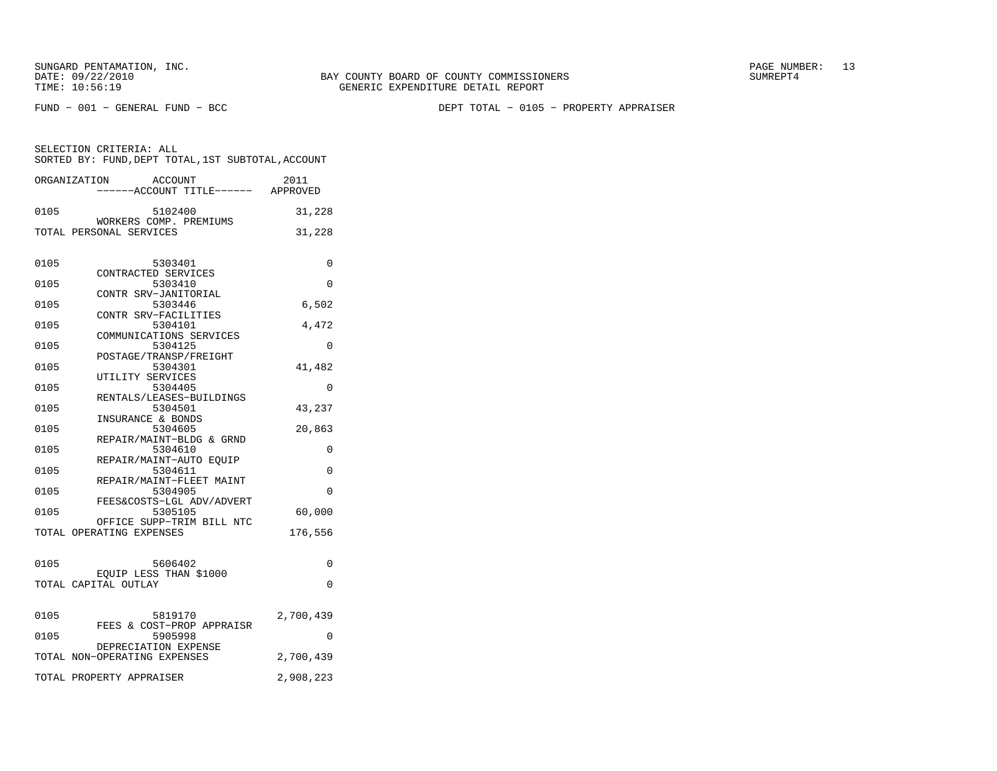FUND − 001 − GENERAL FUND − BCC DEPT TOTAL − 0105 − PROPERTY APPRAISER

| SELECTION CRITERIA: ALL                            |  |  |
|----------------------------------------------------|--|--|
| SORTED BY: FUND, DEPT TOTAL, 1ST SUBTOTAL, ACCOUNT |  |  |
|                                                    |  |  |

|              | ORGANIZATION<br>ACCOUNT<br>-----ACCOUNT TITLE------ APPROVED | 2011        |
|--------------|--------------------------------------------------------------|-------------|
| 0105         | 5102400                                                      | 31,228      |
|              | WORKERS COMP. PREMIUMS<br>TOTAL PERSONAL SERVICES            | 31,228      |
| 0105         | 5303401                                                      | $\Omega$    |
| 0105         | CONTRACTED SERVICES<br>5303410                               | $\Omega$    |
| 0105         | CONTR SRV-JANITORIAL<br>5303446                              | 6,502       |
| 0105         | CONTR SRV-FACILITIES<br>5304101<br>COMMUNICATIONS SERVICES   | 4,472       |
| 0105         | 5304125<br>POSTAGE/TRANSP/FREIGHT                            | 0           |
| 0105         | 5304301<br>UTILITY SERVICES                                  | 41,482      |
| 0105         | 5304405<br>RENTALS/LEASES-BUILDINGS                          | 0           |
| 0105         | 5304501<br>INSURANCE & BONDS                                 | 43,237      |
| 0105<br>0105 | 5304605<br>REPAIR/MAINT-BLDG & GRND<br>5304610               | 20,863<br>0 |
| 0105         | REPAIR/MAINT-AUTO EQUIP<br>5304611                           | 0           |
| 0105         | REPAIR/MAINT-FLEET MAINT<br>5304905                          | 0           |
| 0105         | FEES&COSTS-LGL ADV/ADVERT<br>5305105                         | 60,000      |
|              | OFFICE SUPP-TRIM BILL NTC<br>TOTAL OPERATING EXPENSES        | 176,556     |
| 0105         | 5606402                                                      | 0           |
|              | EQUIP LESS THAN \$1000<br>TOTAL CAPITAL OUTLAY               | $\Omega$    |
|              |                                                              |             |
| 0105         | 5819170<br>FEES & COST-PROP APPRAISR                         | 2,700,439   |
| 0105         | 5905998<br>DEPRECIATION EXPENSE                              | $\Omega$    |
|              | TOTAL NON-OPERATING EXPENSES                                 | 2,700,439   |
|              | TOTAL PROPERTY APPRAISER                                     | 2,908,223   |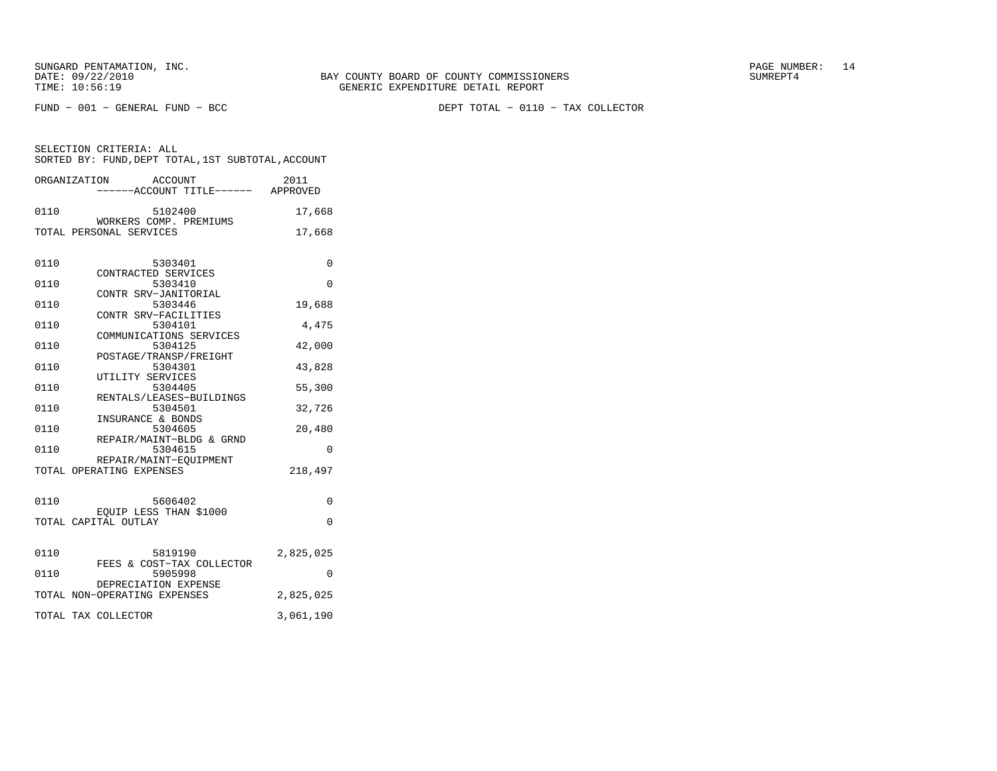FUND − 001 − GENERAL FUND − BCC DEPT TOTAL − 0110 − TAX COLLECTOR

|      | ORGANIZATION<br><b>ACCOUNT</b><br>-----ACCOUNT TITLE------ APPROVED | 2011      |
|------|---------------------------------------------------------------------|-----------|
| 0110 | 5102400<br>WORKERS COMP. PREMIUMS                                   | 17,668    |
|      | TOTAL PERSONAL SERVICES                                             | 17,668    |
| 0110 | 5303401<br>CONTRACTED SERVICES                                      | 0         |
| 0110 | 5303410                                                             | $\Omega$  |
| 0110 | CONTR SRV-JANITORIAL<br>5303446                                     | 19,688    |
| 0110 | CONTR SRV-FACILITIES<br>5304101<br>COMMUNICATIONS SERVICES          | 4,475     |
| 0110 | 5304125<br>POSTAGE/TRANSP/FREIGHT                                   | 42,000    |
| 0110 | 5304301                                                             | 43,828    |
| 0110 | UTILITY SERVICES<br>5304405                                         | 55,300    |
| 0110 | RENTALS/LEASES-BUILDINGS<br>5304501                                 | 32,726    |
| 0110 | INSURANCE & BONDS<br>5304605<br>REPAIR/MAINT-BLDG & GRND            | 20,480    |
| 0110 | 5304615                                                             | 0         |
|      | REPAIR/MAINT-EOUIPMENT<br>TOTAL OPERATING EXPENSES                  | 218,497   |
| 0110 | 5606402                                                             | $\Omega$  |
|      | EQUIP LESS THAN \$1000<br>TOTAL CAPITAL OUTLAY                      | $\Omega$  |
| 0110 | 5819190<br>FEES & COST-TAX COLLECTOR                                | 2,825,025 |
| 0110 | 5905998                                                             | 0         |
|      | DEPRECIATION EXPENSE<br>TOTAL NON-OPERATING EXPENSES                | 2,825,025 |
|      | TOTAL TAX COLLECTOR                                                 | 3,061,190 |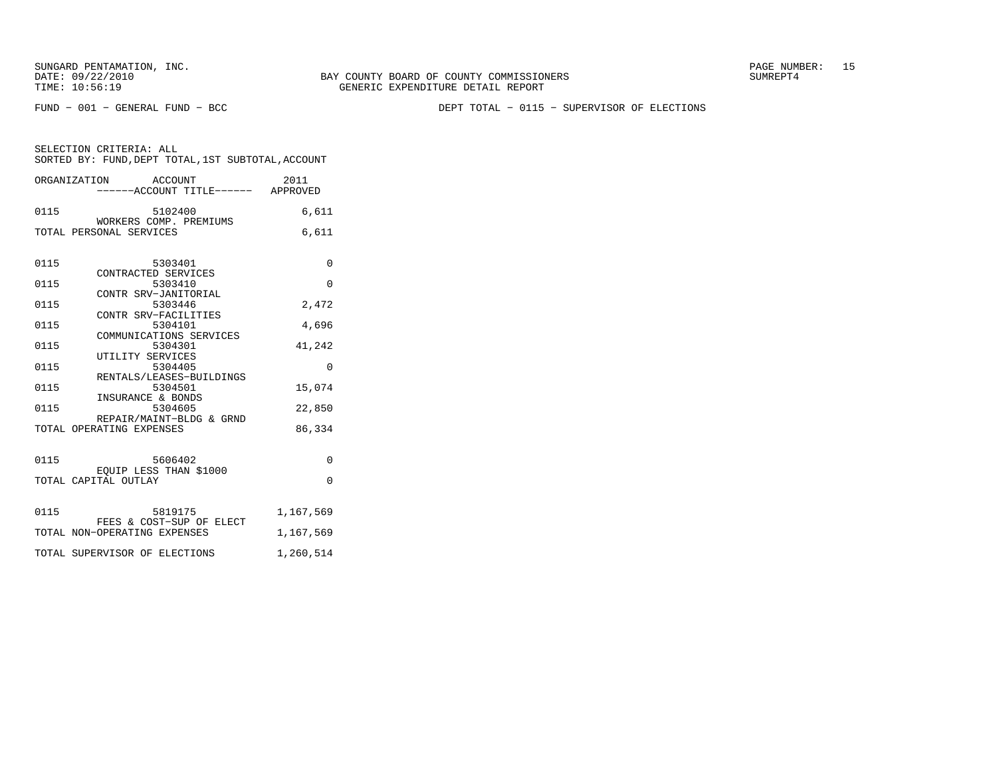FUND − 001 − GENERAL FUND − BCC DEPT TOTAL − 0115 − SUPERVISOR OF ELECTIONS

|  | SELECTION CRITERIA: ALL                            |  |  |
|--|----------------------------------------------------|--|--|
|  | SORTED BY: FUND, DEPT TOTAL, 1ST SUBTOTAL, ACCOUNT |  |  |

|      | ORGANIZATION ACCOUNT                                 | 2011<br>-----ACCOUNT TITLE------ APPROVED |
|------|------------------------------------------------------|-------------------------------------------|
| 0115 | 5102400                                              | 6,611                                     |
|      | WORKERS COMP. PREMIUMS<br>TOTAL PERSONAL SERVICES    | 6,611                                     |
| 0115 | 5303401                                              | $\Omega$                                  |
| 0115 | CONTRACTED SERVICES<br>5303410                       | $\Omega$                                  |
| 0115 | CONTR SRV-JANITORIAL<br>5303446                      | 2,472                                     |
| 0115 | CONTR SRV-FACILITIES<br>5304101                      | 4,696                                     |
| 0115 | COMMUNICATIONS SERVICES<br>5304301                   | 41,242                                    |
| 0115 | UTILITY SERVICES<br>5304405                          | $\Omega$                                  |
| 0115 | RENTALS/LEASES-BUILDINGS<br>5304501                  | 15,074                                    |
| 0115 | INSURANCE & BONDS<br>5304605                         | 22,850                                    |
|      | REPAIR/MAINT-BLDG & GRND<br>TOTAL OPERATING EXPENSES | 86,334                                    |
| 0115 | 5606402                                              | $\Omega$                                  |
|      | EQUIP LESS THAN \$1000<br>TOTAL CAPITAL OUTLAY       | $\Omega$                                  |
| 0115 | 5819175<br>FEES & COST-SUP OF ELECT                  | 1,167,569                                 |
|      | TOTAL NON-OPERATING EXPENSES                         | 1,167,569                                 |
|      | TOTAL SUPERVISOR OF ELECTIONS                        | 1,260,514                                 |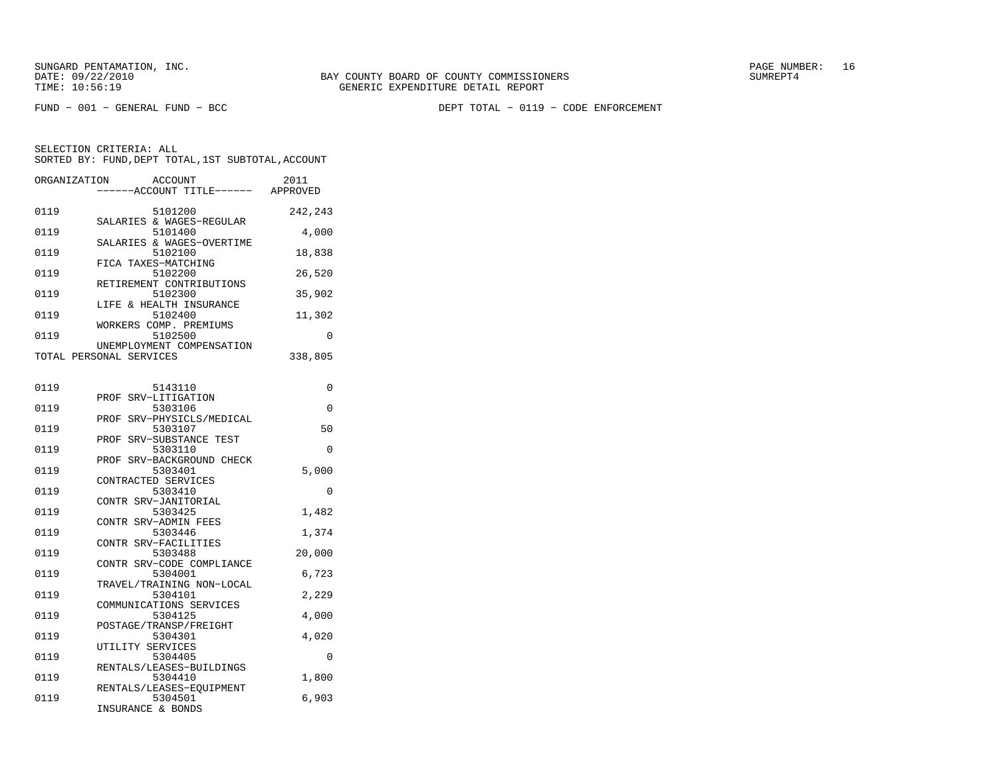FUND − 001 − GENERAL FUND − BCC DEPT TOTAL − 0119 − CODE ENFORCEMENT

| ORGANIZATION | <b>ACCOUNT</b><br>---ACCOUNT TITLE------ APPROVED        | 2011     |
|--------------|----------------------------------------------------------|----------|
| 0119         | 5101200<br>SALARIES & WAGES-REGULAR                      | 242,243  |
| 0119         | 5101400<br>SALARIES & WAGES-OVERTIME                     | 4,000    |
| 0119         | 5102100<br>FICA TAXES-MATCHING                           | 18,838   |
| 0119         | 5102200<br>RETIREMENT CONTRIBUTIONS                      | 26,520   |
| 0119         | 5102300<br>LIFE & HEALTH INSURANCE                       | 35,902   |
| 0119         | 5102400<br>WORKERS COMP. PREMIUMS                        | 11,302   |
| 0119         | 5102500<br>UNEMPLOYMENT COMPENSATION                     | 0        |
|              | TOTAL PERSONAL SERVICES                                  | 338,805  |
| 0119         | 5143110                                                  | 0        |
| 0119         | SRV-LITIGATION<br>PROF<br>5303106                        | 0        |
| 0119         | SRV-PHYSICLS/MEDICAL<br>PROF<br>5303107                  | 50       |
| 0119         | PROF SRV-SUBSTANCE TEST<br>5303110                       | 0        |
| 0119         | PROF SRV-BACKGROUND CHECK<br>5303401                     | 5,000    |
| 0119         | CONTRACTED SERVICES<br>5303410                           | $\Omega$ |
| 0119         | CONTR SRV-JANITORIAL<br>5303425                          | 1,482    |
| 0119         | CONTR SRV-ADMIN FEES<br>5303446                          | 1,374    |
| 0119         | CONTR SRV-FACILITIES<br>5303488                          | 20,000   |
| 0119         | CONTR SRV-CODE COMPLIANCE<br>5304001                     | 6,723    |
| 0119         | TRAVEL/TRAINING NON-LOCAL<br>5304101                     | 2,229    |
| 0119         | COMMUNICATIONS SERVICES<br>5304125                       | 4,000    |
| 0119         | POSTAGE/TRANSP/FREIGHT<br>5304301                        | 4,020    |
| 0119         | UTILITY SERVICES<br>5304405                              | 0        |
| 0119         | RENTALS/LEASES-BUILDINGS<br>5304410                      | 1,800    |
| 0119         | RENTALS/LEASES-EQUIPMENT<br>5304501<br>INSURANCE & BONDS | 6,903    |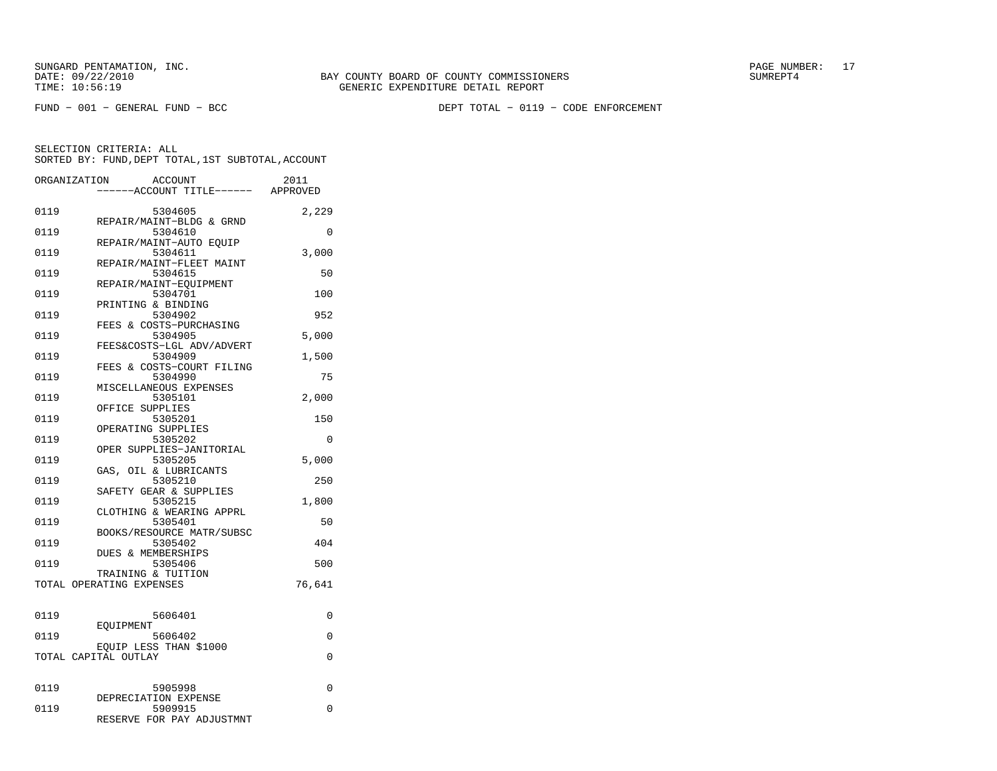FUND − 001 − GENERAL FUND − BCC DEPT TOTAL − 0119 − CODE ENFORCEMENT

| ORGANIZATION |                                                | <b>ACCOUNT</b><br>---ACCOUNT TITLE------ APPROVED | 2011     |
|--------------|------------------------------------------------|---------------------------------------------------|----------|
| 0119         |                                                | 5304605<br>REPAIR/MAINT-BLDG & GRND               | 2,229    |
| 0119         | REPAIR/MAINT-AUTO EQUIP                        | 5304610                                           | $\Omega$ |
| 0119         |                                                | 5304611<br>REPAIR/MAINT-FLEET MAINT               | 3,000    |
| 0119         | REPAIR/MAINT-EOUIPMENT                         | 5304615                                           | 50       |
| 0119         | PRINTING & BINDING                             | 5304701                                           | 100      |
| 0119         | FEES & COSTS-PURCHASING                        | 5304902                                           | 952      |
| 0119         |                                                | 5304905<br>FEES&COSTS-LGL ADV/ADVERT              | 5,000    |
| 0119         |                                                | 5304909<br>FEES & COSTS-COURT FILING              | 1,500    |
| 0119         | MISCELLANEOUS EXPENSES                         | 5304990                                           | 75       |
| 0119         | OFFICE SUPPLIES                                | 5305101                                           | 2,000    |
| 0119         | OPERATING SUPPLIES                             | 5305201                                           | 150      |
| 0119         |                                                | 5305202<br>OPER SUPPLIES-JANITORIAL               | 0        |
| 0119         | GAS, OIL & LUBRICANTS                          | 5305205                                           | 5,000    |
| 0119         | SAFETY GEAR & SUPPLIES                         | 5305210                                           | 250      |
| 0119         |                                                | 5305215<br>CLOTHING & WEARING APPRL               | 1,800    |
| 0119         |                                                | 5305401<br>BOOKS/RESOURCE MATR/SUBSC              | 50       |
| 0119         | <b>DUES &amp; MEMBERSHIPS</b>                  | 5305402                                           | 404      |
| 0119         | TRAINING & TUITION                             | 5305406                                           | 500      |
|              | TOTAL OPERATING EXPENSES                       |                                                   | 76,641   |
| 0119         |                                                | 5606401                                           | 0        |
| 0119         | EOUIPMENT                                      | 5606402                                           | 0        |
|              | EQUIP LESS THAN \$1000<br>TOTAL CAPITAL OUTLAY |                                                   | 0        |
| 0119         |                                                | 5905998                                           | 0        |
| 0119         | DEPRECIATION EXPENSE                           | 5909915<br>RESERVE FOR PAY ADJUSTMNT              | $\Omega$ |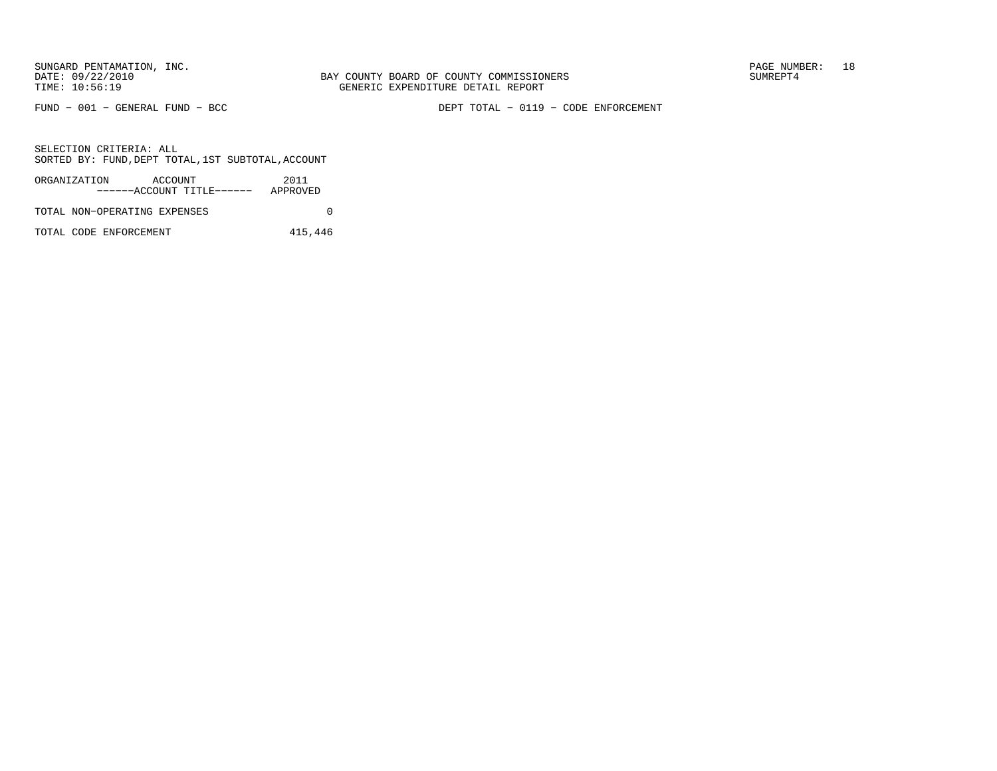FUND − 001 − GENERAL FUND − BCC DEPT TOTAL − 0119 − CODE ENFORCEMENT

SELECTION CRITERIA: ALLSORTED BY: FUND, DEPT TOTAL, 1ST SUBTOTAL, ACCOUNT

| ORGANIZATION                 | ACCOUNT |                           | 2011     |  |
|------------------------------|---------|---------------------------|----------|--|
|                              |         | ------ACCOUNT TITLE------ | APPROVED |  |
| TOTAL NON-OPERATING EXPENSES |         |                           |          |  |

TOTAL CODE ENFORCEMENT 415,446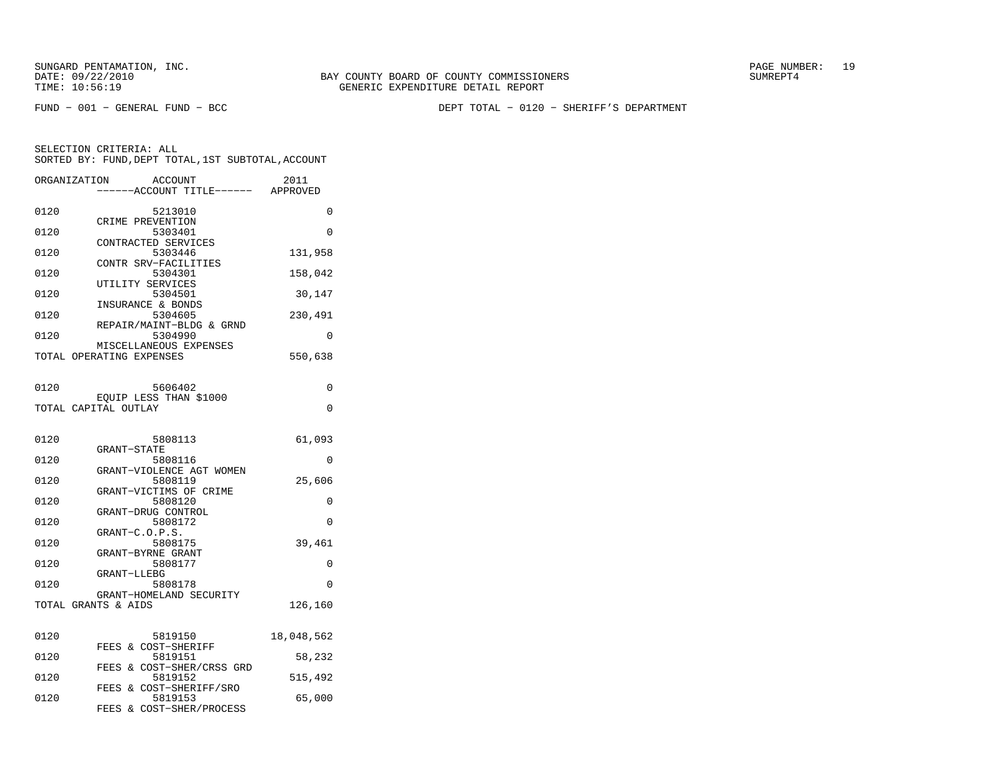BAY COUNTY BOARD OF COUNTY COMMISSIONERS TIME: 10:56:19 GENERIC EXPENDITURE DETAIL REPORT

FUND − 001 − GENERAL FUND − BCC DEPT TOTAL − 0120 − SHERIFF'S DEPARTMENT

| SELECTION CRITERIA: ALL |         |                                                    |
|-------------------------|---------|----------------------------------------------------|
|                         |         | SORTED BY: FUND, DEPT TOTAL, 1ST SUBTOTAL, ACCOUNT |
| ORGANIZATION            | ACCOUNT | 2011                                               |

|      | ------ACCOUNT TITLE------                      | APPROVED   |
|------|------------------------------------------------|------------|
| 0120 | 5213010                                        | 0          |
| 0120 | CRIME PREVENTION<br>5303401                    | 0          |
| 0120 | CONTRACTED SERVICES<br>5303446                 | 131,958    |
| 0120 | CONTR SRV-FACILITIES<br>5304301                | 158,042    |
| 0120 | UTILITY SERVICES<br>5304501                    | 30,147     |
| 0120 | INSURANCE & BONDS<br>5304605                   |            |
|      | REPAIR/MAINT-BLDG & GRND                       | 230,491    |
| 0120 | 5304990<br>MISCELLANEOUS EXPENSES              | 0          |
|      | TOTAL OPERATING EXPENSES                       | 550,638    |
| 0120 | 5606402                                        | 0          |
|      | EQUIP LESS THAN \$1000<br>TOTAL CAPITAL OUTLAY | 0          |
|      |                                                |            |
| 0120 | 5808113                                        | 61,093     |
| 0120 | <b>GRANT-STATE</b><br>5808116                  | 0          |
| 0120 | GRANT-VIOLENCE AGT WOMEN<br>5808119            | 25,606     |
| 0120 | GRANT-VICTIMS OF CRIME<br>5808120              | $\Omega$   |
| 0120 | GRANT-DRUG CONTROL<br>5808172                  | $\Omega$   |
|      | GRANT-C.O.P.S.                                 |            |
| 0120 | 5808175<br>GRANT-BYRNE GRANT                   | 39,461     |
| 0120 | 5808177<br>GRANT-LLEBG                         | 0          |
| 0120 | 5808178<br>GRANT-HOMELAND SECURITY             | 0          |
|      | TOTAL GRANTS & AIDS                            | 126,160    |
|      |                                                |            |
| 0120 | 5819150<br>FEES & COST-SHERIFF                 | 18,048,562 |
| 0120 | 5819151<br>FEES & COST-SHER/CRSS GRD           | 58,232     |
| 0120 | 5819152<br>FEES & COST-SHERIFF/SRO             | 515,492    |
| 0120 | 5819153<br><b>FEES</b><br>& COST-SHER/PROCESS  | 65,000     |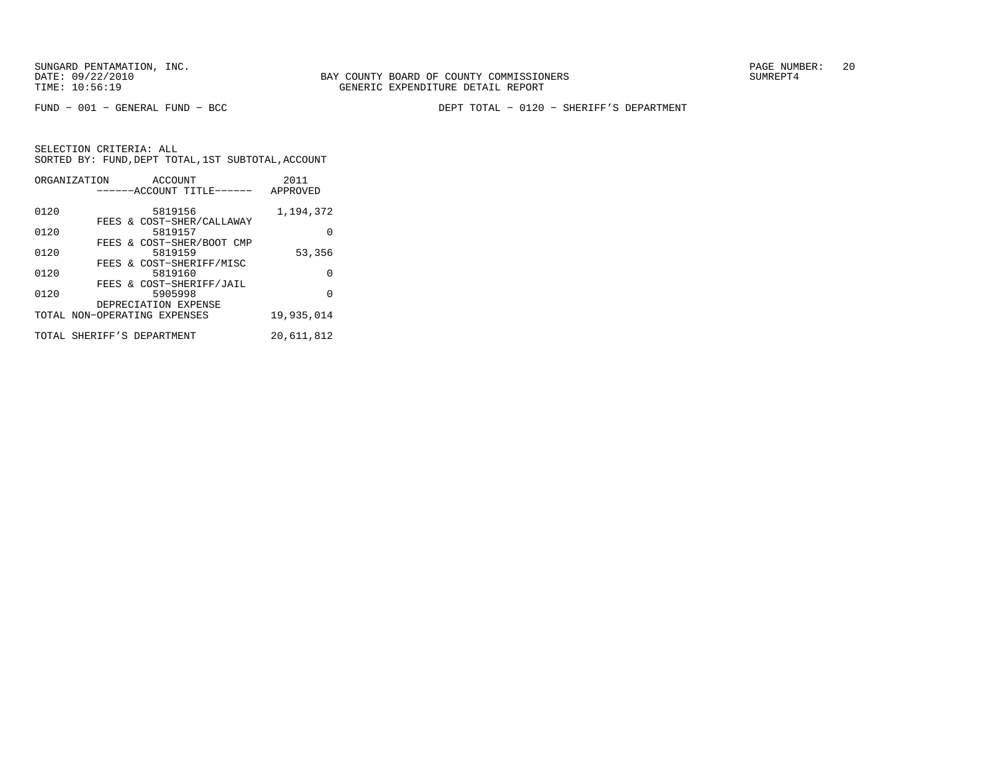FUND − 001 − GENERAL FUND − BCC DEPT TOTAL − 0120 − SHERIFF'S DEPARTMENT

|      | ORGANIZATION<br>ACCOUNT      | 2011       |
|------|------------------------------|------------|
|      | ------ACCOUNT TITLE------    | APPROVED   |
|      |                              |            |
| 0120 | 5819156                      | 1,194,372  |
|      | FEES & COST-SHER/CALLAWAY    |            |
| 0120 | 5819157                      |            |
|      | FEES & COST-SHER/BOOT CMP    |            |
| 0120 | 5819159                      | 53,356     |
|      | FEES & COST-SHERIFF/MISC     |            |
| 0120 | 5819160                      | O          |
|      | FEES & COST-SHERIFF/JAIL     |            |
| 0120 | 5905998                      | O          |
|      | DEPRECIATION EXPENSE         |            |
|      | TOTAL NON-OPERATING EXPENSES | 19,935,014 |
|      |                              |            |
|      | TOTAL SHERIFF'S DEPARTMENT   | 20,611,812 |
|      |                              |            |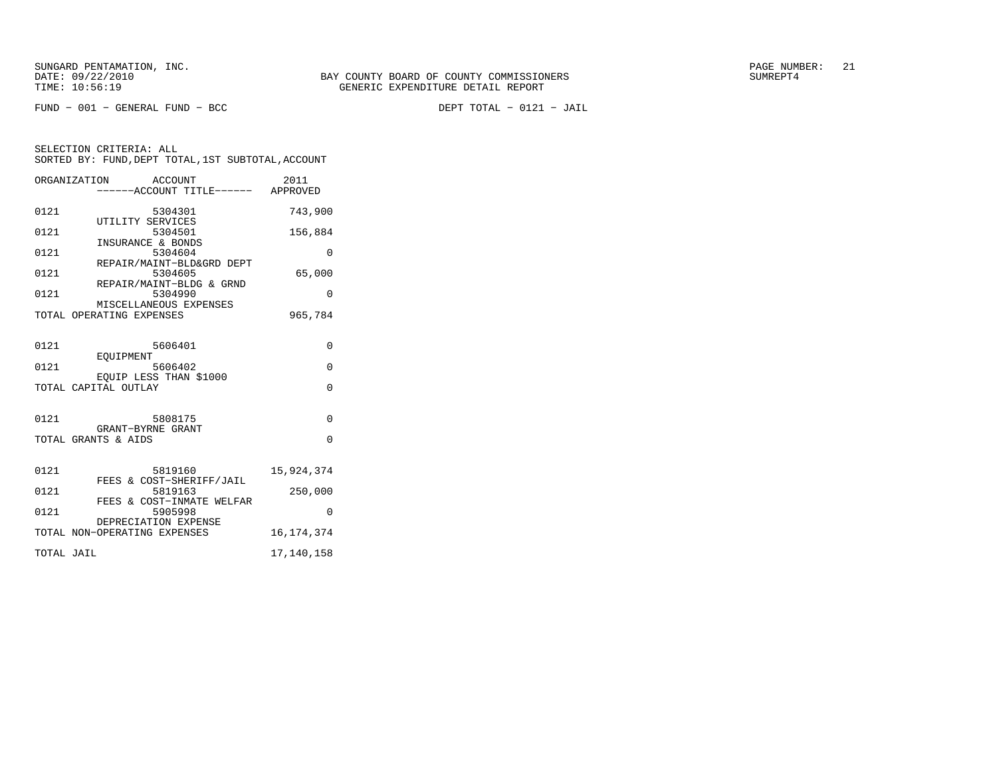$FUND - 001 - GENERAL FUND - BCC$ 

DEPT TOTAL - 0121 - JAIL

|            | ORGANIZATION<br>ACCOUNT<br>----ACCOUNT TITLE------ APPROVED | 2011         |
|------------|-------------------------------------------------------------|--------------|
| 0121       | 5304301<br>UTILITY SERVICES                                 | 743,900      |
| 0121       | 5304501<br>INSURANCE & BONDS                                | 156,884      |
| 0121       | 5304604                                                     | $\Omega$     |
| 0121       | REPAIR/MAINT-BLD&GRD DEPT<br>5304605                        | 65,000       |
| 0121       | REPAIR/MAINT-BLDG & GRND<br>5304990                         | $\Omega$     |
|            | MISCELLANEOUS EXPENSES<br>TOTAL OPERATING EXPENSES          | 965,784      |
| 0121       | 5606401                                                     | $\Omega$     |
| 0121       | EOUIPMENT<br>5606402                                        | $\Omega$     |
|            | EQUIP LESS THAN \$1000<br>TOTAL CAPITAL OUTLAY              | $\Omega$     |
| 0121       | 5808175                                                     | $\Omega$     |
|            | GRANT-BYRNE GRANT<br>TOTAL GRANTS & AIDS                    | $\Omega$     |
| 0121       | 5819160                                                     | 15,924,374   |
| 0121       | FEES & COST-SHERIFF/JAIL<br>5819163                         | 250,000      |
| 0121       | FEES & COST-INMATE WELFAR<br>5905998                        | $\Omega$     |
|            | DEPRECIATION EXPENSE<br>TOTAL NON-OPERATING EXPENSES        | 16, 174, 374 |
| TOTAL JAIL |                                                             | 17,140,158   |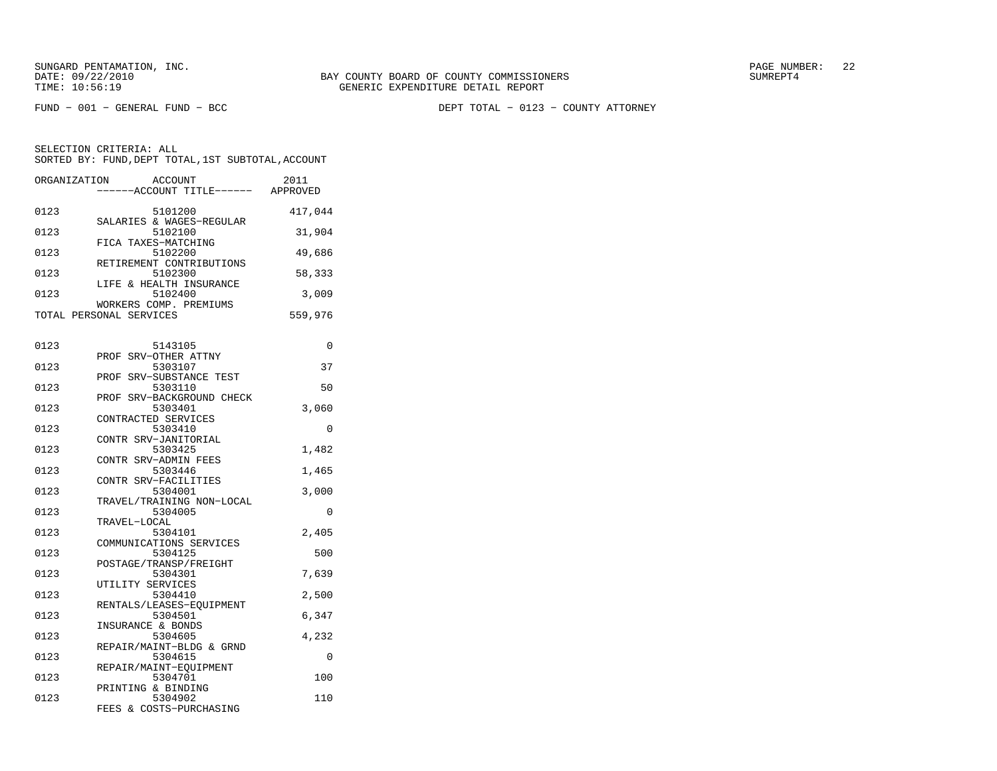FUND − 001 − GENERAL FUND − BCC DEPT TOTAL − 0123 − COUNTY ATTORNEY

| ORGANIZATION | <b>ACCOUNT</b>                                    | ----ACCOUNT TITLE------ APPROVED     | 2011    |
|--------------|---------------------------------------------------|--------------------------------------|---------|
|              |                                                   |                                      |         |
| 0123         | 5101200                                           |                                      | 417,044 |
| 0123         | SALARIES & WAGES-REGULAR<br>5102100               |                                      | 31,904  |
| 0123         | FICA TAXES-MATCHING<br>5102200                    |                                      | 49,686  |
| 0123         | RETIREMENT CONTRIBUTIONS<br>5102300               |                                      | 58,333  |
| 0123         | LIFE & HEALTH INSURANCE                           | 5102400                              | 3,009   |
|              | WORKERS COMP. PREMIUMS<br>TOTAL PERSONAL SERVICES |                                      | 559,976 |
|              |                                                   |                                      |         |
| 0123         | 5143105                                           |                                      | 0       |
| 0123         | PROF SRV-OTHER ATTNY<br>5303107                   |                                      | 37      |
| 0123         | PROF SRV-SUBSTANCE TEST<br>5303110                |                                      | 50      |
| 0123         | 5303401                                           | PROF SRV-BACKGROUND CHECK            | 3,060   |
| 0123         | CONTRACTED SERVICES<br>5303410                    |                                      | 0       |
| 0123         | CONTR SRV-JANITORIAL<br>5303425                   |                                      | 1,482   |
|              | CONTR SRV-ADMIN FEES                              |                                      |         |
| 0123         | 5303446<br>CONTR SRV-FACILITIES                   |                                      | 1,465   |
| 0123         |                                                   | 5304001<br>TRAVEL/TRAINING NON-LOCAL | 3,000   |
| 0123         | 5304005<br>TRAVEL-LOCAL                           |                                      | 0       |
| 0123         | 5304101<br>COMMUNICATIONS SERVICES                |                                      | 2,405   |
| 0123         | 5304125<br>POSTAGE/TRANSP/FREIGHT                 |                                      | 500     |
| 0123         | 5304301<br>UTILITY SERVICES                       |                                      | 7,639   |
| 0123         | 5304410                                           |                                      | 2,500   |
| 0123         | RENTALS/LEASES-EQUIPMENT<br>5304501               |                                      | 6,347   |
| 0123         | INSURANCE & BONDS<br>5304605                      |                                      | 4,232   |
| 0123         | REPAIR/MAINT-BLDG & GRND<br>5304615               |                                      | 0       |
| 0123         | REPAIR/MAINT-EQUIPMENT<br>5304701                 |                                      | 100     |
| 0123         | PRINTING & BINDING<br>5304902                     |                                      | 110     |
|              | FEES & COSTS-PURCHASING                           |                                      |         |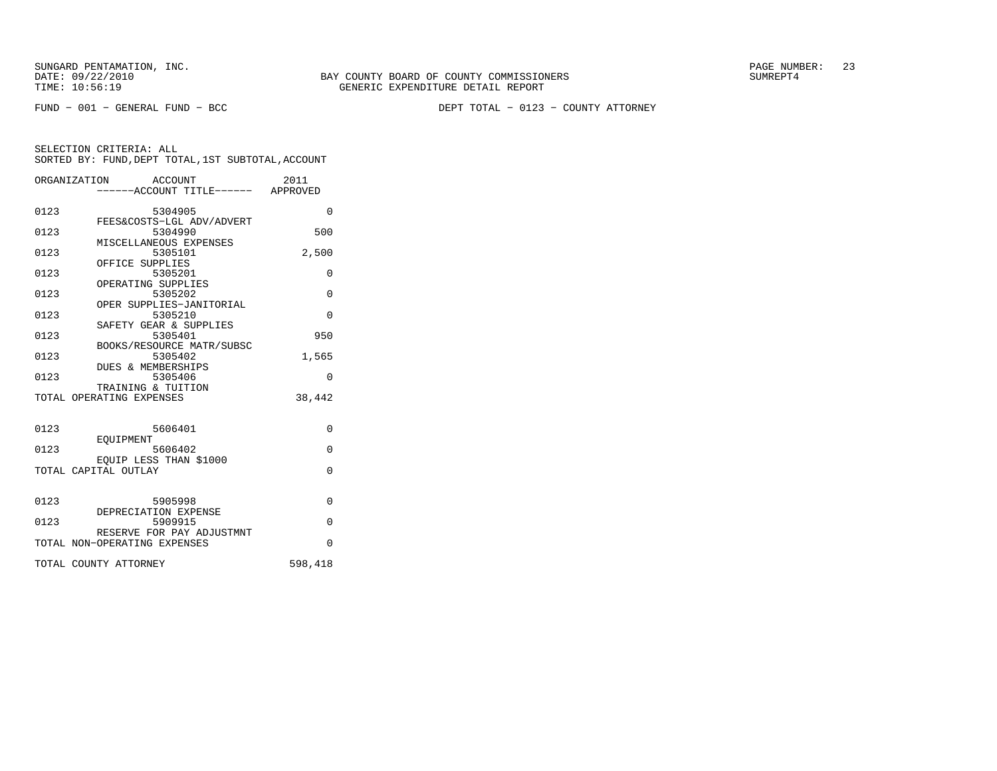FUND − 001 − GENERAL FUND − BCC DEPT TOTAL − 0123 − COUNTY ATTORNEY

|      | ORGANIZATION ACCOUNT<br>-----ACCOUNT TITLE------ APPROVED | 2011     |
|------|-----------------------------------------------------------|----------|
| 0123 | 5304905<br>FEES&COSTS-LGL ADV/ADVERT                      | $\Omega$ |
| 0123 | 5304990                                                   | 500      |
| 0123 | MISCELLANEOUS EXPENSES<br>5305101                         | 2,500    |
| 0123 | OFFICE SUPPLIES<br>5305201                                | 0        |
| 0123 | OPERATING SUPPLIES<br>5305202                             | $\Omega$ |
| 0123 | OPER SUPPLIES-JANITORIAL<br>5305210                       | $\Omega$ |
| 0123 | SAFETY GEAR & SUPPLIES<br>5305401                         | 950      |
| 0123 | BOOKS/RESOURCE MATR/SUBSC<br>5305402                      | 1,565    |
| 0123 | DUES & MEMBERSHIPS<br>5305406                             | $\Omega$ |
|      | TRAINING & TUITION<br>TOTAL OPERATING EXPENSES            | 38,442   |
|      |                                                           |          |
| 0123 | 5606401<br>EOUIPMENT                                      | 0        |
| 0123 | 5606402                                                   | $\Omega$ |
|      | EOUIP LESS THAN \$1000<br>TOTAL CAPITAL OUTLAY            | $\Omega$ |
|      |                                                           |          |
| 0123 | 5905998<br>DEPRECIATION EXPENSE                           | $\Omega$ |
| 0123 | 5909915<br>RESERVE FOR PAY ADJUSTMNT                      | $\Omega$ |
|      | TOTAL NON-OPERATING EXPENSES                              | $\Omega$ |
|      | TOTAL COUNTY ATTORNEY                                     | 598,418  |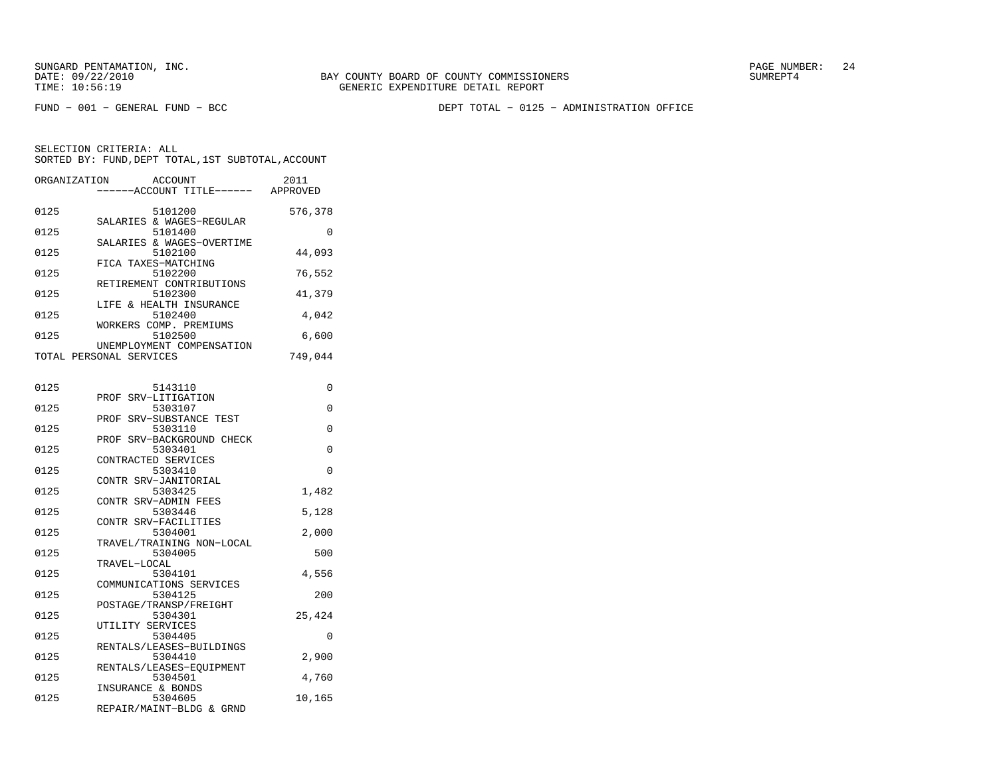FUND − 001 − GENERAL FUND − BCC DEPT TOTAL − 0125 − ADMINISTRATION OFFICE

SELECTION CRITERIA: ALLSORTED BY: FUND, DEPT TOTAL, 1ST SUBTOTAL, ACCOUNT

|      | ORGANIZATION ACCOUNT<br>-----ACCOUNT TITLE------ APPROVED | 2011     |
|------|-----------------------------------------------------------|----------|
| 0125 | 5101200                                                   | 576,378  |
| 0125 | SALARIES & WAGES-REGULAR<br>5101400                       | $\Omega$ |
| 0125 | SALARIES & WAGES-OVERTIME<br>5102100                      | 44,093   |
|      | FICA TAXES-MATCHING                                       |          |
| 0125 | 5102200<br>RETIREMENT CONTRIBUTIONS                       | 76,552   |
| 0125 | 5102300                                                   | 41,379   |
| 0125 | LIFE & HEALTH INSURANCE<br>5102400                        | 4,042    |
| 0125 | WORKERS COMP. PREMIUMS<br>5102500                         | 6,600    |
|      | UNEMPLOYMENT COMPENSATION                                 |          |
|      | TOTAL PERSONAL SERVICES                                   | 749,044  |
|      |                                                           |          |
| 0125 | 5143110                                                   | $\Omega$ |
| 0125 | PROF SRV-LITIGATION<br>5303107                            | $\Omega$ |
|      | PROF SRV-SUBSTANCE TEST                                   |          |
| 0125 | 5303110                                                   | $\Omega$ |
| 0125 | PROF SRV-BACKGROUND CHECK<br>5303401                      | $\Omega$ |

|      | PROF SRV-BACKGROUND CHECK |          |
|------|---------------------------|----------|
| 0125 | 5303401                   | 0        |
|      | CONTRACTED SERVICES       |          |
| 0125 | 5303410                   | $\Omega$ |
|      | CONTR SRV-JANITORIAL      |          |
| 0125 | 5303425                   | 1,482    |
|      | CONTR SRV-ADMIN FEES      |          |
| 0125 | 5303446                   | 5,128    |
|      | CONTR SRV-FACILITIES      |          |
| 0125 | 5304001                   | 2,000    |
|      | TRAVEL/TRAINING NON-LOCAL |          |
| 0125 | 5304005                   | 500      |
|      | TRAVEL-LOCAL              |          |
| 0125 | 5304101                   | 4,556    |
|      | COMMUNICATIONS SERVICES   |          |
| 0125 | 5304125                   | 200      |
|      | POSTAGE/TRANSP/FREIGHT    |          |
| 0125 | 5304301                   | 25,424   |
|      | UTILITY SERVICES          |          |
| 0125 | 5304405                   | $\Omega$ |
|      | RENTALS/LEASES-BUILDINGS  |          |
| 0125 | 5304410                   | 2,900    |
|      | RENTALS/LEASES-EQUIPMENT  |          |
| 0125 | 5304501                   | 4,760    |
|      | INSURANCE & BONDS         |          |
| 0125 | 5304605                   | 10,165   |
|      | REPAIR/MAINT-BLDG & GRND  |          |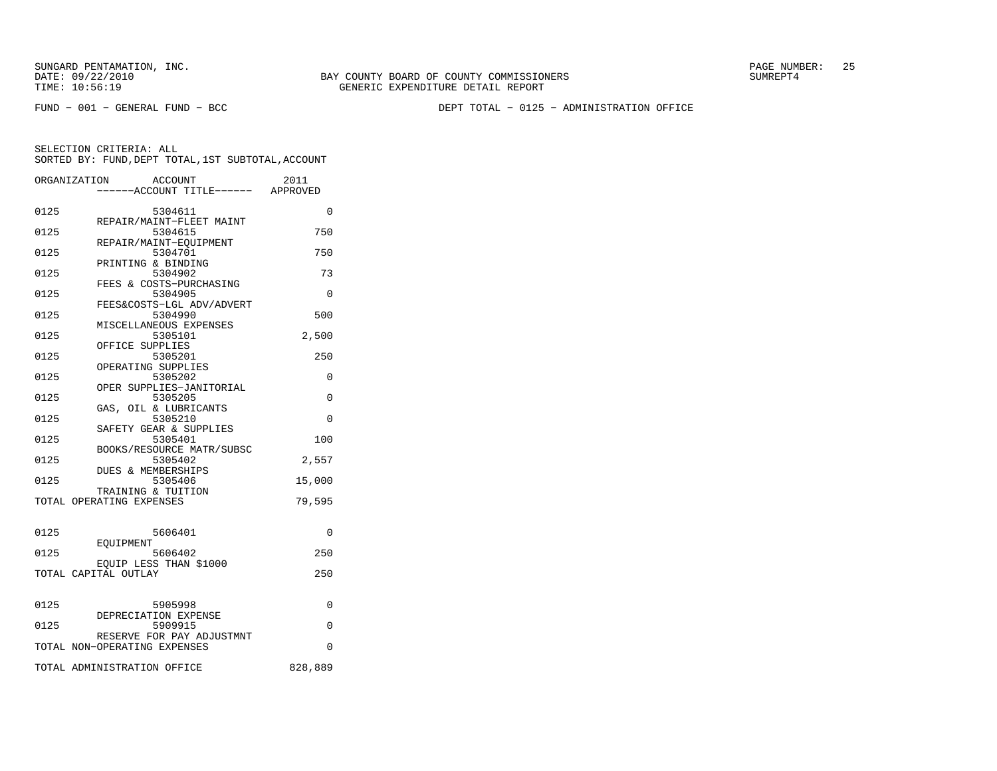FUND − 001 − GENERAL FUND − BCC DEPT TOTAL − 0125 − ADMINISTRATION OFFICE

|      | ORGANIZATION<br><b>ACCOUNT</b>                 | 2011<br>----ACCOUNT TITLE------ APPROVED |
|------|------------------------------------------------|------------------------------------------|
| 0125 | 5304611                                        | 0                                        |
| 0125 | REPAIR/MAINT-FLEET MAINT<br>5304615            | 750                                      |
| 0125 | REPAIR/MAINT-EOUIPMENT<br>5304701              | 750                                      |
| 0125 | PRINTING & BINDING<br>5304902                  | 73                                       |
| 0125 | FEES & COSTS-PURCHASING<br>5304905             | 0                                        |
| 0125 | FEES&COSTS-LGL ADV/ADVERT<br>5304990           | 500                                      |
| 0125 | MISCELLANEOUS EXPENSES<br>5305101              | 2,500                                    |
| 0125 | OFFICE SUPPLIES<br>5305201                     | 250                                      |
| 0125 | OPERATING SUPPLIES<br>5305202                  | $\Omega$                                 |
| 0125 | OPER SUPPLIES-JANITORIAL<br>5305205            | $\Omega$                                 |
| 0125 | GAS, OIL & LUBRICANTS<br>5305210               | $\Omega$                                 |
| 0125 | SAFETY GEAR & SUPPLIES<br>5305401              | 100                                      |
| 0125 | BOOKS/RESOURCE MATR/SUBSC<br>5305402           | 2,557                                    |
| 0125 | <b>DUES &amp; MEMBERSHIPS</b><br>5305406       | 15,000                                   |
|      | TRAINING & TUITION                             |                                          |
|      | TOTAL OPERATING EXPENSES                       | 79,595                                   |
| 0125 | 5606401                                        | $\Omega$                                 |
| 0125 | EOUIPMENT<br>5606402                           | 250                                      |
|      | EOUIP LESS THAN \$1000<br>TOTAL CAPITAL OUTLAY | 250                                      |
|      |                                                |                                          |
| 0125 | 5905998<br>DEPRECIATION EXPENSE                | 0                                        |
| 0125 | 5909915<br>RESERVE FOR PAY ADJUSTMNT           | 0                                        |
|      | TOTAL NON-OPERATING EXPENSES                   | 0                                        |
|      | TOTAL ADMINISTRATION OFFICE                    | 828,889                                  |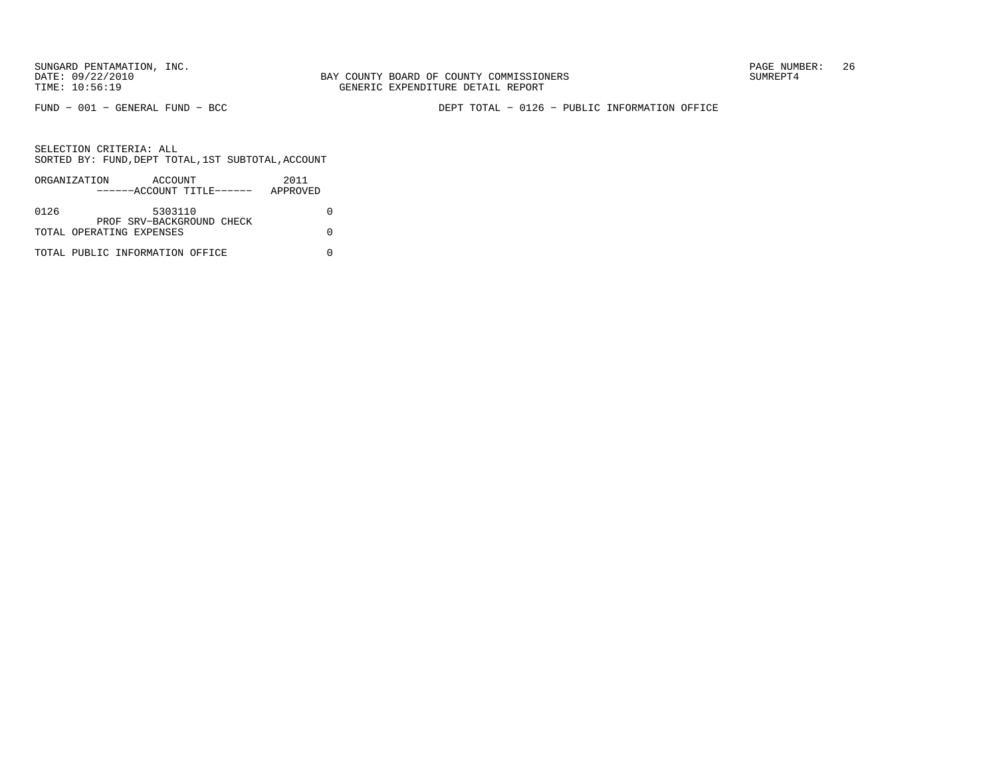FUND − 001 − GENERAL FUND − BCC DEPT TOTAL − 0126 − PUBLIC INFORMATION OFFICE

|      | ORGANIZATION<br>ACCOUNT         | 2011     |
|------|---------------------------------|----------|
|      | ------ACCOUNT TITLE------       | APPROVED |
|      |                                 |          |
| 0126 | 5303110                         |          |
|      | PROF SRV-BACKGROUND CHECK       |          |
|      | TOTAL OPERATING EXPENSES        |          |
|      |                                 |          |
|      | TOTAL PUBLIC INFORMATION OFFICE |          |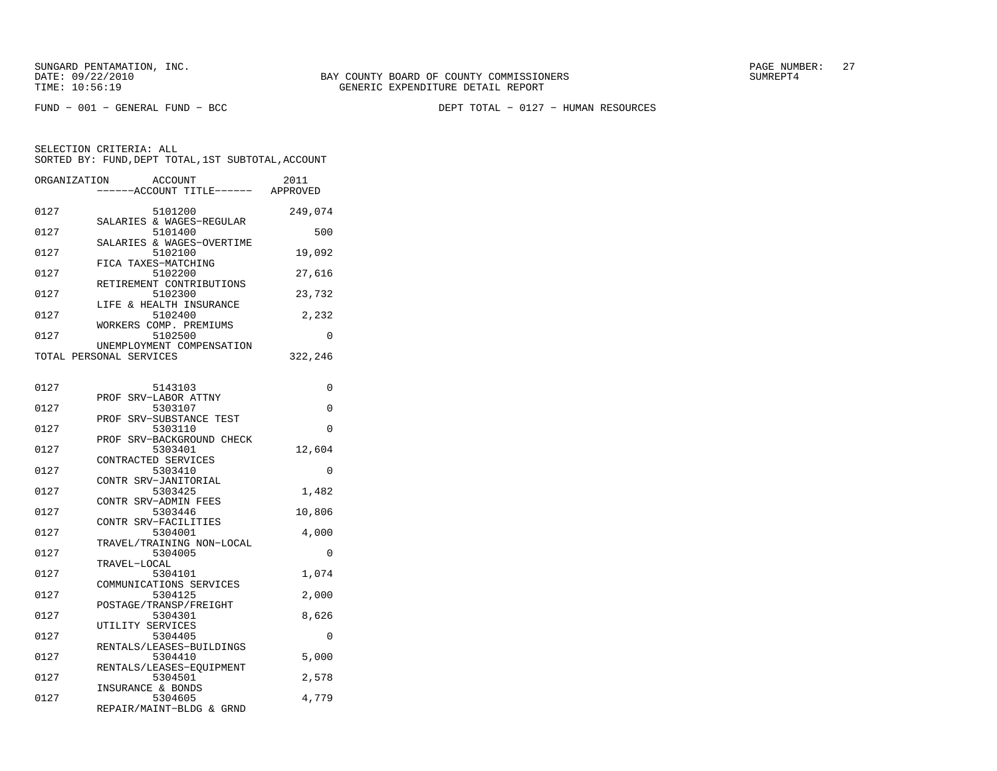FUND − 001 − GENERAL FUND − BCC DEPT TOTAL − 0127 − HUMAN RESOURCES

| ORGANIZATION | ACCOUNT<br>--ACCOUNT TITLE------ APPROVED            | 2011     |
|--------------|------------------------------------------------------|----------|
| 0127         | 5101200<br>SALARIES & WAGES-REGULAR                  | 249,074  |
| 0127         | 5101400                                              | 500      |
| 0127         | SALARIES & WAGES-OVERTIME<br>5102100                 | 19,092   |
| 0127         | FICA TAXES-MATCHING<br>5102200                       | 27,616   |
| 0127         | RETIREMENT CONTRIBUTIONS<br>5102300                  | 23,732   |
| 0127         | LIFE & HEALTH INSURANCE<br>5102400                   | 2,232    |
| 0127         | WORKERS COMP. PREMIUMS<br>5102500                    | 0        |
|              | UNEMPLOYMENT COMPENSATION<br>TOTAL PERSONAL SERVICES | 322,246  |
|              |                                                      |          |
| 0127         | 5143103<br>SRV-LABOR ATTNY<br>PROF                   | 0        |
| 0127         | 5303107                                              | $\Omega$ |
| 0127         | SRV-SUBSTANCE TEST<br>PROF<br>5303110                | $\Omega$ |
| 0127         | SRV-BACKGROUND CHECK<br>PROF<br>5303401              | 12,604   |
| 0127         | CONTRACTED SERVICES<br>5303410                       | 0        |
| 0127         | CONTR SRV-JANITORIAL<br>5303425                      | 1,482    |
|              | CONTR SRV-ADMIN FEES                                 |          |
| 0127         | 5303446<br>CONTR SRV-FACILITIES                      | 10,806   |
| 0127         | 5304001<br>TRAVEL/TRAINING NON-LOCAL                 | 4,000    |
| 0127         | 5304005                                              | 0        |
| 0127         | TRAVEL-LOCAL<br>5304101                              | 1,074    |
| 0127         | COMMUNICATIONS SERVICES<br>5304125                   | 2,000    |
| 0127         | POSTAGE/TRANSP/FREIGHT<br>5304301                    | 8,626    |
| 0127         | UTILITY SERVICES<br>5304405                          | 0        |
|              | RENTALS/LEASES-BUILDINGS                             |          |
| 0127         | 5304410<br>RENTALS/LEASES-EOUIPMENT                  | 5,000    |
| 0127         | 5304501<br>INSURANCE & BONDS                         | 2,578    |
| 0127         | 5304605<br>REPAIR/MAINT-BLDG & GRND                  | 4,779    |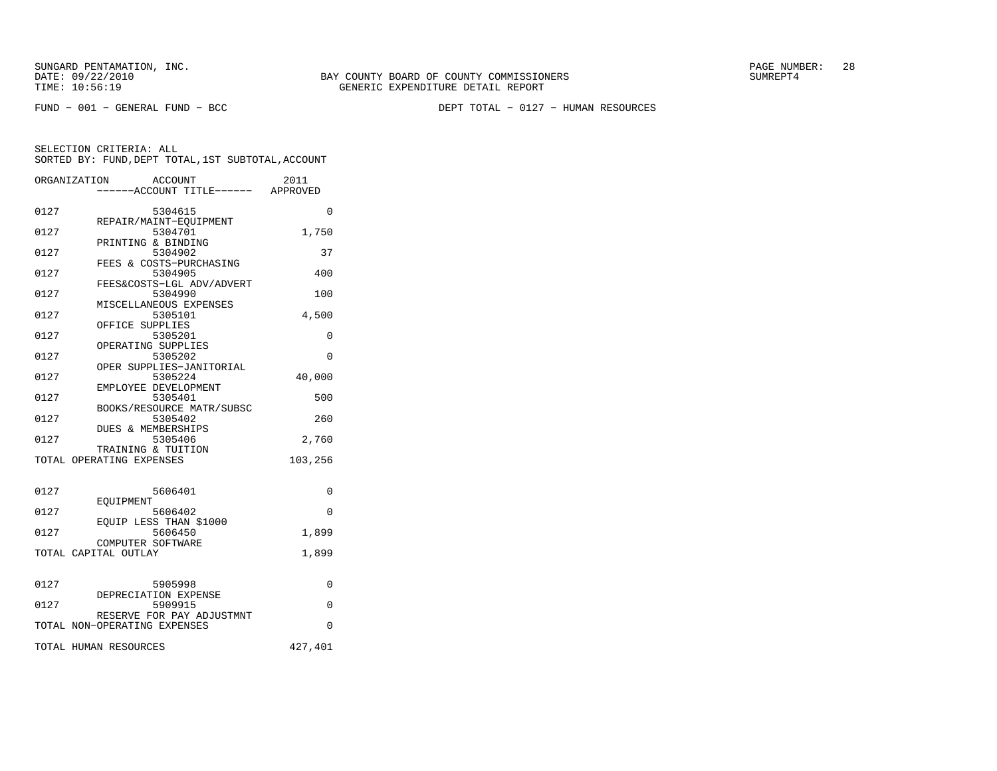FUND − 001 − GENERAL FUND − BCC DEPT TOTAL − 0127 − HUMAN RESOURCES

|      | ORGANIZATION<br><b>ACCOUNT</b><br>----ACCOUNT TITLE------ APPROVED | 2011     |
|------|--------------------------------------------------------------------|----------|
| 0127 | 5304615                                                            | $\Omega$ |
| 0127 | REPAIR/MAINT-EQUIPMENT<br>5304701                                  | 1,750    |
| 0127 | PRINTING & BINDING<br>5304902                                      | 37       |
| 0127 | FEES & COSTS-PURCHASING<br>5304905                                 | 400      |
| 0127 | FEES&COSTS-LGL ADV/ADVERT<br>5304990                               | 100      |
| 0127 | MISCELLANEOUS EXPENSES<br>5305101                                  | 4,500    |
| 0127 | OFFICE SUPPLIES<br>5305201                                         | $\Omega$ |
| 0127 | OPERATING SUPPLIES<br>5305202                                      | $\Omega$ |
| 0127 | OPER SUPPLIES-JANITORIAL<br>5305224                                | 40,000   |
| 0127 | EMPLOYEE DEVELOPMENT<br>5305401                                    | 500      |
| 0127 | BOOKS/RESOURCE MATR/SUBSC<br>5305402                               | 260      |
| 0127 | <b>DUES &amp; MEMBERSHIPS</b><br>5305406                           | 2,760    |
|      | TRAINING & TUITION                                                 | 103,256  |
|      | TOTAL OPERATING EXPENSES                                           |          |
| 0127 | 5606401                                                            | 0        |
| 0127 | EOUIPMENT<br>5606402                                               | $\Omega$ |
| 0127 | EOUIP LESS THAN \$1000<br>5606450                                  | 1,899    |
|      | COMPUTER SOFTWARE<br>TOTAL CAPITAL OUTLAY                          | 1,899    |
|      |                                                                    |          |
| 0127 | 5905998<br>DEPRECIATION EXPENSE                                    | 0        |
| 0127 | 5909915<br>RESERVE FOR PAY ADJUSTMNT                               | 0        |
|      | TOTAL NON-OPERATING EXPENSES                                       | $\Omega$ |
|      | TOTAL HUMAN RESOURCES                                              | 427,401  |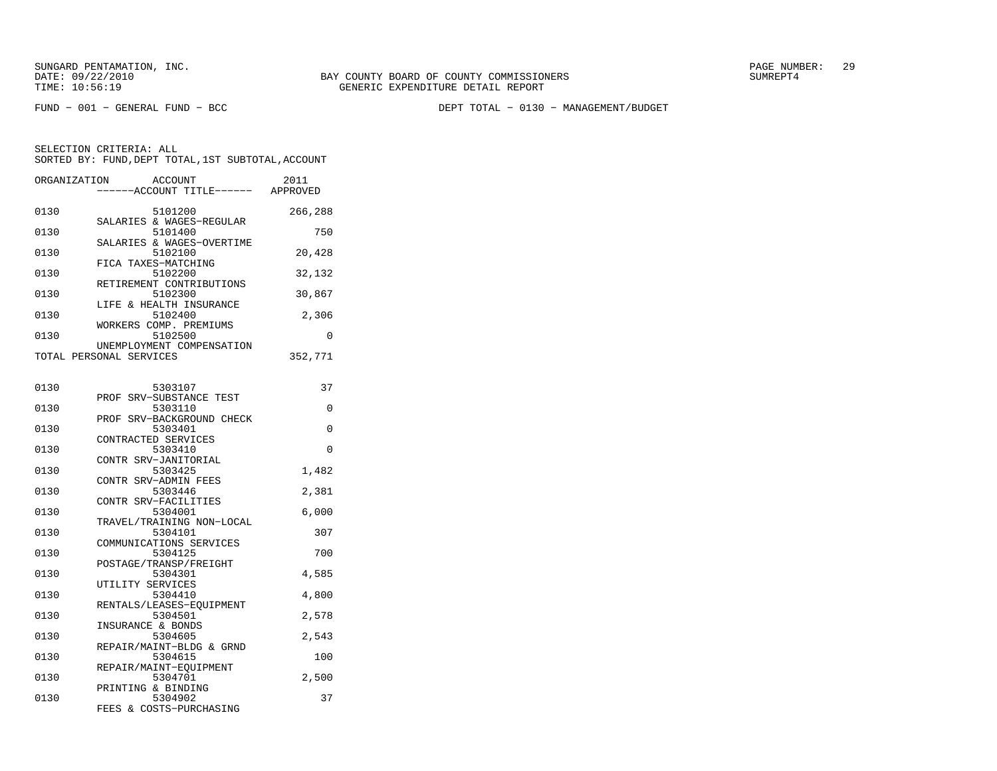SELECTION CRITERIA: ALL

FUND − 001 − GENERAL FUND − BCC DEPT TOTAL − 0130 − MANAGEMENT/BUDGET

ORGANIZATION ACCOUNT 2011 −−−−−−ACCOUNT TITLE−−−−−− APPROVED 0130 5101200 266,288

|      | SALARIES & WAGES-REGULAR  |          |
|------|---------------------------|----------|
| 0130 | 5101400                   | 750      |
|      | SALARIES & WAGES-OVERTIME |          |
| 0130 | 5102100                   | 20,428   |
|      | FICA TAXES-MATCHING       |          |
| 0130 | 5102200                   | 32,132   |
|      | RETIREMENT CONTRIBUTIONS  |          |
| 0130 | 5102300                   | 30,867   |
|      | LIFE & HEALTH INSURANCE   |          |
| 0130 | 5102400                   | 2,306    |
|      | WORKERS COMP. PREMIUMS    |          |
| 0130 | 5102500                   | $\Omega$ |
|      | UNEMPLOYMENT COMPENSATION |          |
|      | TOTAL PERSONAL SERVICES   | 352,771  |
|      |                           |          |
| 0130 | 5303107                   | 37       |
|      |                           |          |

SORTED BY: FUND, DEPT TOTAL, 1ST SUBTOTAL, ACCOUNT

|      | PROF SRV-SUBSTANCE TEST   |                |
|------|---------------------------|----------------|
| 0130 | 5303110                   | $\overline{0}$ |
|      | PROF SRV-BACKGROUND CHECK |                |
| 0130 | 5303401                   | $\Omega$       |
|      | CONTRACTED SERVICES       |                |
| 0130 | 5303410                   | $\Omega$       |
|      | CONTR SRV-JANITORIAL      |                |
| 0130 | 5303425                   | 1,482          |
|      | CONTR SRV-ADMIN FEES      |                |
| 0130 | 5303446                   | 2,381          |
|      | CONTR SRV-FACILITIES      |                |
| 0130 | 5304001                   | 6,000          |
|      | TRAVEL/TRAINING NON-LOCAL |                |
| 0130 | 5304101                   | 307            |
|      | COMMUNICATIONS SERVICES   |                |
| 0130 | 5304125                   | 700            |
|      | POSTAGE/TRANSP/FREIGHT    |                |
| 0130 | 5304301                   | 4,585          |
|      | UTILITY SERVICES          |                |
| 0130 | 5304410                   | 4,800          |
|      | RENTALS/LEASES-EOUIPMENT  |                |
| 0130 | 5304501                   | 2,578          |
|      | INSURANCE & BONDS         |                |
| 0130 | 5304605                   | 2,543          |
|      | REPAIR/MAINT-BLDG & GRND  |                |
| 0130 | 5304615                   | 100            |
|      | REPAIR/MAINT-EOUIPMENT    |                |
| 0130 | 5304701                   | 2,500          |
|      | PRINTING & BINDING        |                |
| 0130 | 5304902                   | 37             |
|      | FEES & COSTS-PURCHASING   |                |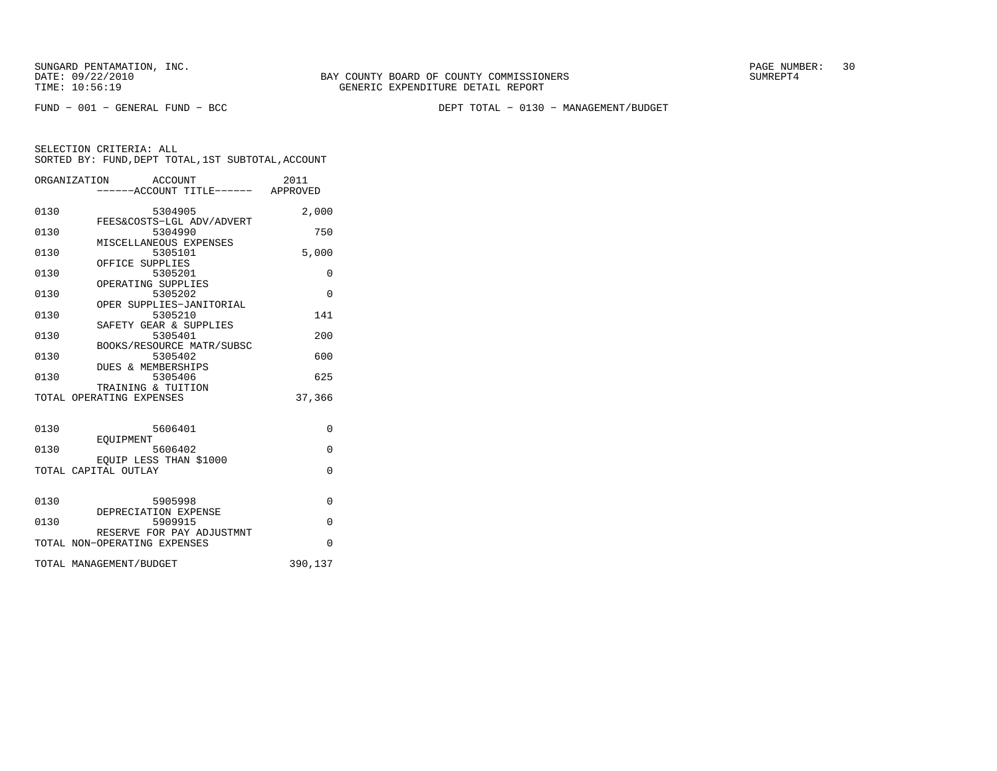FUND − 001 − GENERAL FUND − BCC DEPT TOTAL − 0130 − MANAGEMENT/BUDGET

|      | ORGANIZATION ACCOUNT<br>-----ACCOUNT TITLE------ APPROVED | 2011     |
|------|-----------------------------------------------------------|----------|
| 0130 | 5304905                                                   | 2,000    |
| 0130 | FEES&COSTS-LGL ADV/ADVERT<br>5304990                      | 750      |
| 0130 | MISCELLANEOUS EXPENSES<br>5305101                         | 5,000    |
| 0130 | OFFICE SUPPLIES<br>5305201                                | $\Omega$ |
| 0130 | OPERATING SUPPLIES<br>5305202                             | $\Omega$ |
| 0130 | OPER SUPPLIES-JANITORIAL<br>5305210                       | 141      |
| 0130 | SAFETY GEAR & SUPPLIES<br>5305401                         | 200      |
| 0130 | BOOKS/RESOURCE MATR/SUBSC<br>5305402                      | 600      |
| 0130 | DUES & MEMBERSHIPS<br>5305406<br>TRAINING & TUITION       | 625      |
|      | TOTAL OPERATING EXPENSES                                  | 37,366   |
| 0130 | 5606401                                                   | $\Omega$ |
| 0130 | EOUIPMENT<br>5606402                                      | $\Omega$ |
|      | EOUIP LESS THAN \$1000<br>TOTAL CAPITAL OUTLAY            | $\Omega$ |
|      |                                                           |          |
| 0130 | 5905998<br>DEPRECIATION EXPENSE                           | $\Omega$ |
| 0130 | 5909915<br>RESERVE FOR PAY ADJUSTMNT                      | $\Omega$ |
|      | TOTAL NON-OPERATING EXPENSES                              | $\Omega$ |
|      | TOTAL MANAGEMENT/BUDGET                                   | 390,137  |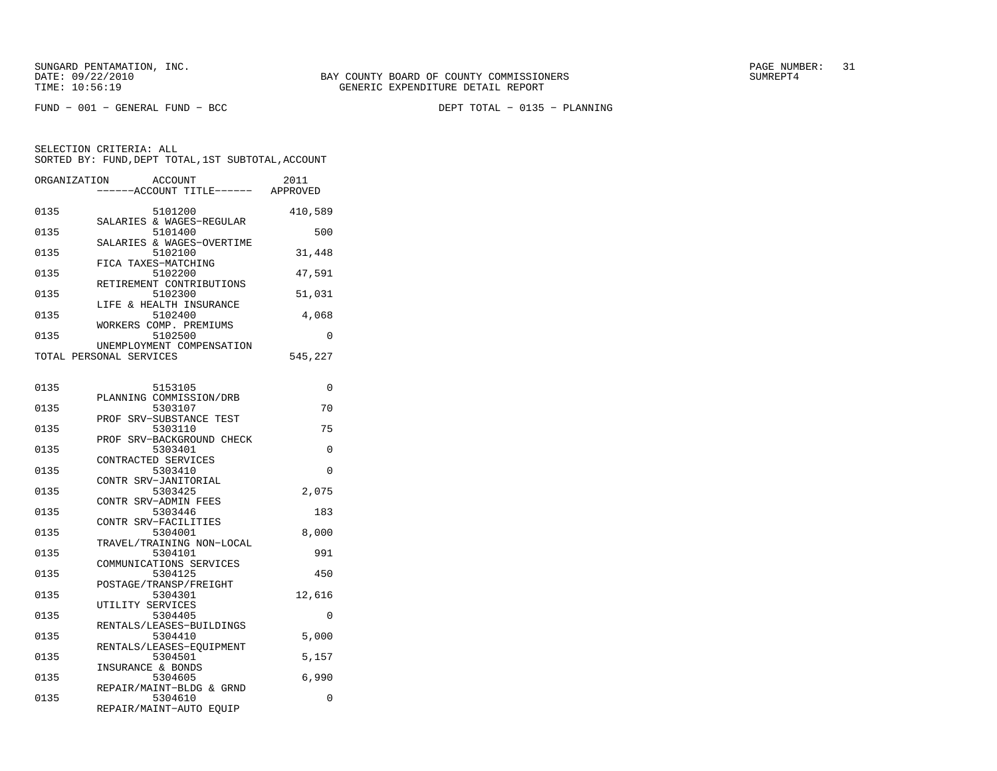DEPT TOTAL - 0135 - PLANNING

| ORGANIZATION | ACCOUNT<br>----ACCOUNT TITLE------ APPROVED          | 2011    |
|--------------|------------------------------------------------------|---------|
| 0135         | 5101200<br>SALARIES & WAGES-REGULAR                  | 410,589 |
| 0135         | 5101400                                              | 500     |
| 0135         | SALARIES & WAGES-OVERTIME<br>5102100                 | 31,448  |
| 0135         | FICA TAXES-MATCHING<br>5102200                       | 47,591  |
| 0135         | RETIREMENT CONTRIBUTIONS<br>5102300                  | 51,031  |
| 0135         | LIFE & HEALTH INSURANCE<br>5102400                   | 4,068   |
| 0135         | WORKERS COMP. PREMIUMS<br>5102500                    | 0       |
|              | UNEMPLOYMENT COMPENSATION<br>TOTAL PERSONAL SERVICES | 545,227 |
| 0135         | 5153105                                              | 0       |
| 0135         | PLANNING COMMISSION/DRB<br>5303107                   | 70      |
| 0135         | SRV-SUBSTANCE TEST<br>PROF<br>5303110                | 75      |
| 0135         | PROF SRV-BACKGROUND CHECK<br>5303401                 | 0       |
| 0135         | CONTRACTED SERVICES<br>5303410                       | 0       |
| 0135         | CONTR SRV-JANITORIAL<br>5303425                      | 2,075   |
| 0135         | CONTR SRV-ADMIN FEES<br>5303446                      | 183     |
| 0135         | CONTR SRV-FACILITIES<br>5304001                      | 8,000   |
| 0135         | TRAVEL/TRAINING NON-LOCAL<br>5304101                 | 991     |
| 0135         | COMMUNICATIONS SERVICES<br>5304125                   | 450     |
| 0135         | POSTAGE/TRANSP/FREIGHT<br>5304301                    | 12,616  |
| 0135         | UTILITY SERVICES<br>5304405                          | 0       |
| 0135         | RENTALS/LEASES-BUILDINGS<br>5304410                  | 5,000   |
| 0135         | RENTALS/LEASES-EQUIPMENT<br>5304501                  | 5,157   |
| 0135         | INSURANCE & BONDS<br>5304605                         | 6,990   |
| 0135         | REPAIR/MAINT-BLDG & GRND<br>5304610                  | 0       |
|              | REPAIR/MAINT-AUTO EQUIP                              |         |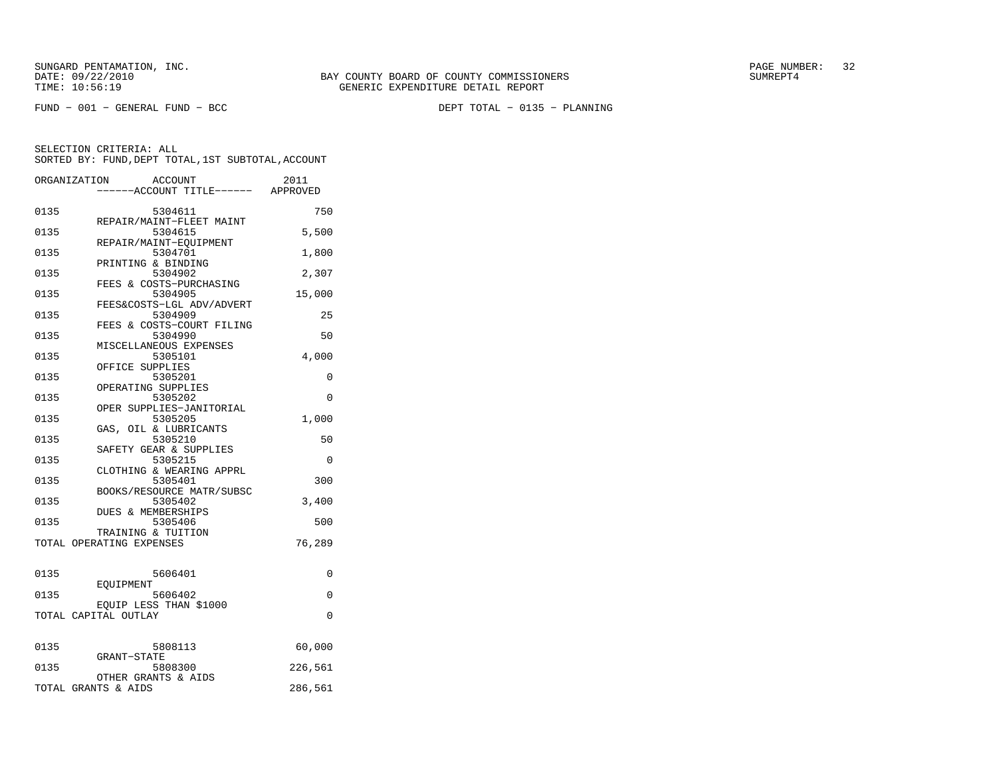DEPT TOTAL - 0135 - PLANNING

|      | ORGANIZATION<br>ACCOUNT<br>-----ACCOUNT TITLE------ APPROVED    | 2011     |
|------|-----------------------------------------------------------------|----------|
| 0135 | 5304611                                                         | 750      |
| 0135 | REPAIR/MAINT-FLEET MAINT<br>5304615                             | 5,500    |
| 0135 | REPAIR/MAINT-EOUIPMENT<br>5304701                               | 1,800    |
| 0135 | PRINTING & BINDING<br>5304902                                   | 2,307    |
| 0135 | FEES & COSTS-PURCHASING<br>5304905<br>FEES&COSTS-LGL ADV/ADVERT | 15,000   |
| 0135 | 5304909                                                         | 25       |
| 0135 | FEES & COSTS-COURT FILING<br>5304990<br>MISCELLANEOUS EXPENSES  | 50       |
| 0135 | 5305101<br>OFFICE SUPPLIES                                      | 4,000    |
| 0135 | 5305201<br>OPERATING SUPPLIES                                   | 0        |
| 0135 | 5305202<br>OPER SUPPLIES-JANITORIAL                             | 0        |
| 0135 | 5305205<br>GAS, OIL & LUBRICANTS                                | 1,000    |
| 0135 | 5305210<br>SAFETY GEAR & SUPPLIES                               | 50       |
| 0135 | 5305215<br>CLOTHING & WEARING APPRL                             | $\Omega$ |
| 0135 | 5305401<br>BOOKS/RESOURCE MATR/SUBSC                            | 300      |
| 0135 | 5305402<br>DUES & MEMBERSHIPS                                   | 3,400    |
| 0135 | 5305406<br>TRAINING & TUITION                                   | 500      |
|      | TOTAL OPERATING EXPENSES                                        | 76,289   |
| 0135 | 5606401                                                         | 0        |
| 0135 | EOUIPMENT<br>5606402                                            | $\Omega$ |
|      | EQUIP LESS THAN \$1000<br>TOTAL CAPITAL OUTLAY                  | $\Omega$ |
|      |                                                                 |          |
| 0135 | 5808113<br>GRANT-STATE                                          | 60,000   |
| 0135 | 5808300<br>OTHER GRANTS & AIDS                                  | 226,561  |
|      | TOTAL GRANTS & AIDS                                             | 286,561  |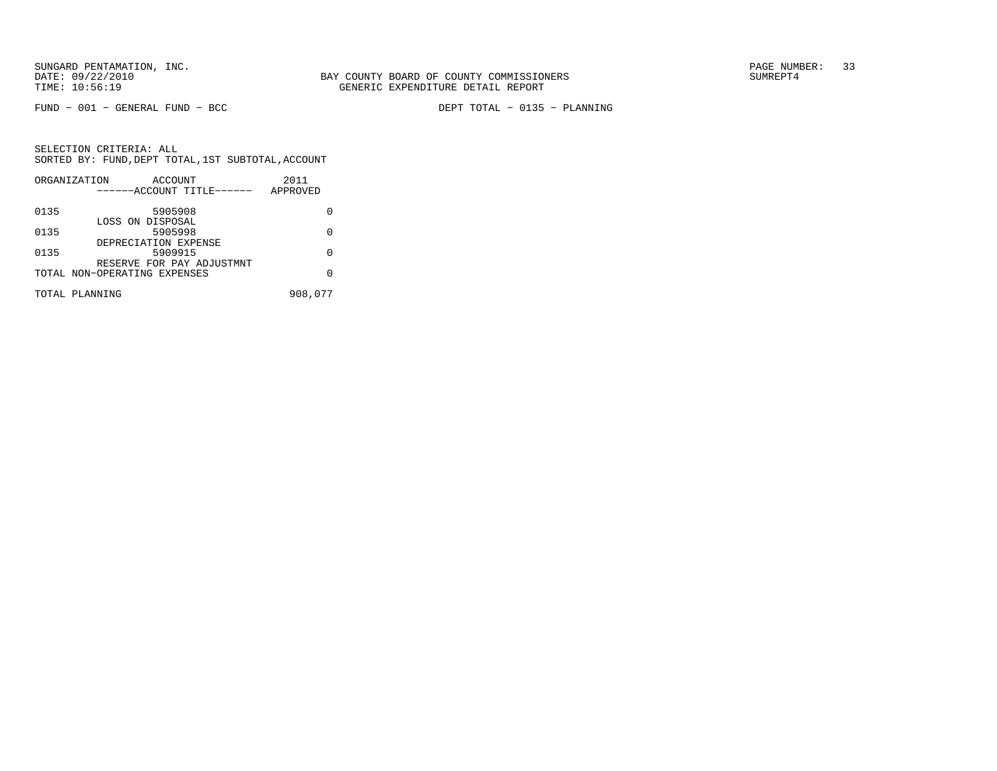$FUND - 001 - GENERAL FUND - BCC$ 

DEPT TOTAL - 0135 - PLANNING

|      | ORGANIZATION<br>ACCOUNT      | 2011     |
|------|------------------------------|----------|
|      | ------ACCOUNT TITLE------    | APPROVED |
| 0135 | 5905908                      |          |
|      | LOSS ON DISPOSAL             |          |
| 0135 | 5905998                      | U        |
|      | DEPRECIATION EXPENSE         |          |
| 0135 | 5909915                      | U        |
|      | RESERVE FOR PAY ADJUSTMNT    |          |
|      | TOTAL NON-OPERATING EXPENSES | O        |
|      | TOTAL PLANNING               | 908,077  |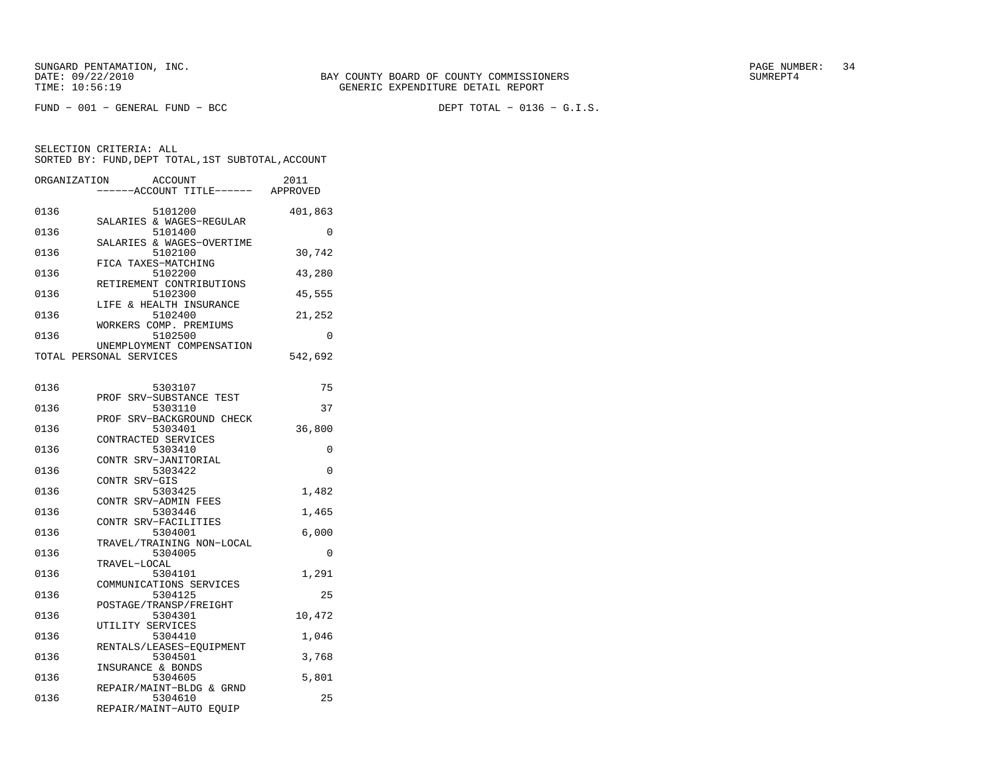DEPT TOTAL -  $0136 - G.I.S.$ 

| ORGANIZATION | <b>ACCOUNT</b><br>----ACCOUNT TITLE------ APPROVED             | 2011    |
|--------------|----------------------------------------------------------------|---------|
| 0136         | 5101200                                                        | 401,863 |
| 0136         | SALARIES & WAGES-REGULAR<br>5101400                            | 0       |
| 0136         | SALARIES & WAGES-OVERTIME<br>5102100                           | 30,742  |
| 0136         | FICA TAXES-MATCHING<br>5102200                                 | 43,280  |
| 0136         | RETIREMENT CONTRIBUTIONS<br>5102300<br>LIFE & HEALTH INSURANCE | 45,555  |
| 0136         | 5102400<br>WORKERS COMP. PREMIUMS                              | 21,252  |
| 0136         | 5102500<br>UNEMPLOYMENT COMPENSATION                           | 0       |
|              | TOTAL PERSONAL SERVICES                                        | 542,692 |
| 0136         | 5303107                                                        | 75      |
| 0136         | SRV-SUBSTANCE TEST<br>PROF<br>5303110                          | 37      |
| 0136         | SRV-BACKGROUND CHECK<br>PROF<br>5303401                        | 36,800  |
| 0136         | CONTRACTED SERVICES<br>5303410                                 | 0       |
| 0136         | CONTR SRV-JANITORIAL<br>5303422                                | 0       |
| 0136         | CONTR SRV-GIS<br>5303425                                       | 1,482   |
| 0136         | CONTR SRV-ADMIN FEES<br>5303446                                | 1,465   |
| 0136         | CONTR SRV-FACILITIES<br>5304001                                | 6,000   |
| 0136         | TRAVEL/TRAINING NON-LOCAL<br>5304005                           | 0       |
| 0136         | TRAVEL-LOCAL<br>5304101<br>COMMUNICATIONS SERVICES             | 1,291   |
| 0136         | 5304125<br>POSTAGE/TRANSP/FREIGHT                              | 25      |
| 0136         | 5304301<br>UTILITY SERVICES                                    | 10,472  |
| 0136         | 5304410<br>RENTALS/LEASES-EQUIPMENT                            | 1,046   |
| 0136         | 5304501<br>INSURANCE & BONDS                                   | 3,768   |
| 0136         | 5304605<br>REPAIR/MAINT-BLDG & GRND                            | 5,801   |
| 0136         | 5304610<br>REPAIR/MAINT-AUTO EQUIP                             | 25      |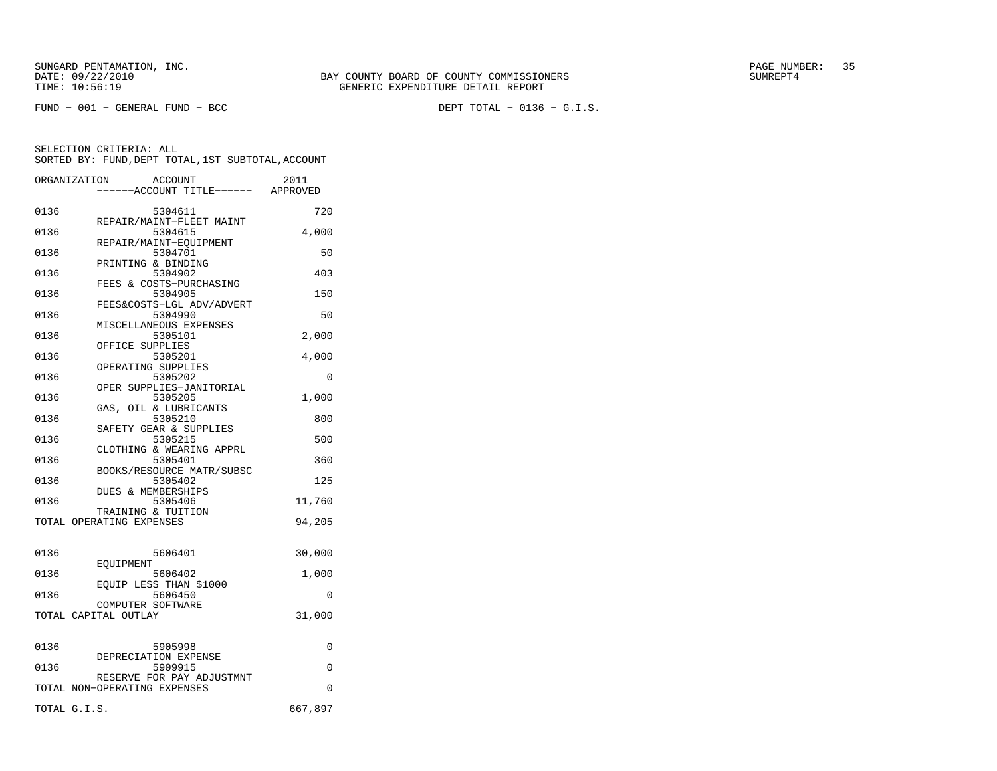DEPT TOTAL -  $0136 - G.I.S.$ 

|      | ORGANIZATION<br><b>ACCOUNT</b><br>----ACCOUNT TITLE------ APPROVED | 2011    |
|------|--------------------------------------------------------------------|---------|
| 0136 | 5304611                                                            | 720     |
| 0136 | REPAIR/MAINT-FLEET MAINT<br>5304615                                | 4,000   |
| 0136 | REPAIR/MAINT-EOUIPMENT<br>5304701                                  | 50      |
| 0136 | PRINTING & BINDING<br>5304902                                      | 403     |
| 0136 | FEES & COSTS-PURCHASING<br>5304905                                 | 150     |
| 0136 | FEES&COSTS-LGL ADV/ADVERT<br>5304990                               | 50      |
| 0136 | MISCELLANEOUS EXPENSES<br>5305101                                  | 2,000   |
|      | OFFICE SUPPLIES                                                    |         |
| 0136 | 5305201<br>OPERATING SUPPLIES                                      | 4,000   |
| 0136 | 5305202                                                            | 0       |
|      | OPER SUPPLIES-JANITORIAL                                           |         |
| 0136 | 5305205<br>GAS, OIL & LUBRICANTS                                   | 1,000   |
| 0136 | 5305210                                                            | 800     |
| 0136 | SAFETY GEAR & SUPPLIES<br>5305215                                  | 500     |
|      | CLOTHING & WEARING APPRL                                           |         |
| 0136 | 5305401<br>BOOKS/RESOURCE MATR/SUBSC                               | 360     |
| 0136 | 5305402                                                            | 125     |
| 0136 | DUES & MEMBERSHIPS<br>5305406                                      |         |
|      | TRAINING & TUITION                                                 | 11,760  |
|      | TOTAL OPERATING EXPENSES                                           | 94,205  |
| 0136 | 5606401                                                            | 30,000  |
|      | EOUIPMENT                                                          |         |
| 0136 | 5606402<br>EQUIP LESS THAN \$1000                                  | 1,000   |
| 0136 | 5606450                                                            | 0       |
|      | COMPUTER SOFTWARE<br>TOTAL CAPITAL OUTLAY                          | 31,000  |
| 0136 | 5905998                                                            | 0       |
| 0136 | DEPRECIATION EXPENSE<br>5909915                                    | 0       |
|      | RESERVE FOR PAY ADJUSTMNT<br>TOTAL NON-OPERATING EXPENSES          | 0       |
|      |                                                                    |         |
|      | TOTAL G.I.S.                                                       | 667,897 |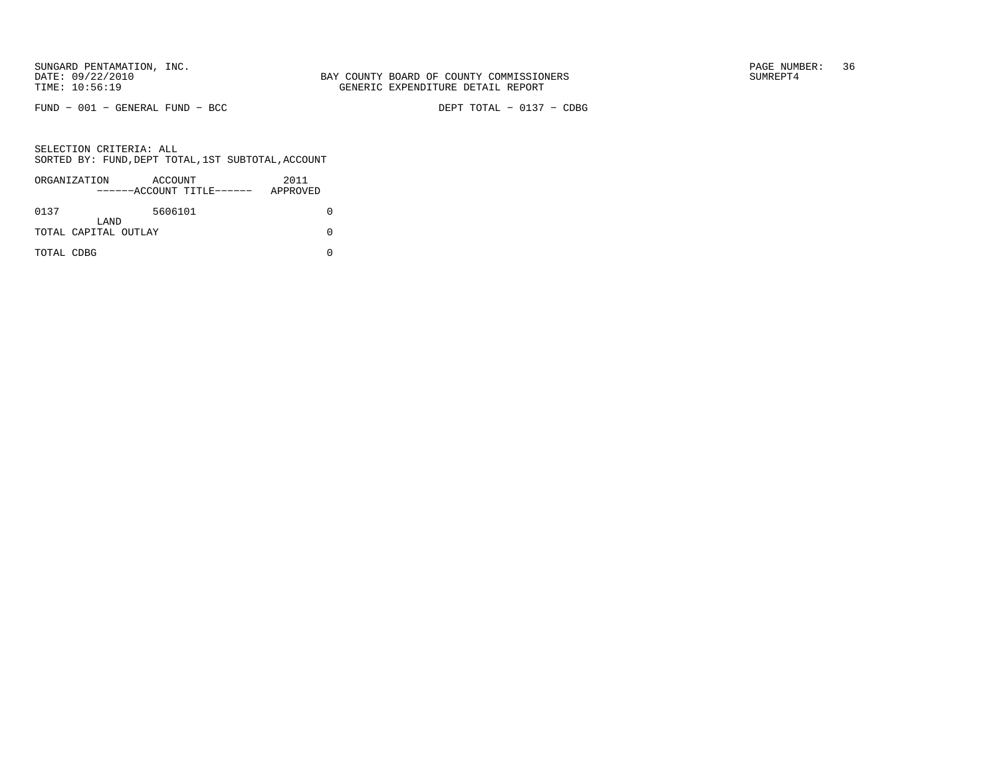$FUND - 001 - GENERAL FUND - BCC$ 

DEPT TOTAL - 0137 - CDBG

|            | ORGANIZATION                 | ACCOUNT | ------ACCOUNT TITLE------ | 2011<br>APPROVED |  |
|------------|------------------------------|---------|---------------------------|------------------|--|
| 0137       |                              | 5606101 |                           |                  |  |
|            | LAND<br>TOTAL CAPITAL OUTLAY |         |                           |                  |  |
| TOTAL CDBG |                              |         |                           |                  |  |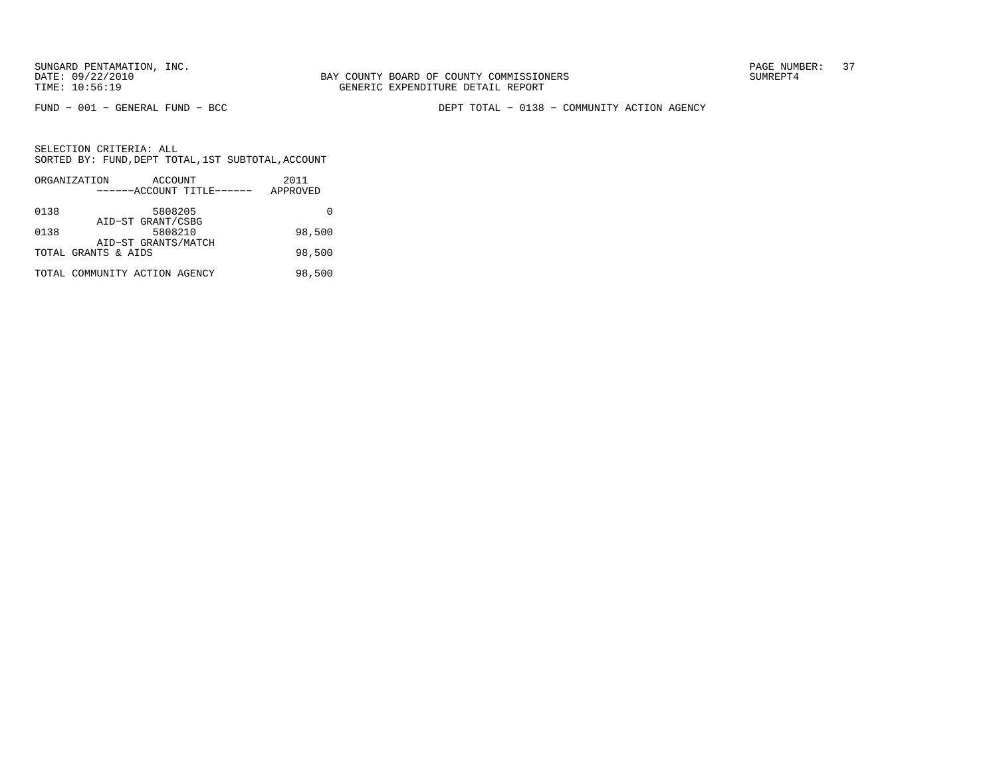BAY COUNTY BOARD OF COUNTY COMMISSIONERS TIME: 10:56:19 GENERIC EXPENDITURE DETAIL REPORT

FUND − 001 − GENERAL FUND − BCC DEPT TOTAL − 0138 − COMMUNITY ACTION AGENCY

|      | ORGANIZATION                  | ACCOUNT             |                           | 2011     |
|------|-------------------------------|---------------------|---------------------------|----------|
|      |                               |                     | ------ACCOUNT TITLE------ | APPROVED |
| 0138 |                               | 5808205             |                           |          |
|      |                               | AID-ST GRANT/CSBG   |                           |          |
| 0138 |                               | 5808210             |                           | 98,500   |
|      |                               | AID-ST GRANTS/MATCH |                           |          |
|      | TOTAL GRANTS & AIDS           |                     |                           | 98,500   |
|      | TOTAL COMMUNITY ACTION AGENCY |                     |                           | 98,500   |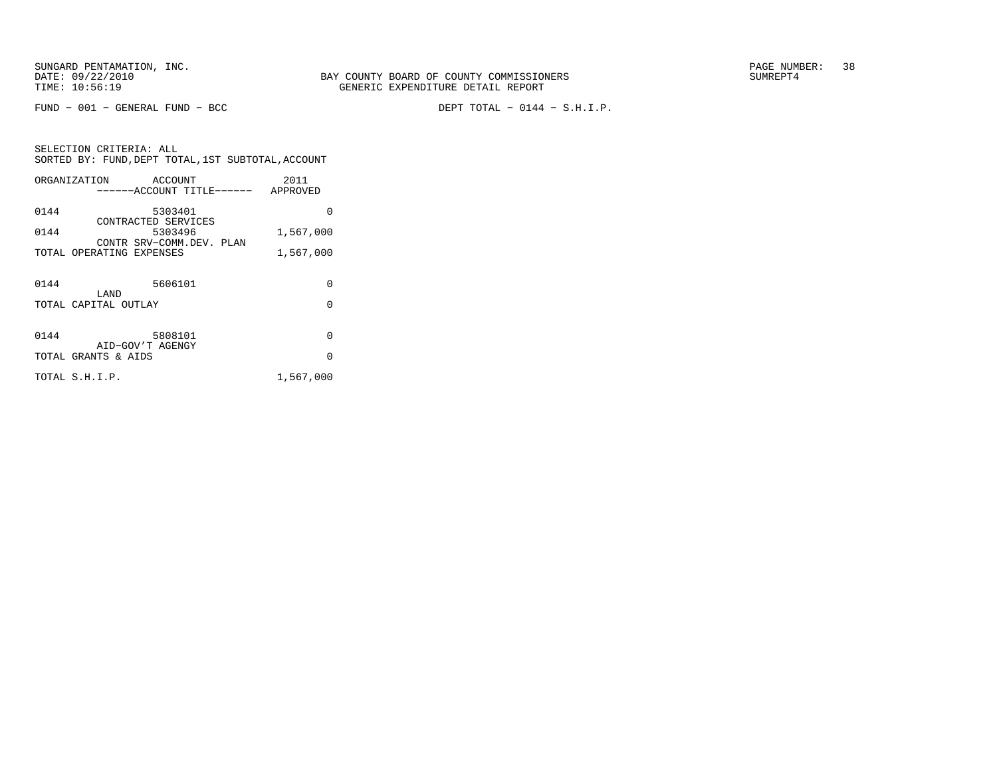$FUND - 001 - GENERAL FUND - BCC$ 

DEPT TOTAL -  $0144 - S.H.I.P.$ 

SELECTION CRITERIA: ALLSORTED BY: FUND, DEPT TOTAL, 1ST SUBTOTAL, ACCOUNT ORGANIZATION ACCOUNT 2011−−−−−−ACCOUNT TITLE−−−−−− APPROVED

| 0144 | 5303401                                              | O         |
|------|------------------------------------------------------|-----------|
| 0144 | CONTRACTED SERVICES<br>5303496                       | 1,567,000 |
|      | CONTR SRV-COMM DEV. PLAN<br>TOTAL OPERATING EXPENSES |           |
|      |                                                      | 1,567,000 |
| 0144 | 5606101                                              | 0         |
|      | LAND<br>TOTAL CAPITAL OUTLAY                         | 0         |
|      |                                                      |           |
| 0144 | 5808101<br>AID-GOV'T AGENGY                          | 0         |
|      | TOTAL GRANTS & AIDS                                  | $\Omega$  |
|      | TOTAL S.H.I.P.                                       | 1,567,000 |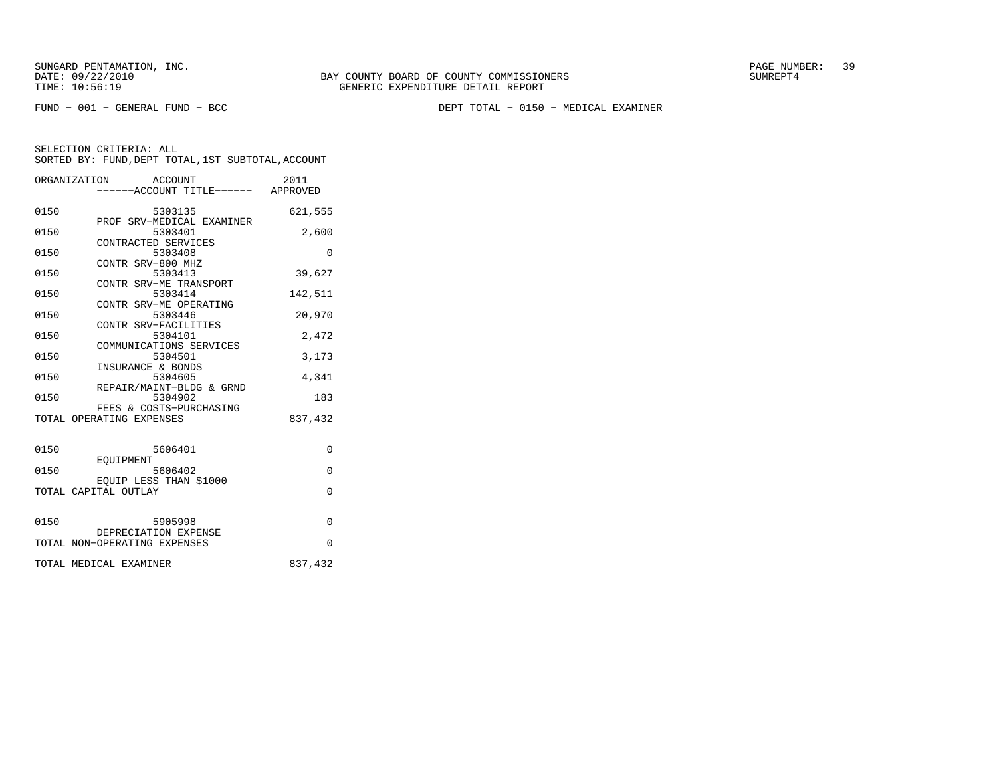FUND − 001 − GENERAL FUND − BCC DEPT TOTAL − 0150 − MEDICAL EXAMINER

|      | ORGANIZATION ACCOUNT<br>-----ACCOUNT TITLE------ APPROVED | 2011     |
|------|-----------------------------------------------------------|----------|
| 0150 | 5303135<br>PROF SRV-MEDICAL EXAMINER                      | 621,555  |
| 0150 | 5303401<br>CONTRACTED SERVICES                            | 2,600    |
| 0150 | 5303408                                                   | $\Omega$ |
| 0150 | CONTR SRV-800 MHZ<br>5303413                              | 39,627   |
| 0150 | CONTR SRV-ME TRANSPORT<br>5303414                         | 142,511  |
| 0150 | CONTR SRV-ME OPERATING<br>5303446                         | 20,970   |
| 0150 | CONTR SRV-FACILITIES<br>5304101                           | 2,472    |
| 0150 | COMMUNICATIONS SERVICES<br>5304501                        | 3,173    |
| 0150 | INSURANCE & BONDS<br>5304605                              | 4,341    |
| 0150 | REPAIR/MAINT-BLDG & GRND<br>5304902                       | 183      |
|      | FEES & COSTS-PURCHASING<br>TOTAL OPERATING EXPENSES       | 837,432  |
| 0150 | 5606401                                                   | $\Omega$ |
| 0150 | EOUIPMENT<br>5606402                                      | 0        |
|      | EOUIP LESS THAN \$1000<br>TOTAL CAPITAL OUTLAY            | $\Omega$ |
|      |                                                           |          |
| 0150 | 5905998<br>DEPRECIATION EXPENSE                           | $\Omega$ |
|      | TOTAL NON-OPERATING EXPENSES                              | $\Omega$ |
|      | TOTAL MEDICAL EXAMINER                                    | 837,432  |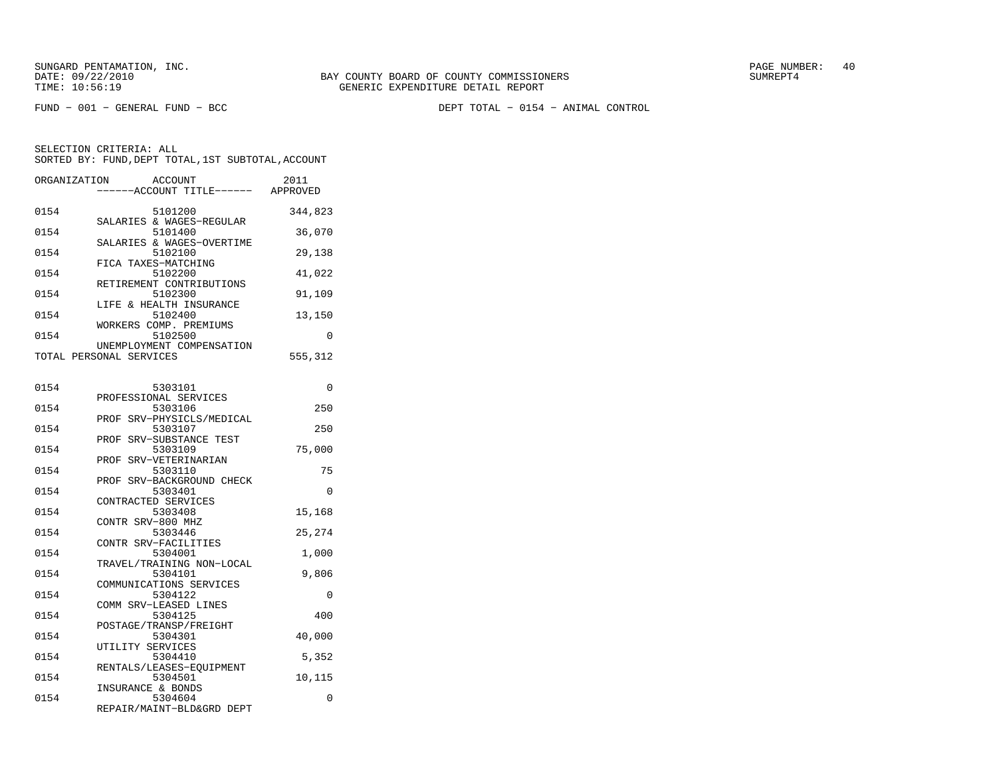FUND − 001 − GENERAL FUND − BCC DEPT TOTAL − 0154 − ANIMAL CONTROL

| ORGANIZATION | ACCOUNT<br>---ACCOUNT TITLE------ APPROVED                    | 2011     |
|--------------|---------------------------------------------------------------|----------|
| 0154         | 5101200<br>SALARIES & WAGES-REGULAR                           | 344,823  |
| 0154         | 5101400<br>SALARIES & WAGES-OVERTIME                          | 36,070   |
| 0154         | 5102100<br>FICA TAXES-MATCHING                                | 29,138   |
| 0154         | 5102200<br>RETIREMENT CONTRIBUTIONS                           | 41,022   |
| 0154         | 5102300<br>LIFE & HEALTH INSURANCE                            | 91,109   |
| 0154         | 5102400<br>WORKERS COMP. PREMIUMS                             | 13,150   |
| 0154         | 5102500<br>UNEMPLOYMENT COMPENSATION                          | 0        |
|              | TOTAL PERSONAL SERVICES                                       | 555,312  |
| 0154         | 5303101                                                       | 0        |
| 0154         | PROFESSIONAL SERVICES<br>5303106                              | 250      |
| 0154         | SRV-PHYSICLS/MEDICAL<br>PROF<br>5303107                       | 250      |
| 0154         | PROF SRV-SUBSTANCE TEST<br>5303109                            | 75,000   |
| 0154         | PROF SRV-VETERINARIAN<br>5303110<br>PROF SRV-BACKGROUND CHECK | 75       |
| 0154         | 5303401<br>CONTRACTED SERVICES                                | $\Omega$ |
| 0154         | 5303408<br>CONTR SRV-800 MHZ                                  | 15,168   |
| 0154         | 5303446<br>CONTR SRV-FACILITIES                               | 25,274   |
| 0154         | 5304001<br>TRAVEL/TRAINING NON-LOCAL                          | 1,000    |
| 0154         | 5304101<br>COMMUNICATIONS SERVICES                            | 9,806    |
| 0154         | 5304122<br>COMM SRV-LEASED LINES                              | 0        |
| 0154         | 5304125<br>POSTAGE/TRANSP/FREIGHT                             | 400      |
| 0154         | 5304301<br>UTILITY SERVICES                                   | 40,000   |
| 0154         | 5304410<br>RENTALS/LEASES-EOUIPMENT                           | 5,352    |
| 0154         | 5304501<br>INSURANCE & BONDS                                  | 10,115   |
| 0154         | 5304604<br>REPAIR/MAINT-BLD&GRD DEPT                          | 0        |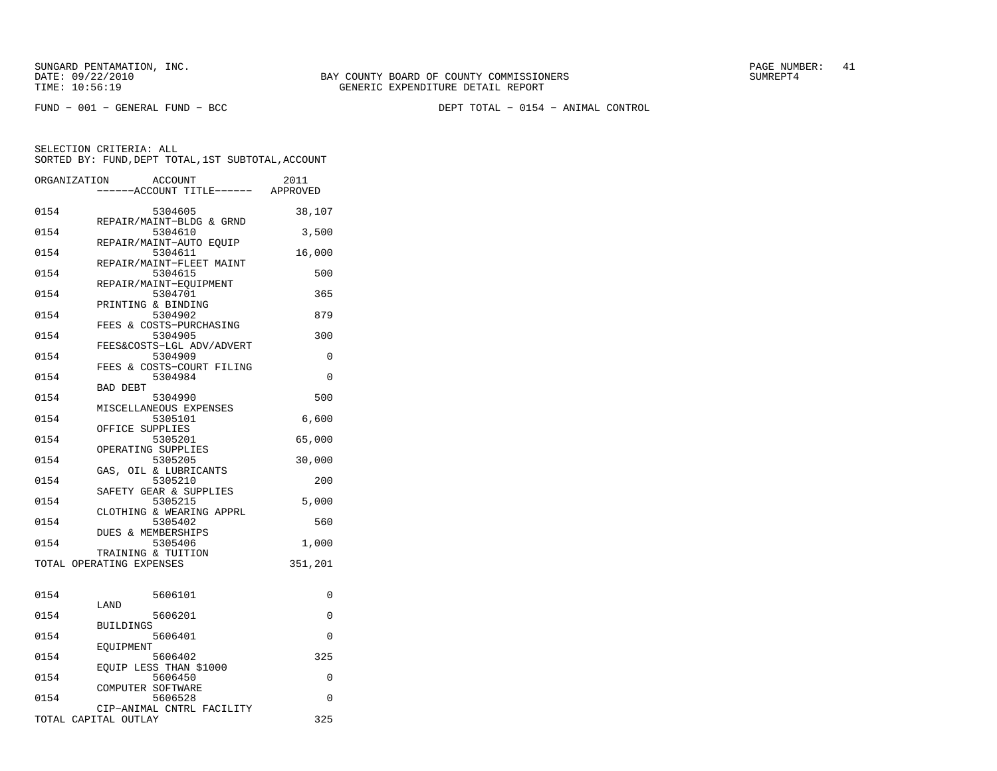FUND − 001 − GENERAL FUND − BCC DEPT TOTAL − 0154 − ANIMAL CONTROL

| ORGANIZATION |                          | <b>ACCOUNT</b><br>---ACCOUNT TITLE------ APPROVED | 2011    |
|--------------|--------------------------|---------------------------------------------------|---------|
|              |                          |                                                   |         |
| 0154         |                          | 5304605<br>REPAIR/MAINT-BLDG & GRND               | 38,107  |
| 0154         |                          | 5304610                                           | 3,500   |
| 0154         |                          | REPAIR/MAINT-AUTO EOUIP<br>5304611                | 16,000  |
| 0154         |                          | REPAIR/MAINT-FLEET MAINT<br>5304615               | 500     |
| 0154         |                          | REPAIR/MAINT-EQUIPMENT<br>5304701                 | 365     |
| 0154         |                          | PRINTING & BINDING<br>5304902                     | 879     |
| 0154         |                          | FEES & COSTS-PURCHASING<br>5304905                | 300     |
| 0154         |                          | FEES&COSTS-LGL ADV/ADVERT<br>5304909              | 0       |
| 0154         |                          | FEES & COSTS-COURT FILING<br>5304984              | 0       |
| 0154         | <b>BAD DEBT</b>          | 5304990                                           | 500     |
| 0154         |                          | MISCELLANEOUS EXPENSES<br>5305101                 | 6,600   |
| 0154         | OFFICE SUPPLIES          | 5305201                                           | 65,000  |
| 0154         |                          | OPERATING SUPPLIES<br>5305205                     | 30,000  |
| 0154         |                          | GAS, OIL & LUBRICANTS<br>5305210                  | 200     |
| 0154         |                          | SAFETY GEAR & SUPPLIES<br>5305215                 | 5,000   |
| 0154         |                          | CLOTHING & WEARING APPRL<br>5305402               | 560     |
| 0154         |                          | DUES & MEMBERSHIPS<br>5305406                     | 1,000   |
|              |                          | TRAINING & TUITION                                |         |
|              | TOTAL OPERATING EXPENSES |                                                   | 351,201 |
| 0154         |                          | 5606101                                           | 0       |
| 0154         | LAND                     | 5606201                                           | 0       |
| 0154         | <b>BUILDINGS</b>         | 5606401                                           | 0       |
| 0154         | EOUIPMENT                | 5606402                                           | 325     |
| 0154         |                          | EOUIP LESS THAN \$1000<br>5606450                 | 0       |
| 0154         | COMPUTER SOFTWARE        | 5606528                                           | 0       |
|              | TOTAL CAPITAL OUTLAY     | CIP-ANIMAL CNTRL FACILITY                         | 325     |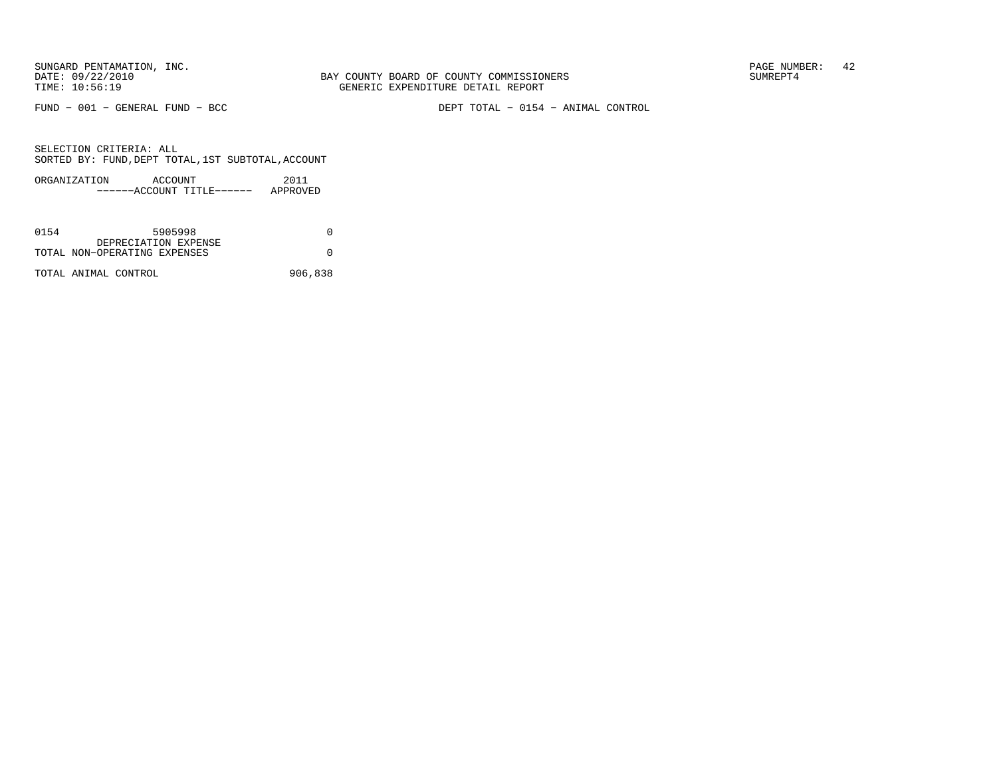FUND − 001 − GENERAL FUND − BCC DEPT TOTAL − 0154 − ANIMAL CONTROL

| ORGANIZATION | ACCOUNT |                       | 2011     |
|--------------|---------|-----------------------|----------|
|              |         | $---ACCOINT TITLE---$ | APPROVED |

| 0154 | 5905998                                              |         |
|------|------------------------------------------------------|---------|
|      | DEPRECIATION EXPENSE<br>TOTAL NON-OPERATING EXPENSES |         |
|      | TOTAL ANIMAL CONTROL                                 | 906,838 |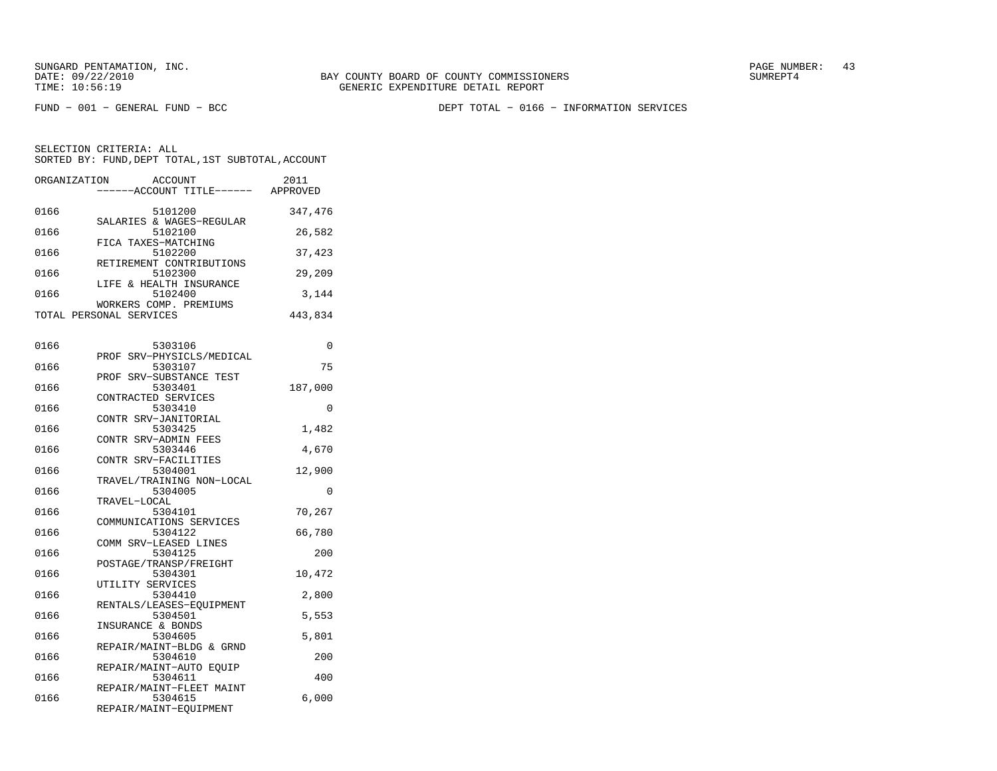FUND − 001 − GENERAL FUND − BCC DEPT TOTAL − 0166 − INFORMATION SERVICES

| ORGANIZATION | ACCOUNT<br>---ACCOUNT TITLE------ APPROVED | 2011     |
|--------------|--------------------------------------------|----------|
|              |                                            |          |
| 0166         | 5101200<br>SALARIES & WAGES-REGULAR        | 347,476  |
| 0166         | 5102100                                    | 26,582   |
| 0166         | FICA TAXES-MATCHING<br>5102200             | 37,423   |
| 0166         | RETIREMENT CONTRIBUTIONS<br>5102300        | 29,209   |
| 0166         | LIFE & HEALTH INSURANCE<br>5102400         | 3,144    |
|              | WORKERS COMP. PREMIUMS                     |          |
|              | TOTAL PERSONAL SERVICES                    | 443,834  |
| 0166         | 5303106                                    | 0        |
|              | SRV-PHYSICLS/MEDICAL<br>PROF               |          |
| 0166         | 5303107<br>SRV-SUBSTANCE TEST<br>PROF      | 75       |
| 0166         | 5303401                                    | 187,000  |
|              | CONTRACTED SERVICES                        |          |
| 0166         | 5303410                                    | $\Omega$ |
|              | CONTR SRV-JANITORIAL                       |          |
| 0166         | 5303425<br>CONTR SRV-ADMIN FEES            | 1,482    |
| 0166         | 5303446                                    | 4,670    |
|              | CONTR SRV-FACILITIES                       |          |
| 0166         | 5304001                                    | 12,900   |
|              | TRAVEL/TRAINING NON-LOCAL                  |          |
| 0166         | 5304005                                    | 0        |
| 0166         | TRAVEL-LOCAL<br>5304101                    | 70,267   |
|              | COMMUNICATIONS SERVICES                    |          |
| 0166         | 5304122                                    | 66,780   |
|              | COMM SRV-LEASED LINES                      |          |
| 0166         | 5304125                                    | 200      |
|              | POSTAGE/TRANSP/FREIGHT                     |          |
| 0166         | 5304301                                    | 10,472   |
| 0166         | UTILITY SERVICES<br>5304410                | 2,800    |
|              | RENTALS/LEASES-EQUIPMENT                   |          |
| 0166         | 5304501                                    | 5,553    |
|              | INSURANCE & BONDS                          |          |
| 0166         | 5304605                                    | 5,801    |
|              | REPAIR/MAINT-BLDG & GRND                   |          |
| 0166         | 5304610                                    | 200      |
| 0166         | REPAIR/MAINT-AUTO EOUIP<br>5304611         | 400      |
|              | REPAIR/MAINT-FLEET MAINT                   |          |
| 0166         | 5304615                                    | 6,000    |
|              | REPAIR/MAINT-EQUIPMENT                     |          |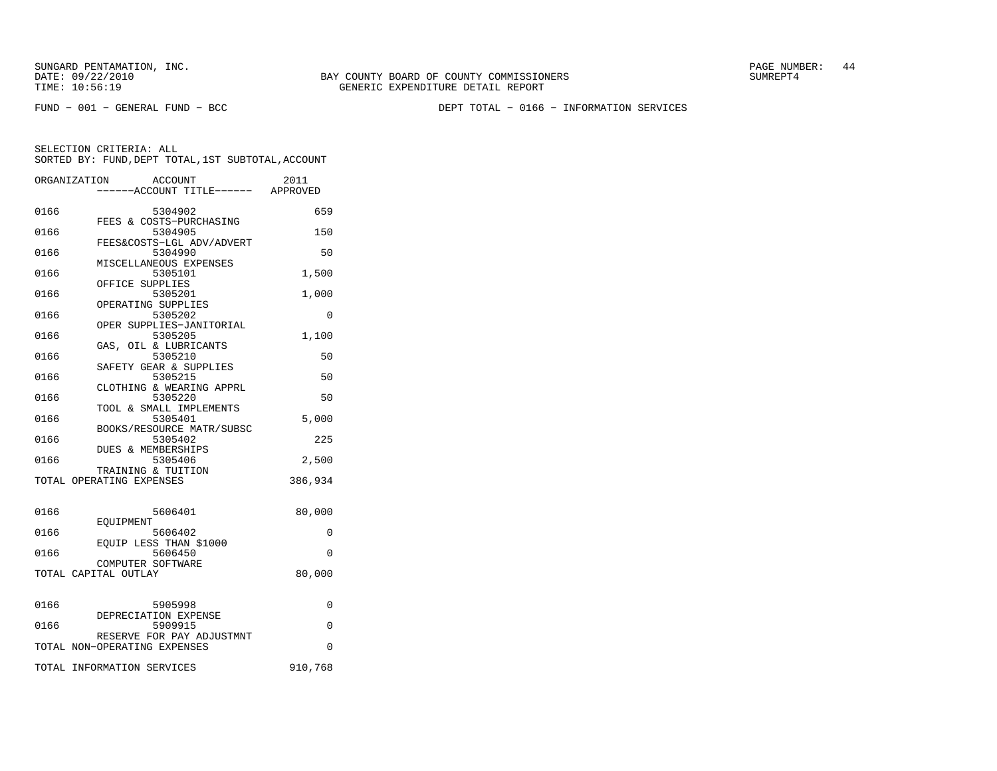FUND − 001 − GENERAL FUND − BCC DEPT TOTAL − 0166 − INFORMATION SERVICES

|      | ORGANIZATION<br><b>ACCOUNT</b><br>----ACCOUNT TITLE------ APPROVED | 2011     |
|------|--------------------------------------------------------------------|----------|
| 0166 | 5304902                                                            | 659      |
| 0166 | FEES & COSTS-PURCHASING<br>5304905                                 | 150      |
| 0166 | FEES&COSTS-LGL ADV/ADVERT<br>5304990                               | 50       |
| 0166 | MISCELLANEOUS EXPENSES<br>5305101                                  | 1,500    |
| 0166 | OFFICE SUPPLIES<br>5305201                                         | 1,000    |
| 0166 | OPERATING SUPPLIES<br>5305202                                      | 0        |
| 0166 | OPER SUPPLIES-JANITORIAL<br>5305205                                | 1,100    |
| 0166 | GAS, OIL & LUBRICANTS<br>5305210                                   | 50       |
| 0166 | SAFETY GEAR & SUPPLIES<br>5305215                                  | 50       |
| 0166 | CLOTHING & WEARING APPRL<br>5305220                                | 50       |
| 0166 | TOOL & SMALL IMPLEMENTS<br>5305401                                 | 5,000    |
| 0166 | BOOKS/RESOURCE MATR/SUBSC<br>5305402                               | 225      |
| 0166 | <b>DUES &amp; MEMBERSHIPS</b><br>5305406                           | 2,500    |
|      | TRAINING & TUITION<br>TOTAL OPERATING EXPENSES                     | 386,934  |
|      |                                                                    |          |
| 0166 | 5606401<br>EOUIPMENT                                               | 80,000   |
| 0166 | 5606402<br>EOUIP LESS THAN \$1000                                  | $\Omega$ |
| 0166 | 5606450<br>COMPUTER SOFTWARE                                       | $\Omega$ |
|      | TOTAL CAPITAL OUTLAY                                               | 80,000   |
| 0166 | 5905998                                                            | 0        |
| 0166 | DEPRECIATION EXPENSE<br>5909915                                    | $\Omega$ |
|      | RESERVE FOR PAY ADJUSTMNT<br>TOTAL NON-OPERATING EXPENSES          | $\Omega$ |
|      | TOTAL INFORMATION SERVICES                                         | 910,768  |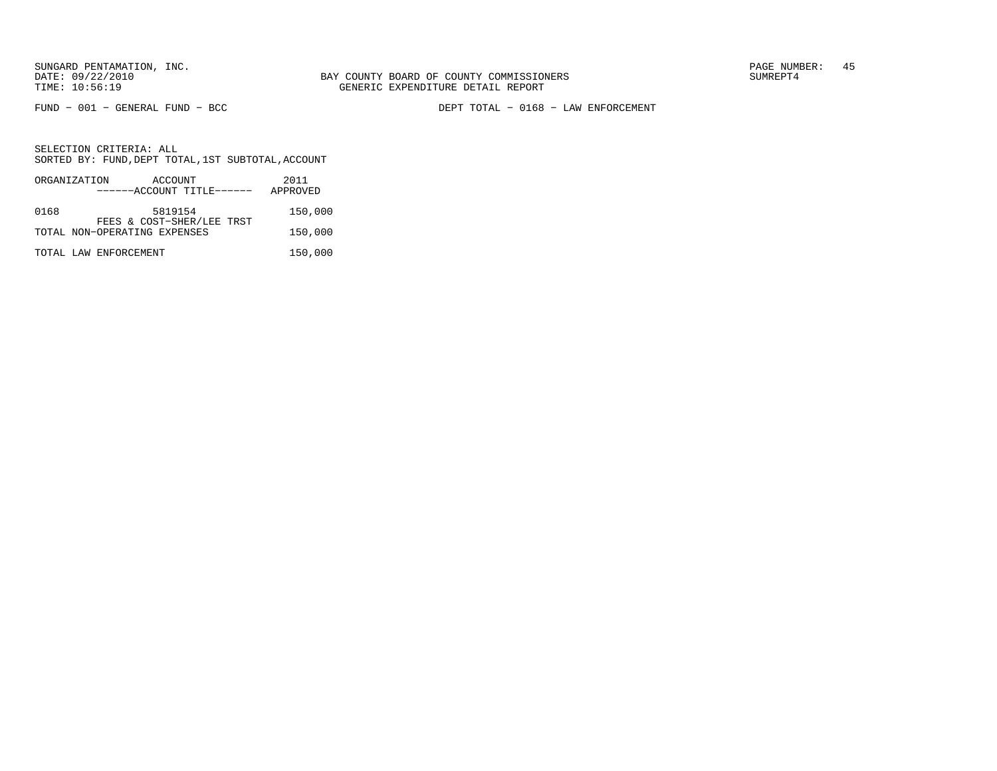FUND − 001 − GENERAL FUND − BCC DEPT TOTAL − 0168 − LAW ENFORCEMENT

|      | ORGANIZATION          | ACCOUNT                      |  | 2011     |
|------|-----------------------|------------------------------|--|----------|
|      |                       | ------ACCOUNT TITLE------    |  | APPROVED |
| 0168 |                       | 5819154                      |  | 150,000  |
|      |                       | FEES & COST-SHER/LEE TRST    |  |          |
|      |                       | TOTAL NON-OPERATING EXPENSES |  | 150,000  |
|      | TOTAL LAW ENFORCEMENT |                              |  | 150,000  |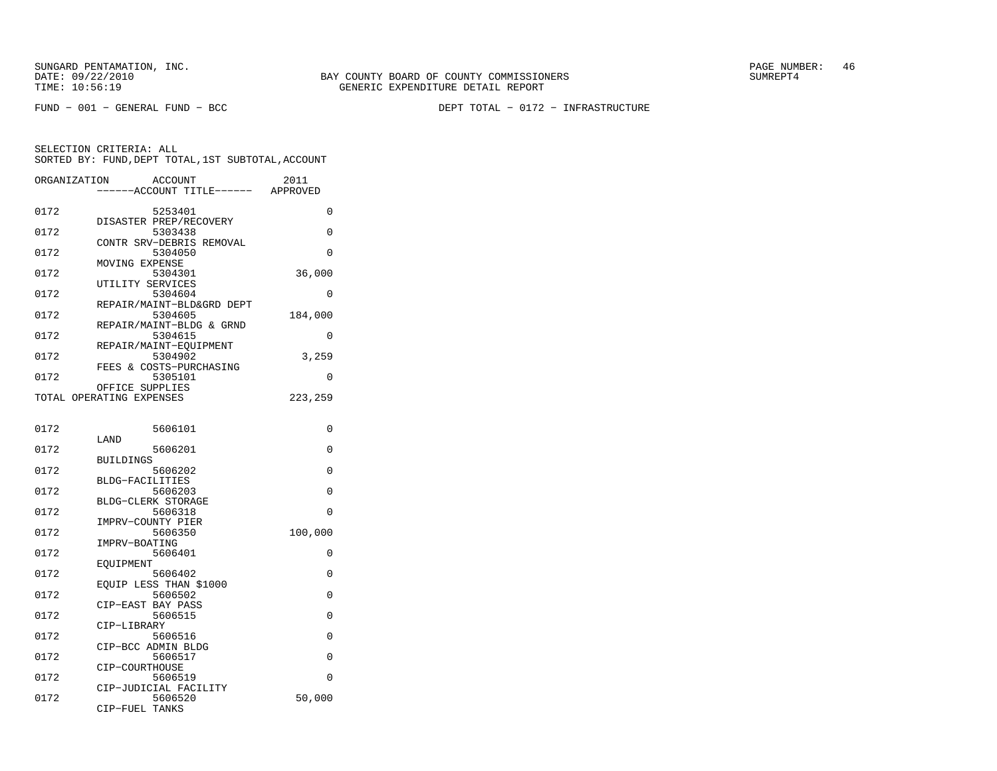FUND − 001 − GENERAL FUND − BCC DEPT TOTAL − 0172 − INFRASTRUCTURE

| ORGANIZATION | ACCOUNT                      | 2011     |
|--------------|------------------------------|----------|
|              | --ACCOUNT TITLE------        | APPROVED |
| 0172         | 5253401                      | 0        |
|              | DISASTER PREP/RECOVERY       |          |
| 0172         | 5303438                      | 0        |
|              | CONTR SRV-DEBRIS REMOVAL     |          |
| 0172         | 5304050                      | 0        |
|              | MOVING EXPENSE               |          |
| 0172         | 5304301                      | 36,000   |
| 0172         | UTILITY SERVICES<br>5304604  | 0        |
|              | REPAIR/MAINT-BLD&GRD DEPT    |          |
| 0172         | 5304605                      | 184,000  |
|              | REPAIR/MAINT-BLDG & GRND     |          |
| 0172         | 5304615                      | 0        |
|              | REPAIR/MAINT-EQUIPMENT       |          |
| 0172         | 5304902                      | 3,259    |
|              | FEES & COSTS-PURCHASING      |          |
| 0172         | 5305101                      | $\Omega$ |
|              | OFFICE SUPPLIES              |          |
|              | TOTAL OPERATING EXPENSES     | 223,259  |
|              |                              |          |
| 0172         | 5606101                      | 0        |
|              | LAND                         |          |
| 0172         | 5606201                      | 0        |
|              | BUILDINGS                    |          |
| 0172         | 5606202                      | 0        |
|              | BLDG-FACILITIES              |          |
| 0172         | 5606203                      | $\Omega$ |
|              | BLDG-CLERK STORAGE           |          |
| 0172         | 5606318<br>IMPRV-COUNTY PIER | 0        |
| 0172         | 5606350                      | 100,000  |
|              | IMPRV-BOATING                |          |
| 0172         | 5606401                      | 0        |
|              | EOUIPMENT                    |          |
| 0172         | 5606402                      | 0        |
|              | EQUIP LESS THAN \$1000       |          |
| 0172         | 5606502                      | 0        |
|              | CIP-EAST BAY PASS            |          |
| 0172         | 5606515                      | 0        |
| 0172         | CIP-LIBRARY<br>5606516       | $\Omega$ |
|              | CIP-BCC ADMIN BLDG           |          |
| 0172         | 5606517                      | 0        |
|              | CIP-COURTHOUSE               |          |
| 0172         | 5606519                      | $\Omega$ |
|              | CIP-JUDICIAL FACILITY        |          |
| 0172         | 5606520                      | 50,000   |
|              | CIP-FUEL TANKS               |          |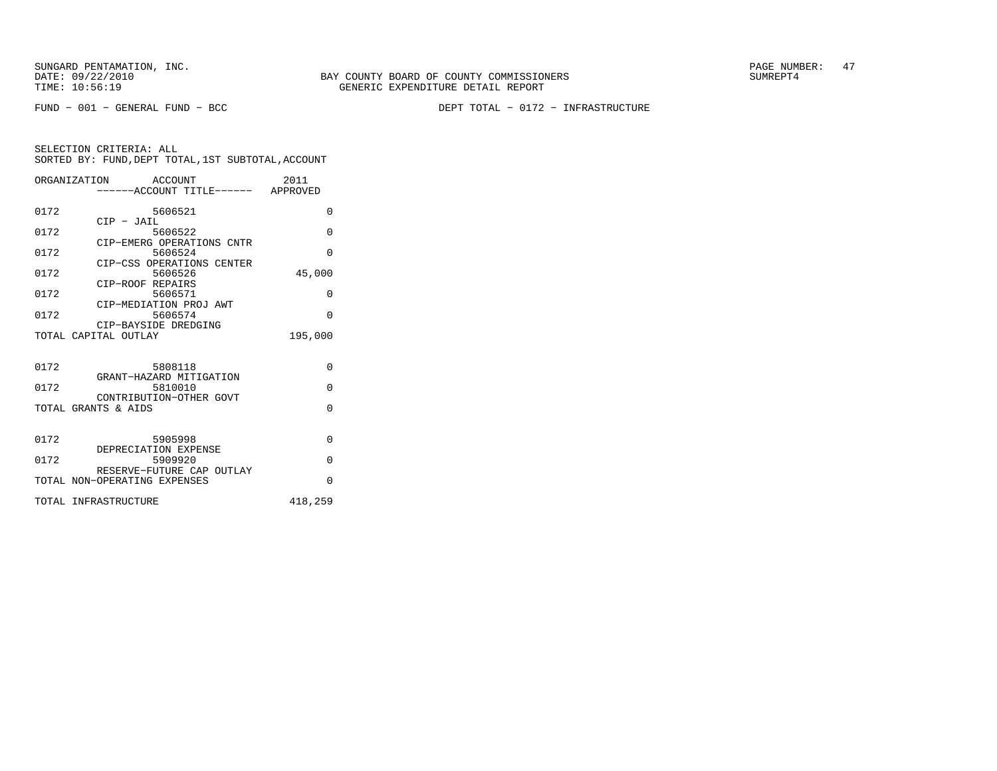SUNGARD PENTAMATION, INC.<br>
BAY COUNTY BOARD OF COUNTY COMMISSIONERS AND SUNREPT4 SUMREPT4

FUND − 001 − GENERAL FUND − BCC DEPT TOTAL − 0172 − INFRASTRUCTURE

|      | ORGANIZATION ACCOUNT<br>-----ACCOUNT TITLE------ APPROVED | 2011     |
|------|-----------------------------------------------------------|----------|
| 0172 | 5606521                                                   | $\Omega$ |
| 0172 | $CIP$ - JAIL<br>5606522                                   | $\Omega$ |
| 0172 | CIP-EMERG OPERATIONS CNTR<br>5606524                      | $\Omega$ |
| 0172 | CIP-CSS OPERATIONS CENTER<br>5606526                      | 45,000   |
| 0172 | CIP-ROOF REPAIRS<br>5606571                               | $\Omega$ |
| 0172 | CIP-MEDIATION PROJ AWT<br>5606574                         | $\Omega$ |
|      | CIP-BAYSIDE DREDGING<br>TOTAL CAPITAL OUTLAY              | 195,000  |
|      |                                                           |          |
| 0172 | 5808118<br>GRANT-HAZARD MITIGATION                        | $\Omega$ |
| 0172 | 5810010                                                   | $\Omega$ |
|      | CONTRIBUTION-OTHER GOVT<br>TOTAL GRANTS & AIDS            | $\Omega$ |
|      |                                                           |          |
| 0172 | 5905998<br>DEPRECIATION EXPENSE                           | $\Omega$ |
| 0172 | 5909920<br>RESERVE-FUTURE CAP OUTLAY                      | $\Omega$ |
|      | TOTAL NON-OPERATING EXPENSES                              | $\Omega$ |
|      | TOTAL INFRASTRUCTURE                                      | 418,259  |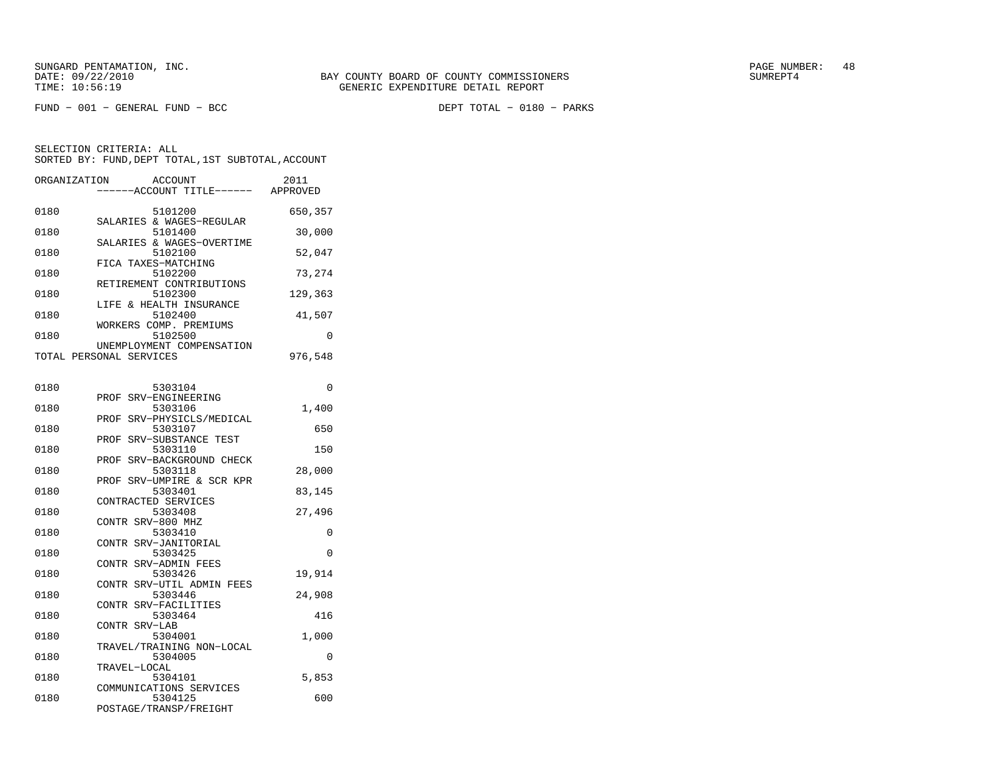DEPT TOTAL - 0180 - PARKS

| ORGANIZATION | <b>ACCOUNT</b><br>---ACCOUNT TITLE------ APPROVED    | 2011     |
|--------------|------------------------------------------------------|----------|
| 0180         | 5101200                                              | 650,357  |
| 0180         | SALARIES & WAGES-REGULAR<br>5101400                  | 30,000   |
| 0180         | SALARIES & WAGES-OVERTIME<br>5102100                 | 52,047   |
| 0180         | FICA TAXES-MATCHING<br>5102200                       | 73,274   |
| 0180         | RETIREMENT CONTRIBUTIONS<br>5102300                  | 129,363  |
| 0180         | LIFE & HEALTH INSURANCE<br>5102400                   | 41,507   |
| 0180         | WORKERS COMP. PREMIUMS<br>5102500                    | $\Omega$ |
|              | UNEMPLOYMENT COMPENSATION<br>TOTAL PERSONAL SERVICES | 976,548  |
| 0180         | 5303104                                              | 0        |
| 0180         | PROF<br>SRV-ENGINEERING<br>5303106                   | 1,400    |
| 0180         | SRV-PHYSICLS/MEDICAL<br>PROF<br>5303107              | 650      |
| 0180         | SRV-SUBSTANCE TEST<br>PROF<br>5303110                | 150      |
| 0180         | SRV-BACKGROUND CHECK<br>PROF<br>5303118              | 28,000   |
| 0180         | PROF SRV-UMPIRE & SCR KPR<br>5303401                 | 83,145   |
| 0180         | CONTRACTED SERVICES<br>5303408                       | 27,496   |
| 0180         | CONTR SRV-800 MHZ<br>5303410                         | 0        |
| 0180         | CONTR SRV-JANITORIAL<br>5303425                      | 0        |
| 0180         | CONTR SRV-ADMIN FEES<br>5303426                      | 19,914   |
| 0180         | CONTR SRV-UTIL ADMIN FEES<br>5303446                 | 24,908   |
| 0180         | CONTR SRV-FACILITIES<br>5303464                      | 416      |
| 0180         | CONTR SRV-LAB<br>5304001                             | 1,000    |
| 0180         | TRAVEL/TRAINING NON-LOCAL<br>5304005                 | 0        |
| 0180         | TRAVEL-LOCAL<br>5304101                              | 5,853    |
| 0180         | COMMUNICATIONS SERVICES<br>5304125                   | 600      |
|              | POSTAGE/TRANSP/FREIGHT                               |          |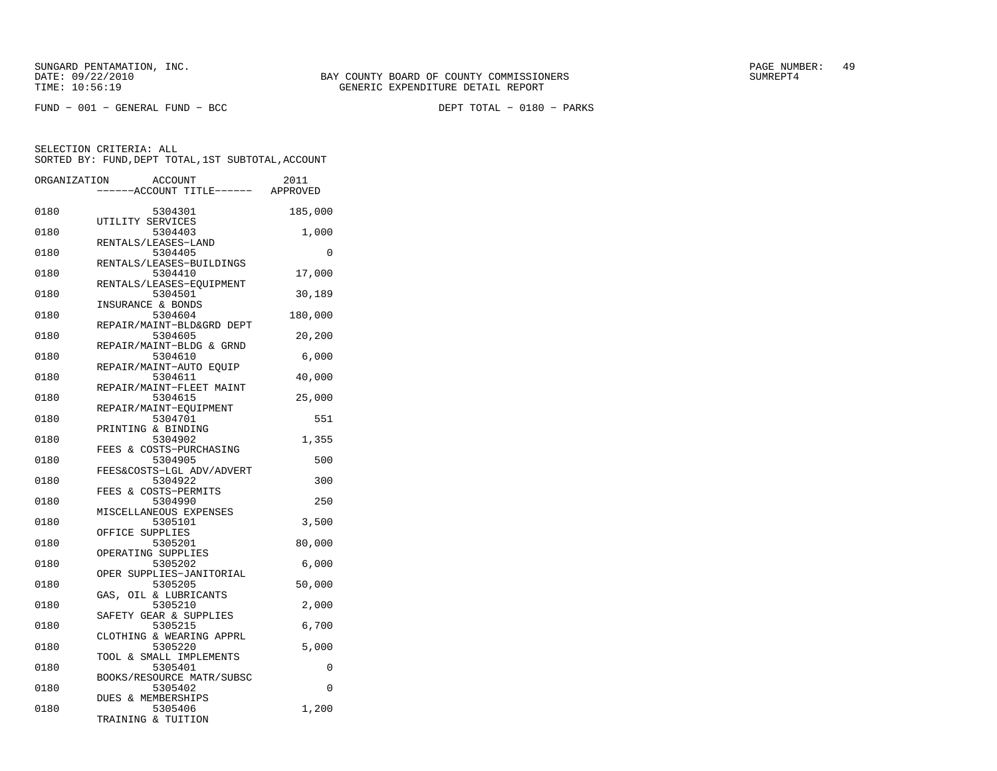DEPT TOTAL - 0180 - PARKS

| ORGANIZATION | ACCOUNT<br>---ACCOUNT TITLE------ APPROVED         | 2011     |
|--------------|----------------------------------------------------|----------|
| 0180         | 5304301                                            | 185,000  |
| 0180         | UTILITY SERVICES<br>5304403<br>RENTALS/LEASES-LAND | 1,000    |
| 0180         | 5304405<br>RENTALS/LEASES-BUILDINGS                | 0        |
| 0180         | 5304410<br>RENTALS/LEASES-EQUIPMENT                | 17,000   |
| 0180         | 5304501<br>INSURANCE & BONDS                       | 30,189   |
| 0180         | 5304604<br>REPAIR/MAINT-BLD&GRD DEPT               | 180,000  |
| 0180         | 5304605<br>REPAIR/MAINT-BLDG & GRND                | 20,200   |
| 0180         | 5304610<br>REPAIR/MAINT-AUTO EQUIP                 | 6,000    |
| 0180         | 5304611<br>REPAIR/MAINT-FLEET MAINT                | 40,000   |
| 0180         | 5304615<br>REPAIR/MAINT-EQUIPMENT                  | 25,000   |
| 0180         | 5304701<br>PRINTING & BINDING                      | 551      |
| 0180         | 5304902<br>FEES & COSTS-PURCHASING                 | 1,355    |
| 0180         | 5304905<br>FEES&COSTS-LGL ADV/ADVERT               | 500      |
| 0180         | 5304922<br>FEES & COSTS-PERMITS                    | 300      |
| 0180         | 5304990<br>MISCELLANEOUS EXPENSES                  | 250      |
| 0180         | 5305101<br>OFFICE SUPPLIES                         | 3,500    |
| 0180         | 5305201<br>OPERATING SUPPLIES                      | 80,000   |
| 0180         | 5305202<br>OPER SUPPLIES-JANITORIAL                | 6,000    |
| 0180         | 5305205<br>GAS, OIL & LUBRICANTS                   | 50,000   |
| 0180         | 5305210<br>SAFETY GEAR & SUPPLIES                  | 2,000    |
| 0180         | 5305215<br>CLOTHING & WEARING APPRL                | 6,700    |
| 0180         | 5305220<br>TOOL & SMALL IMPLEMENTS                 | 5,000    |
| 0180         | 5305401<br>BOOKS/RESOURCE MATR/SUBSC               | 0        |
| 0180         | 5305402<br>DUES & MEMBERSHIPS                      | $\Omega$ |
| 0180         | 5305406<br>TRAINING & TUITION                      | 1,200    |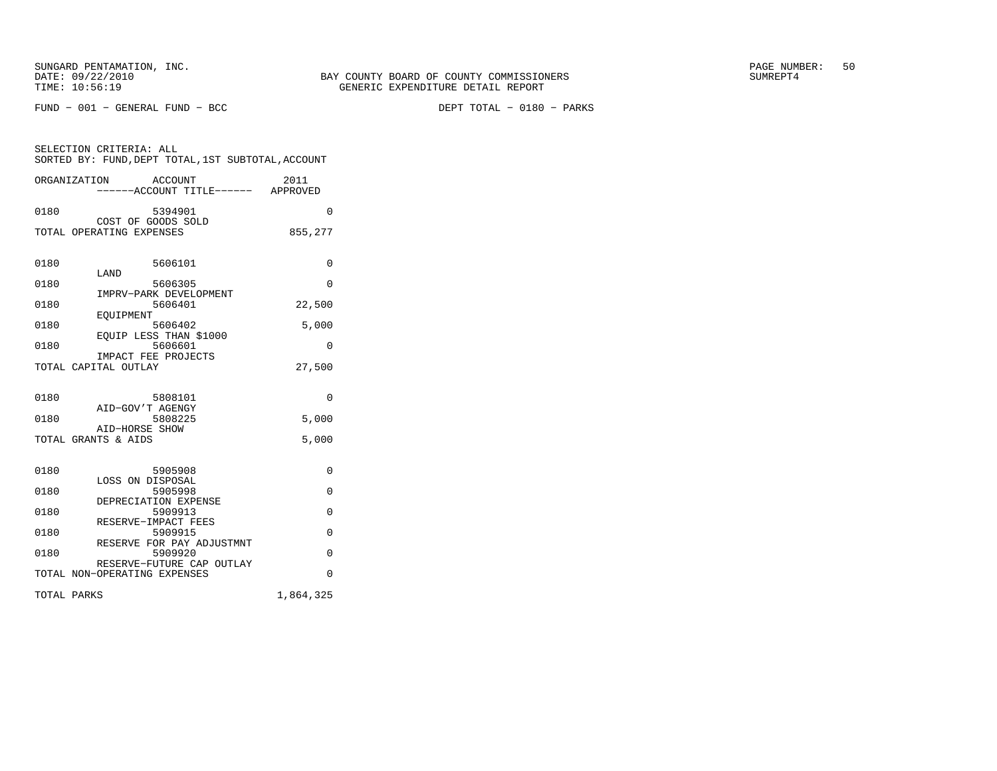SELECTION CRITERIA: ALL

 $FUND - 001 - GENERAL FUND - BCC$ 

DEPT TOTAL - 0180 - PARKS

| ORGANIZATION                          | ACCOUNT<br>----ACCOUNT TITLE------ APPROVED | 2011      |
|---------------------------------------|---------------------------------------------|-----------|
| 0180                                  | 5394901<br>COST OF GOODS SOLD               | $\Omega$  |
| TOTAL OPERATING EXPENSES              |                                             | 855,277   |
| 0180<br>LAND                          | 5606101                                     | 0         |
| 0180                                  | 5606305                                     | 0         |
| 0180<br>EOUIPMENT                     | IMPRV-PARK DEVELOPMENT<br>5606401           | 22,500    |
| 0180                                  | 5606402                                     | 5,000     |
| 0180                                  | EQUIP LESS THAN \$1000<br>5606601           | 0         |
| TOTAL CAPITAL OUTLAY                  | IMPACT FEE PROJECTS                         | 27,500    |
| 0180                                  | 5808101<br>AID-GOV'T AGENGY                 | 0         |
| 0180                                  | 5808225                                     | 5,000     |
| AID-HORSE SHOW<br>TOTAL GRANTS & AIDS |                                             | 5.000     |
| 0180                                  | 5905908<br>LOSS ON DISPOSAL                 | 0         |
| 0180                                  | 5905998                                     | $\Omega$  |
| 0180                                  | DEPRECIATION EXPENSE<br>5909913             | 0         |
| 0180                                  | RESERVE-IMPACT FEES<br>5909915              | 0         |
| 0180                                  | RESERVE FOR PAY ADJUSTMNT<br>5909920        | $\Omega$  |
| TOTAL NON-OPERATING EXPENSES          | RESERVE-FUTURE CAP OUTLAY                   | $\Omega$  |
| TOTAL PARKS                           |                                             | 1,864,325 |

SORTED BY: FUND, DEPT TOTAL, 1ST SUBTOTAL, ACCOUNT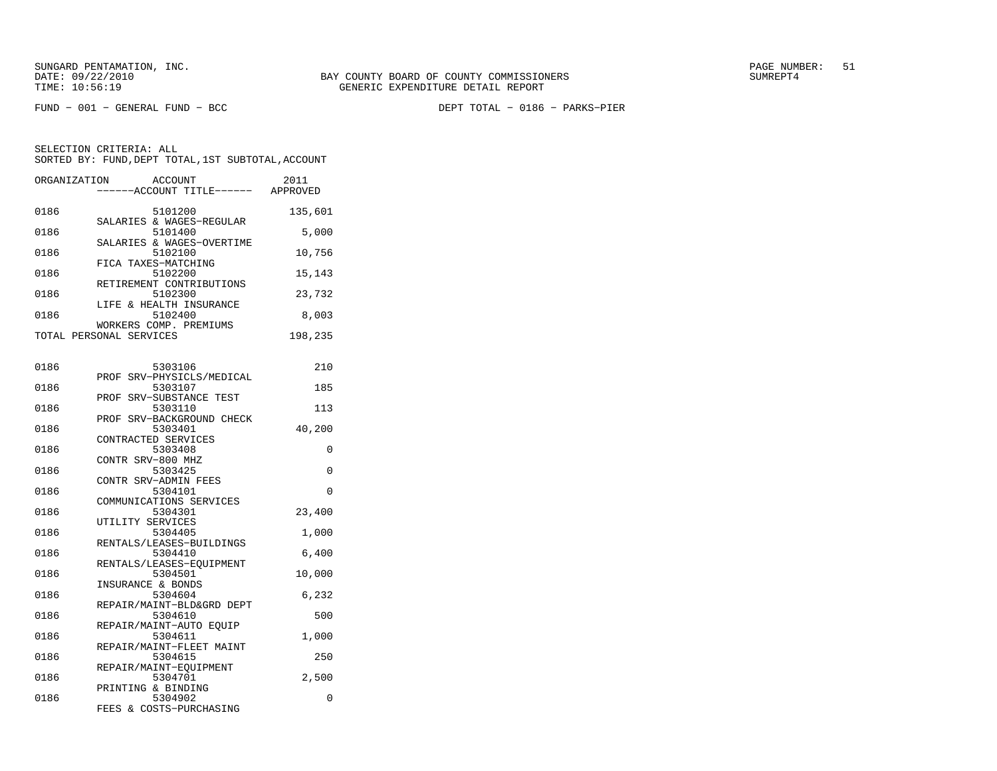FUND − 001 − GENERAL FUND − BCC DEPT TOTAL − 0186 − PARKS−PIER

| ORGANIZATION<br>ACCOUNT<br>------ACCOUNT TITLE------ | 2011<br>APPROVED |
|------------------------------------------------------|------------------|
| 0186<br>5101200                                      | 135,601          |
| SALARIES & WAGES-REGULAR<br>0186<br>5101400          | 5,000            |
| SALARIES & WAGES-OVERTIME<br>0186<br>5102100         | 10,756           |
| FICA TAXES-MATCHING<br>0186<br>5102200               | 15,143           |
| RETIREMENT CONTRIBUTIONS<br>0186<br>5102300          | 23,732           |
| LIFE & HEALTH INSURANCE<br>0186<br>5102400           | 8,003            |
| WORKERS COMP. PREMIUMS<br>TOTAL PERSONAL SERVICES    | 198,235          |

| 0186 | 5303106                   | 210      |
|------|---------------------------|----------|
|      | PROF SRV-PHYSICLS/MEDICAL |          |
| 0186 | 5303107                   | 185      |
|      | PROF SRV-SUBSTANCE TEST   |          |
| 0186 | 5303110                   | 113      |
|      | PROF SRV-BACKGROUND CHECK |          |
| 0186 | 5303401                   | 40,200   |
|      | CONTRACTED SERVICES       |          |
| 0186 | 5303408                   | 0        |
|      | CONTR SRV-800 MHZ         |          |
| 0186 | 5303425                   | $\Omega$ |
|      | CONTR SRV-ADMIN FEES      |          |
| 0186 | 5304101                   | $\Omega$ |
|      | COMMUNICATIONS SERVICES   |          |
| 0186 | 5304301                   | 23,400   |
|      | UTILITY SERVICES          |          |
| 0186 | 5304405                   | 1,000    |
|      | RENTALS/LEASES-BUILDINGS  |          |
| 0186 | 5304410                   | 6,400    |
|      | RENTALS/LEASES-EQUIPMENT  |          |
| 0186 | 5304501                   | 10,000   |
|      | INSURANCE & BONDS         |          |
| 0186 | 5304604                   | 6,232    |
|      | REPAIR/MAINT-BLD&GRD DEPT |          |
| 0186 | 5304610                   | 500      |
|      | REPAIR/MAINT-AUTO EOUIP   |          |
| 0186 | 5304611                   | 1,000    |
|      | REPAIR/MAINT-FLEET MAINT  |          |
| 0186 | 5304615                   | 250      |
|      | REPAIR/MAINT-EOUIPMENT    |          |
| 0186 | 5304701                   | 2,500    |
|      | PRINTING & BINDING        |          |
| 0186 | 5304902                   | 0        |
|      | FEES & COSTS-PURCHASING   |          |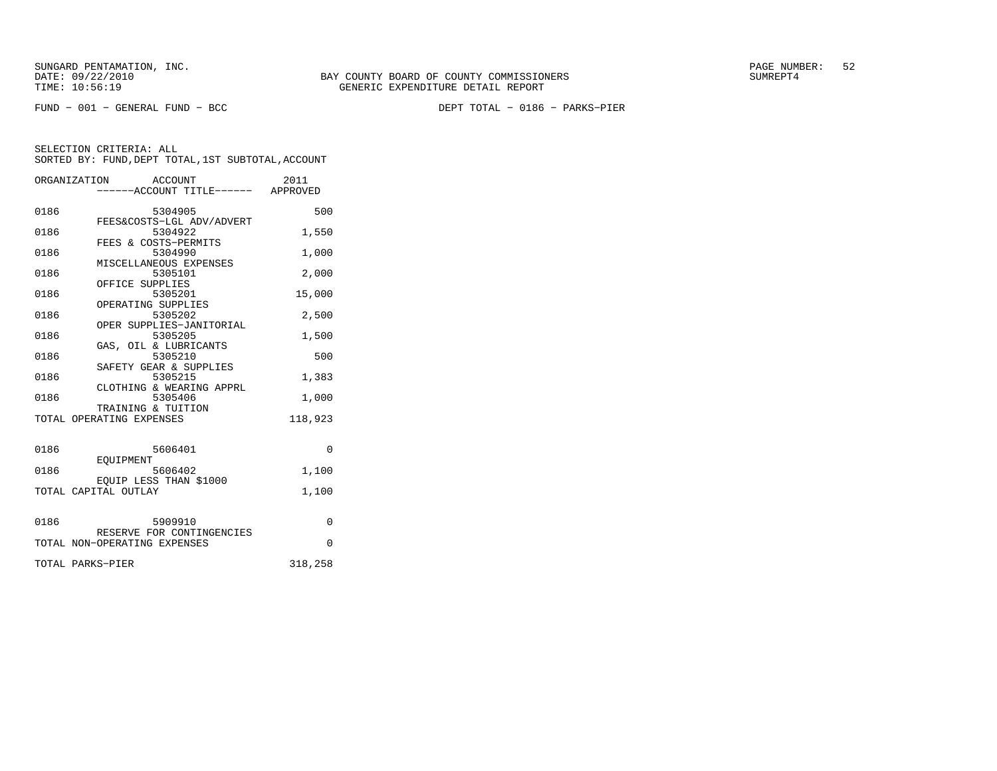FUND − 001 − GENERAL FUND − BCC DEPT TOTAL − 0186 − PARKS−PIER

|      | ORGANIZATION<br>ACCOUNT<br>-----ACCOUNT TITLE------ APPROVED | 2011     |
|------|--------------------------------------------------------------|----------|
| 0186 | 5304905<br>FEES&COSTS-LGL ADV/ADVERT                         | 500      |
| 0186 | 5304922<br>FEES & COSTS-PERMITS                              | 1,550    |
| 0186 | 5304990<br>MISCELLANEOUS EXPENSES                            | 1,000    |
| 0186 | 5305101<br>OFFICE SUPPLIES                                   | 2,000    |
| 0186 | 5305201<br>OPERATING SUPPLIES                                | 15,000   |
| 0186 | 5305202<br>OPER SUPPLIES-JANITORIAL                          | 2,500    |
| 0186 | 5305205<br>GAS, OIL & LUBRICANTS                             | 1,500    |
| 0186 | 5305210<br>SAFETY GEAR & SUPPLIES                            | 500      |
| 0186 | 5305215<br>CLOTHING & WEARING APPRL                          | 1,383    |
| 0186 | 5305406<br>TRAINING & TUITION                                | 1,000    |
|      | TOTAL OPERATING EXPENSES                                     | 118,923  |
| 0186 | 5606401                                                      | $\Omega$ |
| 0186 | EOUIPMENT<br>5606402                                         | 1,100    |
|      | EQUIP LESS THAN \$1000<br>TOTAL CAPITAL OUTLAY               | 1,100    |
| 0186 | 5909910                                                      | $\Omega$ |
|      | RESERVE FOR CONTINGENCIES<br>TOTAL NON-OPERATING EXPENSES    | $\Omega$ |
|      | TOTAL PARKS-PIER                                             | 318,258  |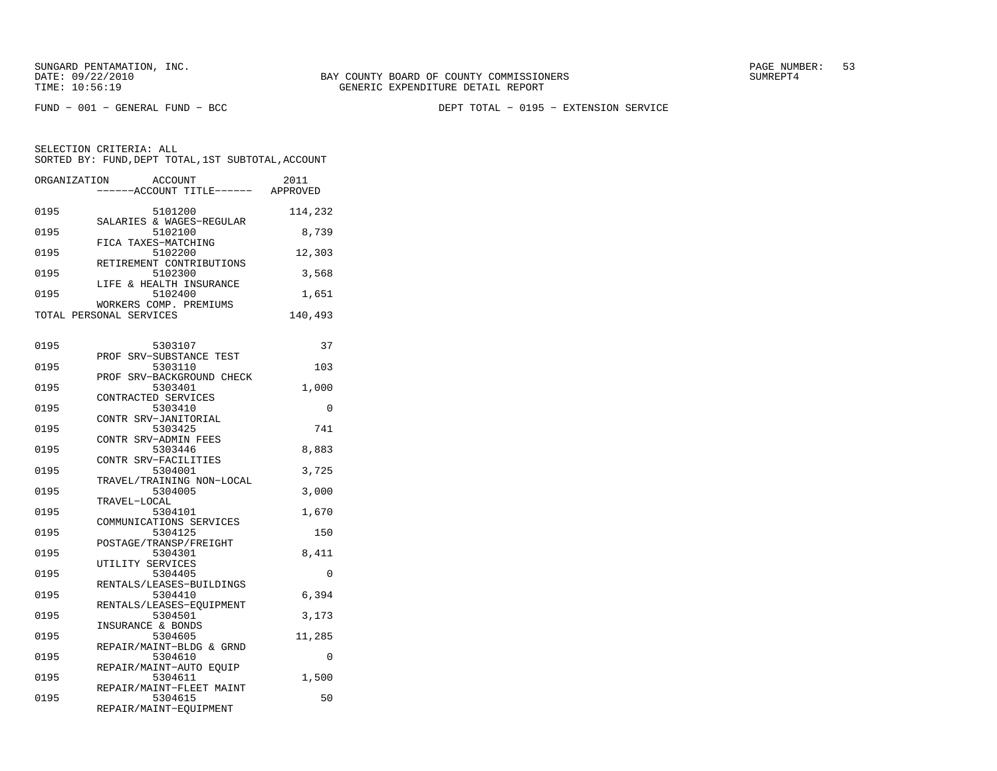FUND − 001 − GENERAL FUND − BCC DEPT TOTAL − 0195 − EXTENSION SERVICE

SELECTION CRITERIA: ALLSORTED BY: FUND, DEPT TOTAL, 1ST SUBTOTAL, ACCOUNT ORGANIZATION ACCOUNT 2011

|      | ------ACCOUNT TITLE------ APPROVED      |         |
|------|-----------------------------------------|---------|
| 0195 | 5101200                                 | 114,232 |
| 0195 | SALARIES & WAGES-REGULAR<br>5102100     | 8,739   |
| 0195 | FICA TAXES-MATCHING<br>5102200          | 12,303  |
| 0195 | RETIREMENT CONTRIBUTIONS<br>5102300     | 3,568   |
| 0195 | LIFE & HEALTH INSURANCE<br>5102400      | 1,651   |
|      | WORKERS COMP. PREMIUMS                  |         |
|      | TOTAL PERSONAL SERVICES                 | 140,493 |
| 0195 | 5303107                                 | 37      |
|      | PROF SRV-SUBSTANCE TEST                 |         |
| 0195 | 5303110<br>SRV-BACKGROUND CHECK<br>PROF | 103     |
| 0195 | 5303401                                 | 1,000   |
|      | CONTRACTED SERVICES                     |         |
| 0195 | 5303410<br>CONTR SRV-JANITORIAL         | 0       |
| 0195 | 5303425                                 | 741     |
|      | CONTR SRV-ADMIN FEES                    |         |
| 0195 | 5303446<br>CONTR SRV-FACILITIES         | 8,883   |
| 0195 | 5304001                                 | 3,725   |
|      | TRAVEL/TRAINING NON-LOCAL               |         |
| 0195 | 5304005                                 | 3,000   |
|      | TRAVEL-LOCAL                            |         |
| 0195 | 5304101<br>COMMUNICATIONS SERVICES      | 1,670   |
| 0195 | 5304125                                 | 150     |
|      | POSTAGE/TRANSP/FREIGHT                  |         |
| 0195 | 5304301                                 | 8,411   |
|      | UTILITY SERVICES                        |         |
| 0195 | 5304405<br>RENTALS/LEASES-BUILDINGS     | 0       |
| 0195 | 5304410                                 | 6,394   |
|      | RENTALS/LEASES-EOUIPMENT                |         |
| 0195 | 5304501                                 | 3,173   |
|      | INSURANCE & BONDS                       |         |
| 0195 | 5304605<br>REPAIR/MAINT-BLDG & GRND     | 11,285  |
| 0195 | 5304610                                 | 0       |
|      | REPAIR/MAINT-AUTO EOUIP                 |         |
| 0195 | 5304611                                 | 1,500   |
| 0195 | REPAIR/MAINT-FLEET MAINT                | 50      |
|      | 5304615<br>REPAIR/MAINT-EQUIPMENT       |         |
|      |                                         |         |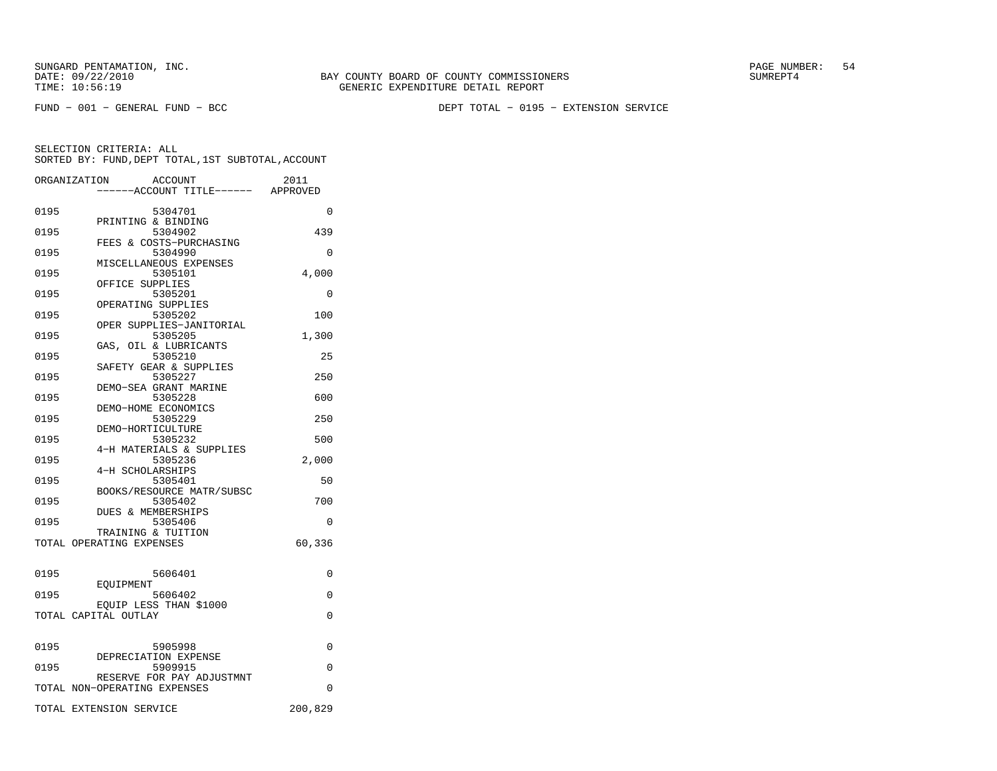FUND − 001 − GENERAL FUND − BCC DEPT TOTAL − 0195 − EXTENSION SERVICE

|      | ORGANIZATION<br>ACCOUNT<br>------ACCOUNT TITLE------ APPROVED | 2011     |
|------|---------------------------------------------------------------|----------|
|      |                                                               |          |
| 0195 | 5304701                                                       | $\Omega$ |
| 0195 | PRINTING & BINDING<br>5304902                                 | 439      |
|      | FEES & COSTS-PURCHASING                                       |          |
| 0195 | 5304990                                                       | $\Omega$ |
|      | MISCELLANEOUS EXPENSES                                        |          |
| 0195 | 5305101<br>OFFICE SUPPLIES                                    | 4,000    |
| 0195 | 5305201                                                       | 0        |
|      | OPERATING SUPPLIES                                            |          |
| 0195 | 5305202                                                       | 100      |
|      | OPER SUPPLIES-JANITORIAL                                      |          |
| 0195 | 5305205<br>GAS, OIL & LUBRICANTS                              | 1,300    |
| 0195 | 5305210                                                       | 25       |
|      | SAFETY GEAR & SUPPLIES                                        |          |
| 0195 | 5305227                                                       | 250      |
|      | DEMO-SEA GRANT MARINE                                         |          |
| 0195 | 5305228                                                       | 600      |
| 0195 | DEMO-HOME ECONOMICS<br>5305229                                | 250      |
|      | DEMO-HORTICULTURE                                             |          |
| 0195 | 5305232                                                       | 500      |
|      | 4-H MATERIALS & SUPPLIES                                      |          |
| 0195 | 5305236                                                       | 2,000    |
| 0195 | 4-H SCHOLARSHIPS<br>5305401                                   | 50       |
|      | BOOKS/RESOURCE MATR/SUBSC                                     |          |
| 0195 | 5305402                                                       | 700      |
|      | <b>DUES &amp; MEMBERSHIPS</b>                                 |          |
| 0195 | 5305406                                                       | 0        |
|      | TRAINING & TUITION                                            | 60,336   |
|      | TOTAL OPERATING EXPENSES                                      |          |
| 0195 | 5606401                                                       | 0        |
|      | EOUIPMENT                                                     |          |
| 0195 | 5606402                                                       | 0        |
|      | EQUIP LESS THAN \$1000<br>TOTAL CAPITAL OUTLAY                | 0        |
|      |                                                               |          |
| 0195 | 5905998                                                       | 0        |
|      | DEPRECIATION EXPENSE                                          |          |
| 0195 | 5909915<br>RESERVE FOR PAY ADJUSTMNT                          | 0        |
|      | TOTAL NON-OPERATING EXPENSES                                  | $\Omega$ |
|      | TOTAL EXTENSION SERVICE                                       | 200,829  |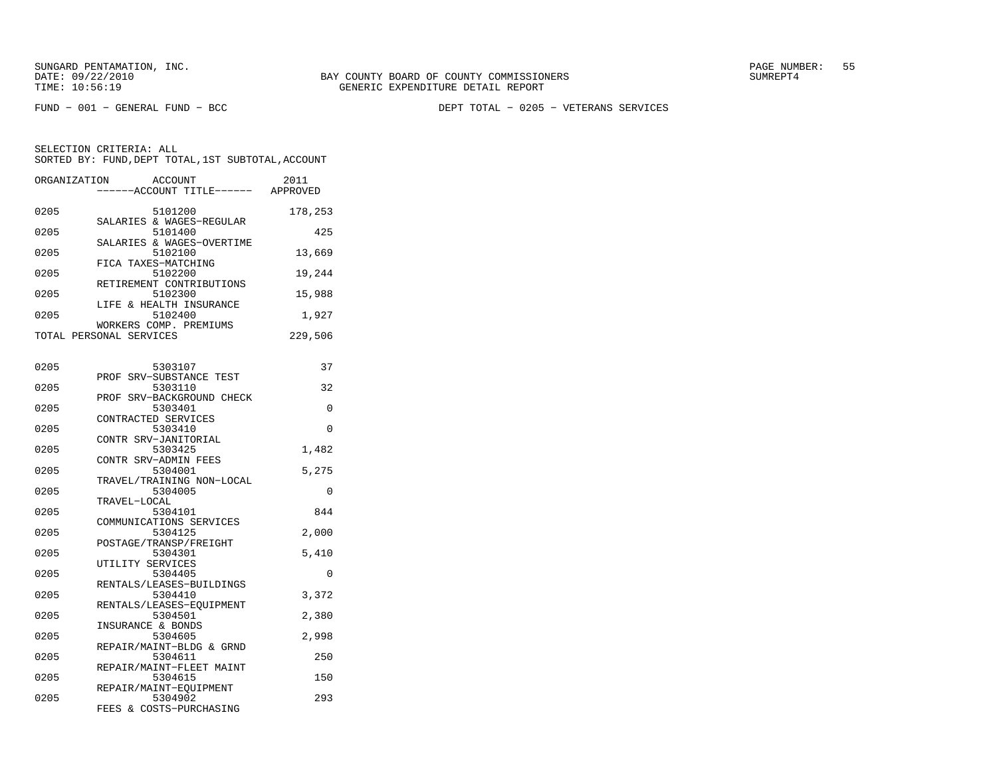FUND − 001 − GENERAL FUND − BCC DEPT TOTAL − 0205 − VETERANS SERVICES

| ORGANIZATION | ACCOUNT<br>------ACCOUNT TITLE------ APPROVED  | 2011         |
|--------------|------------------------------------------------|--------------|
| 0205         | 5101200<br>SALARIES & WAGES-REGULAR            | 178,253      |
| 0205         | 5101400<br>SALARIES & WAGES-OVERTIME           | 425          |
| 0205         | 5102100<br>FICA TAXES-MATCHING                 | 13,669       |
| 0205         | 5102200<br>RETIREMENT CONTRIBUTIONS            | 19,244       |
| 0205         | 5102300<br>LIFE & HEALTH INSURANCE             | 15,988       |
| 0205         | 5102400<br>WORKERS COMP. PREMIUMS              | 1,927        |
|              | TOTAL PERSONAL SERVICES                        | 229,506      |
| 0205         | 5303107<br>PROF SRV-SUBSTANCE TEST             | 37           |
| 0205         | 5303110<br>PROF SRV-BACKGROUND CHECK           | 32           |
| 0205         | 5303401<br>CONTRACTED SERVICES                 | 0            |
| 0205         | 5303410<br>CONTR SRV-JANITORIAL                | $\Omega$     |
| 0205         | 5303425<br>CONTR SRV-ADMIN FEES                | 1,482        |
| 0205         | 5304001<br>TRAVEL/TRAINING NON-LOCAL           | 5,275        |
| 0205         | 5304005<br>TRAVEL-LOCAL                        | $\Omega$     |
| 0205         | 5304101<br>COMMUNICATIONS SERVICES             | 844          |
| 0205         | 5304125<br>POSTAGE/TRANSP/FREIGHT              | 2,000        |
| 0205         | 5304301<br>UTILITY SERVICES                    | 5,410        |
| 0205         | 5304405<br>RENTALS/LEASES-BUILDINGS            | $\Omega$     |
| 0205         | 5304410<br>RENTALS/LEASES-EQUIPMENT            | 3,372        |
| 0205         | 5304501<br>INSURANCE & BONDS                   | 2,380        |
| 0205<br>0205 | 5304605<br>REPAIR/MAINT-BLDG & GRND<br>5304611 | 2,998<br>250 |
| 0205         | REPAIR/MAINT-FLEET MAINT<br>5304615            | 150          |
| 0205         | REPAIR/MAINT-EQUIPMENT<br>5304902              | 293          |
|              | FEES & COSTS-PURCHASING                        |              |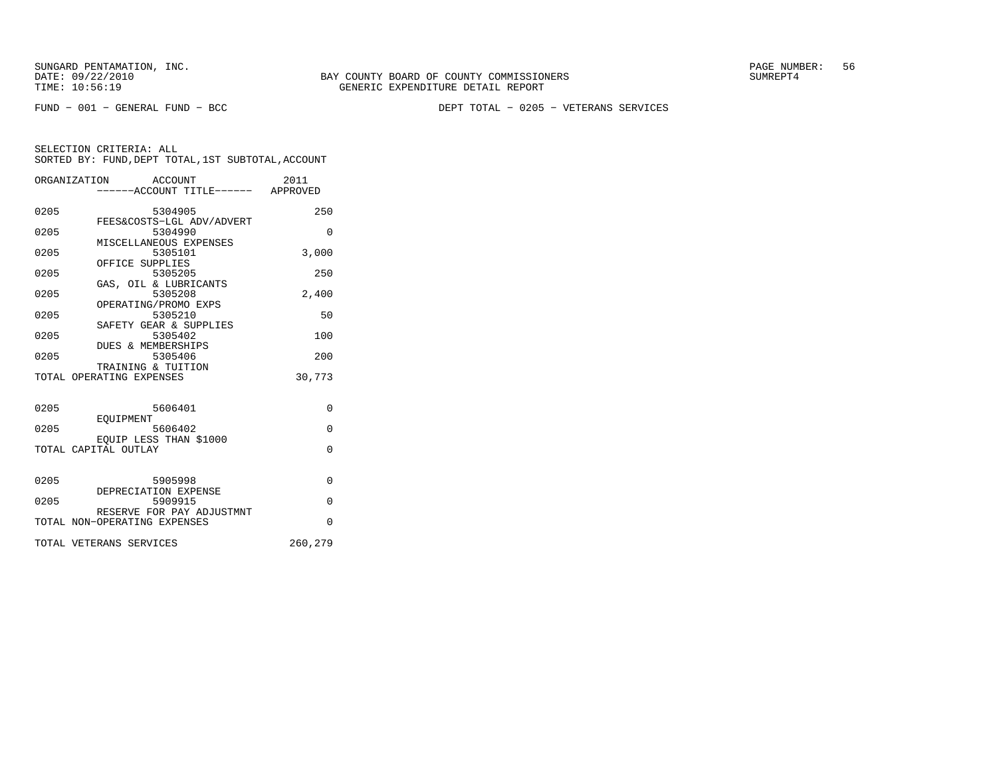FUND − 001 − GENERAL FUND − BCC DEPT TOTAL − 0205 − VETERANS SERVICES

|      | ORGANIZATION ACCOUNT<br>-----ACCOUNT TITLE------ APPROVED | 2011     |
|------|-----------------------------------------------------------|----------|
| 0205 | 5304905<br>FEES&COSTS-LGL ADV/ADVERT                      | 250      |
| 0205 | 5304990                                                   | $\Omega$ |
| 0205 | MISCELLANEOUS EXPENSES<br>5305101<br>OFFICE SUPPLIES      | 3,000    |
| 0205 | 5305205                                                   | 250      |
| 0205 | GAS, OIL & LUBRICANTS<br>5305208                          | 2.400    |
| 0205 | OPERATING/PROMO EXPS<br>5305210                           | 50       |
| 0205 | SAFETY GEAR & SUPPLIES<br>5305402                         | 100      |
| 0205 | DUES & MEMBERSHIPS<br>5305406                             | 200      |
|      | TRAINING & TUITION<br>TOTAL OPERATING EXPENSES            | 30,773   |
| 0205 | 5606401                                                   | $\Omega$ |
|      | EOUIPMENT                                                 |          |
| 0205 | 5606402<br>EOUIP LESS THAN \$1000                         | $\Omega$ |
|      | TOTAL CAPITAL OUTLAY                                      | $\Omega$ |
| 0205 | 5905998                                                   | $\Omega$ |
| 0205 | DEPRECIATION EXPENSE<br>5909915                           | $\Omega$ |
|      | RESERVE FOR PAY ADJUSTMNT<br>TOTAL NON-OPERATING EXPENSES | $\Omega$ |
|      | TOTAL VETERANS SERVICES                                   | 260,279  |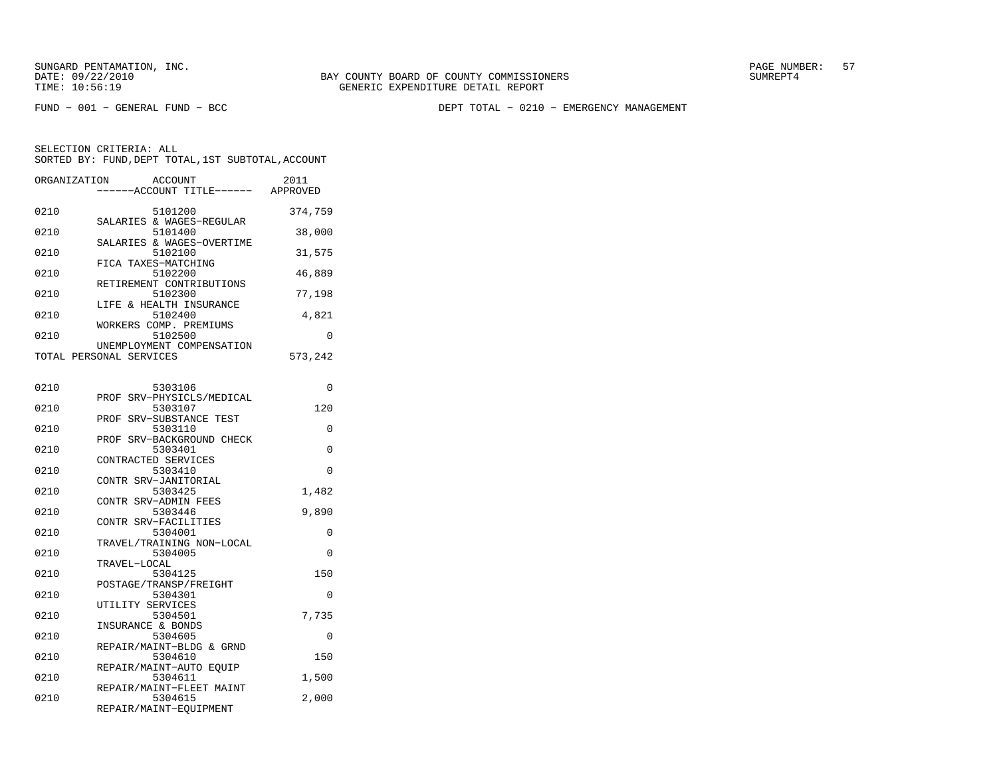FUND − 001 − GENERAL FUND − BCC DEPT TOTAL − 0210 − EMERGENCY MANAGEMENT

| ORGANIZATION ACCOUNT    |                        |         |                           | 2011     |
|-------------------------|------------------------|---------|---------------------------|----------|
|                         |                        |         | -----ACCOUNT TITLE------  | APPROVED |
| 0210                    |                        | 5101200 |                           | 374,759  |
|                         |                        |         | SALARIES & WAGES-REGULAR  |          |
| 0210                    |                        | 5101400 |                           | 38,000   |
| 0210                    |                        | 5102100 | SALARIES & WAGES-OVERTIME | 31,575   |
|                         | FICA TAXES-MATCHING    |         |                           |          |
| 0210                    |                        | 5102200 |                           | 46,889   |
|                         |                        |         | RETIREMENT CONTRIBUTIONS  |          |
| 0210                    |                        | 5102300 |                           | 77,198   |
| 0210                    |                        | 5102400 | LIFE & HEALTH INSURANCE   | 4,821    |
|                         | WORKERS COMP. PREMIUMS |         |                           |          |
| 0210                    |                        | 5102500 |                           | $\Omega$ |
|                         |                        |         | UNEMPLOYMENT COMPENSATION |          |
| TOTAL PERSONAL SERVICES |                        |         |                           | 573,242  |
|                         |                        |         |                           |          |
| 0210                    |                        | 5303106 |                           | $\Omega$ |
|                         |                        |         | PROF SRV-PHYSICLS/MEDICAL |          |
| 0210                    |                        | 5303107 |                           | 120      |

| 02IU | 5303107                   | 120      |
|------|---------------------------|----------|
|      | PROF SRV-SUBSTANCE TEST   |          |
| 0210 | 5303110                   | $\Omega$ |
|      | PROF SRV-BACKGROUND CHECK |          |
| 0210 | 5303401                   | $\Omega$ |
|      | CONTRACTED SERVICES       |          |
| 0210 | 5303410                   | $\Omega$ |
|      | CONTR SRV-JANITORIAL      |          |
| 0210 | 5303425                   | 1,482    |
|      | CONTR SRV-ADMIN FEES      |          |
| 0210 | 5303446                   | 9,890    |
|      | CONTR SRV-FACILITIES      |          |
| 0210 | 5304001                   | 0        |
|      | TRAVEL/TRAINING NON-LOCAL |          |
| 0210 | 5304005                   | $\Omega$ |
|      | TRAVEL-LOCAL              |          |
| 0210 | 5304125                   | 150      |
|      | POSTAGE/TRANSP/FREIGHT    |          |
| 0210 | 5304301                   | $\Omega$ |
|      | UTILITY SERVICES          |          |
| 0210 | 5304501                   | 7,735    |
|      | INSURANCE & BONDS         |          |
| 0210 | 5304605                   | $\Omega$ |
|      | REPAIR/MAINT-BLDG & GRND  |          |
| 0210 | 5304610                   | 150      |
|      | REPAIR/MAINT-AUTO EOUIP   |          |
| 0210 | 5304611                   | 1,500    |
|      | REPAIR/MAINT-FLEET MAINT  |          |
| 0210 | 5304615                   | 2,000    |
|      | REPAIR/MAINT-EOUIPMENT    |          |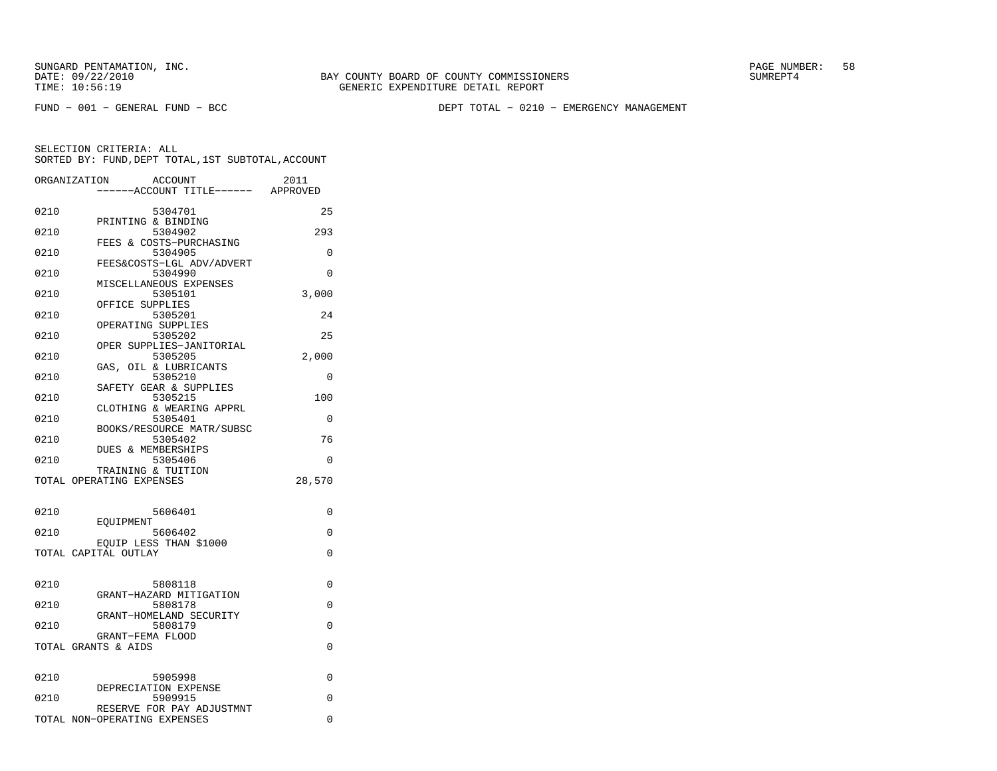FUND − 001 − GENERAL FUND − BCC DEPT TOTAL − 0210 − EMERGENCY MANAGEMENT

|      | ORGANIZATION<br><b>ACCOUNT</b>                 | 2011     |
|------|------------------------------------------------|----------|
|      | -----ACCOUNT TITLE------ APPROVED              |          |
| 0210 | 5304701                                        | 25       |
|      | PRINTING & BINDING                             |          |
| 0210 | 5304902<br>FEES & COSTS-PURCHASING             | 293      |
| 0210 | 5304905                                        | 0        |
| 0210 | FEES&COSTS-LGL ADV/ADVERT<br>5304990           | $\Omega$ |
|      | MISCELLANEOUS EXPENSES                         |          |
| 0210 | 5305101                                        | 3,000    |
| 0210 | OFFICE SUPPLIES<br>5305201                     | 24       |
|      | OPERATING SUPPLIES                             |          |
| 0210 | 5305202                                        | 25       |
| 0210 | OPER SUPPLIES-JANITORIAL<br>5305205            | 2,000    |
|      | GAS, OIL & LUBRICANTS                          |          |
| 0210 | 5305210                                        | 0        |
| 0210 | SAFETY GEAR & SUPPLIES<br>5305215              | 100      |
|      | CLOTHING & WEARING APPRL                       |          |
| 0210 | 5305401                                        | $\Omega$ |
| 0210 | BOOKS/RESOURCE MATR/SUBSC<br>5305402           | 76       |
|      | DUES & MEMBERSHIPS                             |          |
| 0210 | 5305406                                        | 0        |
|      | TRAINING & TUITION<br>TOTAL OPERATING EXPENSES | 28,570   |
|      |                                                |          |
| 0210 | 5606401                                        | 0        |
|      | EOUIPMENT                                      |          |
| 0210 | 5606402                                        | $\Omega$ |
|      | EQUIP LESS THAN \$1000<br>TOTAL CAPITAL OUTLAY | $\Omega$ |
|      |                                                |          |
| 0210 | 5808118                                        | 0        |
|      | GRANT-HAZARD MITIGATION                        |          |
| 0210 | 5808178                                        | 0        |
| 0210 | GRANT-HOMELAND SECURITY<br>5808179             | 0        |
|      | GRANT-FEMA FLOOD                               |          |
|      | TOTAL GRANTS & AIDS                            | $\Omega$ |
|      |                                                |          |
| 0210 | 5905998<br>DEPRECIATION EXPENSE                | 0        |
| 0210 | 5909915                                        | 0        |
|      | RESERVE FOR PAY ADJUSTMNT                      |          |
|      | TOTAL NON-OPERATING EXPENSES                   | 0        |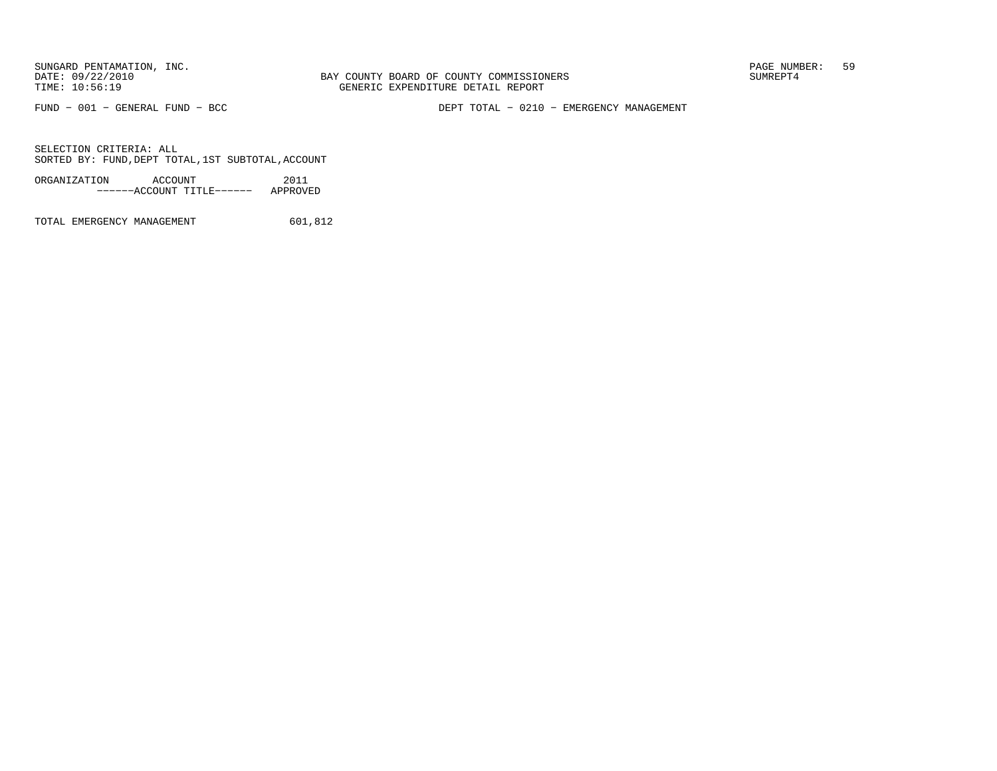BAY COUNTY BOARD OF COUNTY COMMISSIONERS TIME: 10:56:19 GENERIC EXPENDITURE DETAIL REPORT

FUND − 001 − GENERAL FUND − BCC DEPT TOTAL − 0210 − EMERGENCY MANAGEMENT

SELECTION CRITERIA: ALLSORTED BY: FUND, DEPT TOTAL, 1ST SUBTOTAL, ACCOUNT

ORGANIZATION ACCOUNT 2011−−−−−−ACCOUNT TITLE−−−−−− APPROVED

TOTAL EMERGENCY MANAGEMENT 601,812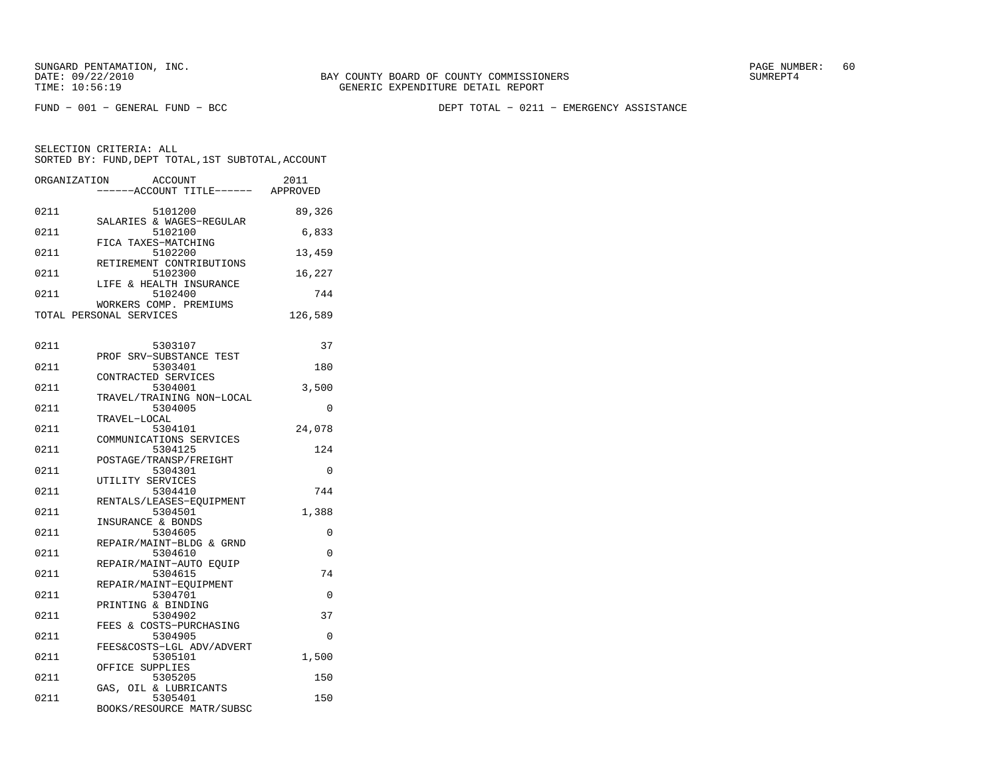FUND − 001 − GENERAL FUND − BCC DEPT TOTAL − 0211 − EMERGENCY ASSISTANCE

| ORGANIZATION | ACCOUNT                              | 2011     |
|--------------|--------------------------------------|----------|
|              | ------ACCOUNT TITLE------ APPROVED   |          |
| 0211         | 5101200                              | 89,326   |
|              | SALARIES & WAGES-REGULAR             |          |
| 0211         | 5102100                              | 6,833    |
|              | FICA TAXES-MATCHING                  |          |
| 0211         | 5102200                              | 13,459   |
| 0211         | RETIREMENT CONTRIBUTIONS<br>5102300  | 16,227   |
|              | LIFE & HEALTH INSURANCE              |          |
| 0211         | 5102400                              | 744      |
|              | WORKERS COMP. PREMIUMS               |          |
|              | TOTAL PERSONAL SERVICES              | 126,589  |
|              |                                      |          |
| 0211         | 5303107                              | 37       |
|              | PROF SRV-SUBSTANCE TEST              |          |
| 0211         | 5303401                              | 180      |
|              | CONTRACTED SERVICES                  |          |
| 0211         | 5304001<br>TRAVEL/TRAINING NON-LOCAL | 3,500    |
| 0211         | 5304005                              | $\Omega$ |
|              | TRAVEL-LOCAL                         |          |
| 0211         | 5304101                              | 24,078   |
|              | COMMUNICATIONS SERVICES              |          |
| 0211         | 5304125<br>POSTAGE/TRANSP/FREIGHT    | 124      |
| 0211         | 5304301                              | 0        |
|              | UTILITY SERVICES                     |          |
| 0211         | 5304410                              | 744      |
|              | RENTALS/LEASES-EOUIPMENT             |          |
| 0211         | 5304501<br>INSURANCE & BONDS         | 1,388    |
| 0211         | 5304605                              | 0        |
|              | REPAIR/MAINT-BLDG & GRND             |          |
| 0211         | 5304610                              | 0        |
|              | REPAIR/MAINT-AUTO EQUIP              |          |
| 0211         | 5304615<br>REPAIR/MAINT-EOUIPMENT    | 74       |
| 0211         | 5304701                              | $\Omega$ |
|              | PRINTING & BINDING                   |          |
| 0211         | 5304902                              | 37       |
|              | FEES & COSTS-PURCHASING              |          |
| 0211         | 5304905<br>FEES&COSTS-LGL ADV/ADVERT | $\Omega$ |
| 0211         | 5305101                              | 1,500    |
|              | OFFICE SUPPLIES                      |          |
| 0211         | 5305205                              | 150      |
|              | GAS, OIL & LUBRICANTS                |          |
| 0211         | 5305401<br>BOOKS/RESOURCE MATR/SUBSC | 150      |
|              |                                      |          |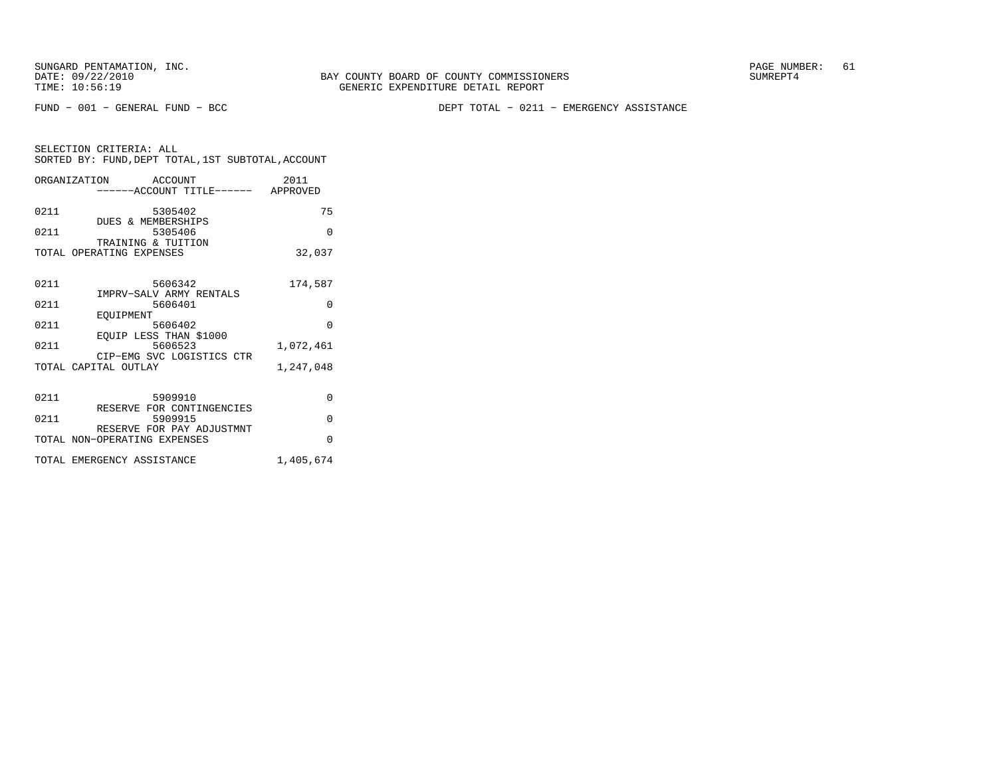FUND − 001 − GENERAL FUND − BCC DEPT TOTAL − 0211 − EMERGENCY ASSISTANCE

| SELECTION CRITERIA: ALL |  |  |                                                    |  |
|-------------------------|--|--|----------------------------------------------------|--|
|                         |  |  | SORTED BY: FUND, DEPT TOTAL, 1ST SUBTOTAL, ACCOUNT |  |

|      | ORGANIZATION ACCOUNT<br>------ACCOUNT TITLE------ APPROVED | 2011      |
|------|------------------------------------------------------------|-----------|
| 0211 | 5305402<br>DUES & MEMBERSHIPS                              | 75        |
| 0211 | 5305406<br>TRAINING & TUITION                              | $\Omega$  |
|      | TOTAL OPERATING EXPENSES                                   | 32,037    |
| 0211 | 5606342<br>IMPRV-SALV ARMY RENTALS                         | 174,587   |
| 0211 | 5606401                                                    | $\Omega$  |
| 0211 | EOUIPMENT<br>5606402<br>EQUIP LESS THAN \$1000             | $\Omega$  |
| 0211 | 5606523<br>CIP-EMG SVC LOGISTICS CTR                       | 1,072,461 |
|      | TOTAL CAPITAL OUTLAY                                       | 1,247,048 |
| 0211 | 5909910<br>RESERVE FOR CONTINGENCIES                       | $\Omega$  |
| 0211 | 5909915                                                    | $\Omega$  |
|      | RESERVE FOR PAY ADJUSTMNT<br>TOTAL NON-OPERATING EXPENSES  | $\Omega$  |
|      | TOTAL EMERGENCY ASSISTANCE                                 | 1,405,674 |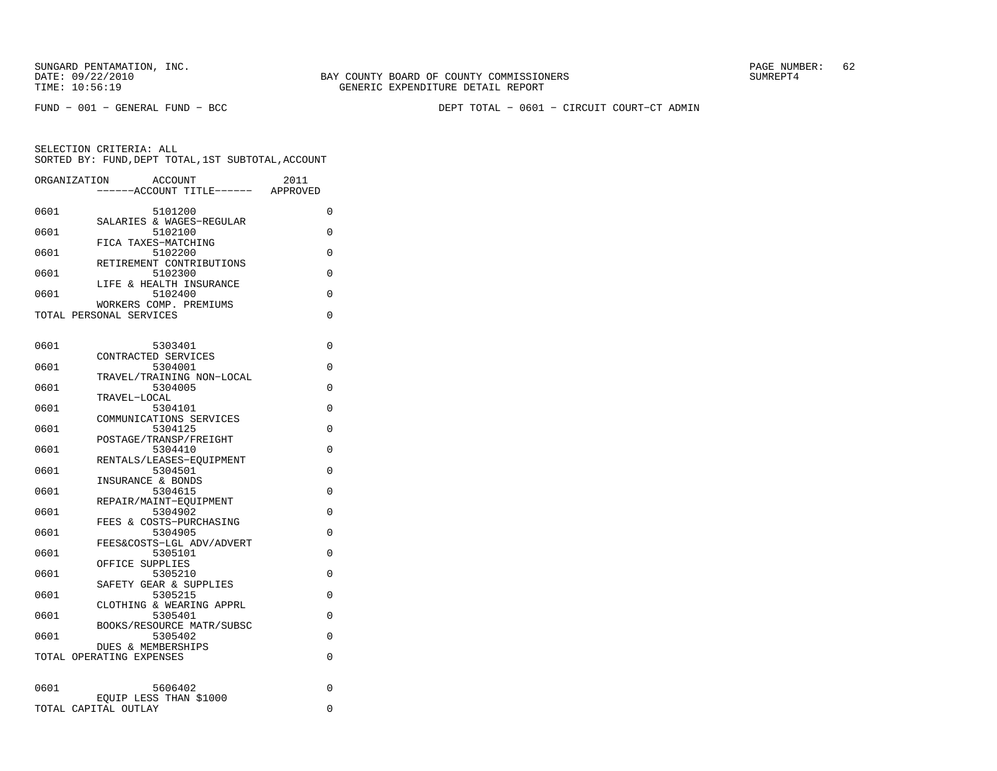FUND − 001 − GENERAL FUND − BCC DEPT TOTAL − 0601 − CIRCUIT COURT−CT ADMIN

| ORGANIZATION |                               | <b>ACCOUNT</b><br>----ACCOUNT TITLE------ | 2011<br>APPROVED |
|--------------|-------------------------------|-------------------------------------------|------------------|
|              |                               |                                           |                  |
| 0601         |                               | 5101200                                   | 0                |
|              |                               | SALARIES & WAGES-REGULAR                  |                  |
| 0601         |                               | 5102100                                   | $\Omega$         |
| 0601         |                               | FICA TAXES-MATCHING<br>5102200            | 0                |
|              |                               | RETIREMENT CONTRIBUTIONS                  |                  |
| 0601         |                               | 5102300                                   | 0                |
|              |                               | LIFE & HEALTH INSURANCE                   |                  |
| 0601         |                               | 5102400                                   | 0                |
|              |                               | WORKERS COMP. PREMIUMS                    |                  |
|              | TOTAL PERSONAL SERVICES       |                                           | 0                |
|              |                               |                                           |                  |
| 0601         |                               | 5303401                                   | 0                |
|              |                               | CONTRACTED SERVICES                       |                  |
| 0601         |                               | 5304001                                   | $\Omega$         |
|              |                               | TRAVEL/TRAINING NON-LOCAL                 |                  |
| 0601         |                               | 5304005                                   | 0                |
| 0601         | TRAVEL-LOCAL                  | 5304101                                   | $\Omega$         |
|              |                               | COMMUNICATIONS SERVICES                   |                  |
| 0601         |                               | 5304125                                   | 0                |
|              |                               | POSTAGE/TRANSP/FREIGHT                    |                  |
| 0601         |                               | 5304410                                   | 0                |
|              |                               | RENTALS/LEASES-EQUIPMENT                  |                  |
| 0601         | INSURANCE & BONDS             | 5304501                                   | 0                |
| 0601         |                               | 5304615                                   | 0                |
|              |                               | REPAIR/MAINT-EQUIPMENT                    |                  |
| 0601         |                               | 5304902                                   | 0                |
|              |                               | FEES & COSTS-PURCHASING                   |                  |
| 0601         |                               | 5304905                                   | $\Omega$         |
| 0601         |                               | FEES&COSTS-LGL ADV/ADVERT<br>5305101      | $\Omega$         |
|              | OFFICE SUPPLIES               |                                           |                  |
| 0601         |                               | 5305210                                   | 0                |
|              |                               | SAFETY GEAR & SUPPLIES                    |                  |
| 0601         |                               | 5305215                                   | 0                |
|              |                               | CLOTHING & WEARING APPRL                  |                  |
| 0601         |                               | 5305401<br>BOOKS/RESOURCE MATR/SUBSC      | 0                |
| 0601         |                               | 5305402                                   | $\Omega$         |
|              | <b>DUES &amp; MEMBERSHIPS</b> |                                           |                  |
|              | TOTAL OPERATING EXPENSES      |                                           | 0                |
|              |                               |                                           |                  |
|              |                               |                                           |                  |
| 0601         |                               | 5606402<br>EOUIP LESS THAN \$1000         | 0                |
|              | TOTAL CAPITAL OUTLAY          |                                           | $\Omega$         |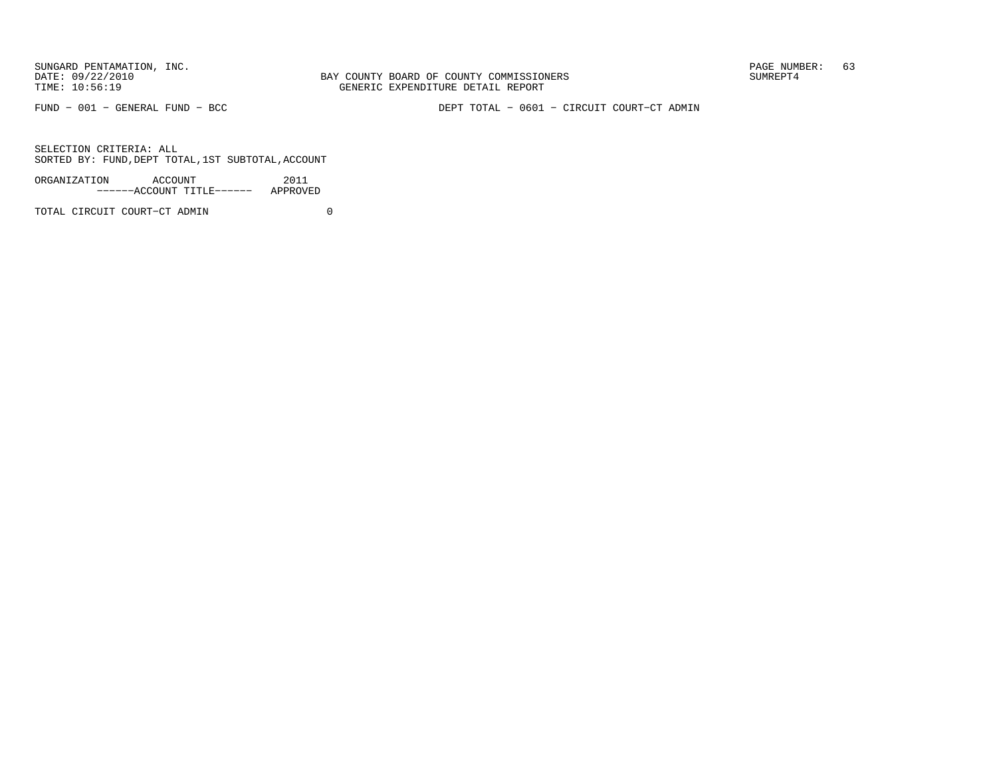BAY COUNTY BOARD OF COUNTY COMMISSIONERS TIME: 10:56:19 GENERIC EXPENDITURE DETAIL REPORT

FUND − 001 − GENERAL FUND − BCC DEPT TOTAL − 0601 − CIRCUIT COURT−CT ADMIN

SELECTION CRITERIA: ALLSORTED BY: FUND, DEPT TOTAL, 1ST SUBTOTAL, ACCOUNT

| ORGANIZATION | ACCOUNT |                           | 2011     |
|--------------|---------|---------------------------|----------|
|              |         | ------ACCOUNT TITLE------ | APPROVED |

TOTAL CIRCUIT COURT−CT ADMIN 0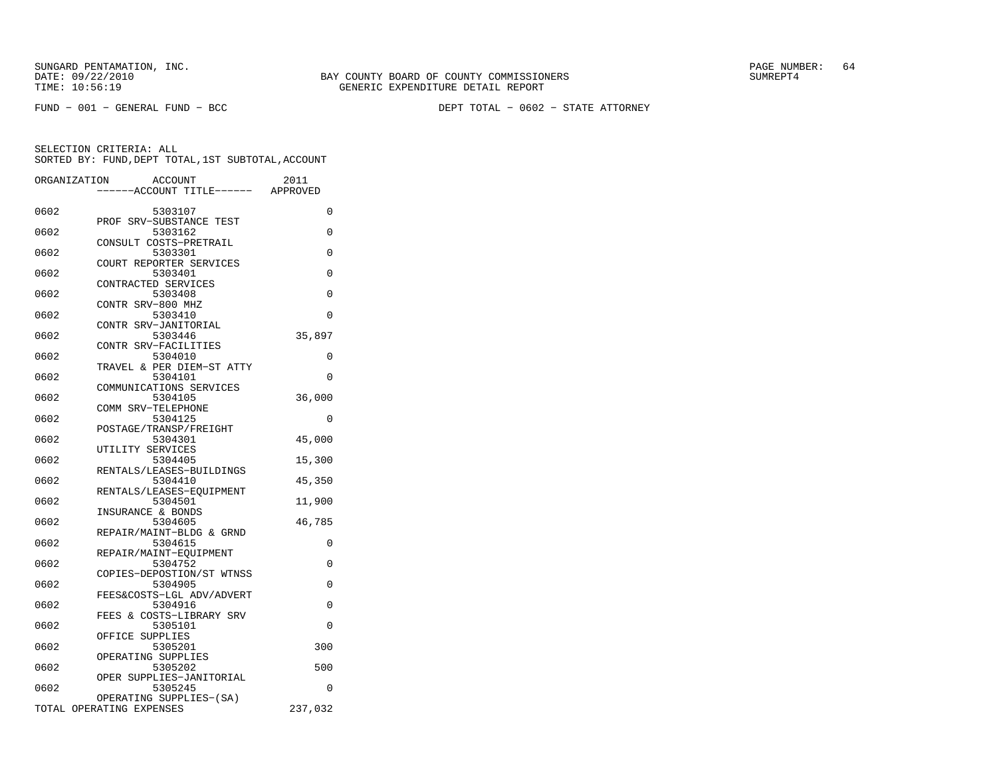FUND − 001 − GENERAL FUND − BCC DEPT TOTAL − 0602 − STATE ATTORNEY

|      | ORGANIZATION<br>ACCOUNT<br>---ACCOUNT TITLE------   | 2011<br>APPROVED |
|------|-----------------------------------------------------|------------------|
|      |                                                     |                  |
| 0602 | 5303107                                             | 0                |
| 0602 | PROF SRV-SUBSTANCE TEST<br>5303162                  | 0                |
| 0602 | CONSULT COSTS-PRETRAIL<br>5303301                   | 0                |
| 0602 | COURT REPORTER SERVICES<br>5303401                  | $\Omega$         |
| 0602 | CONTRACTED SERVICES<br>5303408                      | $\Omega$         |
| 0602 | CONTR SRV-800 MHZ<br>5303410                        | $\Omega$         |
| 0602 | CONTR SRV-JANITORIAL<br>5303446                     | 35,897           |
| 0602 | CONTR SRV-FACILITIES<br>5304010                     | 0                |
|      | TRAVEL & PER DIEM-ST ATTY                           |                  |
| 0602 | 5304101<br>COMMUNICATIONS SERVICES                  | 0                |
| 0602 | 5304105<br>COMM SRV-TELEPHONE                       | 36,000           |
| 0602 | 5304125<br>POSTAGE/TRANSP/FREIGHT                   | 0                |
| 0602 | 5304301                                             | 45,000           |
| 0602 | UTILITY SERVICES<br>5304405                         | 15,300           |
| 0602 | RENTALS/LEASES-BUILDINGS<br>5304410                 | 45,350           |
| 0602 | RENTALS/LEASES-EQUIPMENT<br>5304501                 | 11,900           |
| 0602 | INSURANCE & BONDS<br>5304605                        | 46,785           |
| 0602 | REPAIR/MAINT-BLDG & GRND<br>5304615                 | 0                |
| 0602 | REPAIR/MAINT-EQUIPMENT<br>5304752                   | 0                |
| 0602 | COPIES-DEPOSTION/ST WTNSS<br>5304905                | 0                |
|      | FEES&COSTS-LGL ADV/ADVERT                           |                  |
| 0602 | 5304916<br>FEES & COSTS-LIBRARY SRV                 | 0                |
| 0602 | 5305101<br>OFFICE<br>SUPPLIES                       | 0                |
| 0602 | 5305201<br>OPERATING SUPPLIES                       | 300              |
| 0602 | 5305202<br>OPER SUPPLIES-JANITORIAL                 | 500              |
| 0602 | 5305245                                             | 0                |
|      | OPERATING SUPPLIES-(SA)<br>TOTAL OPERATING EXPENSES | 237,032          |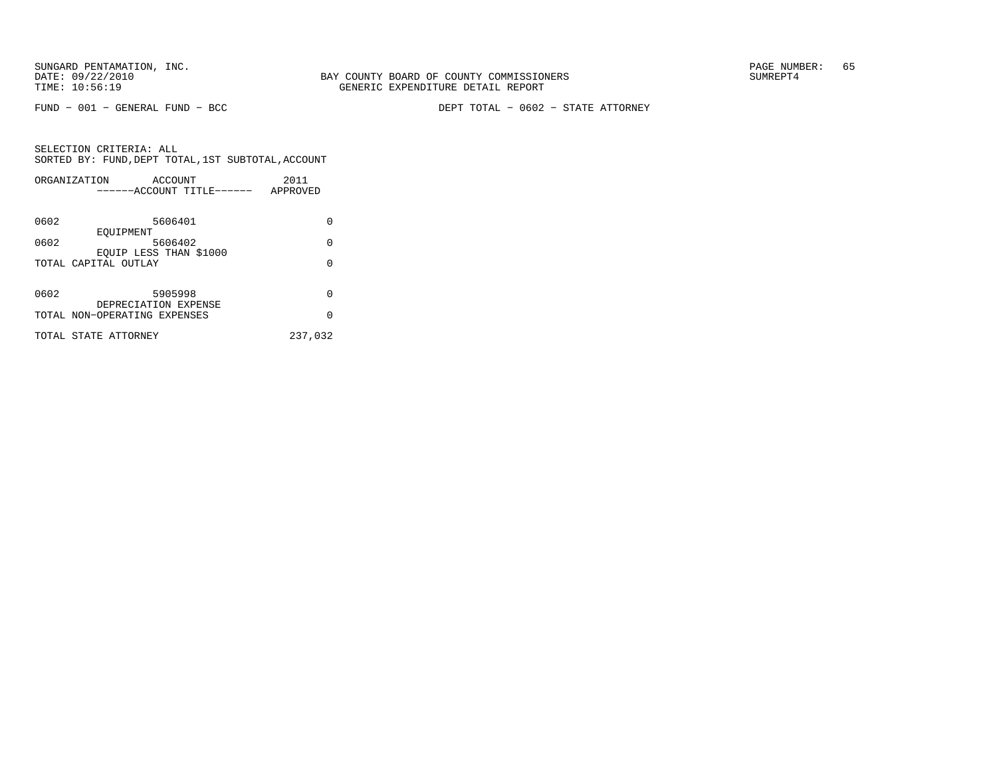FUND − 001 − GENERAL FUND − BCC DEPT TOTAL − 0602 − STATE ATTORNEY

| ORGANIZATION | ACCOUNT<br>------ACCOUNT TITLE------                 | 2011<br>APPROVED |
|--------------|------------------------------------------------------|------------------|
| 0602         | 5606401                                              | U                |
| 0602         | EOUIPMENT<br>5606402<br>EOUIP LESS THAN \$1000       | 0                |
|              | TOTAL CAPITAL OUTLAY                                 | $\Omega$         |
| 0602         | 5905998                                              | O                |
|              | DEPRECIATION EXPENSE<br>TOTAL NON-OPERATING EXPENSES | $\Omega$         |
|              | TOTAL STATE ATTORNEY                                 | 237,032          |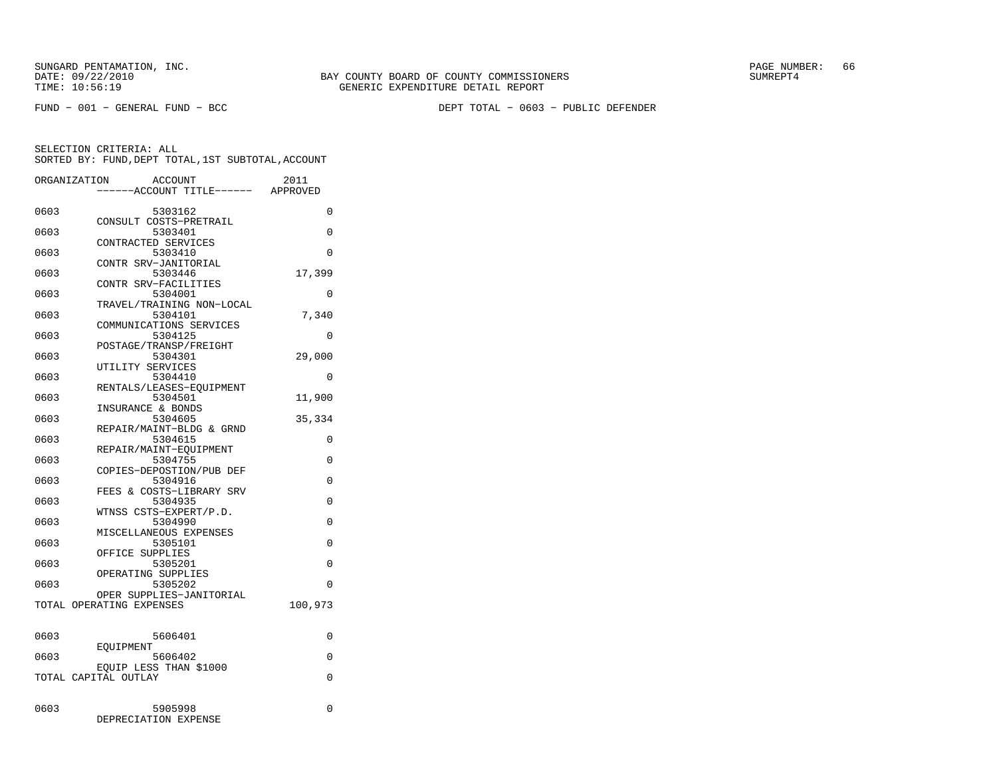FUND − 001 − GENERAL FUND − BCC DEPT TOTAL − 0603 − PUBLIC DEFENDER

|              | ORGANIZATION             | <b>ACCOUNT</b><br>---ACCOUNT TITLE------       | 2011<br>APPROVED |
|--------------|--------------------------|------------------------------------------------|------------------|
| 0603         |                          | 5303162<br>CONSULT COSTS-PRETRAIL              | 0                |
| 0603         |                          | 5303401<br>CONTRACTED SERVICES                 | $\Omega$         |
| 0603         |                          | 5303410<br>CONTR SRV-JANITORIAL                | 0                |
| 0603         |                          | 5303446<br>CONTR SRV-FACILITIES                | 17,399           |
| 0603         |                          | 5304001<br>TRAVEL/TRAINING NON-LOCAL           | $\Omega$         |
| 0603         |                          | 5304101<br>COMMUNICATIONS SERVICES             | 7,340            |
| 0603         |                          | 5304125<br>POSTAGE/TRANSP/FREIGHT              | 0                |
| 0603         |                          | 5304301<br>UTILITY SERVICES                    | 29,000           |
| 0603         |                          | 5304410<br>RENTALS/LEASES-EQUIPMENT            | $\Omega$         |
| 0603         |                          | 5304501<br>INSURANCE & BONDS                   | 11,900           |
| 0603<br>0603 |                          | 5304605<br>REPAIR/MAINT-BLDG & GRND<br>5304615 | 35,334<br>0      |
| 0603         |                          | REPAIR/MAINT-EOUIPMENT<br>5304755              | 0                |
| 0603         |                          | COPIES-DEPOSTION/PUB DEF<br>5304916            | $\Omega$         |
| 0603         |                          | FEES & COSTS-LIBRARY SRV<br>5304935            | 0                |
| 0603         |                          | WTNSS CSTS-EXPERT/P.D.<br>5304990              | 0                |
| 0603         |                          | MISCELLANEOUS EXPENSES<br>5305101              | 0                |
| 0603         |                          | OFFICE SUPPLIES<br>5305201                     | 0                |
| 0603         |                          | OPERATING SUPPLIES<br>5305202                  | $\Omega$         |
|              | TOTAL OPERATING EXPENSES | OPER SUPPLIES-JANITORIAL                       | 100,973          |
| 0603         |                          | 5606401                                        | $\Omega$         |
| 0603         | EOUIPMENT                | 5606402                                        | 0                |
|              | TOTAL CAPITAL OUTLAY     | EOUIP LESS THAN \$1000                         | 0                |
|              |                          |                                                |                  |
| 0603         |                          | 5905998<br>DEPRECIATION EXPENSE                | 0                |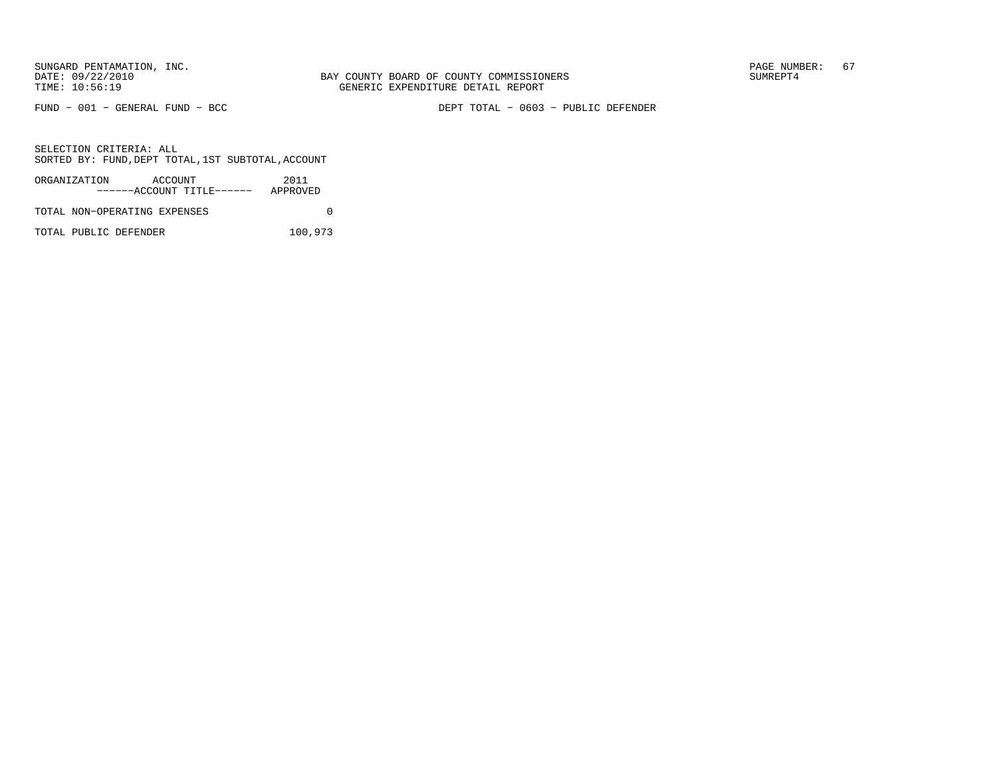FUND − 001 − GENERAL FUND − BCC DEPT TOTAL − 0603 − PUBLIC DEFENDER

SELECTION CRITERIA: ALLSORTED BY: FUND, DEPT TOTAL, 1ST SUBTOTAL, ACCOUNT

| ORGANIZATION                 | ACCOUNT |                           | 2011     |  |
|------------------------------|---------|---------------------------|----------|--|
|                              |         | ------ACCOUNT TITLE------ | APPROVED |  |
| TOTAL NON-OPERATING EXPENSES |         |                           |          |  |

TOTAL PUBLIC DEFENDER 100,973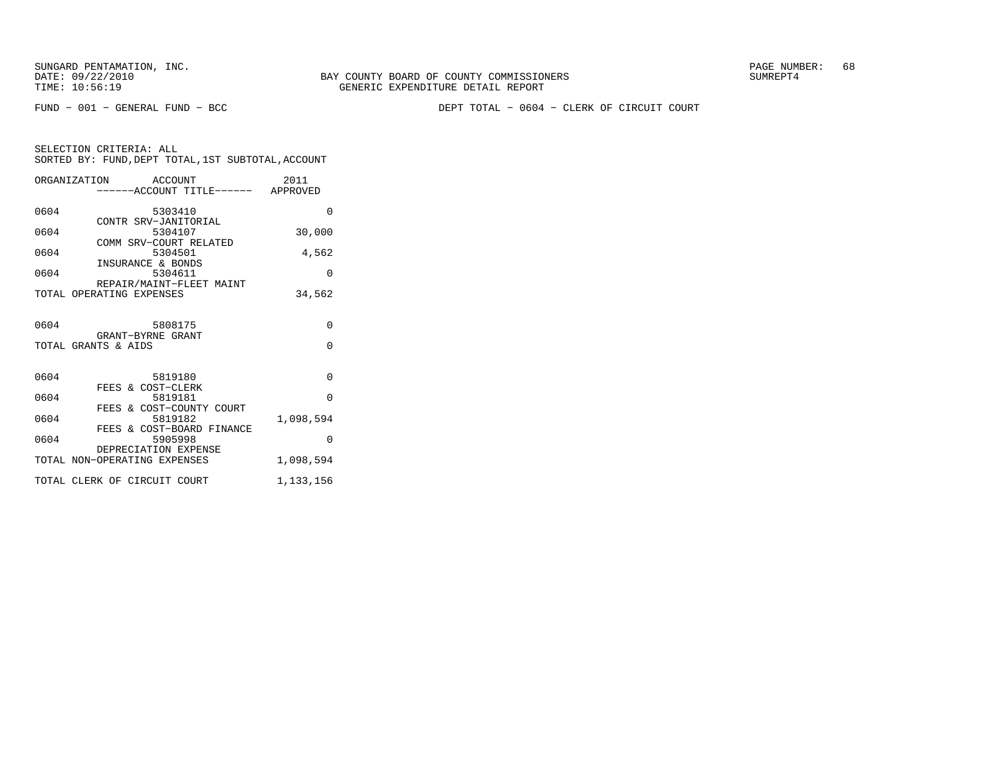FUND − 001 − GENERAL FUND − BCC DEPT TOTAL − 0604 − CLERK OF CIRCUIT COURT

| SELECTION CRITERIA: ALL |  |  |                                                 |  |
|-------------------------|--|--|-------------------------------------------------|--|
|                         |  |  | SORTED BY: FUND,DEPT TOTAL,1ST SUBTOTAL,ACCOUNT |  |

|      | ORGANIZATION ACCOUNT<br>-----ACCOUNT TITLE------ APPROVED | 2011      |
|------|-----------------------------------------------------------|-----------|
| 0604 | 5303410                                                   | $\Omega$  |
| 0604 | CONTR SRV-JANITORIAL<br>5304107                           | 30,000    |
| 0604 | COMM SRV-COURT RELATED<br>5304501                         | 4,562     |
| 0604 | INSURANCE & BONDS<br>5304611                              | $\Omega$  |
|      | REPAIR/MAINT-FLEET MAINT<br>TOTAL OPERATING EXPENSES      | 34,562    |
| 0604 | 5808175                                                   | $\Omega$  |
|      | GRANT-BYRNE GRANT<br>TOTAL GRANTS & AIDS                  | $\Omega$  |
| 0604 | 5819180<br>FEES & COST-CLERK                              | $\Omega$  |
| 0604 | 5819181                                                   | $\Omega$  |
| 0604 | FEES & COST-COUNTY COURT<br>5819182                       | 1,098,594 |
| 0604 | FEES & COST-BOARD FINANCE<br>5905998                      | $\Omega$  |
|      | DEPRECIATION EXPENSE<br>TOTAL NON-OPERATING EXPENSES      | 1,098,594 |
|      | TOTAL CLERK OF CIRCUIT COURT                              | 1,133,156 |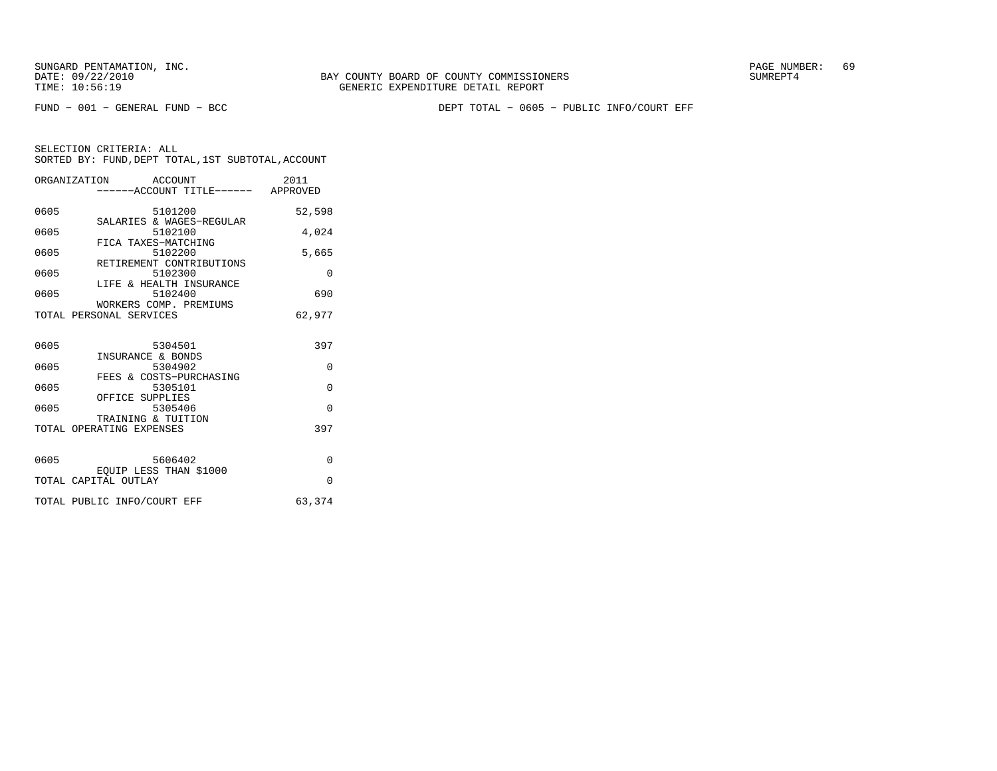FUND − 001 − GENERAL FUND − BCC DEPT TOTAL − 0605 − PUBLIC INFO/COURT EFF

| ORGANIZATION ACCOUNT<br>-----ACCOUNT TITLE------ APPROVED          | 2011     |
|--------------------------------------------------------------------|----------|
| 0605<br>5101200                                                    | 52,598   |
| SALARIES & WAGES-REGULAR<br>0605<br>5102100<br>FICA TAXES-MATCHING | 4,024    |
| 0605<br>5102200<br>RETIREMENT CONTRIBUTIONS                        | 5,665    |
| 0605<br>5102300                                                    | $\Omega$ |
| LIFE & HEALTH INSURANCE<br>5102400<br>0605                         | 690      |
| WORKERS COMP. PREMIUMS<br>TOTAL PERSONAL SERVICES                  | 62,977   |
| 0605<br>5304501                                                    | 397      |
| INSURANCE & BONDS<br>0605<br>5304902                               | 0        |
| FEES & COSTS-PURCHASING<br>0605<br>5305101                         | $\Omega$ |
| OFFICE SUPPLIES<br>0605<br>5305406                                 | $\Omega$ |
| TRAINING & TUITION                                                 | 397      |
| TOTAL OPERATING EXPENSES                                           |          |
| 0605<br>5606402<br>EOUIP LESS THAN \$1000                          | $\Omega$ |
| TOTAL CAPITAL OUTLAY                                               | $\Omega$ |
| TOTAL PUBLIC INFO/COURT EFF                                        | 63,374   |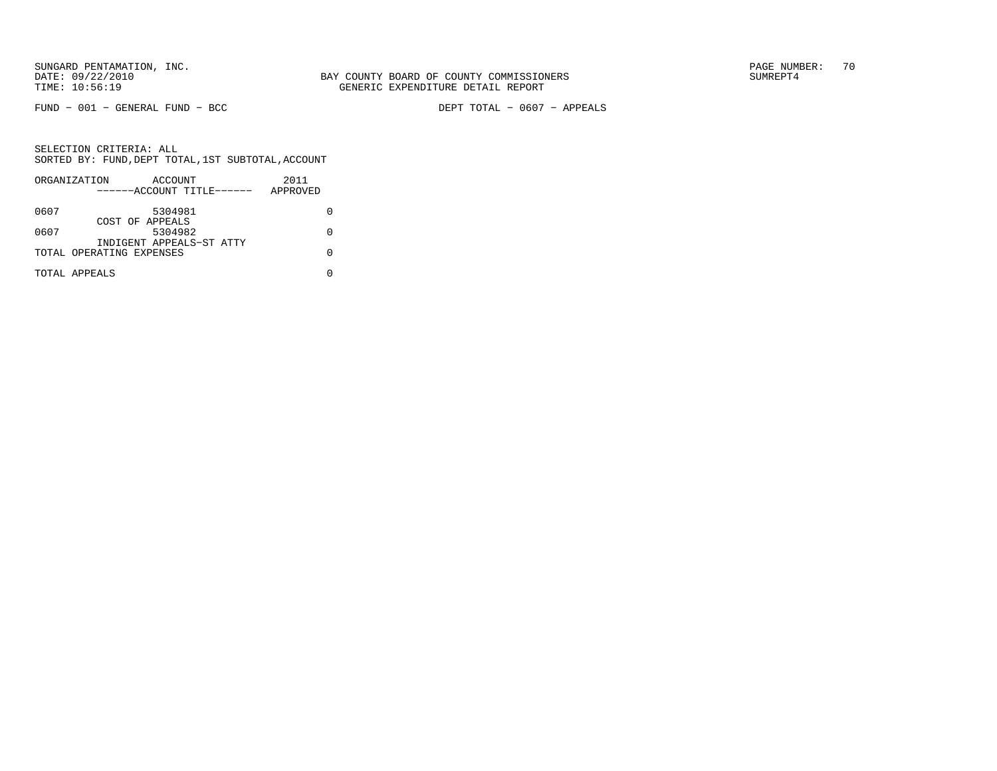$FUND - 001 - GENERAL FUND - BCC$ 

DEPT TOTAL - 0607 - APPEALS

|      | ORGANIZATION              | ACCOUNT |  | 2011     |  |
|------|---------------------------|---------|--|----------|--|
|      | ------ACCOUNT TITLE------ |         |  | APPROVED |  |
| 0607 |                           | 5304981 |  |          |  |
|      | COST OF APPEALS           |         |  |          |  |
| 0607 |                           | 5304982 |  |          |  |
|      | INDIGENT APPEALS-ST ATTY  |         |  |          |  |
|      | TOTAL OPERATING EXPENSES  |         |  |          |  |
|      | TOTAL APPEALS             |         |  |          |  |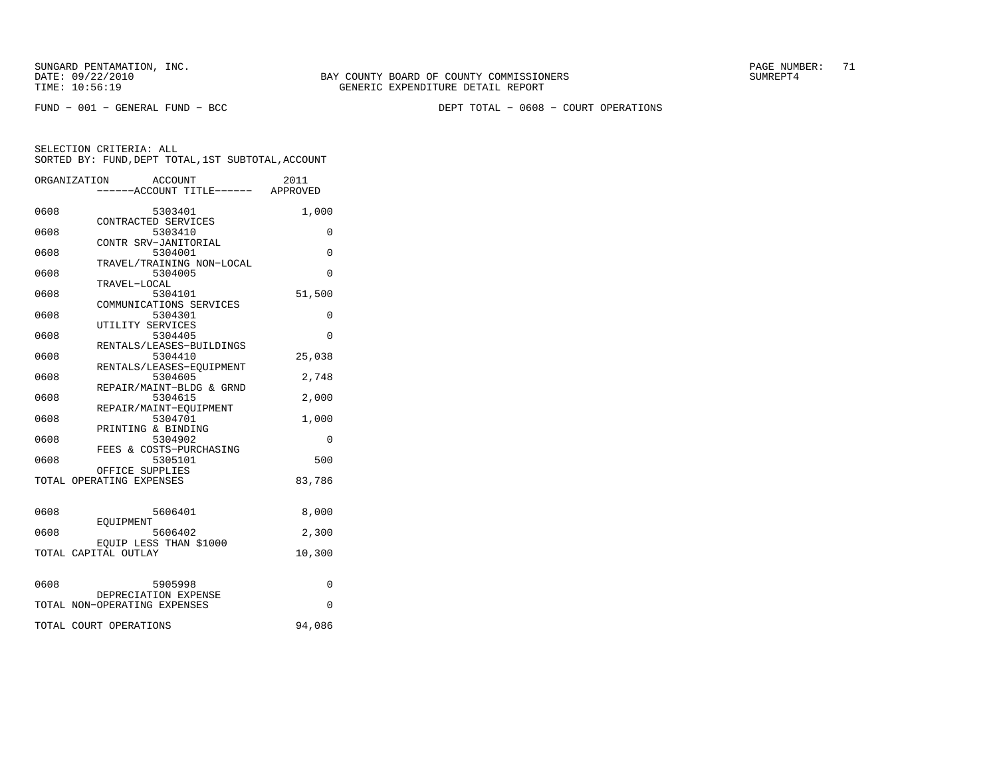FUND − 001 − GENERAL FUND − BCC DEPT TOTAL − 0608 − COURT OPERATIONS

|      | ORGANIZATION<br>ACCOUNT<br>----ACCOUNT TITLE------ APPROVED | 2011   |
|------|-------------------------------------------------------------|--------|
| 0608 | 5303401                                                     | 1,000  |
| 0608 | CONTRACTED SERVICES<br>5303410                              | 0      |
| 0608 | CONTR SRV-JANITORIAL<br>5304001                             | 0      |
| 0608 | TRAVEL/TRAINING NON-LOCAL<br>5304005                        | 0      |
| 0608 | TRAVEL-LOCAL<br>5304101                                     | 51,500 |
| 0608 | COMMUNICATIONS SERVICES<br>5304301                          | 0      |
| 0608 | UTILITY SERVICES<br>5304405                                 | 0      |
| 0608 | RENTALS/LEASES-BUILDINGS<br>5304410                         | 25,038 |
| 0608 | RENTALS/LEASES-EQUIPMENT<br>5304605                         | 2,748  |
| 0608 | REPAIR/MAINT-BLDG & GRND<br>5304615                         | 2,000  |
| 0608 | REPAIR/MAINT-EOUIPMENT<br>5304701                           | 1,000  |
| 0608 | PRINTING & BINDING<br>5304902                               | 0      |
| 0608 | FEES & COSTS-PURCHASING<br>5305101                          | 500    |
|      | OFFICE SUPPLIES<br>TOTAL OPERATING EXPENSES                 | 83,786 |
| 0608 | 5606401                                                     | 8,000  |
| 0608 | EOUIPMENT<br>5606402                                        | 2,300  |
|      | EQUIP LESS THAN \$1000<br>TOTAL CAPITAL OUTLAY              | 10,300 |
|      |                                                             |        |
| 0608 | 5905998<br>DEPRECIATION EXPENSE                             | 0      |
|      | TOTAL NON-OPERATING EXPENSES                                | 0      |
|      | TOTAL COURT OPERATIONS                                      | 94,086 |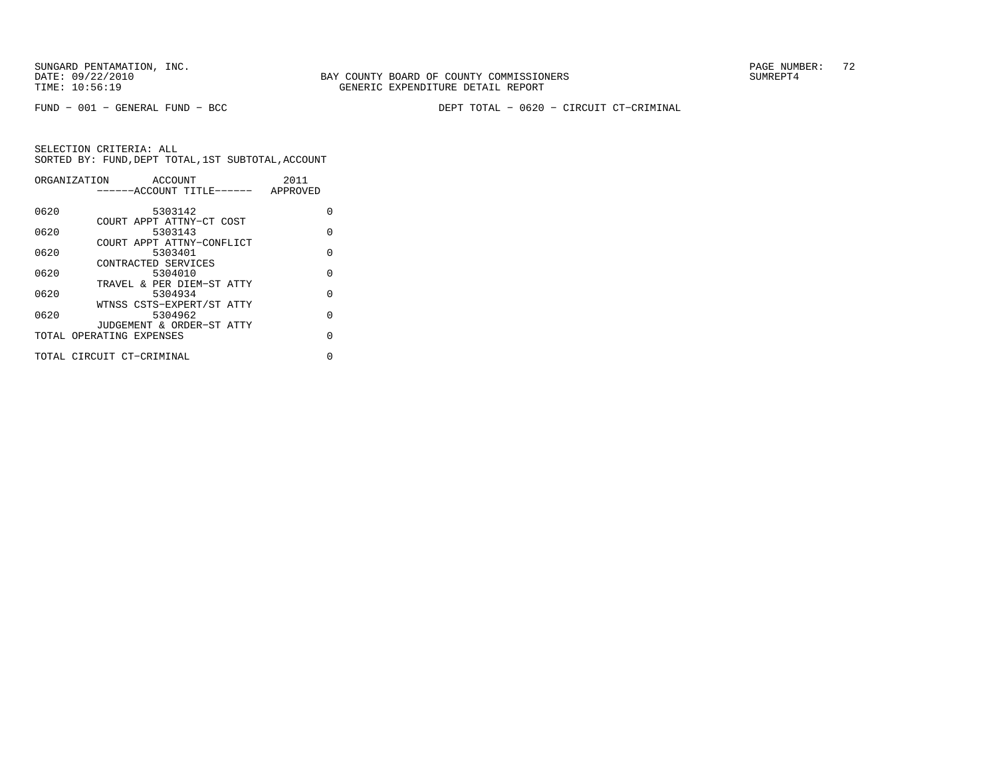FUND − 001 − GENERAL FUND − BCC DEPT TOTAL − 0620 − CIRCUIT CT−CRIMINAL

| ORGANIZATION |                           | ACCOUNT |  | 2011     |          |
|--------------|---------------------------|---------|--|----------|----------|
|              | ------ACCOUNT TITLE------ |         |  | APPROVED |          |
|              |                           |         |  |          |          |
| 0620         |                           | 5303142 |  |          | O        |
|              | COURT APPT ATTNY-CT COST  |         |  |          |          |
| 0620         |                           | 5303143 |  |          | $\Omega$ |
|              | COURT APPT ATTNY-CONFLICT |         |  |          |          |
| 0620         |                           | 5303401 |  |          | $\Omega$ |
|              | CONTRACTED SERVICES       |         |  |          |          |
| 0620         |                           | 5304010 |  |          | $\Omega$ |
|              | TRAVEL & PER DIEM-ST ATTY |         |  |          |          |
| 0620         |                           | 5304934 |  |          | $\Omega$ |
|              | WTNSS CSTS-EXPERT/ST ATTY |         |  |          |          |
| 0620         |                           | 5304962 |  |          | $\Omega$ |
|              | JUDGEMENT & ORDER-ST ATTY |         |  |          |          |
|              | TOTAL OPERATING EXPENSES  |         |  |          | $\Omega$ |
|              |                           |         |  |          |          |
|              | TOTAL CIRCUIT CT-CRIMINAL |         |  |          | 0        |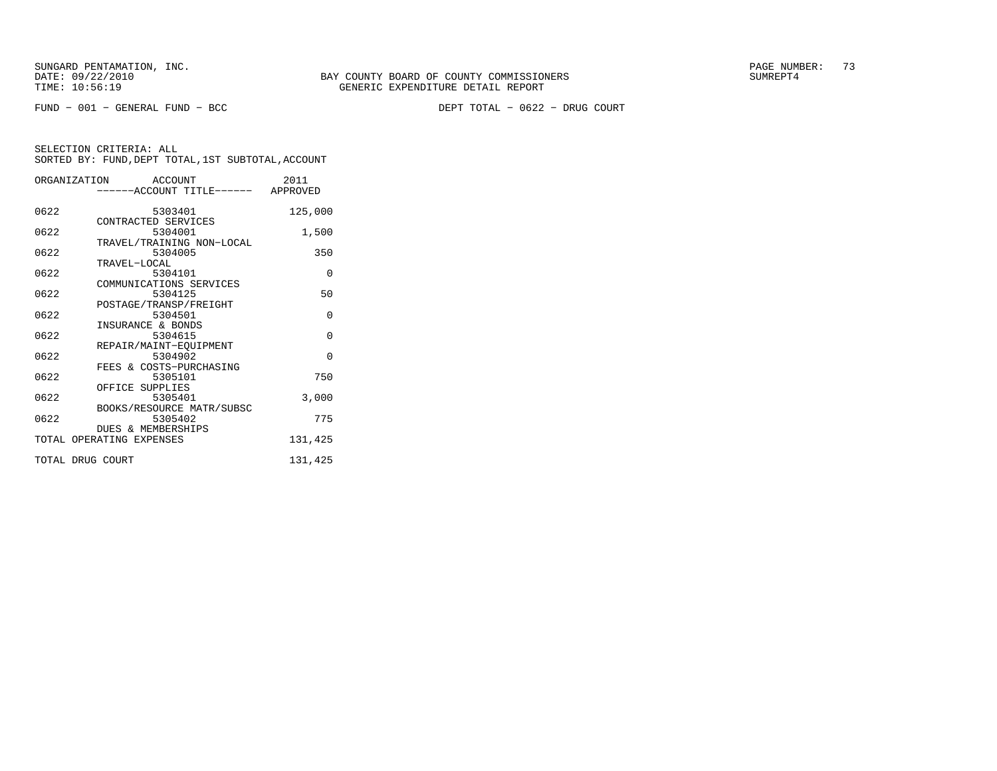DEPT TOTAL - 0622 - DRUG COURT

|                  | ORGANIZATION ACCOUNT                 | 2011     |
|------------------|--------------------------------------|----------|
|                  | ------ACCOUNT TITLE------ APPROVED   |          |
| 0622             | 5303401                              | 125,000  |
| 0622             | CONTRACTED SERVICES<br>5304001       | 1,500    |
| 0622             | TRAVEL/TRAINING NON-LOCAL<br>5304005 | 350      |
| 0622             | TRAVEL-LOCAL<br>5304101              | $\Omega$ |
| 0622             | COMMUNICATIONS SERVICES<br>5304125   | 50       |
| 0622             | POSTAGE/TRANSP/FREIGHT<br>5304501    | $\Omega$ |
| 0622             | INSURANCE & BONDS<br>5304615         | $\Omega$ |
| 0622             | REPAIR/MAINT-EOUIPMENT<br>5304902    | $\Omega$ |
| 0622             | FEES & COSTS-PURCHASING<br>5305101   | 750      |
| 0622             | OFFICE SUPPLIES<br>5305401           | 3,000    |
| 0622             | BOOKS/RESOURCE MATR/SUBSC<br>5305402 | 775      |
|                  | <b>DUES &amp; MEMBERSHIPS</b>        |          |
|                  | TOTAL OPERATING EXPENSES             | 131,425  |
| TOTAL DRUG COURT |                                      | 131,425  |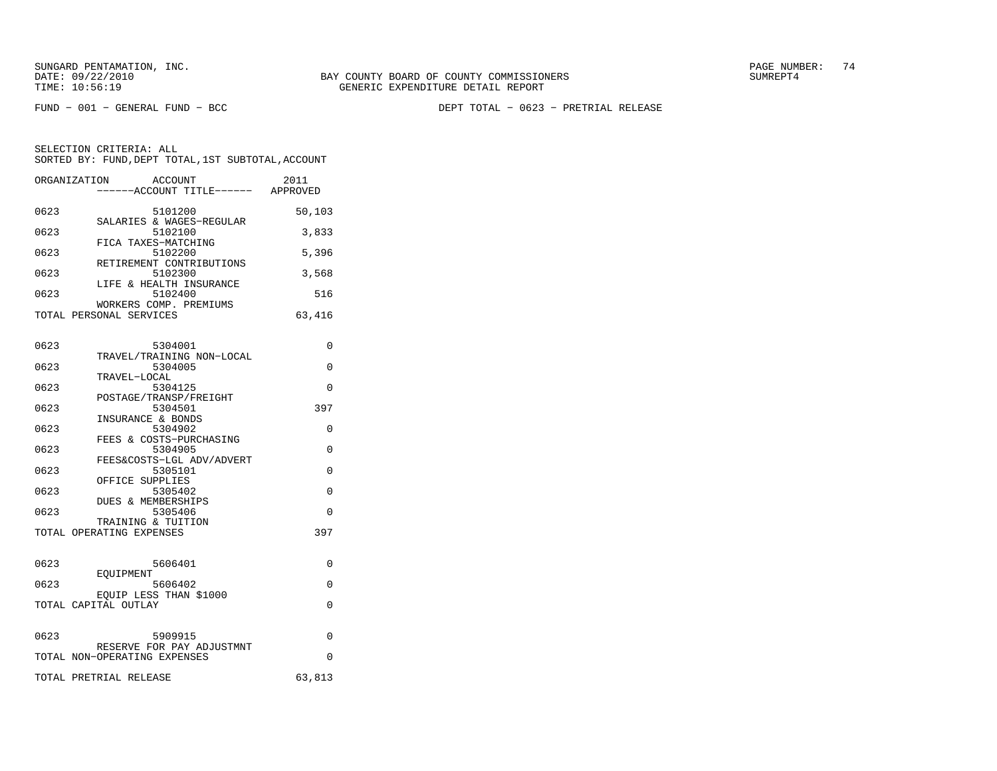FUND − 001 − GENERAL FUND − BCC DEPT TOTAL − 0623 − PRETRIAL RELEASE

| ORGANIZATION |                          | ACCOUNT<br>-----ACCOUNT TITLE------ APPROVED | 2011     |
|--------------|--------------------------|----------------------------------------------|----------|
| 0623         |                          | 5101200                                      | 50,103   |
| 0623         |                          | SALARIES & WAGES-REGULAR<br>5102100          | 3,833    |
| 0623         | FICA TAXES-MATCHING      | 5102200                                      | 5,396    |
| 0623         |                          | RETIREMENT CONTRIBUTIONS<br>5102300          | 3,568    |
| 0623         |                          | LIFE & HEALTH INSURANCE<br>5102400           | 516      |
|              | TOTAL PERSONAL SERVICES  | WORKERS COMP. PREMIUMS                       | 63,416   |
|              |                          |                                              |          |
| 0623         |                          | 5304001<br>TRAVEL/TRAINING NON-LOCAL         | 0        |
| 0623         |                          | 5304005                                      | $\Omega$ |
|              | TRAVEL-LOCAL             |                                              |          |
| 0623         |                          | 5304125                                      | $\Omega$ |
| 0623         |                          | POSTAGE/TRANSP/FREIGHT<br>5304501            | 397      |
|              | INSURANCE & BONDS        |                                              |          |
| 0623         |                          | 5304902                                      | $\Omega$ |
|              |                          | FEES & COSTS-PURCHASING                      |          |
| 0623         |                          | 5304905                                      | $\Omega$ |
|              |                          | FEES&COSTS-LGL ADV/ADVERT                    |          |
| 0623         | OFFICE SUPPLIES          | 5305101                                      | $\Omega$ |
| 0623         |                          | 5305402                                      | $\Omega$ |
|              | DUES & MEMBERSHIPS       |                                              |          |
| 0623         |                          | 5305406                                      | $\Omega$ |
|              | TRAINING & TUITION       |                                              |          |
|              | TOTAL OPERATING EXPENSES |                                              | 397      |
| 0623         |                          | 5606401                                      | $\Omega$ |
|              | <b>FOULDMENT</b>         |                                              |          |

|      | LUULPMLNI                    |        |  |
|------|------------------------------|--------|--|
| 0623 | 5606402                      |        |  |
|      | EQUIP LESS THAN \$1000       |        |  |
|      | TOTAL CAPITAL OUTLAY         |        |  |
|      |                              |        |  |
| 0623 | 5909915                      |        |  |
|      | RESERVE FOR PAY ADJUSTMNT    |        |  |
|      | TOTAL NON-OPERATING EXPENSES |        |  |
|      |                              |        |  |
|      | TOTAL PRETRIAL RELEASE       | 63,813 |  |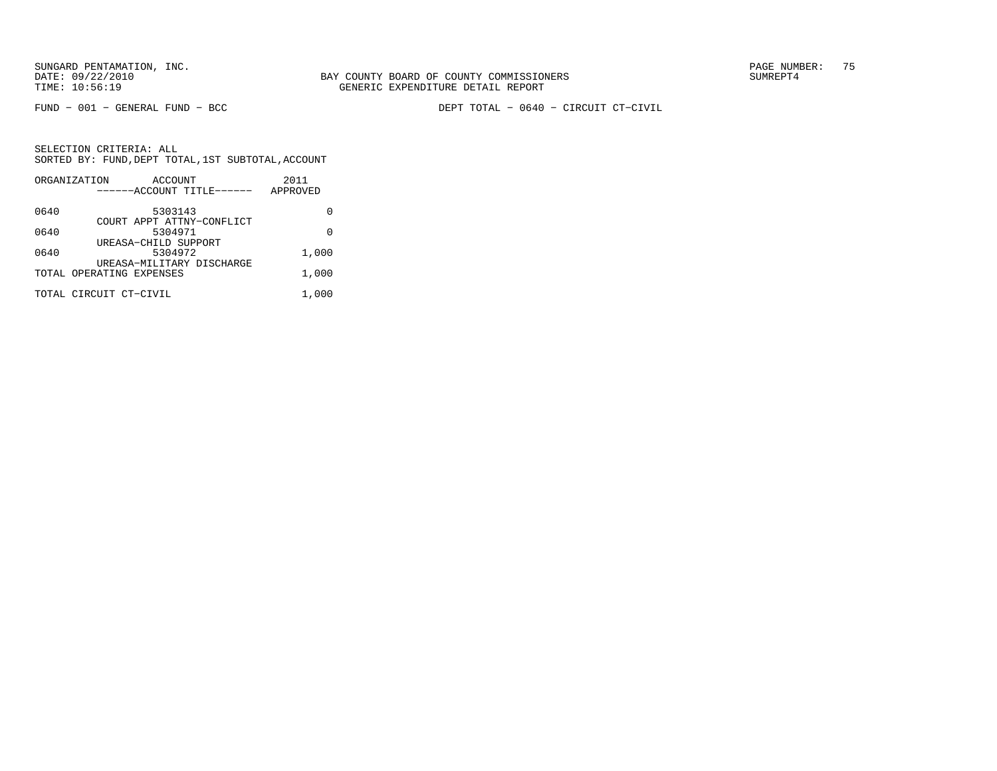FUND − 001 − GENERAL FUND − BCC DEPT TOTAL − 0640 − CIRCUIT CT−CIVIL

|      | ORGANIZATION<br>ACCOUNT   | 2011     |
|------|---------------------------|----------|
|      | ------ACCOUNT TITLE------ | APPROVED |
| 0640 | 5303143                   |          |
|      | COURT APPT ATTNY-CONFLICT |          |
| 0640 | 5304971                   | U        |
|      | UREASA-CHILD SUPPORT      |          |
| 0640 | 5304972                   | 1,000    |
|      | UREASA-MILITARY DISCHARGE |          |
|      | TOTAL OPERATING EXPENSES  | 1,000    |
|      | TOTAL CIRCUIT CT-CIVIL    | 1,000    |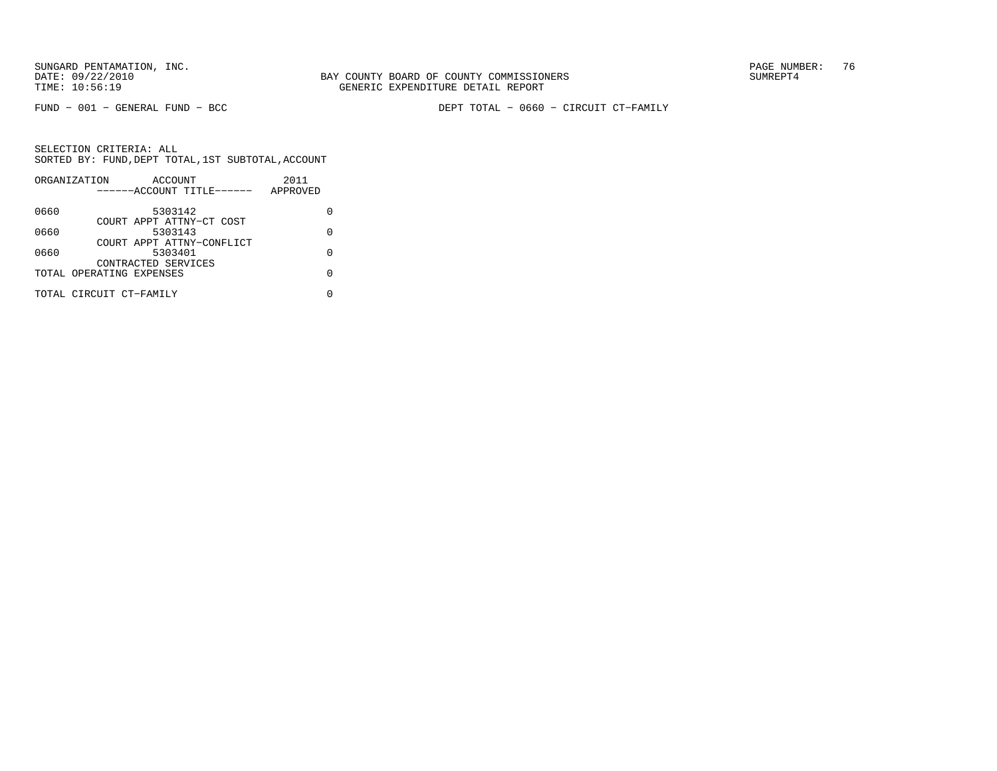FUND − 001 − GENERAL FUND − BCC DEPT TOTAL − 0660 − CIRCUIT CT−FAMILY

|      | ORGANIZATION             | ACCOUNT                   |  | 2011     |   |
|------|--------------------------|---------------------------|--|----------|---|
|      |                          | ------ACCOUNT TITLE------ |  | APPROVED |   |
| 0660 |                          | 5303142                   |  |          |   |
|      |                          | COURT APPT ATTNY-CT COST  |  |          |   |
| 0660 |                          | 5303143                   |  |          | U |
|      |                          | COURT APPT ATTNY-CONFLICT |  |          |   |
| 0660 |                          | 5303401                   |  |          | U |
|      |                          | CONTRACTED SERVICES       |  |          |   |
|      | TOTAL OPERATING EXPENSES |                           |  |          |   |
|      |                          |                           |  |          |   |
|      | TOTAL CIRCUIT CT-FAMILY  |                           |  |          |   |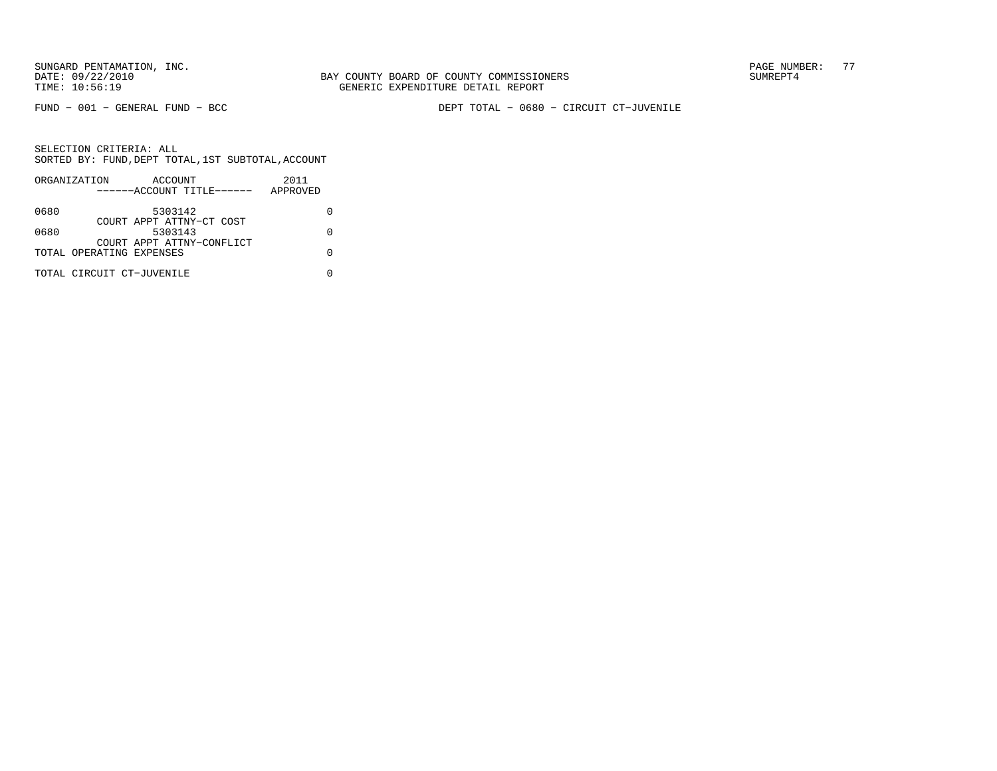FUND − 001 − GENERAL FUND − BCC DEPT TOTAL − 0680 − CIRCUIT CT−JUVENILE

|      | ORGANIZATION              | ACCOUNT                   |  | 2011     |  |
|------|---------------------------|---------------------------|--|----------|--|
|      |                           | ------ACCOUNT TITLE------ |  | APPROVED |  |
| 0680 |                           | 5303142                   |  |          |  |
|      |                           | COURT APPT ATTNY-CT COST  |  |          |  |
| 0680 |                           | 5303143                   |  |          |  |
|      |                           | COURT APPT ATTNY-CONFLICT |  |          |  |
|      | TOTAL OPERATING EXPENSES  |                           |  |          |  |
|      | TOTAL CIRCUIT CT-JUVENILE |                           |  |          |  |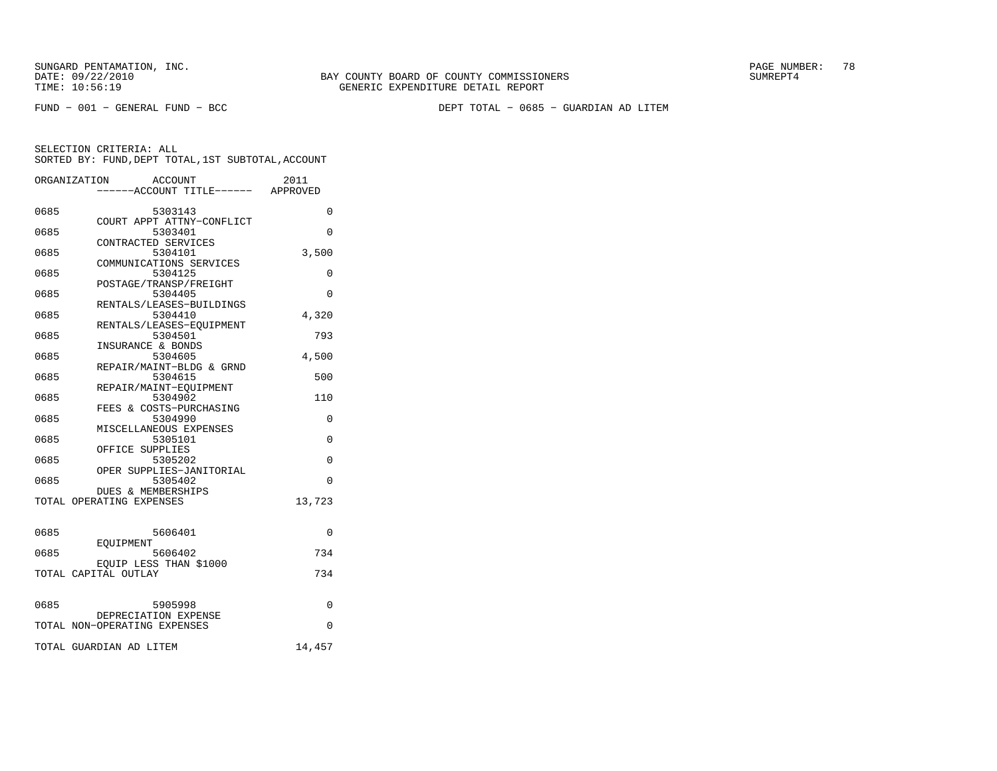FUND − 001 − GENERAL FUND − BCC DEPT TOTAL − 0685 − GUARDIAN AD LITEM

|      | ORGANIZATION<br><b>ACCOUNT</b>      | 2011     |
|------|-------------------------------------|----------|
|      | ---ACCOUNT TITLE------ APPROVED     |          |
| 0685 | 5303143                             | $\Omega$ |
|      | COURT APPT ATTNY-CONFLICT           |          |
| 0685 | 5303401                             | $\Omega$ |
| 0685 | CONTRACTED SERVICES<br>5304101      | 3,500    |
|      | COMMUNICATIONS SERVICES             |          |
| 0685 | 5304125                             | $\Omega$ |
|      | POSTAGE/TRANSP/FREIGHT              |          |
| 0685 | 5304405                             | $\Omega$ |
|      | RENTALS/LEASES-BUILDINGS            |          |
| 0685 | 5304410                             | 4,320    |
| 0685 | RENTALS/LEASES-EQUIPMENT<br>5304501 | 793      |
|      | INSURANCE & BONDS                   |          |
| 0685 | 5304605                             | 4,500    |
|      | REPAIR/MAINT-BLDG & GRND            |          |
| 0685 | 5304615                             | 500      |
|      | REPAIR/MAINT-EOUIPMENT              |          |
| 0685 | 5304902                             | 110      |
|      | FEES & COSTS-PURCHASING             |          |
| 0685 | 5304990<br>MISCELLANEOUS EXPENSES   | 0        |
| 0685 | 5305101                             | 0        |
|      | OFFICE SUPPLIES                     |          |
| 0685 | 5305202                             | 0        |
|      | OPER SUPPLIES-JANITORIAL            |          |
| 0685 | 5305402                             | $\Omega$ |
|      | DUES & MEMBERSHIPS                  |          |
|      | TOTAL OPERATING EXPENSES            | 13,723   |
|      |                                     |          |
| 0685 | 5606401                             | 0        |
|      | EOUIPMENT                           |          |
| 0685 | 5606402                             | 734      |
|      | EQUIP LESS THAN \$1000              |          |
|      | TOTAL CAPITAL OUTLAY                | 734      |
|      |                                     |          |
| 0685 | 5905998                             | 0        |
|      | DEPRECIATION EXPENSE                |          |
|      | TOTAL NON-OPERATING EXPENSES        | 0        |
|      |                                     |          |
|      | TOTAL GUARDIAN AD LITEM             | 14,457   |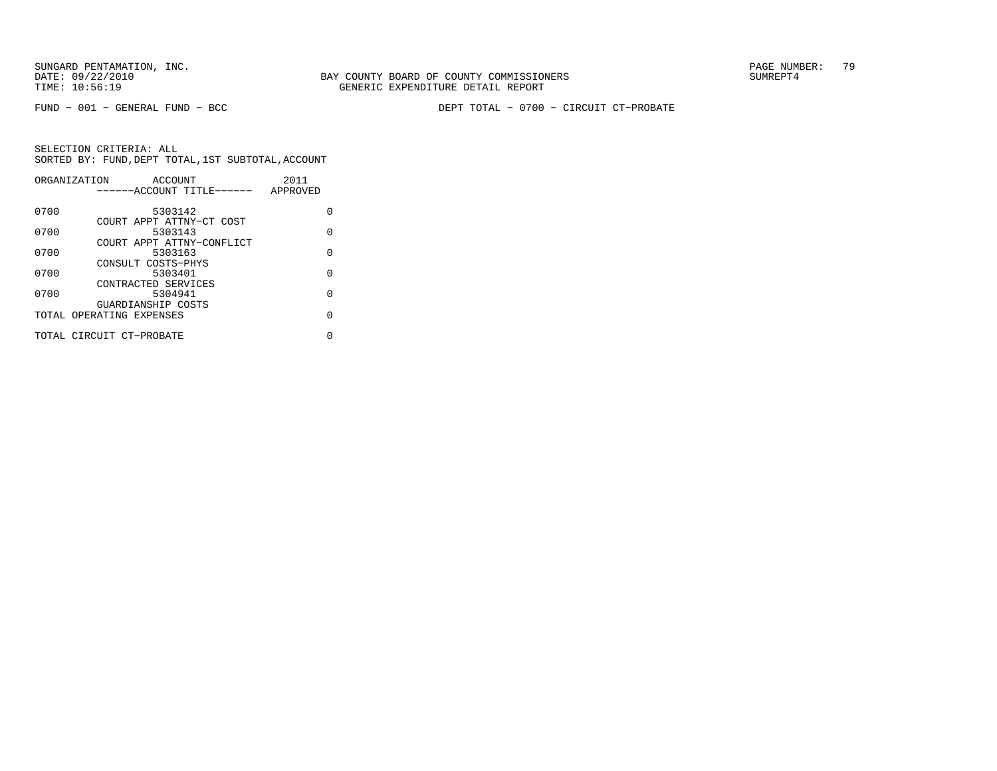FUND − 001 − GENERAL FUND − BCC DEPT TOTAL − 0700 − CIRCUIT CT−PROBATE

|      | ORGANIZATION<br>ACCOUNT                        | 2011     |
|------|------------------------------------------------|----------|
|      | ------ACCOUNT TITLE------                      | APPROVED |
| 0700 | 5303142                                        | U        |
| 0700 | COURT APPT ATTNY-CT COST<br>5303143            | O        |
| 0700 | COURT APPT ATTNY-CONFLICT<br>5303163           | $\Omega$ |
| 0700 | CONSULT COSTS-PHYS<br>5303401                  | O        |
|      | CONTRACTED SERVICES                            |          |
| 0700 | 5304941                                        | $\Omega$ |
|      | GUARDIANSHIP COSTS<br>TOTAL OPERATING EXPENSES | O        |
|      | TOTAL CIRCUIT CT-PROBATE                       | N        |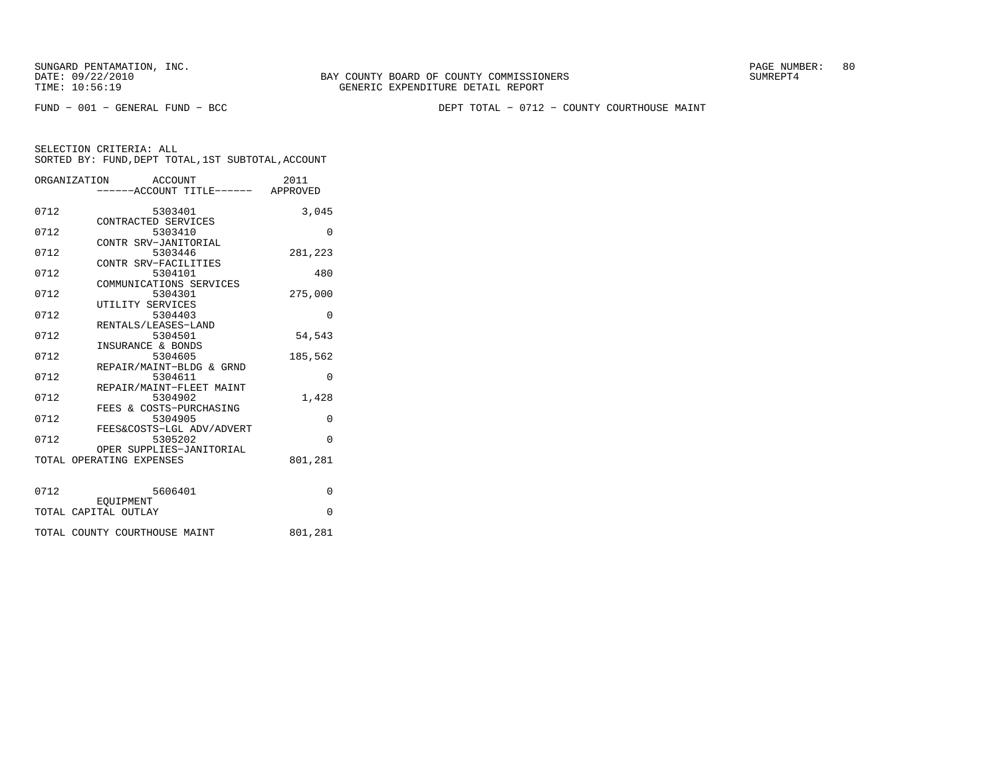FUND − 001 − GENERAL FUND − BCC DEPT TOTAL − 0712 − COUNTY COURTHOUSE MAINT

|      | ORGANIZATION<br>ACCOUNT<br>-----ACCOUNT TITLE------ APPROVED | 2011     |
|------|--------------------------------------------------------------|----------|
| 0712 | 5303401<br>CONTRACTED SERVICES                               | 3,045    |
| 0712 | 5303410<br>CONTR SRV-JANITORIAL                              | $\Omega$ |
| 0712 | 5303446<br>CONTR SRV-FACILITIES                              | 281,223  |
| 0712 | 5304101<br>COMMUNICATIONS SERVICES                           | 480      |
| 0712 | 5304301<br>UTILITY SERVICES                                  | 275,000  |
| 0712 | 5304403<br>RENTALS/LEASES-LAND                               | $\Omega$ |
| 0712 | 5304501<br>INSURANCE & BONDS                                 | 54,543   |
| 0712 | 5304605<br>REPAIR/MAINT-BLDG & GRND                          | 185,562  |
| 0712 | 5304611<br>REPAIR/MAINT-FLEET MAINT                          | $\Omega$ |
| 0712 | 5304902<br>FEES & COSTS-PURCHASING                           | 1,428    |
| 0712 | 5304905<br>FEES&COSTS-LGL ADV/ADVERT                         | $\Omega$ |
| 0712 | 5305202<br>OPER SUPPLIES-JANITORIAL                          | $\Omega$ |
|      | TOTAL OPERATING EXPENSES                                     | 801,281  |
| 0712 | 5606401                                                      | 0        |
|      | EOUIPMENT<br>TOTAL CAPITAL OUTLAY                            | $\Omega$ |
|      | TOTAL COUNTY COURTHOUSE MAINT                                | 801,281  |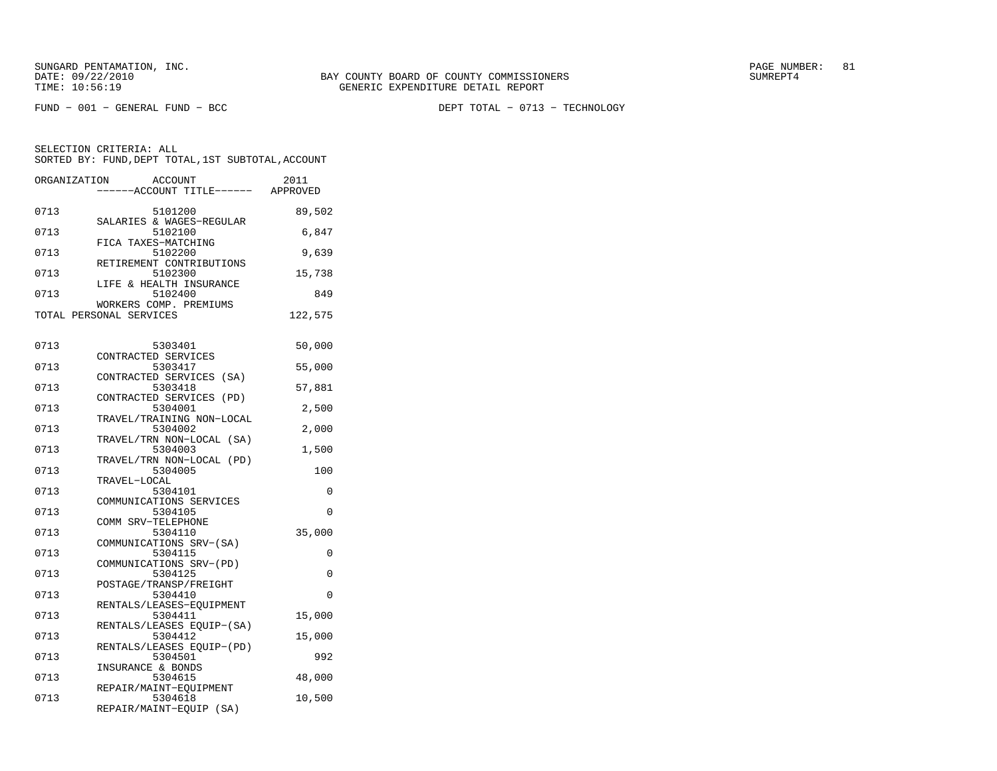FUND − 001 − GENERAL FUND − BCC DEPT TOTAL − 0713 − TECHNOLOGY

| ORGANIZATION |                         | ACCOUNT                           |                                   | 2011     |
|--------------|-------------------------|-----------------------------------|-----------------------------------|----------|
|              |                         |                                   | -----ACCOUNT TITLE------ APPROVED |          |
| 0713         |                         | 5101200                           |                                   | 89,502   |
|              |                         |                                   | SALARIES & WAGES-REGULAR          |          |
| 0713         |                         | 5102100                           |                                   | 6,847    |
|              |                         | FICA TAXES-MATCHING               |                                   |          |
| 0713         |                         | 5102200                           | RETIREMENT CONTRIBUTIONS          | 9,639    |
| 0713         |                         | 5102300                           |                                   | 15,738   |
|              |                         |                                   | LIFE & HEALTH INSURANCE           |          |
| 0713         |                         | 5102400                           |                                   | 849      |
|              |                         |                                   | WORKERS COMP. PREMIUMS            |          |
|              | TOTAL PERSONAL SERVICES |                                   |                                   | 122,575  |
|              |                         |                                   |                                   |          |
| 0713         |                         | 5303401                           |                                   | 50,000   |
|              |                         | CONTRACTED SERVICES               |                                   |          |
| 0713         |                         | 5303417                           |                                   | 55,000   |
|              |                         |                                   | CONTRACTED SERVICES (SA)          |          |
| 0713         |                         | 5303418                           | CONTRACTED SERVICES (PD)          | 57,881   |
| 0713         |                         | 5304001                           |                                   | 2,500    |
|              |                         |                                   | TRAVEL/TRAINING NON-LOCAL         |          |
| 0713         |                         | 5304002                           |                                   | 2,000    |
|              |                         |                                   | TRAVEL/TRN NON-LOCAL (SA)         |          |
| 0713         |                         | 5304003                           | TRAVEL/TRN NON-LOCAL (PD)         | 1,500    |
| 0713         |                         | 5304005                           |                                   | 100      |
|              | TRAVEL-LOCAL            |                                   |                                   |          |
| 0713         |                         | 5304101                           |                                   | $\Omega$ |
|              |                         |                                   | COMMUNICATIONS SERVICES           |          |
| 0713         |                         | 5304105<br>COMM SRV-TELEPHONE     |                                   | 0        |
| 0713         |                         | 5304110                           |                                   | 35,000   |
|              |                         |                                   | COMMUNICATIONS SRV-(SA)           |          |
| 0713         |                         | 5304115                           |                                   | $\Omega$ |
|              |                         |                                   | COMMUNICATIONS SRV-(PD)           |          |
| 0713         |                         | 5304125<br>POSTAGE/TRANSP/FREIGHT |                                   | 0        |
| 0713         |                         | 5304410                           |                                   | 0        |
|              |                         |                                   | RENTALS/LEASES-EQUIPMENT          |          |
| 0713         |                         | 5304411                           |                                   | 15,000   |
|              |                         |                                   | RENTALS/LEASES EQUIP-(SA)         |          |
| 0713         |                         | 5304412                           |                                   | 15,000   |
| 0713         |                         | 5304501                           | RENTALS/LEASES EQUIP-(PD)         | 992      |
|              |                         | INSURANCE & BONDS                 |                                   |          |
| 0713         |                         | 5304615                           |                                   | 48,000   |
|              |                         |                                   | REPAIR/MAINT-EQUIPMENT            |          |
| 0713         |                         | 5304618                           |                                   | 10,500   |
|              |                         |                                   | REPAIR/MAINT-EQUIP (SA)           |          |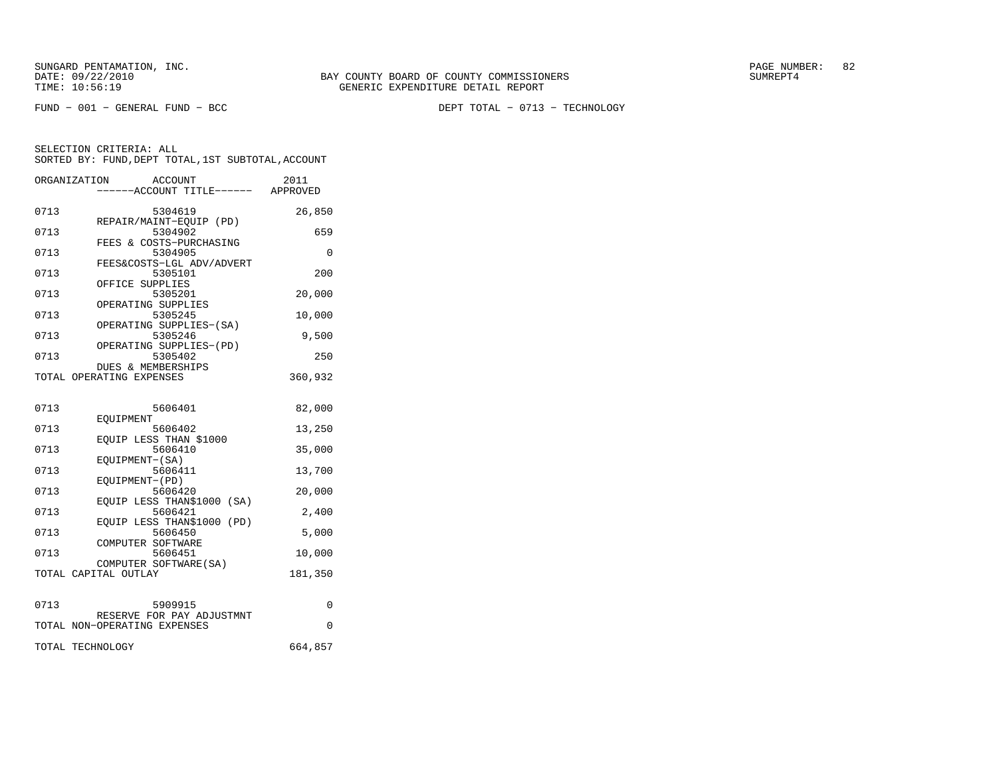FUND − 001 − GENERAL FUND − BCC DEPT TOTAL − 0713 − TECHNOLOGY

|      | ORGANIZATION<br>ACCOUNT<br>----ACCOUNT TITLE------ APPROVED | 2011     |
|------|-------------------------------------------------------------|----------|
| 0713 | 5304619                                                     | 26,850   |
| 0713 | REPAIR/MAINT-EOUIP (PD)<br>5304902                          | 659      |
| 0713 | FEES & COSTS-PURCHASING<br>5304905                          | 0        |
| 0713 | FEES&COSTS-LGL ADV/ADVERT<br>5305101                        | 200      |
| 0713 | OFFICE SUPPLIES<br>5305201                                  | 20,000   |
| 0713 | OPERATING SUPPLIES<br>5305245                               | 10,000   |
|      | OPERATING SUPPLIES-(SA)                                     |          |
| 0713 | 5305246<br>OPERATING SUPPLIES-(PD)                          | 9,500    |
| 0713 | 5305402<br><b>DUES &amp; MEMBERSHIPS</b>                    | 250      |
|      | TOTAL OPERATING EXPENSES                                    | 360,932  |
|      |                                                             |          |
| 0713 | 5606401<br>EOUIPMENT                                        | 82,000   |
| 0713 | 5606402<br>EQUIP LESS THAN \$1000                           | 13,250   |
| 0713 | 5606410                                                     | 35,000   |
| 0713 | EOUIPMENT-(SA)<br>5606411                                   | 13,700   |
| 0713 | EQUIPMENT-(PD)<br>5606420                                   | 20,000   |
| 0713 | EOUIP LESS THAN\$1000 (SA)<br>5606421                       | 2,400    |
| 0713 | EQUIP LESS THAN\$1000<br>(PD)<br>5606450                    | 5,000    |
|      | COMPUTER SOFTWARE                                           |          |
| 0713 | 5606451<br>COMPUTER SOFTWARE (SA)                           | 10,000   |
|      | TOTAL CAPITAL OUTLAY                                        | 181,350  |
| 0713 | 5909915                                                     | 0        |
|      | RESERVE FOR PAY ADJUSTMNT                                   |          |
|      | TOTAL NON-OPERATING EXPENSES                                | $\Omega$ |
|      | TOTAL TECHNOLOGY                                            | 664,857  |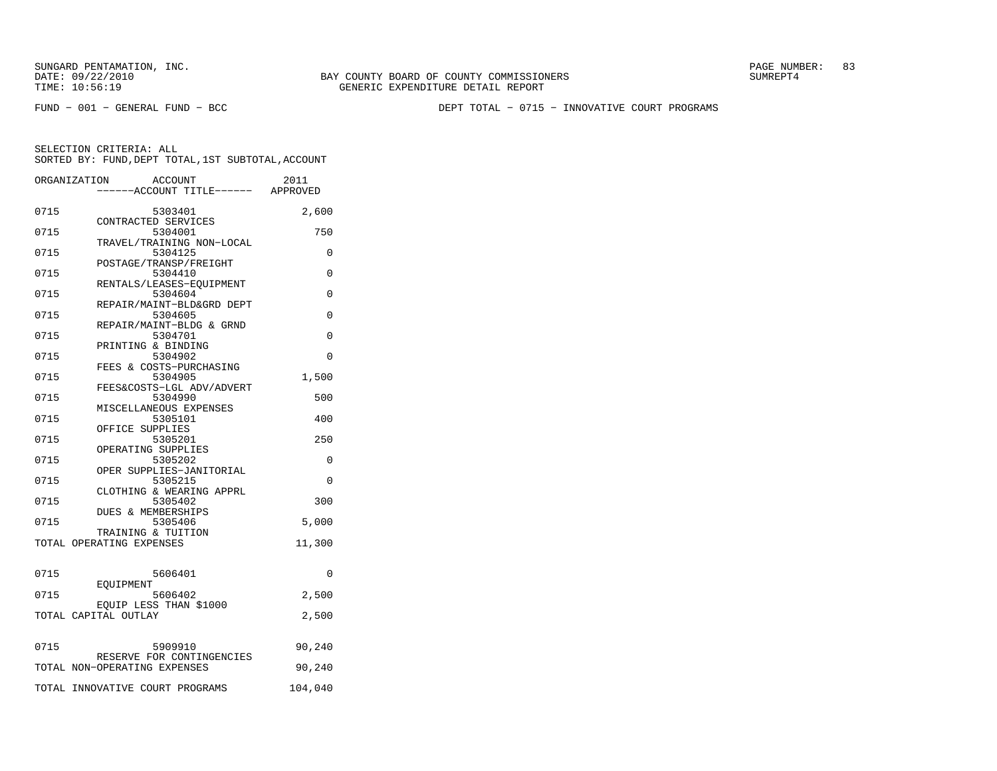FUND − 001 − GENERAL FUND − BCC DEPT TOTAL − 0715 − INNOVATIVE COURT PROGRAMS

|      | ORGANIZATION<br>ACCOUNT<br>-----ACCOUNT TITLE------ APPROVED | 2011     |
|------|--------------------------------------------------------------|----------|
| 0715 | 5303401                                                      | 2,600    |
| 0715 | CONTRACTED SERVICES<br>5304001                               | 750      |
| 0715 | TRAVEL/TRAINING NON-LOCAL<br>5304125                         | $\Omega$ |
| 0715 | POSTAGE/TRANSP/FREIGHT<br>5304410                            | 0        |
| 0715 | RENTALS/LEASES-EQUIPMENT<br>5304604                          | 0        |
| 0715 | REPAIR/MAINT-BLD&GRD DEPT<br>5304605                         | 0        |
| 0715 | REPAIR/MAINT-BLDG & GRND<br>5304701                          | $\Omega$ |
|      | PRINTING & BINDING                                           |          |
| 0715 | 5304902<br>FEES & COSTS-PURCHASING                           | $\Omega$ |
| 0715 | 5304905<br>FEES&COSTS-LGL ADV/ADVERT                         | 1,500    |
| 0715 | 5304990<br>MISCELLANEOUS EXPENSES                            | 500      |
| 0715 | 5305101<br>OFFICE SUPPLIES                                   | 400      |
| 0715 | 5305201<br>OPERATING SUPPLIES                                | 250      |
| 0715 | 5305202                                                      | 0        |
| 0715 | OPER SUPPLIES-JANITORIAL<br>5305215                          | $\Omega$ |
| 0715 | CLOTHING & WEARING APPRL<br>5305402                          | 300      |
| 0715 | <b>DUES &amp; MEMBERSHIPS</b><br>5305406                     | 5,000    |
|      | TRAINING & TUITION<br>TOTAL OPERATING EXPENSES               | 11,300   |
|      |                                                              |          |
| 0715 | 5606401<br>EOUIPMENT                                         | $\Omega$ |
| 0715 | 5606402                                                      | 2,500    |
|      | EOUIP LESS THAN \$1000<br>TOTAL CAPITAL OUTLAY               | 2,500    |
| 0715 | 5909910                                                      | 90,240   |
|      | RESERVE FOR CONTINGENCIES<br>TOTAL NON-OPERATING EXPENSES    | 90,240   |
|      | TOTAL INNOVATIVE COURT PROGRAMS                              | 104,040  |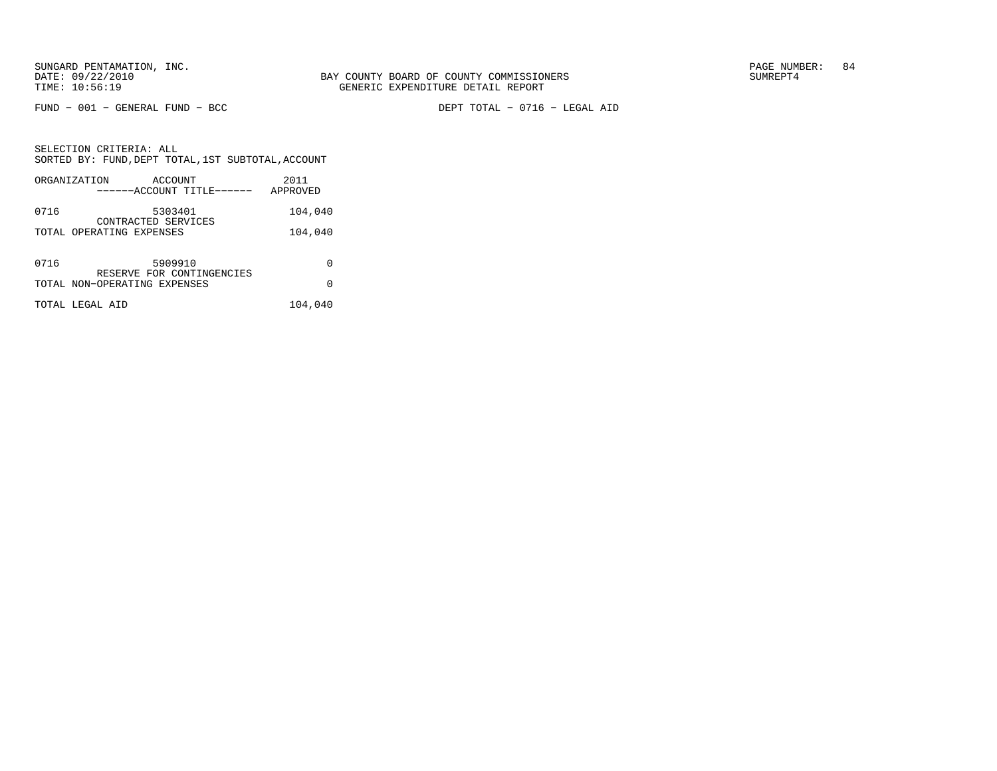$FUND - 001 - GENERAL FUND - BCC$ 

DEPT TOTAL - 0716 - LEGAL AID

SELECTION CRITERIA: ALLSORTED BY: FUND, DEPT TOTAL, 1ST SUBTOTAL, ACCOUNT ORGANIZATION ACCOUNT 2011

|      | URGANIZAIIUN<br>ACCOUN 1<br>------ACCOUNT TITLE------     | 40 F.F<br>APPROVED |
|------|-----------------------------------------------------------|--------------------|
| 0716 | 5303401<br>CONTRACTED SERVICES                            | 104,040            |
|      | TOTAL OPERATING EXPENSES                                  | 104,040            |
| 0716 | 5909910                                                   | 0                  |
|      | RESERVE FOR CONTINGENCIES<br>TOTAL NON-OPERATING EXPENSES | O                  |
|      | TOTAL LEGAL AID                                           | 104,040            |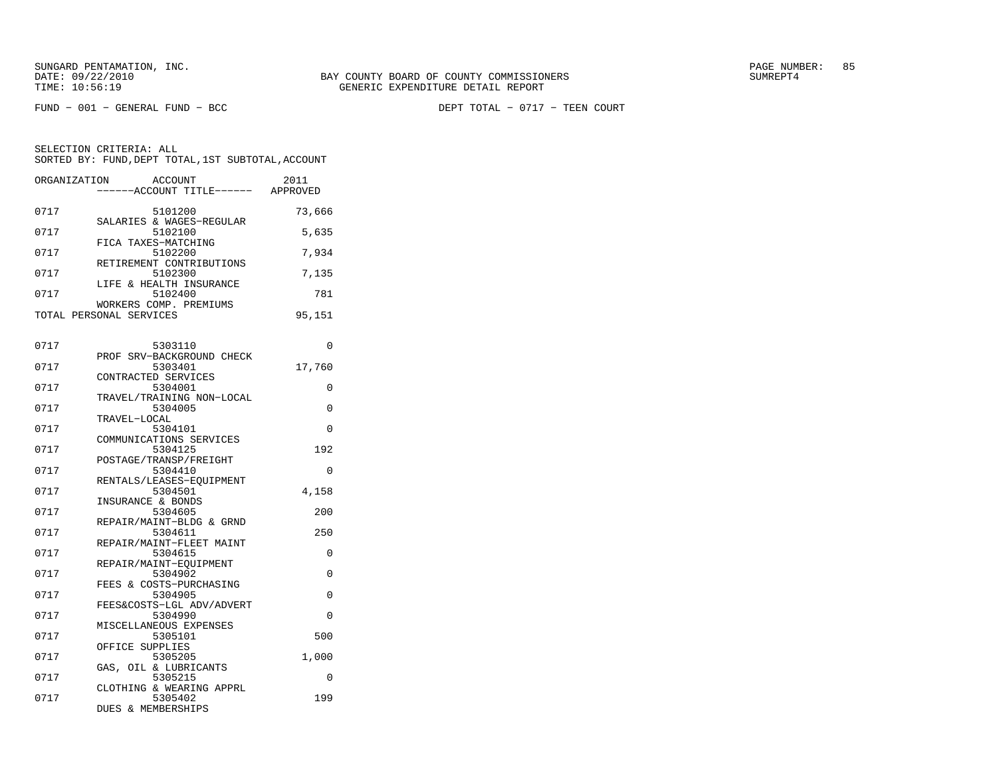DEPT TOTAL - 0717 - TEEN COURT

| ORGANIZATION | <b>ACCOUNT</b>                       | 2011     |
|--------------|--------------------------------------|----------|
|              | ----ACCOUNT TITLE------ APPROVED     |          |
| 0717         | 5101200                              | 73,666   |
|              | SALARIES & WAGES-REGULAR             |          |
| 0717         | 5102100                              | 5,635    |
| 0717         | FICA TAXES-MATCHING<br>5102200       | 7,934    |
|              | RETIREMENT CONTRIBUTIONS             |          |
| 0717         | 5102300                              | 7,135    |
|              | LIFE & HEALTH INSURANCE              |          |
| 0717         | 5102400<br>WORKERS COMP. PREMIUMS    | 781      |
|              | TOTAL PERSONAL SERVICES              | 95,151   |
|              |                                      |          |
|              |                                      |          |
| 0717         | 5303110                              | 0        |
| 0717         | PROF SRV-BACKGROUND CHECK<br>5303401 | 17,760   |
|              | CONTRACTED SERVICES                  |          |
| 0717         | 5304001                              | 0        |
|              | TRAVEL/TRAINING NON-LOCAL            |          |
| 0717         | 5304005                              | 0        |
| 0717         | TRAVEL-LOCAL<br>5304101              | $\Omega$ |
|              | COMMUNICATIONS SERVICES              |          |
| 0717         | 5304125                              | 192      |
|              | POSTAGE/TRANSP/FREIGHT               |          |
| 0717         | 5304410                              | $\Omega$ |
| 0717         | RENTALS/LEASES-EOUIPMENT<br>5304501  | 4,158    |
|              | INSURANCE & BONDS                    |          |
| 0717         | 5304605                              | 200      |
|              | REPAIR/MAINT-BLDG & GRND             |          |
| 0717         | 5304611                              | 250      |
| 0717         | REPAIR/MAINT-FLEET MAINT<br>5304615  | $\Omega$ |
|              | REPAIR/MAINT-EQUIPMENT               |          |
| 0717         | 5304902                              | 0        |
|              | FEES & COSTS-PURCHASING              |          |
| 0717         | 5304905                              | 0        |
| 0717         | FEES&COSTS-LGL ADV/ADVERT<br>5304990 | 0        |
|              | MISCELLANEOUS EXPENSES               |          |
| 0717         | 5305101                              | 500      |
|              | OFFICE SUPPLIES                      |          |
| 0717         | 5305205                              | 1,000    |
| 0717         | GAS, OIL & LUBRICANTS<br>5305215     | 0        |
|              | CLOTHING & WEARING APPRL             |          |
| 0717         | 5305402                              | 199      |
|              | DUES & MEMBERSHIPS                   |          |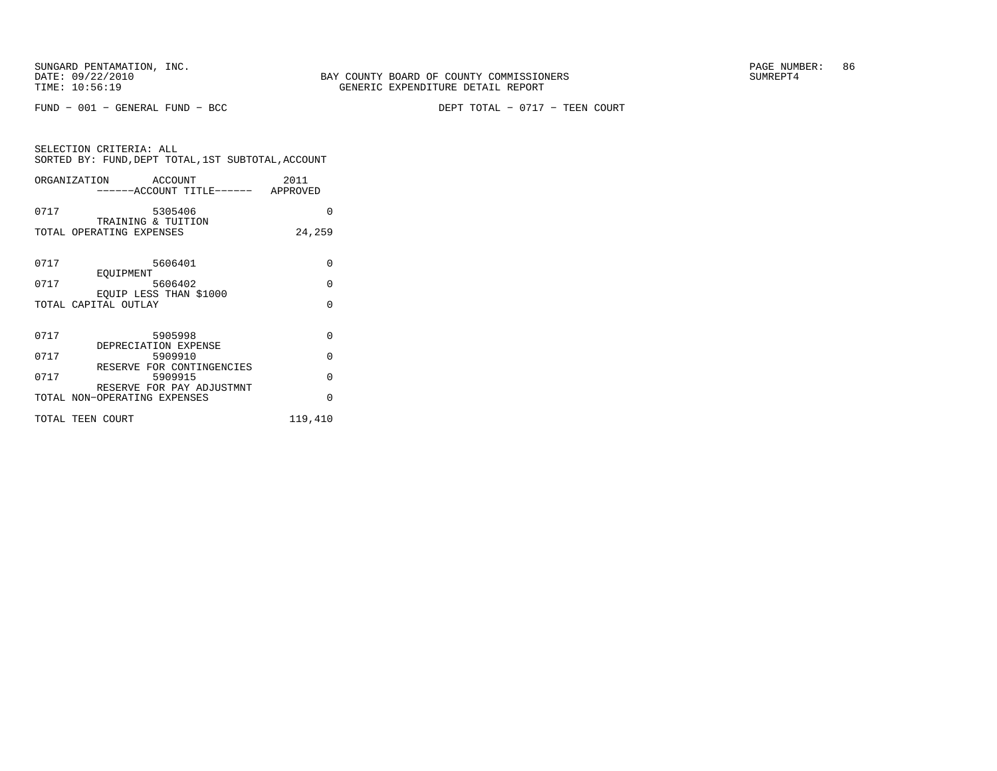$FUND - 001 - GENERAL FUND - BCC$ 

DEPT TOTAL - 0717 - TEEN COURT

| SELECTION CRITERIA: ALL |         | SORTED BY: FUND, DEPT TOTAL, 1ST SUBTOTAL, ACCOUNT |
|-------------------------|---------|----------------------------------------------------|
| ORGANIZATION            | ACCOUNT | 2011                                               |

|      | -----ACCOUNT TITLE------ APPROVED                         |          |
|------|-----------------------------------------------------------|----------|
| 0717 | 5305406                                                   | O        |
|      | TRAINING & TUITION<br>TOTAL OPERATING EXPENSES            | 24,259   |
| 0717 | 5606401                                                   | $\Omega$ |
| 0717 | EOUIPMENT<br>5606402                                      | $\Omega$ |
|      | EOUIP LESS THAN \$1000<br>TOTAL CAPITAL OUTLAY            | $\Omega$ |
| 0717 | 5905998                                                   | $\Omega$ |
| 0717 | DEPRECIATION EXPENSE<br>5909910                           | $\Omega$ |
| 0717 | RESERVE FOR CONTINGENCIES<br>5909915                      | $\Omega$ |
|      | RESERVE FOR PAY ADJUSTMNT<br>TOTAL NON-OPERATING EXPENSES | $\Omega$ |
|      | TOTAL TEEN COURT                                          | 119,410  |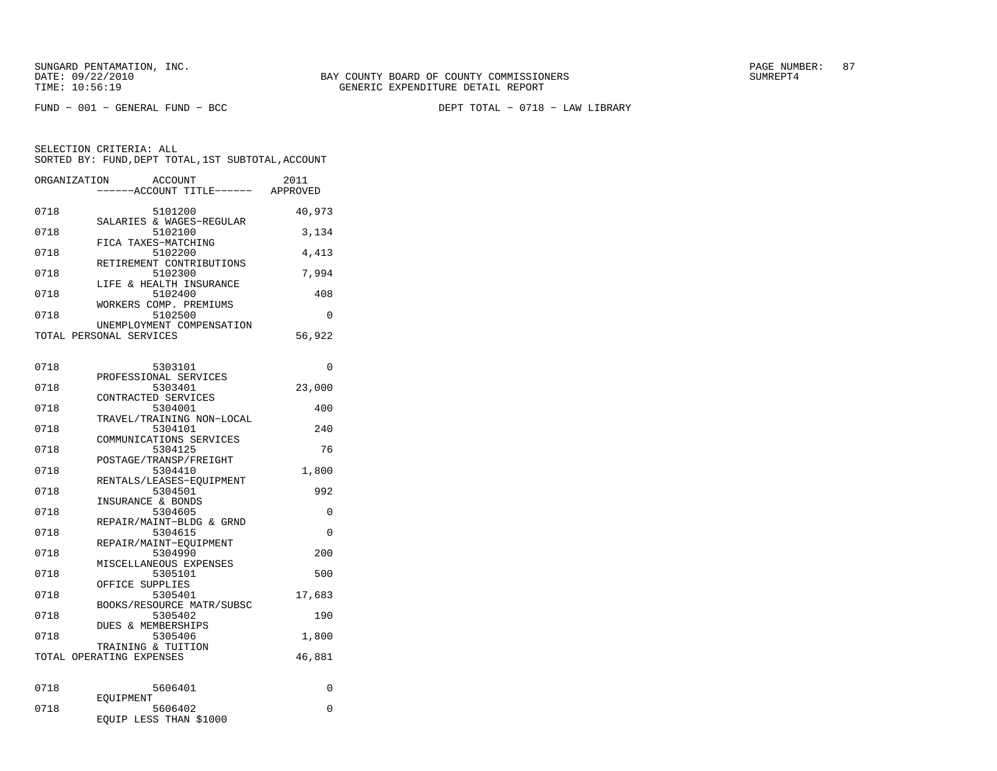FUND − 001 − GENERAL FUND − BCC DEPT TOTAL − 0718 − LAW LIBRARY

| ORGANIZATION | <b>ACCOUNT</b><br>----ACCOUNT TITLE------ APPROVED   | 2011     |
|--------------|------------------------------------------------------|----------|
| 0718         | 5101200                                              | 40,973   |
| 0718         | SALARIES & WAGES-REGULAR<br>5102100                  | 3,134    |
| 0718         | FICA TAXES-MATCHING<br>5102200                       | 4,413    |
| 0718         | RETIREMENT CONTRIBUTIONS<br>5102300                  | 7,994    |
| 0718         | LIFE & HEALTH INSURANCE<br>5102400                   | 408      |
| 0718         | WORKERS COMP. PREMIUMS<br>5102500                    | 0        |
|              | UNEMPLOYMENT COMPENSATION<br>TOTAL PERSONAL SERVICES | 56,922   |
| 0718         | 5303101                                              | $\Omega$ |
| 0718         | PROFESSIONAL SERVICES<br>5303401                     | 23,000   |
| 0718         | CONTRACTED SERVICES<br>5304001                       | 400      |
| 0718         | TRAVEL/TRAINING NON-LOCAL<br>5304101                 | 240      |
| 0718         | COMMUNICATIONS SERVICES<br>5304125                   | 76       |
| 0718         | POSTAGE/TRANSP/FREIGHT<br>5304410                    | 1,800    |
| 0718         | RENTALS/LEASES-EQUIPMENT<br>5304501                  | 992      |
| 0718         | INSURANCE & BONDS<br>5304605                         | 0        |
| 0718         | REPAIR/MAINT-BLDG & GRND<br>5304615                  | 0        |
| 0718         | REPAIR/MAINT-EOUIPMENT<br>5304990                    | 200      |
| 0718         | MISCELLANEOUS EXPENSES<br>5305101                    | 500      |
| 0718         | OFFICE SUPPLIES<br>5305401                           | 17,683   |
| 0718         | BOOKS/RESOURCE MATR/SUBSC<br>5305402                 | 190      |
| 0718         | DUES & MEMBERSHIPS<br>5305406                        | 1,800    |
|              | TRAINING & TUITION<br>TOTAL OPERATING EXPENSES       | 46,881   |
| 0718         | 5606401                                              | 0        |
| 0718         | EOUIPMENT<br>5606402<br>EOUIP LESS THAN \$1000       | 0        |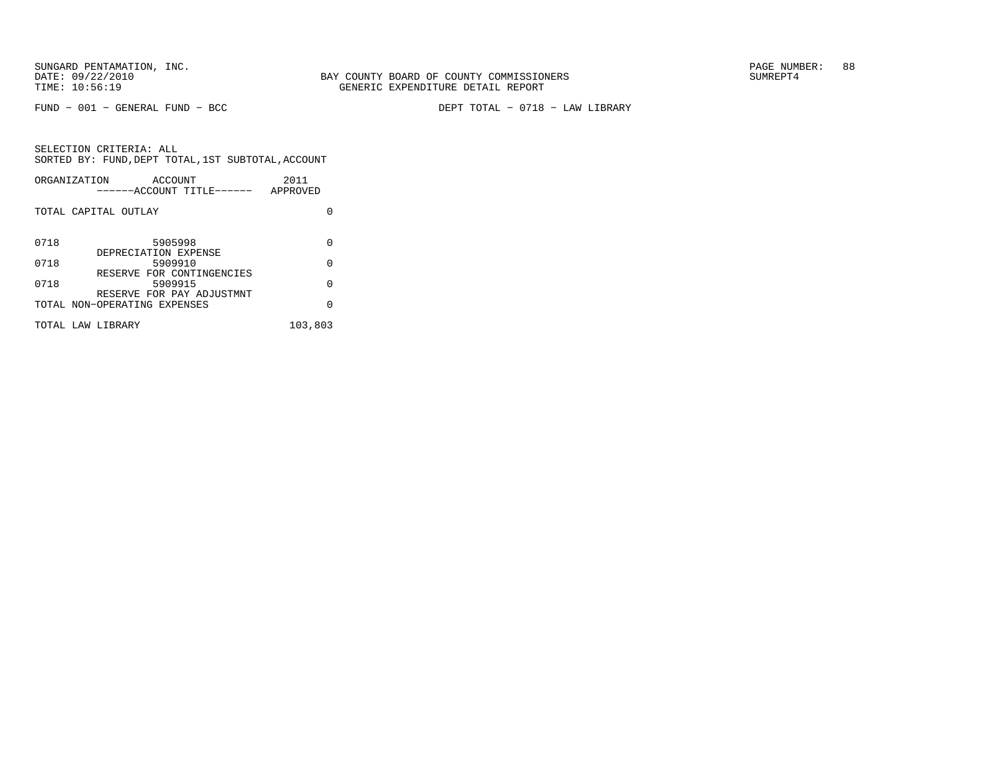FUND − 001 − GENERAL FUND − BCC DEPT TOTAL − 0718 − LAW LIBRARY

|      | ORGANIZATION<br>ACCOUNT<br>------ACCOUNT TITLE------      | 2011<br>APPROVED |
|------|-----------------------------------------------------------|------------------|
|      | TOTAL CAPITAL OUTLAY                                      |                  |
| 0718 | 5905998<br>DEPRECIATION EXPENSE                           | 0                |
| 0718 | 5909910                                                   | 0                |
| 0718 | RESERVE FOR CONTINGENCIES<br>5909915                      | 0                |
|      | RESERVE FOR PAY ADJUSTMNT<br>TOTAL NON-OPERATING EXPENSES | U                |
|      | TOTAL LAW LIBRARY                                         | 103,803          |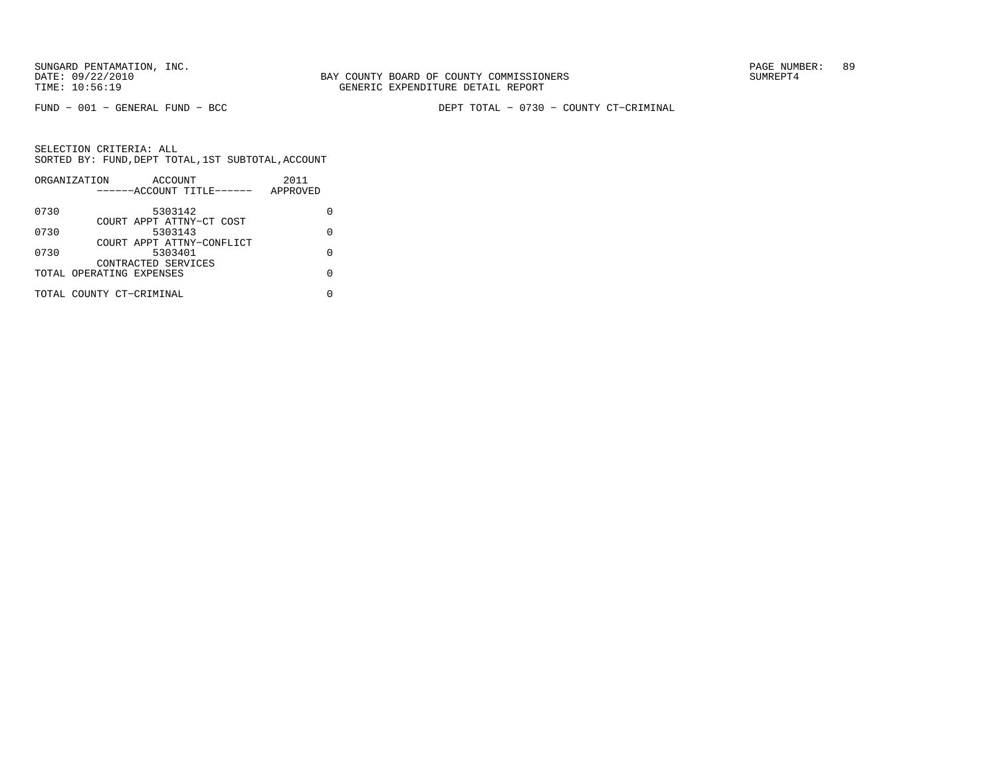BAY COUNTY BOARD OF COUNTY COMMISSIONERS TIME: 10:56:19 GENERIC EXPENDITURE DETAIL REPORT

FUND − 001 − GENERAL FUND − BCC DEPT TOTAL − 0730 − COUNTY CT−CRIMINAL

|      | ORGANIZATION             | ACCOUNT                   |  | 2011     |   |
|------|--------------------------|---------------------------|--|----------|---|
|      |                          | ------ACCOUNT TITLE------ |  | APPROVED |   |
| 0730 |                          | 5303142                   |  |          |   |
|      |                          | COURT APPT ATTNY-CT COST  |  |          |   |
| 0730 |                          | 5303143                   |  |          | O |
|      |                          | COURT APPT ATTNY-CONFLICT |  |          |   |
| 0730 |                          | 5303401                   |  |          |   |
|      |                          | CONTRACTED SERVICES       |  |          |   |
|      | TOTAL OPERATING EXPENSES |                           |  |          |   |
|      | TOTAL COUNTY CT-CRIMINAL |                           |  |          |   |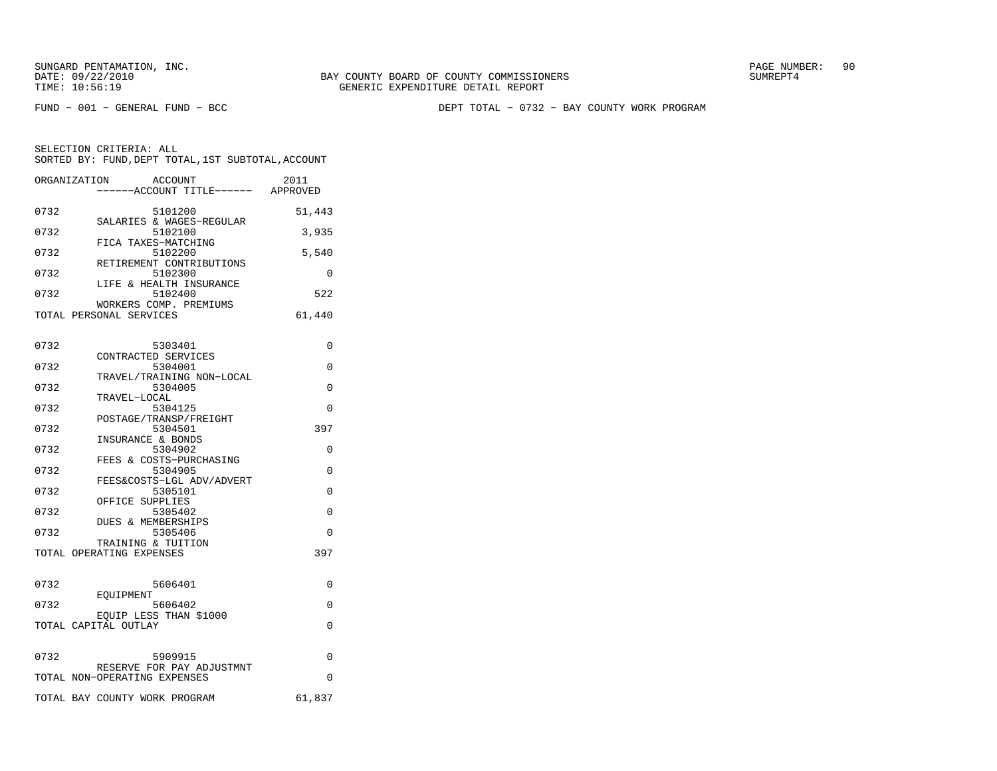FUND − 001 − GENERAL FUND − BCC DEPT TOTAL − 0732 − BAY COUNTY WORK PROGRAM

| ORGANIZATION                  | ACCOUNT<br>----ACCOUNT TITLE------ APPROVED | 2011     |
|-------------------------------|---------------------------------------------|----------|
| 0732                          | 5101200                                     | 51,443   |
| 0732                          | SALARIES & WAGES-REGULAR<br>5102100         | 3,935    |
| 0732                          | FICA TAXES-MATCHING<br>5102200              | 5,540    |
| 0732                          | RETIREMENT CONTRIBUTIONS<br>5102300         | $\Omega$ |
| 0732                          | LIFE & HEALTH INSURANCE<br>5102400          | 522      |
| TOTAL PERSONAL SERVICES       | WORKERS COMP. PREMIUMS                      | 61,440   |
| 0732                          | 5303401                                     | 0        |
| 0732                          | CONTRACTED SERVICES<br>5304001              | $\Omega$ |
|                               | TRAVEL/TRAINING NON-LOCAL                   |          |
| 0732                          | 5304005<br>TRAVEL-LOCAL                     | 0        |
| 0732                          | 5304125<br>POSTAGE/TRANSP/FREIGHT           | 0        |
| 0732                          | 5304501<br>INSURANCE & BONDS                | 397      |
| 0732                          | 5304902                                     | 0        |
| 0732                          | FEES & COSTS-PURCHASING<br>5304905          | $\Omega$ |
| 0732                          | FEES&COSTS-LGL ADV/ADVERT<br>5305101        | 0        |
| 0732                          | OFFICE SUPPLIES<br>5305402                  | $\Omega$ |
| 0732                          | <b>DUES &amp; MEMBERSHIPS</b><br>5305406    | 0        |
|                               | TRAINING & TUITION                          |          |
| TOTAL OPERATING EXPENSES      |                                             | 397      |
| 0732                          | 5606401                                     | 0        |
| EOUIPMENT<br>0732             | 5606402                                     | 0        |
| TOTAL CAPITAL OUTLAY          | EOUIP LESS THAN \$1000                      | 0        |
| 0732                          | 5909915                                     | 0        |
| TOTAL NON-OPERATING EXPENSES  | RESERVE FOR PAY ADJUSTMNT                   | 0        |
| TOTAL BAY COUNTY WORK PROGRAM |                                             | 61,837   |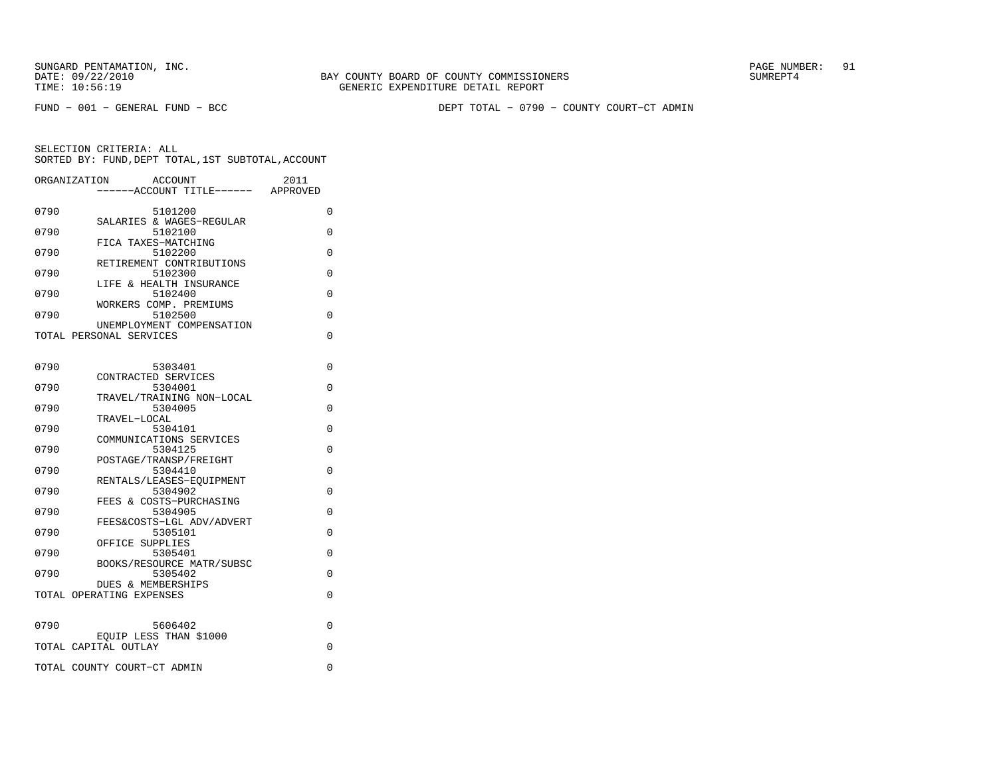FUND − 001 − GENERAL FUND − BCC DEPT TOTAL − 0790 − COUNTY COURT−CT ADMIN

| ORGANIZATION | <b>ACCOUNT</b><br>---ACCOUNT TITLE------ APPROVED | 2011 |
|--------------|---------------------------------------------------|------|
| 0790         | 5101200                                           | 0    |
| 0790         | SALARIES & WAGES-REGULAR<br>5102100               | 0    |
| 0790         | FICA TAXES-MATCHING<br>5102200                    | 0    |
| 0790         | RETIREMENT CONTRIBUTIONS<br>5102300               | 0    |
| 0790         | LIFE & HEALTH INSURANCE<br>5102400                | 0    |
|              | WORKERS COMP. PREMIUMS                            |      |
| 0790         | 5102500<br>UNEMPLOYMENT COMPENSATION              | 0    |
|              | TOTAL PERSONAL SERVICES                           | 0    |
| 0790         | 5303401                                           | 0    |
|              | CONTRACTED SERVICES                               |      |
| 0790         | 5304001<br>TRAVEL/TRAINING NON-LOCAL              | 0    |
| 0790         | 5304005<br>TRAVEL-LOCAL                           | 0    |
| 0790         | 5304101                                           | 0    |
| 0790         | COMMUNICATIONS SERVICES<br>5304125                | 0    |
| 0790         | POSTAGE/TRANSP/FREIGHT<br>5304410                 | 0    |
|              | RENTALS/LEASES-EOUIPMENT                          |      |
| 0790         | 5304902<br>FEES & COSTS-PURCHASING                | 0    |
| 0790         | 5304905<br>FEES&COSTS-LGL ADV/ADVERT              | 0    |
| 0790         | 5305101                                           | 0    |
| 0790         | OFFICE SUPPLIES<br>5305401                        | 0    |
| 0790         | BOOKS/RESOURCE MATR/SUBSC<br>5305402              | 0    |
|              | DUES & MEMBERSHIPS<br>TOTAL OPERATING EXPENSES    | 0    |
|              |                                                   |      |
| 0790         | 5606402                                           | 0    |
|              | EQUIP LESS THAN \$1000<br>TOTAL CAPITAL OUTLAY    | 0    |
|              | TOTAL COUNTY COURT-CT ADMIN                       | 0    |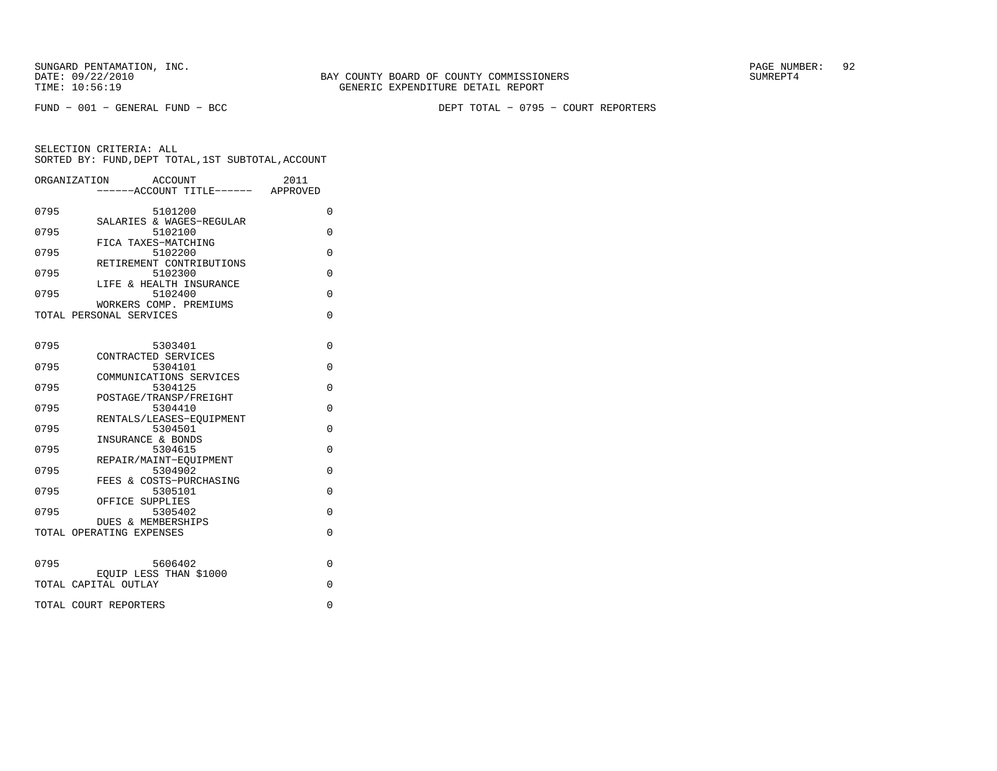FUND − 001 − GENERAL FUND − BCC DEPT TOTAL − 0795 − COURT REPORTERS

|      | ORGANIZATION<br><b>ACCOUNT</b>     | 2011     |  |
|------|------------------------------------|----------|--|
|      | ------ACCOUNT TITLE------ APPROVED |          |  |
|      |                                    |          |  |
| 0795 | 5101200                            | 0        |  |
|      | SALARIES & WAGES-REGULAR           |          |  |
| 0795 | 5102100                            | $\Omega$ |  |
|      | FICA TAXES-MATCHING                |          |  |
| 0795 | 5102200                            | $\Omega$ |  |
|      | RETIREMENT CONTRIBUTIONS           |          |  |
| 0795 | 5102300                            | 0        |  |
|      | LIFE & HEALTH INSURANCE            |          |  |
| 0795 | 5102400                            | $\Omega$ |  |
|      | WORKERS COMP. PREMIUMS             |          |  |
|      | TOTAL PERSONAL SERVICES            | $\Omega$ |  |
|      |                                    |          |  |
|      |                                    |          |  |
| 0795 | 5303401<br>CONTRACTED SERVICES     | 0        |  |
| 0795 | 5304101                            | 0        |  |
|      | COMMUNICATIONS SERVICES            |          |  |
| 0795 | 5304125                            | $\Omega$ |  |
|      | POSTAGE/TRANSP/FREIGHT             |          |  |
| 0795 | 5304410                            | $\Omega$ |  |
|      | RENTALS/LEASES-EQUIPMENT           |          |  |
| 0795 | 5304501                            | $\Omega$ |  |
|      | INSURANCE & BONDS                  |          |  |
| 0795 | 5304615                            | 0        |  |
|      | REPAIR/MAINT-EOUIPMENT             |          |  |
| 0795 | 5304902                            | $\Omega$ |  |
|      | FEES & COSTS-PURCHASING            |          |  |
| 0795 | 5305101                            | $\Omega$ |  |
|      | OFFICE SUPPLIES                    |          |  |
| 0795 | 5305402                            | 0        |  |
|      | <b>DUES &amp; MEMBERSHIPS</b>      |          |  |
|      | TOTAL OPERATING EXPENSES           | $\Omega$ |  |
|      |                                    |          |  |
|      |                                    |          |  |
| 0795 | 5606402                            | 0        |  |
|      | EQUIP LESS THAN \$1000             |          |  |
|      | TOTAL CAPITAL OUTLAY               | $\Omega$ |  |
|      |                                    |          |  |
|      | TOTAL COURT REPORTERS              | 0        |  |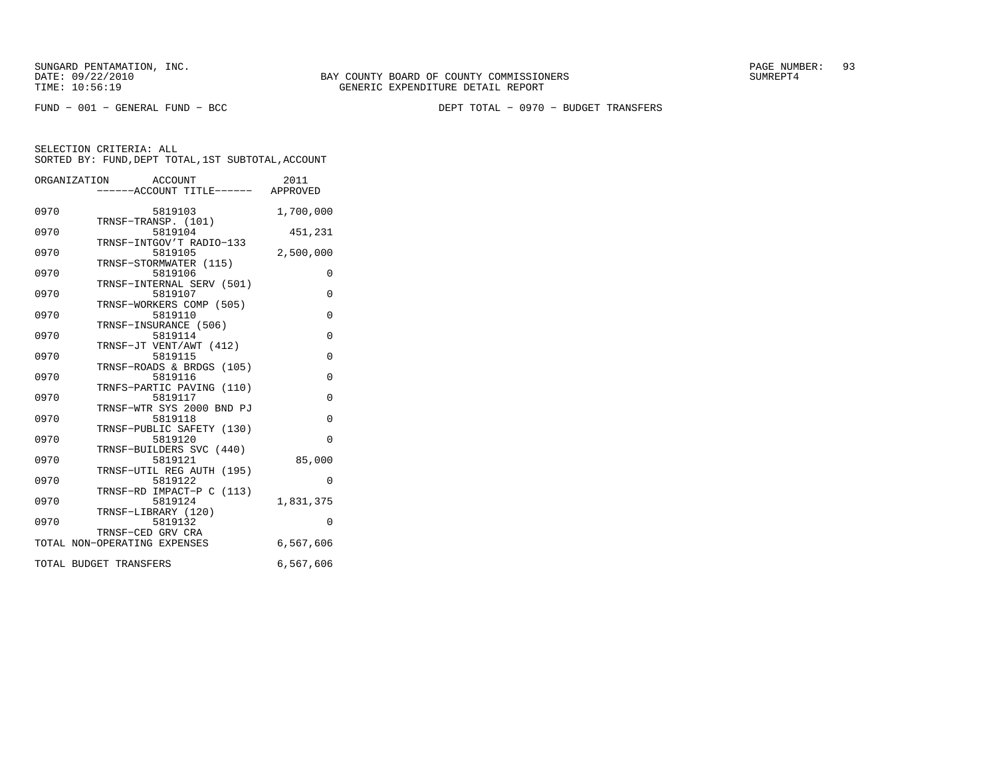FUND − 001 − GENERAL FUND − BCC DEPT TOTAL − 0970 − BUDGET TRANSFERS

|      | ORGANIZATION<br>ACCOUNT<br>.<br>-----ACCOUNT TITLE------ APPROVED | 2011      |
|------|-------------------------------------------------------------------|-----------|
| 0970 | 5819103                                                           | 1,700,000 |
| 0970 | TRNSF-TRANSP. (101)<br>5819104                                    | 451,231   |
| 0970 | TRNSF-INTGOV'T RADIO-133<br>5819105                               | 2,500,000 |
| 0970 | TRNSF-STORMWATER (115)<br>5819106                                 | $\Omega$  |
| 0970 | TRNSF-INTERNAL SERV (501)<br>5819107                              | 0         |
| 0970 | TRNSF-WORKERS COMP (505)<br>5819110                               | $\Omega$  |
| 0970 | TRNSF-INSURANCE (506)<br>5819114                                  | $\Omega$  |
| 0970 | TRNSF-JT VENT/AWT (412)<br>5819115                                | $\Omega$  |
|      | TRNSF-ROADS & BRDGS (105)                                         |           |
| 0970 | 5819116<br>TRNFS-PARTIC PAVING (110)                              | $\Omega$  |
| 0970 | 5819117<br>TRNSF-WTR SYS 2000 BND PJ                              | $\Omega$  |
| 0970 | 5819118<br>TRNSF-PUBLIC SAFETY (130)                              | 0         |
| 0970 | 5819120<br>TRNSF-BUILDERS SVC (440)                               | $\Omega$  |
| 0970 | 5819121<br>TRNSF-UTIL REG AUTH (195)                              | 85,000    |
| 0970 | 5819122                                                           | $\Omega$  |
| 0970 | TRNSF-RD IMPACT-P C (113)<br>5819124                              | 1,831,375 |
| 0970 | TRNSF-LIBRARY (120)<br>5819132                                    | $\Omega$  |
|      | TRNSF-CED GRV CRA<br>TOTAL NON-OPERATING EXPENSES                 | 6,567,606 |
|      | TOTAL BUDGET TRANSFERS                                            | 6,567,606 |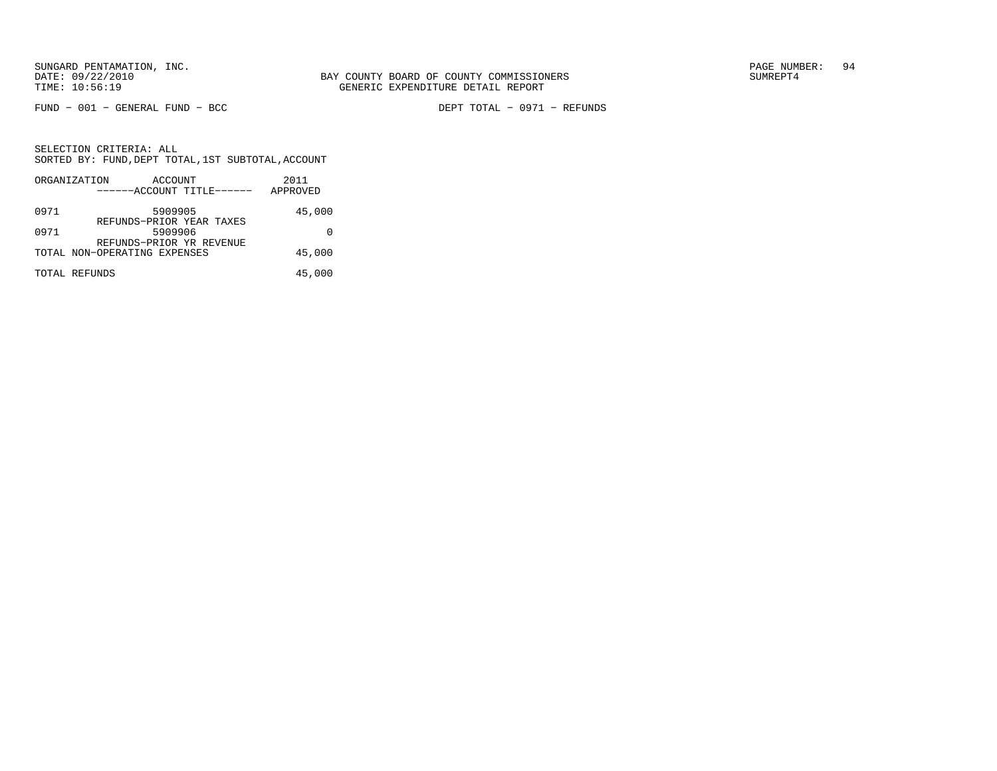FUND − 001 − GENERAL FUND − BCC DEPT TOTAL − 0971 − REFUNDS

|      | ORGANIZATION                 | ACCOUNT |                           | 2011     |
|------|------------------------------|---------|---------------------------|----------|
|      |                              |         | ------ACCOUNT TITLE------ | APPROVED |
| 0971 |                              | 5909905 | REFUNDS-PRIOR YEAR TAXES  | 45,000   |
| 0971 |                              | 5909906 | REFUNDS-PRIOR YR REVENUE  |          |
|      | TOTAL NON-OPERATING EXPENSES |         |                           | 45,000   |
|      | TOTAL REFUNDS                |         |                           | 45,000   |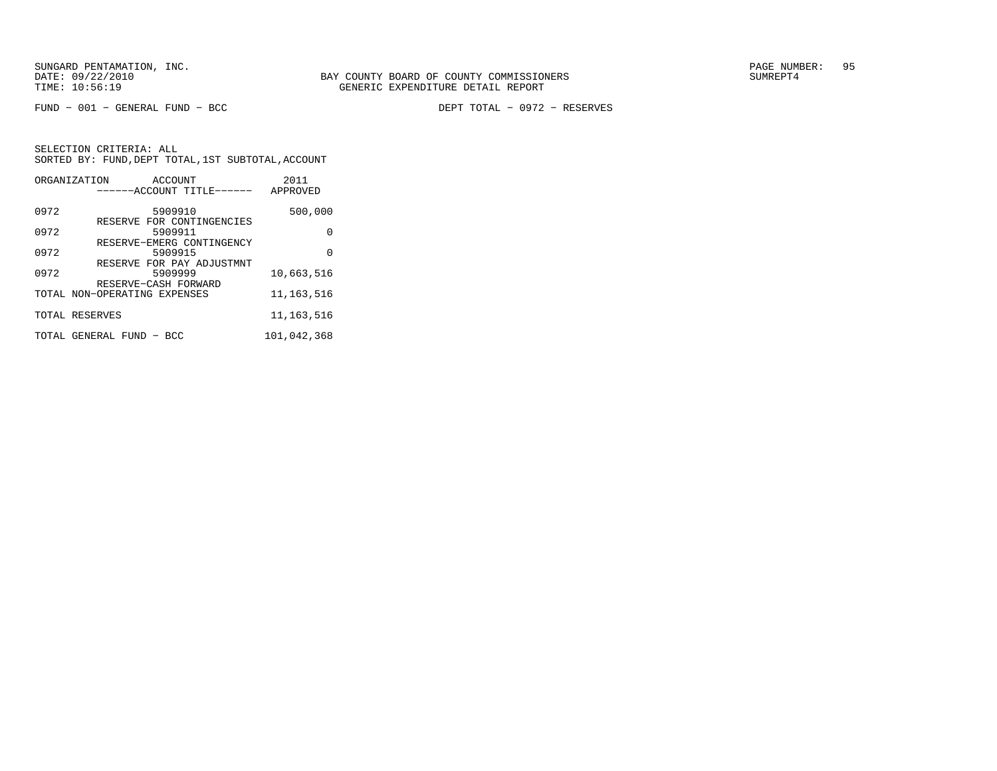DEPT TOTAL - 0972 - RESERVES

|      | ORGANIZATION<br>ACCOUNT                              | 2011         |
|------|------------------------------------------------------|--------------|
|      | ------ACCOUNT TITLE------                            | APPROVED     |
| 0972 | 5909910                                              | 500,000      |
| 0972 | RESERVE FOR CONTINGENCIES<br>5909911                 | 0            |
|      | RESERVE-EMERG CONTINGENCY                            |              |
| 0972 | 5909915                                              | U            |
| 0972 | RESERVE FOR PAY ADJUSTMNT<br>5909999                 | 10,663,516   |
|      | RESERVE-CASH FORWARD<br>TOTAL NON-OPERATING EXPENSES | 11, 163, 516 |
|      | TOTAL RESERVES                                       | 11, 163, 516 |
|      | TOTAL GENERAL FUND - BCC                             | 101,042,368  |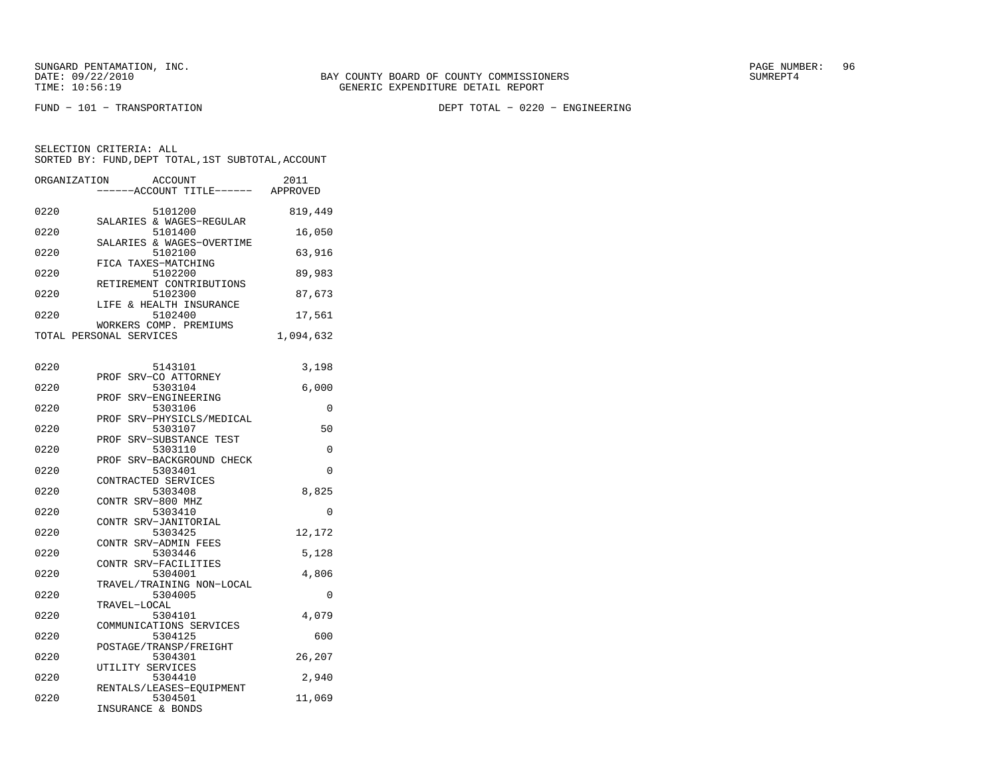FUND − 101 − TRANSPORTATION DEPT TOTAL − 0220 − ENGINEERING

| ORGANIZATION | <b>ACCOUNT</b><br>----ACCOUNT TITLE------ | 2011<br>APPROVED |
|--------------|-------------------------------------------|------------------|
|              |                                           |                  |
| 0220         | 5101200<br>SALARIES & WAGES-REGULAR       | 819,449          |
| 0220         | 5101400                                   | 16,050           |
|              | SALARIES & WAGES-OVERTIME                 |                  |
| 0220         | 5102100<br>FICA TAXES-MATCHING            | 63,916           |
| 0220         | 5102200                                   | 89,983           |
|              | RETIREMENT CONTRIBUTIONS                  |                  |
| 0220         | 5102300                                   | 87,673           |
| 0220         | LIFE & HEALTH INSURANCE<br>5102400        | 17,561           |
|              | WORKERS COMP. PREMIUMS                    |                  |
|              | TOTAL PERSONAL SERVICES                   | 1,094,632        |
|              |                                           |                  |
| 0220         | 5143101                                   | 3,198            |
|              | PROF SRV-CO ATTORNEY                      |                  |
| 0220         | 5303104                                   | 6,000            |
|              | PROF SRV-ENGINEERING                      |                  |
| 0220         | 5303106<br>PROF SRV-PHYSICLS/MEDICAL      | 0                |
| 0220         | 5303107                                   | 50               |
|              | PROF SRV-SUBSTANCE TEST                   |                  |
| 0220         | 5303110                                   | 0                |
| 0220         | SRV-BACKGROUND CHECK<br>PROF              | $\Omega$         |
|              | 5303401<br>CONTRACTED SERVICES            |                  |
| 0220         | 5303408                                   | 8,825            |
|              | CONTR SRV-800 MHZ                         |                  |
| 0220         | 5303410                                   | $\Omega$         |
| 0220         | CONTR SRV-JANITORIAL                      |                  |
|              | 5303425<br>CONTR SRV-ADMIN FEES           | 12,172           |
| 0220         | 5303446                                   | 5,128            |
|              | CONTR SRV-FACILITIES                      |                  |
| 0220         | 5304001                                   | 4,806            |
| 0220         | TRAVEL/TRAINING NON-LOCAL<br>5304005      | 0                |
|              | TRAVEL-LOCAL                              |                  |
| 0220         | 5304101                                   | 4,079            |
|              | COMMUNICATIONS SERVICES                   |                  |
| 0220         | 5304125                                   | 600              |
| 0220         | POSTAGE/TRANSP/FREIGHT<br>5304301         | 26,207           |
|              | UTILITY SERVICES                          |                  |
| 0220         | 5304410                                   | 2,940            |
|              | RENTALS/LEASES-EQUIPMENT                  |                  |
| 0220         | 5304501<br>INSURANCE & BONDS              | 11,069           |
|              |                                           |                  |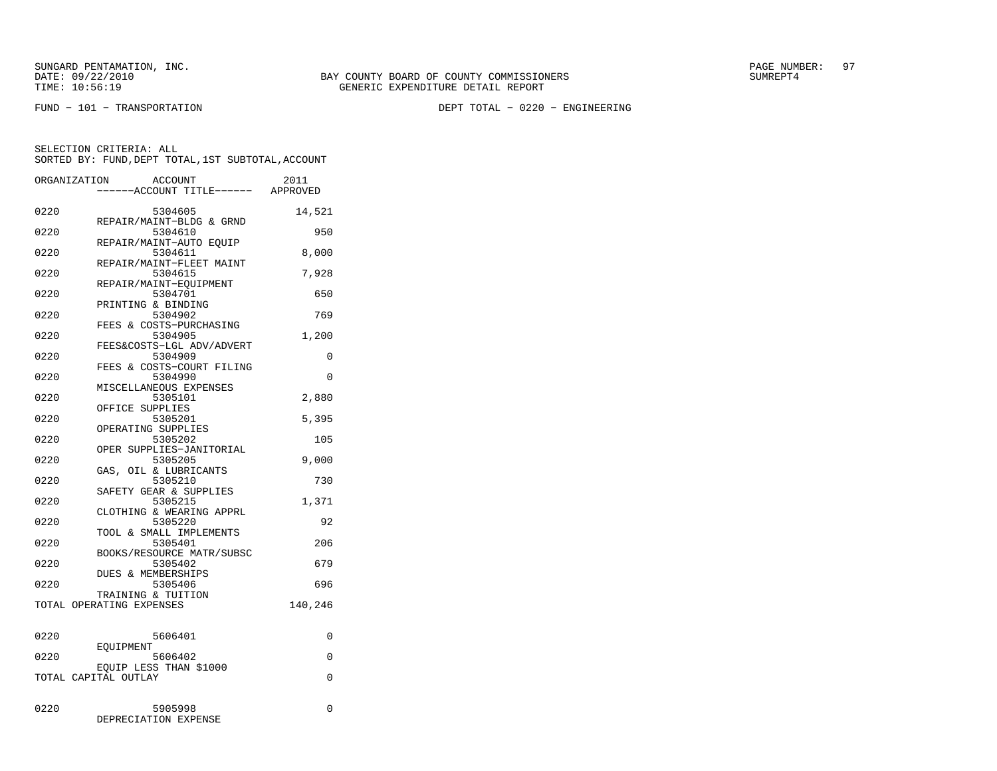FUND − 101 − TRANSPORTATION DEPT TOTAL − 0220 − ENGINEERING

| ORGANIZATION | <b>ACCOUNT</b><br>---ACCOUNT TITLE------ APPROVED | 2011    |
|--------------|---------------------------------------------------|---------|
| 0220         | 5304605<br>REPAIR/MAINT-BLDG & GRND               | 14,521  |
| 0220         | 5304610<br>REPAIR/MAINT-AUTO EOUIP                | 950     |
| 0220         | 5304611                                           | 8,000   |
| 0220         | REPAIR/MAINT-FLEET MAINT<br>5304615               | 7,928   |
| 0220         | REPAIR/MAINT-EQUIPMENT<br>5304701                 | 650     |
| 0220         | PRINTING & BINDING<br>5304902                     | 769     |
| 0220         | FEES & COSTS-PURCHASING<br>5304905                | 1,200   |
| 0220         | FEES&COSTS-LGL ADV/ADVERT<br>5304909              | 0       |
| 0220         | FEES & COSTS-COURT FILING<br>5304990              | 0       |
| 0220         | MISCELLANEOUS EXPENSES<br>5305101                 | 2,880   |
| 0220         | OFFICE SUPPLIES<br>5305201                        | 5,395   |
| 0220         | OPERATING SUPPLIES<br>5305202                     | 105     |
| 0220         | OPER SUPPLIES-JANITORIAL<br>5305205               | 9,000   |
| 0220         | GAS, OIL & LUBRICANTS<br>5305210                  | 730     |
| 0220         | SAFETY GEAR & SUPPLIES<br>5305215                 | 1,371   |
| 0220         | CLOTHING & WEARING APPRL<br>5305220               | 92      |
| 0220         | TOOL & SMALL IMPLEMENTS<br>5305401                | 206     |
| 0220         | BOOKS/RESOURCE MATR/SUBSC<br>5305402              | 679     |
| 0220         | <b>DUES &amp; MEMBERSHIPS</b><br>5305406          | 696     |
|              | TRAINING & TUITION<br>TOTAL OPERATING EXPENSES    | 140,246 |
|              |                                                   |         |
| 0220         | 5606401<br>EOUIPMENT                              | 0       |
| 0220         | 5606402<br>EQUIP LESS THAN \$1000                 | 0       |
|              | TOTAL CAPITAL OUTLAY                              | 0       |
| 0220         | 5905998<br>DEPRECIATION EXPENSE                   | 0       |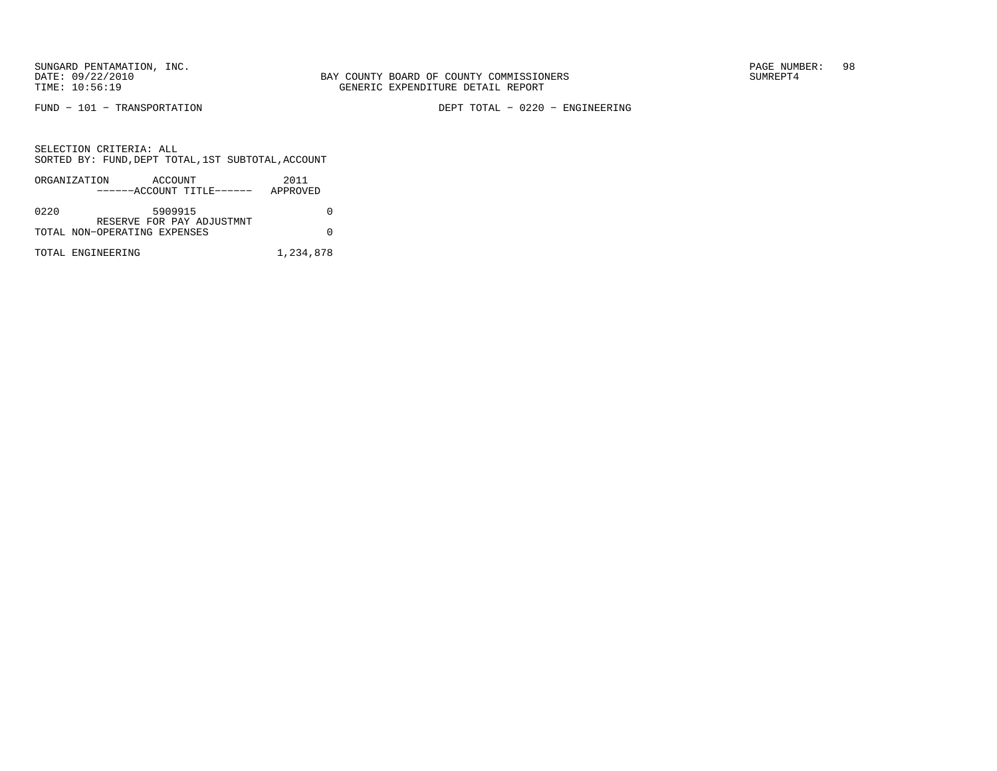FUND − 101 − TRANSPORTATION DEPT TOTAL − 0220 − ENGINEERING

|      | ORGANIZATION<br>ACCOUNT<br>------ACCOUNT TITLE------ | 2011<br>APPROVED |
|------|------------------------------------------------------|------------------|
| 0220 | 5909915<br>RESERVE FOR PAY ADJUSTMNT                 |                  |
|      | TOTAL NON-OPERATING EXPENSES                         |                  |
|      | TOTAL ENGINEERING                                    | 1,234,878        |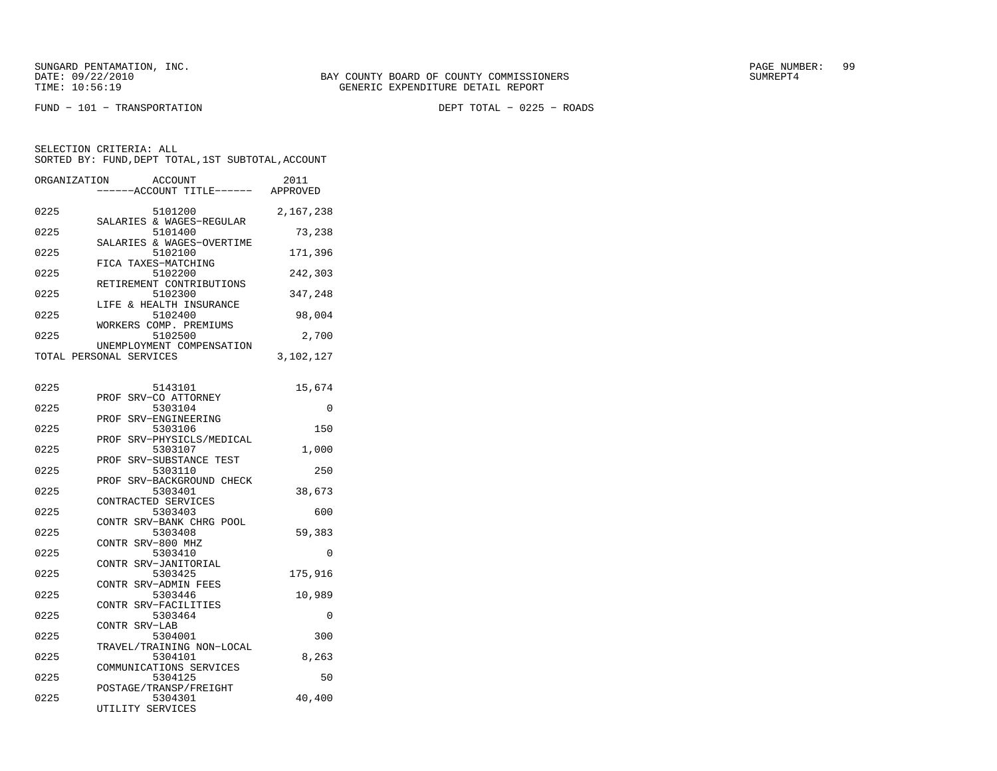SUNGARD PENTAMATION, INC.<br>DATE: 09/22/2010 SUMRER: 99

FUND − 101 − TRANSPORTATION DEPT TOTAL − 0225 − ROADS

| ORGANIZATION | ACCOUNT<br>---ACCOUNT TITLE------ APPROVED              | 2011      |
|--------------|---------------------------------------------------------|-----------|
| 0225         | 5101200                                                 | 2,167,238 |
| 0225         | SALARIES & WAGES-REGULAR<br>5101400                     | 73,238    |
| 0225         | SALARIES & WAGES-OVERTIME<br>5102100                    | 171,396   |
| 0225         | FICA TAXES-MATCHING<br>5102200                          | 242,303   |
| 0225         | RETIREMENT CONTRIBUTIONS<br>5102300                     | 347,248   |
| 0225         | LIFE & HEALTH INSURANCE<br>5102400                      | 98,004    |
| 0225         | WORKERS COMP. PREMIUMS<br>5102500                       | 2,700     |
|              | UNEMPLOYMENT COMPENSATION<br>TOTAL PERSONAL SERVICES    | 3,102,127 |
| 0225         | 5143101                                                 | 15,674    |
| 0225         | PROF SRV-CO ATTORNEY<br>5303104                         | $\Omega$  |
| 0225         | PROF SRV-ENGINEERING<br>5303106                         | 150       |
| 0225         | PROF SRV-PHYSICLS/MEDICAL<br>5303107                    | 1,000     |
| 0225         | PROF SRV-SUBSTANCE TEST<br>5303110                      | 250       |
| 0225         | PROF SRV-BACKGROUND CHECK<br>5303401                    | 38,673    |
| 0225         | CONTRACTED SERVICES<br>5303403                          | 600       |
| 0225         | CONTR SRV-BANK CHRG POOL<br>5303408                     | 59,383    |
| 0225         | CONTR SRV-800 MHZ<br>5303410                            | 0         |
| 0225         | CONTR SRV-JANITORIAL<br>5303425<br>CONTR SRV-ADMIN FEES | 175,916   |
| 0225         | 5303446<br>CONTR SRV-FACILITIES                         | 10,989    |
| 0225         | 5303464<br>CONTR SRV-LAB                                | 0         |
| 0225         | 5304001<br>TRAVEL/TRAINING NON-LOCAL                    | 300       |
| 0225         | 5304101<br>COMMUNICATIONS SERVICES                      | 8,263     |
| 0225         | 5304125<br>POSTAGE/TRANSP/FREIGHT                       | 50        |
| 0225         | 5304301<br>UTILITY SERVICES                             | 40,400    |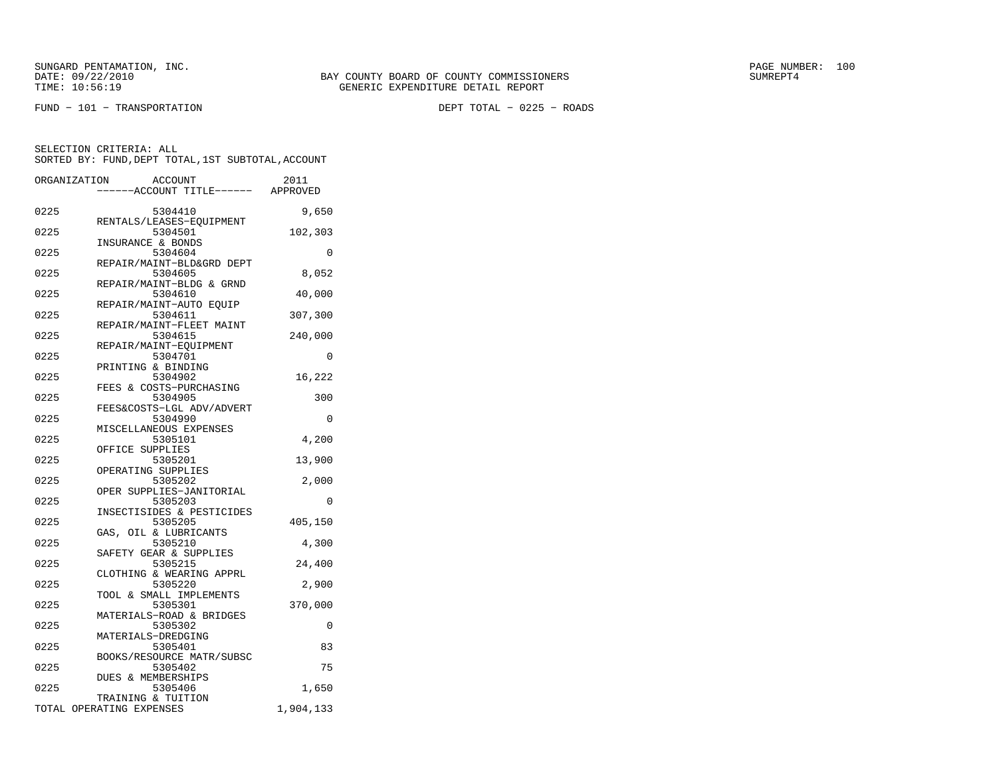$FUND - 101 - TRANSPORTATION$ 

DEPT TOTAL - 0225 - ROADS

| ----ACCOUNT TITLE------ APPROVED<br>0225<br>5304410<br>9,650<br>RENTALS/LEASES-EQUIPMENT<br>0225<br>5304501<br>102,303<br>INSURANCE & BONDS<br>0225<br>5304604<br>REPAIR/MAINT-BLD&GRD DEPT<br>0225<br>5304605<br>8,052<br>REPAIR/MAINT-BLDG & GRND<br>0225<br>5304610<br>40,000 | $\Omega$ |
|----------------------------------------------------------------------------------------------------------------------------------------------------------------------------------------------------------------------------------------------------------------------------------|----------|
|                                                                                                                                                                                                                                                                                  |          |
|                                                                                                                                                                                                                                                                                  |          |
|                                                                                                                                                                                                                                                                                  |          |
|                                                                                                                                                                                                                                                                                  |          |
|                                                                                                                                                                                                                                                                                  |          |
|                                                                                                                                                                                                                                                                                  |          |
|                                                                                                                                                                                                                                                                                  |          |
|                                                                                                                                                                                                                                                                                  |          |
|                                                                                                                                                                                                                                                                                  |          |
| REPAIR/MAINT-AUTO EQUIP                                                                                                                                                                                                                                                          |          |
| 0225<br>307,300<br>5304611<br>REPAIR/MAINT-FLEET MAINT                                                                                                                                                                                                                           |          |
| 0225<br>5304615<br>240,000                                                                                                                                                                                                                                                       |          |
| REPAIR/MAINT-EQUIPMENT                                                                                                                                                                                                                                                           |          |
| 0225<br>5304701                                                                                                                                                                                                                                                                  | 0        |
| PRINTING & BINDING                                                                                                                                                                                                                                                               |          |
| 0225<br>5304902<br>16,222                                                                                                                                                                                                                                                        |          |
| FEES & COSTS-PURCHASING                                                                                                                                                                                                                                                          |          |
| 5304905<br>0225<br>300<br>FEES&COSTS-LGL ADV/ADVERT                                                                                                                                                                                                                              |          |
| 0225<br>5304990                                                                                                                                                                                                                                                                  | 0        |
| MISCELLANEOUS EXPENSES                                                                                                                                                                                                                                                           |          |
| 0225<br>5305101<br>4,200                                                                                                                                                                                                                                                         |          |
| OFFICE SUPPLIES                                                                                                                                                                                                                                                                  |          |
| 0225<br>5305201<br>13,900                                                                                                                                                                                                                                                        |          |
| OPERATING SUPPLIES<br>0225<br>2,000<br>5305202                                                                                                                                                                                                                                   |          |
| OPER SUPPLIES-JANITORIAL                                                                                                                                                                                                                                                         |          |
| 0225<br>5305203                                                                                                                                                                                                                                                                  | $\Omega$ |
| INSECTISIDES & PESTICIDES                                                                                                                                                                                                                                                        |          |
| 0225<br>5305205<br>405,150                                                                                                                                                                                                                                                       |          |
| GAS, OIL & LUBRICANTS                                                                                                                                                                                                                                                            |          |
| 5305210<br>0225<br>4,300                                                                                                                                                                                                                                                         |          |
| SAFETY GEAR & SUPPLIES<br>0225<br>5305215<br>24,400                                                                                                                                                                                                                              |          |
| CLOTHING & WEARING APPRL                                                                                                                                                                                                                                                         |          |
| 0225<br>5305220<br>2,900                                                                                                                                                                                                                                                         |          |
| TOOL & SMALL IMPLEMENTS                                                                                                                                                                                                                                                          |          |
| 0225<br>5305301<br>370,000                                                                                                                                                                                                                                                       |          |
| MATERIALS-ROAD & BRIDGES<br>0225<br>5305302                                                                                                                                                                                                                                      | 0        |
| MATERIALS-DREDGING                                                                                                                                                                                                                                                               |          |
| 0225<br>5305401                                                                                                                                                                                                                                                                  | 83       |
| BOOKS/RESOURCE MATR/SUBSC                                                                                                                                                                                                                                                        |          |
| 0225<br>5305402                                                                                                                                                                                                                                                                  | 75       |
| DUES & MEMBERSHIPS                                                                                                                                                                                                                                                               |          |
| 0225<br>5305406<br>1,650<br>TRAINING & TUITION                                                                                                                                                                                                                                   |          |
| TOTAL OPERATING EXPENSES<br>1,904,133                                                                                                                                                                                                                                            |          |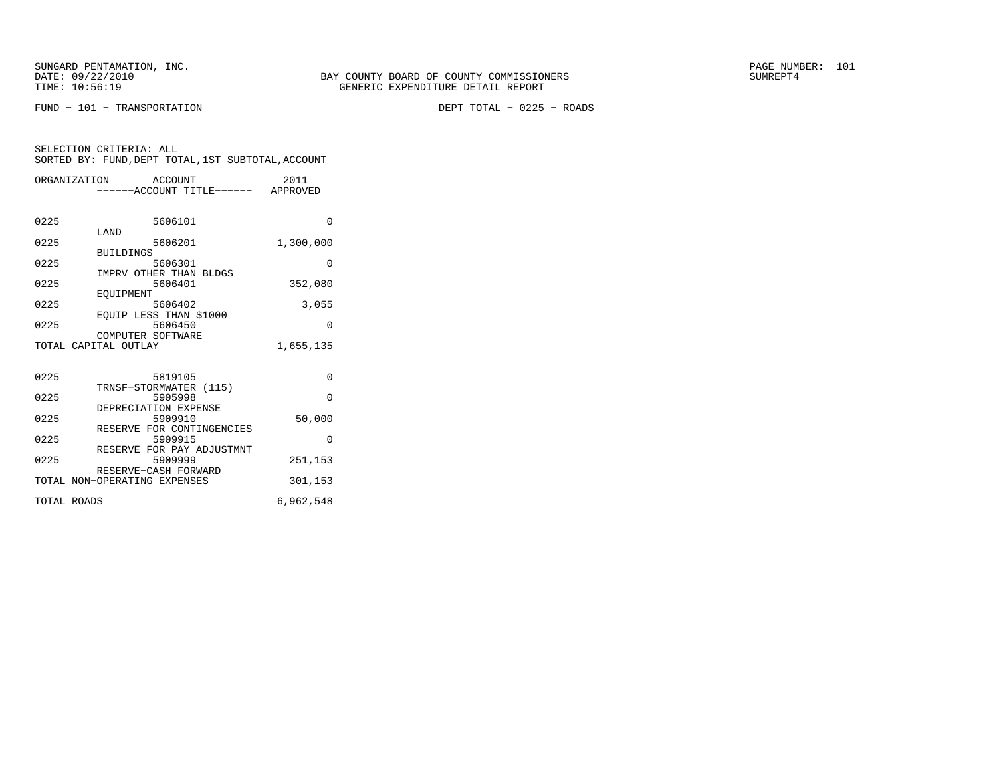$FUND - 101 - TRANSPORTATION$ 

DEPT TOTAL - 0225 - ROADS

|             | ORGANIZATION ACCOUNT<br>-----ACCOUNT TITLE------ APPROVED | 2011      |
|-------------|-----------------------------------------------------------|-----------|
|             |                                                           |           |
| 0225        | 5606101                                                   | $\Omega$  |
| 0225        | LAND<br>5606201                                           | 1,300,000 |
| 0225        | <b>BUILDINGS</b><br>5606301                               | $\Omega$  |
| 0225        | IMPRV OTHER THAN BLDGS<br>5606401                         | 352,080   |
| 0225        | EOUIPMENT<br>5606402                                      | 3,055     |
| 0225        | EOUIP LESS THAN \$1000<br>5606450                         | $\Omega$  |
|             | COMPUTER SOFTWARE                                         |           |
|             | TOTAL CAPITAL OUTLAY                                      | 1,655,135 |
| 0225        | 5819105                                                   | $\Omega$  |
| 0225        | TRNSF-STORMWATER (115)<br>5905998                         | $\Omega$  |
| 0225        | DEPRECIATION EXPENSE<br>5909910                           | 50,000    |
| 0225        | RESERVE FOR CONTINGENCIES<br>5909915                      | $\Omega$  |
|             | RESERVE FOR PAY ADJUSTMNT                                 |           |
| 0225        | 5909999<br>RESERVE-CASH FORWARD                           | 251,153   |
|             | TOTAL NON-OPERATING EXPENSES                              | 301,153   |
| TOTAL ROADS |                                                           | 6,962,548 |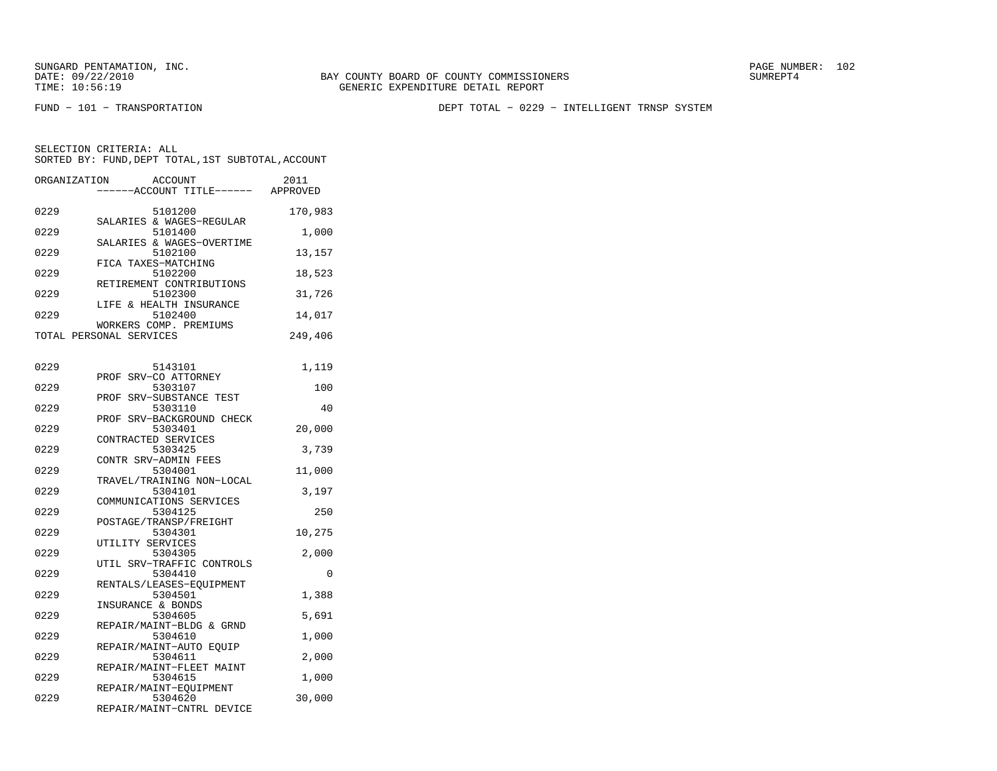FUND − 101 − TRANSPORTATION DEPT TOTAL − 0229 − INTELLIGENT TRNSP SYSTEM

| ORGANIZATION | <b>ACCOUNT</b><br>---ACCOUNT TITLE------ APPROVED              | 2011    |
|--------------|----------------------------------------------------------------|---------|
| 0229         | 5101200<br>SALARIES & WAGES-REGULAR                            | 170,983 |
| 0229         | 5101400<br>SALARIES & WAGES-OVERTIME                           | 1,000   |
| 0229         | 5102100<br>FICA TAXES-MATCHING                                 | 13,157  |
| 0229         | 5102200<br>RETIREMENT CONTRIBUTIONS                            | 18,523  |
| 0229         | 5102300<br>LIFE & HEALTH INSURANCE                             | 31,726  |
| 0229         | 5102400<br>WORKERS COMP. PREMIUMS                              | 14,017  |
|              | TOTAL PERSONAL SERVICES                                        | 249,406 |
| 0229         | 5143101                                                        | 1,119   |
| 0229         | SRV-CO ATTORNEY<br>PROF<br>5303107                             | 100     |
| 0229         | PROF SRV-SUBSTANCE TEST<br>5303110                             | 40      |
| 0229         | PROF SRV-BACKGROUND CHECK<br>5303401                           | 20,000  |
| 0229         | CONTRACTED SERVICES<br>5303425                                 | 3,739   |
| 0229         | CONTR SRV-ADMIN FEES<br>5304001                                | 11,000  |
| 0229         | TRAVEL/TRAINING NON-LOCAL<br>5304101                           | 3,197   |
| 0229         | COMMUNICATIONS SERVICES<br>5304125                             | 250     |
| 0229         | POSTAGE/TRANSP/FREIGHT<br>5304301                              | 10,275  |
| 0229         | UTILITY SERVICES<br>5304305                                    | 2,000   |
| 0229         | UTIL SRV-TRAFFIC CONTROLS<br>5304410                           | 0       |
| 0229         | RENTALS/LEASES-EQUIPMENT<br>5304501                            | 1,388   |
| 0229         | INSURANCE & BONDS<br>5304605                                   | 5,691   |
| 0229         | REPAIR/MAINT-BLDG & GRND<br>5304610                            | 1,000   |
| 0229         | REPAIR/MAINT-AUTO EQUIP<br>5304611                             | 2,000   |
| 0229         | REPAIR/MAINT-FLEET MAINT<br>5304615                            | 1,000   |
| 0229         | REPAIR/MAINT-EQUIPMENT<br>5304620<br>REPAIR/MAINT-CNTRL DEVICE | 30,000  |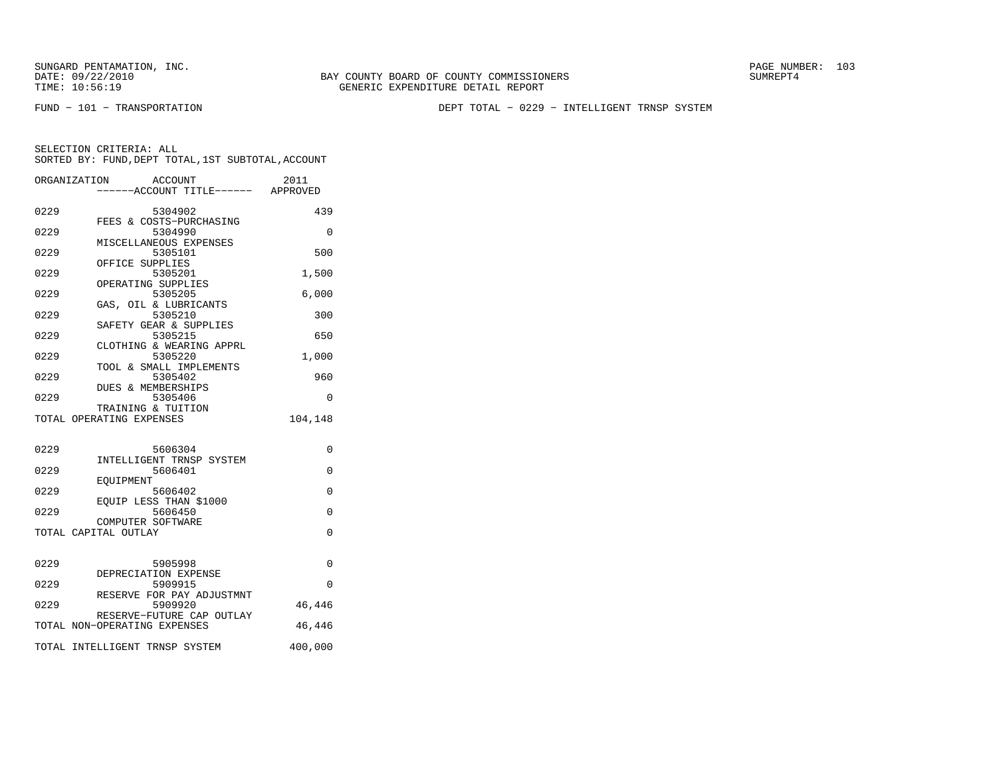FUND − 101 − TRANSPORTATION DEPT TOTAL − 0229 − INTELLIGENT TRNSP SYSTEM

| ORGANIZATION | <b>ACCOUNT</b>                       | 2011     |
|--------------|--------------------------------------|----------|
|              | ----ACCOUNT TITLE------ APPROVED     |          |
| 0229         | 5304902                              | 439      |
|              | FEES & COSTS-PURCHASING              |          |
| 0229         | 5304990<br>MISCELLANEOUS EXPENSES    | $\Omega$ |
| 0229         | 5305101                              | 500      |
|              | OFFICE SUPPLIES                      |          |
| 0229         | 5305201<br>OPERATING SUPPLIES        | 1,500    |
| 0229         | 5305205                              | 6,000    |
|              | GAS, OIL & LUBRICANTS                |          |
| 0229         | 5305210                              | 300      |
| 0229         | SAFETY GEAR & SUPPLIES<br>5305215    | 650      |
|              | CLOTHING & WEARING APPRL             |          |
| 0229         | 5305220                              | 1,000    |
|              | TOOL & SMALL IMPLEMENTS              |          |
| 0229         | 5305402<br>DUES & MEMBERSHIPS        | 960      |
| 0229         | 5305406                              | $\Omega$ |
|              | TRAINING & TUITION                   |          |
|              | TOTAL OPERATING EXPENSES             | 104,148  |
|              |                                      |          |
| 0229         | 5606304                              | 0        |
| 0229         | INTELLIGENT TRNSP SYSTEM             |          |
|              | 5606401<br>EOUIPMENT                 | $\Omega$ |
| 0229         | 5606402                              | 0        |
|              | EQUIP LESS THAN \$1000               |          |
| 0229         | 5606450<br>COMPUTER SOFTWARE         | $\Omega$ |
|              | TOTAL CAPITAL OUTLAY                 | 0        |
|              |                                      |          |
| 0229         |                                      | $\Omega$ |
|              | 5905998<br>DEPRECIATION EXPENSE      |          |
| 0229         | 5909915                              | $\Omega$ |
|              | RESERVE FOR PAY ADJUSTMNT            |          |
| 0229         | 5909920<br>RESERVE-FUTURE CAP OUTLAY | 46,446   |
|              | TOTAL NON-OPERATING EXPENSES         | 46,446   |
|              |                                      |          |
|              | TOTAL INTELLIGENT TRNSP SYSTEM       | 400,000  |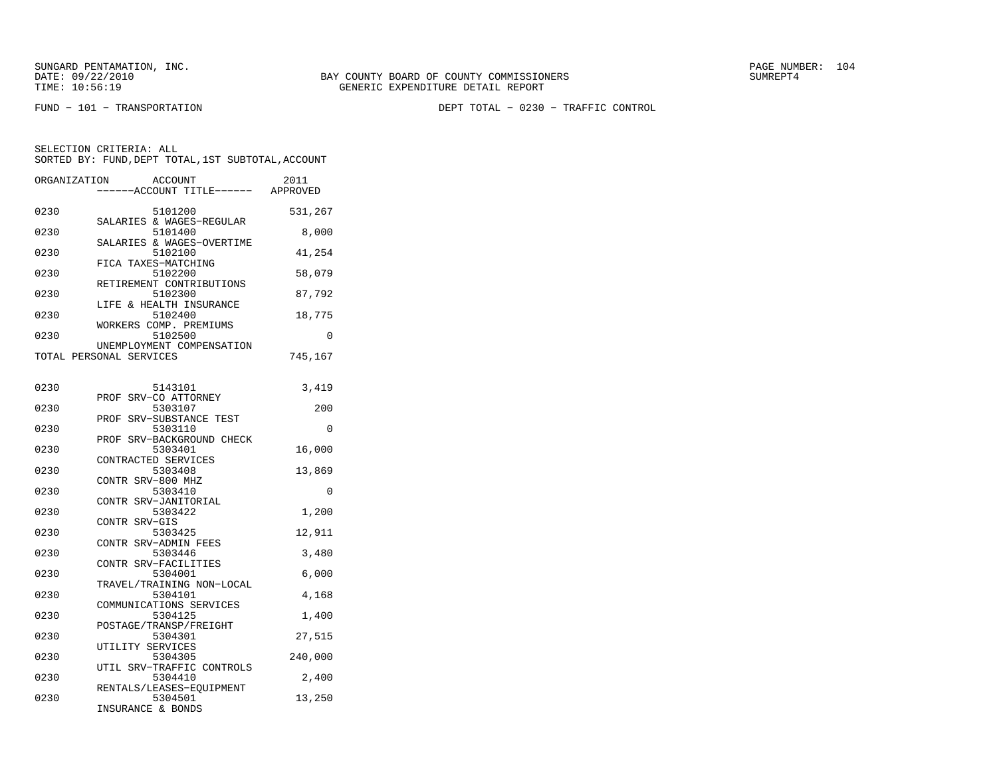FUND − 101 − TRANSPORTATION DEPT TOTAL − 0230 − TRAFFIC CONTROL

| ORGANIZATION | ACCOUNT<br>---ACCOUNT TITLE------                        | 2011<br>APPROVED |
|--------------|----------------------------------------------------------|------------------|
| 0230         | 5101200<br>SALARIES & WAGES-REGULAR                      | 531,267          |
| 0230         | 5101400<br>SALARIES & WAGES-OVERTIME                     | 8,000            |
| 0230         | 5102100<br>FICA TAXES-MATCHING                           | 41,254           |
| 0230         | 5102200<br>RETIREMENT CONTRIBUTIONS                      | 58,079           |
| 0230         | 5102300<br>LIFE & HEALTH INSURANCE                       | 87,792           |
| 0230         | 5102400                                                  | 18,775           |
| 0230         | WORKERS COMP. PREMIUMS<br>5102500                        | 0                |
|              | UNEMPLOYMENT COMPENSATION<br>TOTAL PERSONAL SERVICES     | 745,167          |
| 0230         | 5143101                                                  | 3,419            |
| 0230         | PROF SRV-CO ATTORNEY<br>5303107                          | 200              |
| 0230         | SRV-SUBSTANCE TEST<br>PROF<br>5303110                    | 0                |
| 0230         | PROF SRV-BACKGROUND CHECK<br>5303401                     | 16,000           |
| 0230         | CONTRACTED SERVICES<br>5303408                           | 13,869           |
| 0230         | CONTR SRV-800 MHZ<br>5303410                             | 0                |
| 0230         | CONTR SRV-JANITORIAL<br>5303422                          | 1,200            |
| 0230         | CONTR SRV-GIS<br>5303425                                 | 12,911           |
| 0230         | CONTR SRV-ADMIN FEES<br>5303446                          | 3,480            |
| 0230         | CONTR SRV-FACILITIES<br>5304001                          | 6,000            |
| 0230         | TRAVEL/TRAINING NON-LOCAL<br>5304101                     | 4,168            |
| 0230         | COMMUNICATIONS SERVICES<br>5304125                       | 1,400            |
| 0230         | POSTAGE/TRANSP/FREIGHT<br>5304301                        | 27,515           |
| 0230         | UTILITY SERVICES<br>5304305                              | 240,000          |
| 0230         | UTIL SRV-TRAFFIC CONTROLS<br>5304410                     | 2,400            |
| 0230         | RENTALS/LEASES-EOUIPMENT<br>5304501<br>INSURANCE & BONDS | 13,250           |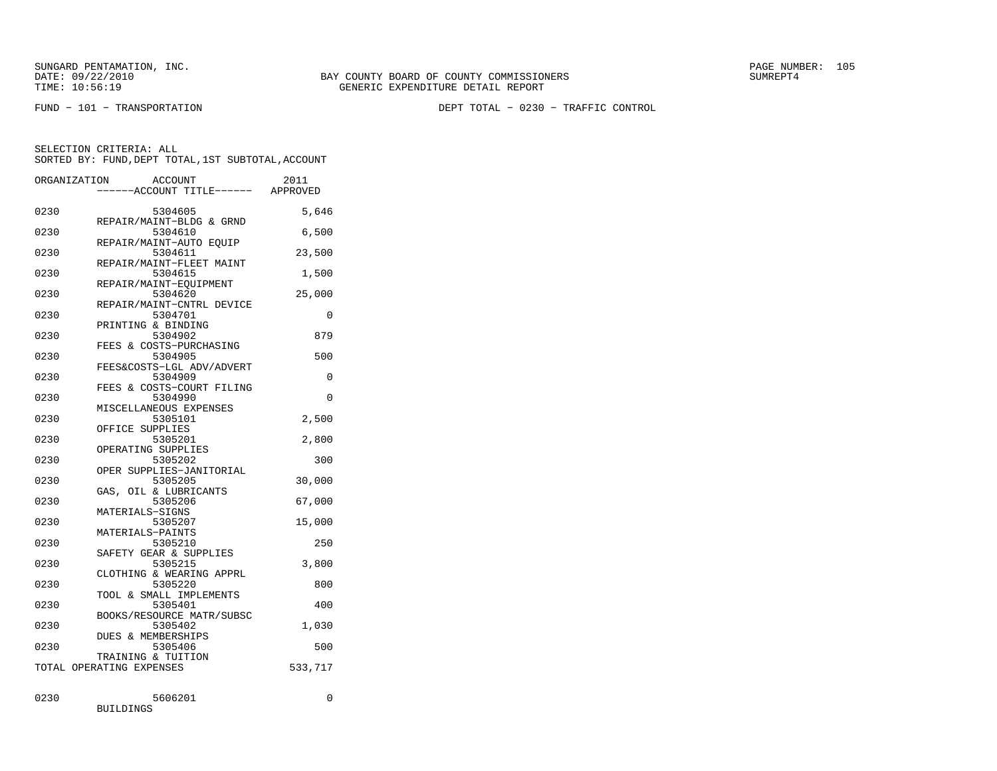FUND − 101 − TRANSPORTATION DEPT TOTAL − 0230 − TRAFFIC CONTROL

SELECTION CRITERIA: ALLSORTED BY: FUND, DEPT TOTAL, 1ST SUBTOTAL, ACCOUNT

|      | ORGANIZATION<br><b>ACCOUNT</b><br>---ACCOUNT TITLE------ APPROVED | 2011     |
|------|-------------------------------------------------------------------|----------|
| 0230 | 5304605                                                           | 5,646    |
| 0230 | REPAIR/MAINT-BLDG & GRND<br>5304610                               | 6,500    |
| 0230 | REPAIR/MAINT-AUTO EQUIP<br>5304611                                | 23,500   |
| 0230 | REPAIR/MAINT-FLEET MAINT<br>5304615                               | 1,500    |
| 0230 | REPAIR/MAINT-EOUIPMENT<br>5304620                                 | 25,000   |
| 0230 | REPAIR/MAINT-CNTRL DEVICE<br>5304701                              | 0        |
| 0230 | PRINTING & BINDING<br>5304902                                     | 879      |
| 0230 | FEES & COSTS-PURCHASING<br>5304905                                | 500      |
| 0230 | FEES&COSTS-LGL ADV/ADVERT<br>5304909                              | 0        |
| 0230 | FEES & COSTS-COURT FILING<br>5304990                              | $\Omega$ |
| 0230 | MISCELLANEOUS EXPENSES<br>5305101                                 | 2,500    |
| 0230 | OFFICE SUPPLIES<br>5305201                                        | 2,800    |
| 0230 | OPERATING SUPPLIES<br>5305202                                     | 300      |
| 0230 | OPER SUPPLIES-JANITORIAL<br>5305205                               | 30,000   |
| 0230 | GAS, OIL & LUBRICANTS<br>5305206                                  | 67,000   |
| 0230 | MATERIALS-SIGNS<br>5305207                                        | 15,000   |
| 0230 | MATERIALS-PAINTS<br>5305210                                       | 250      |
| 0230 | SAFETY GEAR & SUPPLIES<br>5305215                                 | 3,800    |
| 0230 | CLOTHING & WEARING APPRL<br>5305220                               | 800      |
| 0230 | TOOL & SMALL IMPLEMENTS<br>5305401                                | 400      |
| 0230 | BOOKS/RESOURCE MATR/SUBSC<br>5305402                              | 1,030    |
| 0230 | <b>DUES &amp; MEMBERSHIPS</b><br>5305406                          | 500      |
|      | TRAINING & TUITION<br>TOTAL OPERATING EXPENSES                    | 533,717  |
| 0230 | 5606201                                                           | 0        |

BUILDINGS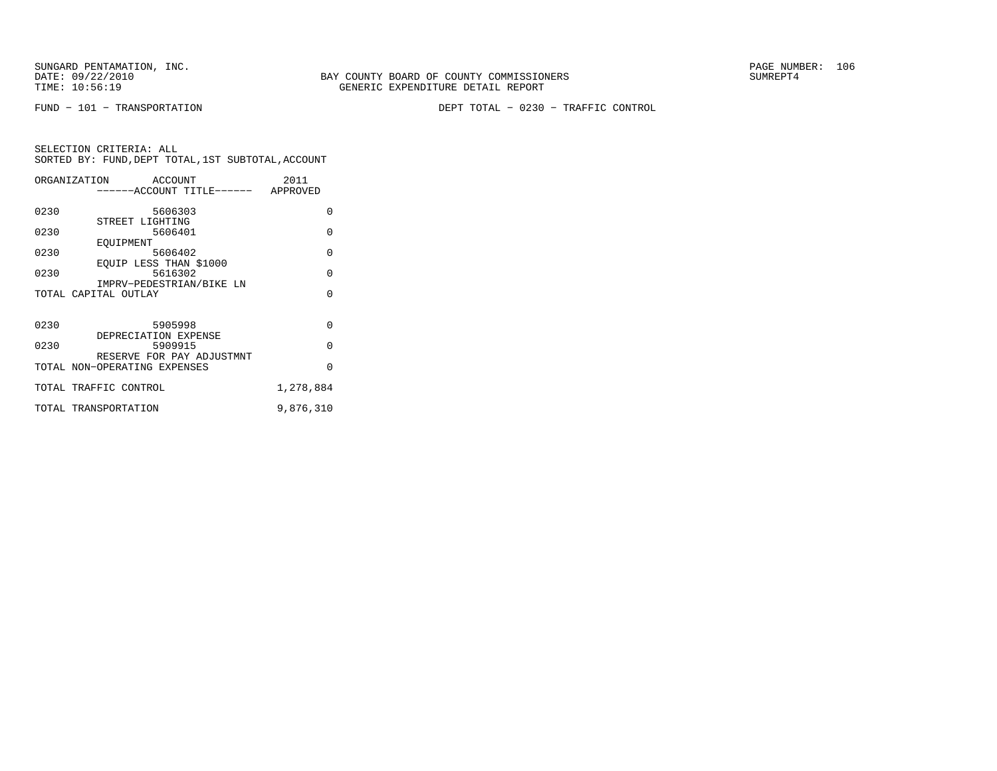FUND − 101 − TRANSPORTATION DEPT TOTAL − 0230 − TRAFFIC CONTROL

|      | ORGANIZATION ACCOUNT         |                                    | 2011      |
|------|------------------------------|------------------------------------|-----------|
|      |                              | ------ACCOUNT TITLE------ APPROVED |           |
|      |                              |                                    |           |
| 0230 | 5606303                      |                                    | $\Omega$  |
|      | STREET LIGHTING              |                                    |           |
| 0230 | 5606401                      |                                    | $\Omega$  |
|      | EOUIPMENT                    |                                    |           |
| 0230 | 5606402                      |                                    | $\Omega$  |
|      | EOUIP LESS THAN \$1000       |                                    |           |
| 0230 | 5616302                      |                                    | $\Omega$  |
|      | IMPRV-PEDESTRIAN/BIKE LN     |                                    |           |
|      | TOTAL CAPITAL OUTLAY         |                                    | $\Omega$  |
|      |                              |                                    |           |
|      |                              |                                    |           |
| 0230 | 5905998                      |                                    | $\Omega$  |
|      | DEPRECIATION EXPENSE         |                                    |           |
| 0230 | 5909915                      |                                    | $\Omega$  |
|      | RESERVE FOR PAY ADJUSTMNT    |                                    |           |
|      | TOTAL NON-OPERATING EXPENSES |                                    | $\Omega$  |
|      |                              |                                    |           |
|      | TOTAL TRAFFIC CONTROL        |                                    | 1,278,884 |
|      | TOTAL TRANSPORTATION         |                                    | 9,876,310 |
|      |                              |                                    |           |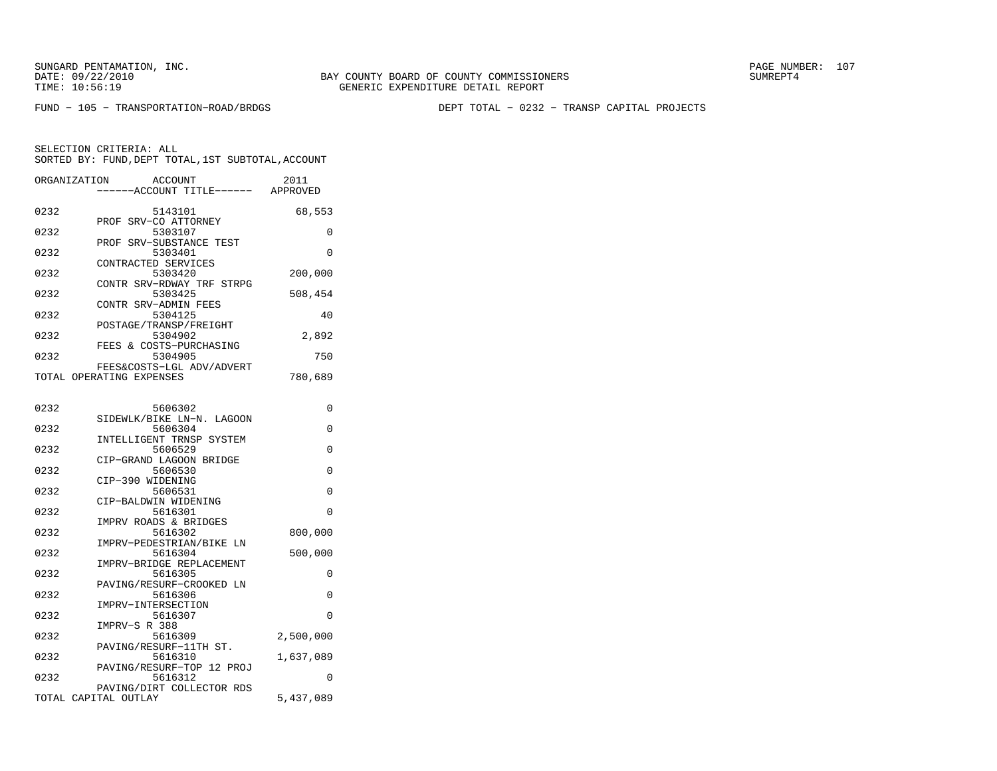BAY COUNTY BOARD OF COUNTY COMMISSIONERS TIME: 10:56:19 GENERIC EXPENDITURE DETAIL REPORT

FUND − 105 − TRANSPORTATION−ROAD/BRDGS DEPT TOTAL − 0232 − TRANSP CAPITAL PROJECTS

| ORGANIZATION | ACCOUNT<br>---ACCOUNT TITLE------ APPROVED            | 2011      |
|--------------|-------------------------------------------------------|-----------|
| 0232         | 5143101                                               | 68,553    |
| 0232         | PROF SRV-CO ATTORNEY<br>5303107                       | 0         |
| 0232         | SRV-SUBSTANCE TEST<br>PROF<br>5303401                 | 0         |
| 0232         | CONTRACTED SERVICES<br>5303420                        | 200,000   |
| 0232         | CONTR SRV-RDWAY TRF STRPG<br>5303425                  | 508,454   |
| 0232         | CONTR SRV-ADMIN FEES<br>5304125                       | 40        |
| 0232         | POSTAGE/TRANSP/FREIGHT<br>5304902                     | 2,892     |
| 0232         | FEES & COSTS-PURCHASING<br>5304905                    | 750       |
|              | FEES&COSTS-LGL ADV/ADVERT<br>TOTAL OPERATING EXPENSES | 780,689   |
|              |                                                       |           |
| 0232         | 5606302<br>SIDEWLK/BIKE LN-N. LAGOON                  | 0         |
| 0232         | 5606304<br>INTELLIGENT TRNSP SYSTEM                   | 0         |
| 0232         | 5606529<br>CIP-GRAND LAGOON BRIDGE                    | 0         |
| 0232         | 5606530                                               | 0         |
| 0232         | CIP-390 WIDENING<br>5606531                           | 0         |
| 0232         | CIP-BALDWIN WIDENING<br>5616301                       | $\Omega$  |
| 0232         | IMPRV ROADS & BRIDGES<br>5616302                      | 800,000   |
| 0232         | IMPRV-PEDESTRIAN/BIKE LN<br>5616304                   | 500,000   |
| 0232         | IMPRV-BRIDGE REPLACEMENT<br>5616305                   | 0         |
| 0232         | PAVING/RESURF-CROOKED LN<br>5616306                   | 0         |
| 0232         | IMPRV-INTERSECTION<br>5616307                         | 0         |
| 0232         | IMPRV-S R 388<br>5616309                              | 2,500,000 |
| 0232         | PAVING/RESURF-11TH ST.<br>5616310                     | 1,637,089 |
| 0232         | PAVING/RESURF-TOP 12 PROJ<br>5616312                  | 0         |
|              | PAVING/DIRT COLLECTOR RDS<br>TOTAL CAPITAL OUTLAY     | 5,437,089 |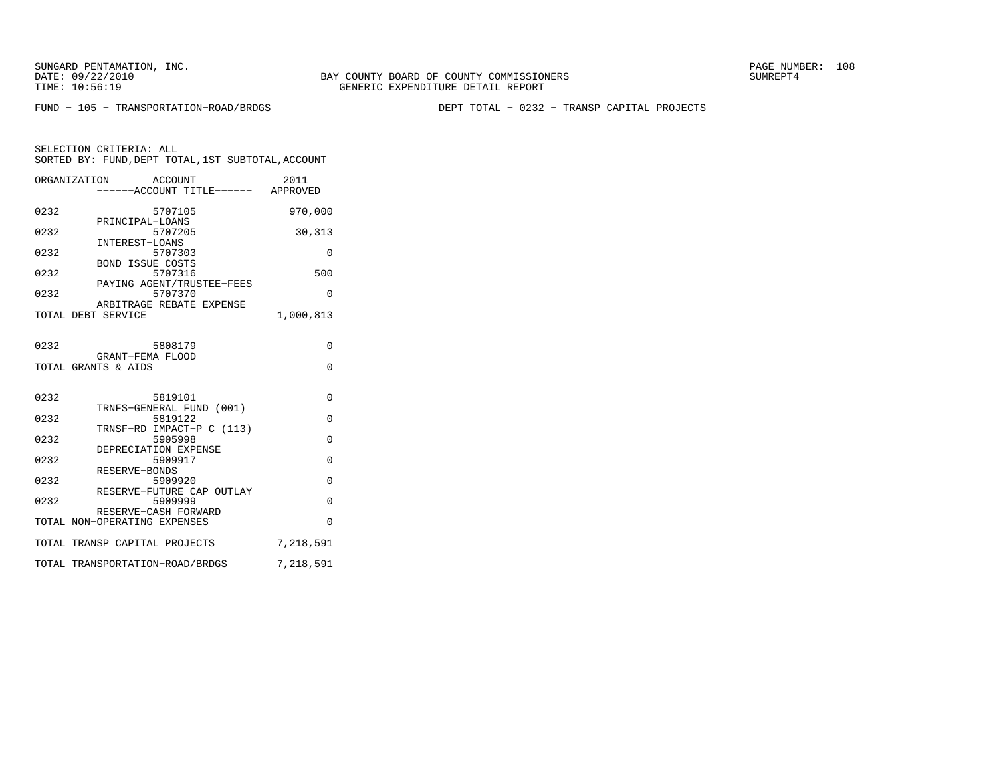BAY COUNTY BOARD OF COUNTY COMMISSIONERS TIME: 10:56:19 GENERIC EXPENDITURE DETAIL REPORT

FUND − 105 − TRANSPORTATION−ROAD/BRDGS DEPT TOTAL − 0232 − TRANSP CAPITAL PROJECTS

| ORGANIZATION       |                              | ACCOUNT<br>-----ACCOUNT TITLE------ APPROVED | 2011      |
|--------------------|------------------------------|----------------------------------------------|-----------|
| 0232               |                              | 5707105                                      | 970,000   |
| 0232               | PRINCIPAL-LOANS              | 5707205                                      | 30,313    |
| 0232               | INTEREST-LOANS               | 5707303                                      | 0         |
| 0232               | <b>BOND ISSUE COSTS</b>      | 5707316                                      | 500       |
| 0232               |                              | PAYING AGENT/TRUSTEE-FEES<br>5707370         | $\Omega$  |
| TOTAL DEBT SERVICE |                              | ARBITRAGE REBATE EXPENSE                     | 1,000,813 |
| 0232               | GRANT-FEMA FLOOD             | 5808179                                      | $\Omega$  |
|                    | TOTAL GRANTS & AIDS          |                                              | $\Omega$  |
|                    |                              |                                              |           |
| 0232               |                              | 5819101<br>TRNFS-GENERAL FUND (001)          | $\Omega$  |
| 0232               |                              | 5819122<br>TRNSF-RD IMPACT-P C (113)         | $\Omega$  |
| 0232               | DEPRECIATION EXPENSE         | 5905998                                      | $\Omega$  |
| 0232               | RESERVE-BONDS                | 5909917                                      | $\Omega$  |
| 0232               |                              | 5909920<br>RESERVE-FUTURE CAP OUTLAY         | $\Omega$  |
| 0232               | RESERVE-CASH FORWARD         | 5909999                                      | $\Omega$  |
|                    | TOTAL NON-OPERATING EXPENSES |                                              | $\Omega$  |
|                    |                              | TOTAL TRANSP CAPITAL PROJECTS                | 7,218,591 |
|                    |                              | TOTAL TRANSPORTATION-ROAD/BRDGS              | 7,218,591 |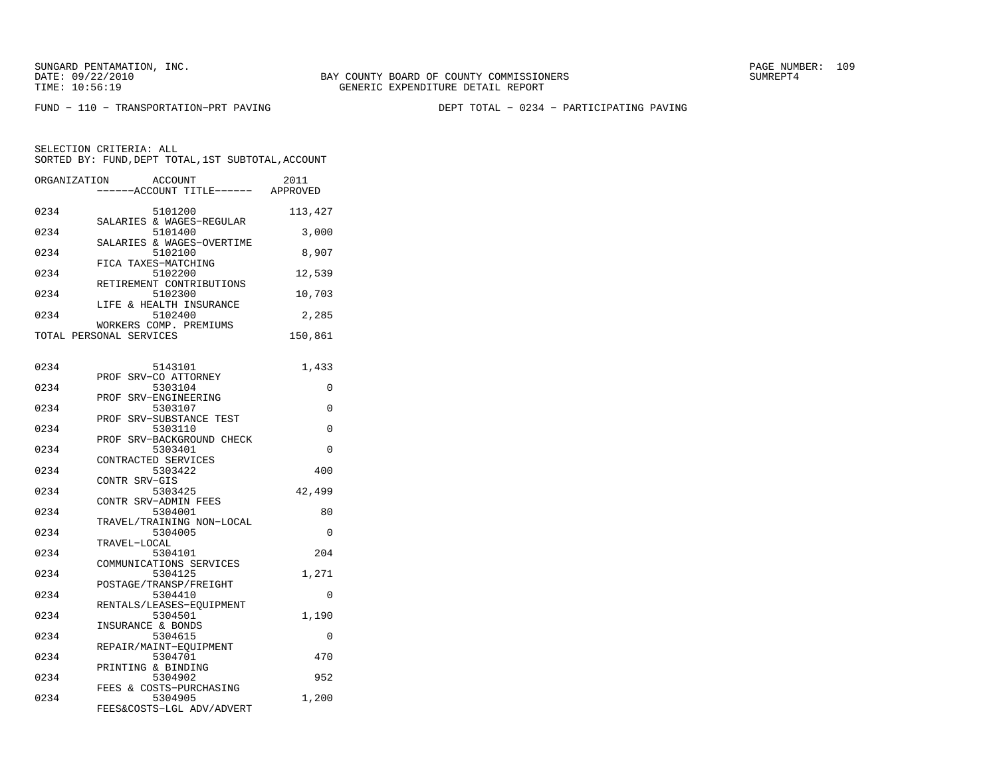BAY COUNTY BOARD OF COUNTY COMMISSIONERS TIME: 10:56:19 GENERIC EXPENDITURE DETAIL REPORT

FUND − 110 − TRANSPORTATION−PRT PAVING DEPT TOTAL − 0234 − PARTICIPATING PAVING

| ORGANIZATION | <b>ACCOUNT</b><br>--ACCOUNT TITLE------ APPROVED            | 2011     |
|--------------|-------------------------------------------------------------|----------|
| 0234         | 5101200<br>SALARIES & WAGES-REGULAR                         | 113,427  |
| 0234         | 5101400<br>SALARIES & WAGES-OVERTIME                        | 3,000    |
| 0234         | 5102100<br>FICA TAXES-MATCHING                              | 8,907    |
| 0234         | 5102200<br>RETIREMENT CONTRIBUTIONS                         | 12,539   |
| 0234         | 5102300<br>LIFE & HEALTH INSURANCE                          | 10,703   |
| 0234         | 5102400<br>WORKERS COMP. PREMIUMS                           | 2,285    |
|              | TOTAL PERSONAL SERVICES                                     | 150,861  |
| 0234         | 5143101                                                     | 1,433    |
| 0234         | PROF SRV-CO ATTORNEY<br>5303104                             | 0        |
| 0234         | PROF<br>SRV-ENGINEERING<br>5303107                          | 0        |
| 0234         | SRV-SUBSTANCE TEST<br>PROF<br>5303110                       | 0        |
| 0234         | PROF SRV-BACKGROUND CHECK<br>5303401<br>CONTRACTED SERVICES | $\Omega$ |
| 0234         | 5303422<br>CONTR SRV-GIS                                    | 400      |
| 0234         | 5303425<br>CONTR SRV-ADMIN FEES                             | 42,499   |
| 0234         | 5304001<br>TRAVEL/TRAINING NON-LOCAL                        | 80       |
| 0234         | 5304005<br>TRAVEL-LOCAL                                     | $\Omega$ |
| 0234         | 5304101<br>COMMUNICATIONS SERVICES                          | 204      |
| 0234         | 5304125<br>POSTAGE/TRANSP/FREIGHT                           | 1,271    |
| 0234         | 5304410<br>RENTALS/LEASES-EQUIPMENT                         | 0        |
| 0234         | 5304501<br>INSURANCE & BONDS                                | 1,190    |
| 0234         | 5304615<br>REPAIR/MAINT-EQUIPMENT                           | $\Omega$ |
| 0234         | 5304701<br>PRINTING & BINDING                               | 470      |
| 0234         | 5304902<br>FEES & COSTS-PURCHASING                          | 952      |
| 0234         | 5304905<br>FEES&COSTS-LGL ADV/ADVERT                        | 1,200    |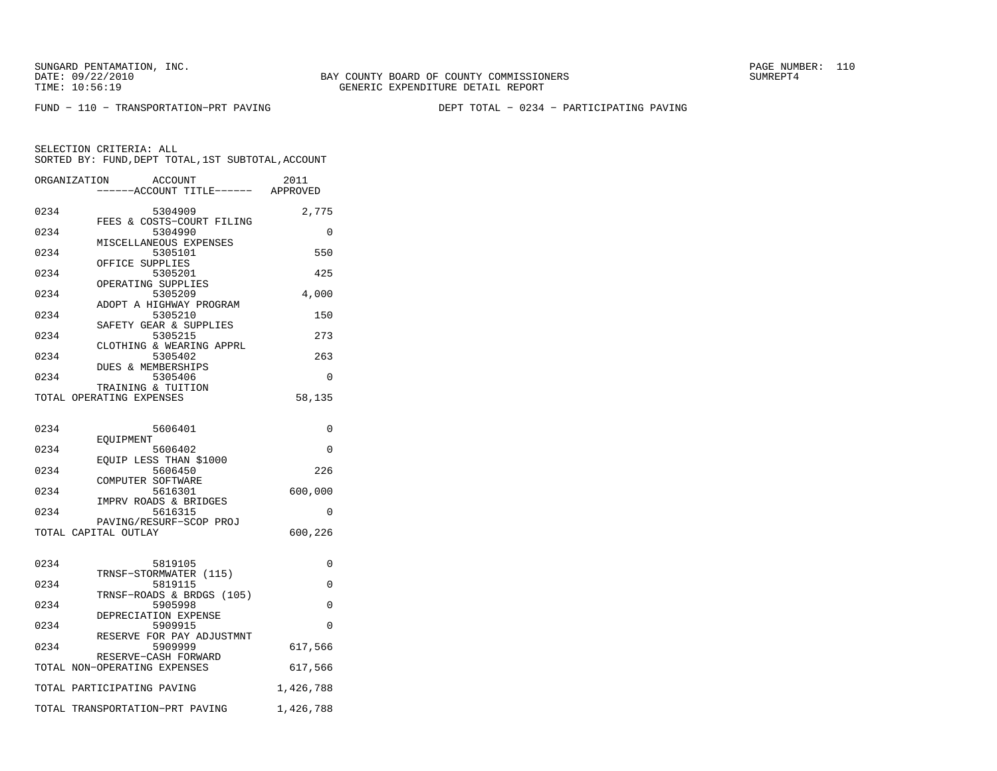FUND − 110 − TRANSPORTATION−PRT PAVING DEPT TOTAL − 0234 − PARTICIPATING PAVING

|      | ORGANIZATION<br><b>ACCOUNT</b><br>----ACCOUNT TITLE------ APPROVED | 2011      |
|------|--------------------------------------------------------------------|-----------|
|      |                                                                    |           |
| 0234 | 5304909                                                            | 2,775     |
|      | FEES & COSTS-COURT FILING                                          |           |
| 0234 | 5304990                                                            | 0         |
|      | MISCELLANEOUS EXPENSES                                             |           |
| 0234 | 5305101                                                            | 550       |
| 0234 | OFFICE SUPPLIES                                                    | 425       |
|      | 5305201<br>OPERATING SUPPLIES                                      |           |
| 0234 | 5305209                                                            | 4,000     |
|      | ADOPT A HIGHWAY PROGRAM                                            |           |
| 0234 | 5305210                                                            | 150       |
|      | SAFETY GEAR & SUPPLIES                                             |           |
| 0234 | 5305215                                                            | 273       |
|      | CLOTHING & WEARING APPRL                                           |           |
| 0234 | 5305402                                                            | 263       |
|      | DUES & MEMBERSHIPS                                                 |           |
| 0234 | 5305406                                                            | 0         |
|      | TRAINING & TUITION                                                 |           |
|      | TOTAL OPERATING EXPENSES                                           | 58,135    |
|      |                                                                    |           |
|      |                                                                    |           |
| 0234 | 5606401                                                            | 0         |
|      | EOUIPMENT                                                          |           |
| 0234 | 5606402                                                            | 0         |
|      | EOUIP LESS THAN \$1000                                             |           |
| 0234 | 5606450                                                            | 226       |
|      | COMPUTER SOFTWARE                                                  |           |
| 0234 | 5616301                                                            | 600,000   |
| 0234 | IMPRV ROADS & BRIDGES                                              | $\Omega$  |
|      | 5616315<br>PAVING/RESURF-SCOP PROJ                                 |           |
|      | TOTAL CAPITAL OUTLAY                                               | 600,226   |
|      |                                                                    |           |
|      |                                                                    |           |
| 0234 | 5819105                                                            | 0         |
|      | TRNSF-STORMWATER (115)                                             |           |
| 0234 | 5819115                                                            | 0         |
|      | TRNSF-ROADS & BRDGS (105)                                          |           |
| 0234 | 5905998                                                            | 0         |
|      | DEPRECIATION EXPENSE                                               |           |
| 0234 | 5909915                                                            | $\Omega$  |
|      | RESERVE FOR PAY ADJUSTMNT                                          |           |
| 0234 | 5909999                                                            | 617,566   |
|      | RESERVE-CASH FORWARD                                               |           |
|      | TOTAL NON-OPERATING EXPENSES                                       | 617,566   |
|      |                                                                    |           |
|      | TOTAL PARTICIPATING PAVING                                         | 1,426,788 |
|      | TOTAL TRANSPORTATION-PRT PAVING                                    | 1,426,788 |
|      |                                                                    |           |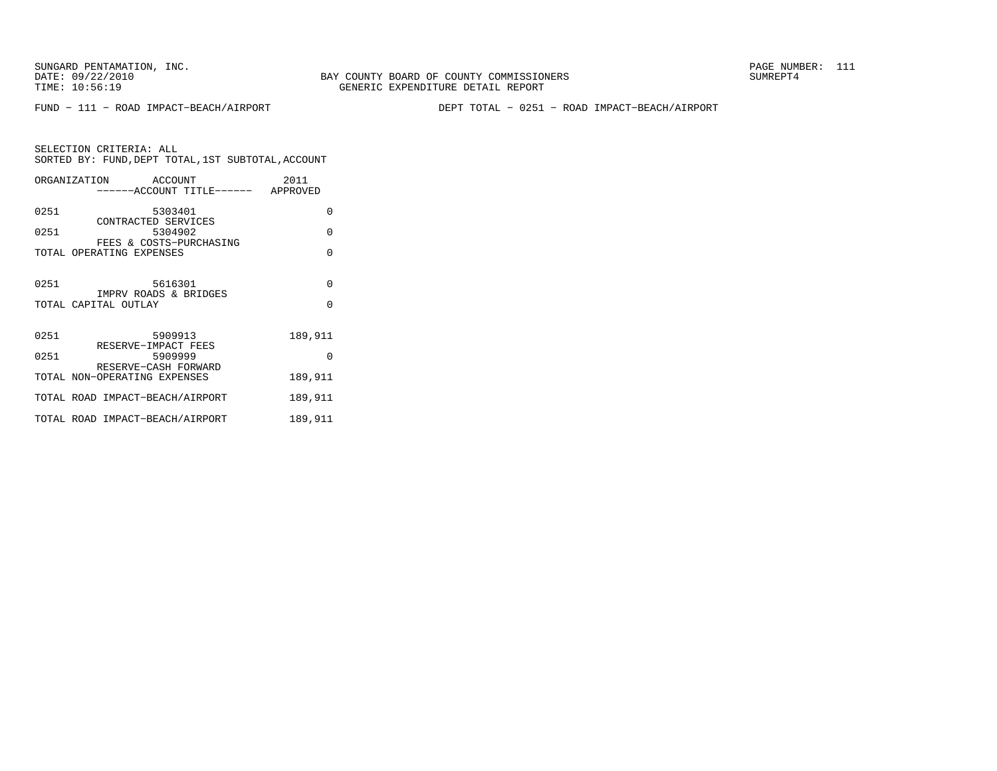SELECTION CRITERIA: ALL

FUND − 111 − ROAD IMPACT−BEACH/AIRPORT DEPT TOTAL − 0251 − ROAD IMPACT−BEACH/AIRPORT

| SELECTION CRITERIA: ALL  | SORTED BY: FUND. DEPT TOTAL, 1ST SUBTOTAL, ACCOUNT |                  |
|--------------------------|----------------------------------------------------|------------------|
| ORGANIZATION             | ACCOUNT<br>------ACCOUNT TITLE------               | 2011<br>APPROVED |
| 0251                     | 5303401<br>CONTRACTED SERVICES                     |                  |
| 0251                     | 5304902<br>FEES & COSTS-PURCHASING                 | O                |
| TOTAL OPERATING EXPENSES |                                                    | U                |
|                          |                                                    |                  |
| 0251                     | 5616301<br>IMPRV ROADS & BRIDGES                   | U                |
| TOTAL CAPITAL OUTLAY     |                                                    |                  |

| 0251 | 5909913                                                | 189,911 |
|------|--------------------------------------------------------|---------|
| 0251 | RESERVE-IMPACT FEES<br>5909999<br>RESERVE-CASH FORWARD |         |
|      | TOTAL NON-OPERATING EXPENSES                           | 189,911 |
|      | TOTAL ROAD IMPACT-BEACH/AIRPORT                        | 189,911 |
|      | TOTAL ROAD IMPACT-BEACH/AIRPORT                        | 189,911 |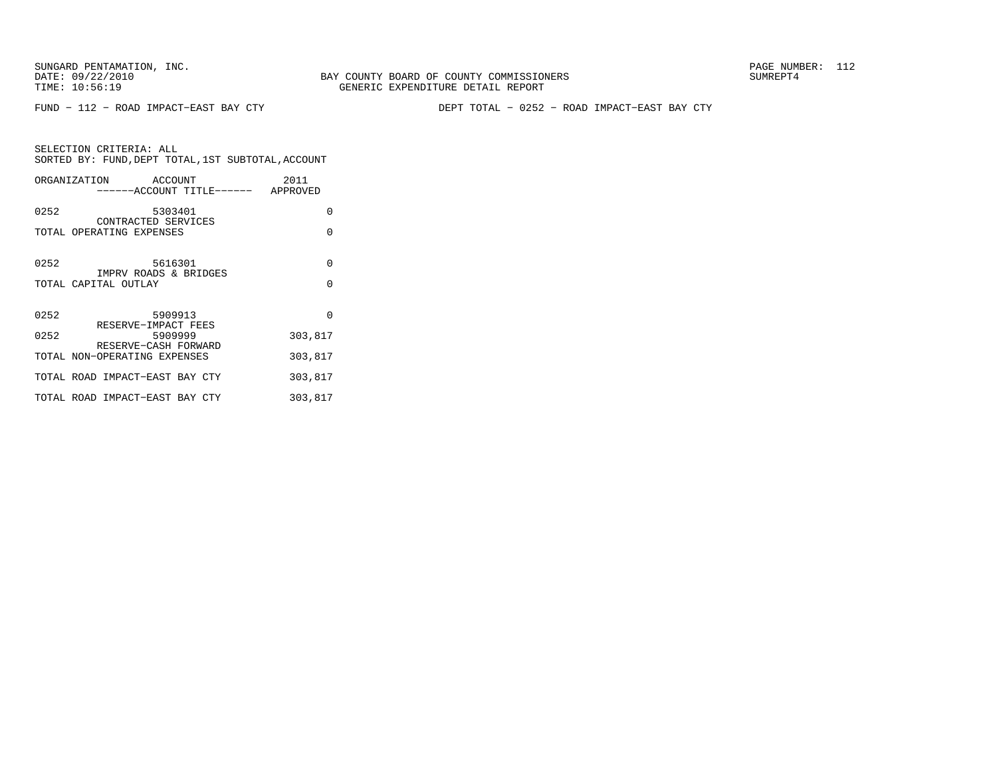FUND − 112 − ROAD IMPACT−EAST BAY CTY DEPT TOTAL − 0252 − ROAD IMPACT−EAST BAY CTY

SELECTION CRITERIA: ALLSORTED BY: FUND, DEPT TOTAL, 1ST SUBTOTAL, ACCOUNT ORGANIZATION ACCOUNT 2011

|      | ------ACCOUNT TITLE------ APPROVED                   | ZU 1 1   |
|------|------------------------------------------------------|----------|
| 0252 | 5303401                                              | $\Omega$ |
|      | CONTRACTED SERVICES<br>TOTAL OPERATING EXPENSES      | $\Omega$ |
| 0252 | 5616301                                              | $\Omega$ |
|      | IMPRV ROADS & BRIDGES<br>TOTAL CAPITAL OUTLAY        | $\Omega$ |
|      |                                                      |          |
| 0252 | 5909913                                              | $\Omega$ |
| 0252 | RESERVE-IMPACT FEES<br>5909999                       | 303,817  |
|      | RESERVE-CASH FORWARD<br>TOTAL NON-OPERATING EXPENSES | 303,817  |
|      | TOTAL ROAD IMPACT-EAST BAY CTY                       | 303,817  |
|      | TOTAL ROAD IMPACT-EAST BAY CTY                       | 303,817  |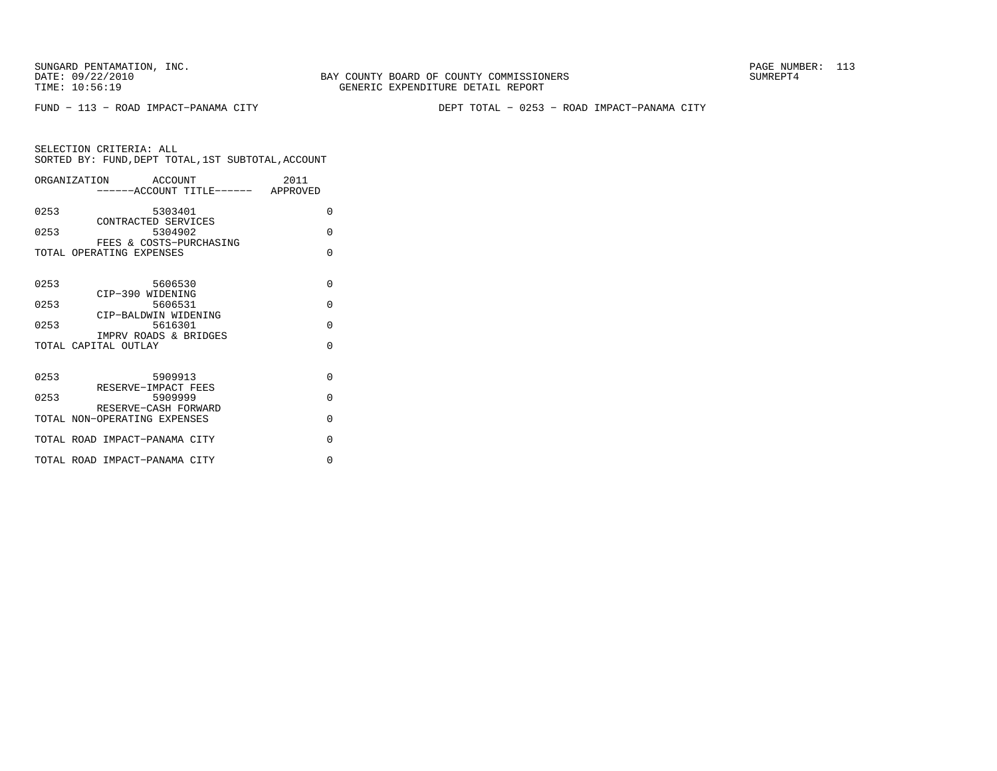FUND − 113 − ROAD IMPACT−PANAMA CITY DEPT TOTAL − 0253 − ROAD IMPACT−PANAMA CITY

|      | ORGANIZATION<br>ACCOUNT                              |                                   | 2011     |  |
|------|------------------------------------------------------|-----------------------------------|----------|--|
|      |                                                      | -----ACCOUNT TITLE------ APPROVED |          |  |
| 0253 | 5303401<br>CONTRACTED SERVICES                       |                                   | $\Omega$ |  |
| 0253 | 5304902                                              |                                   | $\Omega$ |  |
|      | FEES & COSTS-PURCHASING<br>TOTAL OPERATING EXPENSES  |                                   | $\Omega$ |  |
| 0253 | 5606530<br>CIP-390 WIDENING                          |                                   | $\Omega$ |  |
| 0253 | 5606531<br>CIP-BALDWIN WIDENING                      |                                   | $\Omega$ |  |
| 0253 | 5616301                                              |                                   | $\Omega$ |  |
|      | IMPRV ROADS & BRIDGES<br>TOTAL CAPITAL OUTLAY        |                                   | $\Omega$ |  |
| 0253 | 5909913<br>RESERVE-IMPACT FEES                       |                                   | $\Omega$ |  |
| 0253 | 5909999                                              |                                   | $\Omega$ |  |
|      | RESERVE-CASH FORWARD<br>TOTAL NON-OPERATING EXPENSES |                                   | $\Omega$ |  |
|      | TOTAL ROAD IMPACT-PANAMA CITY                        |                                   | $\Omega$ |  |
|      | TOTAL ROAD IMPACT-PANAMA CITY                        |                                   | $\Omega$ |  |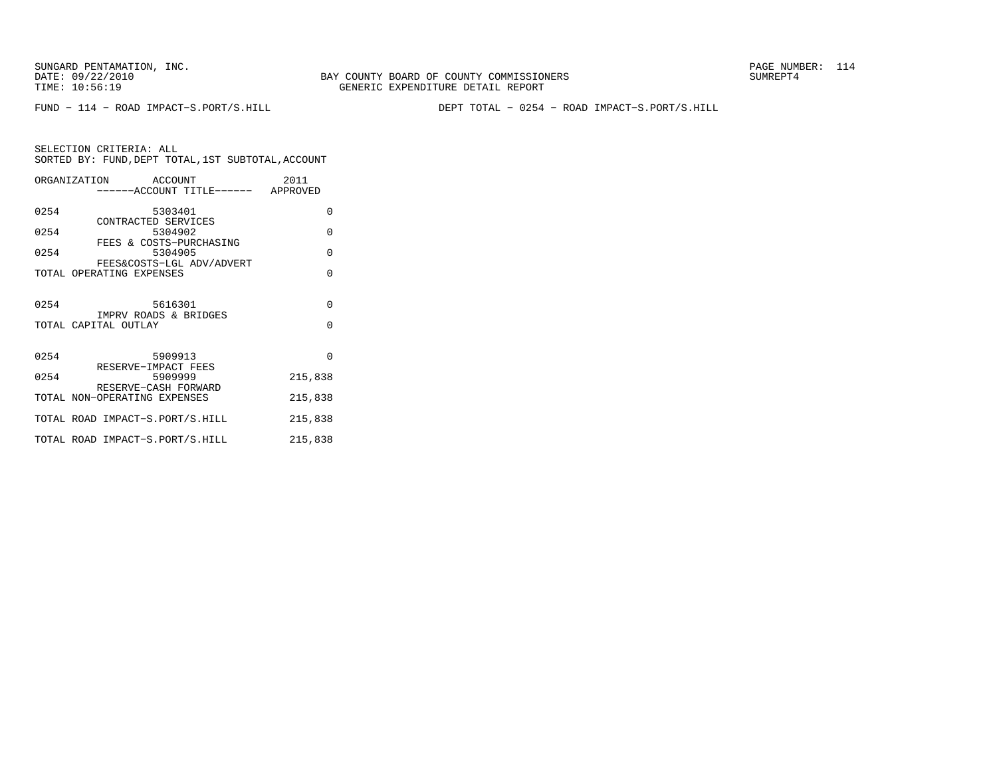BAY COUNTY BOARD OF COUNTY COMMISSIONERS TIME: 10:56:19 GENERIC EXPENDITURE DETAIL REPORT

FUND − 114 − ROAD IMPACT−S.PORT/S.HILL DEPT TOTAL − 0254 − ROAD IMPACT−S.PORT/S.HILL

|      | ORGANIZATION ACCOUNT                                 |         |                                    | 2011     |  |
|------|------------------------------------------------------|---------|------------------------------------|----------|--|
|      |                                                      |         | ------ACCOUNT TITLE------ APPROVED |          |  |
| 0254 |                                                      | 5303401 |                                    | $\Omega$ |  |
| 0254 | CONTRACTED SERVICES                                  |         | 5304902                            | $\Omega$ |  |
| 0254 |                                                      |         | FEES & COSTS-PURCHASING<br>5304905 | $\Omega$ |  |
|      | TOTAL OPERATING EXPENSES                             |         | FEES&COSTS-LGL ADV/ADVERT          | $\Omega$ |  |
|      |                                                      |         |                                    |          |  |
| 0254 | IMPRV ROADS & BRIDGES                                |         | 5616301                            | $\Omega$ |  |
|      | TOTAL CAPITAL OUTLAY                                 |         |                                    | $\Omega$ |  |
|      |                                                      |         |                                    |          |  |
| 0254 | RESERVE-IMPACT FEES                                  | 5909913 |                                    | $\Omega$ |  |
| 0254 |                                                      |         | 5909999                            | 215,838  |  |
|      | RESERVE-CASH FORWARD<br>TOTAL NON-OPERATING EXPENSES |         |                                    | 215,838  |  |
|      | TOTAL ROAD IMPACT-S.PORT/S.HILL                      |         |                                    | 215,838  |  |
|      | TOTAL ROAD IMPACT-S.PORT/S.HILL                      |         |                                    | 215,838  |  |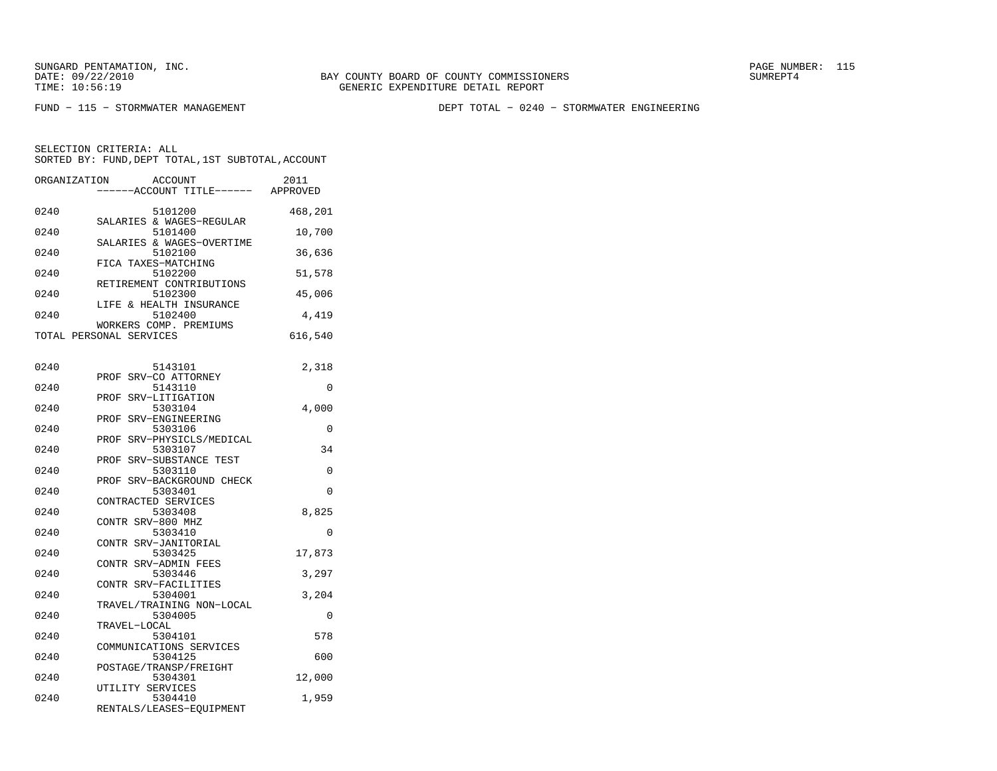BAY COUNTY BOARD OF COUNTY COMMISSIONERS TIME: 10:56:19 GENERIC EXPENDITURE DETAIL REPORT

FUND − 115 − STORMWATER MANAGEMENT DEPT TOTAL − 0240 − STORMWATER ENGINEERING

| ORGANIZATION | <b>ACCOUNT</b>                                              | ---ACCOUNT TITLE------ APPROVED | 2011     |
|--------------|-------------------------------------------------------------|---------------------------------|----------|
| 0240         | 5101200<br>SALARIES & WAGES-REGULAR                         |                                 | 468,201  |
| 0240         | 5101400<br>SALARIES & WAGES-OVERTIME                        |                                 | 10,700   |
| 0240         | 5102100<br>FICA TAXES-MATCHING                              |                                 | 36,636   |
| 0240         | 5102200<br>RETIREMENT CONTRIBUTIONS                         |                                 | 51,578   |
| 0240         | 5102300<br>LIFE & HEALTH INSURANCE                          |                                 | 45,006   |
| 0240         | 5102400<br>WORKERS COMP. PREMIUMS                           |                                 | 4,419    |
|              | TOTAL PERSONAL SERVICES                                     |                                 | 616,540  |
| 0240         | 5143101                                                     |                                 | 2,318    |
| 0240         | SRV-CO ATTORNEY<br>PROF<br>5143110                          |                                 | 0        |
| 0240         | PROF SRV-LITIGATION<br>5303104                              |                                 | 4,000    |
| 0240         | SRV-ENGINEERING<br>PROF<br>5303106                          |                                 | 0        |
| 0240         | PROF SRV-PHYSICLS/MEDICAL<br>5303107                        |                                 | 34       |
| 0240         | PROF SRV-SUBSTANCE TEST<br>5303110                          |                                 | $\Omega$ |
| 0240         | PROF SRV-BACKGROUND CHECK<br>5303401<br>CONTRACTED SERVICES |                                 | 0        |
| 0240         | 5303408<br>CONTR SRV-800 MHZ                                |                                 | 8,825    |
| 0240         | 5303410<br>CONTR SRV-JANITORIAL                             |                                 | $\Omega$ |
| 0240         | 5303425<br>CONTR SRV-ADMIN FEES                             |                                 | 17,873   |
| 0240         | 5303446<br>CONTR SRV-FACILITIES                             |                                 | 3,297    |
| 0240         | 5304001<br>TRAVEL/TRAINING NON-LOCAL                        |                                 | 3,204    |
| 0240         | 5304005<br>TRAVEL-LOCAL                                     |                                 | 0        |
| 0240         | 5304101<br>COMMUNICATIONS SERVICES                          |                                 | 578      |
| 0240         | 5304125<br>POSTAGE/TRANSP/FREIGHT                           |                                 | 600      |
| 0240         | 5304301<br>UTILITY SERVICES                                 |                                 | 12,000   |
| 0240         | 5304410<br>RENTALS/LEASES-EQUIPMENT                         |                                 | 1,959    |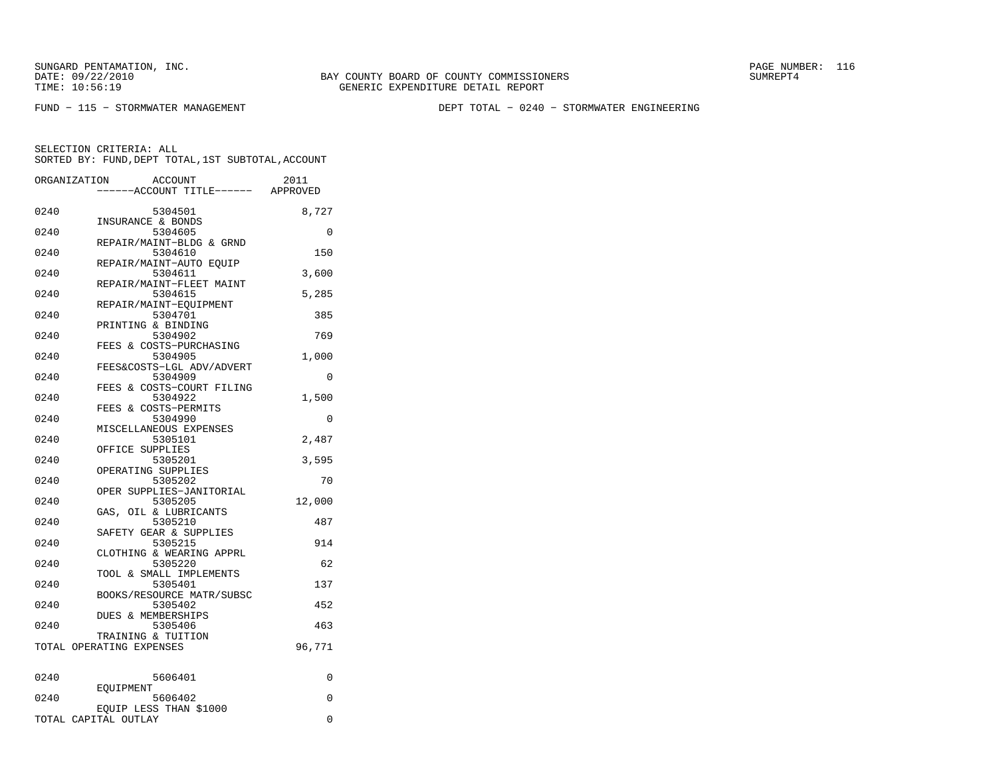DATE: 09/22/2010 BAY COUNTY BOARD OF COUNTY COMMISSIONERS SUMREPT4 TIME: 10:56:19 GENERIC EXPENDITURE DETAIL REPORT

FUND − 115 − STORMWATER MANAGEMENT DEPT TOTAL − 0240 − STORMWATER ENGINEERING

| ORGANIZATION | <b>ACCOUNT</b><br>---ACCOUNT TITLE------ APPROVED | 2011     |
|--------------|---------------------------------------------------|----------|
| 0240         | 5304501<br>INSURANCE & BONDS                      | 8,727    |
| 0240         | 5304605<br>REPAIR/MAINT-BLDG & GRND               | 0        |
| 0240         | 5304610<br>REPAIR/MAINT-AUTO EOUIP                | 150      |
| 0240         | 5304611<br>REPAIR/MAINT-FLEET MAINT               | 3,600    |
| 0240         | 5304615<br>REPAIR/MAINT-EQUIPMENT                 | 5,285    |
| 0240         | 5304701<br>PRINTING & BINDING                     | 385      |
| 0240         | 5304902<br>FEES & COSTS-PURCHASING                | 769      |
| 0240         | 5304905<br>FEES&COSTS-LGL ADV/ADVERT              | 1,000    |
| 0240         | 5304909<br>FEES & COSTS-COURT FILING              | $\Omega$ |
| 0240         | 5304922<br>FEES & COSTS-PERMITS                   | 1,500    |
| 0240         | 5304990<br>MISCELLANEOUS EXPENSES                 | 0        |
| 0240         | 5305101<br>OFFICE SUPPLIES                        | 2,487    |
| 0240         | 5305201<br>OPERATING SUPPLIES                     | 3,595    |
| 0240         | 5305202<br>OPER SUPPLIES-JANITORIAL               | 70       |
| 0240         | 5305205<br>GAS, OIL & LUBRICANTS                  | 12,000   |
| 0240         | 5305210<br>SAFETY GEAR & SUPPLIES                 | 487      |
| 0240         | 5305215<br>CLOTHING & WEARING APPRL               | 914      |
| 0240         | 5305220<br>TOOL & SMALL IMPLEMENTS                | 62       |
| 0240         | 5305401<br>BOOKS/RESOURCE MATR/SUBSC              | 137      |
| 0240         | 5305402<br><b>DUES &amp; MEMBERSHIPS</b>          | 452      |
| 0240         | 5305406<br>TRAINING & TUITION                     | 463      |
|              | TOTAL OPERATING EXPENSES                          | 96,771   |
| 0240         | 5606401                                           | 0        |
| 0240         | EOUIPMENT<br>5606402                              | 0        |
|              | EQUIP LESS THAN \$1000<br>TOTAL CAPITAL OUTLAY    | $\Omega$ |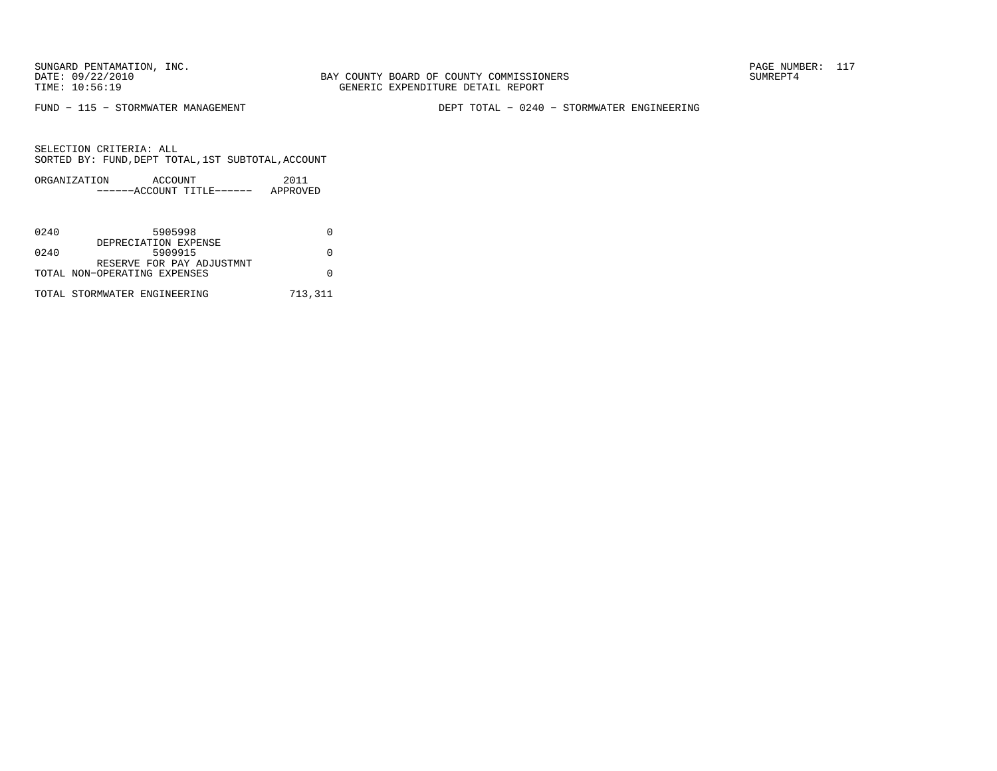BAY COUNTY BOARD OF COUNTY COMMISSIONERS TIME: 10:56:19 GENERIC EXPENDITURE DETAIL REPORT

FUND − 115 − STORMWATER MANAGEMENT DEPT TOTAL − 0240 − STORMWATER ENGINEERING

| ORGANIZATION | ACCOUNT |                           | 2011     |
|--------------|---------|---------------------------|----------|
|              |         | ------ACCOUNT TITLE------ | APPROVED |

| 0240 | 5905998                      |         |
|------|------------------------------|---------|
|      | DEPRECIATION EXPENSE         |         |
| 0240 | 5909915                      |         |
|      | RESERVE FOR PAY ADJUSTMNT    |         |
|      | TOTAL NON-OPERATING EXPENSES |         |
|      | TOTAL STORMWATER ENGINEERING | 713,311 |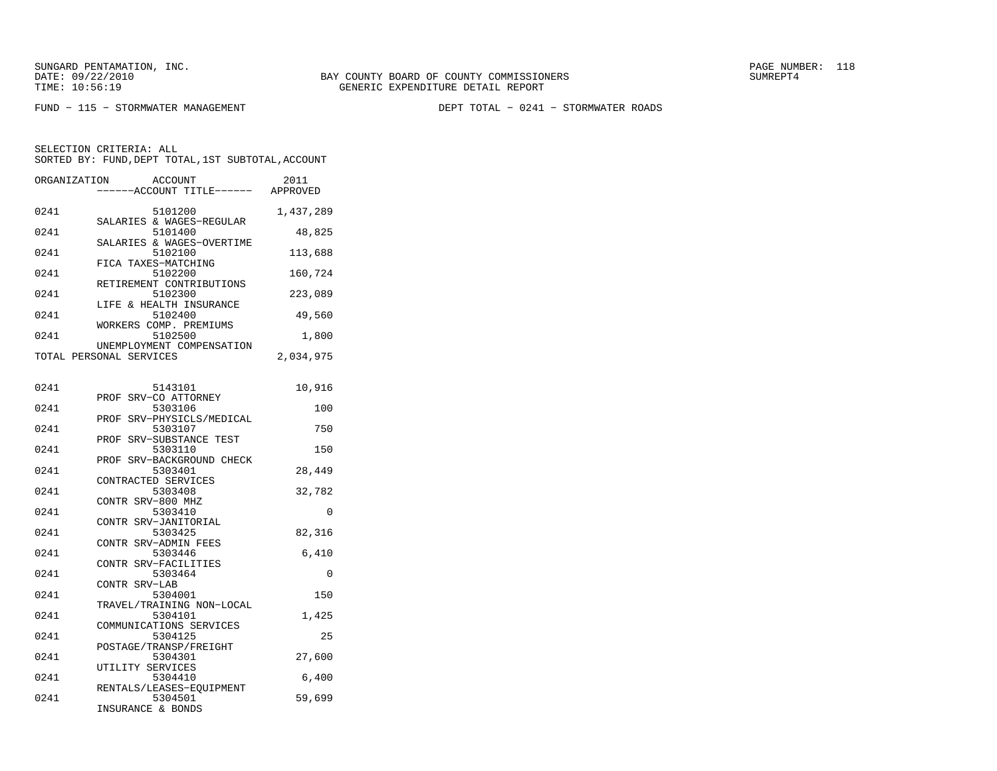FUND − 115 − STORMWATER MANAGEMENT DEPT TOTAL − 0241 − STORMWATER ROADS

| ORGANIZATION | <b>ACCOUNT</b><br>----ACCOUNT TITLE------ APPROVED              | 2011      |
|--------------|-----------------------------------------------------------------|-----------|
| 0241         | 5101200<br>SALARIES & WAGES-REGULAR                             | 1,437,289 |
| 0241         | 5101400<br>SALARIES & WAGES-OVERTIME                            | 48,825    |
| 0241         | 5102100<br>FICA TAXES-MATCHING                                  | 113,688   |
| 0241         | 5102200<br>RETIREMENT CONTRIBUTIONS                             | 160,724   |
| 0241         | 5102300<br>LIFE & HEALTH INSURANCE                              | 223,089   |
| 0241         | 5102400<br>WORKERS COMP. PREMIUMS                               | 49,560    |
| 0241         | 5102500<br>UNEMPLOYMENT COMPENSATION                            | 1,800     |
|              | TOTAL PERSONAL SERVICES                                         | 2,034,975 |
| 0241         | 5143101                                                         | 10,916    |
| 0241         | SRV-CO ATTORNEY<br>PROF<br>5303106                              | 100       |
| 0241         | PROF<br>SRV-PHYSICLS/MEDICAL<br>5303107                         | 750       |
| 0241         | PROF SRV-SUBSTANCE TEST<br>5303110                              | 150       |
| 0241         | PROF SRV-BACKGROUND CHECK<br>5303401                            | 28,449    |
| 0241         | CONTRACTED SERVICES<br>5303408                                  | 32,782    |
| 0241         | CONTR SRV-800 MHZ<br>5303410                                    | 0         |
| 0241         | CONTR SRV-JANITORIAL<br>5303425                                 | 82,316    |
| 0241         | CONTR SRV-ADMIN FEES<br>5303446                                 | 6,410     |
| 0241         | CONTR SRV-FACILITIES<br>5303464                                 | $\Omega$  |
| 0241         | CONTR SRV-LAB<br>5304001                                        | 150       |
| 0241         | TRAVEL/TRAINING NON-LOCAL<br>5304101<br>COMMUNICATIONS SERVICES | 1,425     |
| 0241         | 5304125<br>POSTAGE/TRANSP/FREIGHT                               | 25        |
| 0241         | 5304301                                                         | 27,600    |
| 0241         | UTILITY SERVICES<br>5304410<br>RENTALS/LEASES-EOUIPMENT         | 6,400     |
| 0241         | 5304501<br>INSURANCE & BONDS                                    | 59,699    |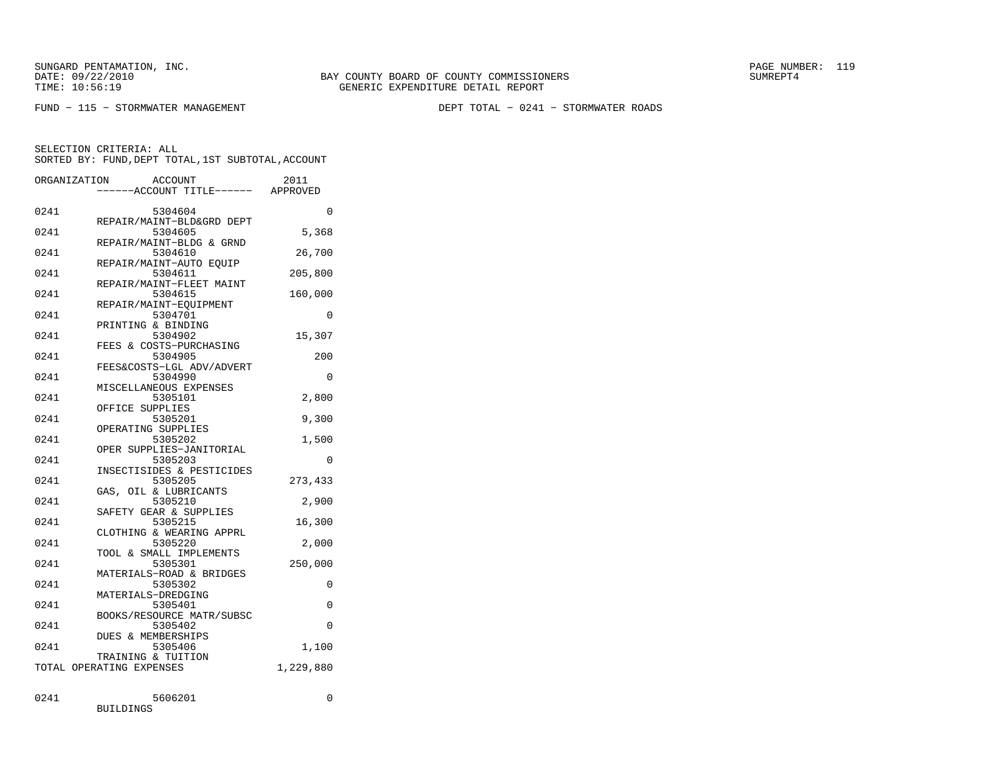FUND − 115 − STORMWATER MANAGEMENT DEPT TOTAL − 0241 − STORMWATER ROADS

|      | ORGANIZATION<br>ACCOUNT<br>----ACCOUNT TITLE------ APPROVED | 2011      |
|------|-------------------------------------------------------------|-----------|
| 0241 | 5304604                                                     | $\Omega$  |
| 0241 | REPAIR/MAINT-BLD&GRD DEPT<br>5304605                        | 5,368     |
| 0241 | REPAIR/MAINT-BLDG & GRND<br>5304610                         | 26,700    |
| 0241 | REPAIR/MAINT-AUTO EOUIP<br>5304611                          | 205,800   |
| 0241 | REPAIR/MAINT-FLEET MAINT<br>5304615                         | 160,000   |
| 0241 | REPAIR/MAINT-EQUIPMENT<br>5304701                           | $\Omega$  |
| 0241 | PRINTING & BINDING<br>5304902                               | 15,307    |
| 0241 | FEES & COSTS-PURCHASING<br>5304905                          | 200       |
| 0241 | FEES&COSTS-LGL ADV/ADVERT<br>5304990                        | 0         |
| 0241 | MISCELLANEOUS EXPENSES<br>5305101                           | 2,800     |
| 0241 | OFFICE SUPPLIES<br>5305201                                  | 9,300     |
| 0241 | OPERATING SUPPLIES<br>5305202                               | 1,500     |
| 0241 | OPER SUPPLIES-JANITORIAL<br>5305203                         | $\Omega$  |
| 0241 | INSECTISIDES & PESTICIDES<br>5305205                        | 273,433   |
| 0241 | GAS, OIL & LUBRICANTS<br>5305210                            | 2,900     |
| 0241 | SAFETY GEAR & SUPPLIES<br>5305215                           | 16,300    |
| 0241 | CLOTHING & WEARING APPRL<br>5305220                         | 2,000     |
| 0241 | TOOL & SMALL IMPLEMENTS<br>5305301                          | 250,000   |
| 0241 | MATERIALS-ROAD & BRIDGES<br>5305302                         | $\Omega$  |
| 0241 | MATERIALS-DREDGING<br>5305401                               | 0         |
| 0241 | BOOKS/RESOURCE MATR/SUBSC<br>5305402                        | $\Omega$  |
| 0241 | <b>DUES &amp; MEMBERSHIPS</b><br>5305406                    | 1,100     |
|      | TRAINING & TUITION<br>TOTAL OPERATING EXPENSES              | 1,229,880 |
|      |                                                             |           |
| 0241 | 5606201                                                     | 0         |

| ◡▵┱⊥ | <u>JUUU</u>      |
|------|------------------|
|      | <b>BUILDINGS</b> |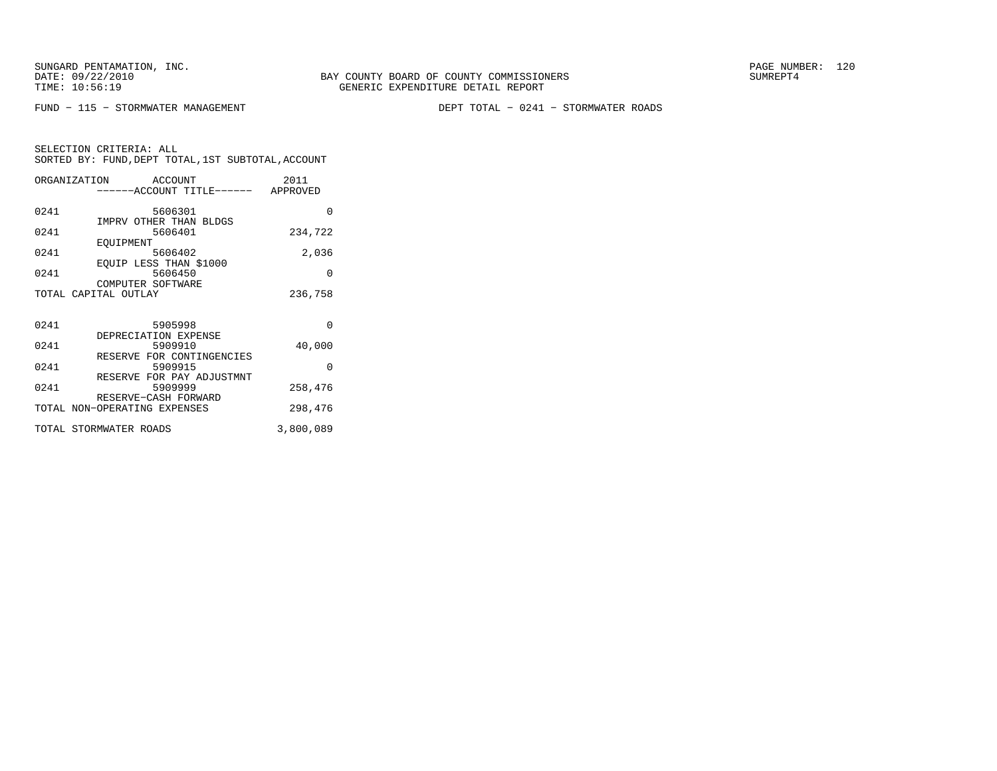FUND − 115 − STORMWATER MANAGEMENT DEPT TOTAL − 0241 − STORMWATER ROADS

| ORGANIZATION | ACCOUNT<br>------ACCOUNT TITLE------      | 2011<br>APPROVED |
|--------------|-------------------------------------------|------------------|
| 0241         | 5606301<br>IMPRV OTHER THAN BLDGS         | O                |
| 0241         | 5606401                                   | 234,722          |
| 0241         | EOUIPMENT<br>5606402                      | 2,036            |
| 0241         | EQUIP LESS THAN \$1000<br>5606450         | $\Omega$         |
|              | COMPUTER SOFTWARE<br>TOTAL CAPITAL OUTLAY | 236,758          |
|              |                                           |                  |
| 0241         | 5905998                                   | $\Omega$         |
| 0241         | DEPRECIATION EXPENSE<br>5909910           | 40,000           |
| 0241         | RESERVE FOR CONTINGENCIES<br>5909915      | $\Omega$         |
| 0241         | RESERVE FOR PAY ADJUSTMNT<br>5909999      | 258,476          |
|              | RESERVE-CASH FORWARD                      |                  |

| TOTAL NON-OPERATING EXPENSES | 298,476   |
|------------------------------|-----------|
| TOTAL STORMWATER ROADS       | 3,800,089 |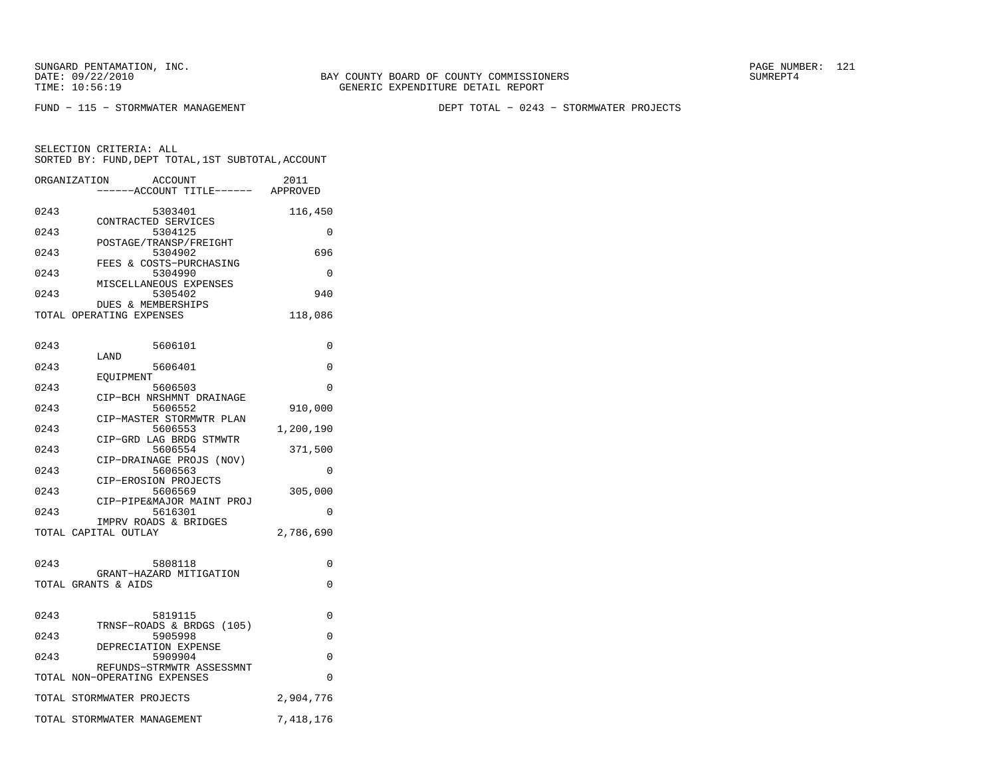BAY COUNTY BOARD OF COUNTY COMMISSIONERS TIME: 10:56:19 GENERIC EXPENDITURE DETAIL REPORT

FUND − 115 − STORMWATER MANAGEMENT DEPT TOTAL − 0243 − STORMWATER PROJECTS

|      | ORGANIZATION<br>ACCOUNT              | 2011      |
|------|--------------------------------------|-----------|
|      | ----ACCOUNT TITLE------              | APPROVED  |
| 0243 | 5303401                              | 116,450   |
|      | CONTRACTED SERVICES                  |           |
| 0243 | 5304125                              | 0         |
|      | POSTAGE/TRANSP/FREIGHT               |           |
| 0243 | 5304902<br>FEES & COSTS-PURCHASING   | 696       |
| 0243 | 5304990                              | 0         |
|      | MISCELLANEOUS EXPENSES               |           |
| 0243 | 5305402                              | 940       |
|      | <b>DUES &amp; MEMBERSHIPS</b>        |           |
|      | TOTAL OPERATING EXPENSES             | 118,086   |
|      |                                      |           |
| 0243 | 5606101                              | 0         |
|      | LAND                                 |           |
| 0243 | 5606401                              | 0         |
|      | EOUIPMENT                            |           |
| 0243 | 5606503                              | $\Omega$  |
|      | CIP-BCH NRSHMNT DRAINAGE             |           |
| 0243 | 5606552                              | 910,000   |
|      | CIP-MASTER STORMWTR PLAN             |           |
| 0243 | 5606553                              | 1,200,190 |
| 0243 | CIP-GRD LAG BRDG STMWTR<br>5606554   | 371,500   |
|      | CIP-DRAINAGE PROJS (NOV)             |           |
| 0243 | 5606563                              | 0         |
|      | CIP-EROSION PROJECTS                 |           |
| 0243 | 5606569                              | 305,000   |
|      | CIP-PIPE&MAJOR MAINT PROJ            |           |
| 0243 | 5616301                              | 0         |
|      | IMPRV ROADS & BRIDGES                |           |
|      | TOTAL CAPITAL OUTLAY                 | 2,786,690 |
|      |                                      |           |
| 0243 | 5808118                              | 0         |
|      | GRANT-HAZARD MITIGATION              |           |
|      | TOTAL GRANTS & AIDS                  | 0         |
|      |                                      |           |
| 0243 |                                      | 0         |
|      | 5819115<br>TRNSF-ROADS & BRDGS (105) |           |
| 0243 | 5905998                              | $\Omega$  |
|      | DEPRECIATION EXPENSE                 |           |
| 0243 | 5909904                              | 0         |
|      | REFUNDS-STRMWTR ASSESSMNT            |           |
|      | TOTAL NON-OPERATING EXPENSES         | 0         |
|      | TOTAL STORMWATER PROJECTS            | 2,904,776 |
|      |                                      |           |
|      | TOTAL STORMWATER MANAGEMENT          | 7,418,176 |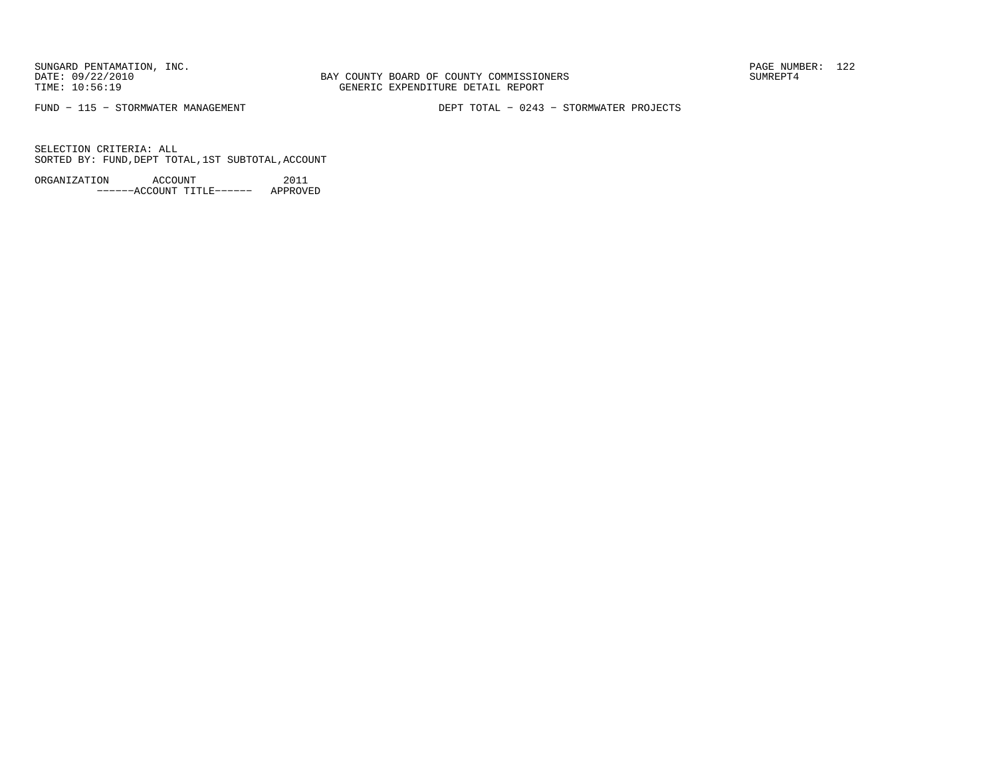BAY COUNTY BOARD OF COUNTY COMMISSIONERS TIME: 10:56:19 GENERIC EXPENDITURE DETAIL REPORT

FUND − 115 − STORMWATER MANAGEMENT DEPT TOTAL − 0243 − STORMWATER PROJECTS

SELECTION CRITERIA: ALLSORTED BY: FUND, DEPT TOTAL, 1ST SUBTOTAL, ACCOUNT

ORGANIZATION ACCOUNT 2011−−−−−−ACCOUNT TITLE−−−−−− APPROVED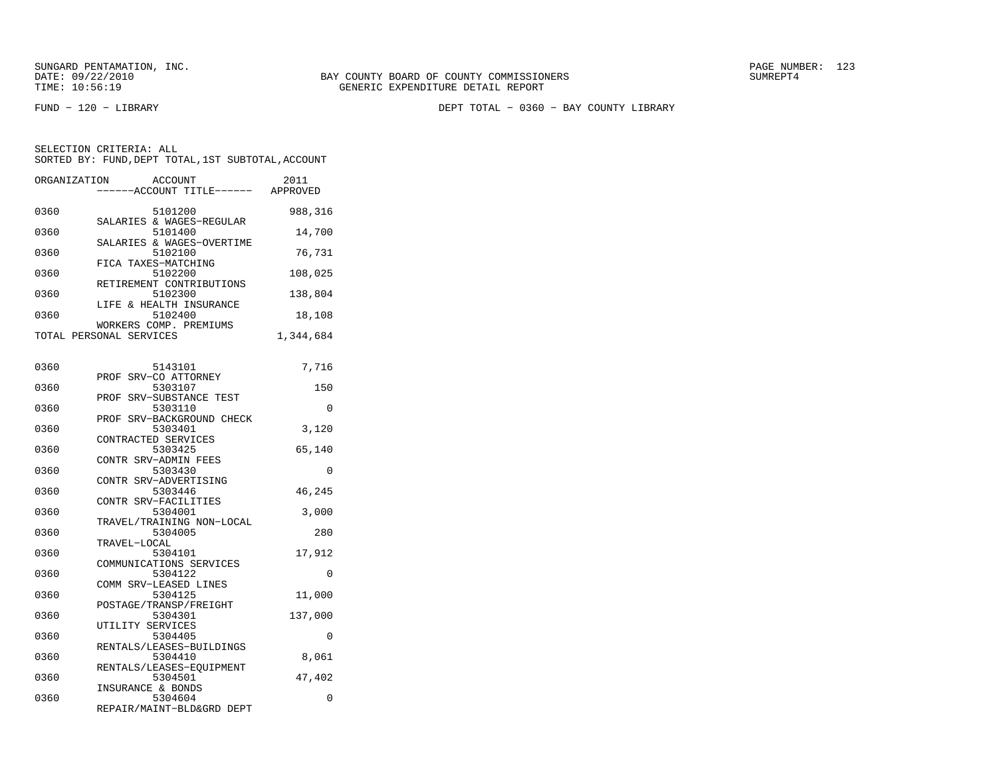FUND − 120 − LIBRARY DEPT TOTAL − 0360 − BAY COUNTY LIBRARY

| ORGANIZATION | ACCOUNT<br>---ACCOUNT TITLE------                  | 2011<br>APPROVED |
|--------------|----------------------------------------------------|------------------|
| 0360         | 5101200<br>SALARIES & WAGES-REGULAR                | 988,316          |
| 0360         | 5101400<br>SALARIES & WAGES-OVERTIME               | 14,700           |
| 0360         | 5102100<br>FICA TAXES-MATCHING                     | 76,731           |
| 0360         | 5102200<br>RETIREMENT CONTRIBUTIONS                | 108,025          |
| 0360         | 5102300<br>LIFE & HEALTH INSURANCE                 | 138,804          |
| 0360         | 5102400<br>WORKERS COMP. PREMIUMS                  | 18,108           |
|              | TOTAL PERSONAL SERVICES                            | 1,344,684        |
| 0360         | 5143101                                            | 7,716            |
| 0360         | SRV-CO ATTORNEY<br>PROF<br>5303107                 | 150              |
| 0360         | SRV-SUBSTANCE TEST<br>PROF<br>5303110              | 0                |
| 0360         | PROF SRV-BACKGROUND CHECK<br>5303401               | 3,120            |
| 0360         | CONTRACTED SERVICES<br>5303425                     | 65,140           |
| 0360         | CONTR SRV-ADMIN FEES<br>5303430                    | 0                |
| 0360         | CONTR SRV-ADVERTISING<br>5303446                   | 46,245           |
| 0360         | CONTR SRV-FACILITIES<br>5304001                    | 3,000            |
| 0360         | TRAVEL/TRAINING NON-LOCAL<br>5304005               | 280              |
| 0360         | TRAVEL-LOCAL<br>5304101<br>COMMUNICATIONS SERVICES | 17,912           |
| 0360         | 5304122<br>COMM SRV-LEASED LINES                   | 0                |
| 0360         | 5304125<br>POSTAGE/TRANSP/FREIGHT                  | 11,000           |
| 0360         | 5304301<br>UTILITY SERVICES                        | 137,000          |
| 0360         | 5304405<br>RENTALS/LEASES-BUILDINGS                | 0                |
| 0360         | 5304410<br>RENTALS/LEASES-EQUIPMENT                | 8,061            |
| 0360         | 5304501<br>INSURANCE & BONDS                       | 47,402           |
| 0360         | 5304604<br>REPAIR/MAINT-BLD&GRD DEPT               | 0                |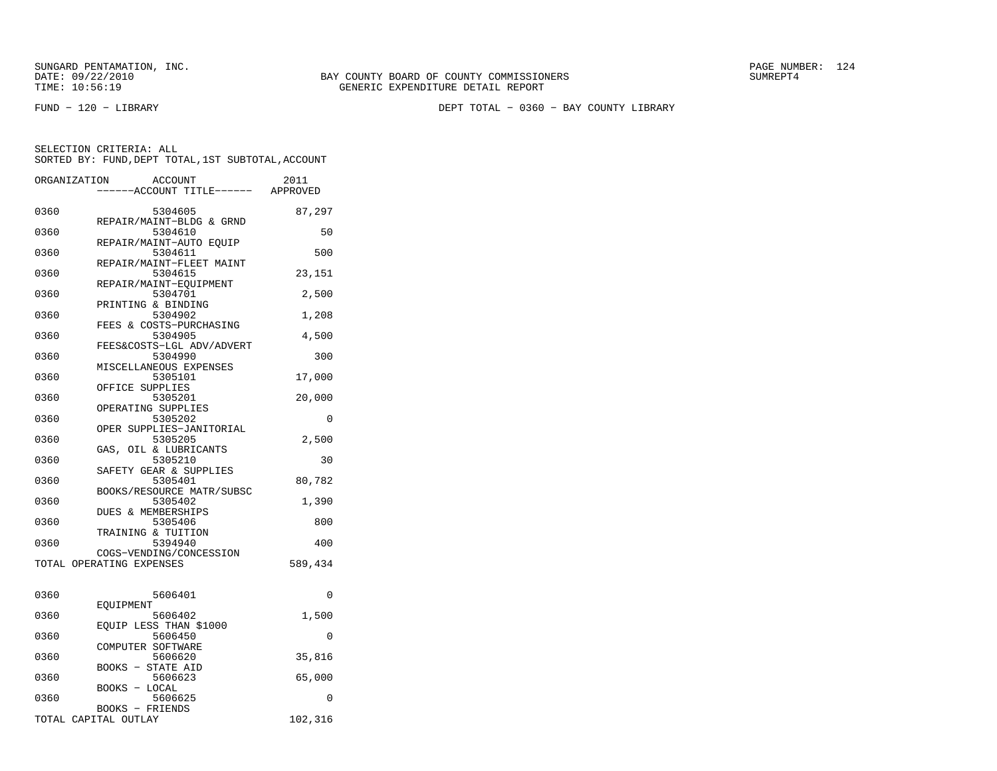FUND − 120 − LIBRARY DEPT TOTAL − 0360 − BAY COUNTY LIBRARY

|      | ORGANIZATION<br><b>ACCOUNT</b><br>---ACCOUNT TITLE------ APPROVED | 2011     |
|------|-------------------------------------------------------------------|----------|
| 0360 | 5304605                                                           | 87,297   |
| 0360 | REPAIR/MAINT-BLDG & GRND<br>5304610                               | 50       |
| 0360 | REPAIR/MAINT-AUTO EOUIP<br>5304611                                | 500      |
| 0360 | REPAIR/MAINT-FLEET MAINT<br>5304615<br>REPAIR/MAINT-EOUIPMENT     | 23,151   |
| 0360 | 5304701<br>PRINTING & BINDING                                     | 2,500    |
| 0360 | 5304902<br>FEES & COSTS-PURCHASING                                | 1,208    |
| 0360 | 5304905<br>FEES&COSTS-LGL ADV/ADVERT                              | 4,500    |
| 0360 | 5304990<br>MISCELLANEOUS EXPENSES                                 | 300      |
| 0360 | 5305101<br>OFFICE SUPPLIES                                        | 17,000   |
| 0360 | 5305201<br>OPERATING SUPPLIES                                     | 20,000   |
| 0360 | 5305202<br>OPER SUPPLIES-JANITORIAL                               | 0        |
| 0360 | 5305205<br>GAS, OIL & LUBRICANTS                                  | 2,500    |
| 0360 | 5305210<br>SAFETY GEAR & SUPPLIES                                 | 30       |
| 0360 | 5305401<br>BOOKS/RESOURCE MATR/SUBSC                              | 80,782   |
| 0360 | 5305402<br>DUES & MEMBERSHIPS                                     | 1,390    |
| 0360 | 5305406<br>TRAINING & TUITION                                     | 800      |
| 0360 | 5394940<br>COGS-VENDING/CONCESSION                                | 400      |
|      | TOTAL OPERATING EXPENSES                                          | 589,434  |
| 0360 | 5606401                                                           | $\Omega$ |
| 0360 | EOUIPMENT<br>5606402                                              | 1,500    |
| 0360 | EQUIP LESS THAN \$1000<br>5606450<br>COMPUTER SOFTWARE            | 0        |
| 0360 | 5606620<br><b>BOOKS - STATE AID</b>                               | 35,816   |
| 0360 | 5606623<br>BOOKS - LOCAL                                          | 65,000   |
| 0360 | 5606625<br>BOOKS - FRIENDS                                        | 0        |
|      | TOTAL CAPITAL OUTLAY                                              | 102,316  |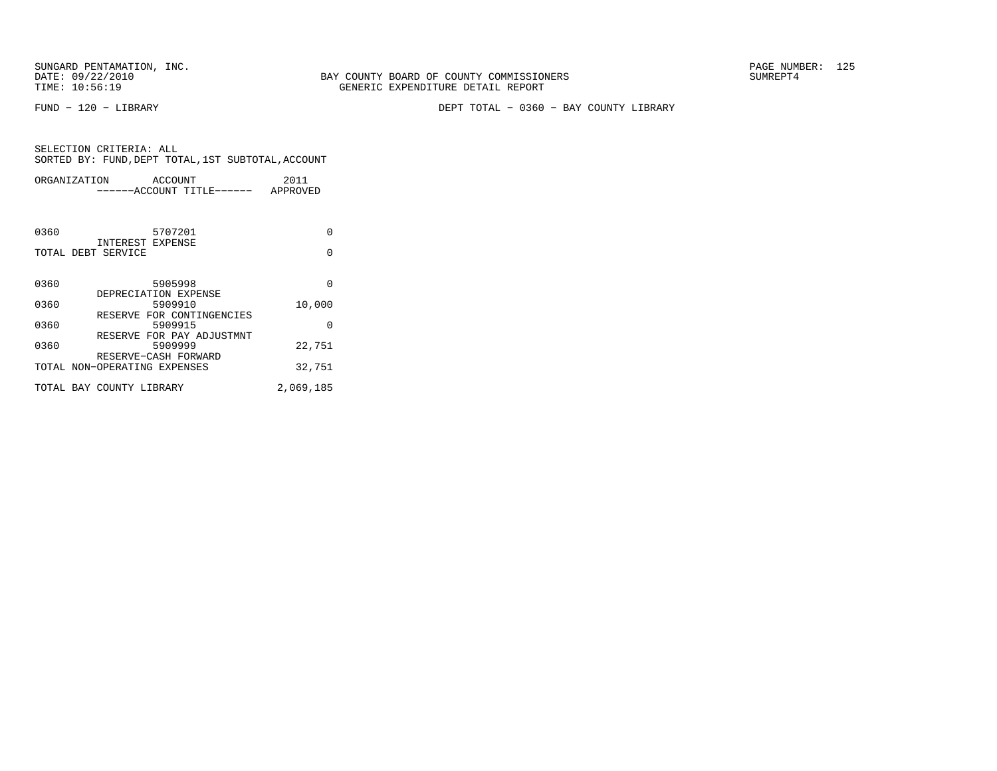BAY COUNTY BOARD OF COUNTY COMMISSIONERS TIME: 10:56:19 GENERIC EXPENDITURE DETAIL REPORT

FUND − 120 − LIBRARY DEPT TOTAL − 0360 − BAY COUNTY LIBRARY

| ORGANIZATION ACCOUNT         |                                      | 2011      |  |
|------------------------------|--------------------------------------|-----------|--|
|                              | ------ACCOUNT TITLE------ APPROVED   |           |  |
|                              |                                      |           |  |
| 0360                         | 5707201                              | $\Omega$  |  |
| TOTAL DEBT SERVICE           | INTEREST EXPENSE                     | $\Omega$  |  |
|                              |                                      |           |  |
|                              |                                      |           |  |
| 0360                         | 5905998                              | $\Omega$  |  |
|                              | DEPRECIATION EXPENSE                 |           |  |
| 0360                         | 5909910                              | 10,000    |  |
| 0360                         | RESERVE FOR CONTINGENCIES<br>5909915 | $\Omega$  |  |
|                              | RESERVE FOR PAY ADJUSTMNT            |           |  |
| 0360                         | 5909999                              | 22,751    |  |
|                              | RESERVE-CASH FORWARD                 |           |  |
| TOTAL NON-OPERATING EXPENSES |                                      | 32,751    |  |
| TOTAL BAY COUNTY LIBRARY     |                                      | 2,069,185 |  |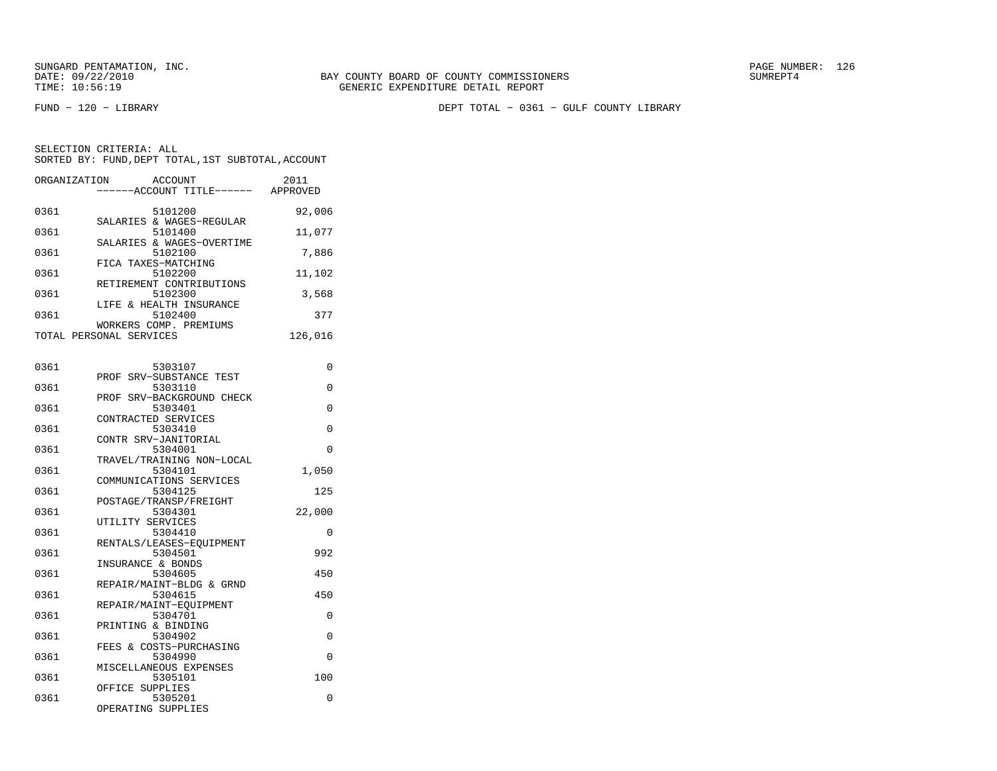FUND − 120 − LIBRARY DEPT TOTAL − 0361 − GULF COUNTY LIBRARY

SELECTION CRITERIA: ALLSORTED BY: FUND, DEPT TOTAL, 1ST SUBTOTAL, ACCOUNT

| ORGANIZATION | ACCOUNT<br>-----ACCOUNT TITLE------ APPROVED      | 2011     |
|--------------|---------------------------------------------------|----------|
| 0361         | 5101200                                           | 92,006   |
| 0361         | SALARIES & WAGES-REGULAR<br>5101400               | 11,077   |
| 0361         | SALARIES & WAGES-OVERTIME<br>5102100              | 7,886    |
| 0361         | FICA TAXES-MATCHING<br>5102200                    | 11,102   |
| 0361         | RETIREMENT CONTRIBUTIONS<br>5102300               | 3,568    |
| 0361         | LIFE & HEALTH INSURANCE<br>5102400                | 377      |
|              | WORKERS COMP. PREMIUMS<br>TOTAL PERSONAL SERVICES | 126,016  |
| 0361         | 5303107                                           | 0        |
| 0361         | PROF SRV-SUBSTANCE TEST<br>5303110                | 0        |
| 0361         | PROF SRV-BACKGROUND CHECK<br>5303401              | 0        |
| 0361         | CONTRACTED SERVICES<br>5303410                    | 0        |
| 0361         | CONTR SRV-JANITORIAL<br>5304001                   | 0        |
| 0361         | TRAVEL/TRAINING NON-LOCAL<br>5304101              | 1,050    |
| 0361         | COMMUNICATIONS SERVICES<br>5304125                | 125      |
| 0361         | POSTAGE/TRANSP/FREIGHT<br>5304301                 | 22,000   |
| 0361         | UTILITY SERVICES<br>5304410                       | 0        |
| 0361         | RENTALS/LEASES-EQUIPMENT<br>5304501               | 992      |
| 0361         | INSURANCE & BONDS<br>5304605                      | 450      |
| 0361         | REPAIR/MAINT-BLDG & GRND<br>5304615               | 450      |
| 0361         | REPAIR/MAINT-EOUIPMENT<br>5304701                 | 0        |
| 0361         | PRINTING & BINDING<br>5304902                     | 0        |
| 0361         | FEES & COSTS-PURCHASING<br>5304990                | $\Omega$ |

 MISCELLANEOUS EXPENSES0361 5305101 100

OPERATING SUPPLIES

0361 5305201 0

OFFICE SUPPLIES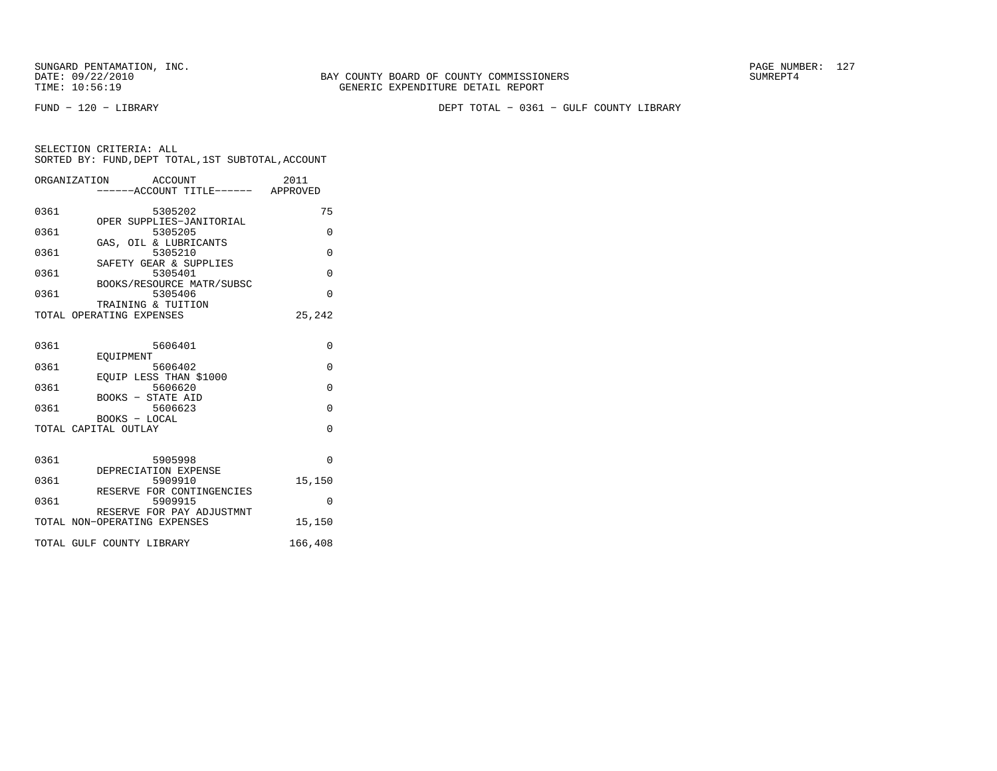FUND − 120 − LIBRARY DEPT TOTAL − 0361 − GULF COUNTY LIBRARY

|      | ORGANIZATION ACCOUNT<br>------ACCOUNT TITLE------ APPROVED | 2011     |
|------|------------------------------------------------------------|----------|
| 0361 | 5305202                                                    | 75       |
| 0361 | OPER SUPPLIES-JANITORIAL<br>5305205                        | $\Omega$ |
| 0361 | GAS, OIL & LUBRICANTS<br>5305210                           | $\Omega$ |
| 0361 | SAFETY GEAR & SUPPLIES<br>5305401                          | $\Omega$ |
| 0361 | BOOKS/RESOURCE MATR/SUBSC<br>5305406                       | $\Omega$ |
|      | TRAINING & TUITION<br>TOTAL OPERATING EXPENSES             | 25,242   |
| 0361 | 5606401                                                    | $\Omega$ |
| 0361 | <b>EOUIPMENT</b><br>5606402                                | $\Omega$ |
| 0361 | EOUIP LESS THAN \$1000<br>5606620                          | $\Omega$ |
| 0361 | <b>BOOKS - STATE AID</b><br>5606623                        | $\Omega$ |
|      | BOOKS - LOCAL<br>TOTAL CAPITAL OUTLAY                      | $\Omega$ |
|      |                                                            |          |
| 0361 | 5905998<br>DEPRECIATION EXPENSE                            | $\Omega$ |
| 0361 | 5909910<br>RESERVE FOR CONTINGENCIES                       | 15,150   |
| 0361 | 5909915<br>RESERVE FOR PAY ADJUSTMNT                       | $\Omega$ |
|      | TOTAL NON-OPERATING EXPENSES                               | 15,150   |
|      | TOTAL GULF COUNTY LIBRARY                                  | 166,408  |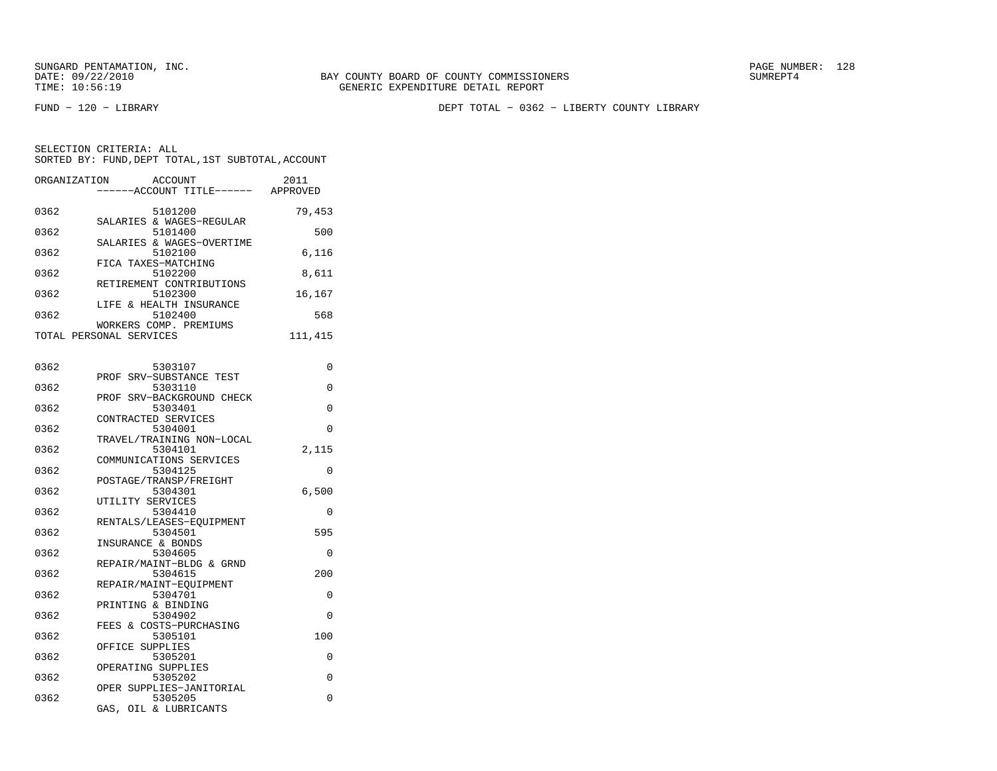FUND − 120 − LIBRARY DEPT TOTAL − 0362 − LIBERTY COUNTY LIBRARY

SELECTION CRITERIA: ALLSORTED BY: FUND, DEPT TOTAL, 1ST SUBTOTAL, ACCOUNT

| ORGANIZATION | ACCOUNT<br>---ACCOUNT TITLE------ APPROVED                   | 2011    |
|--------------|--------------------------------------------------------------|---------|
| 0362         | 5101200                                                      | 79,453  |
| 0362         | SALARIES & WAGES-REGULAR<br>5101400                          | 500     |
| 0362         | SALARIES & WAGES-OVERTIME<br>5102100                         | 6,116   |
| 0362         | FICA TAXES-MATCHING<br>5102200                               | 8,611   |
| 0362         | RETIREMENT CONTRIBUTIONS<br>5102300                          | 16,167  |
| 0362         | LIFE & HEALTH INSURANCE<br>5102400<br>WORKERS COMP. PREMIUMS | 568     |
|              | TOTAL PERSONAL SERVICES                                      | 111,415 |
| 0362         | 5303107                                                      | 0       |
| 0362         | PROF SRV-SUBSTANCE TEST<br>5303110                           | 0       |
| 0362         | PROF SRV-BACKGROUND CHECK<br>5303401                         | 0       |
| 0362         | CONTRACTED SERVICES<br>5304001                               | 0       |
| 0362         | TRAVEL/TRAINING NON-LOCAL<br>5304101                         | 2,115   |
| 0362         | COMMUNICATIONS SERVICES<br>5304125                           | 0       |
| 0362         | POSTAGE/TRANSP/FREIGHT<br>5304301                            | 6,500   |
| 0362         | UTILITY SERVICES<br>5304410<br>RENTALS/LEASES-EQUIPMENT      | 0       |
| 0362         | 5304501<br>INSURANCE & BONDS                                 | 595     |
| 0362         | 5304605<br>REPAIR/MAINT-BLDG & GRND                          | 0       |
| 0362         | 5304615<br>REPAIR/MAINT-EOUIPMENT                            | 200     |
| 0362         | 5304701<br>PRINTING & BINDING                                | 0       |
| 0362         | 5304902<br>FEES & COSTS-PURCHASING                           | 0       |
| 0362         | 5305101<br>OFFICE SUPPLIES                                   | 100     |
| 0362         | 5305201<br>OPERATING SUPPLIES                                | 0       |
| 0362         | 5305202                                                      | 0       |

 OPER SUPPLIES−JANITORIAL0362 5305205 0

GAS, OIL & LUBRICANTS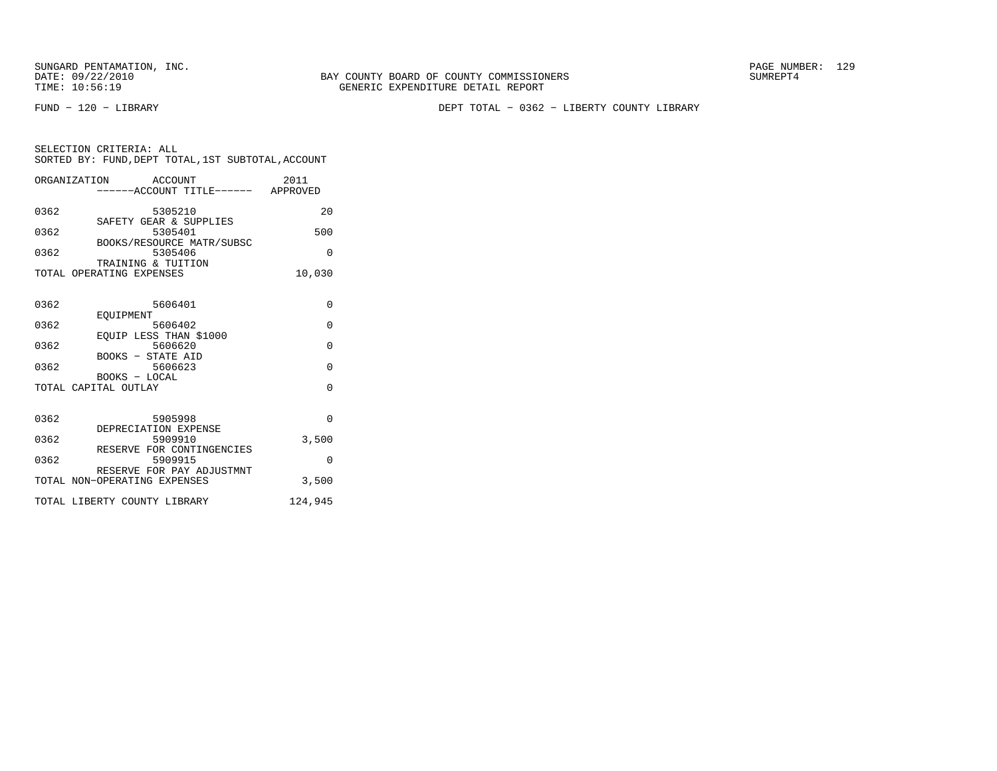SUNGARD PENTAMATION, INC.<br>DATE: 09/22/2010 SUMRER: 129

FUND − 120 − LIBRARY DEPT TOTAL − 0362 − LIBERTY COUNTY LIBRARY

| SELECTION CRITERIA: ALL                            |  |  |
|----------------------------------------------------|--|--|
| SORTED BY: FUND, DEPT TOTAL, 1ST SUBTOTAL, ACCOUNT |  |  |
|                                                    |  |  |

|      | ACCOUNT<br>ORGANIZATION<br>-----ACCOUNT TITLE------ APPROVED | 2011     |
|------|--------------------------------------------------------------|----------|
| 0362 | 5305210<br>SAFETY GEAR & SUPPLIES                            | 20       |
| 0362 | 5305401<br>BOOKS/RESOURCE MATR/SUBSC                         | 500      |
| 0362 | 5305406<br>TRAINING & TUITION                                | $\Omega$ |
|      | TOTAL OPERATING EXPENSES                                     | 10,030   |
| 0362 | 5606401                                                      | $\Omega$ |
| 0362 | EOUIPMENT<br>5606402                                         | $\Omega$ |
| 0362 | EOUIP LESS THAN \$1000<br>5606620<br>BOOKS - STATE AID       | $\Omega$ |
| 0362 | 5606623<br>BOOKS - LOCAL                                     | $\Omega$ |
|      | TOTAL CAPITAL OUTLAY                                         | $\Omega$ |
| 0362 | 5905998<br>DEPRECIATION EXPENSE                              | $\Omega$ |
| 0362 | 5909910<br>RESERVE FOR CONTINGENCIES                         | 3,500    |
| 0362 | 5909915                                                      | $\Omega$ |
|      | RESERVE FOR PAY ADJUSTMNT<br>TOTAL NON-OPERATING EXPENSES    | 3,500    |
|      | TOTAL LIBERTY COUNTY LIBRARY                                 | 124,945  |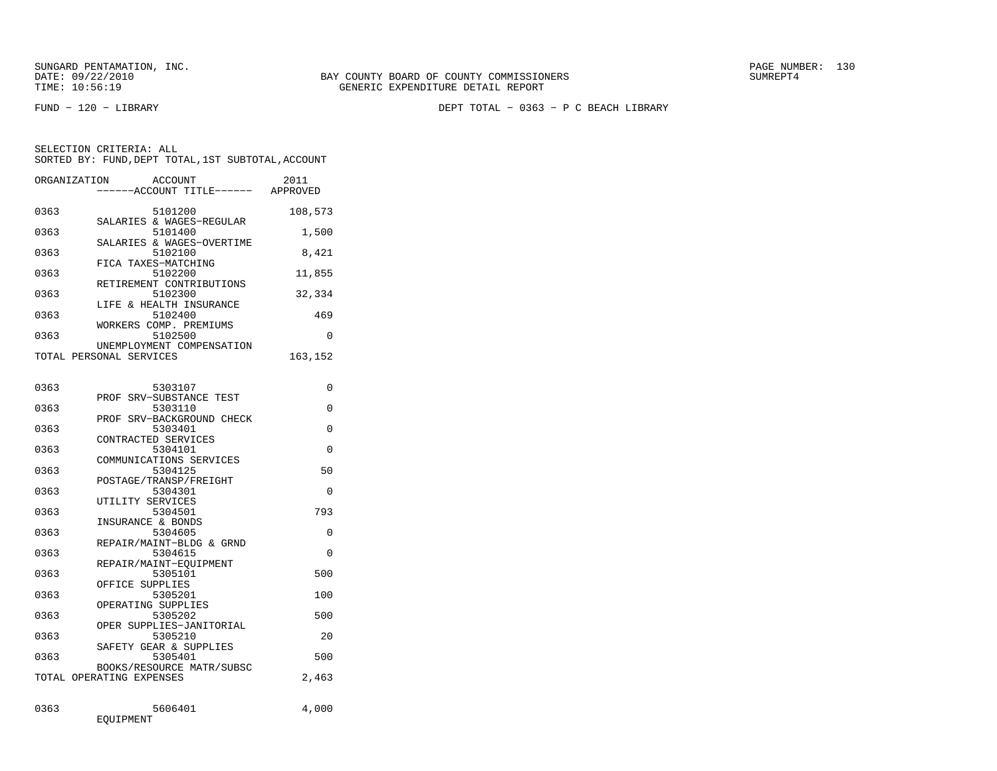DATE: 09/22/2010 BAY COUNTY BOARD OF COUNTY COMMISSIONERS SUMREPT4 TIME: 10:56:19 GENERIC EXPENDITURE DETAIL REPORT

FUND − 120 − LIBRARY DEPT TOTAL − 0363 − P C BEACH LIBRARY

| ORGANIZATION | <b>ACCOUNT</b>                   | 2011     |
|--------------|----------------------------------|----------|
|              | ----ACCOUNT TITLE------ APPROVED |          |
|              |                                  |          |
| 0363         | 5101200                          | 108,573  |
|              | SALARIES & WAGES-REGULAR         |          |
| 0363         | 5101400                          | 1,500    |
|              | SALARIES & WAGES-OVERTIME        |          |
| 0363         | 5102100                          | 8,421    |
|              | FICA TAXES-MATCHING              |          |
| 0363         | 5102200                          | 11,855   |
|              | RETIREMENT CONTRIBUTIONS         |          |
| 0363         | 5102300                          | 32,334   |
|              | LIFE & HEALTH INSURANCE          |          |
| 0363         | 5102400                          | 469      |
|              | WORKERS COMP. PREMIUMS           |          |
| 0363         | 5102500                          | 0        |
|              | UNEMPLOYMENT COMPENSATION        |          |
|              | TOTAL PERSONAL SERVICES          | 163,152  |
|              |                                  |          |
| 0363         | 5303107                          | 0        |
|              | PROF SRV-SUBSTANCE TEST          |          |
| 0363         | 5303110                          | 0        |
|              | PROF SRV-BACKGROUND CHECK        |          |
| 0363         | 5303401                          | $\Omega$ |
|              | CONTRACTED SERVICES              |          |
| 0363         | 5304101                          | 0        |
|              | COMMUNICATIONS SERVICES          |          |
| 0363         | 5304125                          | 50       |
|              | POSTAGE/TRANSP/FREIGHT           |          |
| 0363         | 5304301                          | $\Omega$ |
|              | UTILITY SERVICES                 |          |
| 0363         | 5304501                          | 793      |
|              | INSURANCE & BONDS                |          |
| 0363         | 5304605                          | 0        |
|              | REPAIR/MAINT-BLDG & GRND         |          |
| 0363         | 5304615                          | 0        |
|              | REPAIR/MAINT-EOUIPMENT           |          |
| 0363         | 5305101                          | 500      |
|              | OFFICE SUPPLIES                  |          |
| 0363         | 5305201                          | 100      |
|              | OPERATING SUPPLIES               |          |
| 0363         | 5305202                          | 500      |
|              | OPER SUPPLIES-JANITORIAL         |          |
| 0363         | 5305210                          | 20       |
|              | SAFETY GEAR & SUPPLIES           |          |
| 0363         | 5305401                          | 500      |
|              | BOOKS/RESOURCE MATR/SUBSC        |          |
|              | TOTAL OPERATING EXPENSES         | 2,463    |
|              |                                  |          |
|              |                                  |          |
| 0363         | 5606401                          | 4,000    |
|              | EQUIPMENT                        |          |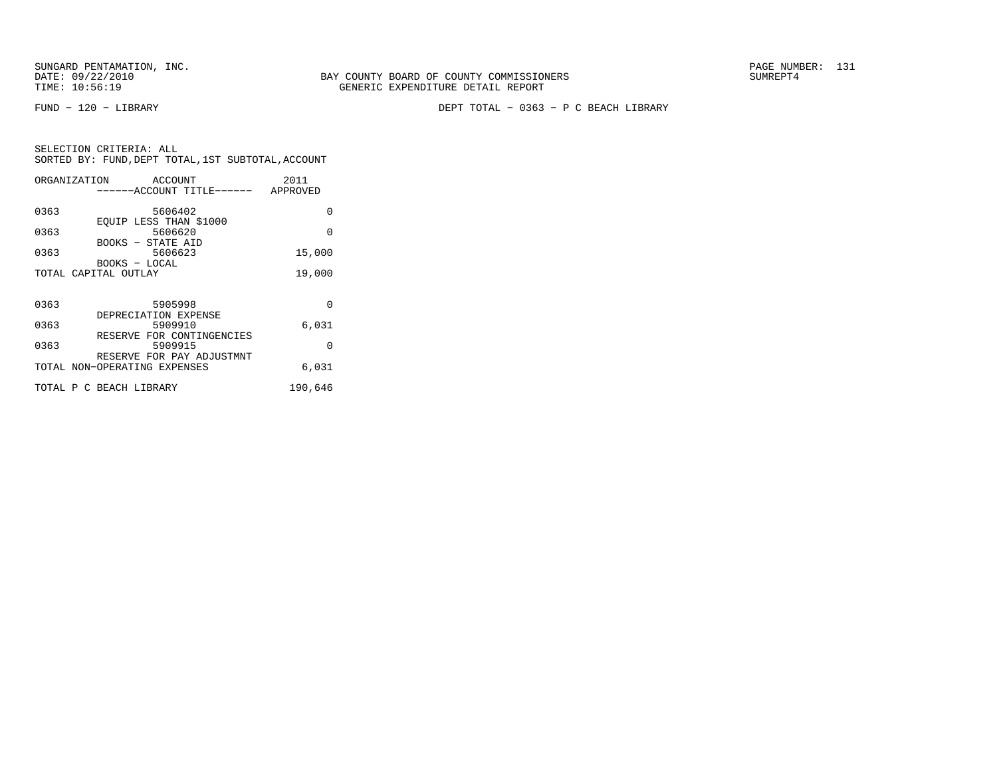FUND − 120 − LIBRARY DEPT TOTAL − 0363 − P C BEACH LIBRARY

|      | ORGANIZATION ACCOUNT                 | 2011     |
|------|--------------------------------------|----------|
|      | ------ACCOUNT TITLE------ APPROVED   |          |
|      |                                      |          |
| 0363 | 5606402                              | 0        |
| 0363 | EOUIP LESS THAN \$1000<br>5606620    | $\Omega$ |
|      | BOOKS - STATE AID                    |          |
| 0363 | 5606623                              | 15,000   |
|      | BOOKS - LOCAL                        |          |
|      | TOTAL CAPITAL OUTLAY                 | 19,000   |
|      |                                      |          |
|      |                                      |          |
| 0363 | 5905998                              | $\Omega$ |
|      | DEPRECIATION EXPENSE                 |          |
| 0363 | 5909910<br>RESERVE FOR CONTINGENCIES | 6,031    |
| 0363 | 5909915                              | $\Omega$ |
|      | RESERVE FOR PAY ADJUSTMNT            |          |
|      | TOTAL NON-OPERATING EXPENSES         | 6,031    |
|      |                                      |          |
|      | TOTAL P C BEACH LIBRARY              | 190,646  |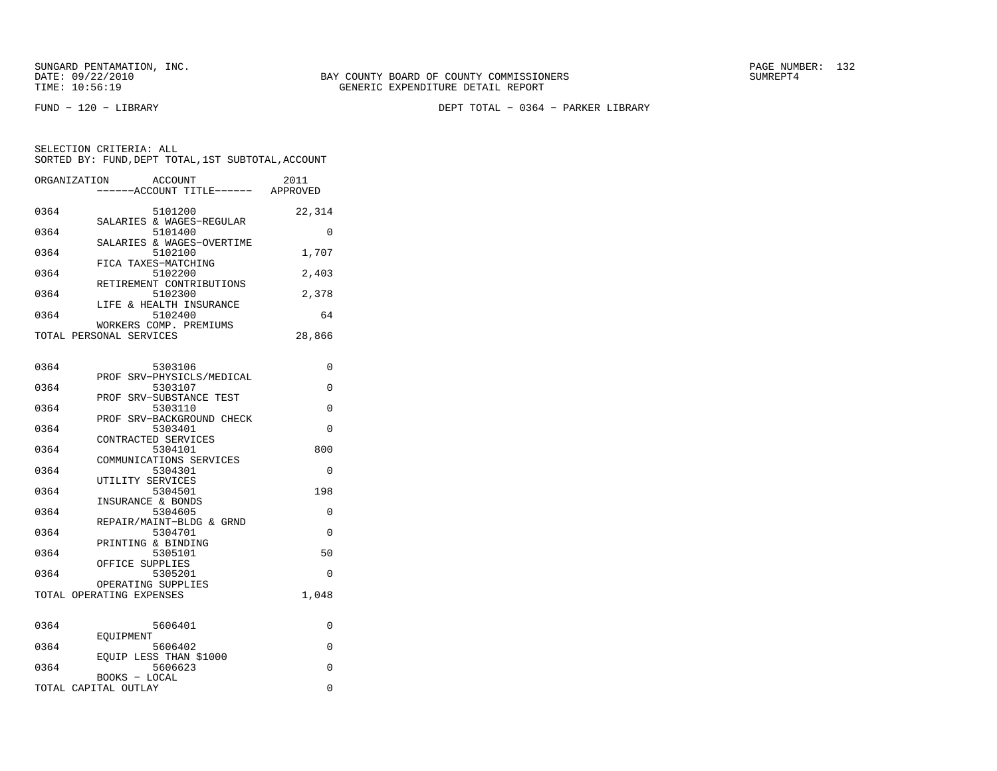FUND − 120 − LIBRARY DEPT TOTAL − 0364 − PARKER LIBRARY

| ORGANIZATION            | ACCOUNT                             | ------ACCOUNT TITLE------ | 2011<br>APPROVED |
|-------------------------|-------------------------------------|---------------------------|------------------|
| 0364                    | 5101200                             |                           | 22,314           |
| 0364                    | SALARIES & WAGES-REGULAR<br>5101400 |                           | $\Omega$         |
| 0364                    | 5102100                             | SALARIES & WAGES-OVERTIME | 1,707            |
| 0364                    | FICA TAXES-MATCHING<br>5102200      |                           | 2,403            |
|                         | RETIREMENT CONTRIBUTIONS            |                           |                  |
| 0364                    | 5102300<br>LIFE & HEALTH INSURANCE  |                           | 2,378            |
| 0364                    | 5102400<br>WORKERS COMP. PREMIUMS   |                           | 64               |
| TOTAL PERSONAL SERVICES |                                     |                           | 28,866           |

| 0        |
|----------|
|          |
| $\Omega$ |
|          |
| $\Omega$ |
|          |
| $\Omega$ |
|          |
| 800      |
|          |
| $\Omega$ |
|          |
| 198      |
|          |
| $\Omega$ |
| $\Omega$ |
|          |
| 50       |
|          |
| $\Omega$ |
|          |
| 1,048    |
|          |
|          |
| 0        |
|          |
| $\Omega$ |
|          |
| $\Omega$ |
|          |
| 0        |
|          |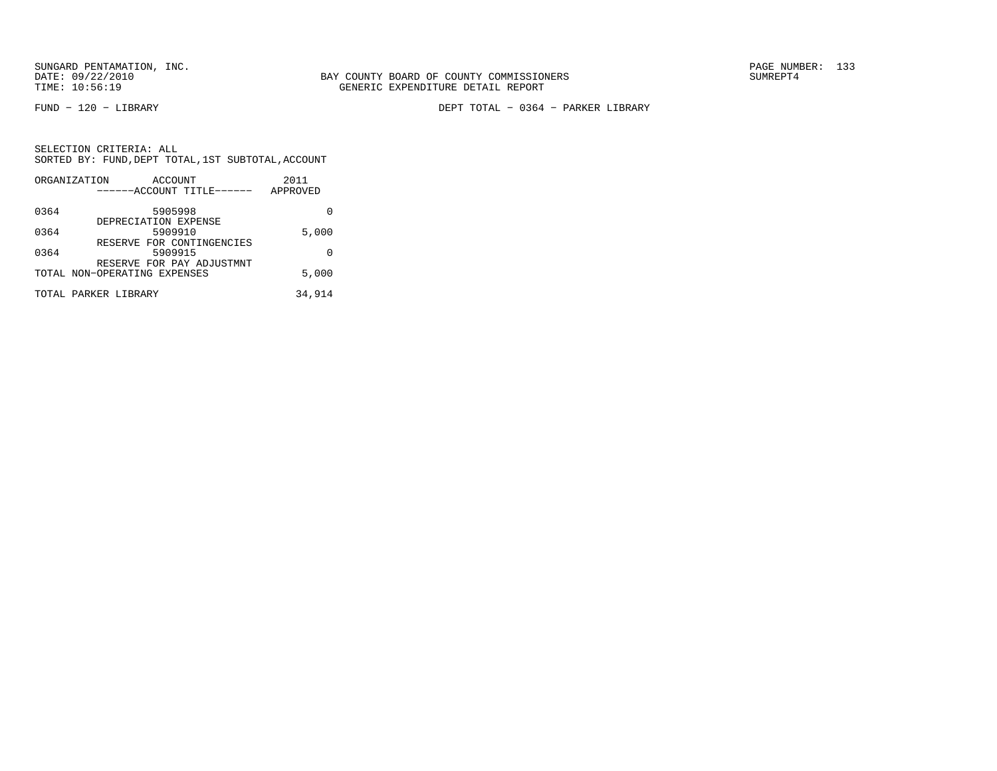FUND − 120 − LIBRARY DEPT TOTAL − 0364 − PARKER LIBRARY

|      | ORGANIZATION<br>ACCOUNT      | 2011     |
|------|------------------------------|----------|
|      | ------ACCOUNT TITLE------    | APPROVED |
| 0364 | 5905998                      |          |
|      | DEPRECIATION EXPENSE         |          |
| 0364 | 5909910                      | 5,000    |
|      | RESERVE FOR CONTINGENCIES    |          |
| 0364 | 5909915                      | U        |
|      | RESERVE FOR PAY ADJUSTMNT    |          |
|      | TOTAL NON-OPERATING EXPENSES | 5,000    |
|      | TOTAL PARKER LIBRARY         | 34,914   |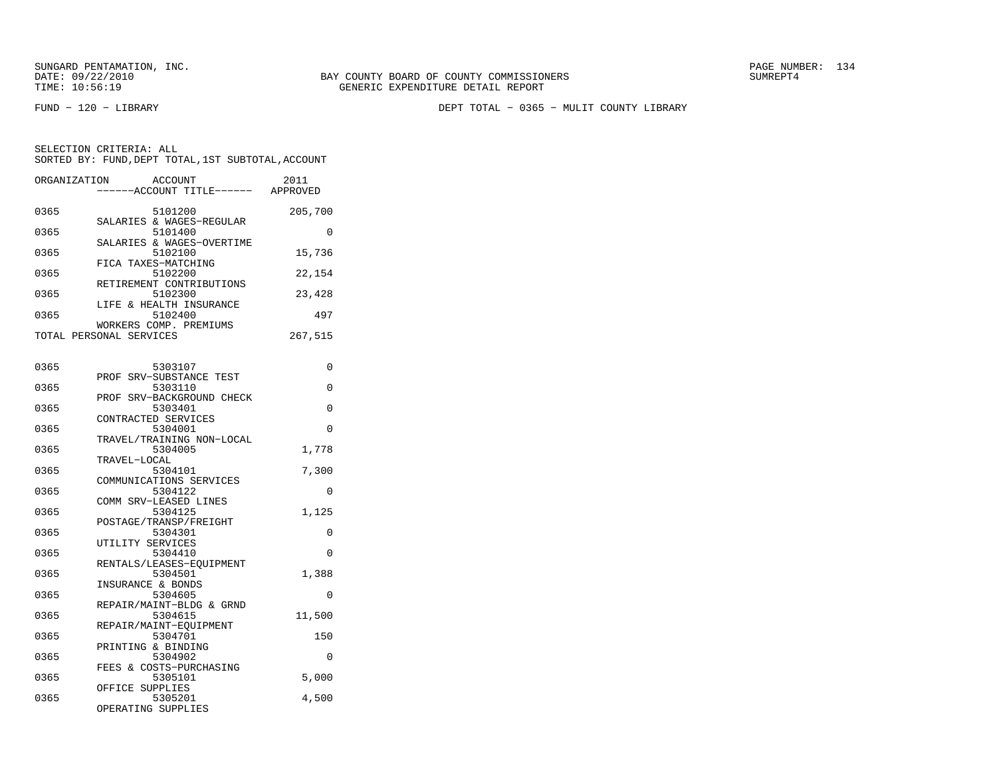BAY COUNTY BOARD OF COUNTY COMMISSIONERS TIME: 10:56:19 GENERIC EXPENDITURE DETAIL REPORT

FUND − 120 − LIBRARY DEPT TOTAL − 0365 − MULIT COUNTY LIBRARY

| ORGANIZATION | ACCOUNT<br>---ACCOUNT TITLE------ APPROVED        | 2011     |
|--------------|---------------------------------------------------|----------|
| 0365         | 5101200<br>SALARIES & WAGES-REGULAR               | 205,700  |
| 0365         | 5101400<br>SALARIES & WAGES-OVERTIME              | 0        |
| 0365         | 5102100<br>FICA TAXES-MATCHING                    | 15,736   |
| 0365         | 5102200                                           | 22,154   |
| 0365         | RETIREMENT CONTRIBUTIONS<br>5102300               | 23,428   |
| 0365         | LIFE & HEALTH INSURANCE<br>5102400                | 497      |
|              | WORKERS COMP. PREMIUMS<br>TOTAL PERSONAL SERVICES | 267,515  |
| 0365         | 5303107                                           | 0        |
| 0365         | PROF<br>SRV-SUBSTANCE TEST<br>5303110             | 0        |
| 0365         | PROF SRV-BACKGROUND CHECK<br>5303401              | 0        |
| 0365         | CONTRACTED SERVICES<br>5304001                    | $\Omega$ |
| 0365         | TRAVEL/TRAINING NON-LOCAL<br>5304005              | 1,778    |
| 0365         | TRAVEL-LOCAL<br>5304101                           | 7,300    |
| 0365         | COMMUNICATIONS SERVICES<br>5304122                | 0        |
| 0365         | COMM SRV-LEASED LINES<br>5304125                  | 1,125    |
| 0365         | POSTAGE/TRANSP/FREIGHT<br>5304301                 | 0        |
| 0365         | UTILITY SERVICES<br>5304410                       | 0        |
| 0365         | RENTALS/LEASES-EQUIPMENT<br>5304501               | 1,388    |
| 0365         | INSURANCE & BONDS<br>5304605                      | $\Omega$ |
| 0365         | REPAIR/MAINT-BLDG & GRND<br>5304615               | 11,500   |
| 0365         | REPAIR/MAINT-EQUIPMENT<br>5304701                 | 150      |
| 0365         | PRINTING & BINDING<br>5304902                     | $\Omega$ |
| 0365         | FEES & COSTS-PURCHASING<br>5305101                | 5,000    |
| 0365         | OFFICE SUPPLIES<br>5305201<br>OPERATING SUPPLIES  | 4,500    |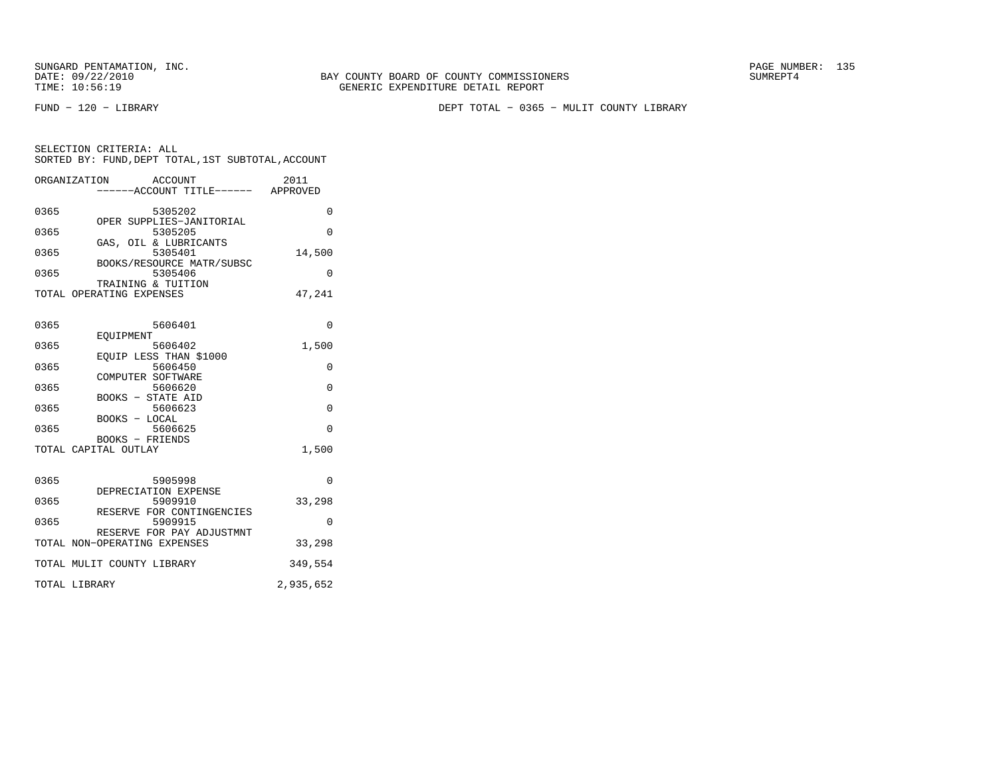FUND − 120 − LIBRARY DEPT TOTAL − 0365 − MULIT COUNTY LIBRARY

| SELECTION CRITERIA: ALL |                                                    |
|-------------------------|----------------------------------------------------|
|                         | SORTED BY: FUND, DEPT TOTAL, 1ST SUBTOTAL, ACCOUNT |

|      | ORGANIZATION<br>ACCOUNT           | 2011        |
|------|-----------------------------------|-------------|
|      | --ACCOUNT TITLE------ APPROVED    |             |
|      |                                   |             |
| 0365 | 5305202                           | 0           |
|      | OPER SUPPLIES-JANITORIAL          |             |
| 0365 | 5305205                           | $\Omega$    |
|      | GAS, OIL & LUBRICANTS             |             |
| 0365 | 5305401                           | 14,500      |
|      | BOOKS/RESOURCE MATR/SUBSC         |             |
| 0365 | 5305406                           | $\Omega$    |
|      | TRAINING & TUITION                |             |
|      | TOTAL OPERATING EXPENSES          | 47,241      |
|      |                                   |             |
|      |                                   |             |
| 0365 | 5606401                           | $\Omega$    |
|      | EOUIPMENT                         |             |
| 0365 | 5606402                           | 1,500       |
| 0365 | EQUIP LESS THAN \$1000<br>5606450 |             |
|      | COMPUTER SOFTWARE                 | 0           |
| 0365 | 5606620                           | $\mathbf 0$ |
|      | <b>BOOKS - STATE AID</b>          |             |
| 0365 | 5606623                           | $\mathbf 0$ |
|      | BOOKS - LOCAL                     |             |
| 0365 | 5606625                           | $\Omega$    |
|      | BOOKS - FRIENDS                   |             |
|      | TOTAL CAPITAL OUTLAY              | 1,500       |
|      |                                   |             |
|      |                                   |             |
| 0365 | 5905998                           | $\Omega$    |
|      | DEPRECIATION EXPENSE              |             |
| 0365 | 5909910                           | 33,298      |
|      | RESERVE FOR CONTINGENCIES         |             |
| 0365 | 5909915                           | 0           |
|      | RESERVE FOR PAY ADJUSTMNT         |             |
|      | TOTAL NON-OPERATING EXPENSES      | 33,298      |
|      |                                   |             |
|      | TOTAL MULIT COUNTY LIBRARY        | 349,554     |
|      |                                   |             |

TOTAL LIBRARY 2,935,652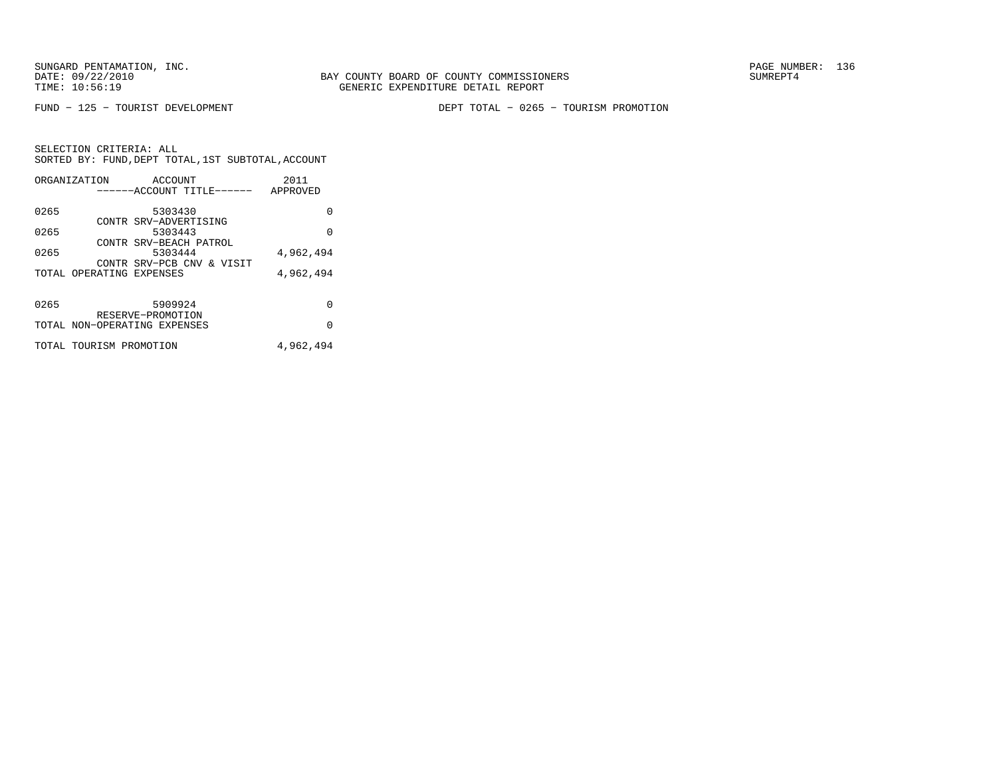FUND − 125 − TOURIST DEVELOPMENT DEPT TOTAL − 0265 − TOURISM PROMOTION

|      | ORGANIZATION                 | ACCOUNT                          |                           | 2011      |
|------|------------------------------|----------------------------------|---------------------------|-----------|
|      |                              |                                  | ------ACCOUNT TITLE------ | APPROVED  |
| 0265 |                              | 5303430                          |                           | U         |
| 0265 |                              | CONTR SRV-ADVERTISING<br>5303443 |                           | 0         |
| 0265 |                              | 5303444                          | CONTR SRV-BEACH PATROL    | 4,962,494 |
|      |                              |                                  | CONTR SRV-PCB CNV & VISIT |           |
|      | TOTAL OPERATING EXPENSES     |                                  |                           | 4,962,494 |
|      |                              |                                  |                           |           |
| 0265 |                              | 5909924<br>RESERVE-PROMOTION     |                           | O         |
|      | TOTAL NON-OPERATING EXPENSES |                                  |                           | O         |
|      | TOTAL TOURISM PROMOTION      |                                  |                           | 4,962,494 |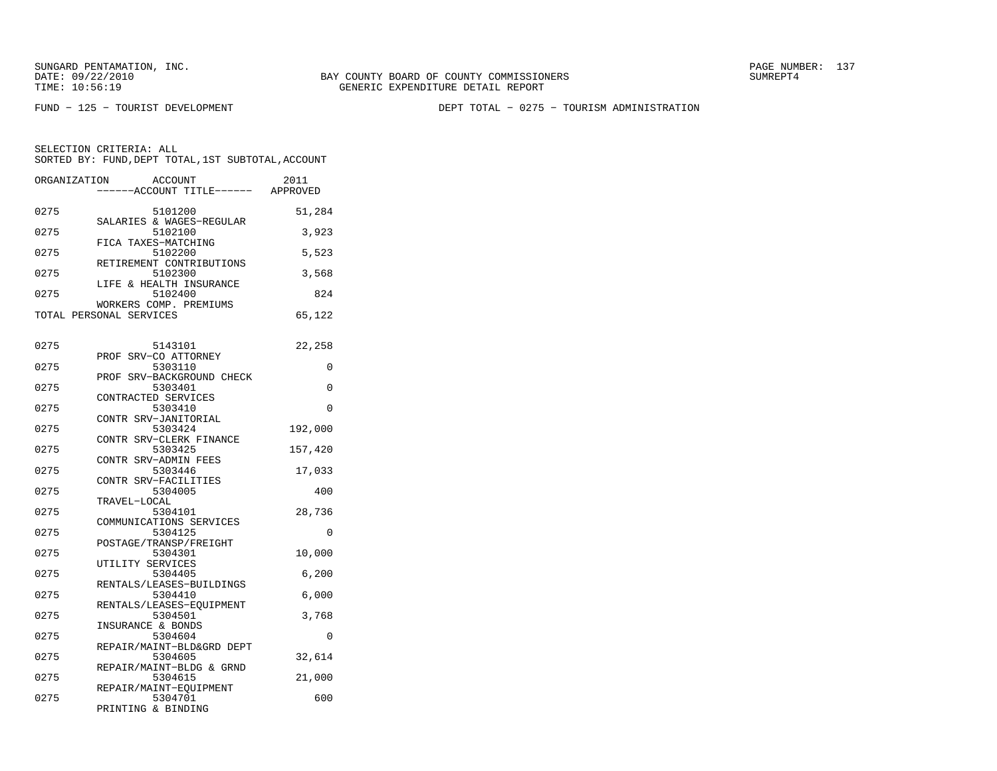BAY COUNTY BOARD OF COUNTY COMMISSIONERS TIME: 10:56:19 GENERIC EXPENDITURE DETAIL REPORT

FUND − 125 − TOURIST DEVELOPMENT DEPT TOTAL − 0275 − TOURISM ADMINISTRATION

| ORGANIZATION |                         | <b>ACCOUNT</b>                      | 2011     |
|--------------|-------------------------|-------------------------------------|----------|
|              |                         | -----ACCOUNT TITLE------            | APPROVED |
|              |                         |                                     |          |
| 0275         |                         | 5101200                             | 51,284   |
| 0275         |                         | SALARIES & WAGES-REGULAR            |          |
|              | FICA TAXES-MATCHING     | 5102100                             | 3,923    |
| 0275         |                         | 5102200                             | 5,523    |
|              |                         | RETIREMENT CONTRIBUTIONS            |          |
| 0275         |                         | 5102300                             | 3,568    |
|              | LIFE & HEALTH INSURANCE |                                     |          |
| 0275         |                         | 5102400                             | 824      |
|              | WORKERS COMP. PREMIUMS  |                                     |          |
|              | TOTAL PERSONAL SERVICES |                                     | 65,122   |
|              |                         |                                     |          |
| 0275         |                         |                                     |          |
|              | PROF SRV-CO ATTORNEY    | 5143101                             | 22,258   |
| 0275         |                         | 5303110                             | 0        |
|              |                         | PROF SRV-BACKGROUND CHECK           |          |
| 0275         |                         | 5303401                             | 0        |
|              | CONTRACTED SERVICES     |                                     |          |
| 0275         |                         | 5303410                             | 0        |
|              | CONTR SRV-JANITORIAL    |                                     |          |
| 0275         |                         | 5303424                             | 192,000  |
|              | CONTR SRV-CLERK FINANCE |                                     |          |
| 0275         |                         | 5303425                             | 157,420  |
|              | CONTR SRV-ADMIN FEES    |                                     |          |
| 0275         | CONTR SRV-FACILITIES    | 5303446                             | 17,033   |
| 0275         |                         | 5304005                             | 400      |
|              | TRAVEL-LOCAL            |                                     |          |
| 0275         |                         | 5304101                             | 28,736   |
|              | COMMUNICATIONS SERVICES |                                     |          |
| 0275         |                         | 5304125                             | 0        |
|              | POSTAGE/TRANSP/FREIGHT  |                                     |          |
| 0275         |                         | 5304301                             | 10,000   |
|              | UTILITY SERVICES        |                                     |          |
| 0275         |                         | 5304405                             | 6,200    |
| 0275         |                         | RENTALS/LEASES-BUILDINGS<br>5304410 | 6,000    |
|              |                         | RENTALS/LEASES-EQUIPMENT            |          |
| 0275         |                         | 5304501                             | 3,768    |
|              | INSURANCE & BONDS       |                                     |          |
| 0275         |                         | 5304604                             | $\Omega$ |
|              |                         | REPAIR/MAINT-BLD&GRD DEPT           |          |
| 0275         |                         | 5304605                             | 32,614   |
|              |                         | REPAIR/MAINT-BLDG & GRND            |          |
| 0275         |                         | 5304615                             | 21,000   |
|              | REPAIR/MAINT-EQUIPMENT  |                                     |          |
| 0275         | PRINTING & BINDING      | 5304701                             | 600      |
|              |                         |                                     |          |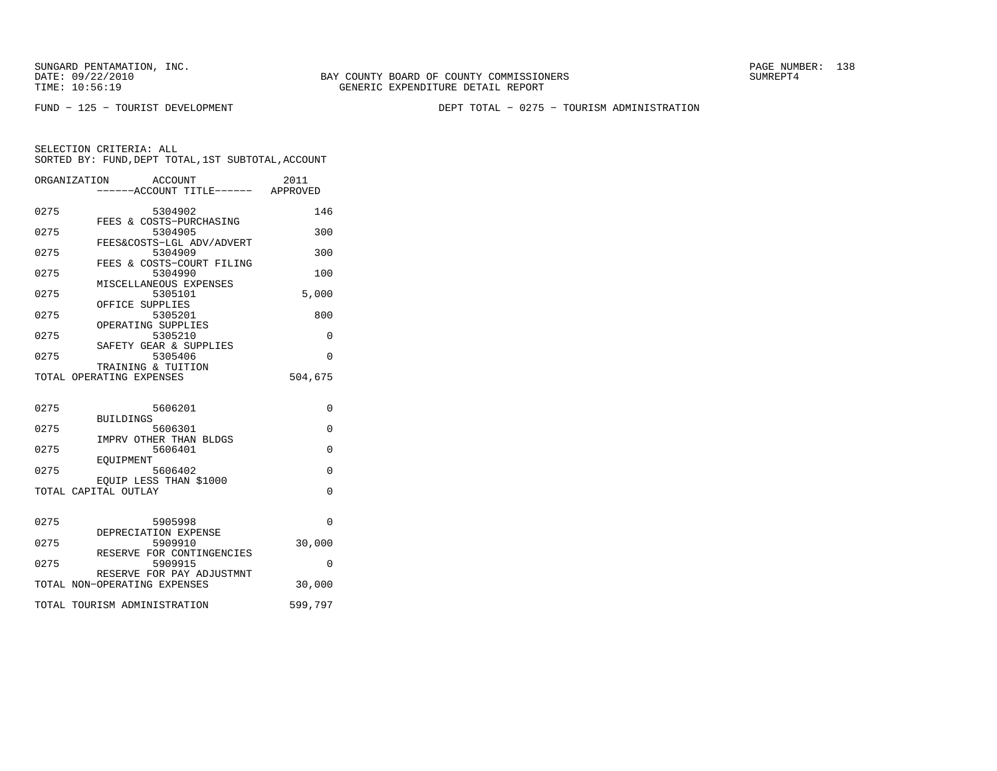BAY COUNTY BOARD OF COUNTY COMMISSIONERS TIME: 10:56:19 GENERIC EXPENDITURE DETAIL REPORT

FUND − 125 − TOURIST DEVELOPMENT DEPT TOTAL − 0275 − TOURISM ADMINISTRATION

|      | ORGANIZATION<br>ACCOUNT<br>-----ACCOUNT TITLE------ APPROVED | 2011     |
|------|--------------------------------------------------------------|----------|
| 0275 | 5304902<br>FEES & COSTS-PURCHASING                           | 146      |
| 0275 | 5304905<br>FEES&COSTS-LGL ADV/ADVERT                         | 300      |
| 0275 | 5304909<br>FEES & COSTS-COURT FILING                         | 300      |
| 0275 | 5304990                                                      | 100      |
| 0275 | MISCELLANEOUS EXPENSES<br>5305101<br>OFFICE SUPPLIES         | 5,000    |
| 0275 | 5305201<br>OPERATING SUPPLIES                                | 800      |
| 0275 | 5305210                                                      | 0        |
| 0275 | SAFETY GEAR & SUPPLIES<br>5305406<br>TRAINING & TUITION      | $\Omega$ |
|      | TOTAL OPERATING EXPENSES                                     | 504,675  |
| 0275 | 5606201                                                      | 0        |
|      | <b>BUILDINGS</b>                                             |          |
| 0275 | 5606301<br>IMPRV OTHER THAN BLDGS                            | $\Omega$ |
| 0275 | 5606401<br>EOUIPMENT                                         | $\Omega$ |
| 0275 | 5606402<br>EQUIP LESS THAN \$1000                            | $\Omega$ |
|      | TOTAL CAPITAL OUTLAY                                         | $\Omega$ |
| 0275 | 5905998                                                      | $\Omega$ |
|      | DEPRECIATION EXPENSE                                         |          |
| 0275 | 5909910<br>RESERVE FOR CONTINGENCIES                         | 30,000   |
| 0275 | 5909915<br>RESERVE FOR PAY ADJUSTMNT                         | $\Omega$ |
|      | TOTAL NON-OPERATING EXPENSES                                 | 30,000   |
|      | TOTAL TOURISM ADMINISTRATION                                 | 599,797  |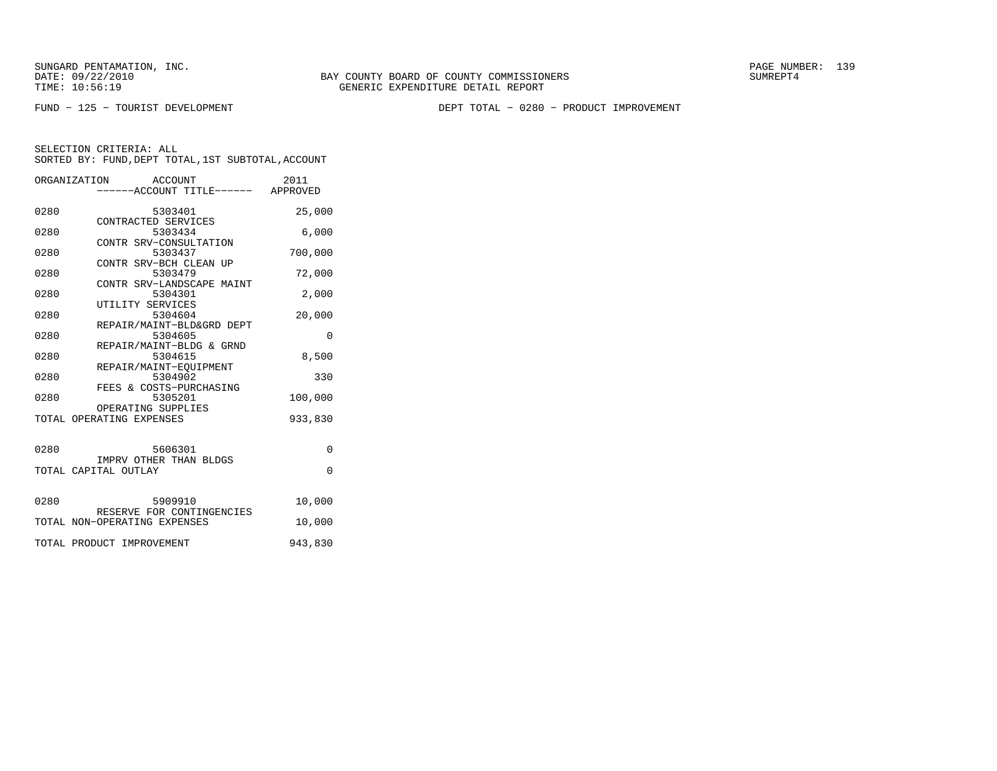FUND − 125 − TOURIST DEVELOPMENT DEPT TOTAL − 0280 − PRODUCT IMPROVEMENT

|      | ORGANIZATION<br>ACCOUNT<br>-----ACCOUNT TITLE------ APPROVED | 2011     |
|------|--------------------------------------------------------------|----------|
| 0280 | 5303401                                                      | 25,000   |
| 0280 | CONTRACTED SERVICES<br>5303434                               | 6,000    |
| 0280 | CONTR SRV-CONSULTATION<br>5303437                            | 700,000  |
| 0280 | CONTR SRV-BCH CLEAN UP<br>5303479                            | 72,000   |
| 0280 | CONTR SRV-LANDSCAPE MAINT<br>5304301                         | 2,000    |
| 0280 | UTILITY SERVICES<br>5304604                                  | 20,000   |
| 0280 | REPAIR/MAINT-BLD&GRD DEPT<br>5304605                         | $\Omega$ |
| 0280 | REPAIR/MAINT-BLDG & GRND<br>5304615                          | 8,500    |
| 0280 | REPAIR/MAINT-EOUIPMENT<br>5304902                            | 330      |
| 0280 | FEES & COSTS-PURCHASING<br>5305201                           | 100,000  |
|      | OPERATING SUPPLIES<br>TOTAL OPERATING EXPENSES               | 933,830  |
|      |                                                              |          |
| 0280 | 5606301<br>IMPRV OTHER THAN BLDGS                            | $\Omega$ |
|      | TOTAL CAPITAL OUTLAY                                         | $\Omega$ |
| 0280 | 5909910                                                      | 10,000   |
|      | RESERVE FOR CONTINGENCIES<br>TOTAL NON-OPERATING EXPENSES    | 10,000   |
|      | TOTAL PRODUCT IMPROVEMENT                                    | 943,830  |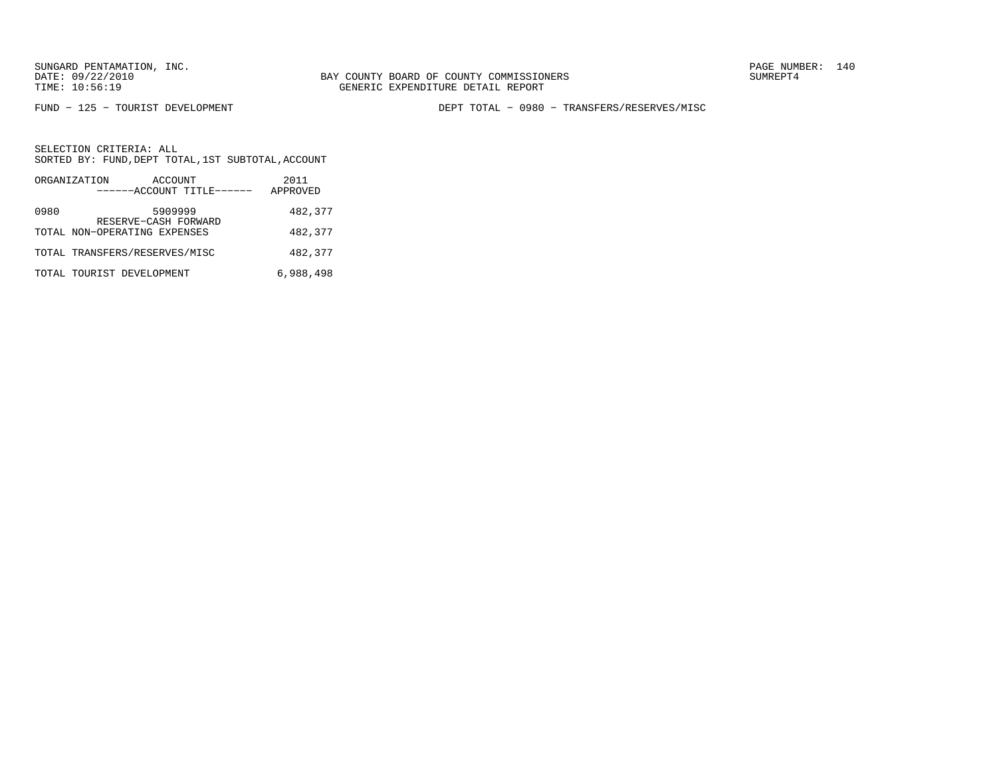FUND − 125 − TOURIST DEVELOPMENT DEPT TOTAL − 0980 − TRANSFERS/RESERVES/MISC

|      | ORGANIZATION                  | ACCOUNT                         | 2011      |
|------|-------------------------------|---------------------------------|-----------|
|      |                               | ------ACCOUNT TITLE------       | APPROVED  |
| 0980 |                               | 5909999<br>RESERVE-CASH FORWARD | 482,377   |
|      | TOTAL NON-OPERATING EXPENSES  |                                 | 482,377   |
|      | TOTAL TRANSFERS/RESERVES/MISC |                                 | 482,377   |
|      | TOTAL TOURIST DEVELOPMENT     |                                 | 6,988,498 |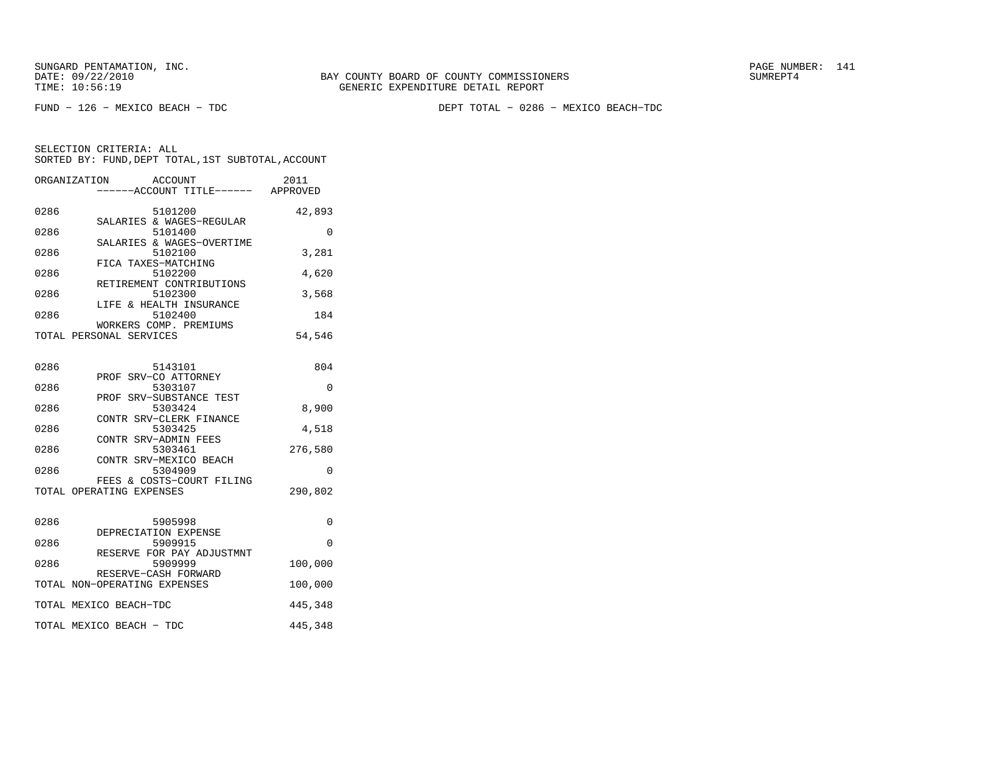FUND − 126 − MEXICO BEACH − TDC DEPT TOTAL − 0286 − MEXICO BEACH−TDC

| ORGANIZATION | <b>ACCOUNT</b><br>----ACCOUNT TITLE------ APPROVED    | 2011     |
|--------------|-------------------------------------------------------|----------|
| 0286         | 5101200<br>SALARIES & WAGES-REGULAR                   | 42,893   |
| 0286         | 5101400                                               | 0        |
| 0286         | SALARIES & WAGES-OVERTIME<br>5102100                  | 3,281    |
| 0286         | FICA TAXES-MATCHING<br>5102200                        | 4,620    |
| 0286         | RETIREMENT CONTRIBUTIONS<br>5102300                   | 3,568    |
| 0286         | LIFE & HEALTH INSURANCE<br>5102400                    | 184      |
|              | WORKERS COMP. PREMIUMS<br>TOTAL PERSONAL SERVICES     | 54,546   |
| 0286         | 5143101                                               | 804      |
| 0286         | PROF SRV-CO ATTORNEY<br>5303107                       | 0        |
| 0286         | PROF SRV-SUBSTANCE TEST<br>5303424                    | 8,900    |
| 0286         | CONTR SRV-CLERK FINANCE<br>5303425                    | 4,518    |
| 0286         | CONTR SRV-ADMIN FEES<br>5303461                       | 276,580  |
| 0286         | CONTR SRV-MEXICO BEACH<br>5304909                     | $\Omega$ |
|              | FEES & COSTS-COURT FILING<br>TOTAL OPERATING EXPENSES | 290,802  |
| 0286         | 5905998                                               | 0        |
| 0286         | DEPRECIATION EXPENSE<br>5909915                       | 0        |
| 0286         | RESERVE FOR PAY ADJUSTMNT<br>5909999                  | 100,000  |
|              | RESERVE-CASH FORWARD<br>TOTAL NON-OPERATING EXPENSES  | 100,000  |
|              | TOTAL MEXICO BEACH-TDC                                | 445,348  |
|              | TOTAL MEXICO BEACH - TDC                              | 445,348  |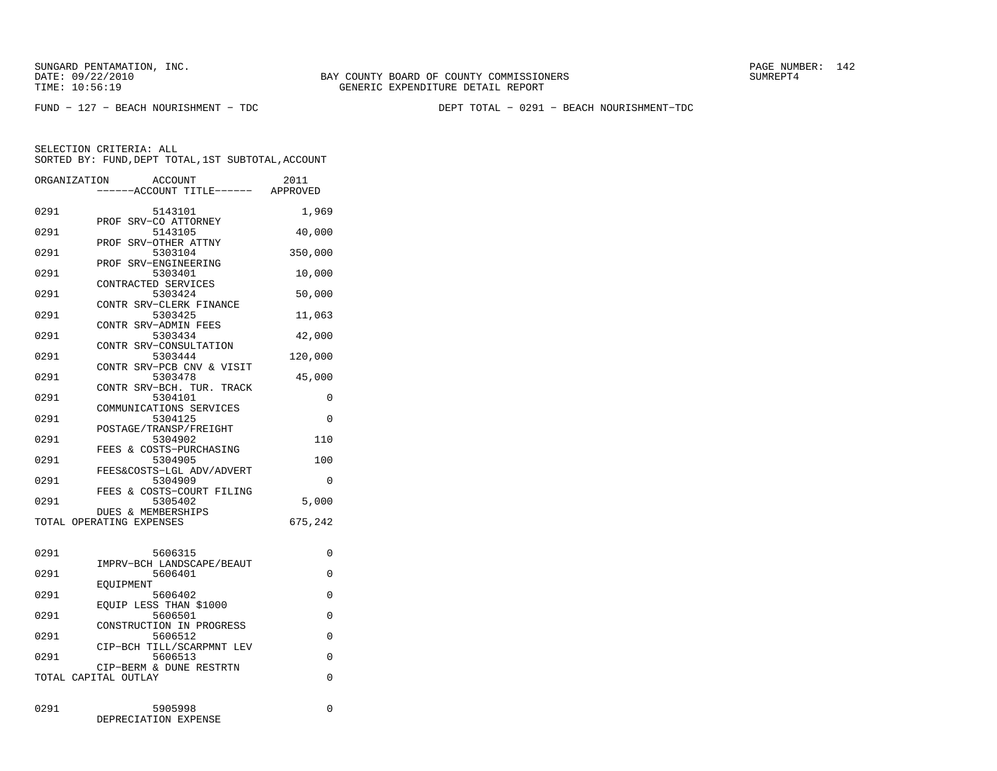FUND − 127 − BEACH NOURISHMENT − TDC DEPT TOTAL − 0291 − BEACH NOURISHMENT−TDC

SELECTION CRITERIA: ALLSORTED BY: FUND, DEPT TOTAL, 1ST SUBTOTAL, ACCOUNT

| ORGANIZATION             |                               | ACCOUNT | -----ACCOUNT TITLE------ APPROVED | 2011        |
|--------------------------|-------------------------------|---------|-----------------------------------|-------------|
| 0291                     | PROF SRV-CO ATTORNEY          | 5143101 |                                   | 1,969       |
| 0291                     |                               | 5143105 |                                   | 40,000      |
| 0291                     | PROF SRV-OTHER ATTNY          | 5303104 |                                   | 350,000     |
| 0291                     | PROF SRV-ENGINEERING          | 5303401 |                                   | 10,000      |
| 0291                     | CONTRACTED SERVICES           | 5303424 |                                   | 50,000      |
| 0291                     |                               | 5303425 | CONTR SRV-CLERK FINANCE           | 11,063      |
| 0291                     | CONTR SRV-ADMIN FEES          | 5303434 |                                   | 42,000      |
| 0291                     |                               | 5303444 | CONTR SRV-CONSULTATION            | 120,000     |
| 0291                     |                               | 5303478 | CONTR SRV-PCB CNV & VISIT         | 45,000      |
| 0291                     |                               | 5304101 | CONTR SRV-BCH. TUR. TRACK         | 0           |
| 0291                     |                               | 5304125 | COMMUNICATIONS SERVICES           | $\Omega$    |
| 0291                     | POSTAGE/TRANSP/FREIGHT        | 5304902 |                                   | 110         |
| 0291                     |                               | 5304905 | FEES & COSTS-PURCHASING           | 100         |
| 0291                     |                               | 5304909 | FEES&COSTS-LGL ADV/ADVERT         | $\Omega$    |
| 0291                     |                               | 5305402 | FEES & COSTS-COURT FILING         | 5,000       |
| TOTAL OPERATING EXPENSES | <b>DUES &amp; MEMBERSHIPS</b> |         |                                   | 675,242     |
|                          |                               |         |                                   |             |
| 0291                     |                               | 5606315 | IMPRV-BCH LANDSCAPE/BEAUT         | 0           |
| 0291                     | EOUIPMENT                     | 5606401 |                                   | 0           |
| 0291                     | EOUIP LESS THAN \$1000        | 5606402 |                                   | 0           |
| 0291                     |                               | 5606501 |                                   | $\mathbf 0$ |

CONSTRUCTION IN PROGRESS

CIP-BCH TILL/SCARPMNT LEV<br>5606513

0291 5606512 0

0291 5905998 0

 CIP−BERM & DUNE RESTRTNTOTAL CAPITAL OUTLAY 0

DEPRECIATION EXPENSE

5606513 0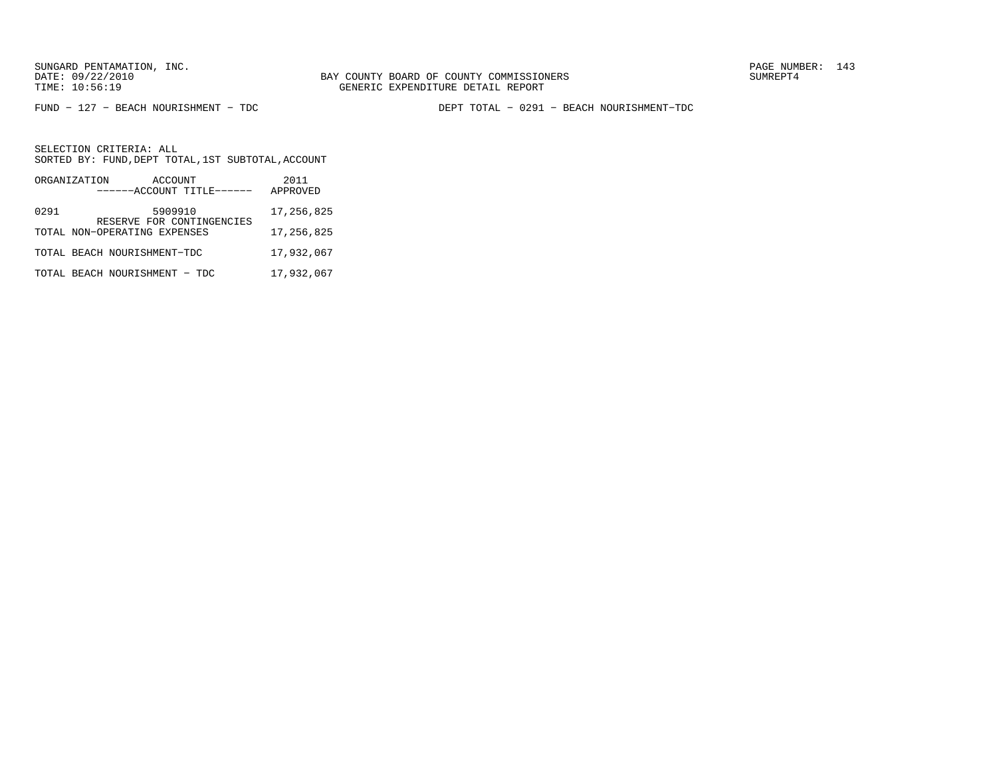BAY COUNTY BOARD OF COUNTY COMMISSIONERS TIME: 10:56:19 GENERIC EXPENDITURE DETAIL REPORT

FUND − 127 − BEACH NOURISHMENT − TDC DEPT TOTAL − 0291 − BEACH NOURISHMENT−TDC

|      | ORGANIZATION | ACCOUNT<br>------ACCOUNT TITLE------                      |            | 2011<br>APPROVED |
|------|--------------|-----------------------------------------------------------|------------|------------------|
| 0291 |              | 5909910                                                   | 17,256,825 |                  |
|      |              | RESERVE FOR CONTINGENCIES<br>TOTAL NON-OPERATING EXPENSES | 17,256,825 |                  |
|      |              | TOTAL BEACH NOURISHMENT-TDC                               |            | 17,932,067       |
|      |              | TOTAL BEACH NOURISHMENT - TDC                             |            | 17,932,067       |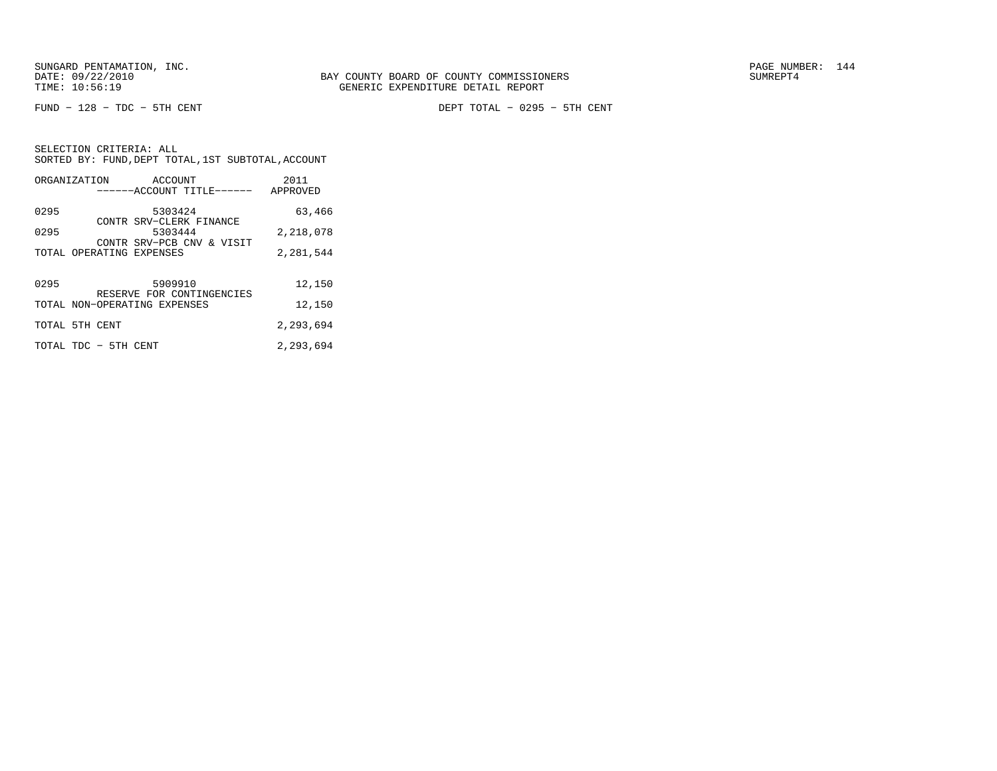FUND − 128 − TDC − 5TH CENT DEPT TOTAL − 0295 − 5TH CENT

|                | ORGANIZATION ACCOUNT         |         | ------ACCOUNT TITLE------ | 2011<br>APPROVED |
|----------------|------------------------------|---------|---------------------------|------------------|
| 0295           |                              | 5303424 | CONTR SRV-CLERK FINANCE   | 63,466           |
| 0295           |                              | 5303444 | CONTR SRV-PCB CNV & VISIT | 2,218,078        |
|                | TOTAL OPERATING EXPENSES     |         |                           | 2,281,544        |
|                |                              |         |                           |                  |
| 0295           |                              | 5909910 | RESERVE FOR CONTINGENCIES | 12,150           |
|                | TOTAL NON-OPERATING EXPENSES |         |                           | 12,150           |
| TOTAL 5TH CENT |                              |         |                           | 2,293,694        |
|                | TOTAL TDC - 5TH CENT         |         |                           | 2,293,694        |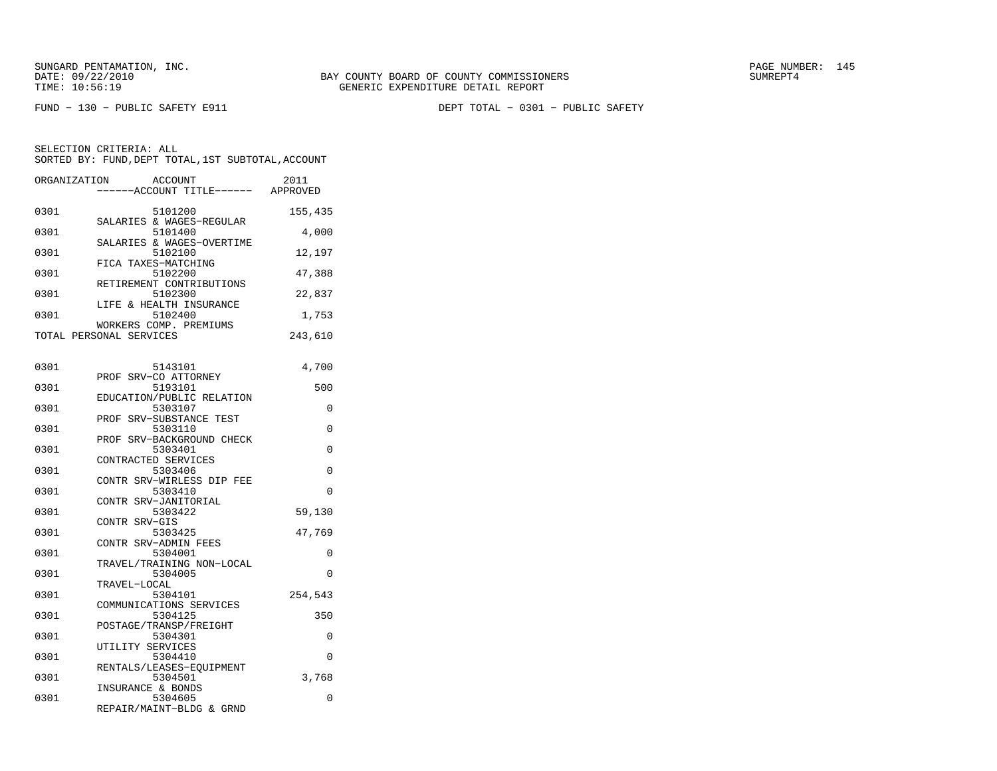| ORGANIZATION | ACCOUNT<br>---ACCOUNT TITLE------                        | 2011<br>APPROVED |
|--------------|----------------------------------------------------------|------------------|
| 0301         | 5101200<br>SALARIES & WAGES-REGULAR                      | 155,435          |
| 0301         | 5101400<br>SALARIES & WAGES-OVERTIME                     | 4,000            |
| 0301         | 5102100<br>FICA TAXES-MATCHING                           | 12,197           |
| 0301         | 5102200<br>RETIREMENT CONTRIBUTIONS                      | 47,388           |
| 0301         | 5102300<br>LIFE & HEALTH INSURANCE                       | 22,837           |
| 0301         | 5102400<br>WORKERS COMP. PREMIUMS                        | 1,753            |
|              | TOTAL PERSONAL SERVICES                                  | 243,610          |
| 0301         | 5143101                                                  | 4,700            |
| 0301         | PROF SRV-CO ATTORNEY<br>5193101                          | 500              |
| 0301         | EDUCATION/PUBLIC RELATION<br>5303107                     | 0                |
| 0301         | SRV-SUBSTANCE TEST<br>PROF<br>5303110                    | 0                |
| 0301         | PROF SRV-BACKGROUND CHECK<br>5303401                     | 0                |
| 0301         | CONTRACTED SERVICES<br>5303406                           | 0                |
| 0301         | CONTR SRV-WIRLESS DIP FEE<br>5303410                     | 0                |
| 0301         | CONTR SRV-JANITORIAL<br>5303422                          | 59,130           |
| 0301         | CONTR SRV-GIS<br>5303425                                 | 47,769           |
| 0301         | CONTR SRV-ADMIN FEES<br>5304001                          | 0                |
| 0301         | TRAVEL/TRAINING NON-LOCAL<br>5304005                     | 0                |
| 0301         | TRAVEL-LOCAL<br>5304101                                  | 254,543          |
| 0301         | COMMUNICATIONS SERVICES<br>5304125                       | 350              |
| 0301         | POSTAGE/TRANSP/FREIGHT<br>5304301                        | 0                |
| 0301         | UTILITY SERVICES<br>5304410                              | 0                |
| 0301         | RENTALS/LEASES-EOUIPMENT<br>5304501                      | 3,768            |
| 0301         | INSURANCE & BONDS<br>5304605<br>REPAIR/MAINT-BLDG & GRND | 0                |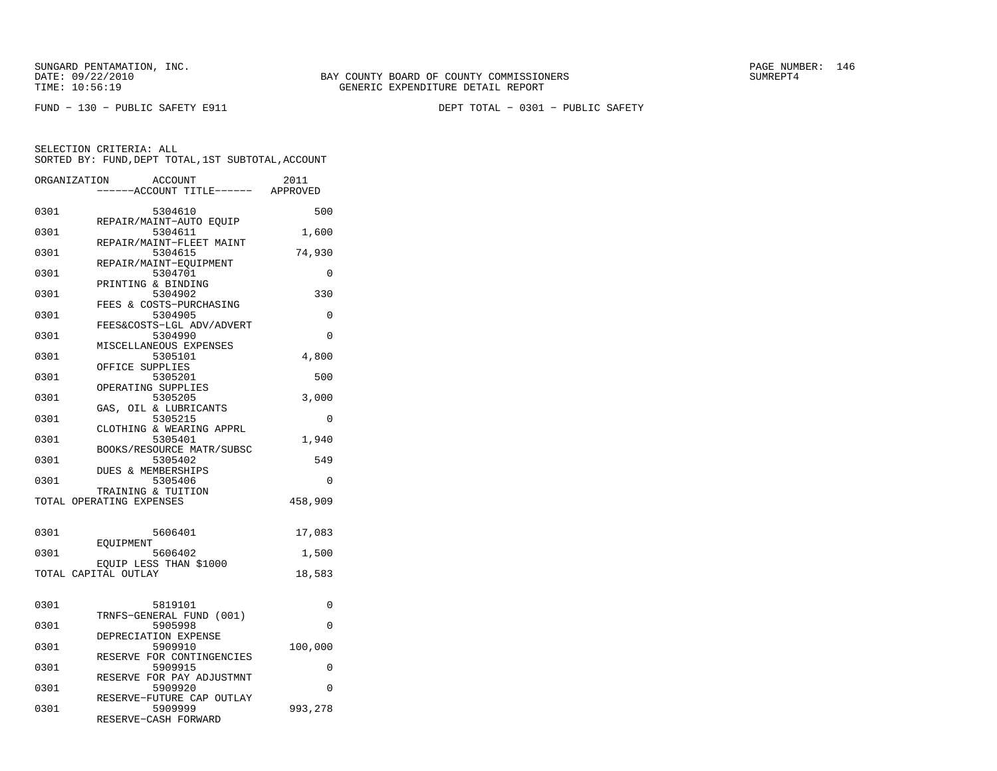FUND − 130 − PUBLIC SAFETY E911 DEPT TOTAL − 0301 − PUBLIC SAFETY

| ORGANIZATION             |                 | <b>ACCOUNT</b><br>---ACCOUNT TITLE------ APPROVED              | 2011     |
|--------------------------|-----------------|----------------------------------------------------------------|----------|
| 0301                     |                 | 5304610                                                        | 500      |
| 0301                     |                 | REPAIR/MAINT-AUTO EQUIP<br>5304611<br>REPAIR/MAINT-FLEET MAINT | 1,600    |
| 0301                     |                 | 5304615<br>REPAIR/MAINT-EQUIPMENT                              | 74,930   |
| 0301                     |                 | 5304701<br>PRINTING & BINDING                                  | 0        |
| 0301                     |                 | 5304902<br>FEES & COSTS-PURCHASING                             | 330      |
| 0301                     |                 | 5304905<br>FEES&COSTS-LGL ADV/ADVERT                           | 0        |
| 0301                     |                 | 5304990<br>MISCELLANEOUS EXPENSES                              | 0        |
| 0301                     | OFFICE SUPPLIES | 5305101                                                        | 4,800    |
| 0301                     |                 | 5305201<br>OPERATING SUPPLIES                                  | 500      |
| 0301                     |                 | 5305205<br>GAS, OIL & LUBRICANTS                               | 3,000    |
| 0301                     |                 | 5305215<br>CLOTHING & WEARING APPRL                            | 0        |
| 0301                     |                 | 5305401<br>BOOKS/RESOURCE MATR/SUBSC                           | 1,940    |
| 0301                     |                 | 5305402<br><b>DUES &amp; MEMBERSHIPS</b>                       | 549      |
| 0301                     |                 | 5305406<br>TRAINING & TUITION                                  | $\Omega$ |
| TOTAL OPERATING EXPENSES |                 |                                                                | 458,909  |
| 0301                     | EOUIPMENT       | 5606401                                                        | 17,083   |
| 0301                     |                 | 5606402                                                        | 1,500    |
| TOTAL CAPITAL OUTLAY     |                 | EQUIP LESS THAN \$1000                                         | 18,583   |
| 0301                     |                 | 5819101                                                        | 0        |
| 0301                     |                 | TRNFS-GENERAL FUND (001)<br>5905998                            | 0        |
| 0301                     |                 | DEPRECIATION EXPENSE<br>5909910                                | 100,000  |
| 0301                     |                 | RESERVE FOR CONTINGENCIES<br>5909915                           | 0        |
| 0301                     |                 | RESERVE FOR PAY ADJUSTMNT<br>5909920                           | $\Omega$ |
| 0301                     |                 | RESERVE-FUTURE CAP OUTLAY<br>5909999<br>RESERVE-CASH FORWARD   | 993,278  |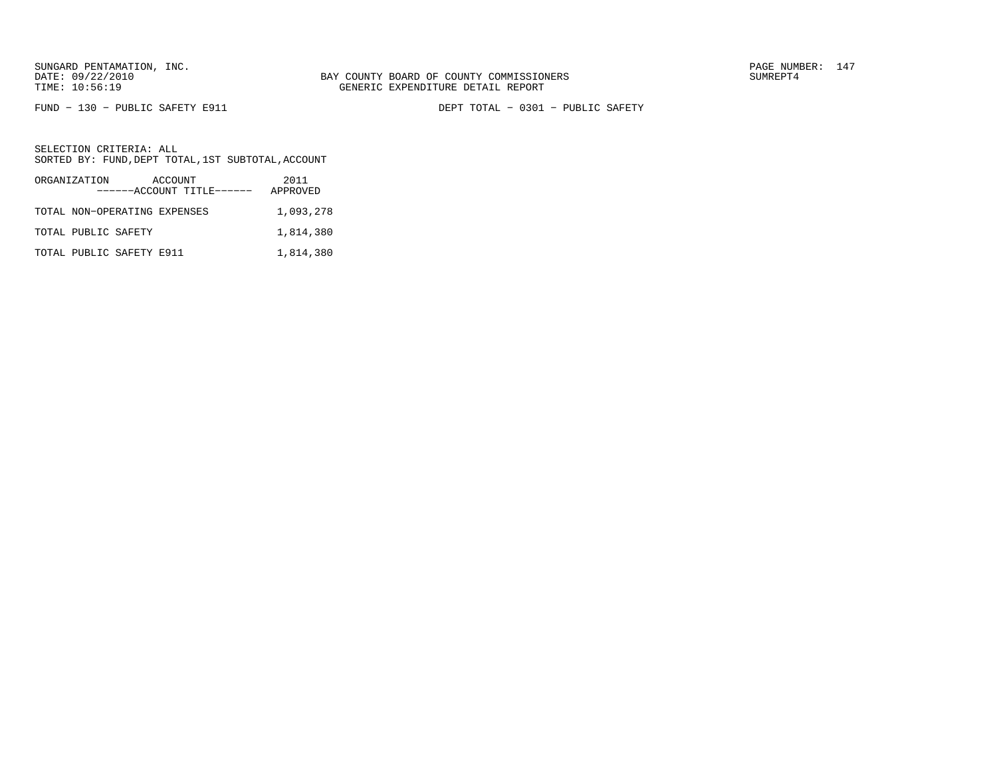FUND − 130 − PUBLIC SAFETY E911 DEPT TOTAL − 0301 − PUBLIC SAFETY

| ORGANIZATION                 | ACCOUNT<br>------ACCOUNT TITLE------ | 2011<br>APPROVED |
|------------------------------|--------------------------------------|------------------|
| TOTAL NON-OPERATING EXPENSES |                                      | 1,093,278        |
| TOTAL PUBLIC SAFETY          |                                      | 1,814,380        |
| TOTAL PUBLIC SAFETY E911     |                                      | 1,814,380        |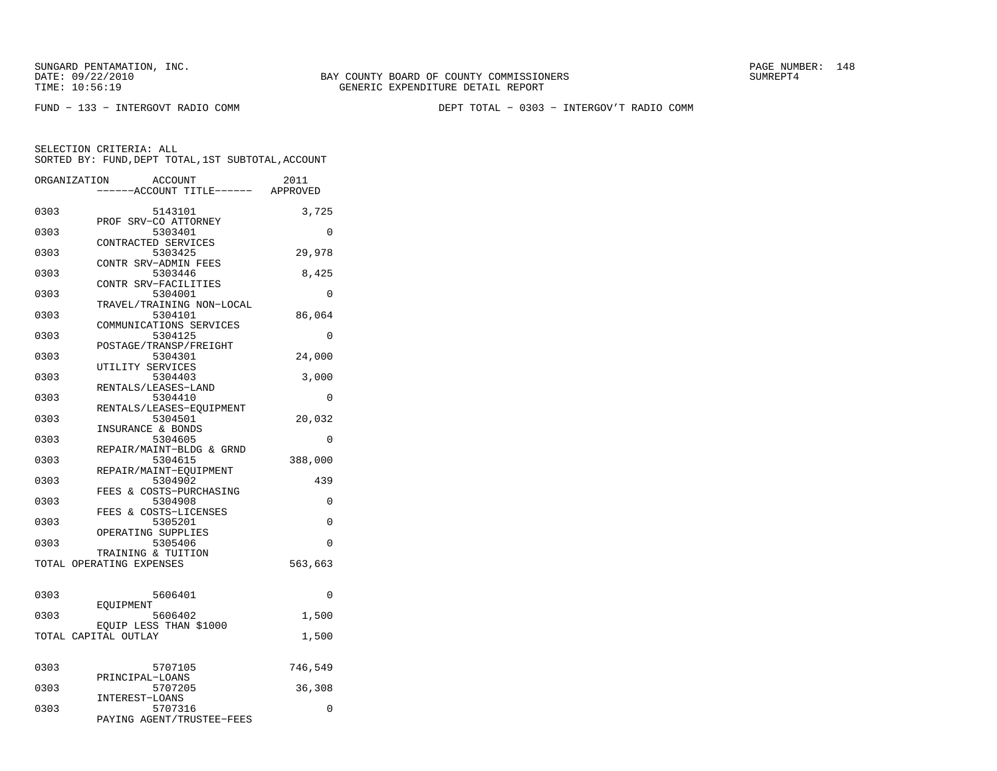BAY COUNTY BOARD OF COUNTY COMMISSIONERS TIME: 10:56:19 GENERIC EXPENDITURE DETAIL REPORT

FUND − 133 − INTERGOVT RADIO COMM DEPT TOTAL − 0303 − INTERGOV'T RADIO COMM

| ORGANIZATION |                          | <b>ACCOUNT</b><br>---ACCOUNT TITLE------ APPROVED | 2011    |
|--------------|--------------------------|---------------------------------------------------|---------|
| 0303         | PROF SRV-CO ATTORNEY     | 5143101                                           | 3,725   |
| 0303         | CONTRACTED SERVICES      | 5303401                                           | 0       |
| 0303         | CONTR SRV-ADMIN FEES     | 5303425                                           | 29,978  |
| 0303         | CONTR SRV-FACILITIES     | 5303446                                           | 8,425   |
| 0303         |                          | 5304001<br>TRAVEL/TRAINING NON-LOCAL              | 0       |
| 0303         | COMMUNICATIONS SERVICES  | 5304101                                           | 86,064  |
| 0303         | POSTAGE/TRANSP/FREIGHT   | 5304125                                           | 0       |
| 0303         | UTILITY SERVICES         | 5304301                                           | 24,000  |
| 0303         | RENTALS/LEASES-LAND      | 5304403                                           | 3,000   |
| 0303         |                          | 5304410<br>RENTALS/LEASES-EOUIPMENT               | 0       |
| 0303         | INSURANCE & BONDS        | 5304501                                           | 20,032  |
| 0303         |                          | 5304605<br>REPAIR/MAINT-BLDG & GRND               | 0       |
| 0303         | REPAIR/MAINT-EOUIPMENT   | 5304615                                           | 388,000 |
| 0303         | FEES & COSTS-PURCHASING  | 5304902                                           | 439     |
| 0303         | FEES & COSTS-LICENSES    | 5304908                                           | 0       |
| 0303         | OPERATING SUPPLIES       | 5305201                                           | 0       |
| 0303         | TRAINING & TUITION       | 5305406                                           | 0       |
|              | TOTAL OPERATING EXPENSES |                                                   | 563,663 |
| 0303         | EOUIPMENT                | 5606401                                           | 0       |
| 0303         | EQUIP LESS THAN \$1000   | 5606402                                           | 1,500   |
|              | TOTAL CAPITAL OUTLAY     |                                                   | 1,500   |
| 0303         |                          | 5707105                                           | 746,549 |
| 0303         | PRINCIPAL-LOANS          | 5707205                                           | 36,308  |
| 0303         | INTEREST-LOANS           | 5707316<br>PAYING AGENT/TRUSTEE-FEES              | 0       |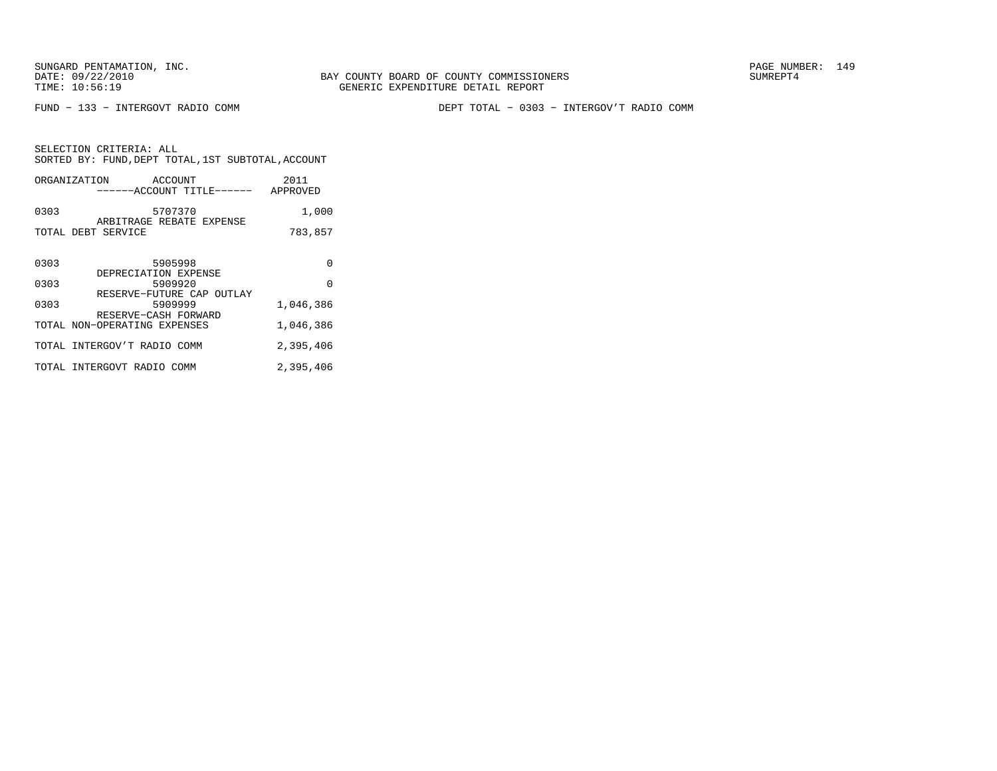FUND − 133 − INTERGOVT RADIO COMM DEPT TOTAL − 0303 − INTERGOV'T RADIO COMM

|      | ORGANIZATION<br>ACCOUNT<br>------ACCOUNT TITLE------         | 2011<br>APPROVED |
|------|--------------------------------------------------------------|------------------|
| 0303 | 5707370                                                      | 1,000            |
|      | ARBITRAGE REBATE EXPENSE<br>TOTAL DEBT SERVICE               | 783,857          |
| 0303 | 5905998<br>DEPRECIATION EXPENSE                              | U                |
| 0303 | 5909920                                                      | $\Omega$         |
| 0303 | RESERVE-FUTURE CAP OUTLAY<br>5909999<br>RESERVE-CASH FORWARD | 1,046,386        |
|      | TOTAL NON-OPERATING EXPENSES                                 | 1,046,386        |
|      | TOTAL INTERGOV'T RADIO COMM                                  | 2,395,406        |
|      | TOTAL INTERGOVT RADIO COMM                                   | 2,395,406        |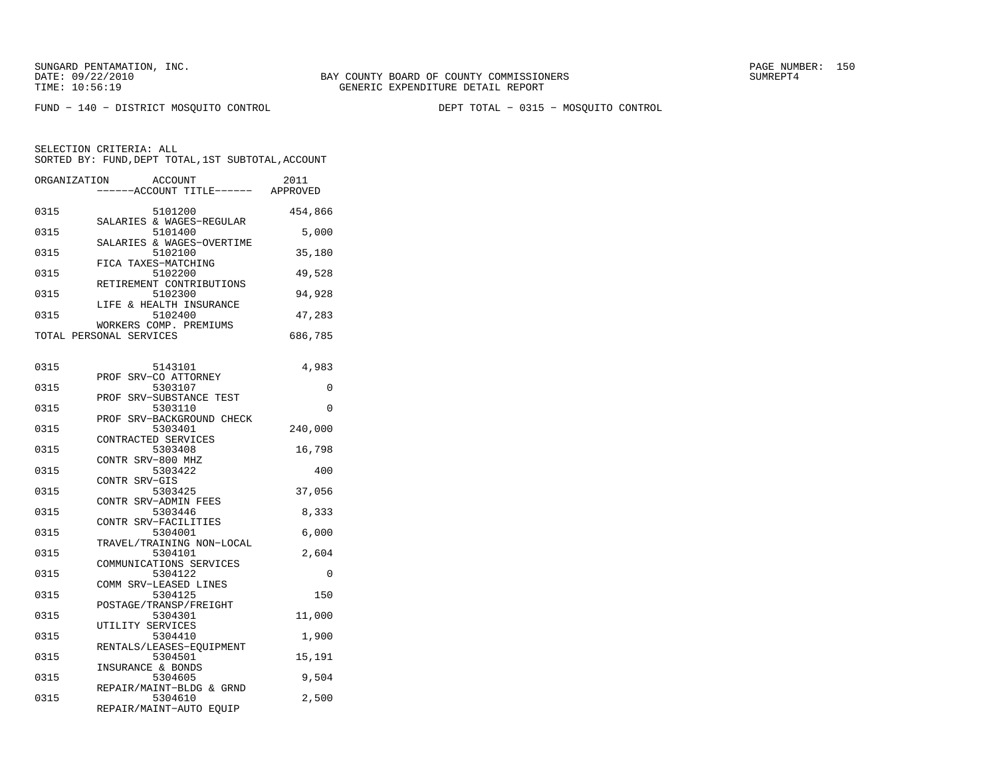FUND − 140 − DISTRICT MOSQUITO CONTROL DEPT TOTAL − 0315 − MOSQUITO CONTROL

| ORGANIZATION | ACCOUNT<br>---ACCOUNT TITLE------ APPROVED                  | 2011    |
|--------------|-------------------------------------------------------------|---------|
| 0315         | 5101200<br>SALARIES & WAGES-REGULAR                         | 454,866 |
| 0315         | 5101400<br>SALARIES & WAGES-OVERTIME                        | 5,000   |
| 0315         | 5102100<br>FICA TAXES-MATCHING                              | 35,180  |
| 0315         | 5102200<br>RETIREMENT CONTRIBUTIONS                         | 49,528  |
| 0315         | 5102300<br>LIFE & HEALTH INSURANCE                          | 94,928  |
| 0315         | 5102400<br>WORKERS COMP. PREMIUMS                           | 47,283  |
|              | TOTAL PERSONAL SERVICES                                     | 686,785 |
| 0315         | 5143101                                                     | 4,983   |
| 0315         | PROF SRV-CO ATTORNEY<br>5303107                             | 0       |
| 0315         | PROF SRV-SUBSTANCE TEST<br>5303110                          | 0       |
| 0315         | PROF SRV-BACKGROUND CHECK<br>5303401<br>CONTRACTED SERVICES | 240,000 |
| 0315         | 5303408<br>CONTR SRV-800 MHZ                                | 16,798  |
| 0315         | 5303422<br>CONTR SRV-GIS                                    | 400     |
| 0315         | 5303425<br>CONTR SRV-ADMIN FEES                             | 37,056  |
| 0315         | 5303446<br>CONTR SRV-FACILITIES                             | 8,333   |
| 0315         | 5304001<br>TRAVEL/TRAINING NON-LOCAL                        | 6,000   |
| 0315         | 5304101<br>COMMUNICATIONS SERVICES                          | 2,604   |
| 0315         | 5304122<br>COMM SRV-LEASED LINES                            | 0       |
| 0315         | 5304125<br>POSTAGE/TRANSP/FREIGHT                           | 150     |
| 0315         | 5304301<br>UTILITY SERVICES                                 | 11,000  |
| 0315         | 5304410<br>RENTALS/LEASES-EQUIPMENT                         | 1,900   |
| 0315         | 5304501<br>INSURANCE & BONDS                                | 15,191  |
| 0315         | 5304605<br>REPAIR/MAINT-BLDG & GRND                         | 9,504   |
| 0315         | 5304610<br>REPAIR/MAINT-AUTO EQUIP                          | 2,500   |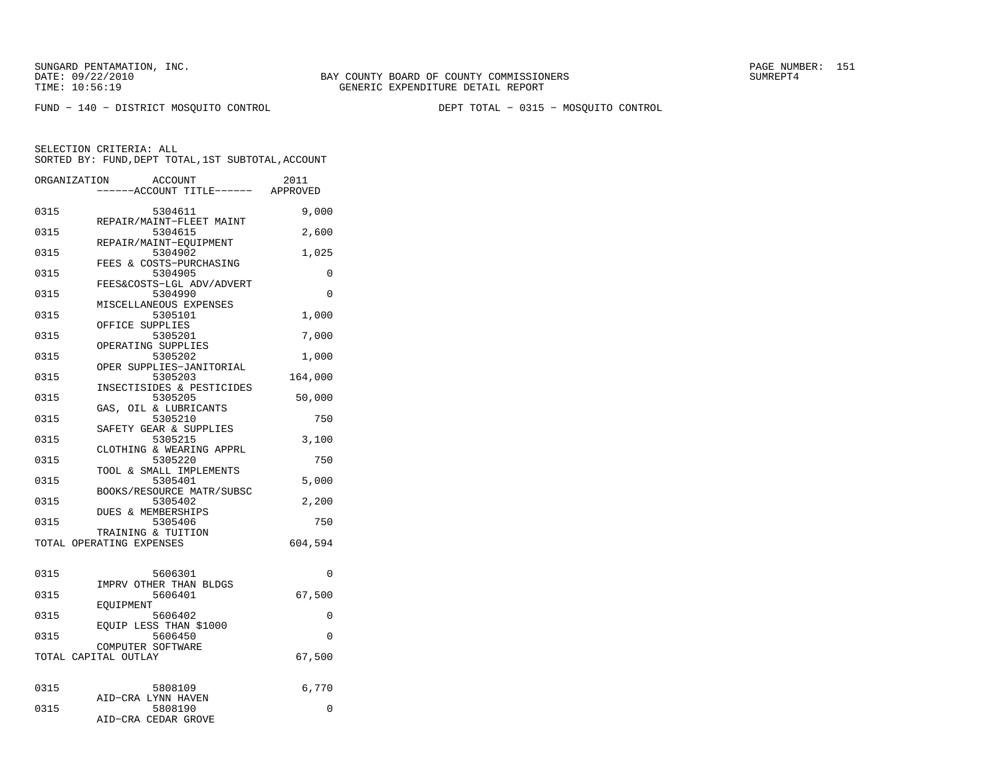FUND − 140 − DISTRICT MOSQUITO CONTROL DEPT TOTAL − 0315 − MOSQUITO CONTROL

|      | ORGANIZATION<br>ACCOUNT<br>----ACCOUNT TITLE------ APPROVED | 2011     |
|------|-------------------------------------------------------------|----------|
| 0315 | 5304611                                                     | 9,000    |
| 0315 | REPAIR/MAINT-FLEET MAINT<br>5304615                         | 2,600    |
| 0315 | REPAIR/MAINT-EQUIPMENT<br>5304902                           | 1,025    |
| 0315 | FEES & COSTS-PURCHASING<br>5304905                          | 0        |
| 0315 | FEES&COSTS-LGL ADV/ADVERT<br>5304990                        | 0        |
| 0315 | MISCELLANEOUS EXPENSES<br>5305101                           | 1,000    |
| 0315 | OFFICE SUPPLIES<br>5305201                                  | 7,000    |
| 0315 | OPERATING SUPPLIES<br>5305202                               | 1,000    |
| 0315 | OPER SUPPLIES-JANITORIAL<br>5305203                         | 164,000  |
| 0315 | INSECTISIDES & PESTICIDES<br>5305205                        | 50,000   |
| 0315 | GAS, OIL & LUBRICANTS<br>5305210                            | 750      |
| 0315 | SAFETY GEAR & SUPPLIES<br>5305215                           | 3,100    |
|      | CLOTHING & WEARING APPRL                                    |          |
| 0315 | 5305220<br>TOOL & SMALL IMPLEMENTS                          | 750      |
| 0315 | 5305401<br>BOOKS/RESOURCE MATR/SUBSC                        | 5,000    |
| 0315 | 5305402<br>DUES & MEMBERSHIPS                               | 2,200    |
| 0315 | 5305406<br>TRAINING & TUITION                               | 750      |
|      | TOTAL OPERATING EXPENSES                                    | 604,594  |
| 0315 | 5606301                                                     | $\Omega$ |
| 0315 | IMPRV OTHER THAN BLDGS<br>5606401                           | 67,500   |
| 0315 | EOUIPMENT<br>5606402                                        | 0        |
| 0315 | EOUIP LESS THAN \$1000<br>5606450                           | $\Omega$ |
|      | COMPUTER SOFTWARE<br>TOTAL CAPITAL OUTLAY                   | 67,500   |
|      |                                                             |          |
| 0315 | 5808109<br>AID-CRA LYNN HAVEN                               | 6,770    |
| 0315 | 5808190<br>AID-CRA CEDAR GROVE                              | 0        |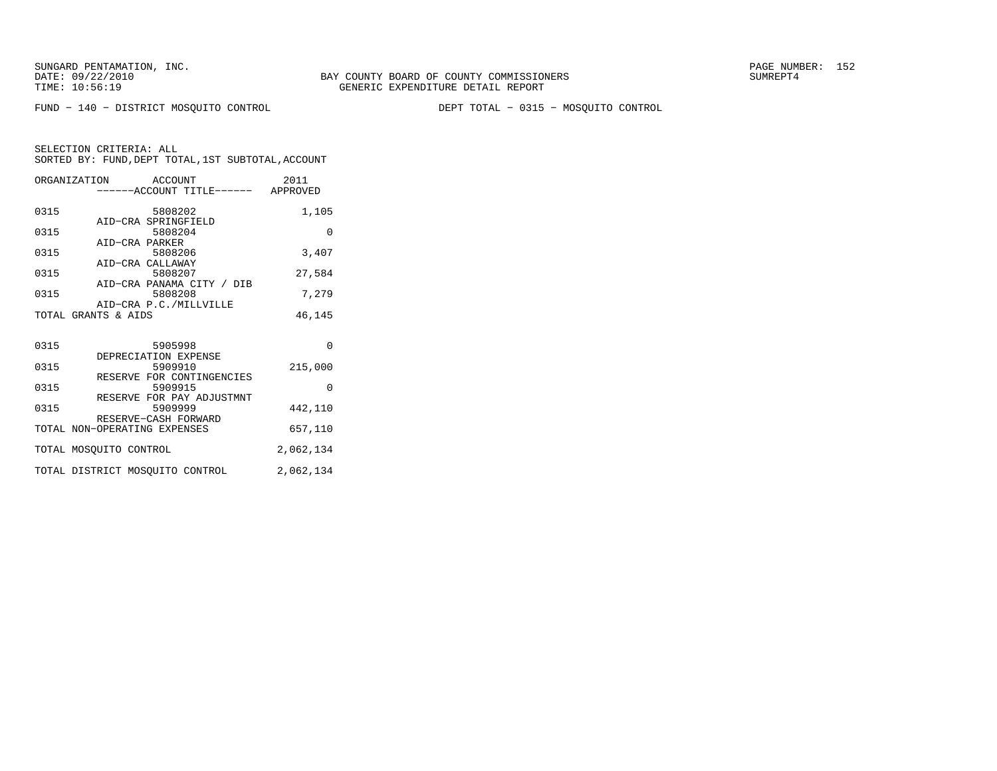FUND − 140 − DISTRICT MOSQUITO CONTROL DEPT TOTAL − 0315 − MOSQUITO CONTROL

| ORGANIZATION ACCOUNT         |                     |         |                                      | 2011      |
|------------------------------|---------------------|---------|--------------------------------------|-----------|
|                              |                     |         | ------ACCOUNT TITLE------ APPROVED   |           |
| 0315                         |                     |         | 5808202                              | 1,105     |
|                              | AID-CRA SPRINGFIELD |         |                                      |           |
| 0315                         | AID-CRA PARKER      |         | 5808204                              | $\Omega$  |
| 0315                         |                     | 5808206 |                                      | 3,407     |
|                              | AID-CRA CALLAWAY    |         |                                      |           |
| 0315                         |                     |         | 5808207                              | 27,584    |
| 0315                         |                     |         | AID-CRA PANAMA CITY / DIB<br>5808208 | 7,279     |
|                              |                     |         | AID-CRA P.C./MILLVILLE               |           |
| TOTAL GRANTS & AIDS          |                     |         |                                      | 46,145    |
|                              |                     |         |                                      |           |
| 0315                         |                     | 5905998 |                                      | $\Omega$  |
|                              |                     |         | DEPRECIATION EXPENSE                 |           |
| 0315                         |                     | 5909910 |                                      | 215,000   |
| 0315                         |                     | 5909915 | RESERVE FOR CONTINGENCIES            | $\Omega$  |
|                              |                     |         | RESERVE FOR PAY ADJUSTMNT            |           |
| 0315                         |                     | 5909999 |                                      | 442,110   |
| TOTAL NON-OPERATING EXPENSES |                     |         | RESERVE-CASH FORWARD                 | 657,110   |
|                              |                     |         |                                      |           |
| TOTAL MOSQUITO CONTROL       |                     |         |                                      | 2,062,134 |
|                              |                     |         | TOTAL DISTRICT MOSQUITO CONTROL      | 2,062,134 |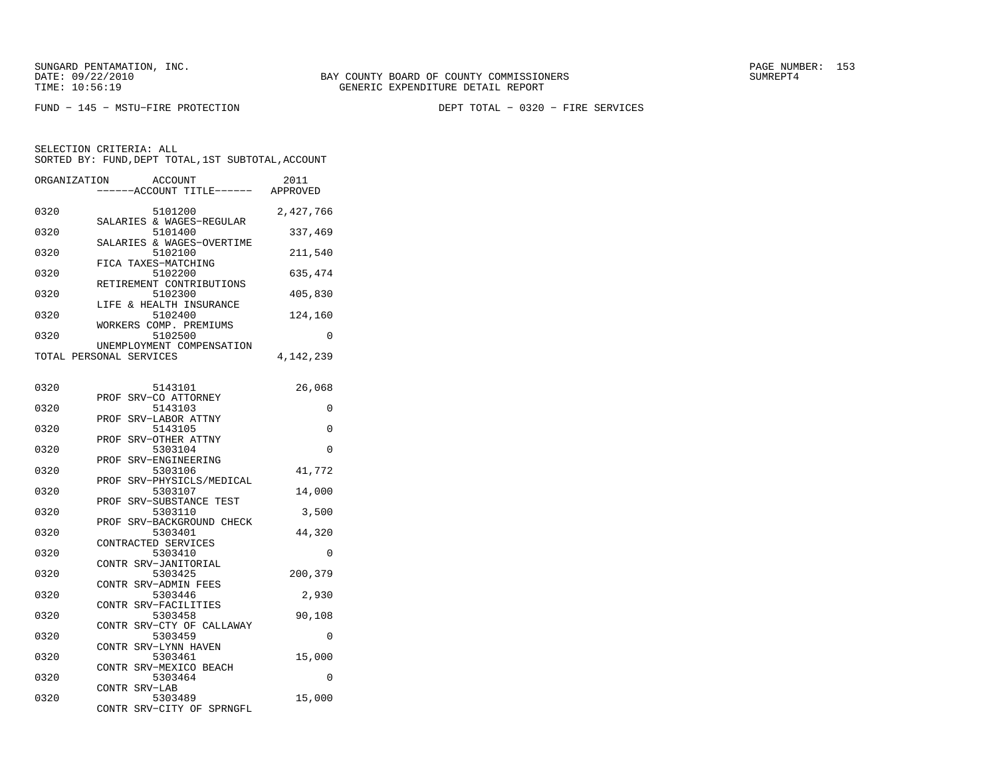FUND − 145 − MSTU−FIRE PROTECTION DEPT TOTAL − 0320 − FIRE SERVICES

| ORGANIZATION | ACCOUNT<br>---ACCOUNT TITLE------ APPROVED           | 2011      |
|--------------|------------------------------------------------------|-----------|
| 0320         | 5101200                                              | 2,427,766 |
| 0320         | SALARIES & WAGES-REGULAR<br>5101400                  | 337,469   |
| 0320         | SALARIES & WAGES-OVERTIME<br>5102100                 | 211,540   |
| 0320         | FICA TAXES-MATCHING<br>5102200                       | 635,474   |
| 0320         | RETIREMENT CONTRIBUTIONS<br>5102300                  | 405,830   |
| 0320         | LIFE & HEALTH INSURANCE<br>5102400                   | 124,160   |
| 0320         | WORKERS COMP. PREMIUMS<br>5102500                    | 0         |
|              | UNEMPLOYMENT COMPENSATION<br>TOTAL PERSONAL SERVICES | 4,142,239 |
|              |                                                      |           |
| 0320         | 5143101<br>SRV-CO ATTORNEY<br>PROF                   | 26,068    |
| 0320         | 5143103<br>SRV-LABOR ATTNY<br>PROF                   | 0         |
| 0320         | 5143105<br>SRV-OTHER ATTNY<br>PROF                   | 0         |
| 0320         | 5303104                                              | 0         |
| 0320         | SRV-ENGINEERING<br>PROF<br>5303106                   | 41,772    |
| 0320         | SRV-PHYSICLS/MEDICAL<br>PROF<br>5303107              | 14,000    |
| 0320         | SRV-SUBSTANCE TEST<br>PROF<br>5303110                | 3,500     |
| 0320         | SRV-BACKGROUND CHECK<br>PROF<br>5303401              | 44,320    |
| 0320         | CONTRACTED SERVICES<br>5303410                       | 0         |
| 0320         | CONTR SRV-JANITORIAL<br>5303425                      | 200,379   |
| 0320         | CONTR SRV-ADMIN FEES<br>5303446                      | 2,930     |
| 0320         | CONTR SRV-FACILITIES<br>5303458                      | 90,108    |
| 0320         | CONTR SRV-CTY OF CALLAWAY<br>5303459                 | 0         |
|              | CONTR SRV-LYNN HAVEN                                 |           |
| 0320         | 5303461<br>SRV-MEXICO BEACH<br>CONTR                 | 15,000    |
| 0320         | 5303464<br>CONTR SRV-LAB                             | 0         |
| 0320         | 5303489<br>SRV-CITY OF SPRNGFL<br>CONTR              | 15,000    |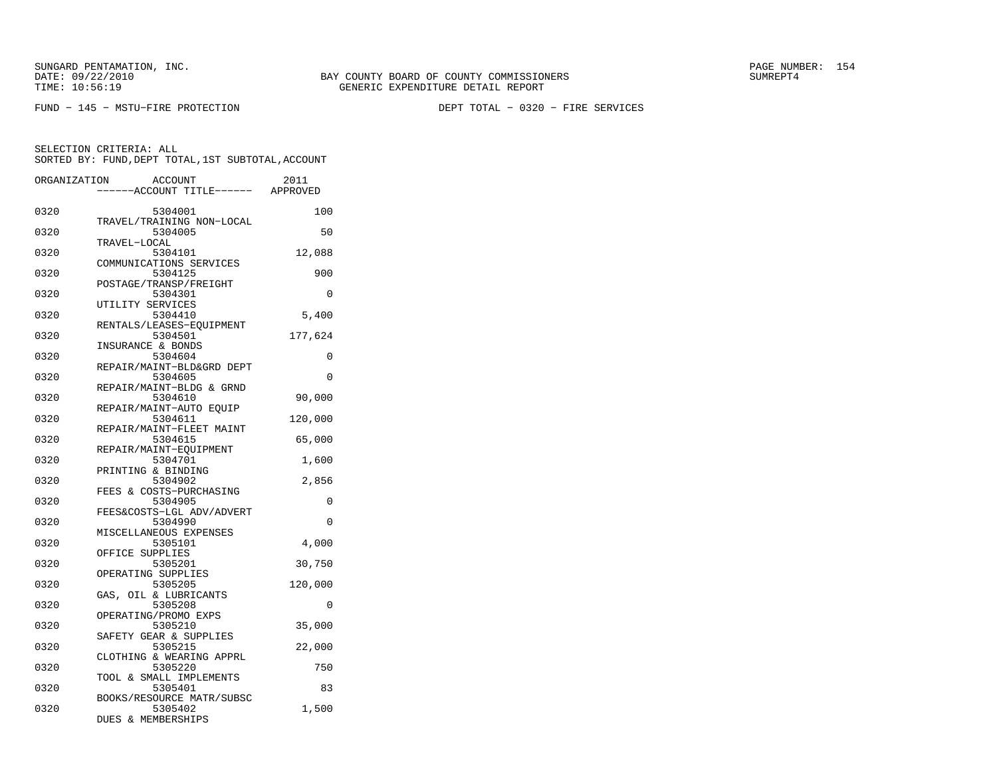FUND − 145 − MSTU−FIRE PROTECTION DEPT TOTAL − 0320 − FIRE SERVICES

| ORGANIZATION | <b>ACCOUNT</b><br>---ACCOUNT TITLE------ APPROVED | 2011     |
|--------------|---------------------------------------------------|----------|
|              |                                                   |          |
| 0320         | 5304001                                           | 100      |
|              | TRAVEL/TRAINING NON-LOCAL                         |          |
| 0320         | 5304005                                           | 50       |
|              | TRAVEL-LOCAL                                      |          |
| 0320         | 5304101                                           | 12,088   |
| 0320         | COMMUNICATIONS SERVICES<br>5304125                | 900      |
|              | POSTAGE/TRANSP/FREIGHT                            |          |
| 0320         | 5304301                                           | 0        |
|              | UTILITY SERVICES                                  |          |
| 0320         | 5304410                                           | 5,400    |
|              | RENTALS/LEASES-EQUIPMENT                          |          |
| 0320         | 5304501                                           | 177,624  |
|              | INSURANCE & BONDS                                 |          |
| 0320         | 5304604                                           | 0        |
|              | REPAIR/MAINT-BLD&GRD DEPT                         |          |
| 0320         | 5304605                                           | 0        |
|              | REPAIR/MAINT-BLDG & GRND                          |          |
| 0320         | 5304610                                           | 90,000   |
| 0320         | REPAIR/MAINT-AUTO EQUIP<br>5304611                |          |
|              | REPAIR/MAINT-FLEET MAINT                          | 120,000  |
| 0320         | 5304615                                           | 65,000   |
|              | REPAIR/MAINT-EQUIPMENT                            |          |
| 0320         | 5304701                                           | 1,600    |
|              | PRINTING & BINDING                                |          |
| 0320         | 5304902                                           | 2,856    |
|              | FEES & COSTS-PURCHASING                           |          |
| 0320         | 5304905                                           | $\Omega$ |
|              | FEES&COSTS-LGL ADV/ADVERT                         |          |
| 0320         | 5304990                                           | 0        |
|              | MISCELLANEOUS EXPENSES                            |          |
| 0320         | 5305101                                           | 4,000    |
|              | OFFICE SUPPLIES                                   |          |
| 0320         | 5305201                                           | 30,750   |
| 0320         | OPERATING SUPPLIES<br>5305205                     |          |
|              | GAS, OIL & LUBRICANTS                             | 120,000  |
| 0320         | 5305208                                           | 0        |
|              | OPERATING/PROMO EXPS                              |          |
| 0320         | 5305210                                           | 35,000   |
|              | SAFETY GEAR & SUPPLIES                            |          |
| 0320         | 5305215                                           | 22,000   |
|              | CLOTHING & WEARING APPRL                          |          |
| 0320         | 5305220                                           | 750      |
|              | TOOL & SMALL IMPLEMENTS                           |          |
| 0320         | 5305401                                           | 83       |
|              | BOOKS/RESOURCE MATR/SUBSC                         |          |
| 0320         | 5305402                                           | 1,500    |
|              | <b>DUES &amp; MEMBERSHIPS</b>                     |          |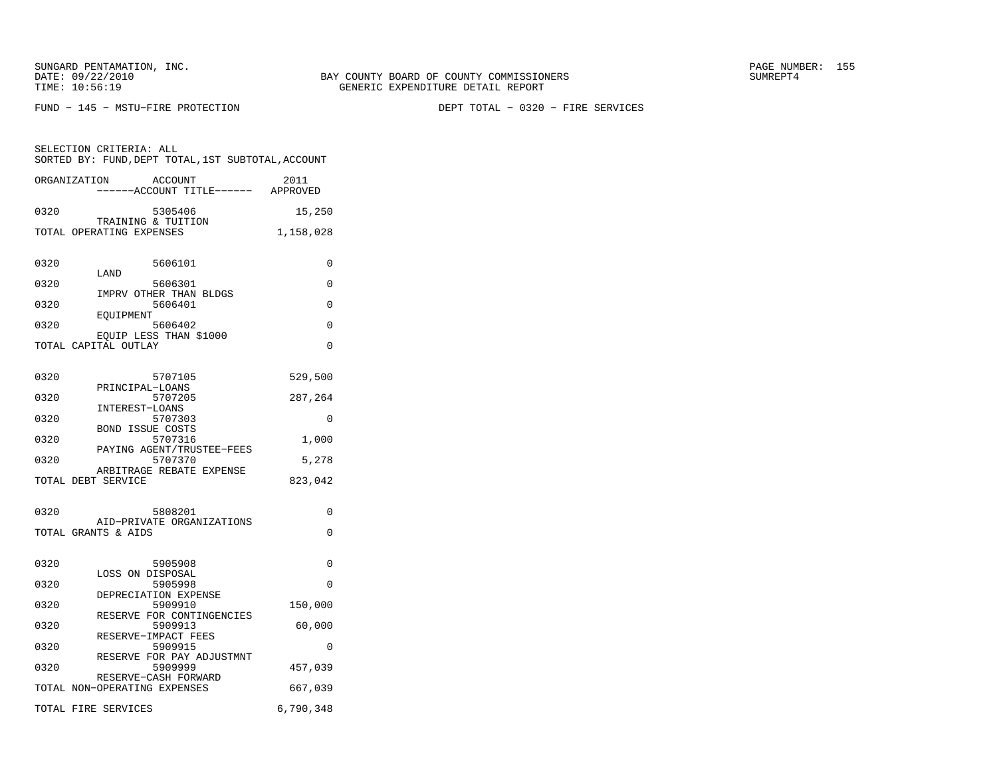SELECTION CRITERIA: ALL

FUND − 145 − MSTU−FIRE PROTECTION DEPT TOTAL − 0320 − FIRE SERVICES

| SORTED BY: FUND, DEPT TOTAL, 1ST SUBTOTAL, ACCOUNT          |           |
|-------------------------------------------------------------|-----------|
| ORGANIZATION<br>ACCOUNT<br>----ACCOUNT TITLE------ APPROVED | 2011      |
| 0320<br>5305406                                             | 15,250    |
| TRAINING & TUITION<br>TOTAL OPERATING EXPENSES              | 1,158,028 |
| 0320<br>5606101<br>LAND                                     | 0         |
| 0320<br>5606301<br>IMPRV OTHER THAN BLDGS                   | 0         |
| 0320<br>5606401<br><b>EOUIPMENT</b>                         | 0         |
| 0320<br>5606402                                             | $\Omega$  |
| EQUIP LESS THAN \$1000<br>TOTAL CAPITAL OUTLAY              | $\Omega$  |
| 0320<br>5707105<br>PRINCIPAL-LOANS                          | 529,500   |
| 0320<br>5707205                                             | 287,264   |
| INTEREST-LOANS<br>0320<br>5707303                           | $\Omega$  |
| <b>BOND ISSUE COSTS</b><br>0320<br>5707316                  | 1,000     |
| PAYING AGENT/TRUSTEE-FEES<br>5707370<br>0320                | 5,278     |
| ARBITRAGE REBATE EXPENSE<br>TOTAL DEBT SERVICE              | 823,042   |
| 0320<br>5808201                                             | $\Omega$  |
| AID-PRIVATE ORGANIZATIONS<br>TOTAL GRANTS & AIDS            | 0         |
| 0320<br>5905908<br>LOSS ON DISPOSAL                         | $\Omega$  |
| 5905998<br>0320<br>DEPRECIATION EXPENSE                     | $\Omega$  |
| 5909910<br>0320                                             | 150,000   |
| RESERVE FOR CONTINGENCIES<br>0320<br>5909913                | 60,000    |
| RESERVE-IMPACT FEES<br>0320<br>5909915                      | 0         |
| RESERVE FOR PAY ADJUSTMNT<br>0320<br>5909999                | 457,039   |
| RESERVE-CASH FORWARD<br>TOTAL NON-OPERATING EXPENSES        | 667,039   |
| TOTAL FIRE SERVICES                                         | 6,790,348 |
|                                                             |           |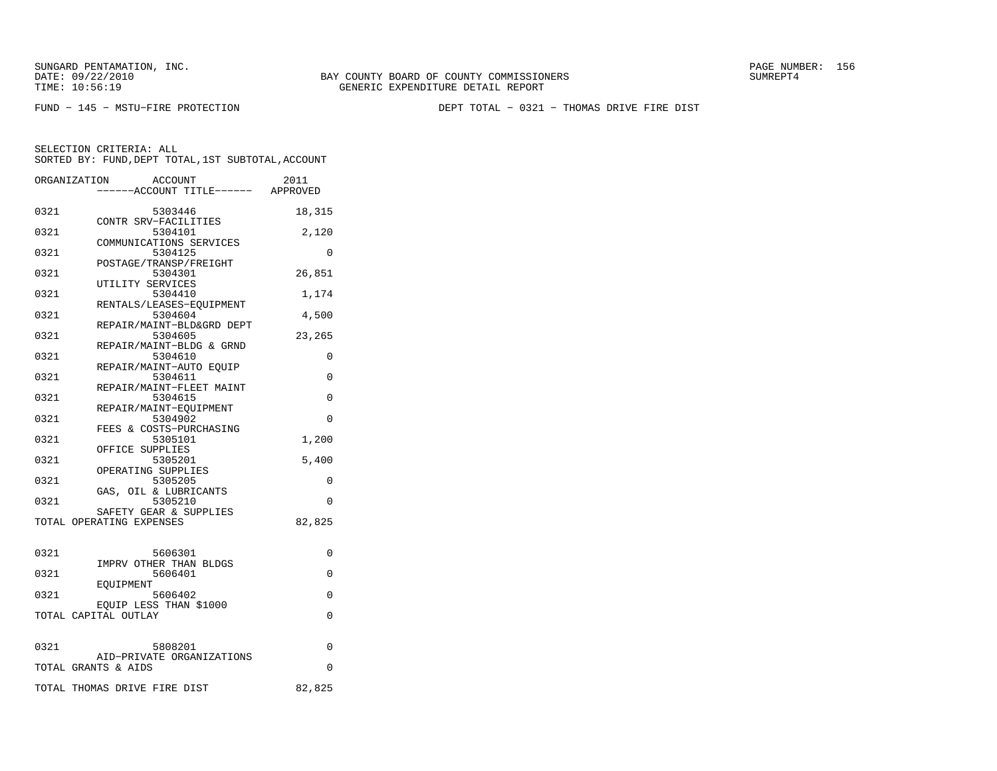FUND − 145 − MSTU−FIRE PROTECTION DEPT TOTAL − 0321 − THOMAS DRIVE FIRE DIST

|      | ORGANIZATION             | <b>ACCOUNT</b>                      | 2011     |
|------|--------------------------|-------------------------------------|----------|
|      |                          | ----ACCOUNT TITLE------ APPROVED    |          |
| 0321 |                          | 5303446                             | 18,315   |
|      |                          | CONTR SRV-FACILITIES                |          |
| 0321 |                          | 5304101                             | 2,120    |
|      |                          | COMMUNICATIONS SERVICES             |          |
| 0321 |                          | 5304125                             | $\Omega$ |
|      |                          | POSTAGE/TRANSP/FREIGHT              |          |
| 0321 |                          | 5304301                             | 26,851   |
|      |                          | UTILITY SERVICES                    |          |
| 0321 |                          | 5304410                             | 1,174    |
| 0321 |                          | RENTALS/LEASES-EQUIPMENT<br>5304604 | 4,500    |
|      |                          | REPAIR/MAINT-BLD&GRD DEPT           |          |
| 0321 |                          | 5304605                             | 23,265   |
|      |                          | REPAIR/MAINT-BLDG & GRND            |          |
| 0321 |                          | 5304610                             | 0        |
|      |                          | REPAIR/MAINT-AUTO EQUIP             |          |
| 0321 |                          | 5304611                             | 0        |
|      |                          | REPAIR/MAINT-FLEET MAINT            |          |
| 0321 |                          | 5304615                             | 0        |
|      |                          | REPAIR/MAINT-EOUIPMENT              |          |
| 0321 |                          | 5304902                             | $\Omega$ |
|      |                          | FEES & COSTS-PURCHASING             |          |
| 0321 |                          | 5305101                             | 1,200    |
|      |                          | OFFICE SUPPLIES                     |          |
| 0321 |                          | 5305201<br>OPERATING SUPPLIES       | 5,400    |
| 0321 |                          | 5305205                             | 0        |
|      |                          | GAS, OIL & LUBRICANTS               |          |
| 0321 |                          | 5305210                             | 0        |
|      |                          | SAFETY GEAR & SUPPLIES              |          |
|      | TOTAL OPERATING EXPENSES |                                     | 82,825   |
|      |                          |                                     |          |
| 0321 |                          | 5606301                             | 0        |
|      |                          | IMPRV OTHER THAN BLDGS              |          |
| 0321 |                          | 5606401                             | $\Omega$ |
|      | EOUIPMENT                |                                     |          |
| 0321 |                          | 5606402                             | 0        |
|      |                          | EQUIP LESS THAN \$1000              |          |
|      | TOTAL CAPITAL OUTLAY     |                                     | 0        |
|      |                          |                                     |          |
| 0321 |                          | 5808201                             | 0        |
|      |                          | AID-PRIVATE ORGANIZATIONS           |          |
|      | TOTAL GRANTS & AIDS      |                                     | 0        |
|      |                          |                                     |          |
|      |                          | TOTAL THOMAS DRIVE FIRE DIST        | 82,825   |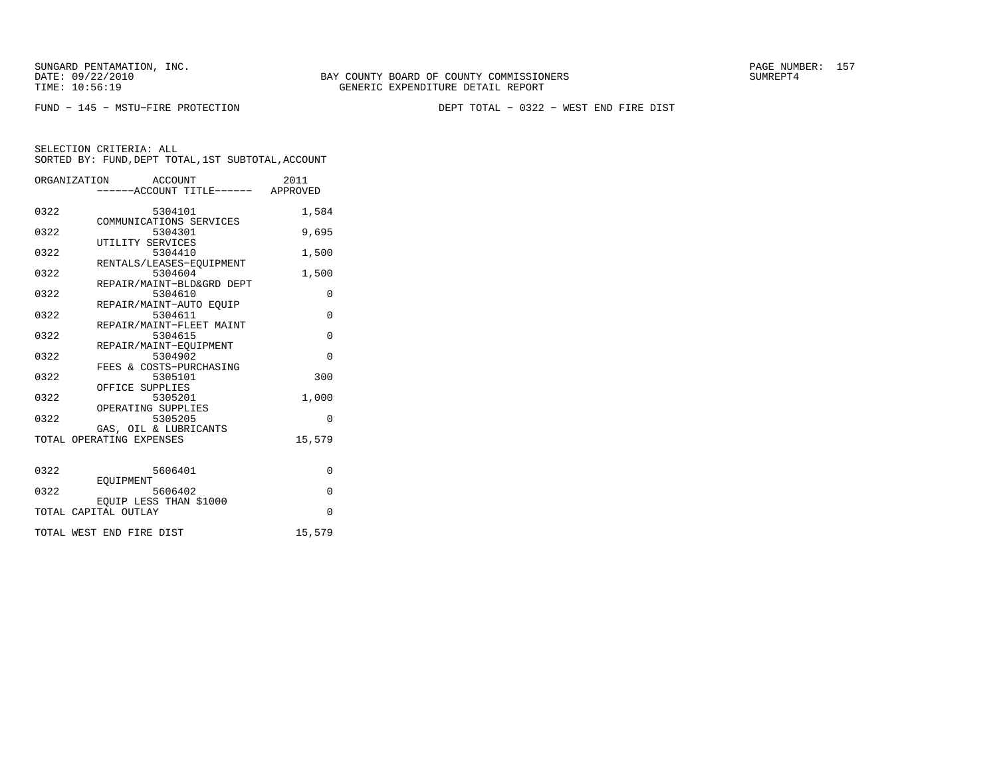FUND − 145 − MSTU−FIRE PROTECTION DEPT TOTAL − 0322 − WEST END FIRE DIST

|      | ORGANIZATION ACCOUNT                              | 2011     |
|------|---------------------------------------------------|----------|
|      | -----ACCOUNT TITLE------ APPROVED                 |          |
| 0322 | 5304101                                           | 1,584    |
| 0322 | COMMUNICATIONS SERVICES<br>5304301                | 9,695    |
| 0322 | UTILITY SERVICES<br>5304410                       | 1,500    |
| 0322 | RENTALS/LEASES-EOUIPMENT<br>5304604               | 1,500    |
| 0322 | REPAIR/MAINT-BLD&GRD DEPT<br>5304610              | 0        |
|      | REPAIR/MAINT-AUTO EQUIP                           |          |
| 0322 | 5304611<br>REPAIR/MAINT-FLEET MAINT               | $\Omega$ |
| 0322 | 5304615<br>REPAIR/MAINT-EQUIPMENT                 | $\Omega$ |
| 0322 | 5304902<br>FEES & COSTS-PURCHASING                | $\Omega$ |
| 0322 | 5305101<br>OFFICE SUPPLIES                        | 300      |
| 0322 | 5305201                                           | 1,000    |
| 0322 | OPERATING SUPPLIES<br>5305205                     | $\Omega$ |
|      | GAS, OIL & LUBRICANTS<br>TOTAL OPERATING EXPENSES | 15,579   |
|      |                                                   |          |
| 0322 | 5606401                                           | 0        |
| 0322 | EOUIPMENT<br>5606402                              | $\Omega$ |
|      | EQUIP LESS THAN \$1000<br>TOTAL CAPITAL OUTLAY    | $\Omega$ |
|      | TOTAL WEST END FIRE DIST                          | 15,579   |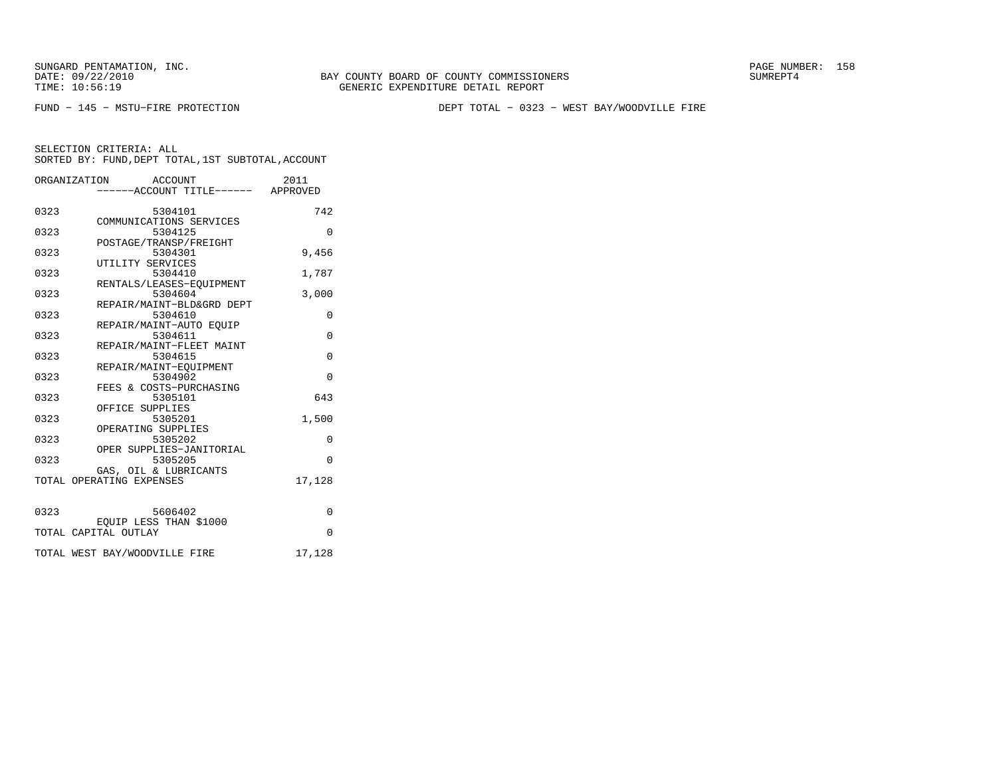BAY COUNTY BOARD OF COUNTY COMMISSIONERS TIME: 10:56:19 GENERIC EXPENDITURE DETAIL REPORT

FUND − 145 − MSTU−FIRE PROTECTION DEPT TOTAL − 0323 − WEST BAY/WOODVILLE FIRE

|      | ORGANIZATION<br>ACCOUNT             | 2011     |
|------|-------------------------------------|----------|
|      | -----ACCOUNT TITLE------ APPROVED   |          |
|      |                                     |          |
| 0323 | 5304101                             | 742      |
|      | COMMUNICATIONS SERVICES             |          |
| 0323 | 5304125                             | $\Omega$ |
|      | POSTAGE/TRANSP/FREIGHT              |          |
| 0323 | 5304301                             | 9,456    |
|      | UTILITY SERVICES                    |          |
| 0323 | 5304410                             | 1,787    |
|      | RENTALS/LEASES-EQUIPMENT            |          |
| 0323 | 5304604                             | 3,000    |
|      | REPAIR/MAINT-BLD&GRD DEPT           |          |
| 0323 | 5304610                             | $\Omega$ |
|      | REPAIR/MAINT-AUTO EOUIP             |          |
| 0323 | 5304611                             | $\Omega$ |
|      | REPAIR/MAINT-FLEET MAINT            |          |
| 0323 | 5304615                             | $\Omega$ |
|      | REPAIR/MAINT-EOUIPMENT              |          |
| 0323 | 5304902                             | $\Omega$ |
|      | FEES & COSTS-PURCHASING             |          |
| 0323 | 5305101                             | 643      |
|      | OFFICE SUPPLIES                     |          |
| 0323 | 5305201                             | 1,500    |
|      | OPERATING SUPPLIES                  | $\Omega$ |
| 0323 | 5305202                             |          |
| 0323 | OPER SUPPLIES-JANITORIAL<br>5305205 | $\Omega$ |
|      | GAS, OIL & LUBRICANTS               |          |
|      | TOTAL OPERATING EXPENSES            | 17,128   |
|      |                                     |          |
|      |                                     |          |
| 0323 | 5606402                             | $\Omega$ |
|      | EQUIP LESS THAN \$1000              |          |
|      | TOTAL CAPITAL OUTLAY                | $\Omega$ |
|      |                                     |          |
|      | TOTAL WEST BAY/WOODVILLE FIRE       | 17,128   |
|      |                                     |          |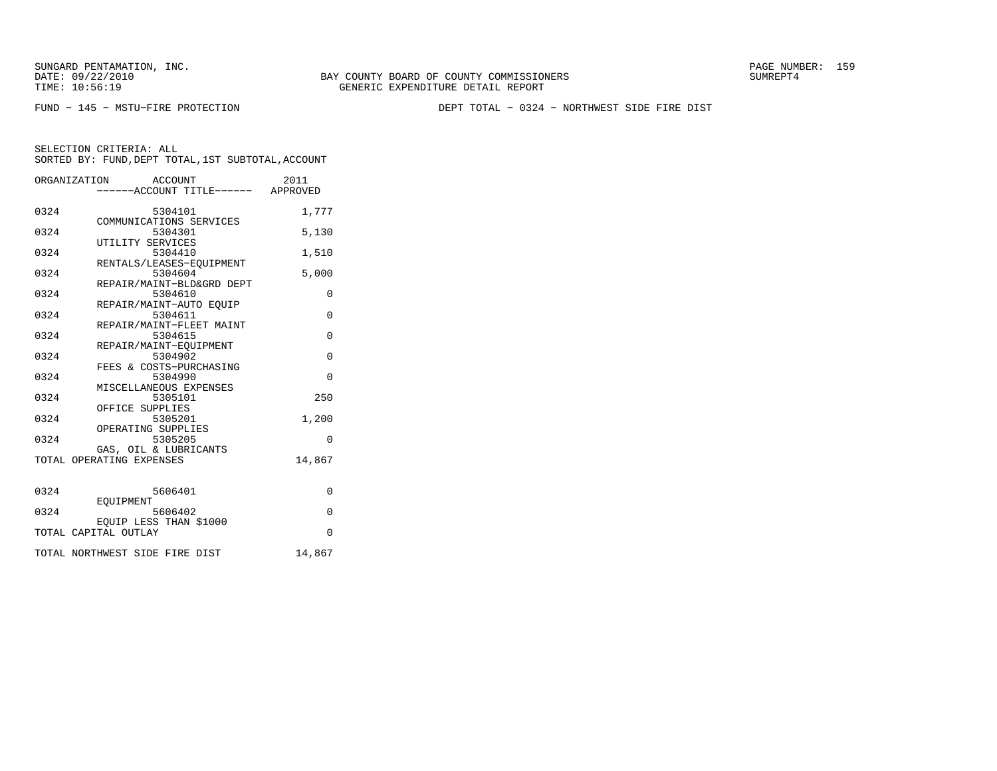FUND − 145 − MSTU−FIRE PROTECTION DEPT TOTAL − 0324 − NORTHWEST SIDE FIRE DIST

|      | ORGANIZATION<br>ACCOUNT<br>-----ACCOUNT TITLE------ APPROVED | 2011     |
|------|--------------------------------------------------------------|----------|
| 0324 | 5304101<br>COMMUNICATIONS SERVICES                           | 1,777    |
| 0324 | 5304301<br>UTILITY SERVICES                                  | 5,130    |
| 0324 | 5304410                                                      | 1,510    |
| 0324 | RENTALS/LEASES-EOUIPMENT<br>5304604                          | 5,000    |
| 0324 | REPAIR/MAINT-BLD&GRD DEPT<br>5304610                         | $\Omega$ |
| 0324 | REPAIR/MAINT-AUTO EOUIP<br>5304611                           | $\Omega$ |
| 0324 | REPAIR/MAINT-FLEET MAINT<br>5304615                          | $\Omega$ |
| 0324 | REPAIR/MAINT-EQUIPMENT<br>5304902                            | $\Omega$ |
| 0324 | FEES & COSTS-PURCHASING<br>5304990                           | $\Omega$ |
| 0324 | MISCELLANEOUS EXPENSES<br>5305101                            | 250      |
| 0324 | OFFICE SUPPLIES<br>5305201                                   | 1,200    |
| 0324 | OPERATING SUPPLIES<br>5305205                                | $\Omega$ |
|      | GAS, OIL & LUBRICANTS<br>TOTAL OPERATING EXPENSES            | 14,867   |
| 0324 | 5606401                                                      | $\Omega$ |
| 0324 | EQUIPMENT<br>5606402                                         | $\Omega$ |
|      | EQUIP LESS THAN \$1000<br>TOTAL CAPITAL OUTLAY               | $\Omega$ |
|      | TOTAL NORTHWEST SIDE FIRE DIST                               | 14,867   |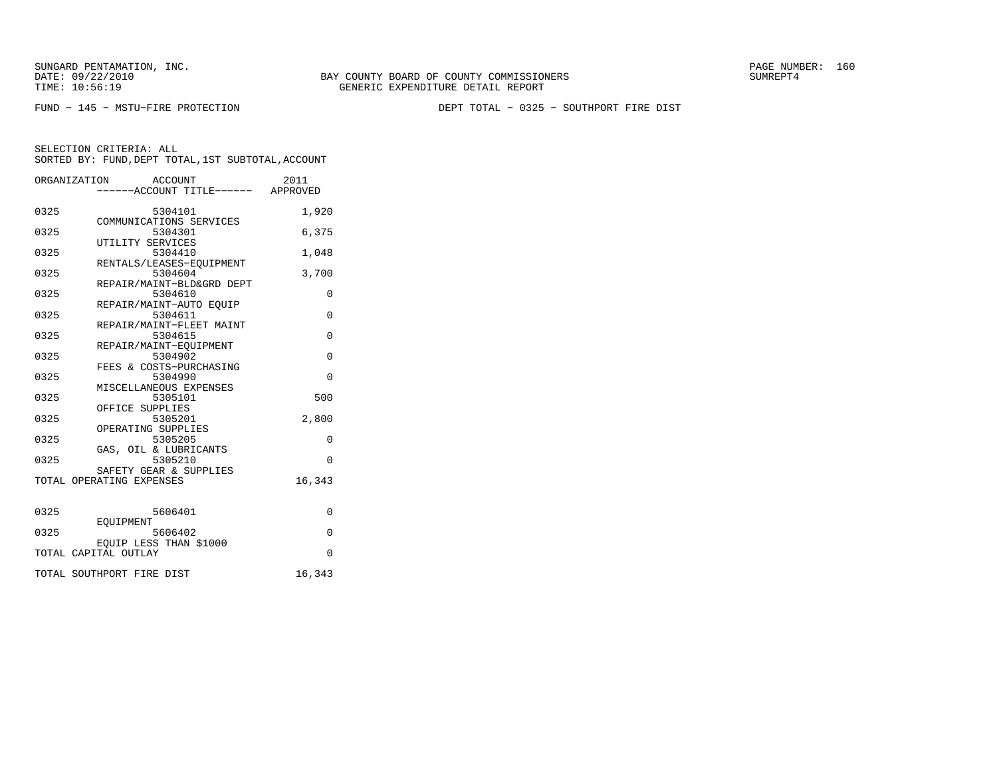BAY COUNTY BOARD OF COUNTY COMMISSIONERS TIME: 10:56:19 GENERIC EXPENDITURE DETAIL REPORT

FUND − 145 − MSTU−FIRE PROTECTION DEPT TOTAL − 0325 − SOUTHPORT FIRE DIST

|      | ORGANIZATION<br>ACCOUNT<br>-----ACCOUNT TITLE------ APPROVED | 2011     |
|------|--------------------------------------------------------------|----------|
| 0325 | 5304101<br>COMMUNICATIONS SERVICES                           | 1,920    |
| 0325 | 5304301<br>UTILITY SERVICES                                  | 6,375    |
| 0325 | 5304410<br>RENTALS/LEASES-EQUIPMENT                          | 1,048    |
| 0325 | 5304604<br>REPAIR/MAINT-BLD&GRD DEPT                         | 3,700    |
| 0325 | 5304610<br>REPAIR/MAINT-AUTO EQUIP                           | 0        |
| 0325 | 5304611<br>REPAIR/MAINT-FLEET MAINT                          | $\Omega$ |
| 0325 | 5304615<br>REPAIR/MAINT-EOUIPMENT                            | $\Omega$ |
| 0325 | 5304902<br>FEES & COSTS-PURCHASING                           | $\Omega$ |
| 0325 | 5304990<br>MISCELLANEOUS EXPENSES                            | $\Omega$ |
| 0325 | 5305101<br>OFFICE SUPPLIES                                   | 500      |
| 0325 | 5305201<br>OPERATING SUPPLIES                                | 2,800    |
| 0325 | 5305205<br>GAS, OIL & LUBRICANTS                             | $\Omega$ |
| 0325 | 5305210<br>SAFETY GEAR & SUPPLIES                            | $\Omega$ |
|      | TOTAL OPERATING EXPENSES                                     | 16,343   |
| 0325 | 5606401                                                      | $\Omega$ |
| 0325 | EOUIPMENT<br>5606402                                         | $\Omega$ |
|      | EQUIP LESS THAN \$1000<br>TOTAL CAPITAL OUTLAY               | $\Omega$ |
|      | TOTAL SOUTHPORT FIRE DIST                                    | 16,343   |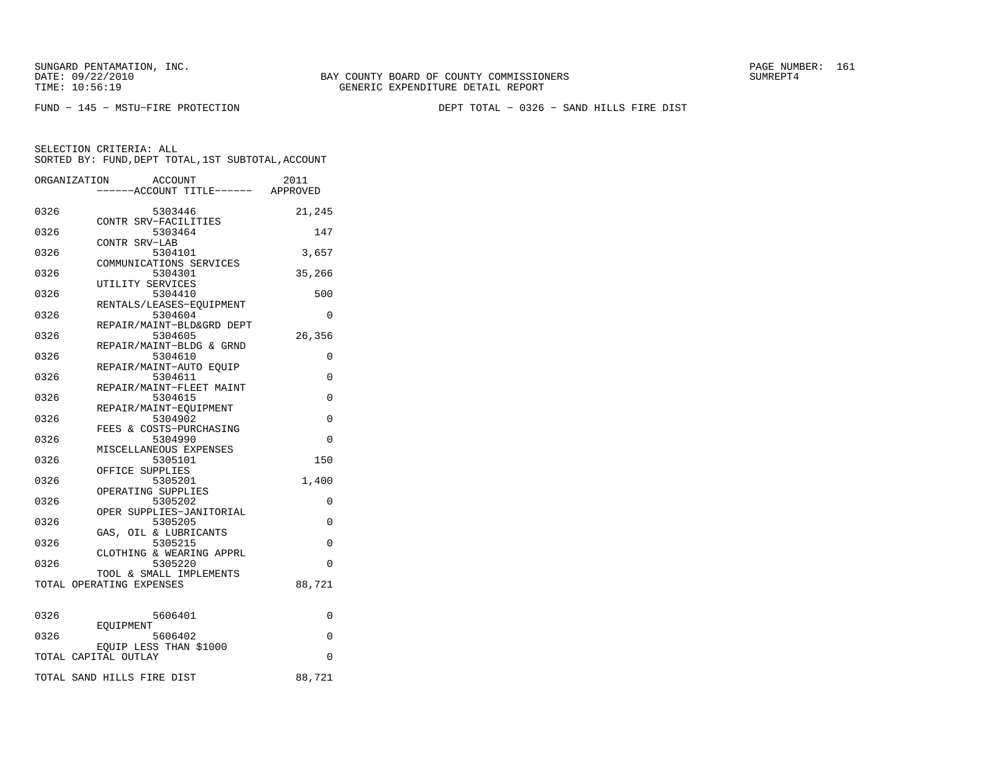FUND − 145 − MSTU−FIRE PROTECTION DEPT TOTAL − 0326 − SAND HILLS FIRE DIST

|      | ACCOUNT<br>ORGANIZATION              | 2011                            |
|------|--------------------------------------|---------------------------------|
|      |                                      | ---ACCOUNT TITLE------ APPROVED |
|      |                                      |                                 |
| 0326 | 5303446                              | 21,245                          |
| 0326 | CONTR SRV-FACILITIES<br>5303464      | 147                             |
|      | CONTR SRV-LAB                        |                                 |
| 0326 | 5304101                              | 3,657                           |
|      | COMMUNICATIONS SERVICES              |                                 |
| 0326 | 5304301                              | 35,266                          |
|      | UTILITY SERVICES                     |                                 |
| 0326 | 5304410                              | 500                             |
|      | RENTALS/LEASES-EQUIPMENT             |                                 |
| 0326 | 5304604                              | 0                               |
| 0326 | REPAIR/MAINT-BLD&GRD DEPT<br>5304605 | 26,356                          |
|      | REPAIR/MAINT-BLDG & GRND             |                                 |
| 0326 | 5304610                              | 0                               |
|      | REPAIR/MAINT-AUTO EQUIP              |                                 |
| 0326 | 5304611                              | $\Omega$                        |
|      | REPAIR/MAINT-FLEET MAINT             |                                 |
| 0326 | 5304615                              | 0                               |
|      | REPAIR/MAINT-EOUIPMENT               |                                 |
| 0326 | 5304902                              | 0                               |
| 0326 | FEES & COSTS-PURCHASING<br>5304990   | $\Omega$                        |
|      | MISCELLANEOUS EXPENSES               |                                 |
| 0326 | 5305101                              | 150                             |
|      | OFFICE SUPPLIES                      |                                 |
| 0326 | 5305201                              | 1,400                           |
|      | OPERATING SUPPLIES                   |                                 |
| 0326 | 5305202                              | 0                               |
|      | OPER SUPPLIES-JANITORIAL             |                                 |
| 0326 | 5305205                              | $\Omega$                        |
| 0326 | GAS, OIL & LUBRICANTS<br>5305215     | $\Omega$                        |
|      | CLOTHING & WEARING APPRL             |                                 |
| 0326 | 5305220                              | $\Omega$                        |
|      | TOOL & SMALL IMPLEMENTS              |                                 |
|      | TOTAL OPERATING EXPENSES             | 88,721                          |
|      |                                      |                                 |
|      |                                      |                                 |
| 0326 | 5606401                              | 0                               |
| 0326 | EOUIPMENT<br>5606402                 | 0                               |
|      | EQUIP LESS THAN \$1000               |                                 |
|      | TOTAL CAPITAL OUTLAY                 | $\Omega$                        |
|      |                                      |                                 |
|      | TOTAL SAND HILLS FIRE DIST           | 88,721                          |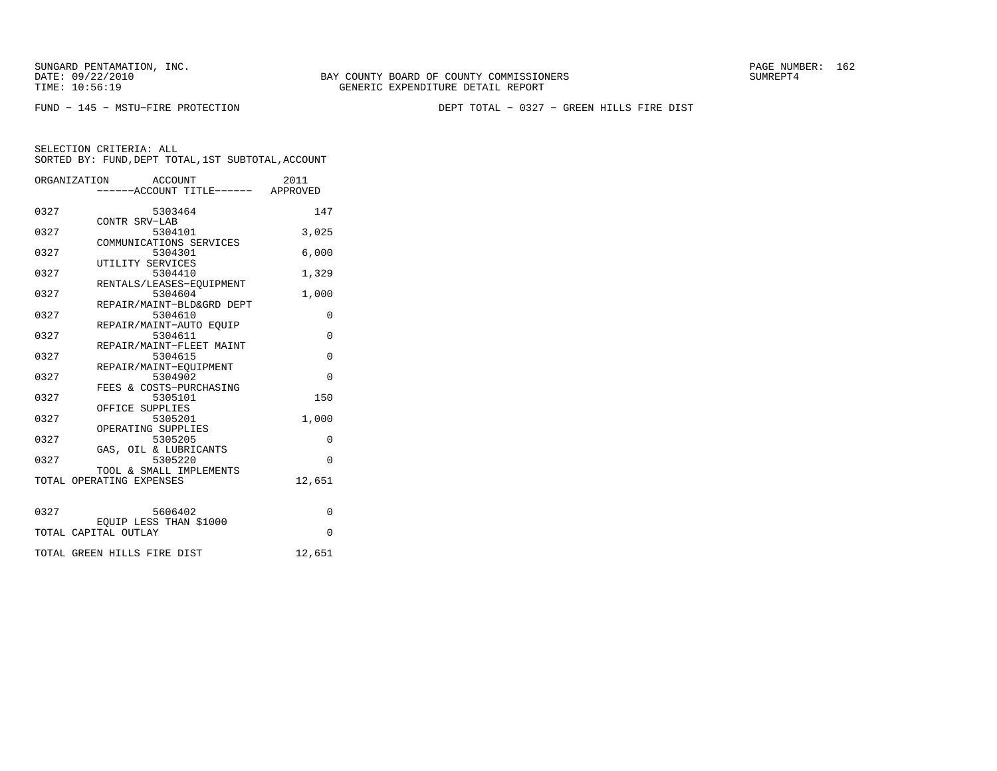BAY COUNTY BOARD OF COUNTY COMMISSIONERS TIME: 10:56:19 GENERIC EXPENDITURE DETAIL REPORT

FUND − 145 − MSTU−FIRE PROTECTION DEPT TOTAL − 0327 − GREEN HILLS FIRE DIST

|      | ORGANIZATION ACCOUNT                                | 2011     |
|------|-----------------------------------------------------|----------|
|      | -----ACCOUNT TITLE------ APPROVED                   |          |
| 0327 | 5303464                                             | 147      |
| 0327 | CONTR SRV-LAB<br>5304101                            | 3,025    |
|      | COMMUNICATIONS SERVICES                             |          |
| 0327 | 5304301                                             | 6,000    |
| 0327 | UTILITY SERVICES<br>5304410                         | 1,329    |
|      | RENTALS/LEASES-EQUIPMENT                            |          |
| 0327 | 5304604<br>REPAIR/MAINT-BLD&GRD DEPT                | 1,000    |
| 0327 | 5304610                                             | $\Omega$ |
|      | REPAIR/MAINT-AUTO EOUIP                             |          |
| 0327 | 5304611<br>REPAIR/MAINT-FLEET MAINT                 | $\Omega$ |
| 0327 | 5304615                                             | $\Omega$ |
| 0327 | REPAIR/MAINT-EQUIPMENT<br>5304902                   | $\Omega$ |
|      | FEES & COSTS-PURCHASING                             |          |
| 0327 | 5305101                                             | 150      |
| 0327 | OFFICE SUPPLIES<br>5305201                          | 1,000    |
|      | OPERATING SUPPLIES                                  |          |
| 0327 | 5305205<br>GAS, OIL & LUBRICANTS                    | $\Omega$ |
| 0327 | 5305220                                             | $\Omega$ |
|      | TOOL & SMALL IMPLEMENTS<br>TOTAL OPERATING EXPENSES | 12,651   |
|      |                                                     |          |
| 0327 | 5606402                                             | $\Omega$ |
|      | EQUIP LESS THAN \$1000                              |          |
|      | TOTAL CAPITAL OUTLAY                                | $\Omega$ |
|      | TOTAL GREEN HILLS FIRE DIST                         | 12,651   |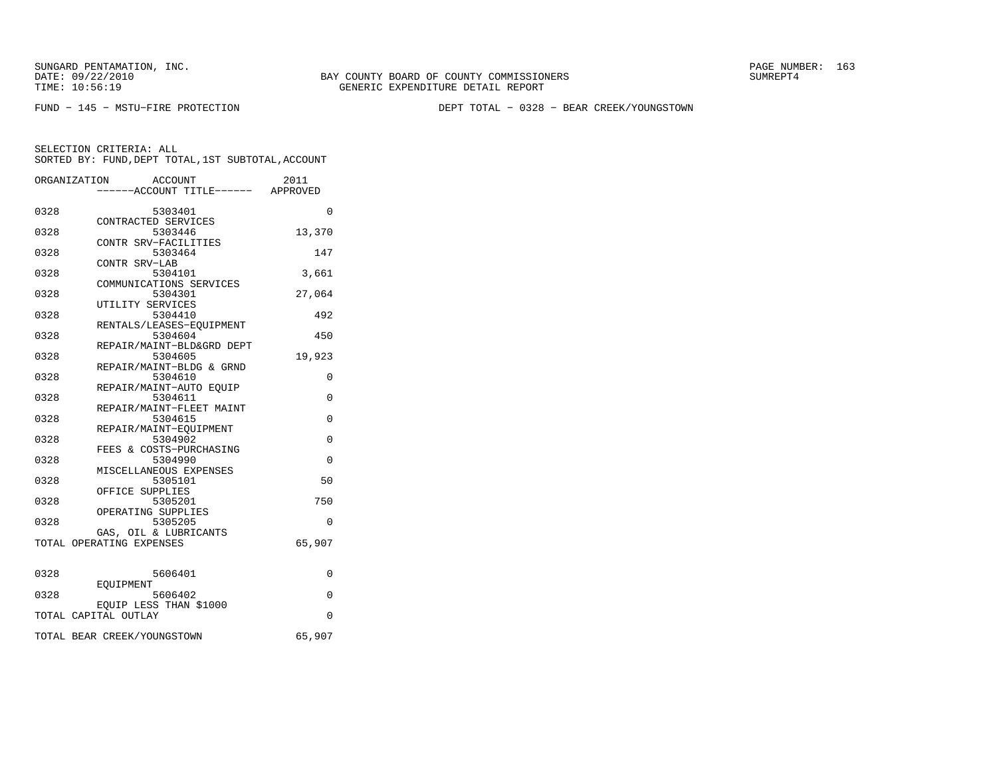BAY COUNTY BOARD OF COUNTY COMMISSIONERS TIME: 10:56:19 GENERIC EXPENDITURE DETAIL REPORT

FUND − 145 − MSTU−FIRE PROTECTION DEPT TOTAL − 0328 − BEAR CREEK/YOUNGSTOWN

|      | ORGANIZATION<br>ACCOUNT             | 2011        |
|------|-------------------------------------|-------------|
|      | -----ACCOUNT TITLE------ APPROVED   |             |
| 0328 | 5303401                             | $\Omega$    |
|      | CONTRACTED SERVICES                 |             |
| 0328 | 5303446                             | 13,370      |
|      | CONTR SRV-FACILITIES                |             |
| 0328 | 5303464                             | 147         |
|      | CONTR SRV-LAB                       |             |
| 0328 | 5304101                             | 3,661       |
|      | COMMUNICATIONS SERVICES             |             |
| 0328 | 5304301                             | 27,064      |
|      | UTILITY SERVICES                    |             |
| 0328 | 5304410<br>RENTALS/LEASES-EQUIPMENT | 492         |
| 0328 | 5304604                             | 450         |
|      | REPAIR/MAINT-BLD&GRD DEPT           |             |
| 0328 | 5304605                             | 19,923      |
|      | REPAIR/MAINT-BLDG & GRND            |             |
| 0328 | 5304610                             | 0           |
|      | REPAIR/MAINT-AUTO EQUIP             |             |
| 0328 | 5304611                             | 0           |
|      | REPAIR/MAINT-FLEET MAINT            |             |
| 0328 | 5304615                             | 0           |
|      | REPAIR/MAINT-EOUIPMENT              |             |
| 0328 | 5304902                             | 0           |
|      | FEES & COSTS-PURCHASING             |             |
| 0328 | 5304990                             | $\mathbf 0$ |
| 0328 | MISCELLANEOUS EXPENSES<br>5305101   | 50          |
|      | OFFICE SUPPLIES                     |             |
| 0328 | 5305201                             | 750         |
|      | OPERATING SUPPLIES                  |             |
| 0328 | 5305205                             | $\Omega$    |
|      | GAS, OIL & LUBRICANTS               |             |
|      | TOTAL OPERATING EXPENSES            | 65,907      |
|      |                                     |             |
| 0328 |                                     | $\Omega$    |
|      | 5606401<br>EOUIPMENT                |             |
| 0328 | 5606402                             | 0           |
|      | EQUIP LESS THAN \$1000              |             |
|      | TOTAL CAPITAL OUTLAY                | $\Omega$    |
|      |                                     |             |
|      | TOTAL BEAR CREEK/YOUNGSTOWN         | 65,907      |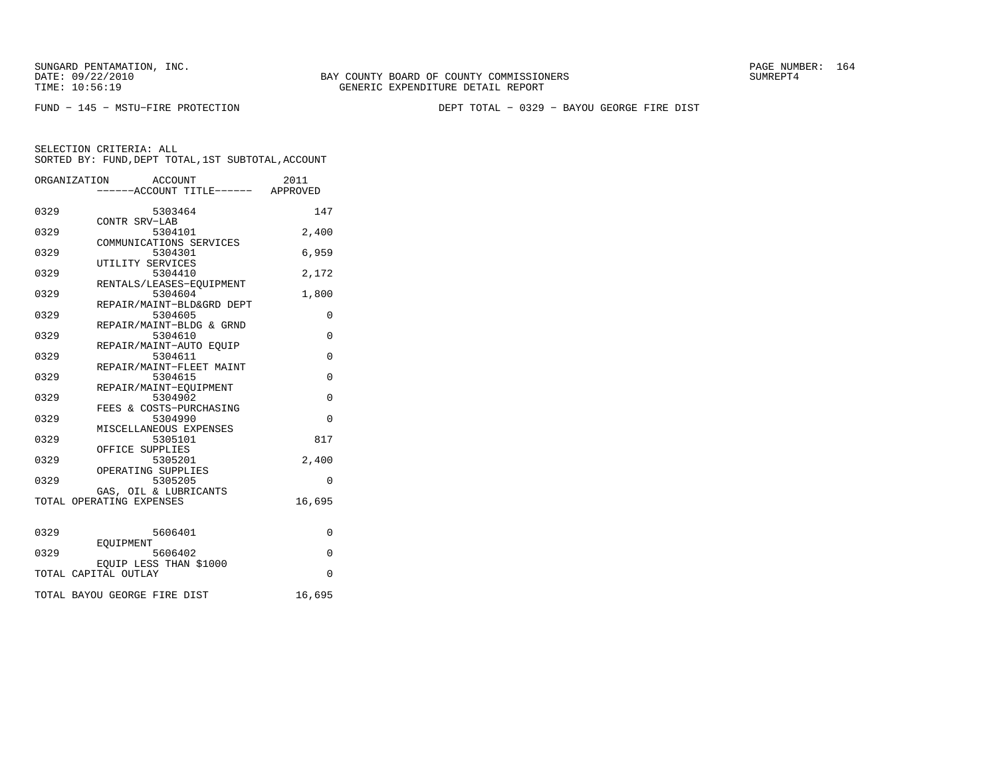FUND − 145 − MSTU−FIRE PROTECTION DEPT TOTAL − 0329 − BAYOU GEORGE FIRE DIST

|      | ORGANIZATION<br>ACCOUNT           | 2011        |
|------|-----------------------------------|-------------|
|      | -----ACCOUNT TITLE------ APPROVED |             |
|      |                                   |             |
| 0329 | 5303464                           | 147         |
|      | CONTR SRV-LAB                     |             |
| 0329 | 5304101                           | 2,400       |
|      | COMMUNICATIONS SERVICES           |             |
| 0329 | 5304301                           | 6,959       |
| 0329 | UTILITY SERVICES<br>5304410       |             |
|      | RENTALS/LEASES-EOUIPMENT          | 2,172       |
| 0329 | 5304604                           | 1,800       |
|      | REPAIR/MAINT-BLD&GRD DEPT         |             |
| 0329 | 5304605                           | 0           |
|      | REPAIR/MAINT-BLDG & GRND          |             |
| 0329 | 5304610                           | $\mathbf 0$ |
|      | REPAIR/MAINT-AUTO EOUIP           |             |
| 0329 | 5304611                           | $\Omega$    |
|      | REPAIR/MAINT-FLEET MAINT          |             |
| 0329 | 5304615                           | $\Omega$    |
|      | REPAIR/MAINT-EQUIPMENT            |             |
| 0329 | 5304902                           | $\Omega$    |
|      | FEES & COSTS-PURCHASING           |             |
| 0329 | 5304990                           | $\Omega$    |
|      | MISCELLANEOUS EXPENSES            |             |
| 0329 | 5305101                           | 817         |
|      | OFFICE SUPPLIES                   |             |
| 0329 | 5305201                           | 2,400       |
|      | OPERATING SUPPLIES                |             |
| 0329 | 5305205                           | $\Omega$    |
|      | GAS, OIL & LUBRICANTS             |             |
|      | TOTAL OPERATING EXPENSES          | 16,695      |
|      |                                   |             |
| 0329 | 5606401                           | 0           |
|      | EOUIPMENT                         |             |
| 0329 | 5606402                           | $\Omega$    |
|      | EOUIP LESS THAN \$1000            |             |
|      | TOTAL CAPITAL OUTLAY              | $\mathbf 0$ |
|      |                                   |             |
|      |                                   |             |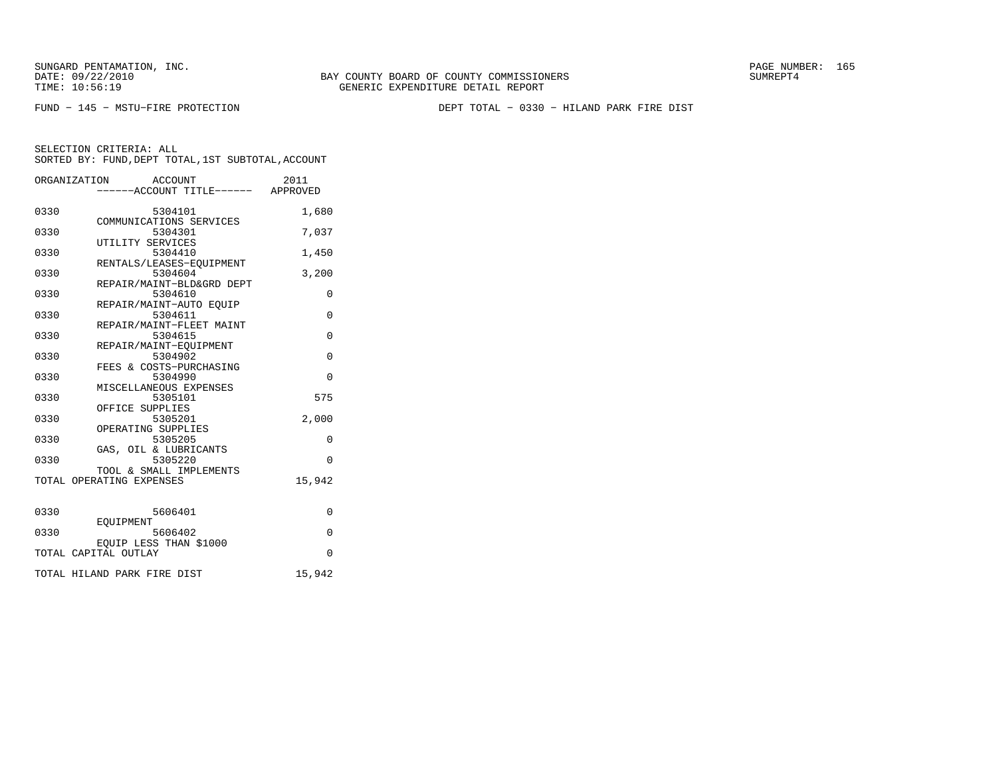FUND − 145 − MSTU−FIRE PROTECTION DEPT TOTAL − 0330 − HILAND PARK FIRE DIST

|      | ORGANIZATION<br>ACCOUNT<br>----ACCOUNT TITLE------ APPROVED | 2011        |
|------|-------------------------------------------------------------|-------------|
| 0330 | 5304101                                                     | 1,680       |
| 0330 | COMMUNICATIONS SERVICES<br>5304301<br>UTILITY SERVICES      | 7,037       |
| 0330 | 5304410<br>RENTALS/LEASES-EQUIPMENT                         | 1,450       |
| 0330 | 5304604<br>REPAIR/MAINT-BLD&GRD DEPT                        | 3,200       |
| 0330 | 5304610<br>REPAIR/MAINT-AUTO EQUIP                          | 0           |
| 0330 | 5304611                                                     | $\mathbf 0$ |
| 0330 | REPAIR/MAINT-FLEET MAINT<br>5304615                         | $\Omega$    |
| 0330 | REPAIR/MAINT-EOUIPMENT<br>5304902                           | $\Omega$    |
| 0330 | FEES & COSTS-PURCHASING<br>5304990                          | $\Omega$    |
| 0330 | MISCELLANEOUS EXPENSES<br>5305101                           | 575         |
| 0330 | OFFICE SUPPLIES<br>5305201                                  | 2.000       |
| 0330 | OPERATING SUPPLIES<br>5305205                               | $\Omega$    |
| 0330 | GAS, OIL & LUBRICANTS<br>5305220                            | $\Omega$    |
|      | TOOL & SMALL IMPLEMENTS<br>TOTAL OPERATING EXPENSES         | 15,942      |
| 0330 | 5606401                                                     | $\Omega$    |
| 0330 | EOUIPMENT<br>5606402                                        | $\Omega$    |
|      | EQUIP LESS THAN \$1000<br>TOTAL CAPITAL OUTLAY              | $\Omega$    |
|      | TOTAL HILAND PARK FIRE DIST                                 | 15,942      |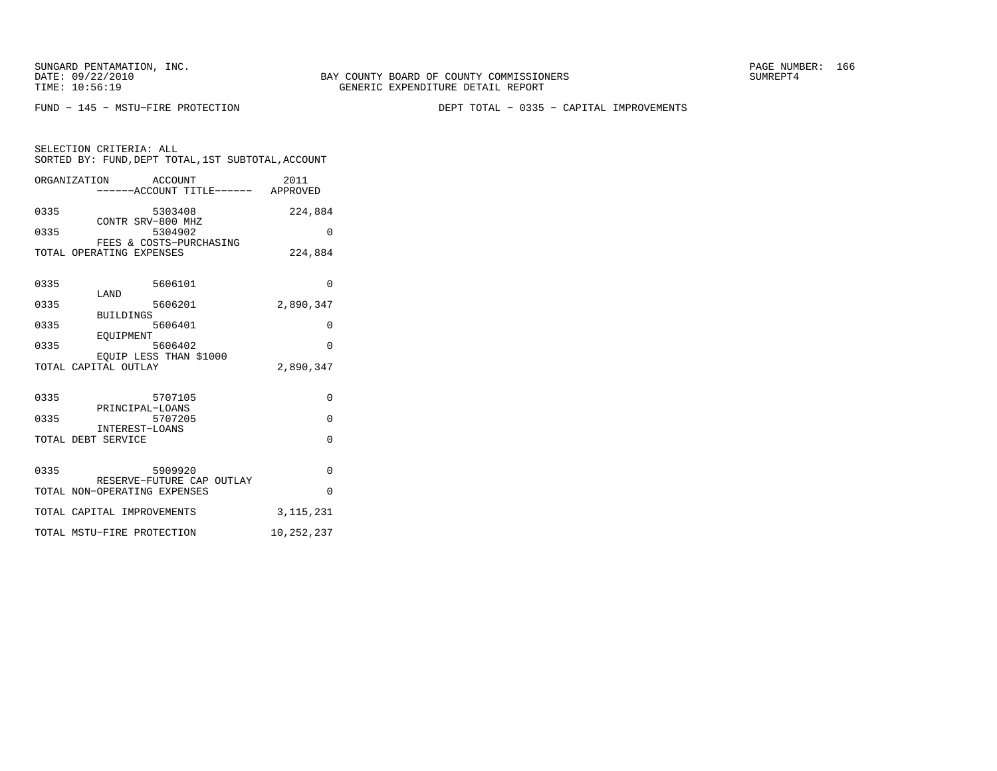SELECTION CRITERIA: ALL

FUND − 145 − MSTU−FIRE PROTECTION DEPT TOTAL − 0335 − CAPITAL IMPROVEMENTS

| ORGANIZATION ACCOUNT<br>-----ACCOUNT TITLE------ APPROVED                                                                                                           | 2011                                                       |
|---------------------------------------------------------------------------------------------------------------------------------------------------------------------|------------------------------------------------------------|
| 0335<br>5303408<br>CONTR SRV-800 MHZ<br>0335<br>5304902<br>FEES & COSTS-PURCHASING<br>TOTAL OPERATING EXPENSES                                                      | 224,884<br>$\Omega$<br>224,884                             |
| 0335<br>5606101<br>LAND<br>0335<br>5606201<br><b>BUILDINGS</b><br>0335<br>5606401<br>EOUIPMENT<br>0335<br>5606402<br>EOUIP LESS THAN \$1000<br>TOTAL CAPITAL OUTLAY | $\Omega$<br>2,890,347<br>$\Omega$<br>$\Omega$<br>2,890,347 |
| 0335<br>5707105<br>PRINCIPAL-LOANS<br>0335<br>5707205<br>INTEREST-LOANS<br>TOTAL DEBT SERVICE                                                                       | $\Omega$<br>$\Omega$<br>$\Omega$                           |
| 0335<br>5909920<br>RESERVE-FUTURE CAP OUTLAY<br>TOTAL NON-OPERATING EXPENSES<br>TOTAL CAPITAL IMPROVEMENTS                                                          | $\Omega$<br>$\Omega$<br>3, 115, 231                        |
| TOTAL MSTU-FIRE PROTECTION                                                                                                                                          | 10,252,237                                                 |

SORTED BY: FUND, DEPT TOTAL, 1ST SUBTOTAL, ACCOUNT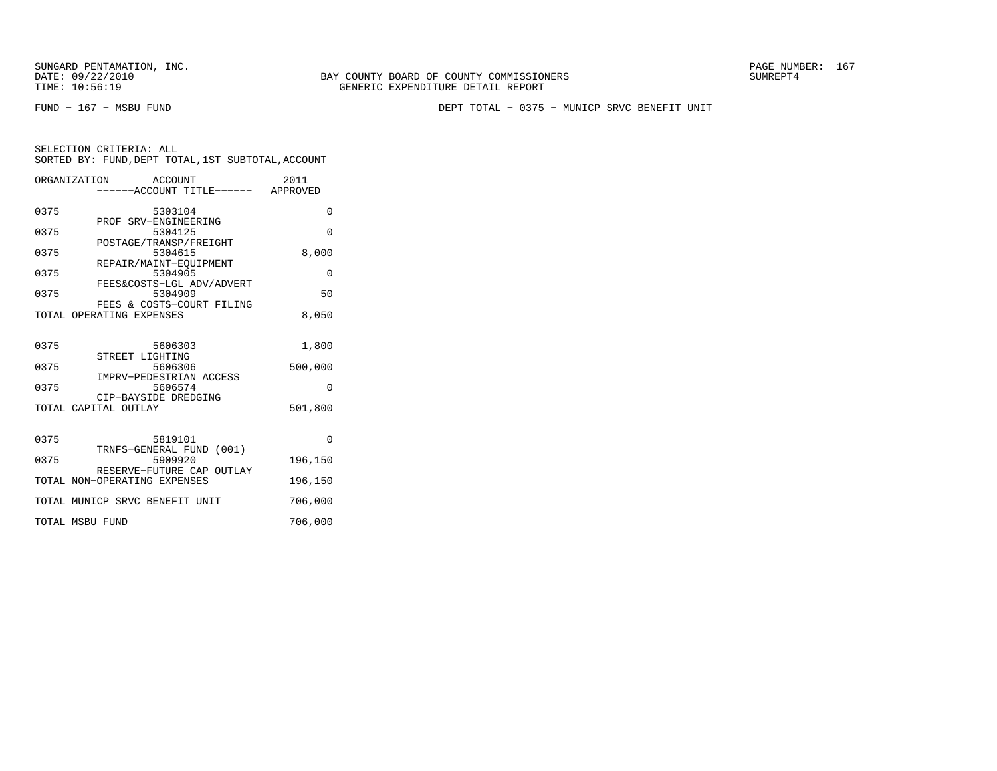FUND − 167 − MSBU FUND DEPT TOTAL − 0375 − MUNICP SRVC BENEFIT UNIT

| SELECTION CRITERIA: ALL |  |  |                                                    |  |
|-------------------------|--|--|----------------------------------------------------|--|
|                         |  |  | SORTED BY: FUND, DEPT TOTAL, 1ST SUBTOTAL, ACCOUNT |  |

|      | ORGANIZATION<br>ACCOUNT<br>-----ACCOUNT TITLE------ APPROVED | 2011     |
|------|--------------------------------------------------------------|----------|
| 0375 | 5303104                                                      | $\Omega$ |
| 0375 | PROF SRV-ENGINEERING<br>5304125                              | $\Omega$ |
| 0375 | POSTAGE/TRANSP/FREIGHT<br>5304615                            | 8,000    |
| 0375 | REPAIR/MAINT-EOUIPMENT<br>5304905                            | $\Omega$ |
| 0375 | FEES&COSTS-LGL ADV/ADVERT<br>5304909                         | 50       |
|      | FEES & COSTS-COURT FILING<br>TOTAL OPERATING EXPENSES        | 8,050    |
| 0375 | 5606303                                                      | 1,800    |
| 0375 | STREET LIGHTING<br>5606306                                   | 500,000  |
| 0375 | IMPRV-PEDESTRIAN ACCESS<br>5606574                           | $\Omega$ |
|      | CIP-BAYSIDE DREDGING<br>TOTAL CAPITAL OUTLAY                 | 501,800  |
| 0375 | 5819101                                                      | $\Omega$ |
| 0375 | TRNFS-GENERAL FUND (001)<br>5909920                          | 196,150  |
|      | RESERVE-FUTURE CAP OUTLAY<br>TOTAL NON-OPERATING EXPENSES    | 196,150  |
|      | TOTAL MUNICP SRVC BENEFIT UNIT                               | 706,000  |
|      | TOTAL MSBU FUND                                              | 706,000  |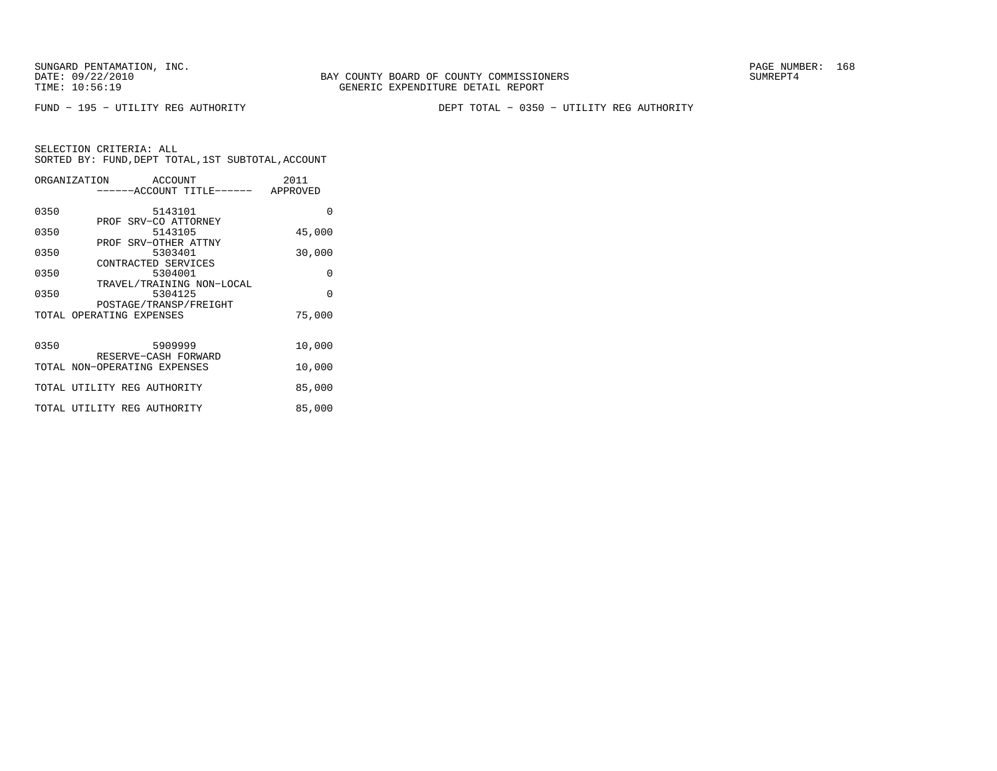SUNGARD PENTAMATION, INC.<br>DATE: 09/22/2010 SUMRER: 168 SUNG BAY COUNTY BOARD OF COUNTY COMMISSIONERS

FUND − 195 − UTILITY REG AUTHORITY DEPT TOTAL − 0350 − UTILITY REG AUTHORITY

|      | ORGANIZATION ACCOUNT                                 | 2011     |
|------|------------------------------------------------------|----------|
|      | ------ACCOUNT TITLE------ APPROVED                   |          |
| 0350 | 5143101                                              | 0        |
| 0350 | PROF SRV-CO ATTORNEY<br>5143105                      | 45,000   |
|      | PROF SRV-OTHER ATTNY                                 |          |
| 0350 | 5303401                                              | 30,000   |
| 0350 | CONTRACTED SERVICES<br>5304001                       | $\Omega$ |
|      | TRAVEL/TRAINING NON-LOCAL                            |          |
| 0350 | 5304125<br>POSTAGE/TRANSP/FREIGHT                    | $\Omega$ |
|      | TOTAL OPERATING EXPENSES                             | 75,000   |
|      |                                                      |          |
| 0350 | 5909999                                              | 10,000   |
|      | RESERVE-CASH FORWARD<br>TOTAL NON-OPERATING EXPENSES | 10,000   |
|      | TOTAL UTILITY REG AUTHORITY                          | 85,000   |
|      | TOTAL UTILITY REG AUTHORITY                          | 85,000   |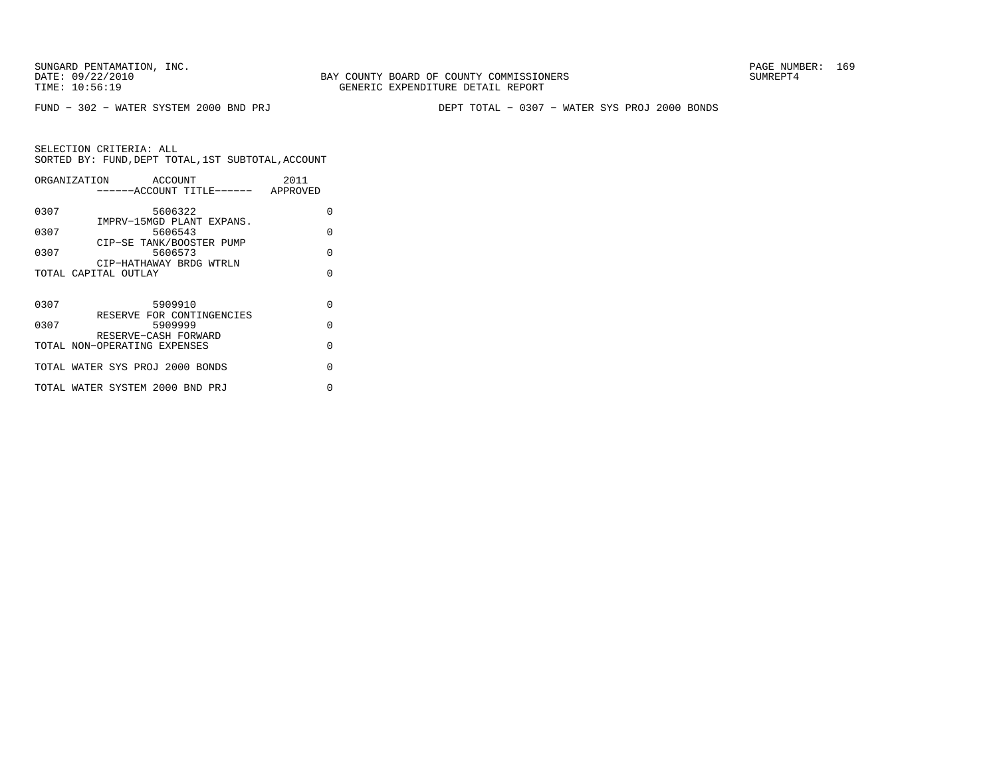FUND − 302 − WATER SYSTEM 2000 BND PRJ DEPT TOTAL − 0307 − WATER SYS PROJ 2000 BONDS

|      | ORGANIZATION<br>ACCOUNT<br>-----ACCOUNT TITLE------ APPROVED | 2011     |
|------|--------------------------------------------------------------|----------|
| 0307 | 5606322                                                      | O        |
| 0307 | IMPRV-15MGD PLANT EXPANS.<br>5606543                         | O        |
| 0307 | CIP-SE TANK/BOOSTER PUMP<br>5606573                          | $\cap$   |
|      | CIP-HATHAWAY BRDG WTRLN<br>TOTAL CAPITAL OUTLAY              | $\cap$   |
|      |                                                              |          |
| 0307 | 5909910                                                      | $\cap$   |
| 0307 | RESERVE FOR CONTINGENCIES<br>5909999                         | $\Omega$ |
|      | RESERVE-CASH FORWARD<br>TOTAL NON-OPERATING EXPENSES         | $\Omega$ |
|      | TOTAL WATER SYS PROJ 2000 BONDS                              | $\cap$   |
|      | TOTAL WATER SYSTEM 2000 BND PRJ                              | U        |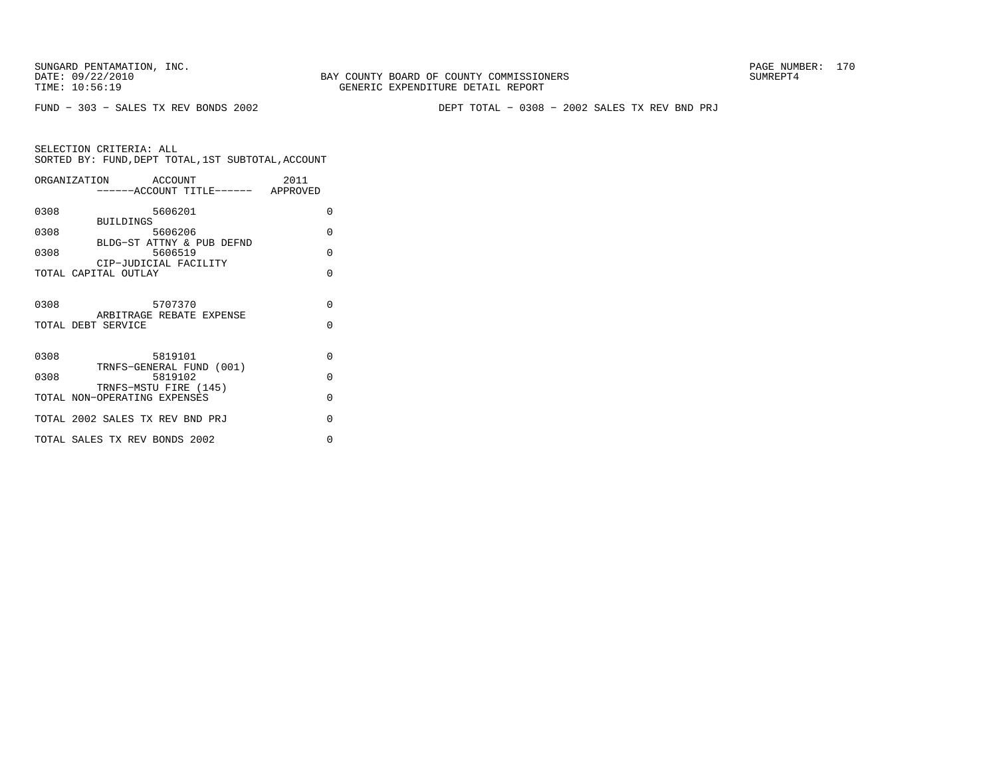BAY COUNTY BOARD OF COUNTY COMMISSIONERS TIME: 10:56:19 GENERIC EXPENDITURE DETAIL REPORT

FUND − 303 − SALES TX REV BONDS 2002 DEPT TOTAL − 0308 − 2002 SALES TX REV BND PRJ

|      | ORGANIZATION ACCOUNT<br>------ACCOUNT TITLE------ APPROVED   | 2011               |
|------|--------------------------------------------------------------|--------------------|
| 0308 | 5606201<br><b>BUILDINGS</b>                                  | 0                  |
| 0308 | 5606206<br>BLDG-ST ATTNY & PUB DEFND                         | $\Omega$           |
| 0308 | 5606519<br>CIP-JUDICIAL FACILITY                             | $\Omega$           |
|      | TOTAL CAPITAL OUTLAY                                         | $\Omega$           |
| 0308 | 5707370<br>ARBITRAGE REBATE EXPENSE<br>TOTAL DEBT SERVICE    | $\Omega$<br>$\cap$ |
| 0308 | 5819101                                                      | $\Omega$           |
| 0308 | TRNFS-GENERAL FUND (001)<br>5819102<br>TRNFS-MSTU FIRE (145) | $\Omega$           |
|      | TOTAL NON-OPERATING EXPENSES                                 | $\Omega$           |
|      | TOTAL 2002 SALES TX REV BND PRJ                              | $\Omega$           |
|      | TOTAL SALES TX REV BONDS 2002                                | O                  |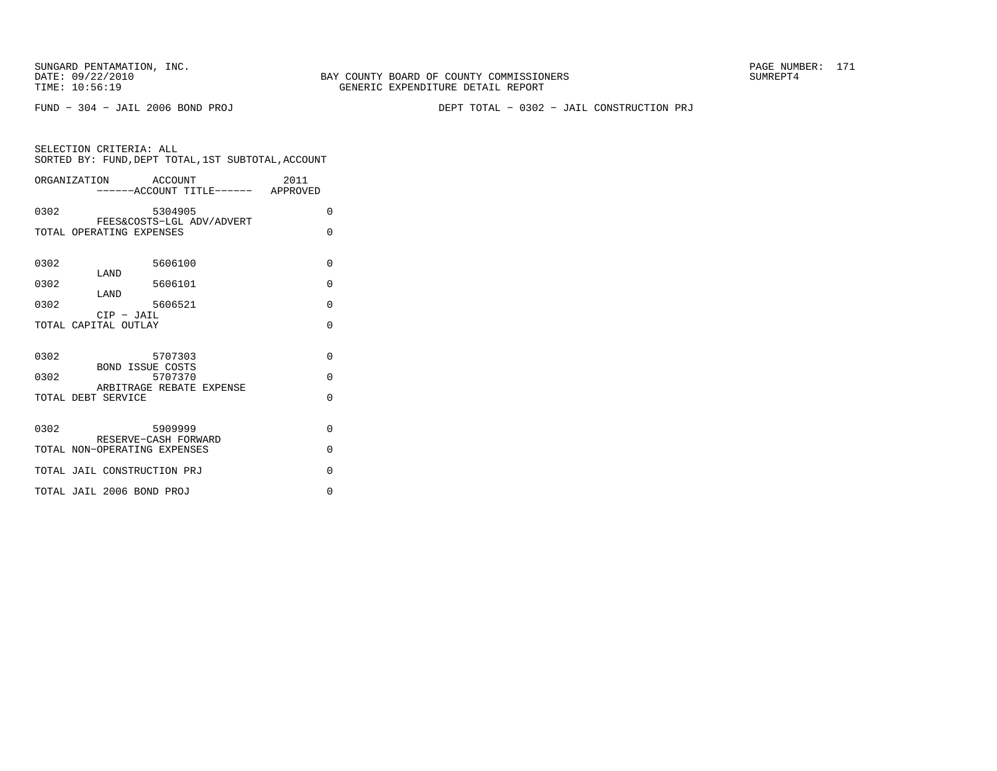FUND − 304 − JAIL 2006 BOND PROJ DEPT TOTAL − 0302 − JAIL CONSTRUCTION PRJ

| SELECTION CRITERIA: ALL                            |  |
|----------------------------------------------------|--|
| SORTED BY: FUND, DEPT TOTAL, 1ST SUBTOTAL, ACCOUNT |  |

|              | ORGANIZATION ACCOUNT<br>-----ACCOUNT TITLE------ APPROVED                                       | 2011                             |
|--------------|-------------------------------------------------------------------------------------------------|----------------------------------|
| 0302         | 5304905                                                                                         | $\Omega$                         |
|              | FEES&COSTS-LGL ADV/ADVERT<br>TOTAL OPERATING EXPENSES                                           | $\Omega$                         |
| 0302         | 5606100                                                                                         | $\Omega$                         |
| 0302         | LAND<br>5606101                                                                                 | $\Omega$                         |
| 0302         | LAND<br>5606521                                                                                 | $\Omega$                         |
|              | $CIP$ - JAIL<br>TOTAL CAPITAL OUTLAY                                                            | $\Omega$                         |
| 0302<br>0302 | 5707303<br><b>BOND ISSUE COSTS</b><br>5707370<br>ARBITRAGE REBATE EXPENSE<br>TOTAL DEBT SERVICE | $\Omega$<br>$\Omega$<br>$\Omega$ |
| 0302         | 5909999<br>RESERVE-CASH FORWARD<br>TOTAL NON-OPERATING EXPENSES                                 | $\Omega$<br>$\Omega$             |
|              | TOTAL JAIL CONSTRUCTION PRJ                                                                     | $\Omega$                         |
|              | TOTAL JAIL 2006 BOND PROJ                                                                       | $\Omega$                         |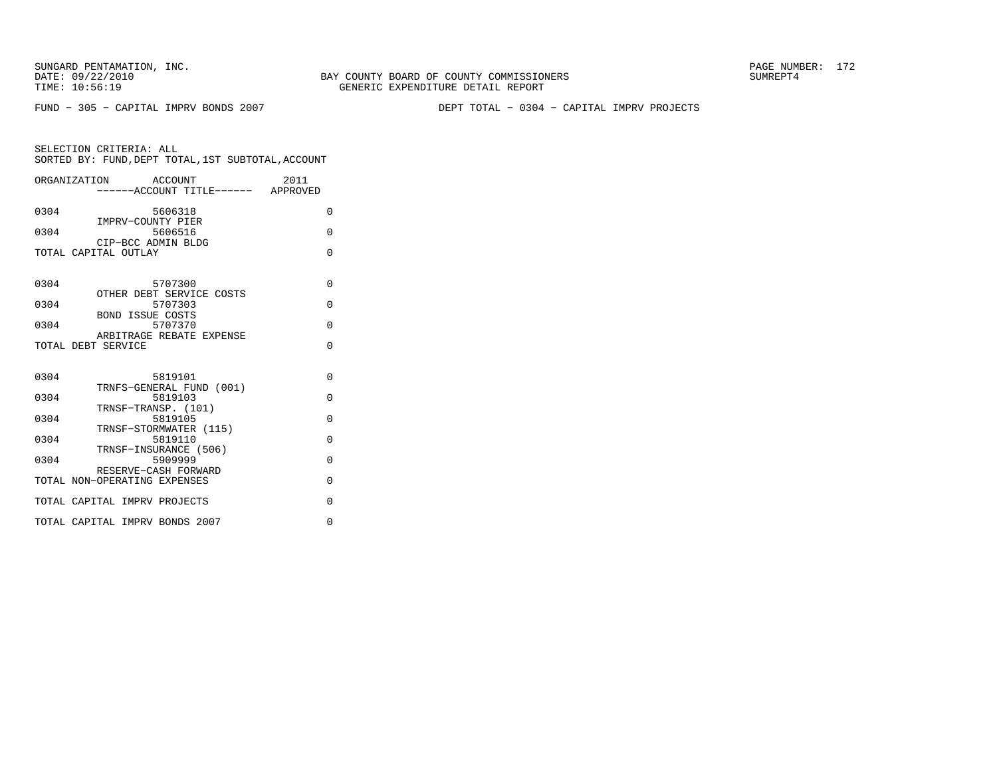BAY COUNTY BOARD OF COUNTY COMMISSIONERS TIME: 10:56:19 GENERIC EXPENDITURE DETAIL REPORT

FUND − 305 − CAPITAL IMPRV BONDS 2007 DEPT TOTAL − 0304 − CAPITAL IMPRV PROJECTS

|      | ORGANIZATION ACCOUNT                           | 2011     |
|------|------------------------------------------------|----------|
|      | ------ACCOUNT TITLE------ APPROVED             |          |
| 0304 | 5606318<br>IMPRV-COUNTY PIER                   | $\Omega$ |
| 0304 | 5606516                                        | $\Omega$ |
|      | CIP-BCC ADMIN BLDG<br>TOTAL CAPITAL OUTLAY     | $\Omega$ |
|      |                                                |          |
| 0304 | 5707300                                        | $\Omega$ |
| 0304 | OTHER DEBT SERVICE COSTS<br>5707303            | $\Omega$ |
| 0304 | <b>BOND ISSUE COSTS</b><br>5707370             | $\Omega$ |
|      | ARBITRAGE REBATE EXPENSE<br>TOTAL DEBT SERVICE | $\Omega$ |
|      |                                                |          |
| 0304 | 5819101                                        | $\Omega$ |
| 0304 | TRNFS-GENERAL FUND (001)<br>5819103            | $\Omega$ |
| 0304 | TRNSF-TRANSP. (101)<br>5819105                 | $\Omega$ |
| 0304 | TRNSF-STORMWATER (115)<br>5819110              | $\Omega$ |
| 0304 | TRNSF-INSURANCE (506)<br>5909999               | $\Omega$ |
|      | RESERVE-CASH FORWARD                           |          |
|      | TOTAL NON-OPERATING EXPENSES                   | $\Omega$ |
|      | TOTAL CAPITAL IMPRV PROJECTS                   | $\Omega$ |
|      | TOTAL CAPITAL IMPRV BONDS 2007                 | $\Omega$ |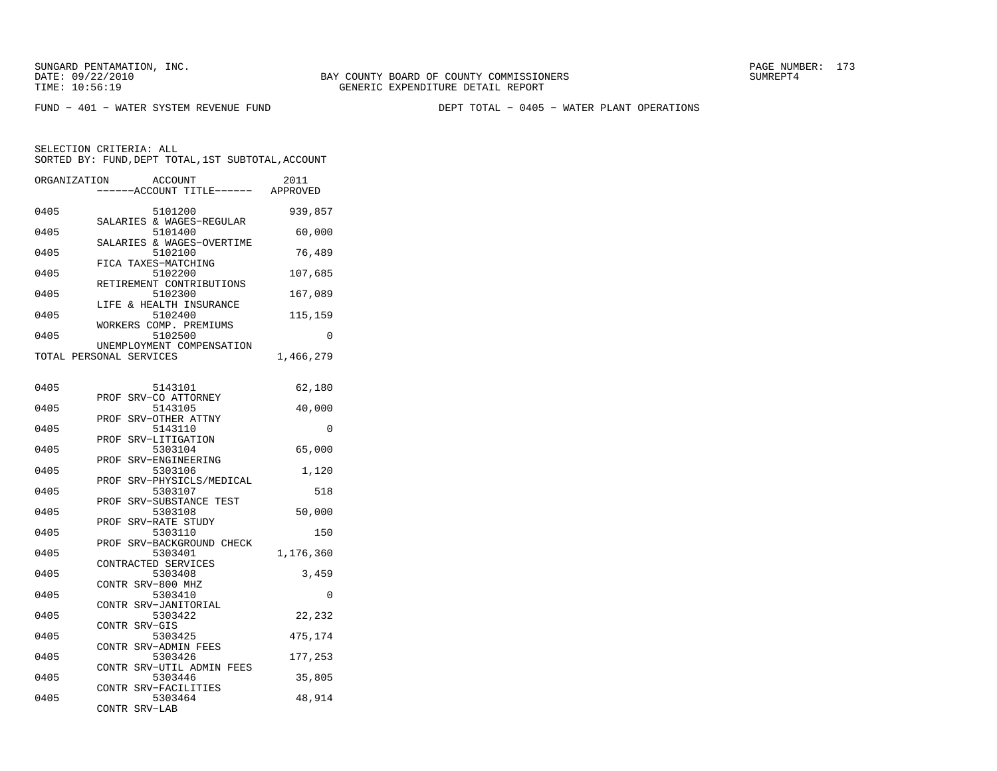FUND − 401 − WATER SYSTEM REVENUE FUND DEPT TOTAL − 0405 − WATER PLANT OPERATIONS

SELECTION CRITERIA: ALL

| SORTED BY: FUND, DEPT TOTAL, 1ST SUBTOTAL, ACCOUNT          |           |
|-------------------------------------------------------------|-----------|
| ORGANIZATION<br>ACCOUNT<br>----ACCOUNT TITLE------ APPROVED | 2011      |
| 0405<br>5101200                                             | 939,857   |
| SALARIES & WAGES-REGULAR<br>0405<br>5101400                 | 60,000    |
| SALARIES & WAGES-OVERTIME<br>0405<br>5102100                | 76,489    |
| FICA TAXES-MATCHING<br>0405<br>5102200                      | 107,685   |
| RETIREMENT CONTRIBUTIONS<br>5102300<br>0405                 | 167,089   |
| LIFE & HEALTH INSURANCE<br>5102400<br>0405                  | 115,159   |
| WORKERS COMP. PREMIUMS                                      |           |
| 5102500<br>0405<br>UNEMPLOYMENT COMPENSATION                | $\Omega$  |
| TOTAL PERSONAL SERVICES                                     | 1,466,279 |
| 0405<br>5143101                                             | 62,180    |
| SRV-CO ATTORNEY<br>PROF<br>5143105<br>0405                  | 40,000    |
| SRV-OTHER ATTNY<br>PROF<br>0405<br>5143110                  | 0         |
| SRV-LITIGATION<br>PROF<br>5303104<br>0405                   | 65,000    |
| PROF SRV-ENGINEERING<br>0405<br>5303106                     |           |
| SRV-PHYSICLS/MEDICAL<br>PROF                                | 1,120     |
| 0405<br>5303107<br>SRV-SUBSTANCE TEST<br>PROF               | 518       |
| 0405<br>5303108<br>SRV-RATE STUDY<br>PROF                   | 50,000    |
| 0405<br>5303110                                             | 150       |
| PROF SRV-BACKGROUND CHECK<br>5303401<br>0405                | 1,176,360 |
| CONTRACTED SERVICES<br>0405<br>5303408                      | 3,459     |
| CONTR SRV-800 MHZ<br>0405<br>5303410                        | 0         |
| CONTR<br>SRV-JANITORIAL<br>0405<br>5303422                  | 22,232    |
| CONTR SRV-GIS<br>5303425<br>0405                            |           |
| CONTR SRV-ADMIN FEES                                        | 475,174   |
| 0405<br>5303426<br>CONTR SRV-UTIL ADMIN FEES                | 177,253   |
| 0405<br>5303446<br>CONTR SRV-FACILITIES                     | 35,805    |
| 0405<br>5303464<br>CONTR SRV-LAB                            | 48,914    |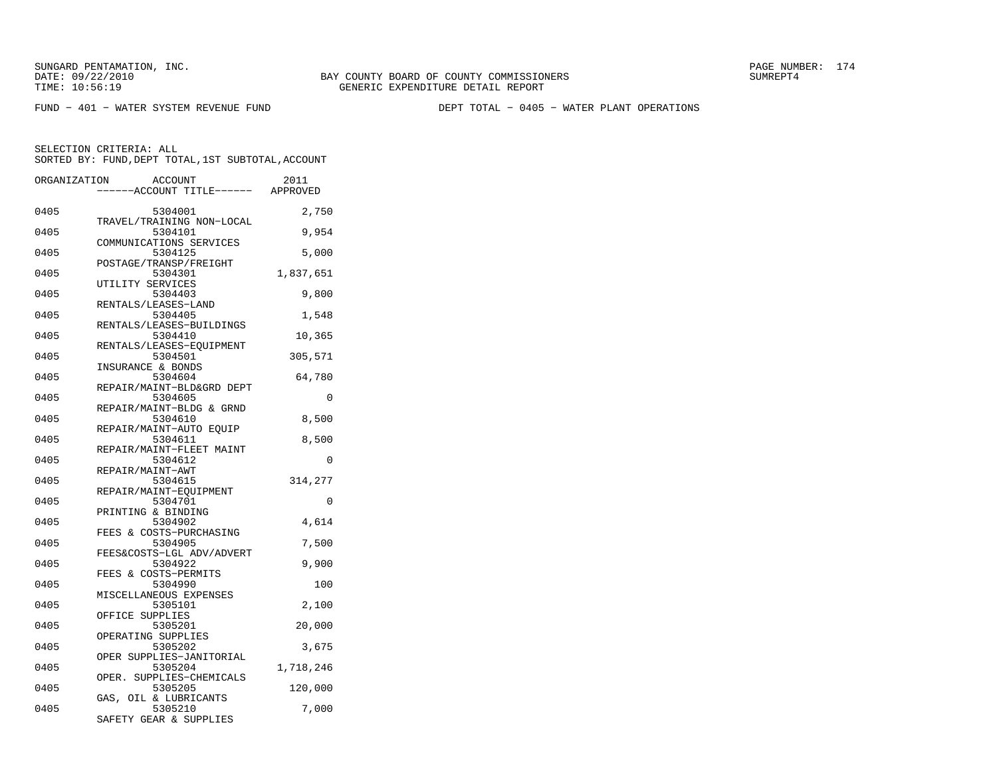FUND − 401 − WATER SYSTEM REVENUE FUND DEPT TOTAL − 0405 − WATER PLANT OPERATIONS

SELECTION CRITERIA: ALL

SORTED BY: FUND, DEPT TOTAL, 1ST SUBTOTAL, ACCOUNT ORGANIZATION ACCOUNT

| ORGANIZATION | ACCOUN'I'                           | 2011      |
|--------------|-------------------------------------|-----------|
|              | -----ACCOUNT TITLE------ APPROVED   |           |
| 0405         | 5304001                             | 2,750     |
|              | TRAVEL/TRAINING NON-LOCAL           |           |
| 0405         | 5304101                             | 9,954     |
| 0405         | COMMUNICATIONS SERVICES<br>5304125  | 5,000     |
|              | POSTAGE/TRANSP/FREIGHT              |           |
| 0405         | 5304301                             | 1,837,651 |
|              | UTILITY SERVICES                    |           |
| 0405         | 5304403                             | 9,800     |
|              | RENTALS/LEASES-LAND                 |           |
| 0405         | 5304405<br>RENTALS/LEASES-BUILDINGS | 1,548     |
| 0405         | 5304410                             | 10,365    |
|              | RENTALS/LEASES-EOUIPMENT            |           |
| 0405         | 5304501                             | 305,571   |
|              | INSURANCE & BONDS                   |           |
| 0405         | 5304604                             | 64,780    |
|              | REPAIR/MAINT-BLD&GRD DEPT           |           |
| 0405         | 5304605                             | $\Omega$  |
|              | REPAIR/MAINT-BLDG & GRND            |           |
| 0405         | 5304610                             | 8,500     |
|              | REPAIR/MAINT-AUTO EQUIP             |           |
| 0405         | 5304611                             | 8,500     |
|              | REPAIR/MAINT-FLEET MAINT            |           |
| 0405         | 5304612                             | 0         |
|              | REPAIR/MAINT-AWT                    |           |
| 0405         | 5304615                             | 314,277   |
|              | REPAIR/MAINT-EQUIPMENT              |           |
| 0405         | 5304701                             | $\Omega$  |
|              | PRINTING & BINDING                  |           |
| 0405         | 5304902                             | 4,614     |
|              | FEES & COSTS-PURCHASING             |           |
| 0405         | 5304905                             | 7,500     |
|              | FEES&COSTS-LGL ADV/ADVERT           |           |
| 0405         | 5304922                             | 9,900     |
|              | FEES & COSTS-PERMITS                |           |
| 0405         | 5304990<br>MISCELLANEOUS EXPENSES   | 100       |
| 0405         | 5305101                             | 2,100     |
|              | OFFICE SUPPLIES                     |           |
| 0405         | 5305201                             | 20,000    |
|              | OPERATING SUPPLIES                  |           |
| 0405         | 5305202                             | 3,675     |
|              | OPER SUPPLIES-JANITORIAL            |           |
| 0405         | 5305204                             | 1,718,246 |
|              | OPER. SUPPLIES-CHEMICALS            |           |
| 0405         | 5305205                             | 120,000   |
|              | GAS, OIL & LUBRICANTS               |           |
| 0405         | 5305210                             | 7,000     |
|              | SAFETY GEAR & SUPPLIES              |           |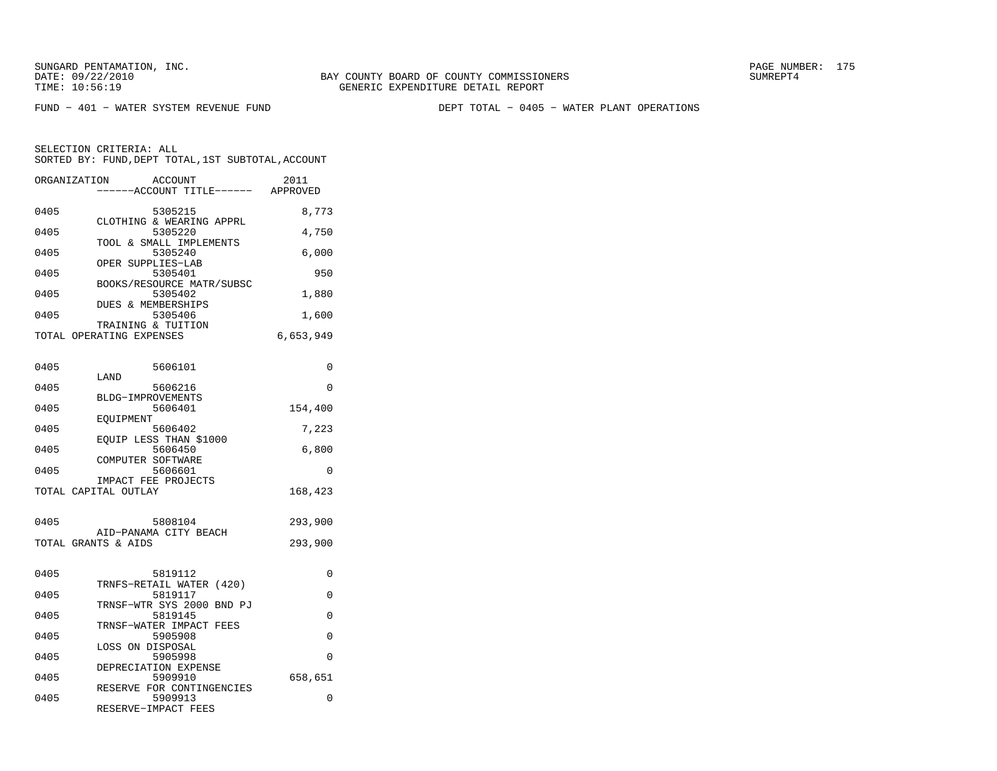BAY COUNTY BOARD OF COUNTY COMMISSIONERS TIME: 10:56:19 GENERIC EXPENDITURE DETAIL REPORT

FUND − 401 − WATER SYSTEM REVENUE FUND DEPT TOTAL − 0405 − WATER PLANT OPERATIONS

| ORGANIZATION             |                  | ACCOUNT<br>---ACCOUNT TITLE------    | 2011<br>APPROVED |
|--------------------------|------------------|--------------------------------------|------------------|
| 0405                     |                  | 5305215                              | 8,773            |
| 0405                     |                  | CLOTHING & WEARING APPRL<br>5305220  | 4,750            |
| 0405                     |                  | TOOL & SMALL IMPLEMENTS<br>5305240   | 6,000            |
| 0405                     |                  | OPER SUPPLIES-LAB<br>5305401         | 950              |
| 0405                     |                  | BOOKS/RESOURCE MATR/SUBSC<br>5305402 | 1,880            |
| 0405                     |                  | DUES & MEMBERSHIPS<br>5305406        | 1,600            |
| TOTAL OPERATING EXPENSES |                  | TRAINING & TUITION                   | 6,653,949        |
|                          |                  |                                      |                  |
| 0405                     | LAND             | 5606101                              | $\Omega$         |
| 0405                     |                  | 5606216                              | 0                |
| 0405                     |                  | BLDG-IMPROVEMENTS<br>5606401         | 154,400          |
| 0405                     | EOUIPMENT        | 5606402                              | 7,223            |
| 0405                     |                  | EQUIP LESS THAN \$1000<br>5606450    | 6,800            |
| 0405                     |                  | COMPUTER SOFTWARE<br>5606601         | 0                |
| TOTAL CAPITAL OUTLAY     |                  | IMPACT FEE PROJECTS                  | 168,423          |
| 0405                     |                  | 5808104                              |                  |
|                          |                  | AID-PANAMA CITY BEACH                | 293,900          |
| TOTAL GRANTS & AIDS      |                  |                                      | 293,900          |
| 0405                     |                  | 5819112                              | 0                |
| 0405                     |                  | TRNFS-RETAIL WATER (420)<br>5819117  | $\Omega$         |
| 0405                     |                  | TRNSF-WTR SYS 2000 BND PJ<br>5819145 | 0                |
| 0405                     |                  | TRNSF-WATER IMPACT FEES<br>5905908   | 0                |
|                          | LOSS ON DISPOSAL |                                      |                  |
| 0405                     |                  | 5905998<br>DEPRECIATION EXPENSE      | 0                |
| 0405                     |                  | 5909910<br>RESERVE FOR CONTINGENCIES | 658,651          |
| 0405                     |                  | 5909913<br>RESERVE-IMPACT FEES       | 0                |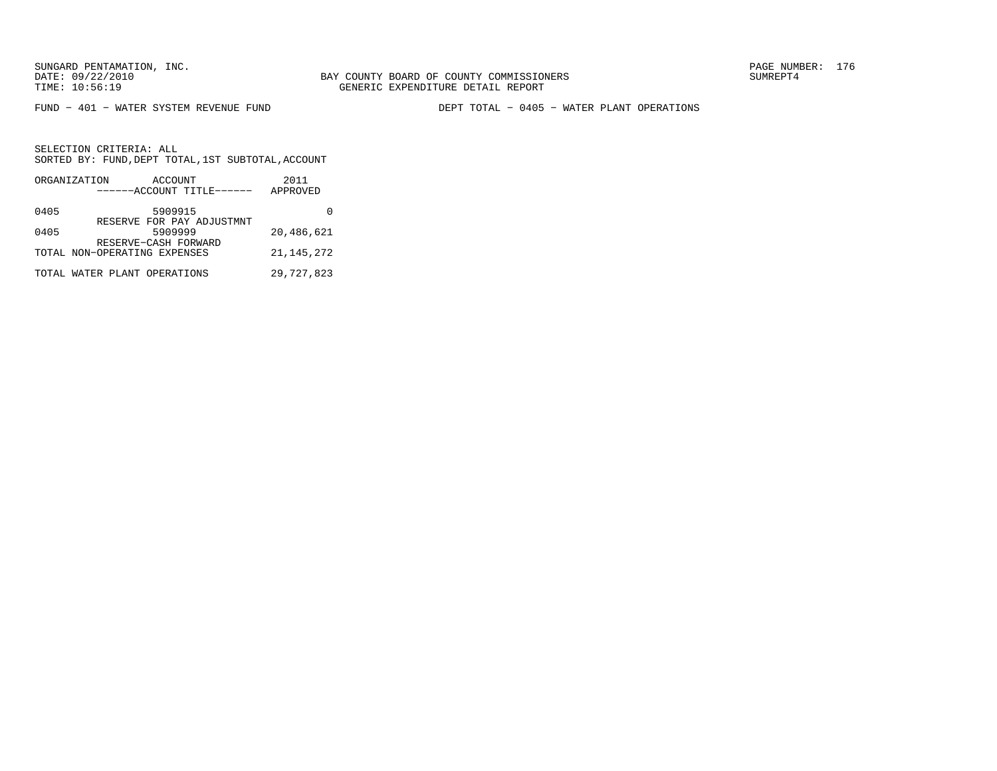BAY COUNTY BOARD OF COUNTY COMMISSIONERS TIME: 10:56:19 GENERIC EXPENDITURE DETAIL REPORT

FUND − 401 − WATER SYSTEM REVENUE FUND DEPT TOTAL − 0405 − WATER PLANT OPERATIONS

|      | ORGANIZATION | ACCOUNT                      | 2011         |
|------|--------------|------------------------------|--------------|
|      |              | ------ACCOUNT TITLE------    | APPROVED     |
| 0405 |              | 5909915                      |              |
|      |              | RESERVE FOR PAY ADJUSTMNT    |              |
| 0405 |              | 5909999                      | 20,486,621   |
|      |              | RESERVE-CASH FORWARD         |              |
|      |              | TOTAL NON-OPERATING EXPENSES | 21, 145, 272 |
|      |              |                              |              |
|      |              | TOTAL WATER PLANT OPERATIONS | 29,727,823   |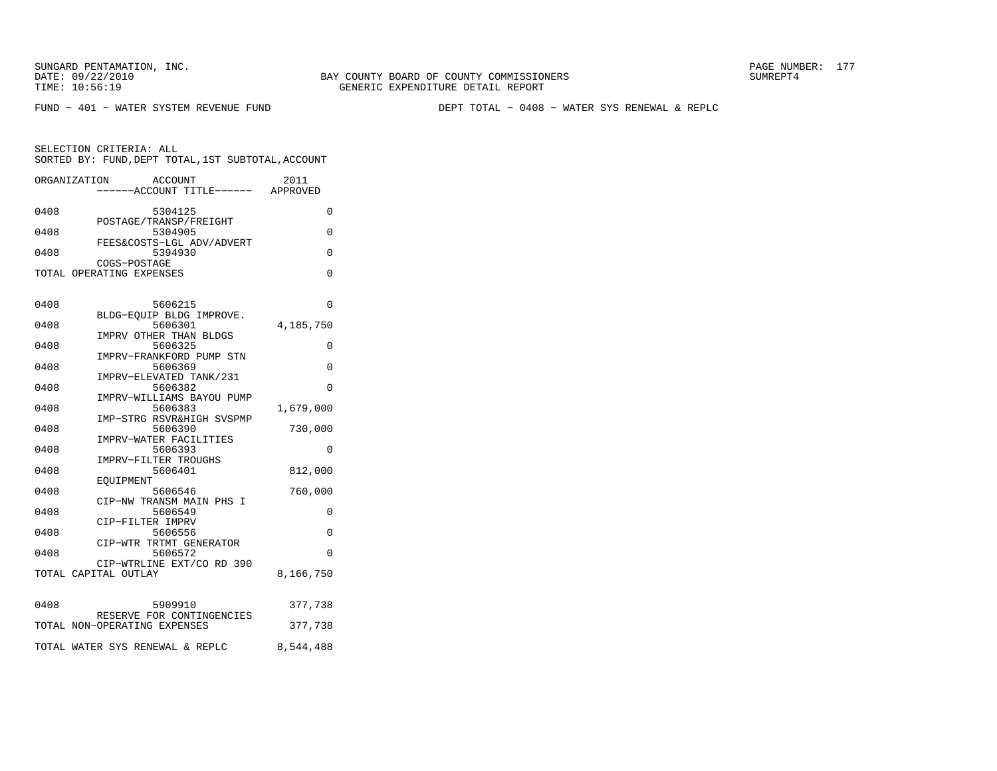BAY COUNTY BOARD OF COUNTY COMMISSIONERS TIME: 10:56:19 GENERIC EXPENDITURE DETAIL REPORT

FUND − 401 − WATER SYSTEM REVENUE FUND DEPT TOTAL − 0408 − WATER SYS RENEWAL & REPLC

|      | ORGANIZATION<br>ACCOUNT<br>----ACCOUNT TITLE------ APPROVED     | 2011      |
|------|-----------------------------------------------------------------|-----------|
| 0408 | 5304125                                                         | 0         |
| 0408 | POSTAGE/TRANSP/FREIGHT<br>5304905                               | 0         |
| 0408 | FEES&COSTS-LGL ADV/ADVERT<br>5394930<br>COGS-POSTAGE            | 0         |
|      | TOTAL OPERATING EXPENSES                                        | $\Omega$  |
| 0408 | 5606215                                                         | 0         |
| 0408 | BLDG-EQUIP BLDG IMPROVE.<br>5606301                             | 4,185,750 |
| 0408 | IMPRV OTHER THAN BLDGS<br>5606325                               | 0         |
| 0408 | IMPRV-FRANKFORD PUMP STN<br>5606369                             | $\Omega$  |
| 0408 | IMPRV-ELEVATED TANK/231<br>5606382<br>IMPRV-WILLIAMS BAYOU PUMP | $\Omega$  |
| 0408 | 5606383<br>IMP-STRG RSVR&HIGH SVSPMP                            | 1,679,000 |
| 0408 | 5606390<br>IMPRV-WATER FACILITIES                               | 730,000   |
| 0408 | 5606393<br>IMPRV-FILTER TROUGHS                                 | 0         |
| 0408 | 5606401<br>EOUIPMENT                                            | 812,000   |
| 0408 | 5606546<br>CIP-NW TRANSM MAIN PHS I                             | 760,000   |
| 0408 | 5606549<br>CIP-FILTER IMPRV                                     | 0         |
| 0408 | 5606556<br>CIP-WTR TRTMT GENERATOR                              | 0         |
| 0408 | 5606572<br>CIP-WTRLINE EXT/CO RD 390                            | $\Omega$  |
|      | TOTAL CAPITAL OUTLAY                                            | 8,166,750 |
| 0408 | 5909910                                                         | 377,738   |
|      | RESERVE FOR CONTINGENCIES<br>TOTAL NON-OPERATING EXPENSES       | 377,738   |
|      | TOTAL WATER SYS RENEWAL & REPLC                                 | 8,544,488 |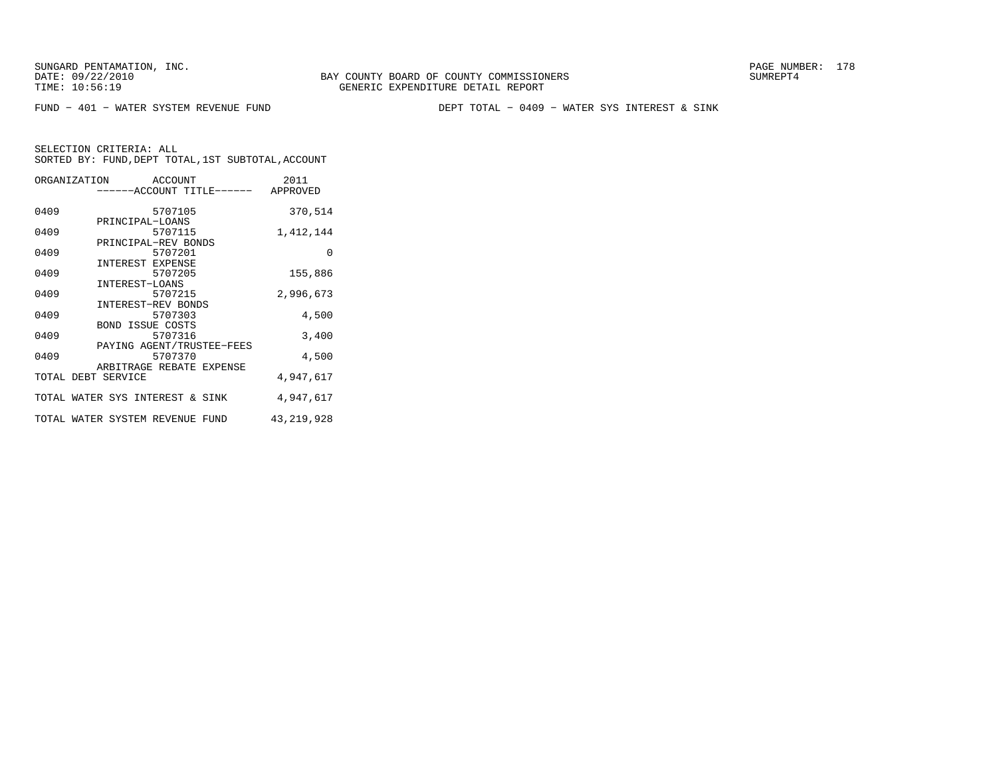FUND − 401 − WATER SYSTEM REVENUE FUND DEPT TOTAL − 0409 − WATER SYS INTEREST & SINK

| ORGANIZATION ACCOUNT            |                           |         | ------ACCOUNT TITLE------ APPROVED | 2011         |
|---------------------------------|---------------------------|---------|------------------------------------|--------------|
| 0409                            |                           | 5707105 |                                    | 370,514      |
| 0409                            | PRINCIPAL-LOANS           | 5707115 |                                    | 1,412,144    |
| 0409                            | PRINCIPAL-REV BONDS       | 5707201 |                                    | $\Omega$     |
| 0409                            | INTEREST EXPENSE          | 5707205 |                                    | 155,886      |
| 0409                            | INTEREST-LOANS            | 5707215 |                                    | 2,996,673    |
| 0409                            | INTEREST-REV BONDS        | 5707303 |                                    | 4,500        |
| 0409                            | <b>BOND ISSUE COSTS</b>   | 5707316 |                                    | 3,400        |
| 0409                            | PAYING AGENT/TRUSTEE-FEES | 5707370 |                                    | 4,500        |
| TOTAL DEBT SERVICE              | ARBITRAGE REBATE EXPENSE  |         |                                    | 4,947,617    |
| TOTAL WATER SYS INTEREST & SINK |                           |         |                                    | 4,947,617    |
|                                 |                           |         | TOTAL WATER SYSTEM REVENUE FUND    | 43, 219, 928 |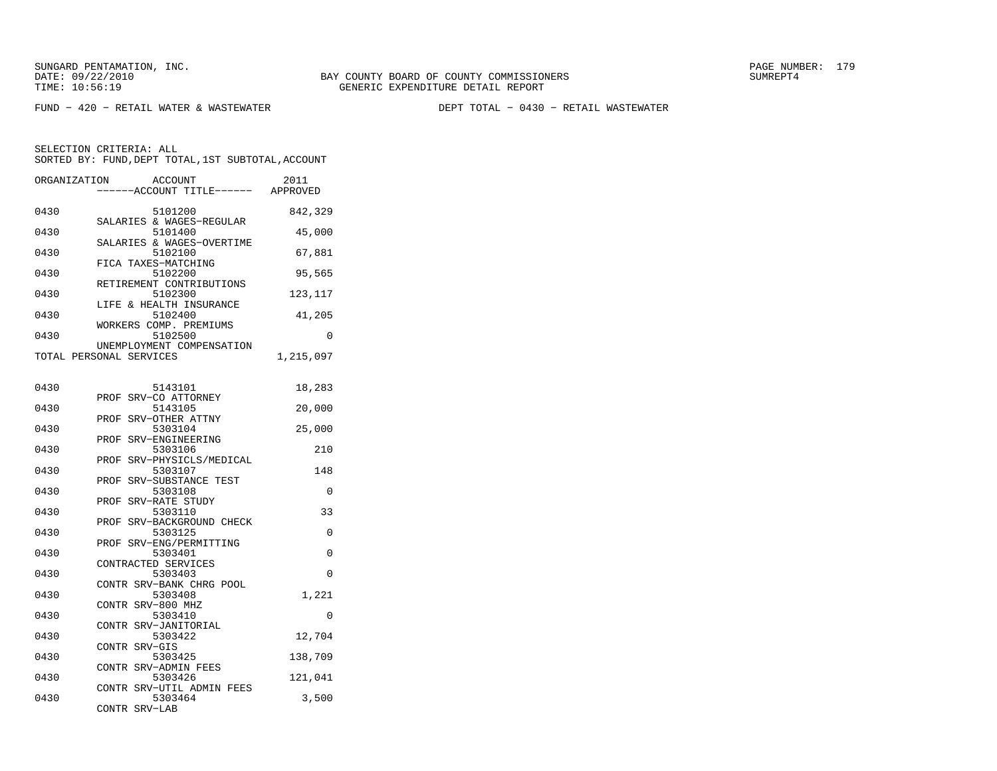FUND − 420 − RETAIL WATER & WASTEWATER DEPT TOTAL − 0430 − RETAIL WASTEWATER

| ORGANIZATION | <b>ACCOUNT</b><br>----ACCOUNT TITLE------ APPROVED    | 2011      |
|--------------|-------------------------------------------------------|-----------|
| 0430         | 5101200                                               | 842,329   |
| 0430         | SALARIES & WAGES-REGULAR<br>5101400                   | 45,000    |
| 0430         | SALARIES & WAGES-OVERTIME<br>5102100                  | 67,881    |
| 0430         | FICA TAXES-MATCHING<br>5102200                        | 95,565    |
| 0430         | RETIREMENT CONTRIBUTIONS<br>5102300                   | 123,117   |
| 0430         | LIFE & HEALTH INSURANCE<br>5102400                    | 41,205    |
| 0430         | WORKERS COMP. PREMIUMS<br>5102500                     | 0         |
|              | UNEMPLOYMENT COMPENSATION<br>TOTAL PERSONAL SERVICES  | 1,215,097 |
| 0430         | 5143101                                               | 18,283    |
| 0430         | SRV-CO ATTORNEY<br>PROF<br>5143105                    | 20,000    |
| 0430         | SRV-OTHER ATTNY<br>PROF<br>5303104                    | 25,000    |
| 0430         | SRV-ENGINEERING<br>PROF<br>5303106                    | 210       |
| 0430         | SRV-PHYSICLS/MEDICAL<br>PROF<br>5303107               | 148       |
| 0430         | SRV-SUBSTANCE TEST<br>PROF<br>5303108                 | 0         |
| 0430         | SRV-RATE STUDY<br>PROF<br>5303110                     | 33        |
| 0430         | SRV-BACKGROUND CHECK<br>PROF<br>5303125               | $\Omega$  |
| 0430         | SRV-ENG/PERMITTING<br>PROF<br>5303401                 | 0         |
| 0430         | CONTRACTED SERVICES<br>5303403                        | $\Omega$  |
| 0430         | CONTR SRV-BANK CHRG POOL<br>5303408                   | 1,221     |
| 0430         | CONTR SRV-800 MHZ<br>5303410                          | 0         |
| 0430         | CONTR SRV-JANITORIAL<br>5303422                       | 12,704    |
| 0430         | CONTR SRV-GIS<br>5303425                              | 138,709   |
| 0430         | CONTR SRV-ADMIN FEES<br>5303426                       | 121,041   |
| 0430         | CONTR SRV-UTIL ADMIN FEES<br>5303464<br>CONTR SRV-LAB | 3,500     |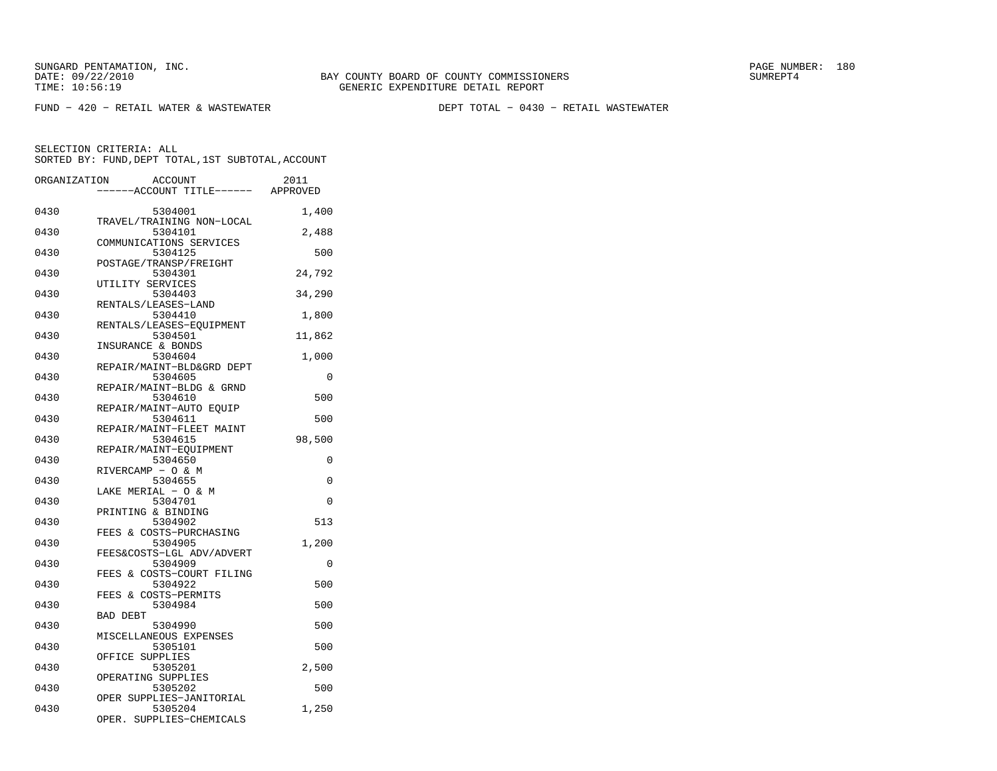$FUND - 420 - RETAIL WATER & WASTEWATER$ 

DEPT TOTAL - 0430 - RETAIL WASTEWATER

| ORGANIZATION | <b>ACCOUNT</b><br>---ACCOUNT TITLE------ APPROVED | 2011   |
|--------------|---------------------------------------------------|--------|
| 0430         | 5304001                                           | 1,400  |
|              | TRAVEL/TRAINING NON-LOCAL                         |        |
| 0430         | 5304101<br>COMMUNICATIONS SERVICES                | 2,488  |
| 0430         | 5304125                                           | 500    |
| 0430         | POSTAGE/TRANSP/FREIGHT<br>5304301                 | 24,792 |
| 0430         | UTILITY SERVICES<br>5304403                       | 34,290 |
|              | RENTALS/LEASES-LAND                               |        |
| 0430         | 5304410<br>RENTALS/LEASES-EOUIPMENT               | 1,800  |
| 0430         | 5304501                                           | 11,862 |
| 0430         | INSURANCE & BONDS<br>5304604                      | 1,000  |
|              | REPAIR/MAINT-BLD&GRD DEPT                         |        |
| 0430         | 5304605<br>REPAIR/MAINT-BLDG & GRND               | 0      |
| 0430         | 5304610                                           | 500    |
| 0430         | REPAIR/MAINT-AUTO EQUIP<br>5304611                | 500    |
|              | REPAIR/MAINT-FLEET MAINT                          |        |
| 0430         | 5304615<br>REPAIR/MAINT-EOUIPMENT                 | 98,500 |
| 0430         | 5304650                                           | 0      |
| 0430         | RIVERCAMP - O & M<br>5304655                      | 0      |
|              | LAKE MERIAL - O & M                               |        |
| 0430         | 5304701                                           | 0      |
| 0430         | PRINTING & BINDING<br>5304902                     | 513    |
|              | FEES & COSTS-PURCHASING                           |        |
| 0430         | 5304905<br>FEES&COSTS-LGL ADV/ADVERT              | 1,200  |
| 0430         | 5304909                                           | 0      |
| 0430         | FEES & COSTS-COURT FILING<br>5304922              | 500    |
|              | & COSTS-PERMITS<br>FEES                           |        |
| 0430         | 5304984<br><b>BAD DEBT</b>                        | 500    |
| 0430         | 5304990                                           | 500    |
| 0430         | MISCELLANEOUS EXPENSES<br>5305101                 | 500    |
|              | OFFICE SUPPLIES                                   |        |
| 0430         | 5305201<br>OPERATING SUPPLIES                     | 2,500  |
| 0430         | 5305202                                           | 500    |
| 0430         | OPER SUPPLIES-JANITORIAL<br>5305204               | 1,250  |
|              | OPER. SUPPLIES-CHEMICALS                          |        |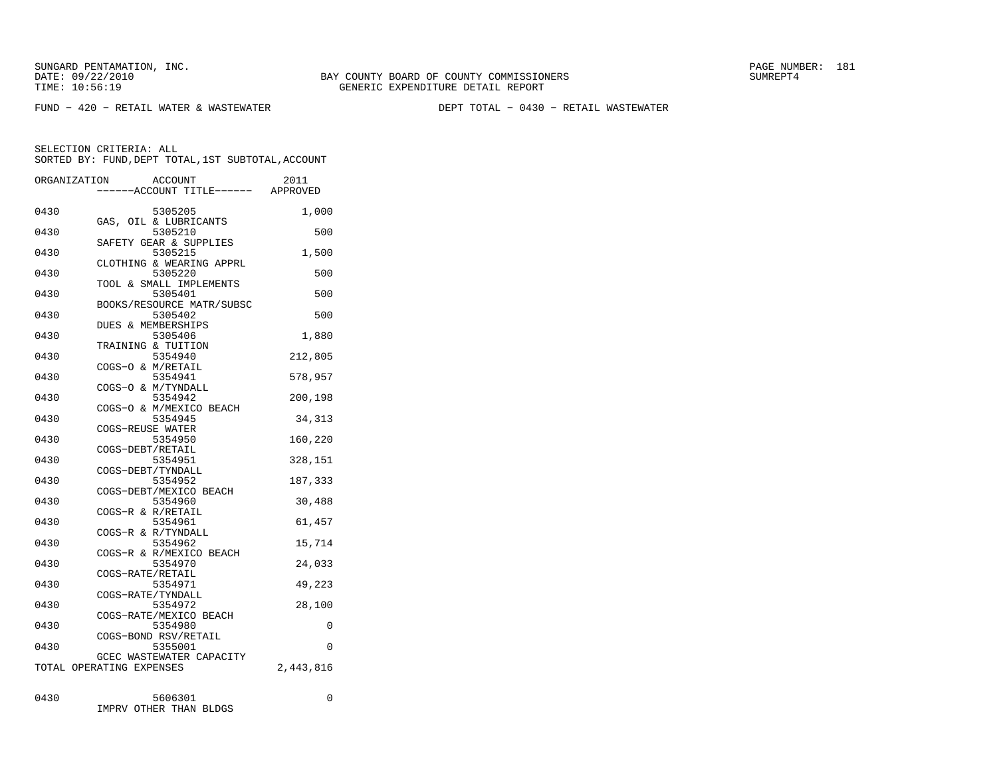$FUND - 420 - RETAIL WATER & WASTEWATER$ 

DEPT TOTAL - 0430 - RETAIL WASTEWATER

SELECTION CRITERIA: ALLSORTED BY: FUND, DEPT TOTAL, 1ST SUBTOTAL, ACCOUNT

|      | ORGANIZATION<br><b>ACCOUNT</b><br>----ACCOUNT TITLE------ APPROVED | 2011      |
|------|--------------------------------------------------------------------|-----------|
|      |                                                                    |           |
| 0430 | 5305205                                                            | 1,000     |
|      | GAS, OIL & LUBRICANTS                                              |           |
| 0430 | 5305210                                                            | 500       |
|      | SAFETY GEAR & SUPPLIES                                             |           |
| 0430 | 5305215                                                            | 1,500     |
|      | CLOTHING & WEARING APPRL                                           |           |
| 0430 | 5305220                                                            | 500       |
|      | TOOL & SMALL IMPLEMENTS                                            |           |
| 0430 | 5305401                                                            | 500       |
|      | BOOKS/RESOURCE MATR/SUBSC                                          |           |
| 0430 | 5305402                                                            | 500       |
| 0430 | DUES & MEMBERSHIPS<br>5305406                                      | 1,880     |
|      | TRAINING & TUITION                                                 |           |
| 0430 | 5354940                                                            | 212,805   |
|      | COGS-O & M/RETAIL                                                  |           |
| 0430 | 5354941                                                            | 578,957   |
|      | COGS-O & M/TYNDALL                                                 |           |
| 0430 | 5354942                                                            | 200,198   |
|      | COGS-O & M/MEXICO BEACH                                            |           |
| 0430 | 5354945                                                            | 34,313    |
|      | COGS-REUSE WATER                                                   |           |
| 0430 | 5354950                                                            | 160,220   |
|      | COGS-DEBT/RETAIL                                                   |           |
| 0430 | 5354951                                                            | 328,151   |
|      | COGS-DEBT/TYNDALL                                                  |           |
| 0430 | 5354952                                                            | 187,333   |
|      | COGS-DEBT/MEXICO BEACH                                             |           |
| 0430 | 5354960                                                            | 30,488    |
|      | COGS-R & R/RETAIL                                                  |           |
| 0430 | 5354961                                                            | 61,457    |
|      | COGS-R & R/TYNDALL                                                 |           |
| 0430 | 5354962                                                            | 15,714    |
|      | COGS-R & R/MEXICO BEACH                                            |           |
| 0430 | 5354970                                                            | 24,033    |
|      | COGS-RATE/RETAIL                                                   |           |
| 0430 | 5354971<br>COGS-RATE/TYNDALL                                       | 49,223    |
| 0430 | 5354972                                                            | 28,100    |
|      | COGS-RATE/MEXICO BEACH                                             |           |
| 0430 | 5354980                                                            | 0         |
|      | COGS-BOND RSV/RETAIL                                               |           |
| 0430 | 5355001                                                            | 0         |
|      | GCEC WASTEWATER CAPACITY                                           |           |
|      | TOTAL OPERATING EXPENSES                                           | 2,443,816 |
|      |                                                                    |           |
|      |                                                                    |           |
| 0430 | 5606301                                                            | 0         |

IMPRV OTHER THAN BLDGS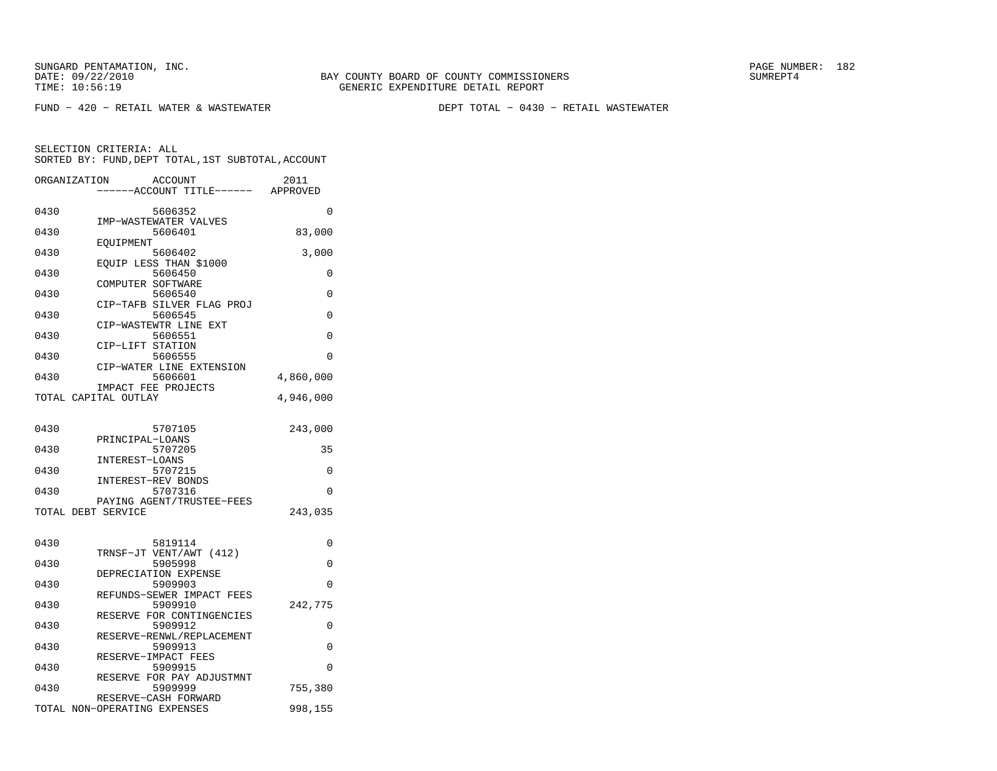$FUND - 420 - RETAIL WATER & WASTEWATER$ 

DEPT TOTAL - 0430 - RETAIL WASTEWATER

|      | ORGANIZATION<br><b>ACCOUNT</b><br>---ACCOUNT TITLE------ APPROVED | 2011      |
|------|-------------------------------------------------------------------|-----------|
| 0430 | 5606352                                                           | 0         |
| 0430 | IMP-WASTEWATER VALVES<br>5606401                                  | 83,000    |
| 0430 | EOUIPMENT<br>5606402                                              | 3,000     |
| 0430 | EOUIP LESS THAN \$1000<br>5606450                                 | 0         |
| 0430 | COMPUTER SOFTWARE<br>5606540                                      | 0         |
| 0430 | CIP-TAFB SILVER FLAG PROJ<br>5606545                              | $\Omega$  |
| 0430 | CIP-WASTEWTR LINE EXT<br>5606551                                  | $\Omega$  |
| 0430 | CIP-LIFT STATION<br>5606555                                       | 0         |
| 0430 | CIP-WATER LINE EXTENSION<br>5606601                               | 4,860,000 |
|      | IMPACT FEE PROJECTS<br>TOTAL CAPITAL OUTLAY                       | 4,946,000 |
|      |                                                                   |           |
| 0430 | 5707105                                                           | 243,000   |
| 0430 | PRINCIPAL-LOANS<br>5707205                                        | 35        |
| 0430 | INTEREST-LOANS<br>5707215                                         | 0         |
| 0430 | INTEREST-REV BONDS<br>5707316                                     | 0         |
|      | PAYING AGENT/TRUSTEE-FEES<br>TOTAL DEBT SERVICE                   | 243,035   |
|      |                                                                   |           |
| 0430 | 5819114<br>TRNSF-JT VENT/AWT (412)                                | 0         |
| 0430 | 5905998<br>DEPRECIATION EXPENSE                                   | 0         |
| 0430 | 5909903<br>REFUNDS-SEWER IMPACT FEES                              | 0         |
| 0430 | 5909910                                                           | 242,775   |
| 0430 | RESERVE FOR CONTINGENCIES<br>5909912                              | 0         |
| 0430 | RESERVE-RENWL/REPLACEMENT<br>5909913                              | 0         |
| 0430 | RESERVE-IMPACT FEES<br>5909915                                    | 0         |
| 0430 | RESERVE FOR PAY ADJUSTMNT<br>5909999                              | 755,380   |
|      | RESERVE-CASH FORWARD<br>TOTAL NON-OPERATING EXPENSES              | 998,155   |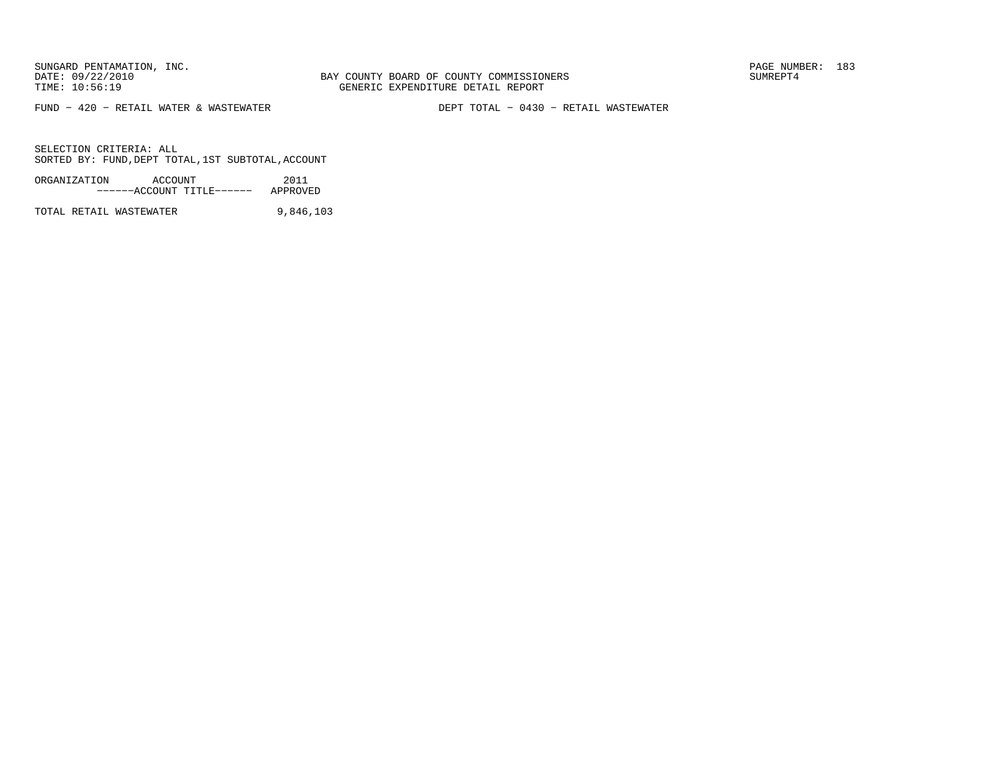BAY COUNTY BOARD OF COUNTY COMMISSIONERS TIME: 10:56:19 GENERIC EXPENDITURE DETAIL REPORT

 $FUND - 420 - RETAIL WATER & WASTEWATER$ 

DEPT TOTAL - 0430 - RETAIL WASTEWATER

SELECTION CRITERIA: ALLSORTED BY: FUND, DEPT TOTAL, 1ST SUBTOTAL, ACCOUNT

ORGANIZATION ACCOUNT 2011−−−−−−ACCOUNT TITLE−−−−−− APPROVED

TOTAL RETAIL WASTEWATER 9,846,103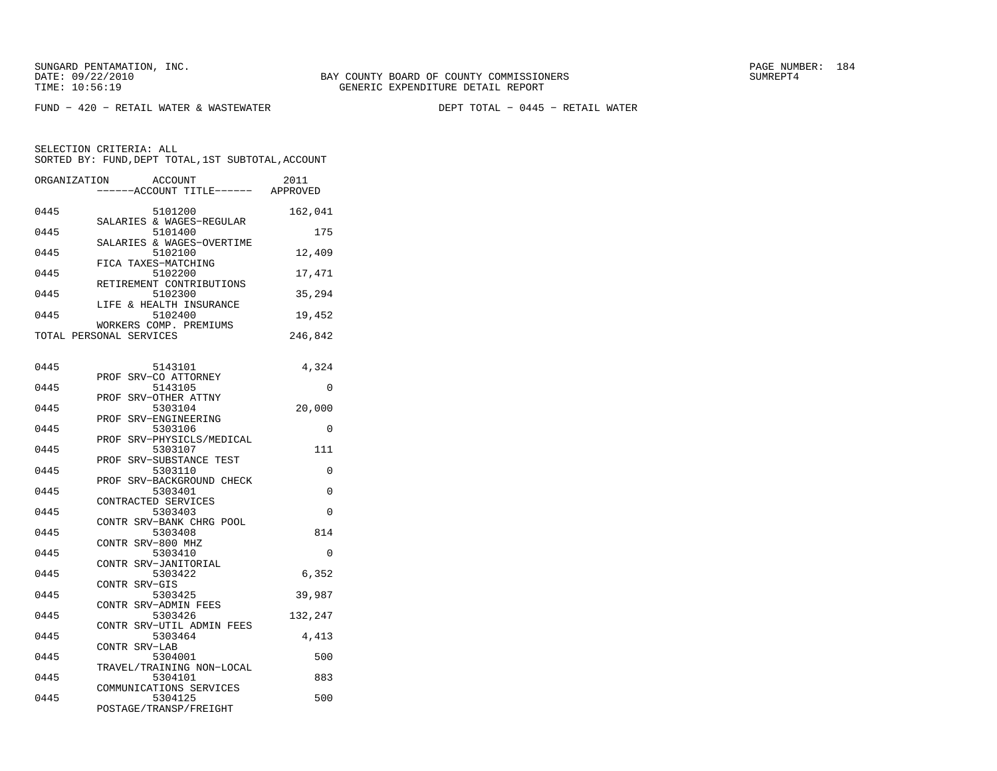$FUND - 420 - RETAIL WATER & WASTEWATER$ 

DEPT TOTAL - 0445 - RETAIL WATER

| ORGANIZATION | <b>ACCOUNT</b><br>---ACCOUNT TITLE------ APPROVED            | 2011     |
|--------------|--------------------------------------------------------------|----------|
| 0445         | 5101200<br>SALARIES & WAGES-REGULAR                          | 162,041  |
| 0445         | 5101400<br>SALARIES & WAGES-OVERTIME                         | 175      |
| 0445         | 5102100<br>FICA TAXES-MATCHING                               | 12,409   |
| 0445         | 5102200<br>RETIREMENT CONTRIBUTIONS                          | 17,471   |
| 0445         | 5102300<br>LIFE & HEALTH INSURANCE                           | 35,294   |
| 0445         | 5102400<br>WORKERS COMP. PREMIUMS                            | 19,452   |
|              | TOTAL PERSONAL SERVICES                                      | 246,842  |
| 0445         | 5143101                                                      | 4,324    |
| 0445         | PROF SRV-CO ATTORNEY<br>5143105                              | $\Omega$ |
| 0445         | PROF SRV-OTHER ATTNY<br>5303104                              | 20,000   |
| 0445         | PROF SRV-ENGINEERING<br>5303106<br>PROF SRV-PHYSICLS/MEDICAL | $\Omega$ |
| 0445         | 5303107<br>PROF SRV-SUBSTANCE TEST                           | 111      |
| 0445         | 5303110<br>PROF SRV-BACKGROUND CHECK                         | $\Omega$ |
| 0445         | 5303401<br>CONTRACTED SERVICES                               | $\Omega$ |
| 0445         | 5303403<br>CONTR SRV-BANK CHRG POOL                          | $\Omega$ |
| 0445         | 5303408<br>CONTR SRV-800 MHZ                                 | 814      |
| 0445         | 5303410<br>CONTR SRV-JANITORIAL                              | $\Omega$ |
| 0445         | 5303422<br>CONTR SRV-GIS                                     | 6,352    |
| 0445         | 5303425<br>CONTR SRV-ADMIN FEES                              | 39,987   |
| 0445         | 5303426<br>CONTR SRV-UTIL ADMIN FEES                         | 132,247  |
| 0445         | 5303464<br>CONTR SRV-LAB                                     | 4,413    |
| 0445         | 5304001<br>TRAVEL/TRAINING NON-LOCAL                         | 500      |
| 0445         | 5304101<br>COMMUNICATIONS SERVICES                           | 883      |
| 0445         | 5304125<br>POSTAGE/TRANSP/FREIGHT                            | 500      |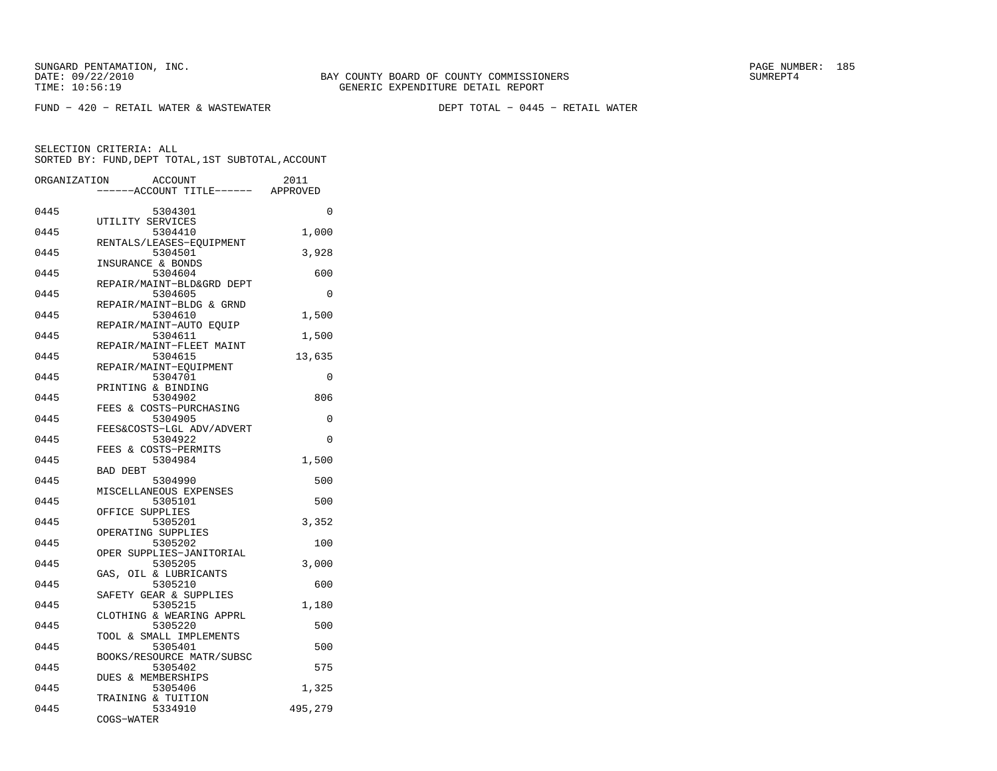SUNGARD PENTAMATION, INC.<br>DATE: 09/22/2010 SUMRER: 185

 $FUND - 420 - RETAIL WATER & WASTEWATER$ 

DEPT TOTAL - 0445 - RETAIL WATER

| ORGANIZATION | <b>ACCOUNT</b>                       | 2011<br>---ACCOUNT TITLE------ APPROVED |
|--------------|--------------------------------------|-----------------------------------------|
| 0445         | 5304301<br>UTILITY SERVICES          | $\Omega$                                |
| 0445         | 5304410<br>RENTALS/LEASES-EOUIPMENT  | 1,000                                   |
| 0445         | 5304501<br>INSURANCE & BONDS         | 3,928                                   |
| 0445         | 5304604<br>REPAIR/MAINT-BLD&GRD DEPT | 600                                     |
| 0445         | 5304605<br>REPAIR/MAINT-BLDG & GRND  | $\Omega$                                |
| 0445         | 5304610<br>REPAIR/MAINT-AUTO EQUIP   | 1,500                                   |
| 0445         | 5304611<br>REPAIR/MAINT-FLEET MAINT  | 1,500                                   |
| 0445         | 5304615<br>REPAIR/MAINT-EOUIPMENT    | 13,635                                  |
| 0445         | 5304701<br>PRINTING & BINDING        | 0                                       |
| 0445         | 5304902<br>FEES & COSTS-PURCHASING   | 806                                     |
| 0445         | 5304905<br>FEES&COSTS-LGL ADV/ADVERT | 0                                       |
| 0445         | 5304922<br>FEES & COSTS-PERMITS      | $\Omega$                                |
| 0445         | 5304984<br><b>BAD DEBT</b>           | 1,500                                   |
| 0445         | 5304990<br>MISCELLANEOUS EXPENSES    | 500                                     |
| 0445         | 5305101<br>OFFICE SUPPLIES           | 500                                     |
| 0445         | 5305201<br>OPERATING SUPPLIES        | 3,352                                   |
| 0445         | 5305202<br>OPER SUPPLIES-JANITORIAL  | 100                                     |
| 0445         | 5305205<br>GAS, OIL & LUBRICANTS     | 3,000                                   |
| 0445         | 5305210<br>SAFETY GEAR & SUPPLIES    | 600                                     |
| 0445         | 5305215<br>CLOTHING & WEARING APPRL  | 1,180                                   |
| 0445         | 5305220<br>TOOL & SMALL IMPLEMENTS   | 500                                     |
| 0445         | 5305401<br>BOOKS/RESOURCE MATR/SUBSC | 500                                     |
| 0445         | 5305402<br>DUES & MEMBERSHIPS        | 575                                     |
| 0445         | 5305406<br>TRAINING & TUITION        | 1,325                                   |
| 0445         | 5334910<br>COGS-WATER                | 495,279                                 |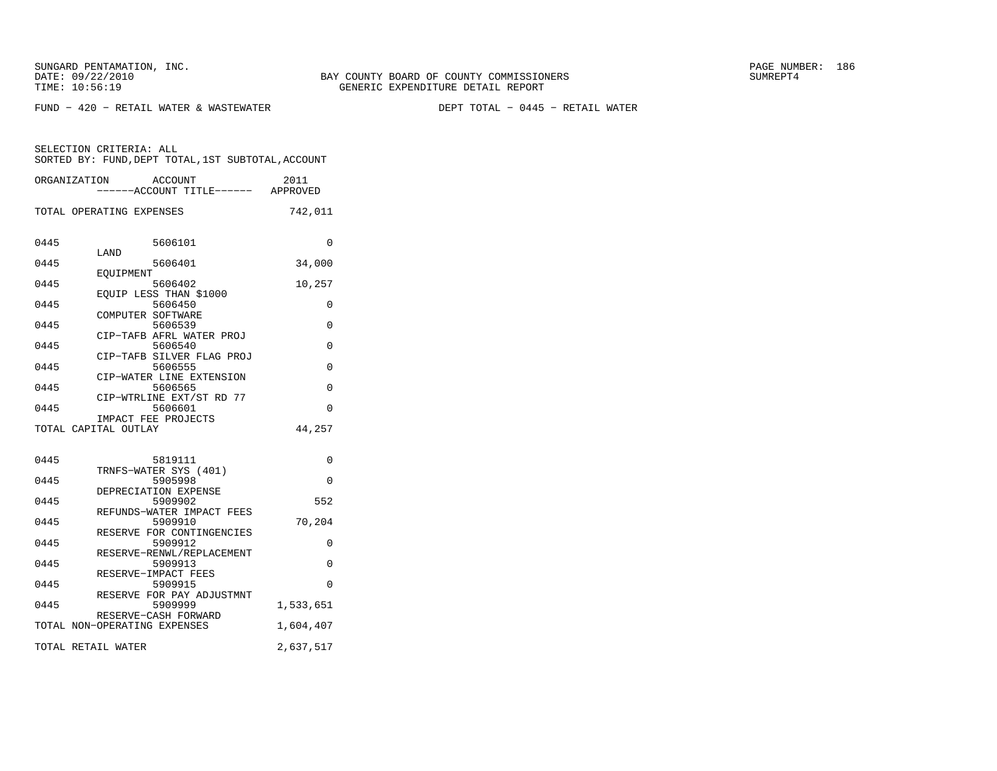FUND − 420 − RETAIL WATER & WASTEWATER DEPT TOTAL − 0445 − RETAIL WATER

| ORGANIZATION         |                              | ACCOUNT<br>----ACCOUNT TITLE------ APPROVED | 2011      |
|----------------------|------------------------------|---------------------------------------------|-----------|
|                      | TOTAL OPERATING EXPENSES     |                                             | 742,011   |
| 0445                 | LAND                         | 5606101                                     | $\Omega$  |
| 0445                 |                              | 5606401                                     | 34,000    |
| 0445                 | EOUIPMENT                    | 5606402                                     | 10,257    |
| 0445                 | EQUIP LESS THAN \$1000       | 5606450                                     | 0         |
| 0445                 | COMPUTER SOFTWARE            | 5606539                                     | 0         |
| 0445                 |                              | CIP-TAFB AFRL WATER PROJ<br>5606540         | 0         |
| 0445                 |                              | CIP-TAFB SILVER FLAG PROJ<br>5606555        | 0         |
| 0445                 |                              | CIP-WATER LINE EXTENSION<br>5606565         |           |
|                      |                              | CIP-WTRLINE EXT/ST RD 77                    | 0         |
| 0445                 | IMPACT FEE PROJECTS          | 5606601                                     | $\Omega$  |
| TOTAL CAPITAL OUTLAY |                              |                                             | 44,257    |
| 0445                 |                              | 5819111                                     | 0         |
|                      | TRNFS-WATER SYS (401)        |                                             |           |
| 0445                 | DEPRECIATION EXPENSE         | 5905998                                     | 0         |
| 0445                 |                              | 5909902<br>REFUNDS-WATER IMPACT FEES        | 552       |
| 0445                 |                              | 5909910                                     | 70,204    |
| 0445                 |                              | RESERVE FOR CONTINGENCIES<br>5909912        | 0         |
| 0445                 |                              | RESERVE-RENWL/REPLACEMENT<br>5909913        | $\Omega$  |
| 0445                 | RESERVE-IMPACT FEES          | 5909915                                     | $\Omega$  |
| 0445                 |                              | RESERVE FOR PAY ADJUSTMNT<br>5909999        | 1,533,651 |
|                      |                              | RESERVE-CASH FORWARD                        |           |
|                      | TOTAL NON-OPERATING EXPENSES |                                             | 1,604,407 |
| TOTAL RETAIL WATER   |                              |                                             | 2,637,517 |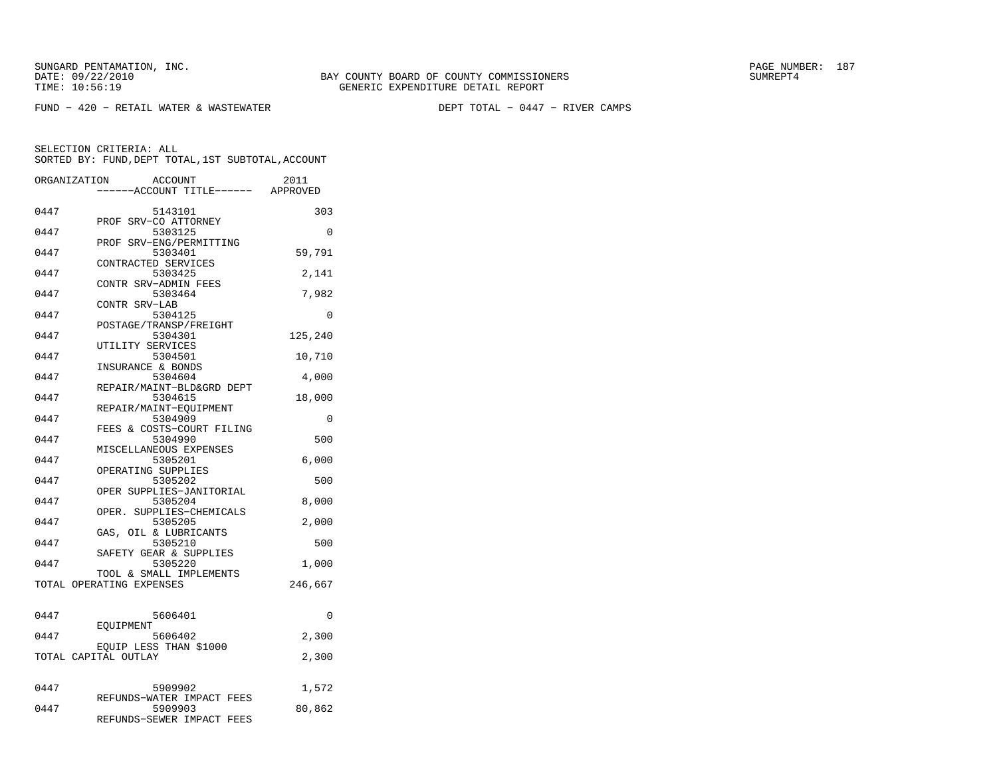$FUND - 420 - RETAIL WATER & WASTEWATER$ 

DEPT TOTAL - 0447 - RIVER CAMPS

| ORGANIZATION | <b>ACCOUNT</b>                        | 2011     |
|--------------|---------------------------------------|----------|
|              | ---ACCOUNT TITLE------ APPROVED       |          |
| 0447         | 5143101                               | 303      |
|              | PROF SRV-CO ATTORNEY                  |          |
| 0447         | 5303125                               | 0        |
| 0447         | SRV-ENG/PERMITTING<br>PROF<br>5303401 |          |
|              | CONTRACTED SERVICES                   | 59,791   |
| 0447         | 5303425                               | 2,141    |
|              | CONTR SRV-ADMIN FEES                  |          |
| 0447         | 5303464                               | 7,982    |
|              | CONTR SRV-LAB                         |          |
| 0447         | 5304125                               | 0        |
|              | POSTAGE/TRANSP/FREIGHT                |          |
| 0447         | 5304301                               | 125,240  |
| 0447         | UTILITY SERVICES                      |          |
|              | 5304501<br>INSURANCE & BONDS          | 10,710   |
| 0447         | 5304604                               | 4,000    |
|              | REPAIR/MAINT-BLD&GRD DEPT             |          |
| 0447         | 5304615                               | 18,000   |
|              | REPAIR/MAINT-EOUIPMENT                |          |
| 0447         | 5304909                               | 0        |
|              | FEES & COSTS-COURT FILING             |          |
| 0447         | 5304990                               | 500      |
|              | MISCELLANEOUS EXPENSES                |          |
| 0447         | 5305201                               | 6,000    |
|              | OPERATING SUPPLIES                    |          |
| 0447         | 5305202                               | 500      |
| 0447         | OPER SUPPLIES-JANITORIAL<br>5305204   | 8,000    |
|              | OPER.<br>SUPPLIES-CHEMICALS           |          |
| 0447         | 5305205                               | 2,000    |
|              | GAS, OIL & LUBRICANTS                 |          |
| 0447         | 5305210                               | 500      |
|              | SAFETY GEAR & SUPPLIES                |          |
| 0447         | 5305220                               | 1,000    |
|              | TOOL & SMALL IMPLEMENTS               |          |
|              | TOTAL OPERATING EXPENSES              | 246,667  |
|              |                                       |          |
| 0447         | 5606401                               | $\Omega$ |
|              | EOUIPMENT                             |          |
| 0447         | 5606402                               | 2,300    |
|              | EQUIP LESS THAN \$1000                |          |
|              | TOTAL CAPITAL OUTLAY                  | 2,300    |
|              |                                       |          |
|              |                                       |          |
| 0447         | 5909902                               | 1,572    |
|              | REFUNDS-WATER IMPACT FEES             |          |
| 0447         | 5909903<br>REFUNDS-SEWER IMPACT FEES  | 80,862   |
|              |                                       |          |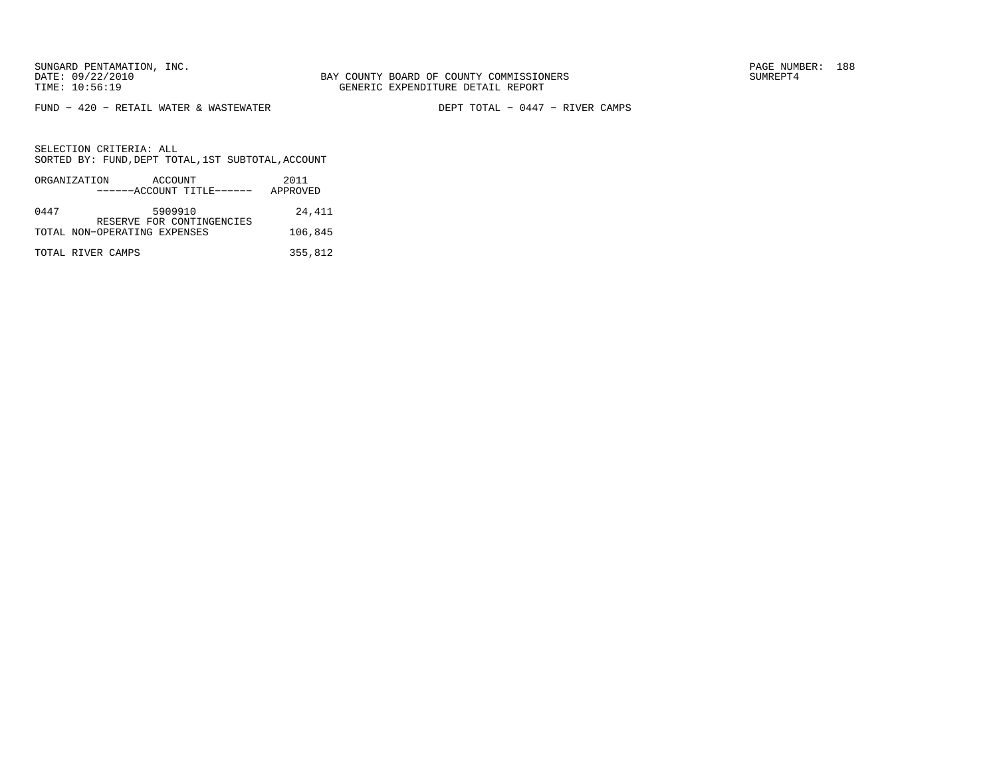SUNGARD PENTAMATION, INC.<br>DATE: 09/22/2010 SUMRER: 188 SUNG BAY COUNTY BOARD OF COUNTY COMMISSIONERS

 $FUND - 420 - RETAIL WATER & WASTEWATER$ 

DEPT TOTAL - 0447 - RIVER CAMPS

|      | ORGANIZATION<br>ACCOUNT<br>------ACCOUNT TITLE------      | 2011<br>APPROVED |
|------|-----------------------------------------------------------|------------------|
| 0447 | 5909910                                                   | 24,411           |
|      | RESERVE FOR CONTINGENCIES<br>TOTAL NON-OPERATING EXPENSES | 106,845          |
|      | TOTAL RIVER CAMPS                                         | 355,812          |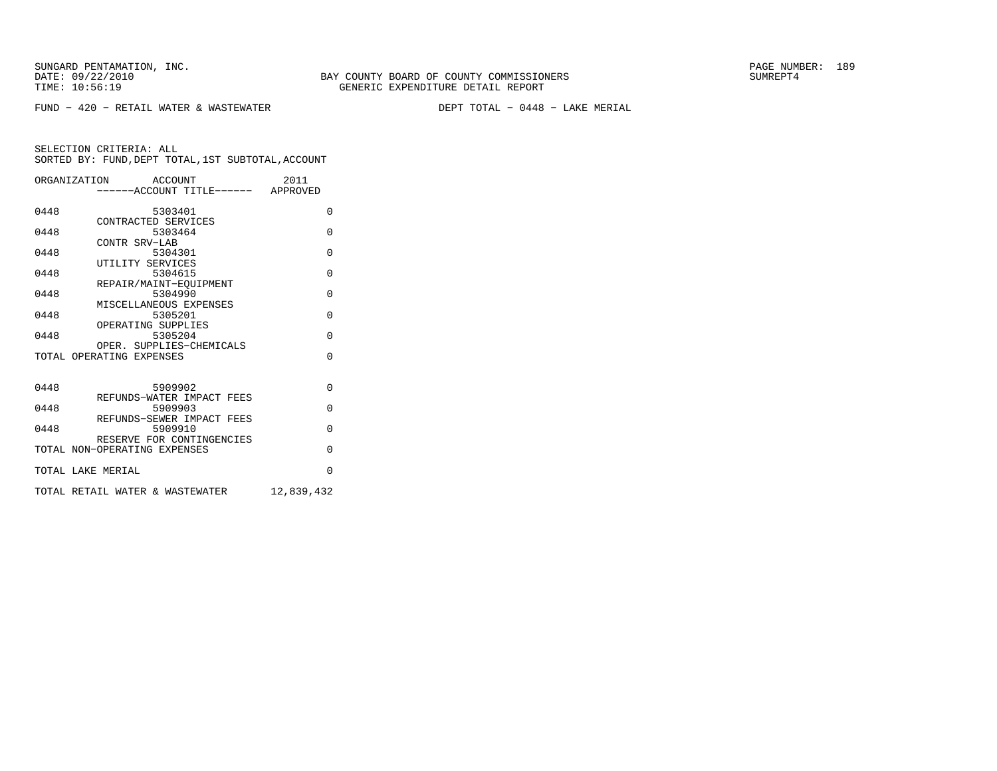SUNGARD PENTAMATION, INC.<br>DATE: 09/22/2010 SUMRER: 189

 $FUND - 420 - RETAIL WATER & WASTEWATER$ 

DEPT TOTAL - 0448 - LAKE MERIAL

|      | ORGANIZATION ACCOUNT<br>-----ACCOUNT TITLE------ APPROVED | 2011       |
|------|-----------------------------------------------------------|------------|
| 0448 | 5303401                                                   | $\Omega$   |
| 0448 | CONTRACTED SERVICES<br>5303464                            | $\Omega$   |
| 0448 | CONTR SRV-LAB<br>5304301                                  | $\Omega$   |
| 0448 | UTILITY SERVICES<br>5304615                               | $\Omega$   |
| 0448 | REPAIR/MAINT-EOUIPMENT<br>5304990                         | $\Omega$   |
| 0448 | MISCELLANEOUS EXPENSES<br>5305201                         | $\Omega$   |
| 0448 | OPERATING SUPPLIES<br>5305204                             | $\Omega$   |
|      | OPER. SUPPLIES-CHEMICALS<br>TOTAL OPERATING EXPENSES      | $\Omega$   |
|      |                                                           |            |
| 0448 | 5909902<br>REFUNDS-WATER IMPACT FEES                      | $\Omega$   |
| 0448 | 5909903                                                   | $\Omega$   |
| 0448 | REFUNDS-SEWER IMPACT FEES<br>5909910                      | $\Omega$   |
|      | RESERVE FOR CONTINGENCIES<br>TOTAL NON-OPERATING EXPENSES | $\Omega$   |
|      | TOTAL LAKE MERIAL                                         | $\Omega$   |
|      | TOTAL RETAIL WATER & WASTEWATER                           | 12,839,432 |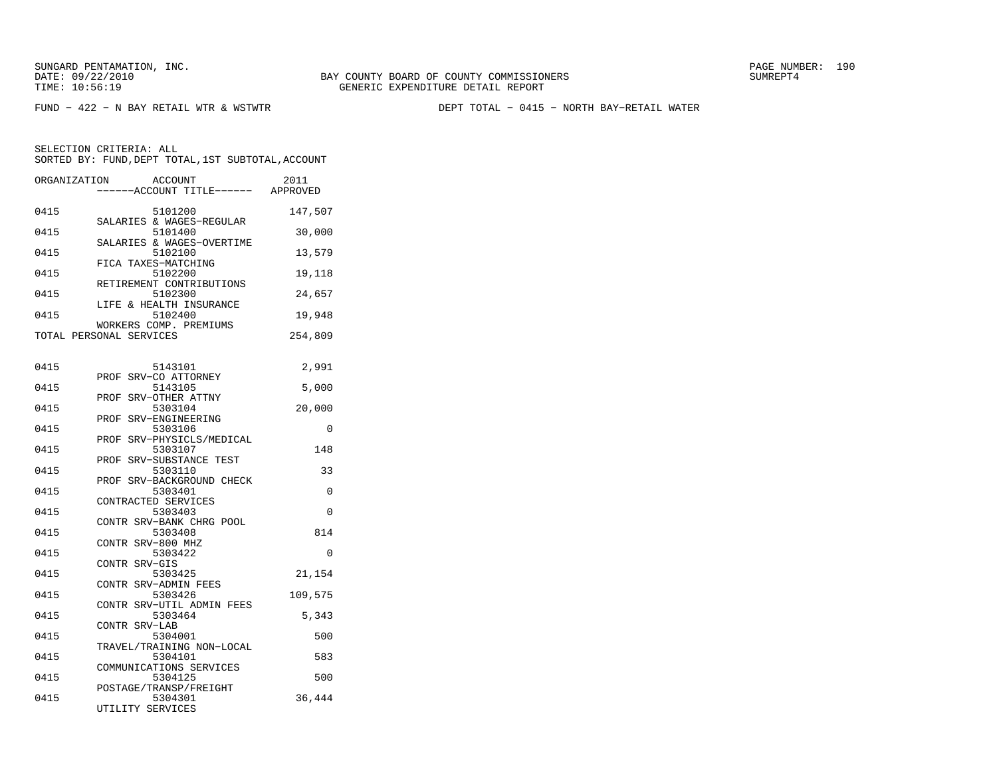FUND − 422 − N BAY RETAIL WTR & WSTWTR DEPT TOTAL − 0415 − NORTH BAY−RETAIL WATER

| ORGANIZATION | ACCOUNT<br>----ACCOUNT TITLE------ APPROVED           | 2011     |
|--------------|-------------------------------------------------------|----------|
| 0415         | 5101200<br>SALARIES & WAGES-REGULAR                   | 147,507  |
| 0415         | 5101400                                               | 30,000   |
| 0415         | SALARIES & WAGES-OVERTIME<br>5102100                  | 13,579   |
| 0415         | FICA TAXES-MATCHING<br>5102200                        | 19,118   |
| 0415         | RETIREMENT CONTRIBUTIONS<br>5102300                   | 24,657   |
| 0415         | LIFE & HEALTH INSURANCE<br>5102400                    | 19,948   |
|              | WORKERS COMP. PREMIUMS<br>TOTAL PERSONAL SERVICES     | 254,809  |
| 0415         | 5143101                                               | 2,991    |
| 0415         | PROF SRV-CO ATTORNEY<br>5143105                       | 5,000    |
| 0415         | PROF SRV-OTHER ATTNY<br>5303104                       | 20,000   |
| 0415         | PROF<br>SRV-ENGINEERING<br>5303106                    | 0        |
| 0415         | PROF SRV-PHYSICLS/MEDICAL<br>5303107                  | 148      |
| 0415         | PROF SRV-SUBSTANCE TEST<br>5303110                    | 33       |
| 0415         | PROF SRV-BACKGROUND CHECK<br>5303401                  | 0        |
| 0415         | CONTRACTED SERVICES<br>5303403                        | $\Omega$ |
| 0415         | CONTR SRV-BANK CHRG POOL<br>5303408                   | 814      |
| 0415         | CONTR SRV-800 MHZ<br>5303422                          | $\Omega$ |
| 0415         | CONTR SRV-GIS<br>5303425                              | 21,154   |
| 0415         | CONTR SRV-ADMIN FEES<br>5303426                       | 109,575  |
| 0415         | CONTR SRV-UTIL ADMIN FEES<br>5303464                  | 5,343    |
| 0415         | CONTR SRV-LAB<br>5304001                              | 500      |
| 0415         | TRAVEL/TRAINING NON-LOCAL<br>5304101                  | 583      |
| 0415         | COMMUNICATIONS SERVICES<br>5304125                    | 500      |
| 0415         | POSTAGE/TRANSP/FREIGHT<br>5304301<br>UTILITY SERVICES | 36,444   |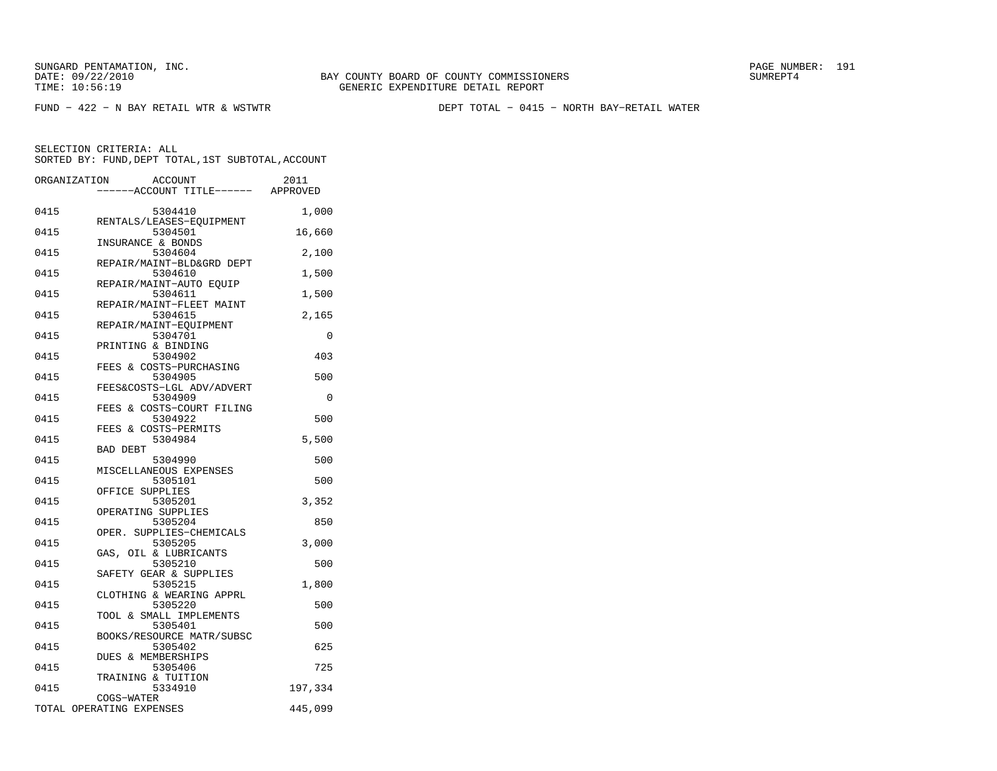FUND − 422 − N BAY RETAIL WTR & WSTWTR DEPT TOTAL − 0415 − NORTH BAY−RETAIL WATER

|      | ORGANIZATION<br><b>ACCOUNT</b><br>------ACCOUNT TITLE------ APPROVED | 2011    |
|------|----------------------------------------------------------------------|---------|
| 0415 | 5304410                                                              | 1,000   |
| 0415 | RENTALS/LEASES-EOUIPMENT<br>5304501                                  | 16,660  |
| 0415 | INSURANCE & BONDS<br>5304604                                         | 2,100   |
| 0415 | REPAIR/MAINT-BLD&GRD DEPT<br>5304610                                 | 1,500   |
| 0415 | REPAIR/MAINT-AUTO EQUIP<br>5304611                                   | 1,500   |
| 0415 | REPAIR/MAINT-FLEET MAINT<br>5304615                                  | 2,165   |
| 0415 | REPAIR/MAINT-EOUIPMENT<br>5304701                                    | 0       |
| 0415 | PRINTING & BINDING<br>5304902<br>FEES & COSTS-PURCHASING             | 403     |
| 0415 | 5304905<br>FEES&COSTS-LGL ADV/ADVERT                                 | 500     |
| 0415 | 5304909<br>FEES & COSTS-COURT FILING                                 | 0       |
| 0415 | 5304922<br>FEES & COSTS-PERMITS                                      | 500     |
| 0415 | 5304984<br><b>BAD DEBT</b>                                           | 5,500   |
| 0415 | 5304990<br>MISCELLANEOUS EXPENSES                                    | 500     |
| 0415 | 5305101<br>OFFICE SUPPLIES                                           | 500     |
| 0415 | 5305201<br>OPERATING SUPPLIES                                        | 3,352   |
| 0415 | 5305204<br>OPER. SUPPLIES-CHEMICALS                                  | 850     |
| 0415 | 5305205<br>GAS, OIL & LUBRICANTS                                     | 3,000   |
| 0415 | 5305210<br>SAFETY GEAR & SUPPLIES                                    | 500     |
| 0415 | 5305215<br>CLOTHING & WEARING APPRL                                  | 1,800   |
| 0415 | 5305220<br>TOOL & SMALL IMPLEMENTS                                   | 500     |
| 0415 | 5305401<br>BOOKS/RESOURCE MATR/SUBSC                                 | 500     |
| 0415 | 5305402<br>DUES & MEMBERSHIPS                                        | 625     |
| 0415 | 5305406<br>TRAINING & TUITION                                        | 725     |
| 0415 | 5334910<br>COGS-WATER                                                | 197,334 |
|      | TOTAL OPERATING EXPENSES                                             | 445,099 |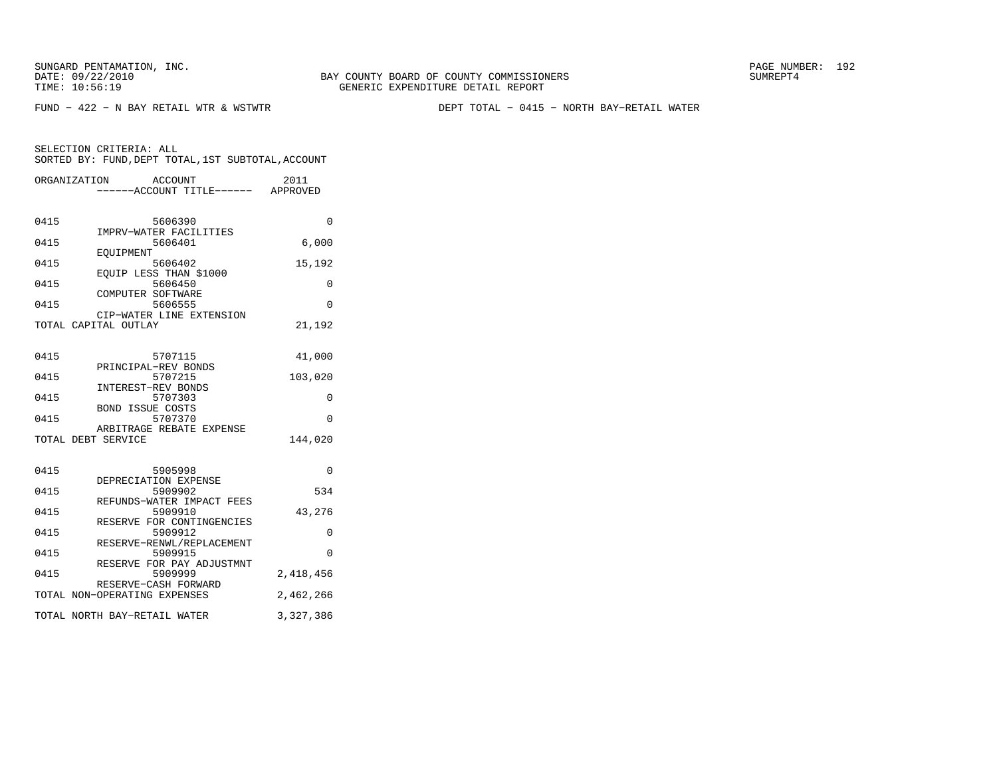BAY COUNTY BOARD OF COUNTY COMMISSIONERS TIME: 10:56:19 GENERIC EXPENDITURE DETAIL REPORT

FUND − 422 − N BAY RETAIL WTR & WSTWTR DEPT TOTAL − 0415 − NORTH BAY−RETAIL WATER

|      | ORGANIZATION<br><b>ACCOUNT</b><br>----ACCOUNT TITLE------ APPROVED | 2011      |
|------|--------------------------------------------------------------------|-----------|
| 0415 | 5606390<br>IMPRV-WATER FACILITIES                                  | $\Omega$  |
| 0415 | 5606401                                                            | 6,000     |
| 0415 | EOUIPMENT<br>5606402                                               | 15,192    |
| 0415 | EQUIP LESS THAN \$1000<br>5606450                                  | 0         |
| 0415 | COMPUTER SOFTWARE<br>5606555                                       | $\Omega$  |
|      | CIP-WATER LINE EXTENSION<br>TOTAL CAPITAL OUTLAY                   | 21,192    |
| 0415 | 5707115                                                            | 41,000    |
| 0415 | PRINCIPAL-REV BONDS<br>5707215                                     | 103,020   |
| 0415 | INTEREST-REV BONDS<br>5707303                                      | 0         |
| 0415 | <b>BOND ISSUE COSTS</b><br>5707370                                 | $\Omega$  |
|      | ARBITRAGE REBATE EXPENSE<br>TOTAL DEBT SERVICE                     | 144,020   |
|      |                                                                    |           |
| 0415 | 5905998<br>DEPRECIATION EXPENSE                                    | $\Omega$  |
| 0415 | 5909902<br>REFUNDS-WATER IMPACT FEES                               | 534       |
| 0415 | 5909910<br>RESERVE FOR CONTINGENCIES                               | 43,276    |
| 0415 | 5909912<br>RESERVE-RENWL/REPLACEMENT                               | $\Omega$  |
| 0415 | 5909915<br>RESERVE FOR PAY ADJUSTMNT                               | $\Omega$  |
| 0415 | 5909999<br>RESERVE-CASH FORWARD                                    | 2,418,456 |
|      | TOTAL NON-OPERATING EXPENSES                                       | 2,462,266 |
|      | TOTAL NORTH BAY-RETAIL WATER                                       | 3,327,386 |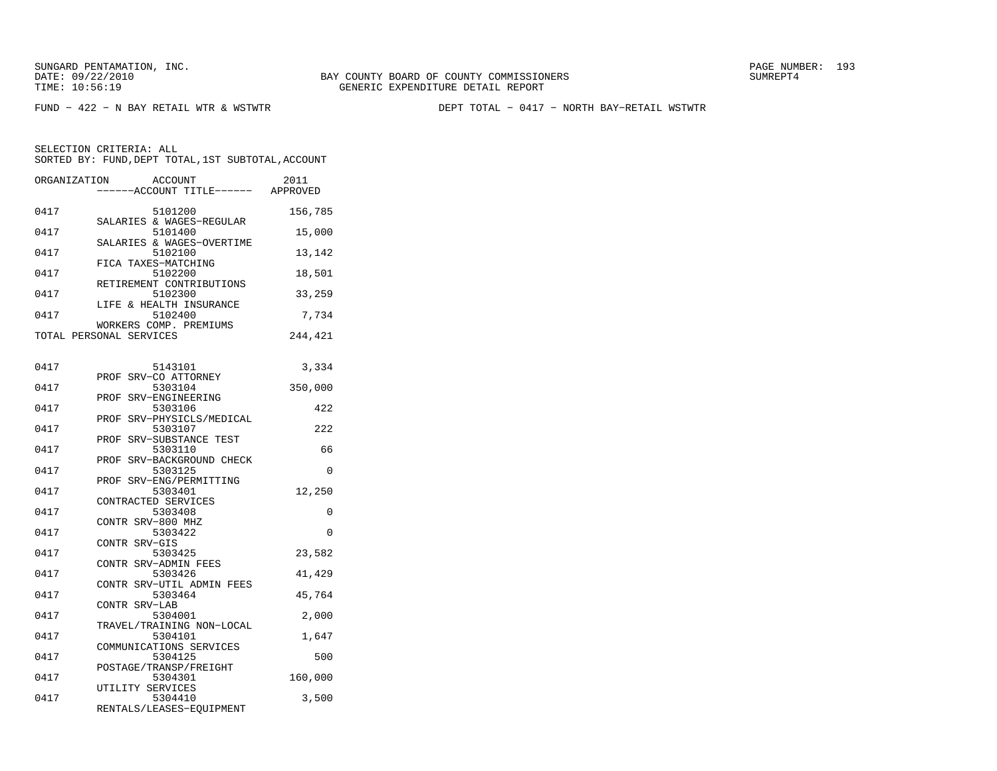FUND − 422 − N BAY RETAIL WTR & WSTWTR DEPT TOTAL − 0417 − NORTH BAY−RETAIL WSTWTR

| ORGANIZATION | ACCOUNT<br>---ACCOUNT TITLE------ APPROVED | 2011     |
|--------------|--------------------------------------------|----------|
| 0417         | 5101200<br>SALARIES & WAGES-REGULAR        | 156,785  |
| 0417         | 5101400                                    | 15,000   |
| 0417         | SALARIES & WAGES-OVERTIME<br>5102100       | 13,142   |
| 0417         | FICA TAXES-MATCHING<br>5102200             | 18,501   |
| 0417         | RETIREMENT CONTRIBUTIONS<br>5102300        | 33,259   |
| 0417         | LIFE & HEALTH INSURANCE<br>5102400         | 7,734    |
|              | WORKERS COMP. PREMIUMS                     |          |
|              | TOTAL PERSONAL SERVICES                    | 244,421  |
|              |                                            |          |
| 0417         | 5143101                                    | 3,334    |
| 0417         | SRV-CO ATTORNEY<br>PROF<br>5303104         | 350,000  |
|              | SRV-ENGINEERING<br>PROF                    |          |
| 0417         | 5303106                                    | 422      |
|              | SRV-PHYSICLS/MEDICAL<br>PROF               |          |
| 0417         | 5303107                                    | 222      |
|              | PROF<br>SRV-SUBSTANCE TEST                 |          |
| 0417         | 5303110<br>SRV-BACKGROUND CHECK<br>PROF    | 66       |
| 0417         | 5303125                                    | $\Omega$ |
|              | PROF SRV-ENG/PERMITTING                    |          |
| 0417         | 5303401                                    | 12,250   |
|              | CONTRACTED SERVICES                        |          |
| 0417         | 5303408                                    | 0        |
|              | CONTR SRV-800 MHZ                          |          |
| 0417         | 5303422<br>CONTR SRV-GIS                   | $\Omega$ |
| 0417         | 5303425                                    | 23,582   |
|              | CONTR SRV-ADMIN FEES                       |          |
| 0417         | 5303426                                    | 41,429   |
|              | CONTR SRV-UTIL ADMIN FEES                  |          |
| 0417         | 5303464                                    | 45,764   |
| 0417         | CONTR SRV-LAB<br>5304001                   | 2,000    |
|              | TRAVEL/TRAINING NON-LOCAL                  |          |
| 0417         | 5304101                                    | 1,647    |
|              | COMMUNICATIONS SERVICES                    |          |
| 0417         | 5304125                                    | 500      |
|              | POSTAGE/TRANSP/FREIGHT                     |          |
| 0417         | 5304301                                    | 160,000  |
| 0417         | UTILITY SERVICES<br>5304410                | 3,500    |
|              | RENTALS/LEASES-EQUIPMENT                   |          |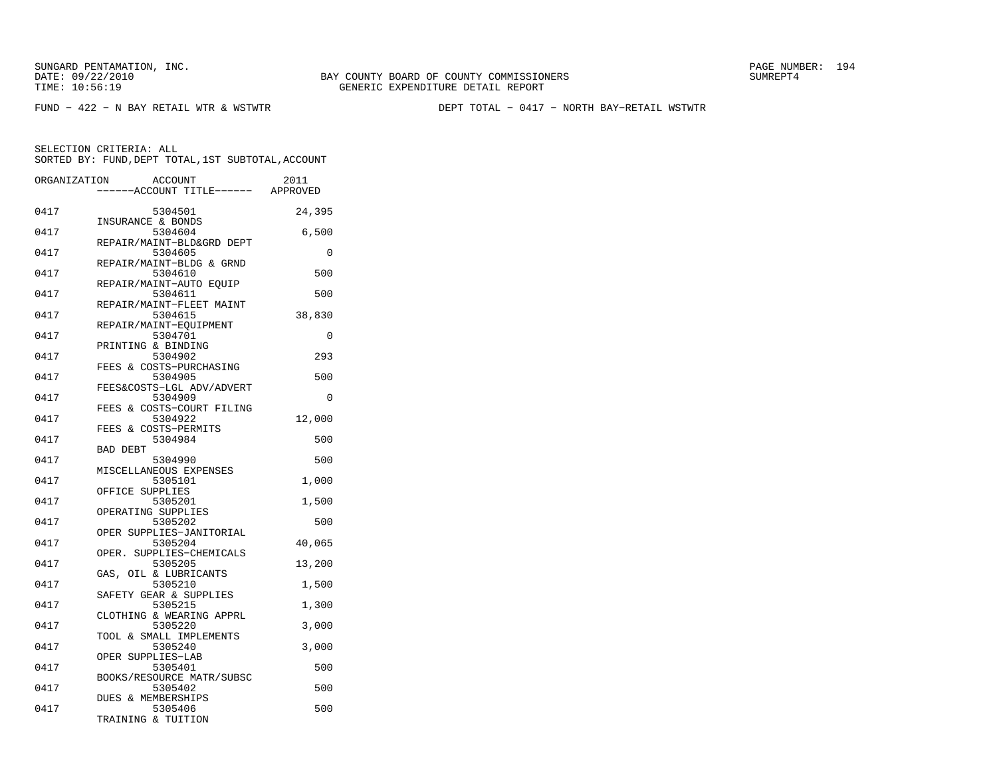SUNGARD PENTAMATION, INC.<br>DATE: 09/22/2010 SUMRER: 194

FUND − 422 − N BAY RETAIL WTR & WSTWTR DEPT TOTAL − 0417 − NORTH BAY−RETAIL WSTWTR

| 0417<br>5304501<br>24,395<br>INSURANCE & BONDS<br>0417<br>5304604<br>6,500<br>REPAIR/MAINT-BLD&GRD DEPT<br>0417<br>5304605<br>0<br>REPAIR/MAINT-BLDG & GRND<br>0417<br>5304610<br>500<br>REPAIR/MAINT-AUTO EOUIP<br>0417<br>5304611<br>500<br>REPAIR/MAINT-FLEET MAINT<br>0417<br>5304615<br>38,830<br>REPAIR/MAINT-EOUIPMENT<br>0417<br>5304701<br>$\Omega$<br>PRINTING & BINDING<br>0417<br>5304902<br>293<br>FEES & COSTS-PURCHASING<br>0417<br>5304905<br>500<br>FEES&COSTS-LGL ADV/ADVERT |  |
|------------------------------------------------------------------------------------------------------------------------------------------------------------------------------------------------------------------------------------------------------------------------------------------------------------------------------------------------------------------------------------------------------------------------------------------------------------------------------------------------|--|
|                                                                                                                                                                                                                                                                                                                                                                                                                                                                                                |  |
|                                                                                                                                                                                                                                                                                                                                                                                                                                                                                                |  |
|                                                                                                                                                                                                                                                                                                                                                                                                                                                                                                |  |
|                                                                                                                                                                                                                                                                                                                                                                                                                                                                                                |  |
|                                                                                                                                                                                                                                                                                                                                                                                                                                                                                                |  |
|                                                                                                                                                                                                                                                                                                                                                                                                                                                                                                |  |
|                                                                                                                                                                                                                                                                                                                                                                                                                                                                                                |  |
|                                                                                                                                                                                                                                                                                                                                                                                                                                                                                                |  |
|                                                                                                                                                                                                                                                                                                                                                                                                                                                                                                |  |
| 0417<br>5304909<br>$\Omega$                                                                                                                                                                                                                                                                                                                                                                                                                                                                    |  |
| FEES & COSTS-COURT FILING<br>0417<br>5304922<br>12,000                                                                                                                                                                                                                                                                                                                                                                                                                                         |  |
| FEES & COSTS-PERMITS<br>0417<br>5304984<br>500                                                                                                                                                                                                                                                                                                                                                                                                                                                 |  |
| <b>BAD DEBT</b><br>5304990<br>0417<br>500                                                                                                                                                                                                                                                                                                                                                                                                                                                      |  |
| MISCELLANEOUS EXPENSES<br>0417<br>5305101<br>1,000                                                                                                                                                                                                                                                                                                                                                                                                                                             |  |
| OFFICE SUPPLIES<br>0417<br>5305201<br>1,500                                                                                                                                                                                                                                                                                                                                                                                                                                                    |  |
| OPERATING SUPPLIES<br>0417<br>5305202<br>500                                                                                                                                                                                                                                                                                                                                                                                                                                                   |  |
| OPER SUPPLIES-JANITORIAL<br>0417<br>40,065<br>5305204                                                                                                                                                                                                                                                                                                                                                                                                                                          |  |
| OPER.<br>SUPPLIES-CHEMICALS<br>0417<br>5305205<br>13,200                                                                                                                                                                                                                                                                                                                                                                                                                                       |  |
| GAS, OIL & LUBRICANTS<br>0417<br>5305210<br>1,500                                                                                                                                                                                                                                                                                                                                                                                                                                              |  |
| SAFETY GEAR & SUPPLIES<br>0417<br>5305215<br>1,300                                                                                                                                                                                                                                                                                                                                                                                                                                             |  |
| CLOTHING & WEARING APPRL<br>0417<br>5305220<br>3,000                                                                                                                                                                                                                                                                                                                                                                                                                                           |  |
| TOOL & SMALL IMPLEMENTS<br>0417<br>5305240<br>3,000                                                                                                                                                                                                                                                                                                                                                                                                                                            |  |
| OPER SUPPLIES-LAB<br>0417<br>5305401<br>500                                                                                                                                                                                                                                                                                                                                                                                                                                                    |  |
| BOOKS/RESOURCE MATR/SUBSC<br>0417<br>5305402<br>500                                                                                                                                                                                                                                                                                                                                                                                                                                            |  |
| <b>DUES &amp; MEMBERSHIPS</b><br>0417<br>5305406<br>500<br>TRAINING & TUITION                                                                                                                                                                                                                                                                                                                                                                                                                  |  |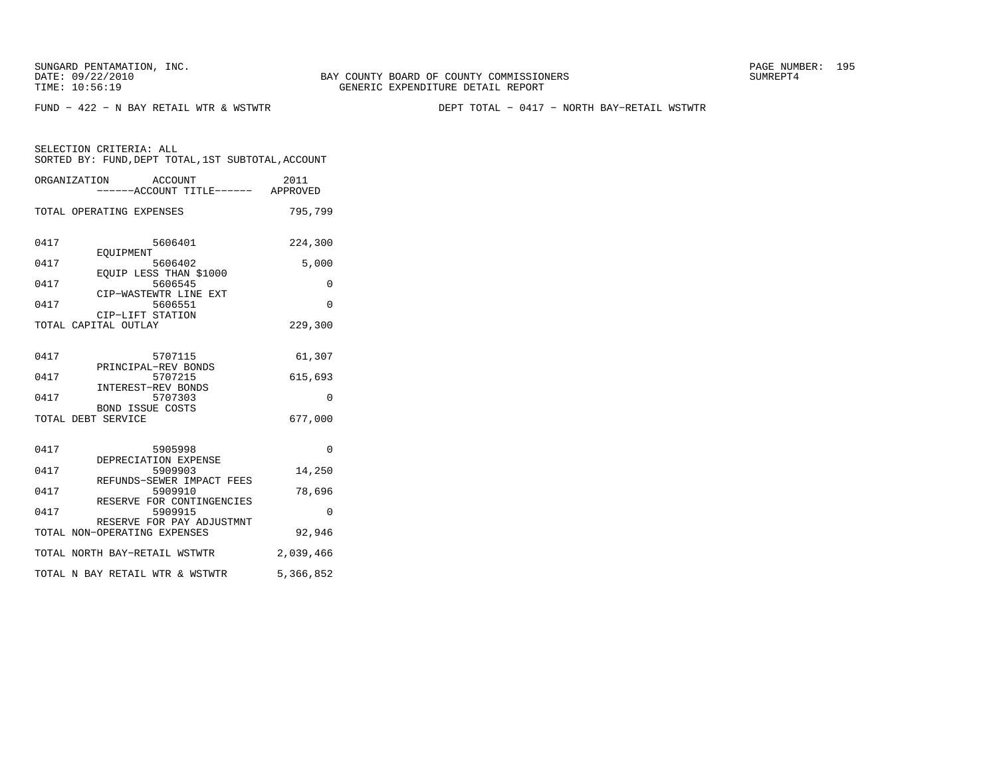FUND − 422 − N BAY RETAIL WTR & WSTWTR DEPT TOTAL − 0417 − NORTH BAY−RETAIL WSTWTR

|      | ORGANIZATION ACCOUNT<br>------ACCOUNT TITLE------ APPROVED        | 2011      |
|------|-------------------------------------------------------------------|-----------|
|      | TOTAL OPERATING EXPENSES                                          | 795,799   |
| 0417 | 5606401<br>EOUIPMENT                                              | 224,300   |
| 0417 | 5606402                                                           | 5,000     |
| 0417 | EQUIP LESS THAN \$1000<br>5606545<br>CIP-WASTEWTR LINE EXT        | $\Omega$  |
| 0417 | 5606551                                                           | $\Omega$  |
|      | CIP-LIFT STATION<br>TOTAL CAPITAL OUTLAY                          | 229,300   |
| 0417 | 5707115<br>PRINCIPAL-REV BONDS                                    | 61,307    |
| 0417 | 5707215                                                           | 615,693   |
| 0417 | INTEREST-REV BONDS<br>5707303<br><b>BOND ISSUE COSTS</b>          | 0         |
|      | TOTAL DEBT SERVICE                                                | 677,000   |
| 0417 | 5905998<br>DEPRECIATION EXPENSE                                   | 0         |
| 0417 | 5909903                                                           | 14,250    |
| 0417 | REFUNDS-SEWER IMPACT FEES<br>5909910<br>RESERVE FOR CONTINGENCIES | 78,696    |
| 0417 | 5909915                                                           | $\Omega$  |
|      | RESERVE FOR PAY ADJUSTMNT<br>TOTAL NON-OPERATING EXPENSES         | 92,946    |
|      | TOTAL NORTH BAY-RETAIL WSTWTR                                     | 2,039,466 |
|      | TOTAL N BAY RETAIL WTR & WSTWTR                                   | 5,366,852 |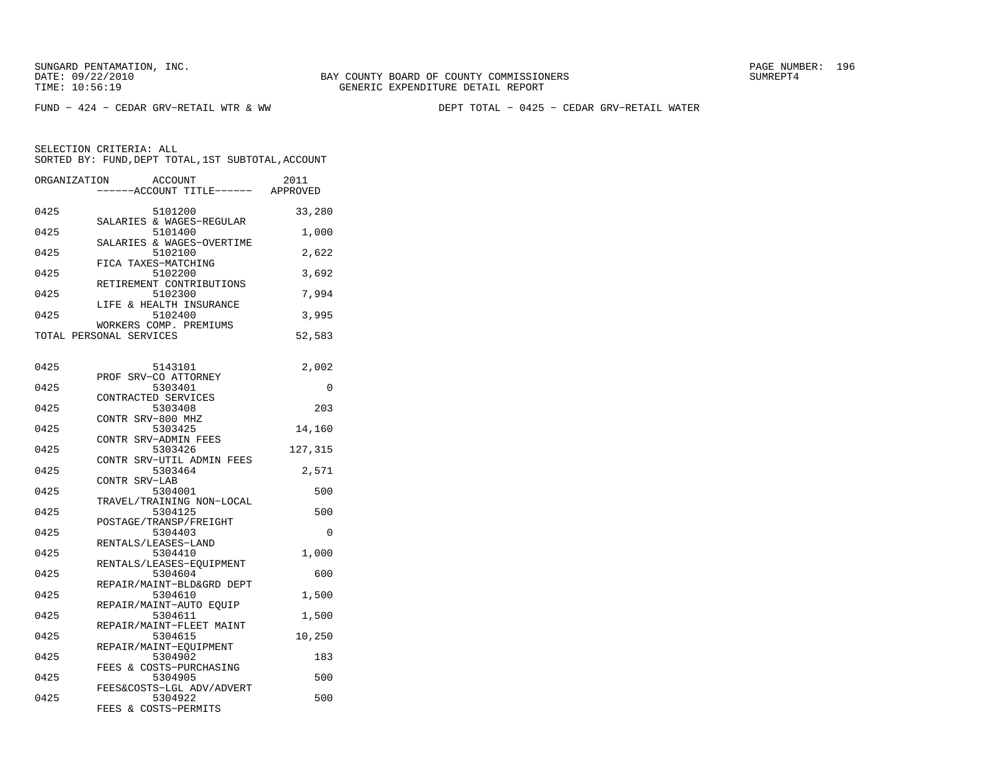FUND − 424 − CEDAR GRV−RETAIL WTR & WW DEPT TOTAL − 0425 − CEDAR GRV−RETAIL WATER

| ORGANIZATION | ACCOUNT<br>---ACCOUNT TITLE------ APPROVED                   | 2011     |
|--------------|--------------------------------------------------------------|----------|
| 0425         | 5101200<br>SALARIES & WAGES-REGULAR                          | 33,280   |
| 0425         | 5101400<br>SALARIES & WAGES-OVERTIME                         | 1,000    |
| 0425         | 5102100<br>FICA TAXES-MATCHING                               | 2,622    |
| 0425         | 5102200<br>RETIREMENT CONTRIBUTIONS                          | 3,692    |
| 0425         | 5102300<br>LIFE & HEALTH INSURANCE                           | 7,994    |
| 0425         | 5102400<br>WORKERS COMP. PREMIUMS                            | 3,995    |
|              | TOTAL PERSONAL SERVICES                                      | 52,583   |
| 0425         | 5143101                                                      | 2,002    |
| 0425         | PROF SRV-CO ATTORNEY<br>5303401                              | 0        |
| 0425         | CONTRACTED SERVICES<br>5303408                               | 203      |
| 0425         | CONTR SRV-800 MHZ<br>5303425                                 | 14,160   |
| 0425         | CONTR SRV-ADMIN FEES<br>5303426<br>CONTR SRV-UTIL ADMIN FEES | 127,315  |
| 0425         | 5303464<br>CONTR SRV-LAB                                     | 2,571    |
| 0425         | 5304001<br>TRAVEL/TRAINING NON-LOCAL                         | 500      |
| 0425         | 5304125<br>POSTAGE/TRANSP/FREIGHT                            | 500      |
| 0425         | 5304403<br>RENTALS/LEASES-LAND                               | $\Omega$ |
| 0425         | 5304410<br>RENTALS/LEASES-EQUIPMENT                          | 1,000    |
| 0425         | 5304604<br>REPAIR/MAINT-BLD&GRD DEPT                         | 600      |
| 0425         | 5304610<br>REPAIR/MAINT-AUTO EQUIP                           | 1,500    |
| 0425         | 5304611<br>REPAIR/MAINT-FLEET MAINT                          | 1,500    |
| 0425         | 5304615<br>REPAIR/MAINT-EQUIPMENT                            | 10,250   |
| 0425         | 5304902<br>FEES & COSTS-PURCHASING                           | 183      |
| 0425         | 5304905<br>FEES&COSTS-LGL ADV/ADVERT                         | 500      |
| 0425         | 5304922<br>FEES & COSTS-PERMITS                              | 500      |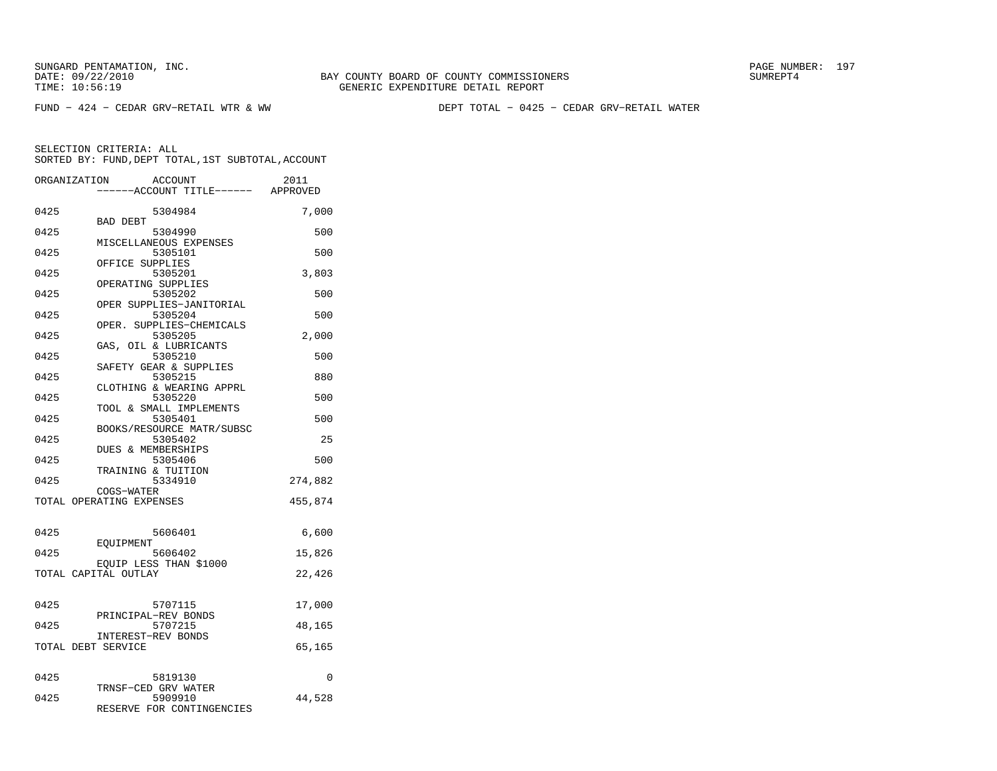FUND − 424 − CEDAR GRV−RETAIL WTR & WW DEPT TOTAL − 0425 − CEDAR GRV−RETAIL WATER

|      | ORGANIZATION<br><b>ACCOUNT</b><br>---ACCOUNT TITLE------ APPROVED | 2011     |
|------|-------------------------------------------------------------------|----------|
| 0425 | 5304984                                                           | 7,000    |
| 0425 | BAD DEBT<br>5304990                                               | 500      |
| 0425 | MISCELLANEOUS EXPENSES<br>5305101                                 | 500      |
| 0425 | OFFICE SUPPLIES<br>5305201<br>OPERATING SUPPLIES                  | 3,803    |
| 0425 | 5305202<br>OPER SUPPLIES-JANITORIAL                               | 500      |
| 0425 | 5305204<br>OPER. SUPPLIES-CHEMICALS                               | 500      |
| 0425 | 5305205                                                           | 2,000    |
| 0425 | GAS, OIL & LUBRICANTS<br>5305210<br>SAFETY GEAR & SUPPLIES        | 500      |
| 0425 | 5305215<br>CLOTHING & WEARING APPRL                               | 880      |
| 0425 | 5305220<br>TOOL & SMALL IMPLEMENTS                                | 500      |
| 0425 | 5305401<br>BOOKS/RESOURCE MATR/SUBSC                              | 500      |
| 0425 | 5305402<br>DUES & MEMBERSHIPS                                     | 25       |
| 0425 | 5305406<br>TRAINING & TUITION                                     | 500      |
| 0425 | 5334910<br>COGS-WATER                                             | 274,882  |
|      | TOTAL OPERATING EXPENSES                                          | 455,874  |
| 0425 | 5606401                                                           | 6,600    |
| 0425 | EOUIPMENT<br>5606402                                              | 15,826   |
|      | EQUIP LESS THAN \$1000<br>TOTAL CAPITAL OUTLAY                    | 22,426   |
|      |                                                                   |          |
| 0425 | 5707115<br>PRINCIPAL-REV BONDS                                    | 17,000   |
| 0425 | 5707215<br>INTEREST-REV BONDS                                     | 48,165   |
|      | TOTAL DEBT SERVICE                                                | 65,165   |
| 0425 | 5819130                                                           | $\Omega$ |
| 0425 | TRNSF-CED GRV WATER<br>5909910<br>RESERVE FOR CONTINGENCIES       | 44,528   |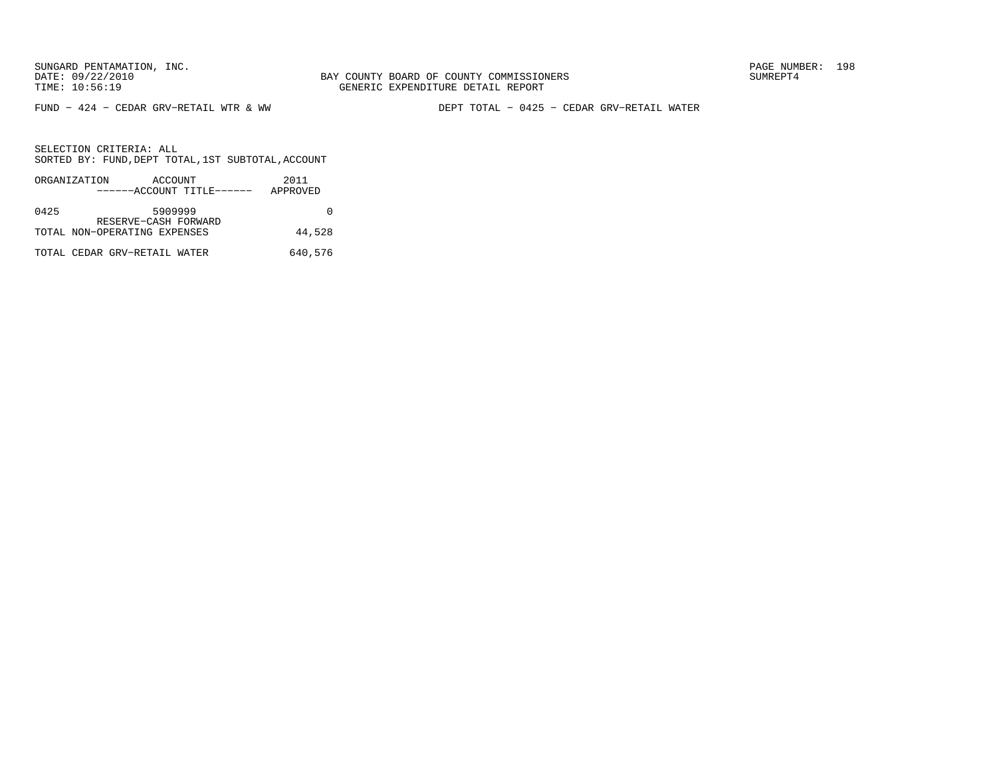FUND − 424 − CEDAR GRV−RETAIL WTR & WW DEPT TOTAL − 0425 − CEDAR GRV−RETAIL WATER

|      | ORGANIZATION | ACCOUNT                      |                           | 2011     |
|------|--------------|------------------------------|---------------------------|----------|
|      |              |                              | ------ACCOUNT TITLE------ | APPROVED |
|      |              |                              |                           |          |
| 0425 |              | 5909999                      |                           |          |
|      |              | RESERVE-CASH FORWARD         |                           |          |
|      |              | TOTAL NON-OPERATING EXPENSES |                           | 44,528   |
|      |              |                              |                           |          |
|      |              | TOTAL CEDAR GRV-RETAIL WATER |                           | 640,576  |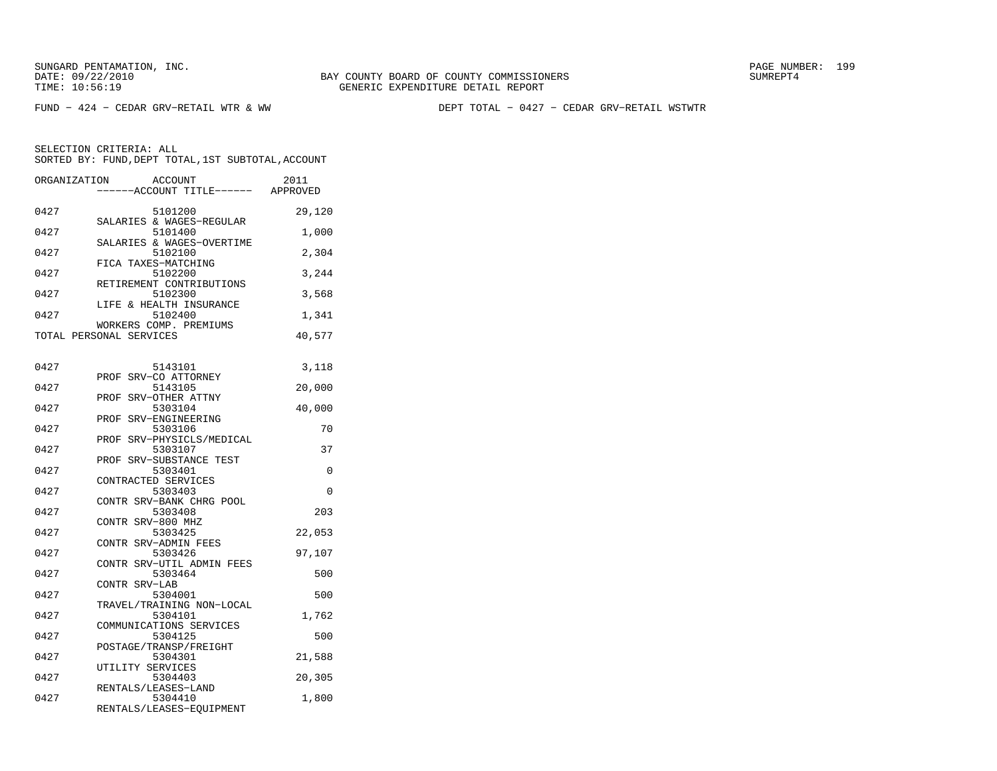SUNGARD PENTAMATION, INC.<br>DATE: 09/22/2010 SUMRER: 199

FUND − 424 − CEDAR GRV−RETAIL WTR & WW DEPT TOTAL − 0427 − CEDAR GRV−RETAIL WSTWTR

| ORGANIZATION | <b>ACCOUNT</b><br>---ACCOUNT TITLE------ APPROVED | 2011   |
|--------------|---------------------------------------------------|--------|
| 0427         | 5101200                                           | 29,120 |
| 0427         | SALARIES & WAGES-REGULAR<br>5101400               | 1,000  |
| 0427         | SALARIES & WAGES-OVERTIME<br>5102100              | 2,304  |
| 0427         | FICA TAXES-MATCHING<br>5102200                    | 3,244  |
| 0427         | RETIREMENT CONTRIBUTIONS<br>5102300               | 3,568  |
| 0427         | LIFE & HEALTH INSURANCE<br>5102400                | 1,341  |
|              | WORKERS COMP. PREMIUMS<br>TOTAL PERSONAL SERVICES | 40,577 |
|              |                                                   |        |
| 0427         | 5143101                                           | 3,118  |
| 0427         | PROF SRV-CO ATTORNEY<br>5143105                   | 20,000 |
| 0427         | SRV-OTHER ATTNY<br>PROF<br>5303104                | 40,000 |
| 0427         | SRV-ENGINEERING<br>PROF<br>5303106                | 70     |
| 0427         | SRV-PHYSICLS/MEDICAL<br>PROF<br>5303107           | 37     |
| 0427         | PROF SRV-SUBSTANCE TEST<br>5303401                | 0      |
| 0427         | CONTRACTED SERVICES<br>5303403                    | 0      |
| 0427         | CONTR SRV-BANK CHRG POOL<br>5303408               | 203    |
| 0427         | CONTR SRV-800 MHZ<br>5303425                      | 22,053 |
| 0427         | CONTR SRV-ADMIN FEES<br>5303426                   | 97,107 |
|              | CONTR SRV-UTIL ADMIN FEES                         |        |
| 0427         | 5303464<br>CONTR SRV-LAB                          | 500    |
| 0427         | 5304001<br>TRAVEL/TRAINING NON-LOCAL              | 500    |
| 0427         | 5304101<br>COMMUNICATIONS SERVICES                | 1,762  |
| 0427         | 5304125<br>POSTAGE/TRANSP/FREIGHT                 | 500    |
| 0427         | 5304301<br>UTILITY SERVICES                       | 21,588 |
| 0427         | 5304403<br>RENTALS/LEASES-LAND                    | 20,305 |
| 0427         | 5304410<br>RENTALS/LEASES-EQUIPMENT               | 1,800  |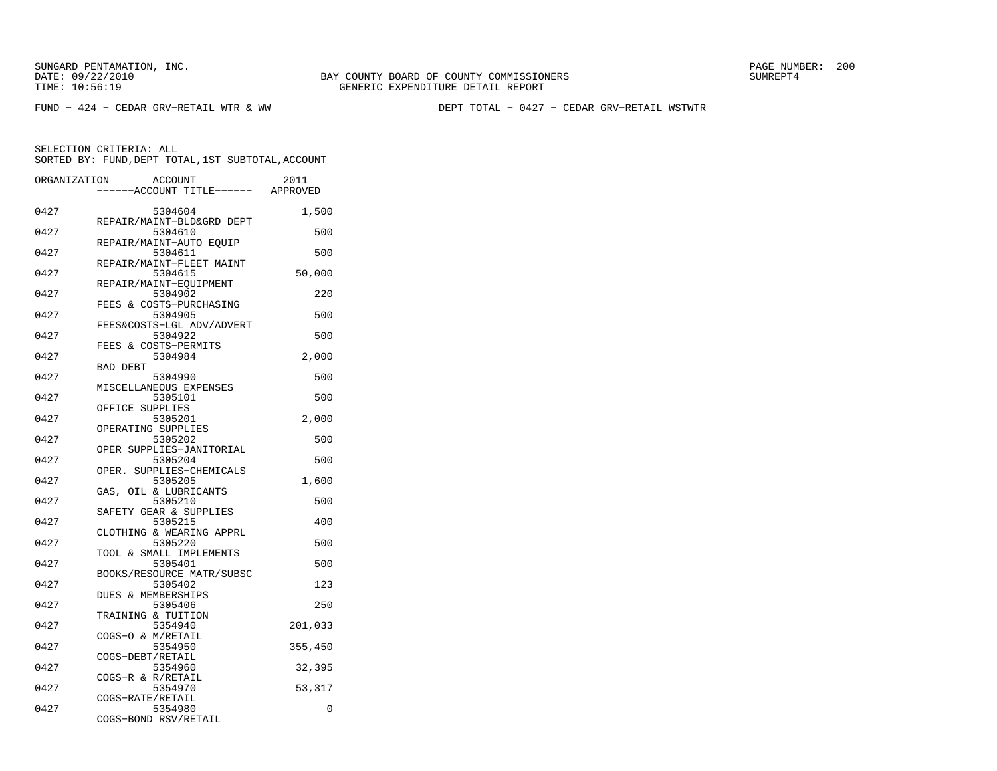FUND − 424 − CEDAR GRV−RETAIL WTR & WW DEPT TOTAL − 0427 − CEDAR GRV−RETAIL WSTWTR

SELECTION CRITERIA: ALL

SORTED BY: FUND, DEPT TOTAL, 1ST SUBTOTAL, ACCOUNT ORGANIZATION ACCOUNT 2011

| OTOLINI TOLI TOTA | <b>LICCOOTI</b><br>------ACCOUNT TITLE------ APPROVED | ----    |
|-------------------|-------------------------------------------------------|---------|
| 0427              | 5304604                                               | 1,500   |
| 0427              | REPAIR/MAINT-BLD&GRD DEPT<br>5304610                  | 500     |
| 0427              | REPAIR/MAINT-AUTO EQUIP<br>5304611                    | 500     |
| 0427              | REPAIR/MAINT-FLEET MAINT<br>5304615                   | 50,000  |
| 0427              | REPAIR/MAINT-EQUIPMENT<br>5304902                     | 220     |
| 0427              | FEES & COSTS-PURCHASING<br>5304905                    | 500     |
| 0427              | FEES&COSTS-LGL ADV/ADVERT<br>5304922                  | 500     |
| 0427              | FEES & COSTS-PERMITS<br>5304984                       | 2,000   |
| 0427              | <b>BAD DEBT</b><br>5304990                            | 500     |
| 0427              | MISCELLANEOUS EXPENSES<br>5305101                     | 500     |
| 0427              | OFFICE SUPPLIES<br>5305201                            | 2,000   |
| 0427              | OPERATING SUPPLIES<br>5305202                         | 500     |
| 0427              | OPER SUPPLIES-JANITORIAL<br>5305204                   | 500     |
| 0427              | OPER. SUPPLIES-CHEMICALS<br>5305205                   | 1,600   |
| 0427              | GAS, OIL & LUBRICANTS<br>5305210                      | 500     |
| 0427              | SAFETY GEAR & SUPPLIES<br>5305215                     | 400     |
| 0427              | CLOTHING & WEARING APPRL<br>5305220                   | 500     |
| 0427              | TOOL & SMALL IMPLEMENTS<br>5305401                    | 500     |
| 0427              | BOOKS/RESOURCE MATR/SUBSC<br>5305402                  | 123     |
| 0427              | DUES & MEMBERSHIPS<br>5305406                         | 250     |
| 0427              | TRAINING & TUITION<br>5354940                         | 201,033 |
| 0427              | COGS-O & M/RETAIL<br>5354950                          | 355,450 |
| 0427              | COGS-DEBT/RETAIL<br>5354960                           | 32,395  |
| 0427              | COGS-R & R/RETAIL<br>5354970                          | 53,317  |
| 0427              | COGS-RATE/RETAIL<br>5354980                           | 0       |
|                   | COGS-BOND RSV/RETAIL                                  |         |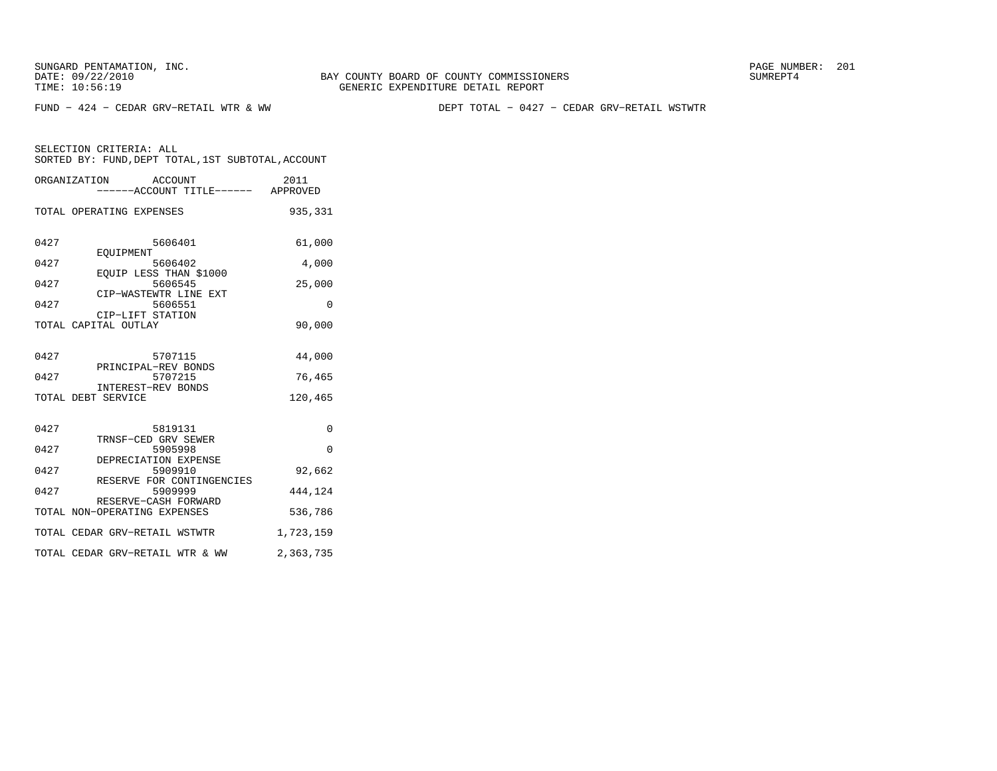FUND − 424 − CEDAR GRV−RETAIL WTR & WW DEPT TOTAL − 0427 − CEDAR GRV−RETAIL WSTWTR

|      | ORGANIZATION ACCOUNT<br>------ACCOUNT TITLE------ APPROVED | 2011      |
|------|------------------------------------------------------------|-----------|
|      | TOTAL OPERATING EXPENSES                                   | 935,331   |
| 0427 | 5606401<br>EOUIPMENT                                       | 61,000    |
| 0427 | 5606402                                                    | 4,000     |
| 0427 | EQUIP LESS THAN \$1000<br>5606545<br>CIP-WASTEWTR LINE EXT | 25,000    |
| 0427 | 5606551                                                    | 0         |
|      | CIP-LIFT STATION<br>TOTAL CAPITAL OUTLAY                   | 90,000    |
| 0427 | 5707115<br>PRINCIPAL-REV BONDS                             | 44,000    |
| 0427 | 5707215                                                    | 76,465    |
|      | INTEREST-REV BONDS<br>TOTAL DEBT SERVICE                   | 120,465   |
| 0427 | 5819131                                                    | 0         |
| 0427 | TRNSF-CED GRV SEWER<br>5905998                             | $\Omega$  |
| 0427 | DEPRECIATION EXPENSE<br>5909910                            | 92,662    |
| 0427 | RESERVE FOR CONTINGENCIES<br>5909999                       | 444,124   |
|      | RESERVE-CASH FORWARD<br>TOTAL NON-OPERATING EXPENSES       | 536,786   |
|      | TOTAL CEDAR GRV-RETAIL WSTWTR                              | 1,723,159 |
|      | TOTAL CEDAR GRV-RETAIL WTR & WW                            | 2,363,735 |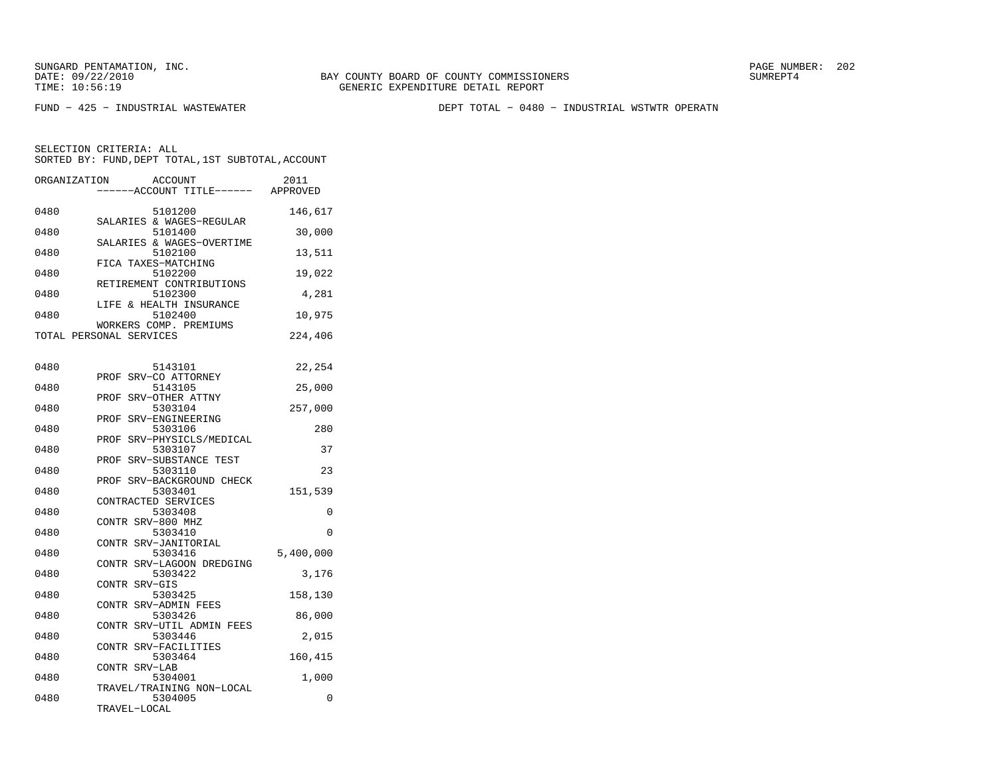FUND − 425 − INDUSTRIAL WASTEWATER DEPT TOTAL − 0480 − INDUSTRIAL WSTWTR OPERATN

| ORGANIZATION |                         | <b>ACCOUNT</b><br>---ACCOUNT TITLE------ | 2011<br>APPROVED |
|--------------|-------------------------|------------------------------------------|------------------|
| 0480         |                         | 5101200<br>SALARIES & WAGES-REGULAR      | 146,617          |
| 0480         |                         | 5101400                                  | 30,000           |
| 0480         |                         | SALARIES & WAGES-OVERTIME<br>5102100     | 13,511           |
| 0480         |                         | FICA TAXES-MATCHING<br>5102200           | 19,022           |
| 0480         |                         | RETIREMENT CONTRIBUTIONS<br>5102300      | 4,281            |
| 0480         |                         | LIFE & HEALTH INSURANCE<br>5102400       | 10,975           |
|              | TOTAL PERSONAL SERVICES | WORKERS COMP. PREMIUMS                   | 224,406          |
|              |                         |                                          |                  |
| 0480         | PROF                    | 5143101<br>SRV-CO ATTORNEY               | 22,254           |
| 0480         | PROF                    | 5143105<br>SRV-OTHER ATTNY               | 25,000           |
| 0480         |                         | 5303104                                  | 257,000          |
| 0480         | PROF                    | SRV-ENGINEERING<br>5303106               | 280              |
| 0480         | PROF                    | SRV-PHYSICLS/MEDICAL<br>5303107          | 37               |
| 0480         | PROF                    | SRV-SUBSTANCE TEST<br>5303110            | 23               |
| 0480         |                         | PROF SRV-BACKGROUND CHECK<br>5303401     | 151,539          |
| 0480         |                         | CONTRACTED SERVICES<br>5303408           | 0                |
| 0480         | CONTR SRV-800 MHZ       | 5303410                                  | $\Omega$         |
| 0480         |                         | CONTR SRV-JANITORIAL<br>5303416          |                  |
|              |                         | CONTR SRV-LAGOON DREDGING                | 5,400,000        |
| 0480         | CONTR SRV-GIS           | 5303422                                  | 3,176            |
| 0480         | CONTR                   | 5303425<br>SRV-ADMIN FEES                | 158,130          |
| 0480         |                         | 5303426<br>CONTR SRV-UTIL ADMIN FEES     | 86,000           |
| 0480         |                         | 5303446<br>CONTR SRV-FACILITIES          | 2,015            |
| 0480         |                         | 5303464                                  | 160,415          |
| 0480         | CONTR SRV-LAB           | 5304001                                  | 1,000            |
| 0480         |                         | TRAVEL/TRAINING NON-LOCAL<br>5304005     | 0                |
|              | TRAVEL-LOCAL            |                                          |                  |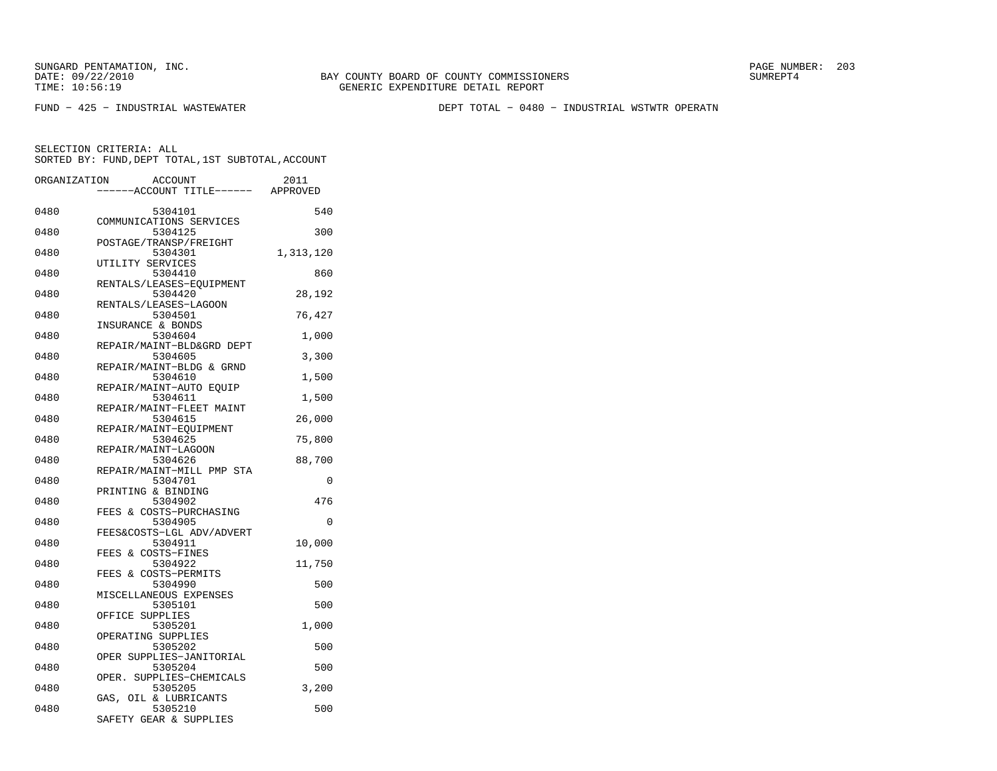SUNGARD PENTAMATION, INC.<br>DATE: 09/22/2010 SUMRER: 203

FUND − 425 − INDUSTRIAL WASTEWATER DEPT TOTAL − 0480 − INDUSTRIAL WSTWTR OPERATN

| ORGANIZATION<br><b>ACCOUNT</b><br>---ACCOUNT TITLE------ APPROVED | 2011      |
|-------------------------------------------------------------------|-----------|
| 0480<br>5304101                                                   | 540       |
| COMMUNICATIONS SERVICES                                           |           |
| 0480<br>5304125<br>POSTAGE/TRANSP/FREIGHT                         | 300       |
| 0480<br>5304301<br>UTILITY SERVICES                               | 1,313,120 |
| 0480<br>5304410                                                   | 860       |
| RENTALS/LEASES-EQUIPMENT<br>0480<br>5304420                       | 28,192    |
| RENTALS/LEASES-LAGOON                                             |           |
| 0480<br>5304501<br>INSURANCE & BONDS                              | 76,427    |
| 0480<br>5304604                                                   | 1,000     |
| REPAIR/MAINT-BLD&GRD DEPT<br>0480<br>5304605                      | 3,300     |
| REPAIR/MAINT-BLDG & GRND                                          |           |
| 0480<br>5304610                                                   | 1,500     |
| REPAIR/MAINT-AUTO EQUIP<br>0480<br>5304611                        | 1,500     |
| REPAIR/MAINT-FLEET MAINT                                          |           |
| 0480<br>5304615<br>REPAIR/MAINT-EOUIPMENT                         | 26,000    |
| 0480<br>5304625                                                   | 75,800    |
| REPAIR/MAINT-LAGOON<br>5304626<br>0480                            | 88,700    |
| REPAIR/MAINT-MILL PMP STA                                         |           |
| 0480<br>5304701<br>PRINTING & BINDING                             | $\Omega$  |
| 0480<br>5304902                                                   | 476       |
| FEES & COSTS-PURCHASING                                           |           |
| 0480<br>5304905<br>FEES&COSTS-LGL ADV/ADVERT                      | 0         |
| 5304911<br>0480                                                   | 10,000    |
| FEES & COSTS-FINES<br>0480<br>5304922                             | 11,750    |
| FEES & COSTS-PERMITS                                              |           |
| 0480<br>5304990<br>MISCELLANEOUS EXPENSES                         | 500       |
| 0480<br>5305101                                                   | 500       |
| OFFICE SUPPLIES<br>0480<br>5305201                                | 1,000     |
| OPERATING SUPPLIES                                                |           |
| 0480<br>5305202                                                   | 500       |
| OPER SUPPLIES-JANITORIAL<br>5305204<br>0480                       | 500       |
| SUPPLIES-CHEMICALS<br>OPER.                                       |           |
| 5305205<br>0480<br>GAS, OIL & LUBRICANTS                          | 3,200     |
| 0480<br>5305210<br>SAFETY GEAR & SUPPLIES                         | 500       |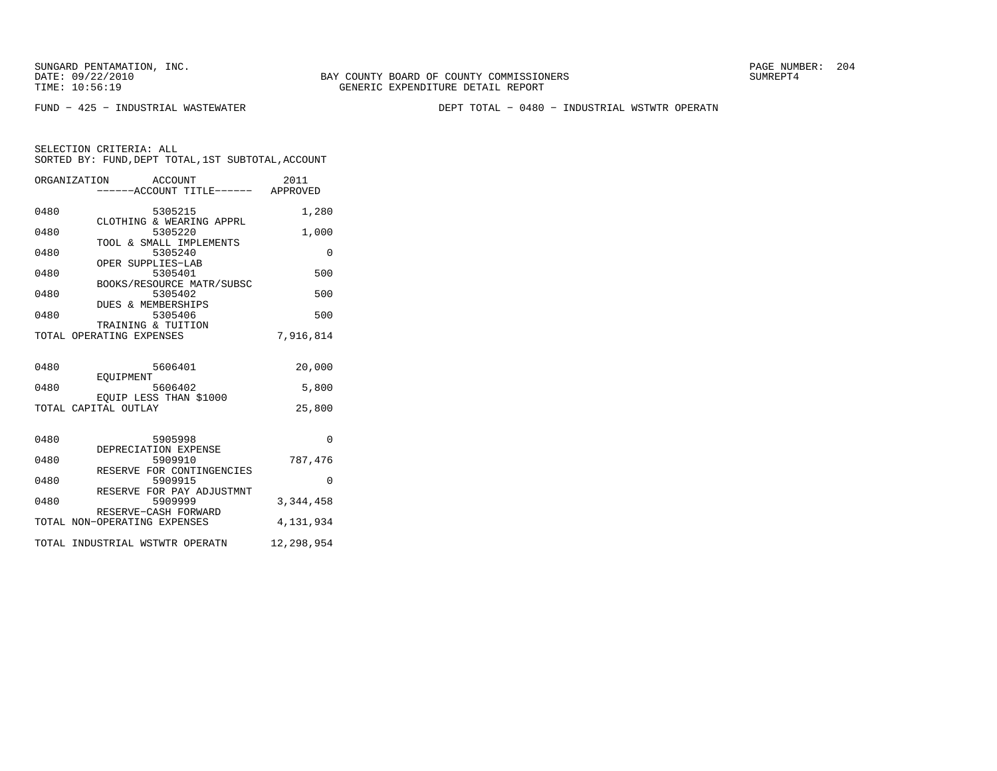BAY COUNTY BOARD OF COUNTY COMMISSIONERS TIME: 10:56:19 GENERIC EXPENDITURE DETAIL REPORT

FUND − 425 − INDUSTRIAL WASTEWATER DEPT TOTAL − 0480 − INDUSTRIAL WSTWTR OPERATN

|      | ORGANIZATION ACCOUNT                           | -----ACCOUNT TITLE------ APPROVED | 2011       |
|------|------------------------------------------------|-----------------------------------|------------|
| 0480 | 5305215                                        |                                   | 1,280      |
| 0480 | CLOTHING & WEARING APPRL<br>5305220            |                                   | 1,000      |
| 0480 | TOOL & SMALL IMPLEMENTS<br>5305240             |                                   | $\Omega$   |
| 0480 | OPER SUPPLIES-LAB<br>5305401                   |                                   | 500        |
| 0480 | BOOKS/RESOURCE MATR/SUBSC<br>5305402           |                                   | 500        |
| 0480 | DUES & MEMBERSHIPS<br>5305406                  |                                   | 500        |
|      | TRAINING & TUITION<br>TOTAL OPERATING EXPENSES |                                   | 7,916,814  |
|      |                                                |                                   |            |
| 0480 | 5606401<br>EOUIPMENT                           |                                   | 20,000     |
| 0480 | 5606402<br>EQUIP LESS THAN \$1000              |                                   | 5,800      |
|      | TOTAL CAPITAL OUTLAY                           |                                   | 25,800     |
|      |                                                |                                   |            |
| 0480 | 5905998<br>DEPRECIATION EXPENSE                |                                   | $\Omega$   |
| 0480 | 5909910<br>RESERVE FOR CONTINGENCIES           |                                   | 787,476    |
| 0480 | 5909915<br>RESERVE FOR PAY ADJUSTMNT           |                                   | $\Omega$   |
| 0480 | 5909999<br>RESERVE-CASH FORWARD                |                                   | 3,344,458  |
|      | TOTAL NON-OPERATING EXPENSES                   |                                   | 4,131,934  |
|      | TOTAL INDUSTRIAL WSTWTR OPERATN                |                                   | 12,298,954 |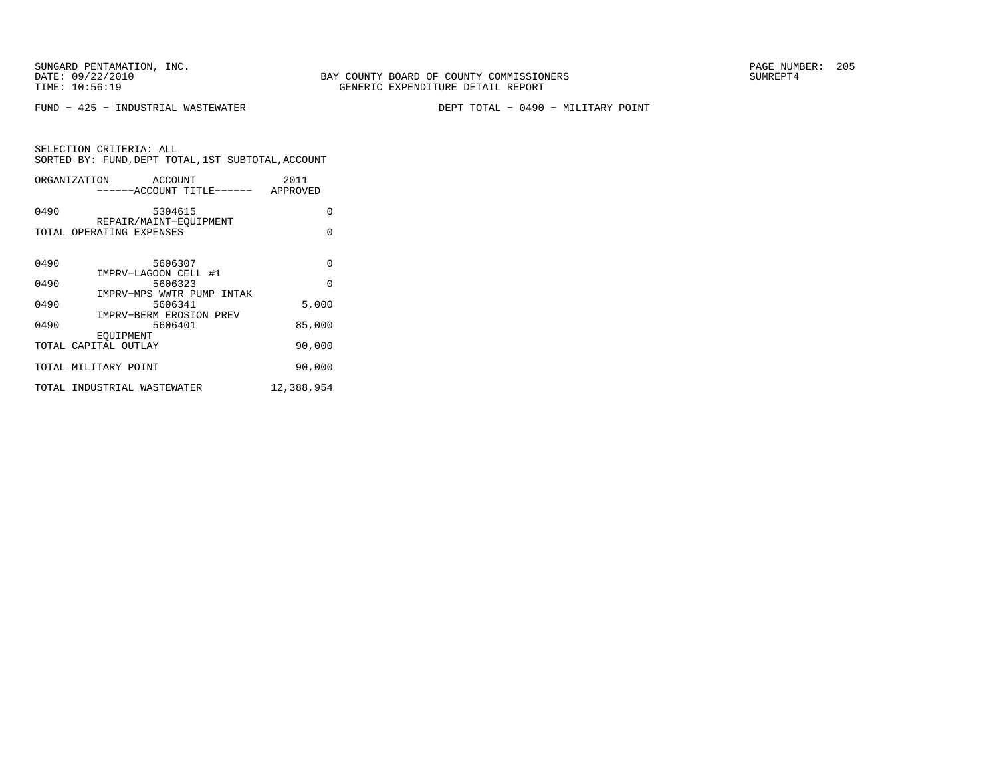SUNGARD PENTAMATION, INC.<br>DATE: 09/22/2010 SUMRER: 205

FUND − 425 − INDUSTRIAL WASTEWATER DEPT TOTAL − 0490 − MILITARY POINT

|             | SELECTION CRITERIA: ALL |                                                    |      |
|-------------|-------------------------|----------------------------------------------------|------|
|             |                         | SORTED BY: FUND, DEPT TOTAL, 1ST SUBTOTAL, ACCOUNT |      |
| OMMITBAMTOM |                         |                                                    | 0011 |

|      | ORGANIZATION ACCOUNT<br>------ACCOUNT TITLE------ APPROVED      | 2011       |
|------|-----------------------------------------------------------------|------------|
| 0490 | 5304615                                                         | 0          |
|      | REPAIR/MAINT-EOUIPMENT<br>TOTAL OPERATING EXPENSES              | $\Omega$   |
| 0490 | 5606307<br>IMPRV-LAGOON CELL #1                                 | 0          |
| 0490 | 5606323                                                         | $\Omega$   |
| 0490 | IMPRV-MPS WWTR PUMP INTAK<br>5606341<br>IMPRV-BERM EROSION PREV | 5,000      |
| 0490 | 5606401                                                         | 85,000     |
|      | EOUIPMENT<br>TOTAL CAPITAL OUTLAY                               | 90,000     |
|      | TOTAL MILITARY POINT                                            | 90,000     |
|      | TOTAL INDUSTRIAL WASTEWATER                                     | 12,388,954 |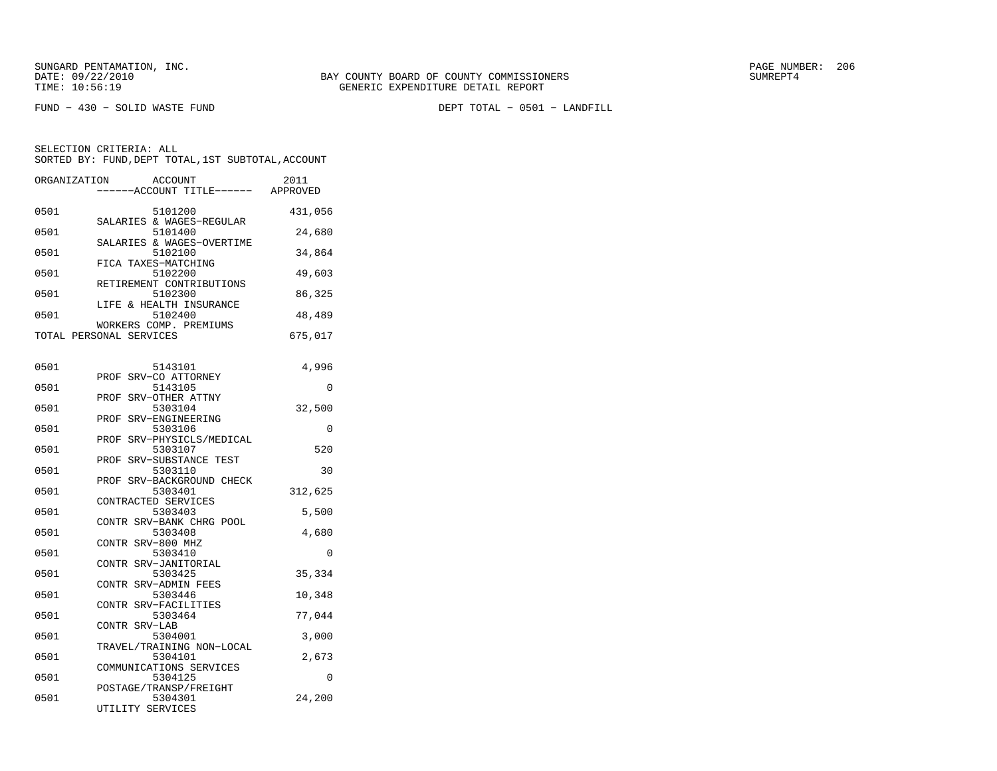SUNGARD PENTAMATION, INC.<br>DATE: 09/22/2010 SUMRER: 206 SAY COUNTY BOARD OF COUNTY COMMISSIONERS

FUND − 430 − SOLID WASTE FUND DEPT TOTAL − 0501 − LANDFILL

| ORGANIZATION            |                  | <b>ACCOUNT</b><br>--ACCOUNT TITLE------            | 2011<br>APPROVED |
|-------------------------|------------------|----------------------------------------------------|------------------|
| 0501                    |                  | 5101200<br>SALARIES & WAGES-REGULAR                | 431,056          |
| 0501                    |                  | 5101400<br>SALARIES & WAGES-OVERTIME               | 24,680           |
| 0501                    |                  | 5102100<br>FICA TAXES-MATCHING                     | 34,864           |
| 0501                    |                  | 5102200<br>RETIREMENT CONTRIBUTIONS                | 49,603           |
| 0501                    |                  | 5102300<br>LIFE & HEALTH INSURANCE                 | 86,325           |
| 0501                    |                  | 5102400<br>WORKERS COMP. PREMIUMS                  | 48,489           |
| TOTAL PERSONAL SERVICES |                  |                                                    | 675,017          |
| 0501                    |                  | 5143101                                            | 4,996            |
| 0501                    | PROF             | SRV-CO ATTORNEY<br>5143105                         | 0                |
| 0501                    | PROF             | SRV-OTHER ATTNY<br>5303104                         | 32,500           |
| 0501                    | PROF<br>PROF     | SRV-ENGINEERING<br>5303106<br>SRV-PHYSICLS/MEDICAL | $\Omega$         |
| 0501                    | PROF             | 5303107<br>SRV-SUBSTANCE TEST                      | 520              |
| 0501                    | PROF             | 5303110<br>SRV-BACKGROUND CHECK                    | 30               |
| 0501                    |                  | 5303401<br>CONTRACTED SERVICES                     | 312,625          |
| 0501                    |                  | 5303403<br>CONTR SRV-BANK CHRG POOL                | 5,500            |
| 0501                    | CONTR            | 5303408<br>SRV-800 MHZ                             | 4,680            |
| 0501                    | CONTR            | 5303410<br>SRV-JANITORIAL                          | 0                |
| 0501                    |                  | 5303425<br>CONTR SRV-ADMIN FEES                    | 35,334           |
| 0501                    | CONTR            | 5303446<br>SRV-FACILITIES                          | 10,348           |
| 0501                    | CONTR SRV-LAB    | 5303464                                            | 77,044           |
| 0501                    |                  | 5304001<br>TRAVEL/TRAINING NON-LOCAL               | 3,000            |
| 0501                    |                  | 5304101<br>COMMUNICATIONS SERVICES                 | 2,673            |
| 0501                    |                  | 5304125<br>POSTAGE/TRANSP/FREIGHT                  | 0                |
| 0501                    | UTILITY SERVICES | 5304301                                            | 24,200           |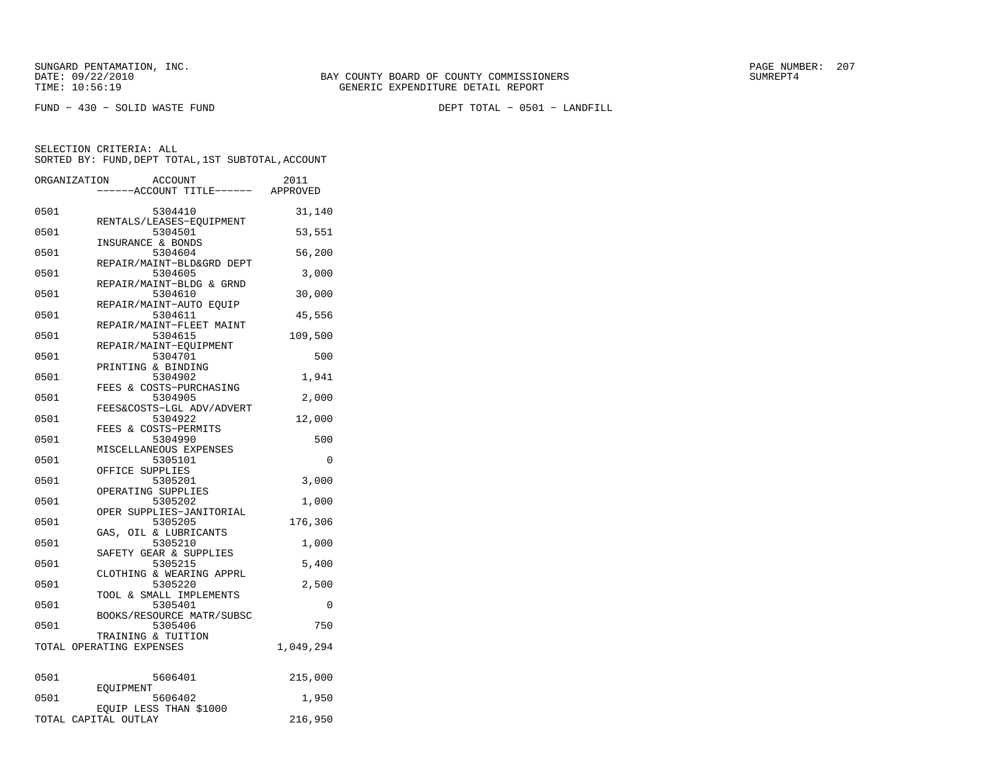FUND − 430 − SOLID WASTE FUND DEPT TOTAL − 0501 − LANDFILL

| ORGANIZATION |           | <b>ACCOUNT</b><br>---ACCOUNT TITLE------ APPROVED          | 2011            |
|--------------|-----------|------------------------------------------------------------|-----------------|
| 0501         |           | 5304410                                                    | 31,140          |
| 0501         |           | RENTALS/LEASES-EQUIPMENT<br>5304501<br>INSURANCE & BONDS   | 53,551          |
| 0501         |           | 5304604<br>REPAIR/MAINT-BLD&GRD DEPT                       | 56,200          |
| 0501         |           | 5304605<br>REPAIR/MAINT-BLDG & GRND                        | 3,000           |
| 0501         |           | 5304610<br>REPAIR/MAINT-AUTO EOUIP                         | 30,000          |
| 0501         |           | 5304611<br>REPAIR/MAINT-FLEET MAINT                        | 45,556          |
| 0501         |           | 5304615<br>REPAIR/MAINT-EQUIPMENT                          | 109,500         |
| 0501         |           | 5304701<br>PRINTING & BINDING                              | 500             |
| 0501         |           | 5304902<br>FEES & COSTS-PURCHASING                         | 1,941           |
| 0501         |           | 5304905<br>FEES&COSTS-LGL ADV/ADVERT                       | 2,000           |
| 0501         |           | 5304922<br>FEES & COSTS-PERMITS                            | 12,000          |
| 0501<br>0501 |           | 5304990<br>MISCELLANEOUS EXPENSES<br>5305101               | 500<br>$\Omega$ |
| 0501         |           | OFFICE SUPPLIES<br>5305201                                 | 3,000           |
| 0501         |           | OPERATING SUPPLIES<br>5305202                              | 1,000           |
| 0501         |           | OPER SUPPLIES-JANITORIAL<br>5305205                        | 176,306         |
| 0501         |           | GAS, OIL & LUBRICANTS<br>5305210                           | 1,000           |
| 0501         |           | SAFETY GEAR & SUPPLIES<br>5305215                          | 5,400           |
| 0501         |           | CLOTHING & WEARING APPRL<br>5305220                        | 2,500           |
| 0501         |           | TOOL & SMALL IMPLEMENTS<br>5305401                         | 0               |
| 0501         |           | BOOKS/RESOURCE MATR/SUBSC<br>5305406<br>TRAINING & TUITION | 750             |
|              |           | TOTAL OPERATING EXPENSES                                   | 1,049,294       |
| 0501         |           | 5606401                                                    | 215,000         |
| 0501         | EOUIPMENT | 5606402                                                    | 1,950           |
|              |           | EOUIP LESS THAN \$1000<br>TOTAL CAPITAL OUTLAY             | 216,950         |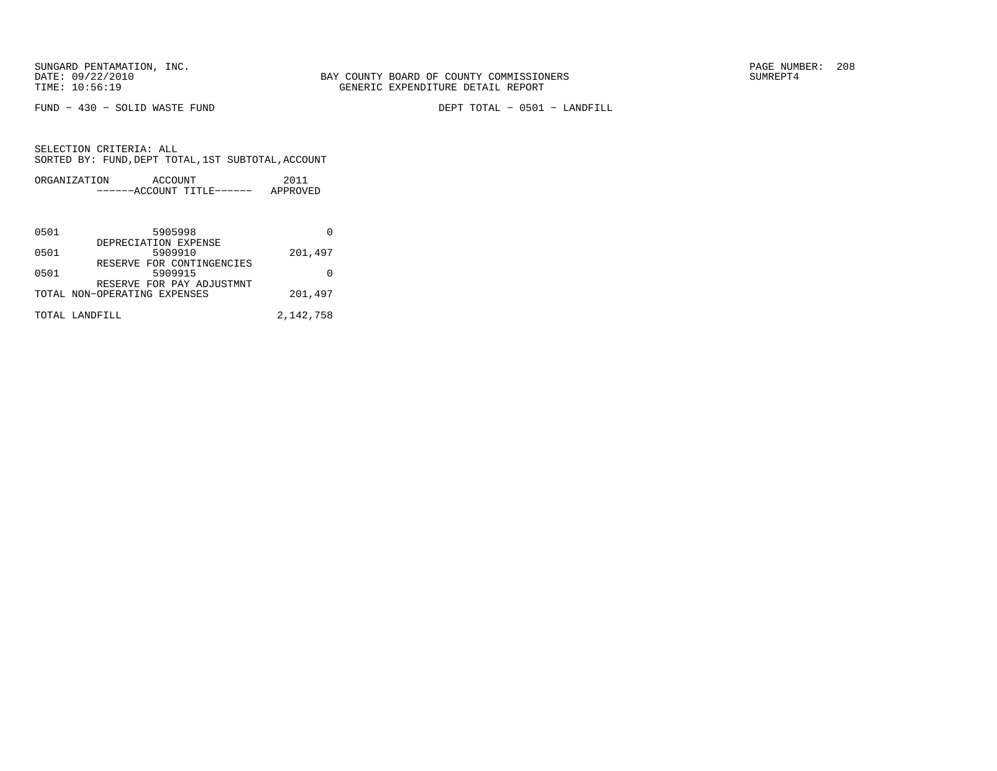FUND − 430 − SOLID WASTE FUND DEPT TOTAL − 0501 − LANDFILL

| ORGANIZATION | ACCOUNT |                       | 2011     |
|--------------|---------|-----------------------|----------|
|              |         | $---ACCOINT TITLE---$ | APPROVED |

| 0501 | 5905998                              |           |
|------|--------------------------------------|-----------|
|      | DEPRECIATION EXPENSE                 |           |
| 0501 | 5909910<br>RESERVE FOR CONTINGENCIES | 201,497   |
| 0501 | 5909915                              |           |
|      | RESERVE FOR PAY ADJUSTMNT            |           |
|      | TOTAL NON-OPERATING EXPENSES         | 201,497   |
|      | TOTAL LANDFILL                       | 2,142,758 |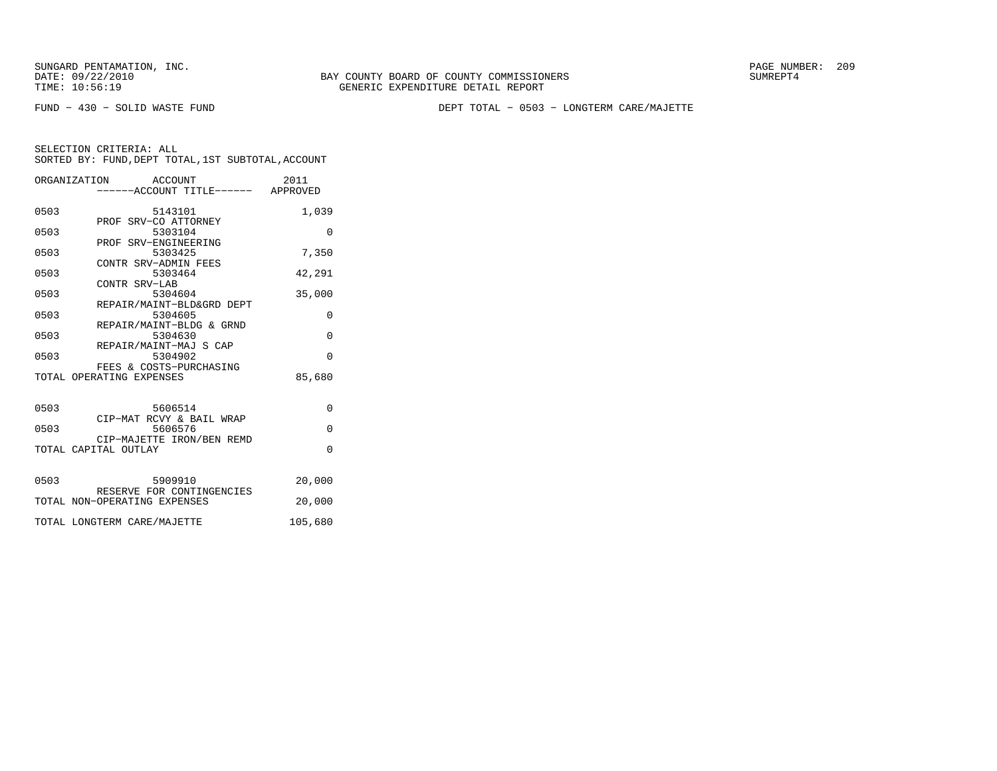SUNGARD PENTAMATION, INC.<br>DATE: 09/22/2010 SUMRER: 209

BAY COUNTY BOARD OF COUNTY COMMISSIONERS TIME: 10:56:19 GENERIC EXPENDITURE DETAIL REPORT

FUND − 430 − SOLID WASTE FUND DEPT TOTAL − 0503 − LONGTERM CARE/MAJETTE

|      | ORGANIZATION ACCOUNT<br>-----ACCOUNT TITLE------ APPROVED | 2011     |
|------|-----------------------------------------------------------|----------|
| 0503 | 5143101<br>PROF SRV-CO ATTORNEY                           | 1,039    |
| 0503 | 5303104<br>PROF SRV-ENGINEERING                           | $\Omega$ |
| 0503 | 5303425<br>CONTR SRV-ADMIN FEES                           | 7,350    |
| 0503 | 5303464                                                   | 42,291   |
| 0503 | CONTR SRV-LAB<br>5304604                                  | 35,000   |
| 0503 | REPAIR/MAINT-BLD&GRD DEPT<br>5304605                      | $\Omega$ |
| 0503 | REPAIR/MAINT-BLDG & GRND<br>5304630                       | $\Omega$ |
| 0503 | REPAIR/MAINT-MAJ S CAP<br>5304902                         | $\Omega$ |
|      | FEES & COSTS-PURCHASING<br>TOTAL OPERATING EXPENSES       | 85,680   |
| 0503 | 5606514<br>CIP-MAT RCVY & BAIL WRAP                       | 0        |
| 0503 | 5606576<br>CIP-MAJETTE IRON/BEN REMD                      | $\Omega$ |
|      | TOTAL CAPITAL OUTLAY                                      | $\Omega$ |
| 0503 | 5909910<br>RESERVE FOR CONTINGENCIES                      | 20,000   |
|      | TOTAL NON-OPERATING EXPENSES                              | 20,000   |
|      | TOTAL LONGTERM CARE/MAJETTE                               | 105,680  |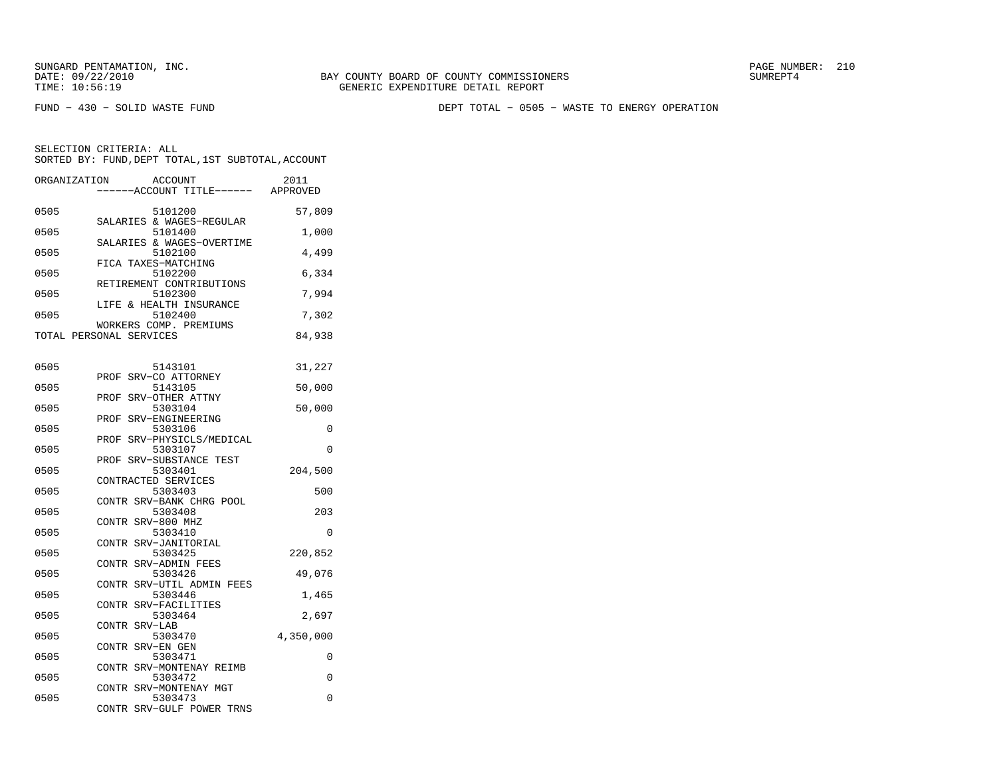FUND − 430 − SOLID WASTE FUND DEPT TOTAL − 0505 − WASTE TO ENERGY OPERATION

| ORGANIZATION | <b>ACCOUNT</b><br>---ACCOUNT TITLE------                       | 2011<br>APPROVED |
|--------------|----------------------------------------------------------------|------------------|
| 0505         | 5101200                                                        | 57,809           |
| 0505         | SALARIES & WAGES-REGULAR<br>5101400                            | 1,000            |
| 0505         | SALARIES & WAGES-OVERTIME<br>5102100                           | 4,499            |
| 0505         | FICA TAXES-MATCHING<br>5102200                                 | 6,334            |
| 0505         | RETIREMENT CONTRIBUTIONS<br>5102300<br>LIFE & HEALTH INSURANCE | 7,994            |
| 0505         | 5102400<br>WORKERS COMP. PREMIUMS                              | 7,302            |
|              | TOTAL PERSONAL SERVICES                                        | 84,938           |
| 0505         | 5143101                                                        | 31,227           |
| 0505         | SRV-CO ATTORNEY<br>PROF<br>5143105                             | 50,000           |
| 0505         | SRV-OTHER ATTNY<br>PROF<br>5303104                             | 50,000           |
| 0505         | SRV-ENGINEERING<br>PROF<br>5303106                             | 0                |
| 0505         | SRV-PHYSICLS/MEDICAL<br>PROF<br>5303107                        | 0                |
| 0505         | SRV-SUBSTANCE TEST<br>PROF<br>5303401                          | 204,500          |
| 0505         | CONTRACTED SERVICES<br>5303403                                 | 500              |
| 0505         | CONTR SRV-BANK CHRG POOL<br>5303408                            | 203              |
| 0505         | CONTR SRV-800 MHZ<br>5303410                                   | 0                |
| 0505         | CONTR SRV-JANITORIAL<br>5303425                                | 220,852          |
| 0505         | CONTR SRV-ADMIN FEES<br>5303426                                | 49,076           |
| 0505         | CONTR SRV-UTIL ADMIN FEES<br>5303446                           | 1,465            |
| 0505         | CONTR SRV-FACILITIES<br>5303464                                | 2,697            |
| 0505         | CONTR SRV-LAB<br>5303470                                       | 4,350,000        |
| 0505         | CONTR SRV-EN GEN<br>5303471                                    | 0                |
| 0505         | CONTR SRV-MONTENAY REIMB<br>5303472                            | 0                |
| 0505         | CONTR SRV-MONTENAY MGT<br>5303473<br>CONTR SRV-GULF POWER TRNS | 0                |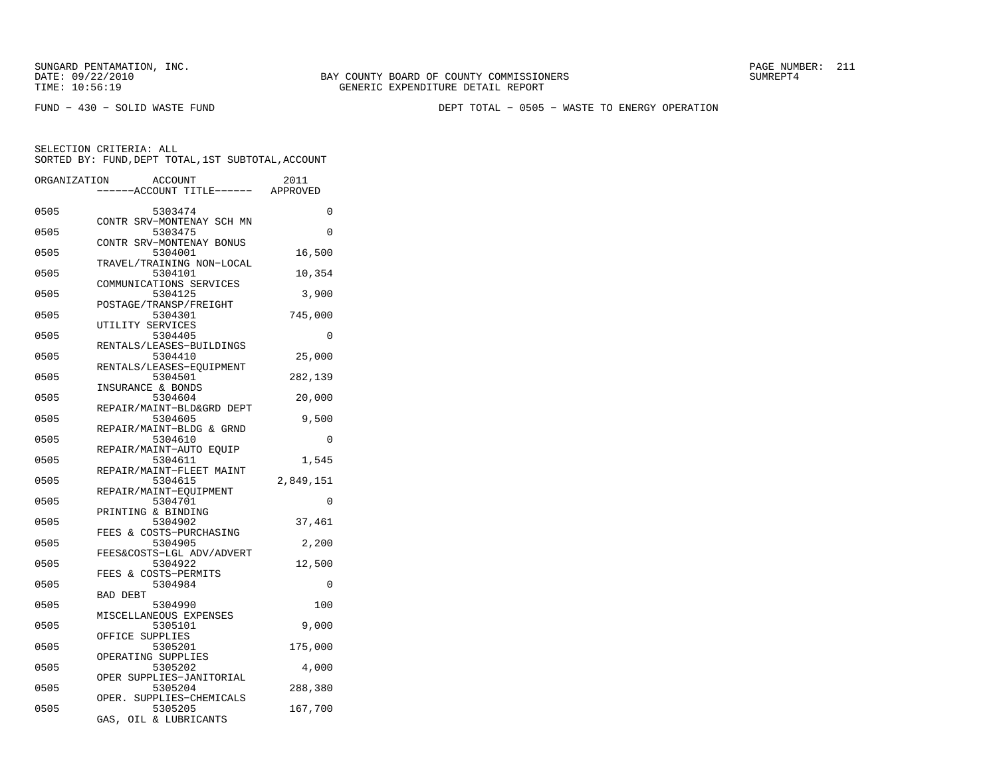FUND − 430 − SOLID WASTE FUND DEPT TOTAL − 0505 − WASTE TO ENERGY OPERATION

| ORGANIZATION | <b>ACCOUNT</b>                       | 2011      |
|--------------|--------------------------------------|-----------|
|              | ---ACCOUNT TITLE------               | APPROVED  |
| 0505         | 5303474                              | 0         |
| 0505         | CONTR SRV-MONTENAY SCH MN<br>5303475 | 0         |
| 0505         | CONTR SRV-MONTENAY BONUS<br>5304001  | 16,500    |
| 0505         | TRAVEL/TRAINING NON-LOCAL<br>5304101 | 10,354    |
| 0505         | COMMUNICATIONS SERVICES<br>5304125   | 3,900     |
| 0505         | POSTAGE/TRANSP/FREIGHT<br>5304301    | 745,000   |
| 0505         | UTILITY SERVICES<br>5304405          | 0         |
| 0505         | RENTALS/LEASES-BUILDINGS<br>5304410  | 25,000    |
| 0505         | RENTALS/LEASES-EQUIPMENT<br>5304501  | 282,139   |
| 0505         | INSURANCE & BONDS<br>5304604         | 20,000    |
| 0505         | REPAIR/MAINT-BLD&GRD DEPT<br>5304605 | 9,500     |
| 0505         | REPAIR/MAINT-BLDG & GRND<br>5304610  | 0         |
| 0505         | REPAIR/MAINT-AUTO EQUIP<br>5304611   | 1,545     |
| 0505         | REPAIR/MAINT-FLEET MAINT<br>5304615  | 2,849,151 |
| 0505         | REPAIR/MAINT-EQUIPMENT<br>5304701    | 0         |
| 0505         | PRINTING & BINDING<br>5304902        | 37,461    |
| 0505         | FEES & COSTS-PURCHASING<br>5304905   | 2,200     |
| 0505         | FEES&COSTS-LGL ADV/ADVERT<br>5304922 | 12,500    |
| 0505         | FEES & COSTS-PERMITS<br>5304984      | 0         |
| 0505         | BAD DEBT<br>5304990                  | 100       |
| 0505         | MISCELLANEOUS EXPENSES<br>5305101    | 9,000     |
| 0505         | OFFICE SUPPLIES<br>5305201           | 175,000   |
|              | OPERATING SUPPLIES                   |           |
| 0505         | 5305202<br>OPER SUPPLIES-JANITORIAL  | 4,000     |
| 0505         | 5305204<br>OPER. SUPPLIES-CHEMICALS  | 288,380   |
| 0505         | 5305205<br>GAS,<br>OIL & LUBRICANTS  | 167,700   |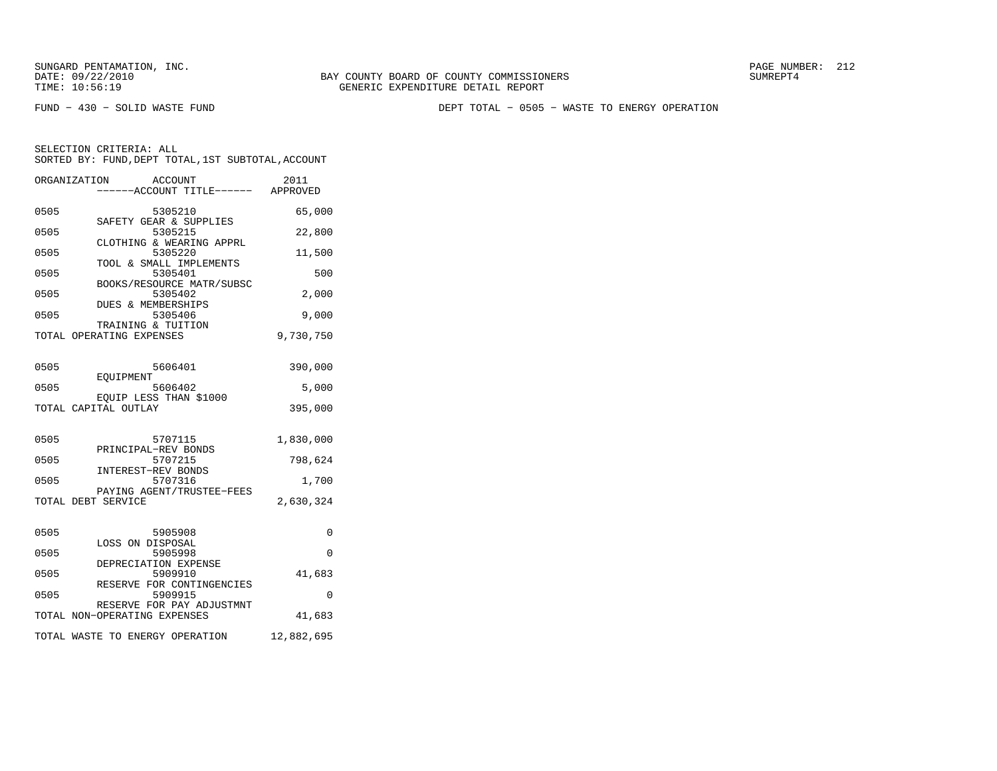FUND − 430 − SOLID WASTE FUND DEPT TOTAL − 0505 − WASTE TO ENERGY OPERATION

|      | ORGANIZATION<br>ACCOUNT<br>-----ACCOUNT TITLE------ APPROVED | 2011       |
|------|--------------------------------------------------------------|------------|
| 0505 | 5305210                                                      | 65,000     |
| 0505 | SAFETY GEAR & SUPPLIES<br>5305215                            | 22,800     |
| 0505 | CLOTHING & WEARING APPRL<br>5305220                          | 11,500     |
| 0505 | TOOL & SMALL IMPLEMENTS<br>5305401                           | 500        |
| 0505 | BOOKS/RESOURCE MATR/SUBSC<br>5305402                         | 2,000      |
| 0505 | DUES & MEMBERSHIPS<br>5305406                                | 9,000      |
|      | TRAINING & TUITION<br>TOTAL OPERATING EXPENSES               | 9,730,750  |
| 0505 | 5606401                                                      | 390,000    |
|      | <b>EOUIPMENT</b>                                             |            |
| 0505 | 5606402<br>EQUIP LESS THAN \$1000                            | 5,000      |
|      | TOTAL CAPITAL OUTLAY                                         | 395,000    |
| 0505 | 5707115                                                      | 1,830,000  |
| 0505 | PRINCIPAL-REV BONDS<br>5707215                               | 798,624    |
| 0505 | INTEREST-REV BONDS<br>5707316                                | 1,700      |
|      | PAYING AGENT/TRUSTEE-FEES<br>TOTAL DEBT SERVICE              | 2,630,324  |
|      |                                                              |            |
| 0505 | 5905908<br>LOSS ON DISPOSAL                                  | 0          |
| 0505 | 5905998<br>DEPRECIATION EXPENSE                              | $\Omega$   |
| 0505 | 5909910                                                      | 41,683     |
| 0505 | RESERVE FOR CONTINGENCIES<br>5909915                         | $\Omega$   |
|      | RESERVE FOR PAY ADJUSTMNT<br>TOTAL NON-OPERATING EXPENSES    | 41,683     |
|      | TOTAL WASTE TO ENERGY OPERATION                              | 12,882,695 |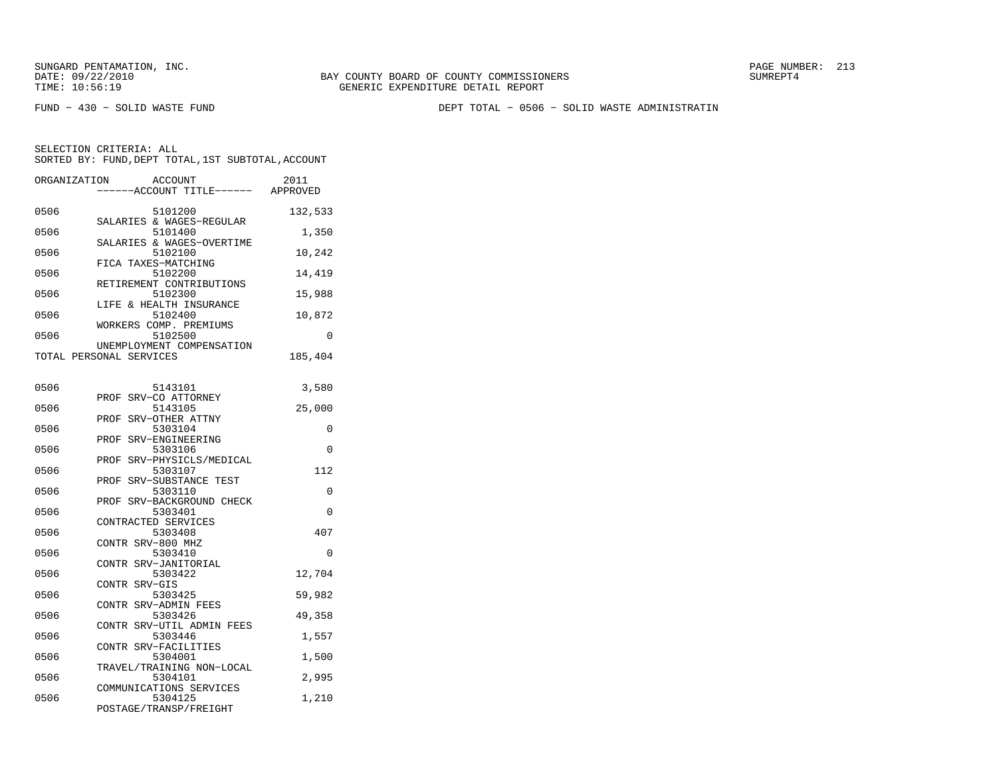FUND − 430 − SOLID WASTE FUND DEPT TOTAL − 0506 − SOLID WASTE ADMINISTRATIN

| ORGANIZATION | ACCOUNT<br>---ACCOUNT TITLE------                            | 2011<br>APPROVED |
|--------------|--------------------------------------------------------------|------------------|
| 0506         | 5101200                                                      | 132,533          |
| 0506         | SALARIES & WAGES-REGULAR<br>5101400                          | 1,350            |
| 0506         | SALARIES & WAGES-OVERTIME<br>5102100                         | 10,242           |
| 0506         | FICA TAXES-MATCHING<br>5102200                               | 14,419           |
| 0506         | RETIREMENT CONTRIBUTIONS<br>5102300                          | 15,988           |
| 0506         | LIFE & HEALTH INSURANCE<br>5102400                           | 10,872           |
| 0506         | WORKERS COMP. PREMIUMS<br>5102500                            | 0                |
|              | UNEMPLOYMENT COMPENSATION<br>TOTAL PERSONAL SERVICES         | 185,404          |
| 0506         |                                                              |                  |
|              | 5143101<br>PROF<br>SRV-CO ATTORNEY                           | 3,580            |
| 0506         | 5143105<br>SRV-OTHER ATTNY<br>PROF                           | 25,000           |
| 0506         | 5303104<br>PROF SRV-ENGINEERING                              | 0                |
| 0506         | 5303106<br>PROF SRV-PHYSICLS/MEDICAL                         | $\Omega$         |
| 0506         | 5303107<br>PROF SRV-SUBSTANCE TEST                           | 112              |
| 0506         | 5303110<br>SRV-BACKGROUND CHECK<br>PROF                      | $\Omega$         |
| 0506         | 5303401<br>CONTRACTED SERVICES                               | $\Omega$         |
| 0506         | 5303408<br>CONTR SRV-800 MHZ                                 | 407              |
| 0506         | 5303410<br>CONTR<br>SRV-JANITORIAL                           | 0                |
| 0506         | 5303422<br>CONTR SRV-GIS                                     | 12,704           |
| 0506         | 5303425<br>CONTR SRV-ADMIN FEES                              | 59,982           |
| 0506         | 5303426<br>CONTR SRV-UTIL ADMIN FEES                         | 49,358           |
| 0506         | 5303446<br>CONTR SRV-FACILITIES                              | 1,557            |
| 0506         | 5304001<br>TRAVEL/TRAINING NON-LOCAL                         | 1,500            |
| 0506         | 5304101                                                      | 2,995            |
| 0506         | COMMUNICATIONS SERVICES<br>5304125<br>POSTAGE/TRANSP/FREIGHT | 1,210            |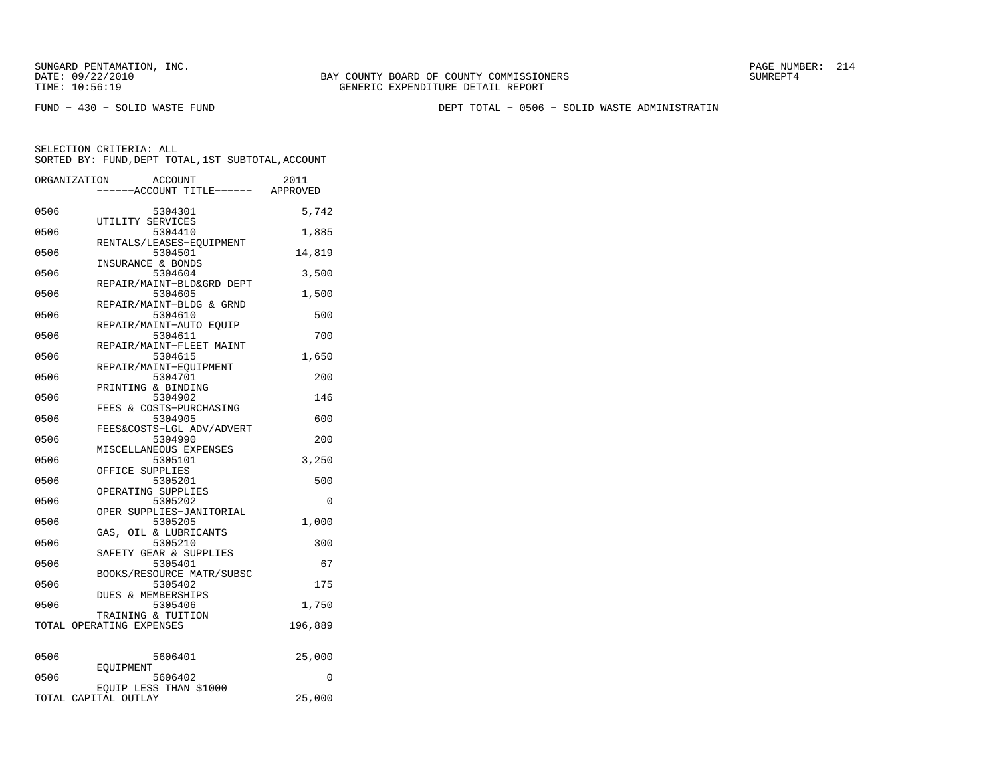FUND − 430 − SOLID WASTE FUND DEPT TOTAL − 0506 − SOLID WASTE ADMINISTRATIN

|      | ORGANIZATION<br>ACCOUNT                        | 2011    |
|------|------------------------------------------------|---------|
|      | ----ACCOUNT TITLE------ APPROVED               |         |
|      |                                                |         |
| 0506 | 5304301                                        | 5,742   |
| 0506 | UTILITY SERVICES<br>5304410                    |         |
|      | RENTALS/LEASES-EOUIPMENT                       | 1,885   |
| 0506 | 5304501                                        | 14,819  |
|      | INSURANCE & BONDS                              |         |
| 0506 | 5304604                                        | 3,500   |
|      | REPAIR/MAINT-BLD&GRD DEPT                      |         |
| 0506 | 5304605                                        | 1,500   |
|      | REPAIR/MAINT-BLDG & GRND                       |         |
| 0506 | 5304610                                        | 500     |
|      | REPAIR/MAINT-AUTO EQUIP                        |         |
| 0506 | 5304611                                        | 700     |
| 0506 | REPAIR/MAINT-FLEET MAINT<br>5304615            | 1,650   |
|      | REPAIR/MAINT-EQUIPMENT                         |         |
| 0506 | 5304701                                        | 200     |
|      | PRINTING & BINDING                             |         |
| 0506 | 5304902                                        | 146     |
|      | FEES & COSTS-PURCHASING                        |         |
| 0506 | 5304905                                        | 600     |
|      | FEES&COSTS-LGL ADV/ADVERT                      |         |
| 0506 | 5304990                                        | 200     |
|      | MISCELLANEOUS EXPENSES                         |         |
| 0506 | 5305101                                        | 3.250   |
|      | OFFICE SUPPLIES                                |         |
| 0506 | 5305201                                        | 500     |
| 0506 | OPERATING SUPPLIES<br>5305202                  | 0       |
|      | OPER SUPPLIES-JANITORIAL                       |         |
| 0506 | 5305205                                        | 1,000   |
|      | GAS, OIL & LUBRICANTS                          |         |
| 0506 | 5305210                                        | 300     |
|      | SAFETY GEAR & SUPPLIES                         |         |
| 0506 | 5305401                                        | 67      |
|      | BOOKS/RESOURCE MATR/SUBSC                      |         |
| 0506 | 5305402                                        | 175     |
|      | DUES & MEMBERSHIPS                             |         |
| 0506 | 5305406                                        | 1,750   |
|      | TRAINING & TUITION<br>TOTAL OPERATING EXPENSES | 196,889 |
|      |                                                |         |
| 0506 | 5606401                                        | 25,000  |
|      | EOUIPMENT                                      |         |
| 0506 | 5606402                                        | 0       |
|      | EQUIP LESS THAN \$1000                         |         |
|      | TOTAL CAPITAL OUTLAY                           | 25,000  |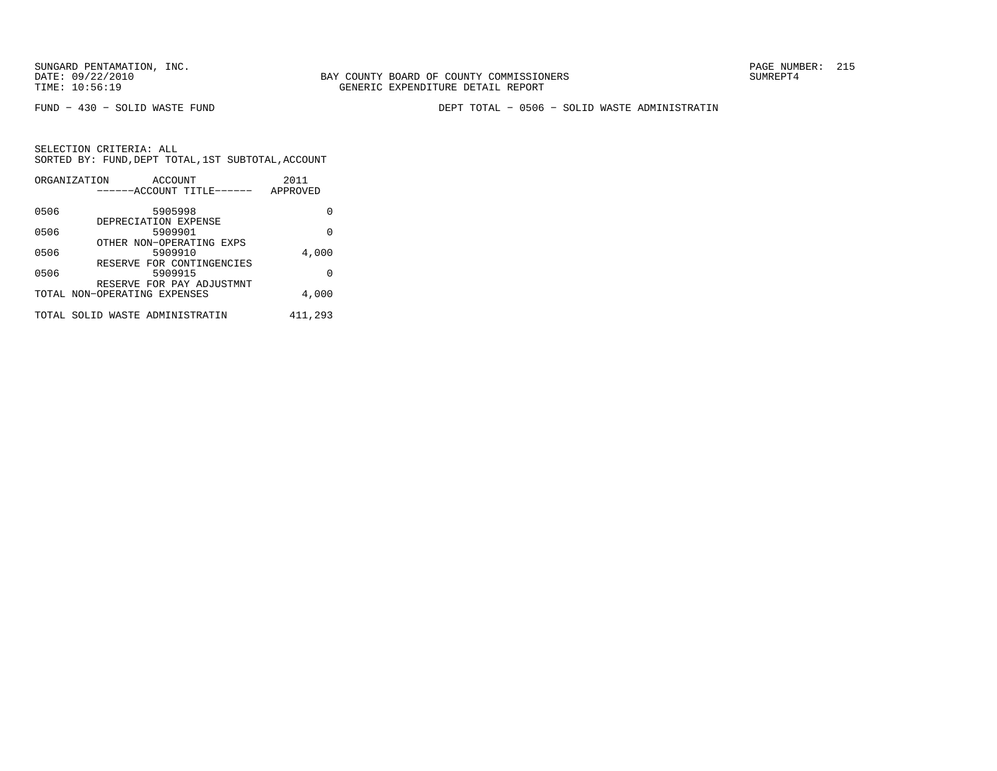BAY COUNTY BOARD OF COUNTY COMMISSIONERS TIME: 10:56:19 GENERIC EXPENDITURE DETAIL REPORT

FUND − 430 − SOLID WASTE FUND DEPT TOTAL − 0506 − SOLID WASTE ADMINISTRATIN

|      | ORGANIZATION<br>ACCOUNT              | 2011     |
|------|--------------------------------------|----------|
|      | ------ACCOUNT TITLE------            | APPROVED |
| 0506 | 5905998                              | O        |
| 0506 | DEPRECIATION EXPENSE<br>5909901      | 0        |
|      | OTHER NON-OPERATING EXPS             |          |
| 0506 | 5909910                              | 4,000    |
| 0506 | RESERVE FOR CONTINGENCIES<br>5909915 | U        |
|      | RESERVE FOR PAY ADJUSTMNT            |          |
|      | TOTAL NON-OPERATING EXPENSES         | 4,000    |
|      | TOTAL SOLID WASTE ADMINISTRATIN      | 411,293  |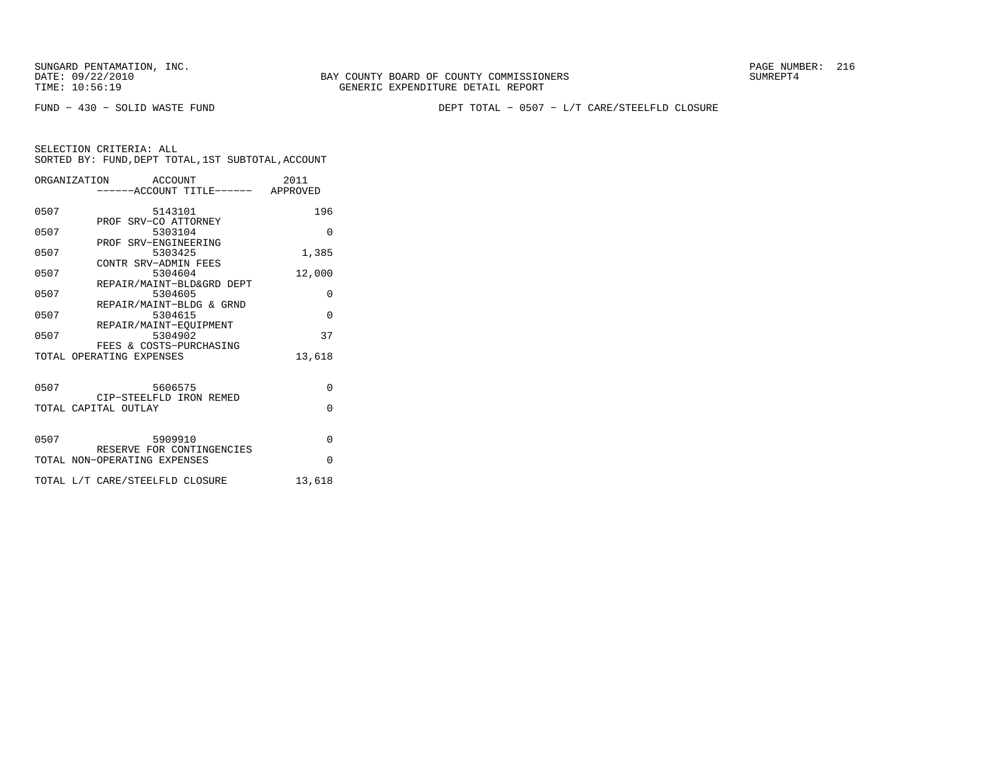BAY COUNTY BOARD OF COUNTY COMMISSIONERS TIME: 10:56:19 GENERIC EXPENDITURE DETAIL REPORT

FUND − 430 − SOLID WASTE FUND DEPT TOTAL − 0507 − L/T CARE/STEELFLD CLOSURE

|      | ORGANIZATION ACCOUNT              | 2011     |
|------|-----------------------------------|----------|
|      | -----ACCOUNT TITLE------ APPROVED |          |
| 0507 | 5143101                           | 196      |
|      | PROF SRV-CO ATTORNEY              |          |
| 0507 | 5303104                           | $\Omega$ |
|      | PROF SRV-ENGINEERING              |          |
| 0507 | 5303425                           | 1,385    |
|      | CONTR SRV-ADMIN FEES              |          |
| 0507 | 5304604                           | 12,000   |
|      | REPAIR/MAINT-BLD&GRD DEPT         |          |
| 0507 | 5304605                           | $\Omega$ |
|      | REPAIR/MAINT-BLDG & GRND          |          |
| 0507 | 5304615                           | $\Omega$ |
| 0507 | REPAIR/MAINT-EQUIPMENT<br>5304902 | 37       |
|      | FEES & COSTS-PURCHASING           |          |
|      | TOTAL OPERATING EXPENSES          | 13,618   |
|      |                                   |          |
|      |                                   |          |
| 0507 | 5606575                           | $\Omega$ |
|      | CIP-STEELFLD IRON REMED           |          |
|      | TOTAL CAPITAL OUTLAY              | $\Omega$ |
|      |                                   |          |
|      |                                   |          |
| 0507 | 5909910                           | 0        |
|      | RESERVE FOR CONTINGENCIES         | $\Omega$ |
|      | TOTAL NON-OPERATING EXPENSES      |          |
|      | TOTAL L/T CARE/STEELFLD CLOSURE   | 13,618   |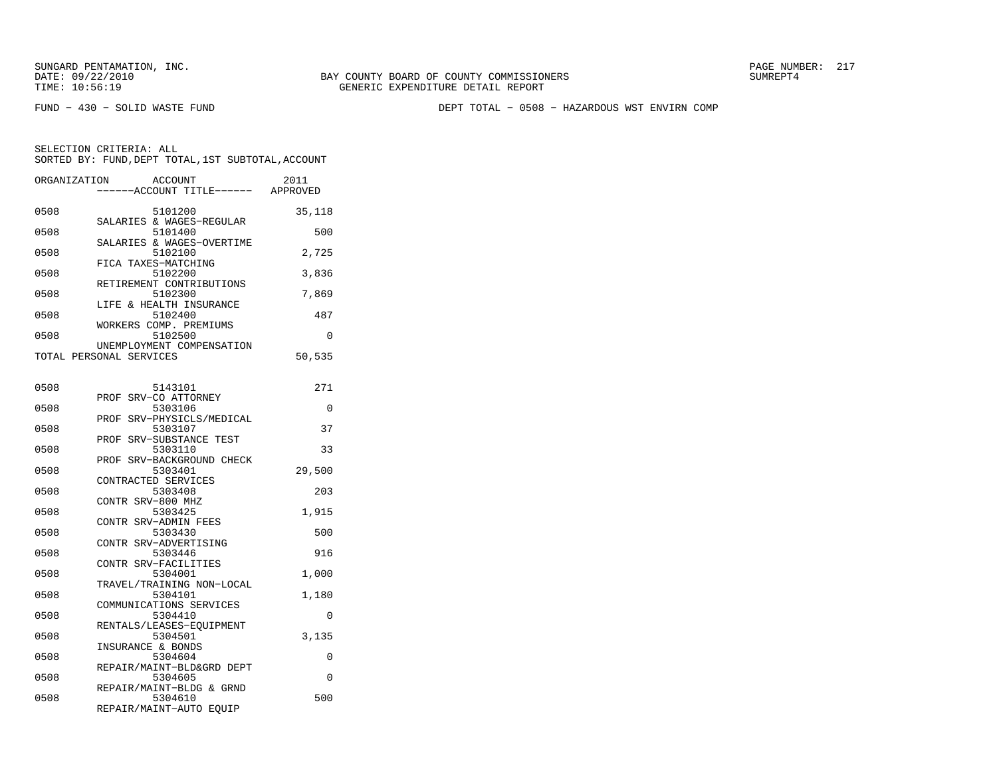FUND − 430 − SOLID WASTE FUND DEPT TOTAL − 0508 − HAZARDOUS WST ENVIRN COMP

| ORGANIZATION | ACCOUNT<br>---ACCOUNT TITLE------                    | 2011<br>APPROVED |
|--------------|------------------------------------------------------|------------------|
| 0508         | 5101200<br>SALARIES & WAGES-REGULAR                  | 35,118           |
| 0508         | 5101400                                              | 500              |
| 0508         | SALARIES & WAGES-OVERTIME<br>5102100                 | 2,725            |
| 0508         | FICA TAXES-MATCHING<br>5102200                       | 3,836            |
| 0508         | RETIREMENT CONTRIBUTIONS<br>5102300                  | 7,869            |
| 0508         | LIFE & HEALTH INSURANCE<br>5102400                   | 487              |
| 0508         | WORKERS COMP. PREMIUMS<br>5102500                    | 0                |
|              | UNEMPLOYMENT COMPENSATION<br>TOTAL PERSONAL SERVICES | 50,535           |
| 0508         | 5143101                                              | 271              |
| 0508         | SRV-CO ATTORNEY<br>PROF<br>5303106                   | 0                |
| 0508         | SRV-PHYSICLS/MEDICAL<br>PROF<br>5303107              | 37               |
| 0508         | SRV-SUBSTANCE TEST<br>PROF<br>5303110                | 33               |
| 0508         | SRV-BACKGROUND CHECK<br>PROF<br>5303401              | 29,500           |
| 0508         | CONTRACTED SERVICES<br>5303408                       | 203              |
| 0508         | CONTR SRV-800 MHZ<br>5303425                         | 1,915            |
| 0508         | CONTR SRV-ADMIN FEES<br>5303430                      | 500              |
| 0508         | CONTR SRV-ADVERTISING<br>5303446                     | 916              |
| 0508         | CONTR SRV-FACILITIES<br>5304001                      | 1,000            |
| 0508         | TRAVEL/TRAINING NON-LOCAL<br>5304101                 | 1,180            |
| 0508         | COMMUNICATIONS SERVICES<br>5304410                   | 0                |
|              | RENTALS/LEASES-EQUIPMENT                             |                  |
| 0508         | 5304501<br>INSURANCE & BONDS                         | 3,135            |
| 0508         | 5304604<br>REPAIR/MAINT-BLD&GRD DEPT                 | $\Omega$         |
| 0508         | 5304605<br>REPAIR/MAINT-BLDG & GRND                  | $\Omega$         |
| 0508         | 5304610<br>REPAIR/MAINT-AUTO EQUIP                   | 500              |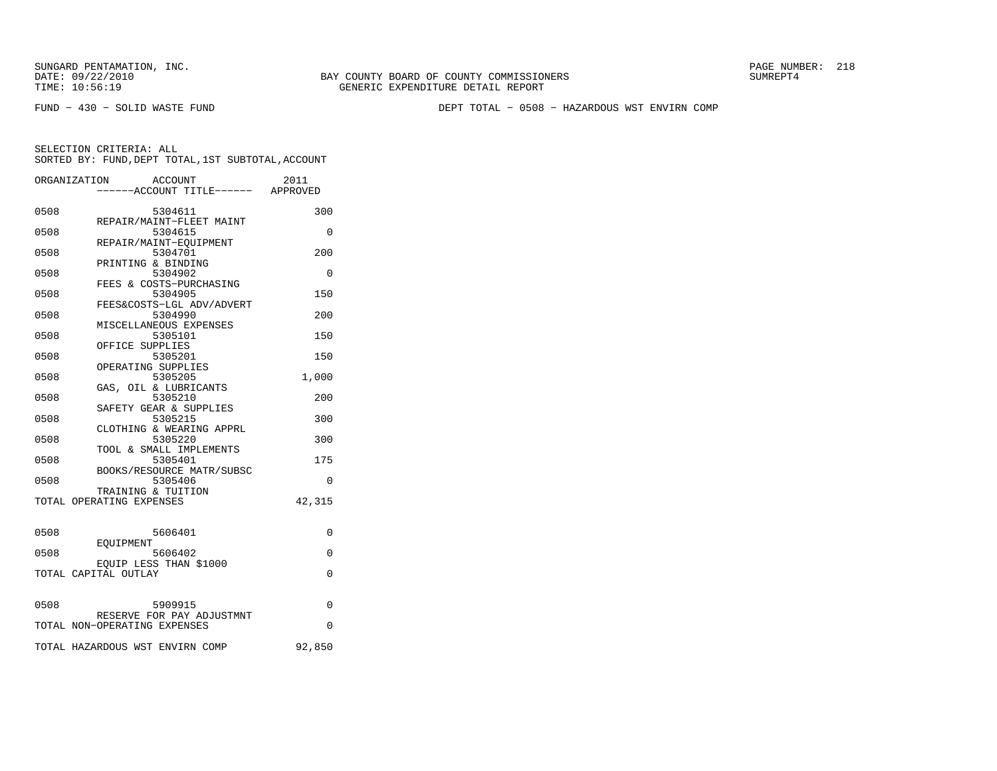FUND − 430 − SOLID WASTE FUND DEPT TOTAL − 0508 − HAZARDOUS WST ENVIRN COMP

|      | ORGANIZATION                    | ACCOUNT                             | 2011     |
|------|---------------------------------|-------------------------------------|----------|
|      |                                 | ----ACCOUNT TITLE------ APPROVED    |          |
|      |                                 |                                     |          |
| 0508 |                                 | 5304611<br>REPAIR/MAINT-FLEET MAINT | 300      |
| 0508 |                                 | 5304615                             | 0        |
|      |                                 | REPAIR/MAINT-EQUIPMENT              |          |
| 0508 |                                 | 5304701                             | 200      |
|      | PRINTING & BINDING              |                                     |          |
| 0508 |                                 | 5304902                             | $\Omega$ |
|      |                                 | FEES & COSTS-PURCHASING             |          |
| 0508 |                                 | 5304905                             | 150      |
|      |                                 | FEES&COSTS-LGL ADV/ADVERT           |          |
| 0508 |                                 | 5304990                             | 200      |
|      |                                 | MISCELLANEOUS EXPENSES              |          |
| 0508 |                                 | 5305101                             | 150      |
|      | OFFICE SUPPLIES                 |                                     |          |
| 0508 |                                 | 5305201                             | 150      |
|      | OPERATING SUPPLIES              |                                     |          |
| 0508 |                                 | 5305205                             | 1,000    |
|      |                                 | GAS, OIL & LUBRICANTS               |          |
| 0508 |                                 | 5305210                             | 200      |
|      |                                 | SAFETY GEAR & SUPPLIES              |          |
| 0508 |                                 | 5305215                             | 300      |
|      |                                 | CLOTHING & WEARING APPRL            |          |
| 0508 |                                 | 5305220                             | 300      |
|      |                                 | TOOL & SMALL IMPLEMENTS             |          |
| 0508 |                                 | 5305401                             | 175      |
|      |                                 | BOOKS/RESOURCE MATR/SUBSC           |          |
| 0508 |                                 | 5305406                             | $\Omega$ |
|      | TRAINING & TUITION              |                                     |          |
|      | TOTAL OPERATING EXPENSES        |                                     | 42,315   |
|      |                                 |                                     |          |
| 0508 |                                 | 5606401                             | $\Omega$ |
|      | <b>EOUIPMENT</b>                |                                     |          |
| 0508 |                                 | 5606402                             | $\Omega$ |
|      |                                 | EOUIP LESS THAN \$1000              |          |
|      | TOTAL CAPITAL OUTLAY            |                                     | $\Omega$ |
|      |                                 |                                     |          |
|      |                                 |                                     |          |
| 0508 |                                 | 5909915                             | $\Omega$ |
|      |                                 | RESERVE FOR PAY ADJUSTMNT           |          |
|      | TOTAL NON-OPERATING EXPENSES    |                                     | $\Omega$ |
|      |                                 |                                     |          |
|      | TOTAL HAZARDOUS WST ENVIRN COMP |                                     | 92,850   |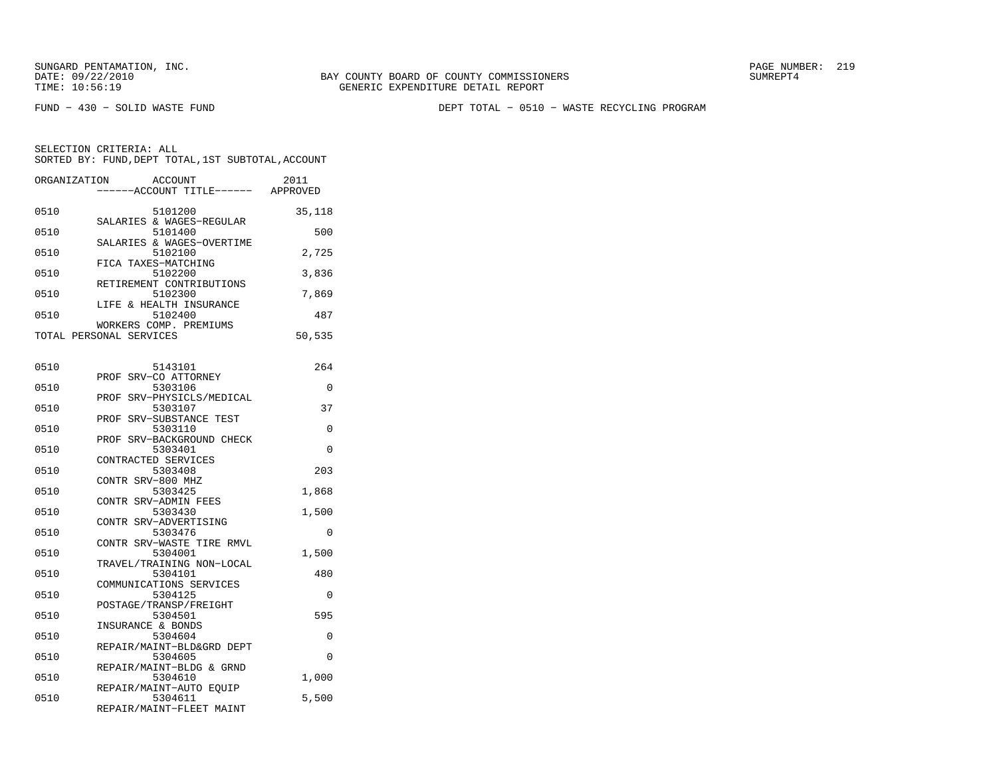FUND − 430 − SOLID WASTE FUND DEPT TOTAL − 0510 − WASTE RECYCLING PROGRAM

SELECTION CRITERIA: ALLSORTED BY: FUND, DEPT TOTAL, 1ST SUBTOTAL, ACCOUNT

| ORGANIZATION | <b>ACCOUNT</b><br>---ACCOUNT TITLE------ APPROVED | 2011     |
|--------------|---------------------------------------------------|----------|
| 0510         | 5101200<br>SALARIES & WAGES-REGULAR               | 35,118   |
| 0510         | 5101400<br>SALARIES & WAGES-OVERTIME              | 500      |
| 0510         | 5102100<br>FICA TAXES-MATCHING                    | 2,725    |
| 0510         | 5102200<br>RETIREMENT CONTRIBUTIONS               | 3,836    |
| 0510         | 5102300                                           | 7,869    |
| 0510         | LIFE & HEALTH INSURANCE<br>5102400                | 487      |
|              | WORKERS COMP. PREMIUMS<br>TOTAL PERSONAL SERVICES | 50,535   |
| 0510         | 5143101                                           | 264      |
| 0510         | PROF SRV-CO ATTORNEY<br>5303106                   | 0        |
| 0510         | PROF SRV-PHYSICLS/MEDICAL<br>5303107              | 37       |
| 0510         | SRV-SUBSTANCE TEST<br>PROF<br>5303110             | 0        |
| 0510         | PROF SRV-BACKGROUND CHECK<br>5303401              | 0        |
| 0510         | CONTRACTED SERVICES<br>5303408                    | 203      |
| 0510         | CONTR SRV-800 MHZ<br>5303425                      | 1,868    |
| 0510         | CONTR SRV-ADMIN FEES<br>5303430                   | 1,500    |
| 0510         | CONTR SRV-ADVERTISING<br>5303476                  | 0        |
| 0510         | CONTR SRV-WASTE TIRE RMVL<br>5304001              | 1,500    |
| 0510         | TRAVEL/TRAINING NON-LOCAL<br>5304101              | 480      |
| 0510         | COMMUNICATIONS SERVICES<br>5304125                | 0        |
| 0510         | POSTAGE/TRANSP/FREIGHT<br>5304501                 | 595      |
| 0510         | INSURANCE & BONDS<br>5304604                      | $\Omega$ |
| 0510         | REPAIR/MAINT-BLD&GRD DEPT<br>5304605              | 0        |
| 0510         | REPAIR/MAINT-BLDG & GRND<br>5304610               | 1,000    |
|              | REPAIR/MAINT-AUTO EQUIP                           |          |

0510 5304611 5,500 REPAIR/MAINT−FLEET MAINT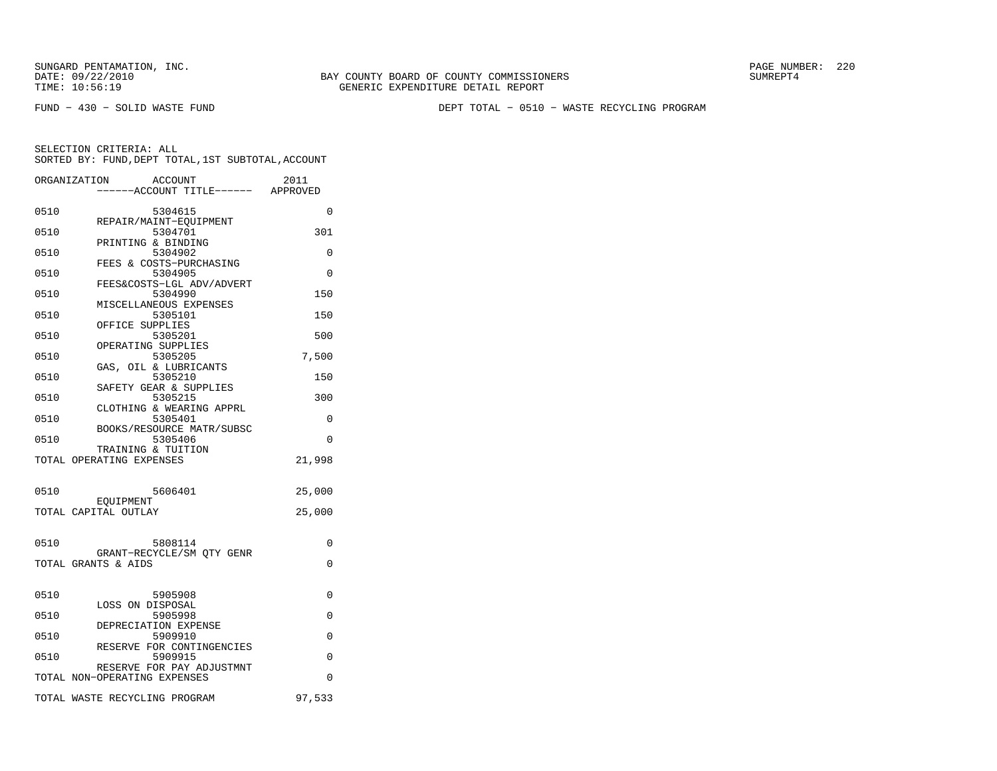BAY COUNTY BOARD OF COUNTY COMMISSIONERS TIME: 10:56:19 GENERIC EXPENDITURE DETAIL REPORT

FUND − 430 − SOLID WASTE FUND DEPT TOTAL − 0510 − WASTE RECYCLING PROGRAM

| ORGANIZATION                      | ACCOUNT<br>----ACCOUNT TITLE------ APPROVED | 2011     |
|-----------------------------------|---------------------------------------------|----------|
| 0510                              | 5304615                                     | 0        |
| 0510                              | REPAIR/MAINT-EQUIPMENT<br>5304701           | 301      |
| PRINTING & BINDING<br>0510        | 5304902                                     | $\Omega$ |
| 0510                              | FEES & COSTS-PURCHASING<br>5304905          | $\Omega$ |
| 0510                              | FEES&COSTS-LGL ADV/ADVERT<br>5304990        | 150      |
| 0510                              | MISCELLANEOUS EXPENSES<br>5305101           | 150      |
| OFFICE SUPPLIES<br>0510           | 5305201                                     | 500      |
| OPERATING SUPPLIES<br>0510        | 5305205                                     | 7,500    |
| 0510                              | GAS, OIL & LUBRICANTS<br>5305210            | 150      |
| 0510                              | SAFETY GEAR & SUPPLIES<br>5305215           | 300      |
|                                   | CLOTHING & WEARING APPRL                    |          |
| 0510                              | 5305401<br>BOOKS/RESOURCE MATR/SUBSC        | 0        |
| 0510<br>TRAINING & TUITION        | 5305406                                     | 0        |
| TOTAL OPERATING EXPENSES          |                                             | 21,998   |
| 0510                              | 5606401                                     | 25,000   |
| EOUIPMENT<br>TOTAL CAPITAL OUTLAY |                                             | 25,000   |
|                                   |                                             |          |
| 0510                              | 5808114<br>GRANT-RECYCLE/SM OTY GENR        | 0        |
| TOTAL GRANTS & AIDS               |                                             | $\Omega$ |
| 0510                              | 5905908                                     | 0        |
| LOSS ON DISPOSAL<br>0510          | 5905998                                     | 0        |
| 0510                              | DEPRECIATION EXPENSE<br>5909910             | 0        |
| 0510                              | RESERVE FOR CONTINGENCIES<br>5909915        | 0        |
| TOTAL NON-OPERATING EXPENSES      | RESERVE FOR PAY ADJUSTMNT                   | 0        |
|                                   |                                             |          |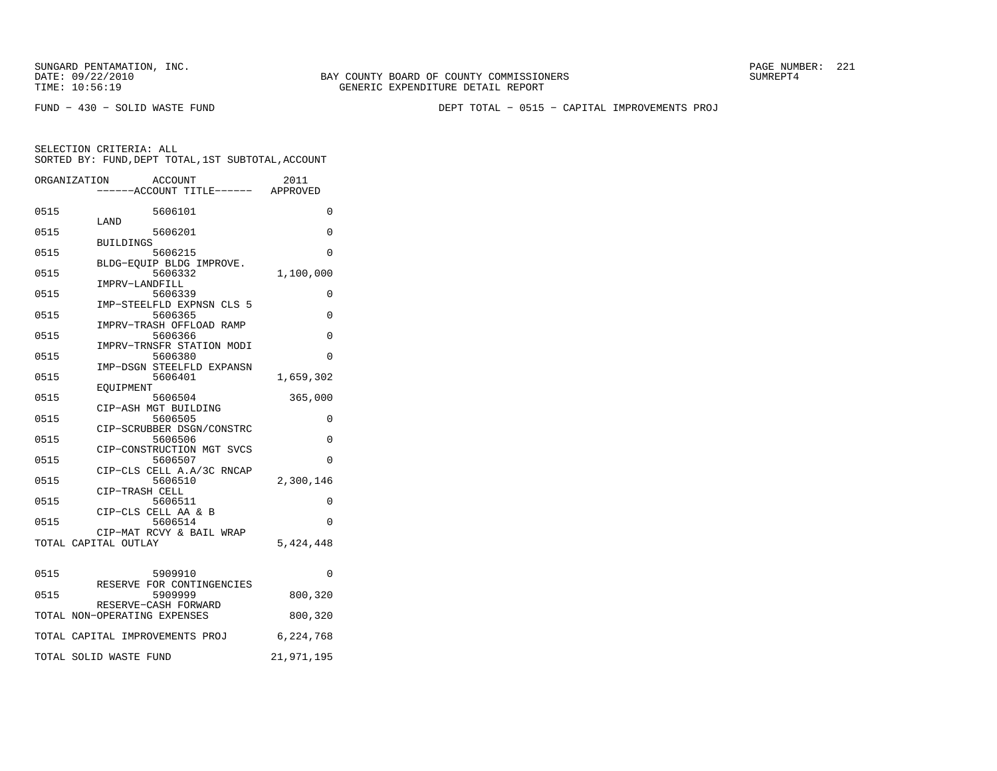BAY COUNTY BOARD OF COUNTY COMMISSIONERS TIME: 10:56:19 GENERIC EXPENDITURE DETAIL REPORT

FUND − 430 − SOLID WASTE FUND DEPT TOTAL − 0515 − CAPITAL IMPROVEMENTS PROJ

|      | ORGANIZATION<br>ACCOUNT<br>----ACCOUNT TITLE------ APPROVED | 2011       |
|------|-------------------------------------------------------------|------------|
| 0515 | 5606101                                                     | 0          |
| 0515 | LAND<br>5606201                                             | $\Omega$   |
| 0515 | <b>BUILDINGS</b><br>5606215                                 | 0          |
| 0515 | BLDG-EQUIP BLDG IMPROVE.<br>5606332                         | 1,100,000  |
| 0515 | IMPRV-LANDFILL<br>5606339                                   | $\Omega$   |
| 0515 | IMP-STEELFLD EXPNSN CLS 5<br>5606365                        | 0          |
| 0515 | IMPRV-TRASH OFFLOAD RAMP<br>5606366                         | $\Omega$   |
| 0515 | IMPRV-TRNSFR STATION MODI<br>5606380                        | $\Omega$   |
| 0515 | IMP-DSGN STEELFLD EXPANSN<br>5606401                        | 1,659,302  |
| 0515 | EOUIPMENT<br>5606504                                        | 365,000    |
| 0515 | CIP-ASH MGT BUILDING<br>5606505                             | 0          |
| 0515 | CIP-SCRUBBER DSGN/CONSTRC<br>5606506                        | $\Omega$   |
| 0515 | CIP-CONSTRUCTION MGT SVCS<br>5606507                        | $\Omega$   |
| 0515 | CIP-CLS CELL A.A/3C RNCAP<br>5606510                        | 2,300,146  |
| 0515 | CIP-TRASH CELL<br>5606511                                   | $\Omega$   |
| 0515 | CIP-CLS CELL AA & B<br>5606514                              | 0          |
|      | CIP-MAT RCVY & BAIL WRAP<br>TOTAL CAPITAL OUTLAY            | 5,424,448  |
| 0515 | 5909910                                                     | 0          |
| 0515 | RESERVE FOR CONTINGENCIES<br>5909999                        | 800,320    |
|      | RESERVE-CASH FORWARD<br>TOTAL NON-OPERATING EXPENSES        | 800,320    |
|      | TOTAL CAPITAL IMPROVEMENTS PROJ                             | 6,224,768  |
|      | TOTAL SOLID WASTE FUND                                      | 21,971,195 |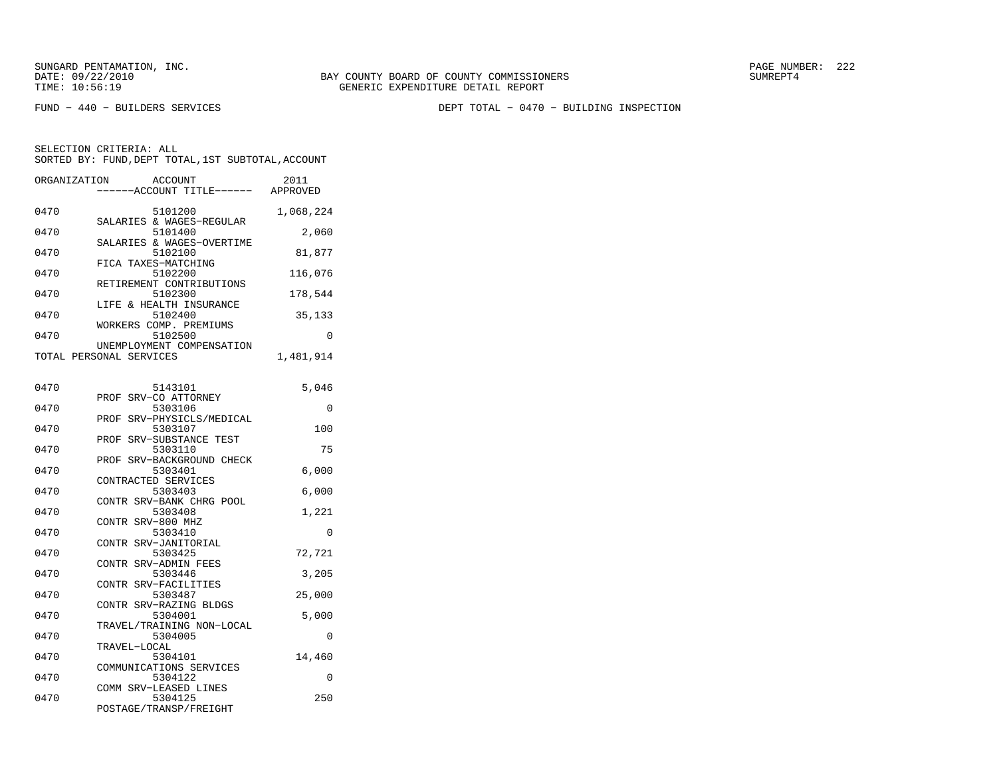FUND − 440 − BUILDERS SERVICES DEPT TOTAL − 0470 − BUILDING INSPECTION

| ORGANIZATION | <b>ACCOUNT</b><br>---ACCOUNT TITLE------                   | 2011<br>APPROVED |
|--------------|------------------------------------------------------------|------------------|
| 0470         | 5101200<br>SALARIES & WAGES-REGULAR                        | 1,068,224        |
| 0470         | 5101400<br>SALARIES & WAGES-OVERTIME                       | 2,060            |
| 0470         | 5102100<br>FICA TAXES-MATCHING                             | 81,877           |
| 0470         | 5102200<br>RETIREMENT CONTRIBUTIONS                        | 116,076          |
| 0470         | 5102300<br>LIFE & HEALTH INSURANCE                         | 178,544          |
| 0470         | 5102400<br>WORKERS COMP. PREMIUMS                          | 35,133           |
| 0470         | 5102500<br>UNEMPLOYMENT COMPENSATION                       | 0                |
|              | TOTAL PERSONAL SERVICES                                    | 1,481,914        |
| 0470         | 5143101                                                    | 5,046            |
| 0470         | SRV-CO ATTORNEY<br>PROF<br>5303106                         | 0                |
| 0470         | SRV-PHYSICLS/MEDICAL<br>PROF<br>5303107                    | 100              |
| 0470         | PROF<br>SRV-SUBSTANCE TEST<br>5303110                      | 75               |
| 0470         | PROF SRV-BACKGROUND CHECK<br>5303401                       | 6,000            |
| 0470         | CONTRACTED SERVICES<br>5303403                             | 6,000            |
| 0470         | CONTR SRV-BANK CHRG POOL<br>5303408                        | 1,221            |
| 0470         | CONTR SRV-800 MHZ<br>5303410                               | $\Omega$         |
| 0470         | CONTR SRV-JANITORIAL<br>5303425                            | 72,721           |
| 0470         | CONTR SRV-ADMIN FEES<br>5303446                            | 3,205            |
| 0470         | CONTR SRV-FACILITIES<br>5303487                            | 25,000           |
| 0470         | CONTR SRV-RAZING BLDGS<br>5304001                          | 5,000            |
| 0470         | TRAVEL/TRAINING NON-LOCAL<br>5304005                       | $\Omega$         |
| 0470         | TRAVEL-LOCAL<br>5304101                                    | 14,460           |
| 0470         | COMMUNICATIONS SERVICES<br>5304122                         | $\Omega$         |
| 0470         | COMM SRV-LEASED LINES<br>5304125<br>POSTAGE/TRANSP/FREIGHT | 250              |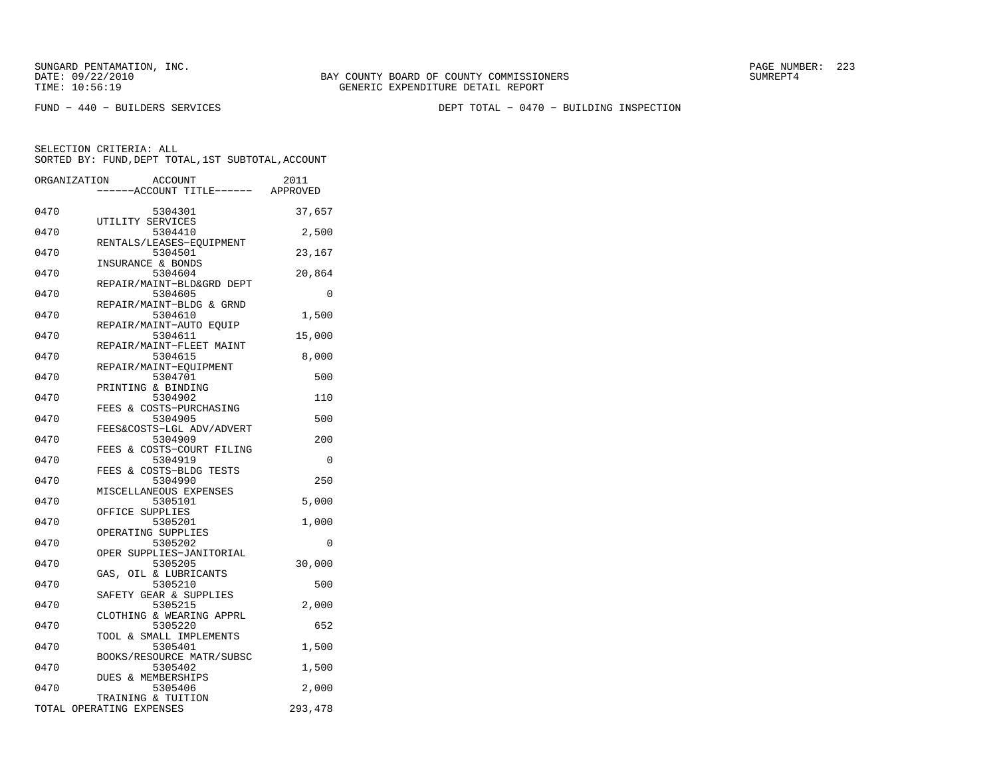FUND − 440 − BUILDERS SERVICES DEPT TOTAL − 0470 − BUILDING INSPECTION

| 0470<br>5304301<br>37,657<br>UTILITY SERVICES<br>0470<br>5304410<br>2,500<br>RENTALS/LEASES-EQUIPMENT<br>0470<br>5304501<br>23,167<br>INSURANCE & BONDS<br>0470<br>5304604<br>20,864<br>REPAIR/MAINT-BLD&GRD DEPT<br>0470<br>5304605<br>0<br>REPAIR/MAINT-BLDG & GRND<br>0470<br>1,500<br>5304610<br>REPAIR/MAINT-AUTO EQUIP<br>0470<br>5304611<br>15,000<br>REPAIR/MAINT-FLEET MAINT<br>0470<br>5304615<br>8,000<br>REPAIR/MAINT-EQUIPMENT<br>0470<br>5304701<br>500<br>PRINTING & BINDING<br>0470<br>5304902<br>110<br>FEES & COSTS-PURCHASING<br>0470<br>5304905<br>500<br>FEES&COSTS-LGL ADV/ADVERT<br>0470<br>5304909<br>200<br>FEES & COSTS-COURT FILING<br>0470<br>5304919<br>0<br>FEES & COSTS-BLDG TESTS<br>250<br>0470<br>5304990<br>MISCELLANEOUS EXPENSES<br>0470<br>5305101<br>5,000<br>OFFICE SUPPLIES<br>0470<br>5305201<br>1,000<br>OPERATING SUPPLIES<br>0470<br>5305202<br>0<br>OPER SUPPLIES-JANITORIAL<br>0470<br>5305205<br>30,000<br>GAS, OIL & LUBRICANTS<br>5305210<br>0470<br>500<br>SAFETY GEAR & SUPPLIES<br>0470<br>5305215<br>2,000<br>CLOTHING & WEARING APPRL<br>0470<br>5305220<br>652<br>TOOL & SMALL IMPLEMENTS<br>0470<br>5305401<br>1,500<br>BOOKS/RESOURCE MATR/SUBSC<br>0470<br>5305402<br>1,500<br>DUES & MEMBERSHIPS<br>0470<br>5305406<br>2,000<br>TRAINING & TUITION<br>TOTAL OPERATING EXPENSES<br>293,478 | ORGANIZATION<br>ACCOUNT<br>---ACCOUNT TITLE------ APPROVED | 2011 |
|-------------------------------------------------------------------------------------------------------------------------------------------------------------------------------------------------------------------------------------------------------------------------------------------------------------------------------------------------------------------------------------------------------------------------------------------------------------------------------------------------------------------------------------------------------------------------------------------------------------------------------------------------------------------------------------------------------------------------------------------------------------------------------------------------------------------------------------------------------------------------------------------------------------------------------------------------------------------------------------------------------------------------------------------------------------------------------------------------------------------------------------------------------------------------------------------------------------------------------------------------------------------------------------------------------------------------------------------------------|------------------------------------------------------------|------|
|                                                                                                                                                                                                                                                                                                                                                                                                                                                                                                                                                                                                                                                                                                                                                                                                                                                                                                                                                                                                                                                                                                                                                                                                                                                                                                                                                       |                                                            |      |
|                                                                                                                                                                                                                                                                                                                                                                                                                                                                                                                                                                                                                                                                                                                                                                                                                                                                                                                                                                                                                                                                                                                                                                                                                                                                                                                                                       |                                                            |      |
|                                                                                                                                                                                                                                                                                                                                                                                                                                                                                                                                                                                                                                                                                                                                                                                                                                                                                                                                                                                                                                                                                                                                                                                                                                                                                                                                                       |                                                            |      |
|                                                                                                                                                                                                                                                                                                                                                                                                                                                                                                                                                                                                                                                                                                                                                                                                                                                                                                                                                                                                                                                                                                                                                                                                                                                                                                                                                       |                                                            |      |
|                                                                                                                                                                                                                                                                                                                                                                                                                                                                                                                                                                                                                                                                                                                                                                                                                                                                                                                                                                                                                                                                                                                                                                                                                                                                                                                                                       |                                                            |      |
|                                                                                                                                                                                                                                                                                                                                                                                                                                                                                                                                                                                                                                                                                                                                                                                                                                                                                                                                                                                                                                                                                                                                                                                                                                                                                                                                                       |                                                            |      |
|                                                                                                                                                                                                                                                                                                                                                                                                                                                                                                                                                                                                                                                                                                                                                                                                                                                                                                                                                                                                                                                                                                                                                                                                                                                                                                                                                       |                                                            |      |
|                                                                                                                                                                                                                                                                                                                                                                                                                                                                                                                                                                                                                                                                                                                                                                                                                                                                                                                                                                                                                                                                                                                                                                                                                                                                                                                                                       |                                                            |      |
|                                                                                                                                                                                                                                                                                                                                                                                                                                                                                                                                                                                                                                                                                                                                                                                                                                                                                                                                                                                                                                                                                                                                                                                                                                                                                                                                                       |                                                            |      |
|                                                                                                                                                                                                                                                                                                                                                                                                                                                                                                                                                                                                                                                                                                                                                                                                                                                                                                                                                                                                                                                                                                                                                                                                                                                                                                                                                       |                                                            |      |
|                                                                                                                                                                                                                                                                                                                                                                                                                                                                                                                                                                                                                                                                                                                                                                                                                                                                                                                                                                                                                                                                                                                                                                                                                                                                                                                                                       |                                                            |      |
|                                                                                                                                                                                                                                                                                                                                                                                                                                                                                                                                                                                                                                                                                                                                                                                                                                                                                                                                                                                                                                                                                                                                                                                                                                                                                                                                                       |                                                            |      |
|                                                                                                                                                                                                                                                                                                                                                                                                                                                                                                                                                                                                                                                                                                                                                                                                                                                                                                                                                                                                                                                                                                                                                                                                                                                                                                                                                       |                                                            |      |
|                                                                                                                                                                                                                                                                                                                                                                                                                                                                                                                                                                                                                                                                                                                                                                                                                                                                                                                                                                                                                                                                                                                                                                                                                                                                                                                                                       |                                                            |      |
|                                                                                                                                                                                                                                                                                                                                                                                                                                                                                                                                                                                                                                                                                                                                                                                                                                                                                                                                                                                                                                                                                                                                                                                                                                                                                                                                                       |                                                            |      |
|                                                                                                                                                                                                                                                                                                                                                                                                                                                                                                                                                                                                                                                                                                                                                                                                                                                                                                                                                                                                                                                                                                                                                                                                                                                                                                                                                       |                                                            |      |
|                                                                                                                                                                                                                                                                                                                                                                                                                                                                                                                                                                                                                                                                                                                                                                                                                                                                                                                                                                                                                                                                                                                                                                                                                                                                                                                                                       |                                                            |      |
|                                                                                                                                                                                                                                                                                                                                                                                                                                                                                                                                                                                                                                                                                                                                                                                                                                                                                                                                                                                                                                                                                                                                                                                                                                                                                                                                                       |                                                            |      |
|                                                                                                                                                                                                                                                                                                                                                                                                                                                                                                                                                                                                                                                                                                                                                                                                                                                                                                                                                                                                                                                                                                                                                                                                                                                                                                                                                       |                                                            |      |
|                                                                                                                                                                                                                                                                                                                                                                                                                                                                                                                                                                                                                                                                                                                                                                                                                                                                                                                                                                                                                                                                                                                                                                                                                                                                                                                                                       |                                                            |      |
|                                                                                                                                                                                                                                                                                                                                                                                                                                                                                                                                                                                                                                                                                                                                                                                                                                                                                                                                                                                                                                                                                                                                                                                                                                                                                                                                                       |                                                            |      |
|                                                                                                                                                                                                                                                                                                                                                                                                                                                                                                                                                                                                                                                                                                                                                                                                                                                                                                                                                                                                                                                                                                                                                                                                                                                                                                                                                       |                                                            |      |
|                                                                                                                                                                                                                                                                                                                                                                                                                                                                                                                                                                                                                                                                                                                                                                                                                                                                                                                                                                                                                                                                                                                                                                                                                                                                                                                                                       |                                                            |      |
|                                                                                                                                                                                                                                                                                                                                                                                                                                                                                                                                                                                                                                                                                                                                                                                                                                                                                                                                                                                                                                                                                                                                                                                                                                                                                                                                                       |                                                            |      |
|                                                                                                                                                                                                                                                                                                                                                                                                                                                                                                                                                                                                                                                                                                                                                                                                                                                                                                                                                                                                                                                                                                                                                                                                                                                                                                                                                       |                                                            |      |
|                                                                                                                                                                                                                                                                                                                                                                                                                                                                                                                                                                                                                                                                                                                                                                                                                                                                                                                                                                                                                                                                                                                                                                                                                                                                                                                                                       |                                                            |      |
|                                                                                                                                                                                                                                                                                                                                                                                                                                                                                                                                                                                                                                                                                                                                                                                                                                                                                                                                                                                                                                                                                                                                                                                                                                                                                                                                                       |                                                            |      |
|                                                                                                                                                                                                                                                                                                                                                                                                                                                                                                                                                                                                                                                                                                                                                                                                                                                                                                                                                                                                                                                                                                                                                                                                                                                                                                                                                       |                                                            |      |
|                                                                                                                                                                                                                                                                                                                                                                                                                                                                                                                                                                                                                                                                                                                                                                                                                                                                                                                                                                                                                                                                                                                                                                                                                                                                                                                                                       |                                                            |      |
|                                                                                                                                                                                                                                                                                                                                                                                                                                                                                                                                                                                                                                                                                                                                                                                                                                                                                                                                                                                                                                                                                                                                                                                                                                                                                                                                                       |                                                            |      |
|                                                                                                                                                                                                                                                                                                                                                                                                                                                                                                                                                                                                                                                                                                                                                                                                                                                                                                                                                                                                                                                                                                                                                                                                                                                                                                                                                       |                                                            |      |
|                                                                                                                                                                                                                                                                                                                                                                                                                                                                                                                                                                                                                                                                                                                                                                                                                                                                                                                                                                                                                                                                                                                                                                                                                                                                                                                                                       |                                                            |      |
|                                                                                                                                                                                                                                                                                                                                                                                                                                                                                                                                                                                                                                                                                                                                                                                                                                                                                                                                                                                                                                                                                                                                                                                                                                                                                                                                                       |                                                            |      |
|                                                                                                                                                                                                                                                                                                                                                                                                                                                                                                                                                                                                                                                                                                                                                                                                                                                                                                                                                                                                                                                                                                                                                                                                                                                                                                                                                       |                                                            |      |
|                                                                                                                                                                                                                                                                                                                                                                                                                                                                                                                                                                                                                                                                                                                                                                                                                                                                                                                                                                                                                                                                                                                                                                                                                                                                                                                                                       |                                                            |      |
|                                                                                                                                                                                                                                                                                                                                                                                                                                                                                                                                                                                                                                                                                                                                                                                                                                                                                                                                                                                                                                                                                                                                                                                                                                                                                                                                                       |                                                            |      |
|                                                                                                                                                                                                                                                                                                                                                                                                                                                                                                                                                                                                                                                                                                                                                                                                                                                                                                                                                                                                                                                                                                                                                                                                                                                                                                                                                       |                                                            |      |
|                                                                                                                                                                                                                                                                                                                                                                                                                                                                                                                                                                                                                                                                                                                                                                                                                                                                                                                                                                                                                                                                                                                                                                                                                                                                                                                                                       |                                                            |      |
|                                                                                                                                                                                                                                                                                                                                                                                                                                                                                                                                                                                                                                                                                                                                                                                                                                                                                                                                                                                                                                                                                                                                                                                                                                                                                                                                                       |                                                            |      |
|                                                                                                                                                                                                                                                                                                                                                                                                                                                                                                                                                                                                                                                                                                                                                                                                                                                                                                                                                                                                                                                                                                                                                                                                                                                                                                                                                       |                                                            |      |
|                                                                                                                                                                                                                                                                                                                                                                                                                                                                                                                                                                                                                                                                                                                                                                                                                                                                                                                                                                                                                                                                                                                                                                                                                                                                                                                                                       |                                                            |      |
|                                                                                                                                                                                                                                                                                                                                                                                                                                                                                                                                                                                                                                                                                                                                                                                                                                                                                                                                                                                                                                                                                                                                                                                                                                                                                                                                                       |                                                            |      |
|                                                                                                                                                                                                                                                                                                                                                                                                                                                                                                                                                                                                                                                                                                                                                                                                                                                                                                                                                                                                                                                                                                                                                                                                                                                                                                                                                       |                                                            |      |
|                                                                                                                                                                                                                                                                                                                                                                                                                                                                                                                                                                                                                                                                                                                                                                                                                                                                                                                                                                                                                                                                                                                                                                                                                                                                                                                                                       |                                                            |      |
|                                                                                                                                                                                                                                                                                                                                                                                                                                                                                                                                                                                                                                                                                                                                                                                                                                                                                                                                                                                                                                                                                                                                                                                                                                                                                                                                                       |                                                            |      |
|                                                                                                                                                                                                                                                                                                                                                                                                                                                                                                                                                                                                                                                                                                                                                                                                                                                                                                                                                                                                                                                                                                                                                                                                                                                                                                                                                       |                                                            |      |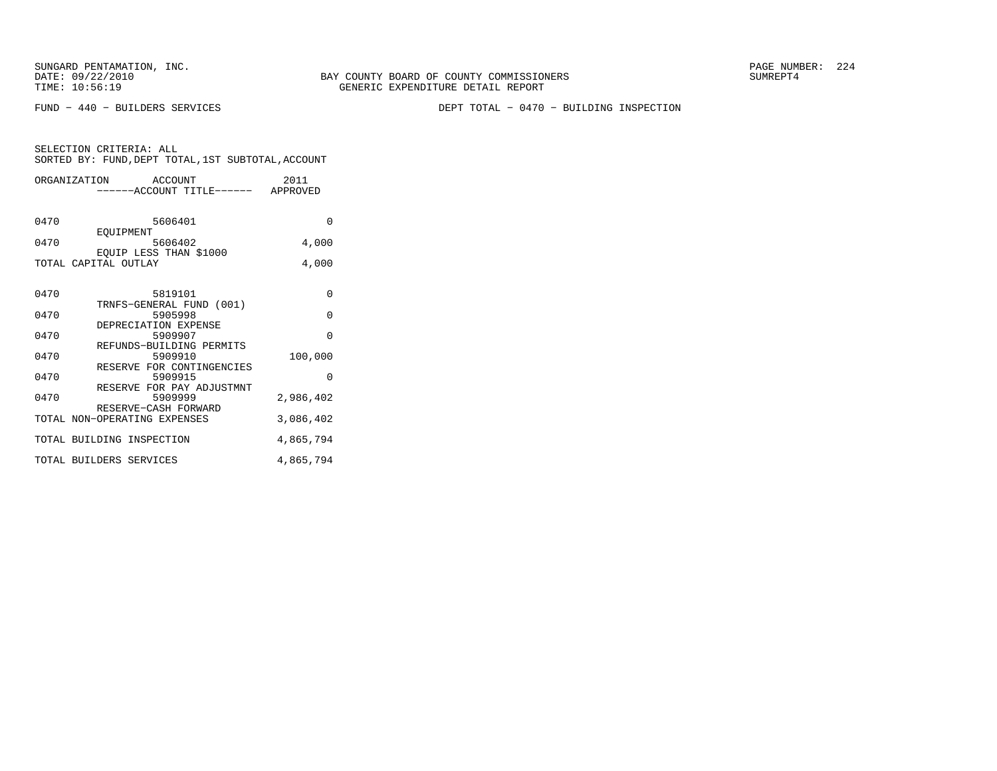FUND − 440 − BUILDERS SERVICES DEPT TOTAL − 0470 − BUILDING INSPECTION

| SELECTION CRITERIA: ALL |  |  |                                                    |  |
|-------------------------|--|--|----------------------------------------------------|--|
|                         |  |  | SORTED BY: FUND, DEPT TOTAL, 1ST SUBTOTAL, ACCOUNT |  |
|                         |  |  |                                                    |  |

|      | ORGANIZATION ACCOUNT                | 2011      |
|------|-------------------------------------|-----------|
|      | ------ACCOUNT TITLE------ APPROVED  |           |
|      |                                     |           |
| 0470 | 5606401                             | $\Omega$  |
|      | EOUIPMENT                           |           |
| 0470 | 5606402                             | 4,000     |
|      | EQUIP LESS THAN \$1000              |           |
|      | TOTAL CAPITAL OUTLAY                | 4,000     |
|      |                                     |           |
| 0470 | 5819101                             | 0         |
|      | TRNFS-GENERAL FUND (001)            |           |
| 0470 | 5905998                             | $\Omega$  |
|      | DEPRECIATION EXPENSE                |           |
| 0470 | 5909907                             | $\Omega$  |
| 0470 | REFUNDS-BUILDING PERMITS<br>5909910 | 100,000   |
|      | RESERVE FOR CONTINGENCIES           |           |
| 0470 | 5909915                             | $\Omega$  |
|      | RESERVE FOR PAY ADJUSTMNT           |           |
| 0470 | 5909999                             | 2,986,402 |
|      | RESERVE-CASH FORWARD                |           |
|      | TOTAL NON-OPERATING EXPENSES        | 3,086,402 |
|      | TOTAL BUILDING INSPECTION           | 4,865,794 |
|      |                                     |           |
|      | TOTAL BUILDERS SERVICES             | 4,865,794 |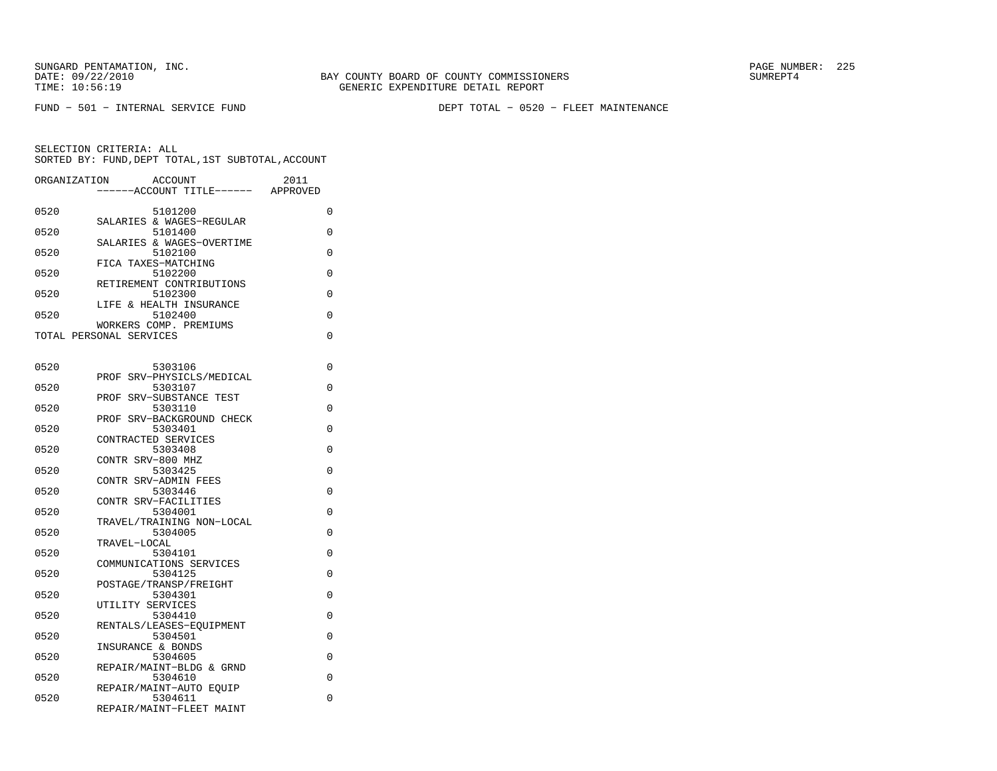FUND − 501 − INTERNAL SERVICE FUND DEPT TOTAL − 0520 − FLEET MAINTENANCE

| ORGANIZATION | <b>ACCOUNT</b><br>--ACCOUNT TITLE------           | 2011<br>APPROVED |
|--------------|---------------------------------------------------|------------------|
| 0520         | 5101200                                           | 0                |
| 0520         | SALARIES & WAGES-REGULAR<br>5101400               | 0                |
| 0520         | SALARIES & WAGES-OVERTIME<br>5102100              | 0                |
| 0520         | FICA TAXES-MATCHING<br>5102200                    | 0                |
| 0520         | RETIREMENT CONTRIBUTIONS<br>5102300               | 0                |
| 0520         | LIFE & HEALTH INSURANCE<br>5102400                | 0                |
|              | WORKERS COMP. PREMIUMS<br>TOTAL PERSONAL SERVICES | 0                |
|              |                                                   |                  |
| 0520         | 5303106<br>PROF SRV-PHYSICLS/MEDICAL              | 0                |
| 0520         | 5303107<br>SRV-SUBSTANCE TEST<br>PROF             | 0                |
| 0520         | 5303110<br>PROF SRV-BACKGROUND CHECK              | 0                |
| 0520         | 5303401<br>CONTRACTED SERVICES                    | 0                |
| 0520         | 5303408<br>CONTR SRV-800 MHZ                      | 0                |
| 0520         | 5303425<br>CONTR SRV-ADMIN FEES                   | 0                |
| 0520         | 5303446                                           | 0                |
| 0520         | CONTR SRV-FACILITIES<br>5304001                   | 0                |
| 0520         | TRAVEL/TRAINING NON-LOCAL<br>5304005              | 0                |
| 0520         | TRAVEL-LOCAL<br>5304101                           | 0                |
| 0520         | COMMUNICATIONS SERVICES<br>5304125                | 0                |
| 0520         | POSTAGE/TRANSP/FREIGHT<br>5304301                 | 0                |
| 0520         | UTILITY SERVICES<br>5304410                       | 0                |
| 0520         | RENTALS/LEASES-EOUIPMENT<br>5304501               | 0                |
| 0520         | INSURANCE & BONDS<br>5304605                      | 0                |
| 0520         | REPAIR/MAINT-BLDG & GRND<br>5304610               | 0                |
| 0520         | REPAIR/MAINT-AUTO EQUIP<br>5304611                | 0                |
|              | REPAIR/MAINT-FLEET MAINT                          |                  |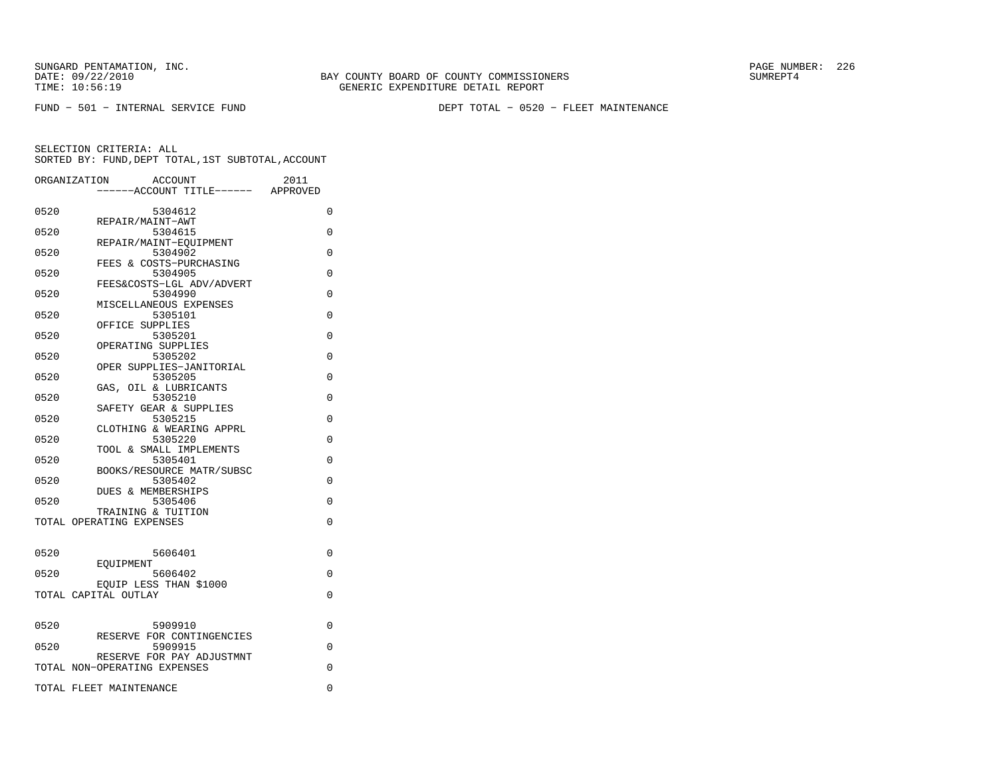FUND − 501 − INTERNAL SERVICE FUND DEPT TOTAL − 0520 − FLEET MAINTENANCE

|      | ORGANIZATION<br><b>ACCOUNT</b>                            | 2011     |
|------|-----------------------------------------------------------|----------|
|      | ----ACCOUNT TITLE------ APPROVED                          |          |
| 0520 | 5304612                                                   | 0        |
|      | REPAIR/MAINT-AWT                                          |          |
| 0520 | 5304615<br>REPAIR/MAINT-EOUIPMENT                         | 0        |
| 0520 | 5304902                                                   | 0        |
|      | FEES & COSTS-PURCHASING                                   |          |
| 0520 | 5304905                                                   | 0        |
|      | FEES&COSTS-LGL ADV/ADVERT                                 |          |
| 0520 | 5304990<br>MISCELLANEOUS EXPENSES                         | $\Omega$ |
| 0520 | 5305101                                                   | $\Omega$ |
|      | OFFICE SUPPLIES                                           |          |
| 0520 | 5305201                                                   | $\Omega$ |
|      | OPERATING SUPPLIES                                        |          |
| 0520 | 5305202                                                   | 0        |
| 0520 | OPER SUPPLIES-JANITORIAL<br>5305205                       | 0        |
|      | GAS, OIL & LUBRICANTS                                     |          |
| 0520 | 5305210                                                   | $\Omega$ |
|      | SAFETY GEAR & SUPPLIES                                    |          |
| 0520 | 5305215                                                   | $\Omega$ |
| 0520 | CLOTHING & WEARING APPRL<br>5305220                       | $\Omega$ |
|      | TOOL & SMALL IMPLEMENTS                                   |          |
| 0520 | 5305401                                                   | 0        |
|      | BOOKS/RESOURCE MATR/SUBSC                                 |          |
| 0520 | 5305402                                                   | $\Omega$ |
|      | <b>DUES &amp; MEMBERSHIPS</b>                             |          |
| 0520 | 5305406<br>TRAINING & TUITION                             | 0        |
|      | TOTAL OPERATING EXPENSES                                  | $\Omega$ |
|      |                                                           |          |
| 0520 | 5606401                                                   | $\Omega$ |
|      | EOUIPMENT                                                 |          |
| 0520 | 5606402                                                   | 0        |
|      | EQUIP LESS THAN \$1000                                    |          |
|      | TOTAL CAPITAL OUTLAY                                      | $\Omega$ |
|      |                                                           |          |
| 0520 | 5909910                                                   | 0        |
|      | RESERVE FOR CONTINGENCIES                                 |          |
| 0520 | 5909915                                                   | 0        |
|      | RESERVE FOR PAY ADJUSTMNT<br>TOTAL NON-OPERATING EXPENSES | 0        |
|      |                                                           |          |
|      | TOTAL FLEET MAINTENANCE                                   | 0        |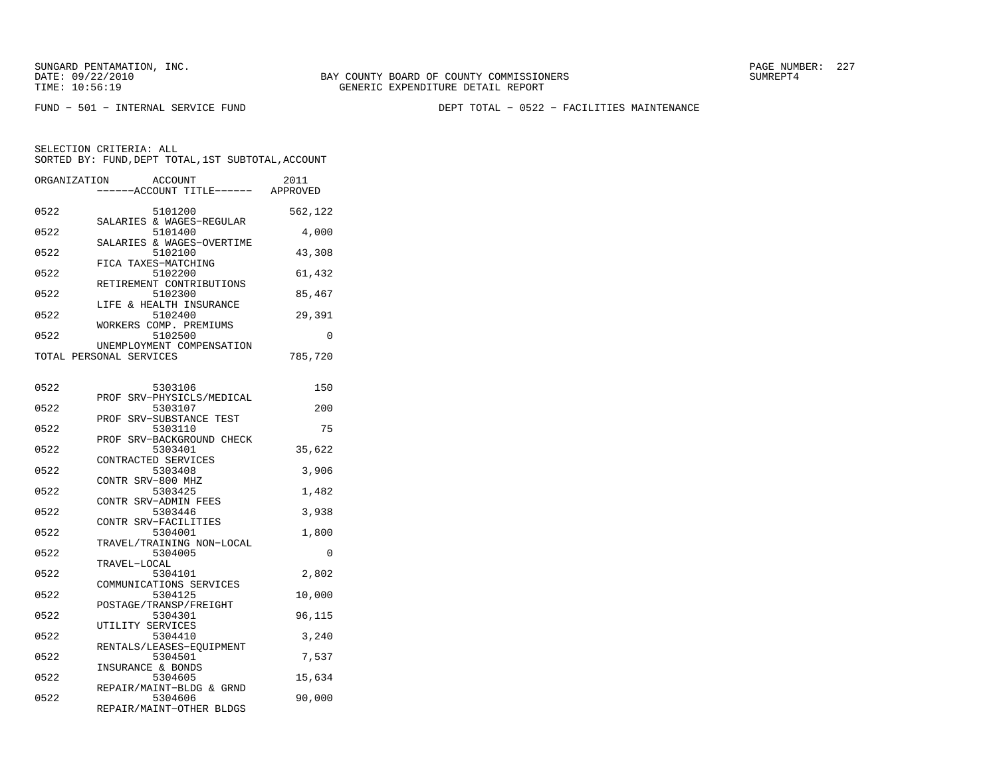FUND − 501 − INTERNAL SERVICE FUND DEPT TOTAL − 0522 − FACILITIES MAINTENANCE

SELECTION CRITERIA: ALLSORTED BY: FUND, DEPT TOTAL, 1ST SUBTOTAL, ACCOUNT

| ORGANIZATION | <b>ACCOUNT</b><br>----ACCOUNT TITLE------ APPROVED             | 2011    |
|--------------|----------------------------------------------------------------|---------|
| 0522         | 5101200                                                        | 562,122 |
| 0522         | SALARIES & WAGES-REGULAR<br>5101400                            | 4,000   |
| 0522         | SALARIES & WAGES-OVERTIME<br>5102100                           | 43,308  |
| 0522         | FICA TAXES-MATCHING<br>5102200                                 | 61,432  |
| 0522         | RETIREMENT CONTRIBUTIONS<br>5102300<br>LIFE & HEALTH INSURANCE | 85,467  |
| 0522         | 5102400<br>WORKERS COMP. PREMIUMS                              | 29,391  |
| 0522         | 5102500                                                        | 0       |
|              | UNEMPLOYMENT COMPENSATION<br>TOTAL PERSONAL SERVICES           | 785,720 |
| 0522         | 5303106                                                        | 150     |
| 0522         | PROF SRV-PHYSICLS/MEDICAL<br>5303107                           | 200     |
| 0522         | PROF SRV-SUBSTANCE TEST<br>5303110                             | 75      |
| 0522         | PROF SRV-BACKGROUND CHECK<br>5303401<br>CONTRACTED SERVICES    | 35,622  |
| 0522         | 5303408<br>CONTR SRV-800 MHZ                                   | 3,906   |
| 0522         | 5303425<br>CONTR SRV-ADMIN FEES                                | 1,482   |
| 0522         | 5303446<br>CONTR SRV-FACILITIES                                | 3,938   |
| 0522         | 5304001<br>TRAVEL/TRAINING NON-LOCAL                           | 1,800   |
| 0522         | 5304005<br>TRAVEL-LOCAL                                        | 0       |
| 0522         | 5304101<br>COMMUNICATIONS SERVICES                             | 2,802   |
| 0522         | 5304125<br>POSTAGE/TRANSP/FREIGHT                              | 10,000  |
| 0522         | 5304301<br>UTILITY SERVICES                                    | 96,115  |
| 0522         | 5304410<br>RENTALS/LEASES-EOUIPMENT                            | 3,240   |
| 0522         | 5304501<br>INSURANCE & BONDS                                   | 7,537   |
| 0522         | 5304605<br>REPAIR/MAINT-BLDG & GRND                            | 15,634  |
| 0522         | 5304606<br>DRD3 TD (M3 TMM) OMINA DI DOC                       | 90,000  |

REPAIR/MAINT−OTHER BLDGS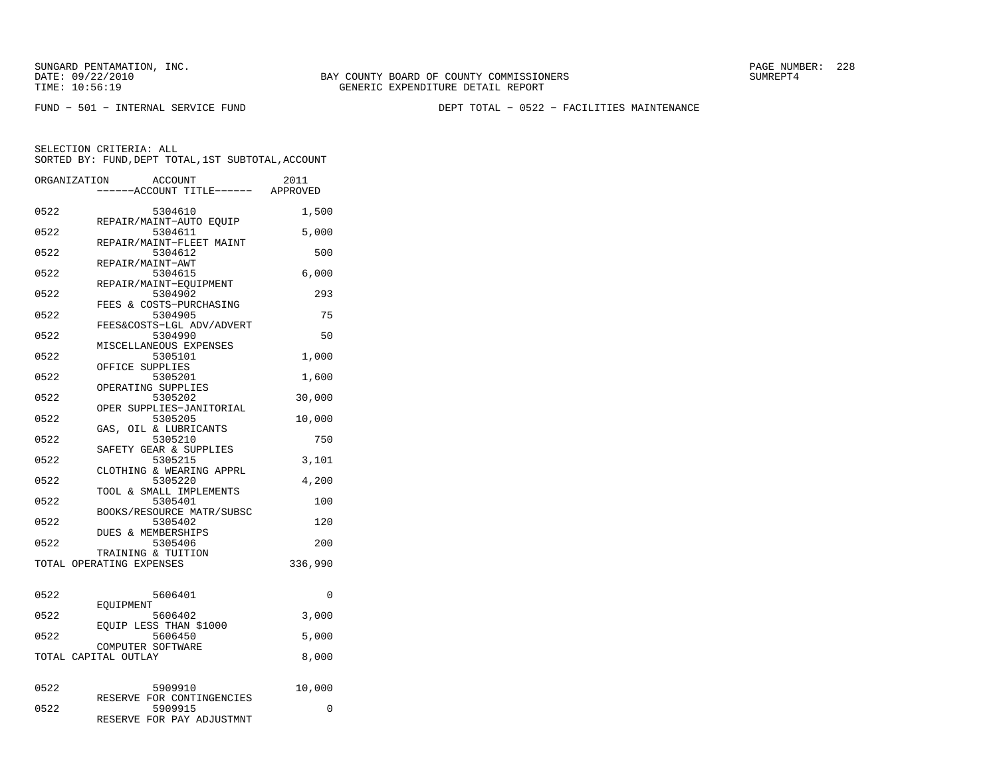FUND − 501 − INTERNAL SERVICE FUND DEPT TOTAL − 0522 − FACILITIES MAINTENANCE

| ORGANIZATION | <b>ACCOUNT</b><br>---ACCOUNT TITLE------ APPROVED                 | 2011     |
|--------------|-------------------------------------------------------------------|----------|
| 0522         | 5304610                                                           | 1,500    |
| 0522         | REPAIR/MAINT-AUTO EQUIP<br>5304611<br>REPAIR/MAINT-FLEET MAINT    | 5,000    |
| 0522         | 5304612<br>REPAIR/MAINT-AWT                                       | 500      |
| 0522         | 5304615<br>REPAIR/MAINT-EQUIPMENT                                 | 6,000    |
| 0522         | 5304902<br>FEES & COSTS-PURCHASING                                | 293      |
| 0522         | 5304905<br>FEES&COSTS-LGL ADV/ADVERT                              | 75       |
| 0522         | 5304990<br>MISCELLANEOUS EXPENSES                                 | 50       |
| 0522         | 5305101<br>OFFICE SUPPLIES                                        | 1,000    |
| 0522         | 5305201<br>OPERATING SUPPLIES                                     | 1,600    |
| 0522         | 5305202<br>OPER SUPPLIES-JANITORIAL                               | 30,000   |
| 0522         | 5305205<br>GAS, OIL & LUBRICANTS                                  | 10,000   |
| 0522         | 5305210<br>SAFETY GEAR & SUPPLIES                                 | 750      |
| 0522         | 5305215<br>CLOTHING & WEARING APPRL                               | 3,101    |
| 0522         | 5305220<br>TOOL & SMALL IMPLEMENTS                                | 4,200    |
| 0522         | 5305401<br>BOOKS/RESOURCE MATR/SUBSC                              | 100      |
| 0522         | 5305402<br>DUES & MEMBERSHIPS                                     | 120      |
| 0522         | 5305406<br>TRAINING & TUITION                                     | 200      |
|              | TOTAL OPERATING EXPENSES                                          | 336,990  |
| 0522         | 5606401                                                           | $\Omega$ |
| 0522         | EOUIPMENT<br>5606402                                              | 3,000    |
| 0522         | EOUIP LESS THAN \$1000<br>5606450                                 | 5,000    |
|              | COMPUTER SOFTWARE<br>TOTAL CAPITAL OUTLAY                         | 8,000    |
| 0522         | 5909910                                                           | 10,000   |
| 0522         | RESERVE FOR CONTINGENCIES<br>5909915<br>RESERVE FOR PAY ADJUSTMNT | 0        |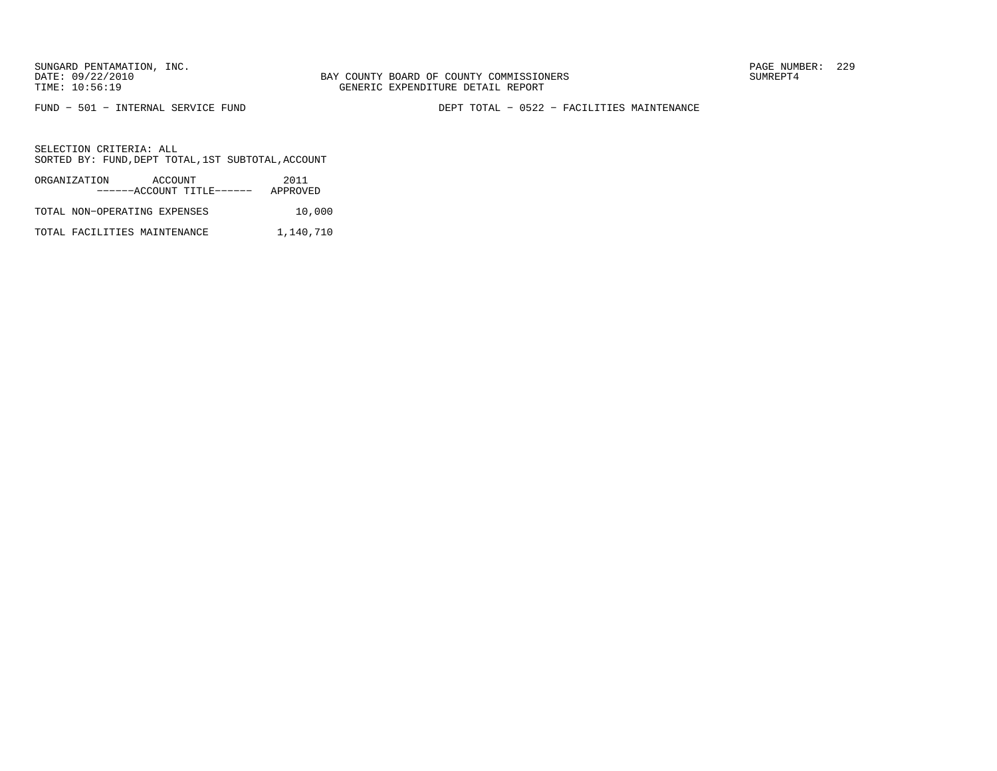FUND − 501 − INTERNAL SERVICE FUND DEPT TOTAL − 0522 − FACILITIES MAINTENANCE

SELECTION CRITERIA: ALLSORTED BY: FUND, DEPT TOTAL, 1ST SUBTOTAL, ACCOUNT

| ORGANIZATION                 | ACCOUNT |                           | 2011     |        |
|------------------------------|---------|---------------------------|----------|--------|
|                              |         | ------ACCOUNT TITLE------ | APPROVED |        |
| TOTAL NON-OPERATING EXPENSES |         |                           |          | 10,000 |

TOTAL FACILITIES MAINTENANCE 1,140,710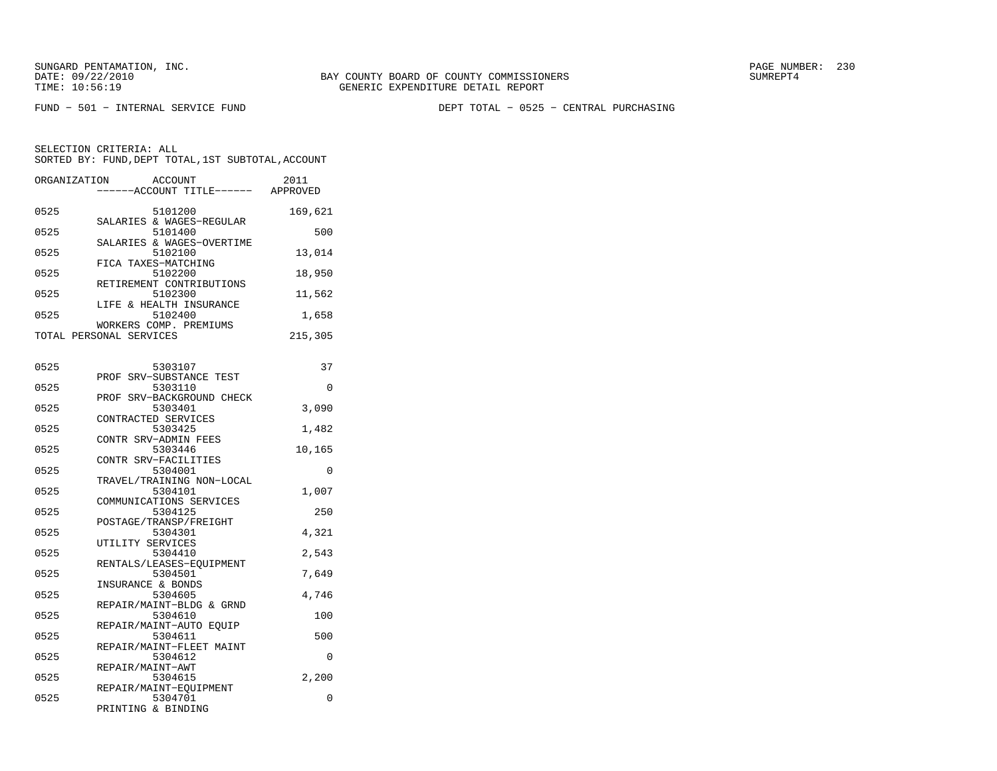FUND − 501 − INTERNAL SERVICE FUND DEPT TOTAL − 0525 − CENTRAL PURCHASING

SELECTION CRITERIA: ALLSORTED BY: FUND, DEPT TOTAL, 1ST SUBTOTAL, ACCOUNT

| ORGANIZATION | <b>ACCOUNT</b><br>----ACCOUNT TITLE------ APPROVED | 2011     |
|--------------|----------------------------------------------------|----------|
| 0525         | 5101200                                            | 169,621  |
| 0525         | SALARIES & WAGES-REGULAR<br>5101400                | 500      |
| 0525         | SALARIES & WAGES-OVERTIME<br>5102100               | 13,014   |
| 0525         | FICA TAXES-MATCHING<br>5102200                     | 18,950   |
| 0525         | RETIREMENT CONTRIBUTIONS<br>5102300                | 11,562   |
| 0525         | LIFE & HEALTH INSURANCE<br>5102400                 | 1,658    |
|              | WORKERS COMP. PREMIUMS<br>TOTAL PERSONAL SERVICES  | 215,305  |
|              |                                                    |          |
| 0525         | 5303107<br>SRV-SUBSTANCE TEST<br>PROF              | 37       |
| 0525         | 5303110<br>SRV-BACKGROUND CHECK<br>PROF            | 0        |
| 0525         | 5303401                                            | 3,090    |
| 0525         | CONTRACTED SERVICES<br>5303425                     | 1,482    |
| 0525         | CONTR SRV-ADMIN FEES<br>5303446                    | 10,165   |
| 0525         | CONTR SRV-FACILITIES<br>5304001                    | 0        |
| 0525         | TRAVEL/TRAINING NON-LOCAL<br>5304101               | 1,007    |
| 0525         | COMMUNICATIONS SERVICES<br>5304125                 | 250      |
|              | POSTAGE/TRANSP/FREIGHT                             |          |
| 0525         | 5304301<br>UTILITY SERVICES                        | 4,321    |
| 0525         | 5304410<br>RENTALS/LEASES-EQUIPMENT                | 2,543    |
| 0525         | 5304501<br>INSURANCE & BONDS                       | 7,649    |
| 0525         | 5304605<br>REPAIR/MAINT-BLDG & GRND                | 4,746    |
| 0525         | 5304610                                            | 100      |
| 0525         | REPAIR/MAINT-AUTO EQUIP<br>5304611                 | 500      |
| 0525         | REPAIR/MAINT-FLEET MAINT<br>5304612                | 0        |
| 0525         | REPAIR/MAINT-AWT<br>5304615                        | 2,200    |
| 0525         | REPAIR/MAINT-EOUIPMENT<br>5304701                  | $\Omega$ |

PRINTING & BINDING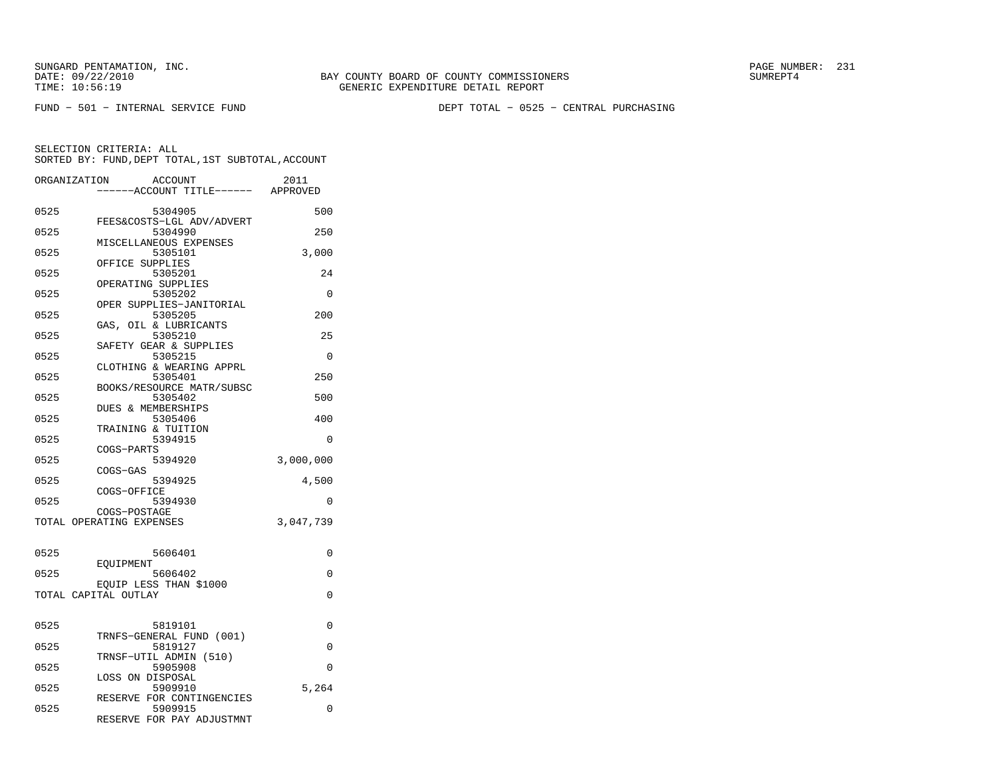FUND − 501 − INTERNAL SERVICE FUND DEPT TOTAL − 0525 − CENTRAL PURCHASING

| ORGANIZATION             |                  | <b>ACCOUNT</b><br>---ACCOUNT TITLE------ | 2011<br>APPROVED |
|--------------------------|------------------|------------------------------------------|------------------|
| 0525                     |                  | 5304905                                  | 500              |
| 0525                     |                  | FEES&COSTS-LGL ADV/ADVERT<br>5304990     | 250              |
| 0525                     |                  | MISCELLANEOUS EXPENSES<br>5305101        | 3,000            |
| 0525                     | OFFICE SUPPLIES  | 5305201                                  | 24               |
| 0525                     |                  | OPERATING SUPPLIES<br>5305202            | $\Omega$         |
| 0525                     |                  | OPER SUPPLIES-JANITORIAL<br>5305205      | 200              |
| 0525                     |                  | GAS, OIL & LUBRICANTS<br>5305210         | 25               |
| 0525                     |                  | SAFETY GEAR & SUPPLIES<br>5305215        | 0                |
| 0525                     |                  | CLOTHING & WEARING APPRL<br>5305401      | 250              |
| 0525                     |                  | BOOKS/RESOURCE MATR/SUBSC<br>5305402     | 500              |
| 0525                     |                  | <b>DUES &amp; MEMBERSHIPS</b><br>5305406 | 400              |
| 0525                     |                  | TRAINING & TUITION<br>5394915            | $\Omega$         |
| 0525                     | COGS-PARTS       | 5394920                                  | 3,000,000        |
| 0525                     | COGS-GAS         | 5394925                                  | 4,500            |
|                          | COGS-OFFICE      |                                          |                  |
| 0525                     | COGS-POSTAGE     | 5394930                                  | 0                |
| TOTAL OPERATING EXPENSES |                  |                                          | 3,047,739        |
| 0525                     |                  | 5606401                                  | $\Omega$         |
| 0525                     | EOUIPMENT        | 5606402                                  | 0                |
| TOTAL CAPITAL OUTLAY     |                  | EOUIP LESS THAN \$1000                   | 0                |
|                          |                  |                                          |                  |
| 0525                     |                  | 5819101<br>TRNFS-GENERAL FUND (001)      | 0                |
| 0525                     |                  | 5819127<br>TRNSF-UTIL ADMIN (510)        | 0                |
| 0525                     | LOSS ON DISPOSAL | 5905908                                  | $\Omega$         |
| 0525                     |                  | 5909910<br>RESERVE FOR CONTINGENCIES     | 5,264            |
| 0525                     |                  | 5909915<br>RESERVE FOR PAY ADJUSTMNT     | 0                |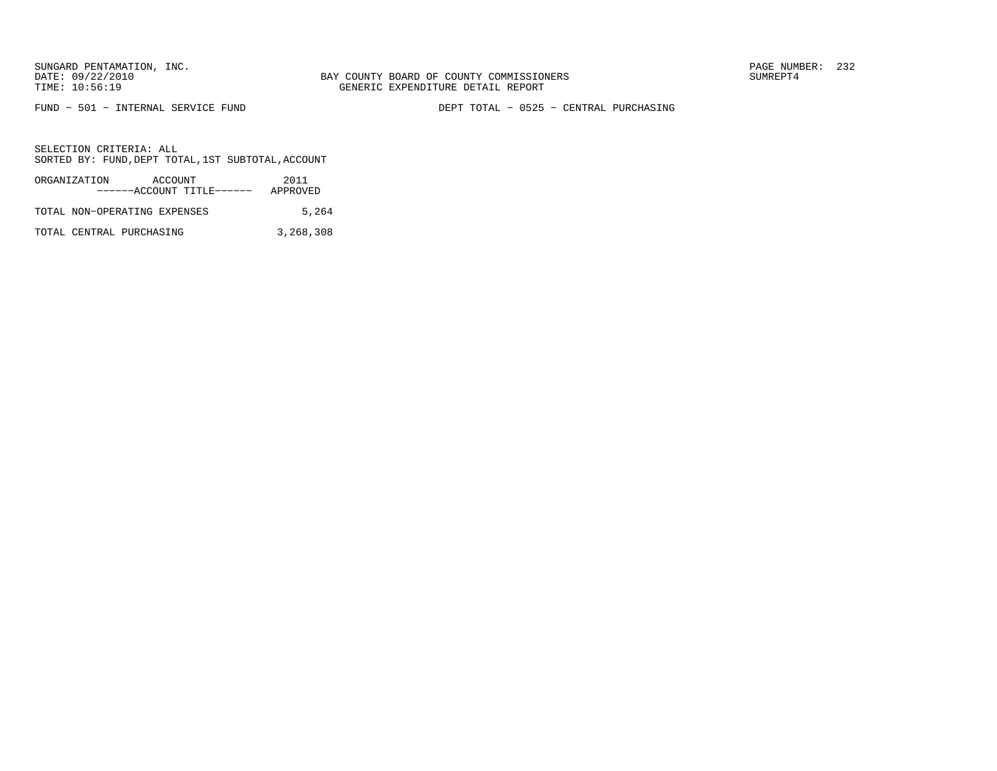FUND − 501 − INTERNAL SERVICE FUND DEPT TOTAL − 0525 − CENTRAL PURCHASING

SELECTION CRITERIA: ALLSORTED BY: FUND, DEPT TOTAL, 1ST SUBTOTAL, ACCOUNT

| ORGANIZATION                 | ACCOUNT |                           | 2011     |
|------------------------------|---------|---------------------------|----------|
|                              |         | ------ACCOUNT TITLE------ | APPROVED |
| TOTAL NON-OPERATING EXPENSES |         |                           | 5,264    |

TOTAL CENTRAL PURCHASING 3,268,308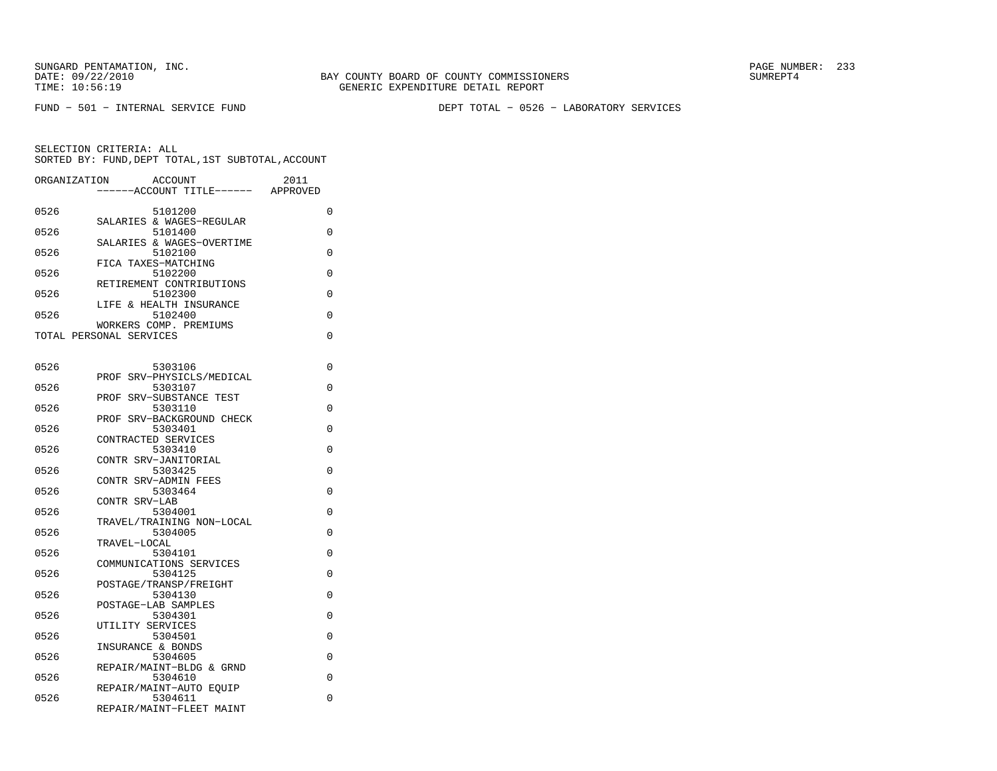FUND − 501 − INTERNAL SERVICE FUND DEPT TOTAL − 0526 − LABORATORY SERVICES

| ORGANIZATION | <b>ACCOUNT</b><br>--ACCOUNT TITLE------                        | 2011<br>APPROVED |
|--------------|----------------------------------------------------------------|------------------|
| 0526         | 5101200                                                        | 0                |
| 0526         | SALARIES & WAGES-REGULAR<br>5101400                            | 0                |
| 0526         | SALARIES & WAGES-OVERTIME<br>5102100                           | 0                |
| 0526         | FICA TAXES-MATCHING<br>5102200                                 | 0                |
| 0526         | RETIREMENT CONTRIBUTIONS<br>5102300                            | 0                |
| 0526         | LIFE & HEALTH INSURANCE<br>5102400                             | 0                |
|              | WORKERS COMP. PREMIUMS<br>TOTAL PERSONAL SERVICES              | 0                |
|              |                                                                |                  |
| 0526         | 5303106<br>PROF SRV-PHYSICLS/MEDICAL                           | 0                |
| 0526         | 5303107<br>SRV-SUBSTANCE TEST<br>PROF                          | 0                |
| 0526         | 5303110<br>PROF SRV-BACKGROUND CHECK                           | 0                |
| 0526         | 5303401                                                        | 0                |
| 0526         | CONTRACTED SERVICES<br>5303410                                 | 0                |
| 0526         | CONTR SRV-JANITORIAL<br>5303425                                | 0                |
| 0526         | CONTR SRV-ADMIN FEES<br>5303464                                | 0                |
| 0526         | CONTR SRV-LAB<br>5304001                                       | 0                |
| 0526         | TRAVEL/TRAINING NON-LOCAL<br>5304005                           | 0                |
| 0526         | TRAVEL-LOCAL                                                   | 0                |
|              | 5304101<br>COMMUNICATIONS SERVICES                             |                  |
| 0526         | 5304125<br>POSTAGE/TRANSP/FREIGHT                              | 0                |
| 0526         | 5304130<br>POSTAGE-LAB SAMPLES                                 | 0                |
| 0526         | 5304301<br>UTILITY SERVICES                                    | 0                |
| 0526         | 5304501<br>INSURANCE & BONDS                                   | 0                |
| 0526         | 5304605                                                        | 0                |
| 0526         | REPAIR/MAINT-BLDG & GRND<br>5304610                            | 0                |
| 0526         | REPAIR/MAINT-AUTO EQUIP<br>5304611<br>REPAIR/MAINT-FLEET MAINT | 0                |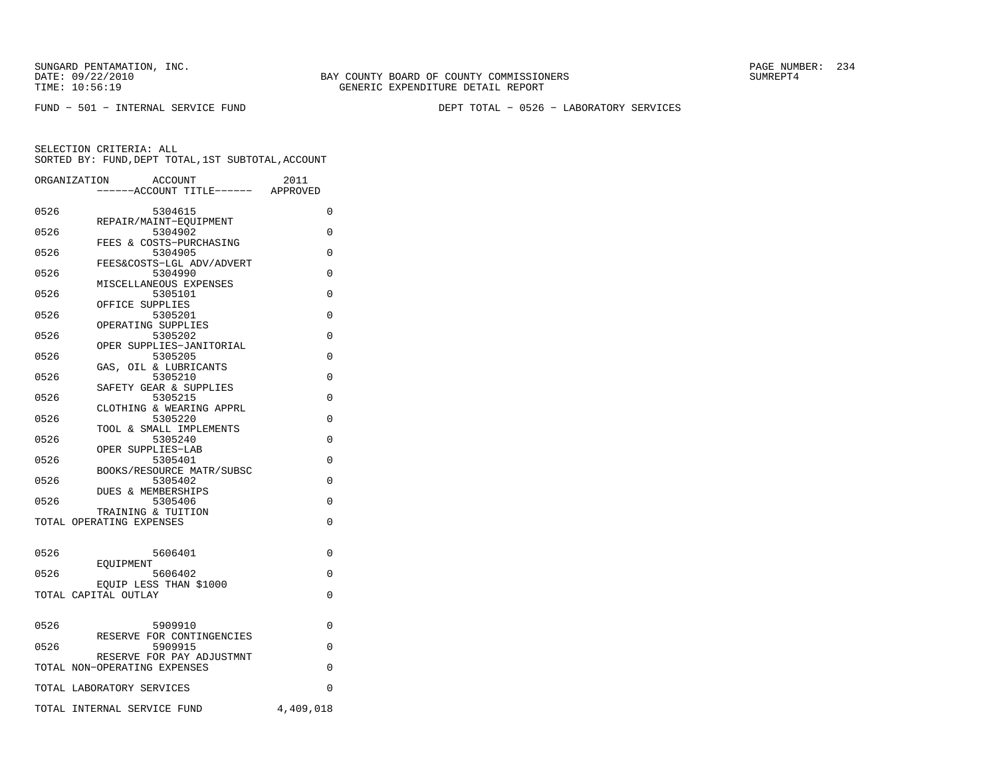FUND − 501 − INTERNAL SERVICE FUND DEPT TOTAL − 0526 − LABORATORY SERVICES

|      | ORGANIZATION<br>ACCOUNT<br>---ACCOUNT TITLE------ APPROVED | 2011      |
|------|------------------------------------------------------------|-----------|
| 0526 | 5304615                                                    | 0         |
| 0526 | REPAIR/MAINT-EOUIPMENT<br>5304902                          | 0         |
| 0526 | FEES & COSTS-PURCHASING<br>5304905                         | 0         |
| 0526 | FEES&COSTS-LGL ADV/ADVERT<br>5304990                       | $\Omega$  |
|      | MISCELLANEOUS EXPENSES                                     |           |
| 0526 | 5305101<br>OFFICE SUPPLIES                                 | $\Omega$  |
| 0526 | 5305201<br>OPERATING SUPPLIES                              | $\Omega$  |
| 0526 | 5305202<br>OPER SUPPLIES-JANITORIAL                        | $\Omega$  |
| 0526 | 5305205<br>GAS, OIL & LUBRICANTS                           | 0         |
| 0526 | 5305210<br>SAFETY GEAR & SUPPLIES                          | $\Omega$  |
| 0526 | 5305215                                                    | $\Omega$  |
| 0526 | CLOTHING & WEARING APPRL<br>5305220                        | $\Omega$  |
| 0526 | TOOL & SMALL IMPLEMENTS<br>5305240                         | $\Omega$  |
| 0526 | OPER SUPPLIES-LAB<br>5305401                               | 0         |
| 0526 | BOOKS/RESOURCE MATR/SUBSC<br>5305402                       | 0         |
| 0526 | DUES & MEMBERSHIPS<br>5305406                              | 0         |
|      | TRAINING & TUITION                                         |           |
|      | TOTAL OPERATING EXPENSES                                   | 0         |
| 0526 | 5606401                                                    | 0         |
| 0526 | EOUIPMENT<br>5606402                                       | 0         |
|      | EQUIP LESS THAN \$1000<br>TOTAL CAPITAL OUTLAY             | 0         |
|      |                                                            |           |
| 0526 | 5909910<br>RESERVE FOR CONTINGENCIES                       | 0         |
| 0526 | 5909915                                                    | $\Omega$  |
|      | RESERVE FOR PAY ADJUSTMNT<br>TOTAL NON-OPERATING EXPENSES  | $\Omega$  |
|      | TOTAL LABORATORY SERVICES                                  | 0         |
|      | TOTAL INTERNAL SERVICE FUND                                | 4,409,018 |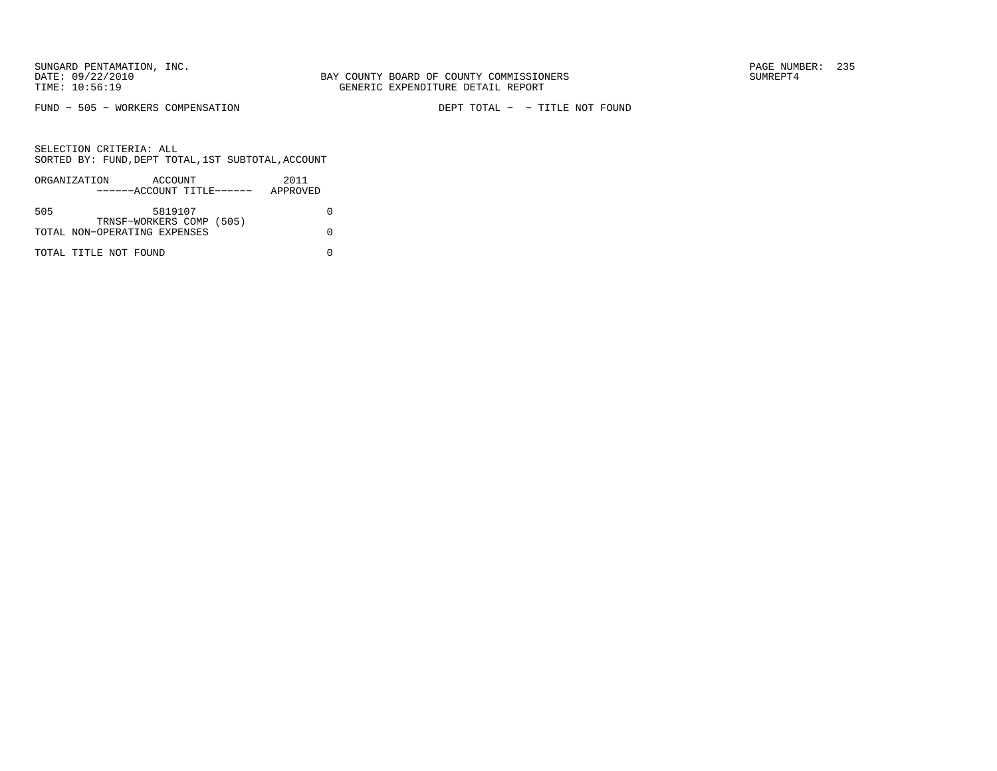FUND - 505 - WORKERS COMPENSATION

DEPT TOTAL - - TITLE NOT FOUND

|     | ORGANIZATION                 | ACCOUNT |  | 2011     |  |
|-----|------------------------------|---------|--|----------|--|
|     | ------ACCOUNT TITLE------    |         |  | APPROVED |  |
|     |                              |         |  |          |  |
| 505 |                              | 5819107 |  |          |  |
|     | TRNSF-WORKERS COMP (505)     |         |  |          |  |
|     | TOTAL NON-OPERATING EXPENSES |         |  |          |  |
|     |                              |         |  |          |  |
|     | TOTAL TITLE NOT FOUND        |         |  |          |  |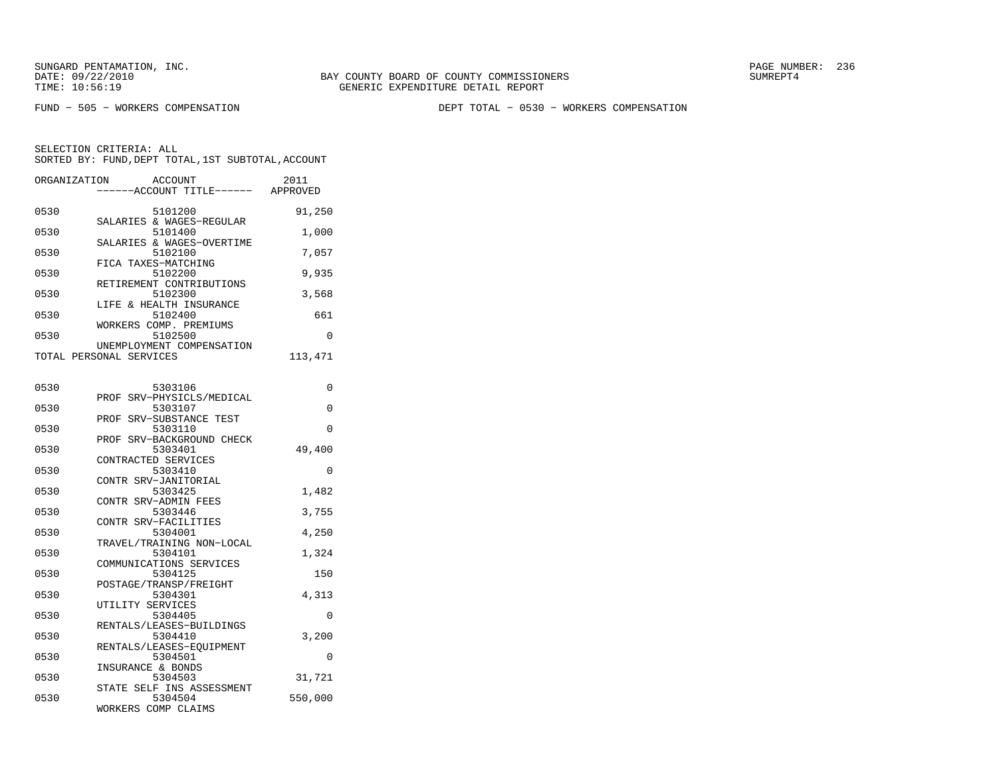BAY COUNTY BOARD OF COUNTY COMMISSIONERS TIME: 10:56:19 GENERIC EXPENDITURE DETAIL REPORT

FUND − 505 − WORKERS COMPENSATION DEPT TOTAL − 0530 − WORKERS COMPENSATION

SELECTION CRITERIA: ALLSORTED BY: FUND, DEPT TOTAL, 1ST SUBTOTAL, ACCOUNT

| ORGANIZATION | ACCOUNT<br>----ACCOUNT TITLE------ APPROVED          | 2011    |
|--------------|------------------------------------------------------|---------|
| 0530         | 5101200                                              | 91,250  |
| 0530         | SALARIES & WAGES-REGULAR<br>5101400                  | 1,000   |
| 0530         | SALARIES & WAGES-OVERTIME<br>5102100                 | 7,057   |
| 0530         | FICA TAXES-MATCHING<br>5102200                       | 9,935   |
| 0530         | RETIREMENT CONTRIBUTIONS<br>5102300                  | 3,568   |
| 0530         | LIFE & HEALTH INSURANCE<br>5102400                   | 661     |
| 0530         | WORKERS COMP. PREMIUMS<br>5102500                    | 0       |
|              | UNEMPLOYMENT COMPENSATION<br>TOTAL PERSONAL SERVICES | 113,471 |
|              |                                                      |         |
| 0530         | 5303106<br>PROF SRV-PHYSICLS/MEDICAL                 | 0       |
| 0530         | 5303107<br>PROF SRV-SUBSTANCE TEST                   | 0       |
| 0530         | 5303110<br>PROF SRV-BACKGROUND CHECK                 | 0       |
| 0530         | 5303401<br>CONTRACTED SERVICES                       | 49,400  |
| 0530         | 5303410<br>CONTR SRV-JANITORIAL                      | 0       |
| 0530         | 5303425<br>CONTR SRV-ADMIN FEES                      | 1,482   |
| 0530         | 5303446<br>CONTR SRV-FACILITIES                      | 3,755   |
| 0530         | 5304001<br>TRAVEL/TRAINING NON-LOCAL                 | 4,250   |
| 0530         | 5304101<br>COMMUNICATIONS SERVICES                   | 1,324   |
| 0530         | 5304125<br>POSTAGE/TRANSP/FREIGHT                    | 150     |
| 0530         | 5304301                                              | 4,313   |
| 0530         | UTILITY SERVICES<br>5304405                          | 0       |
| 0530         | RENTALS/LEASES-BUILDINGS<br>5304410                  | 3,200   |
| 0530         | RENTALS/LEASES-EQUIPMENT<br>5304501                  | 0       |

INSURANCE & BONDS

WORKERS COMP CLAIMS

 0530 5304503 31,721 STATE SELF INS ASSESSMENT0530 5304504 550,000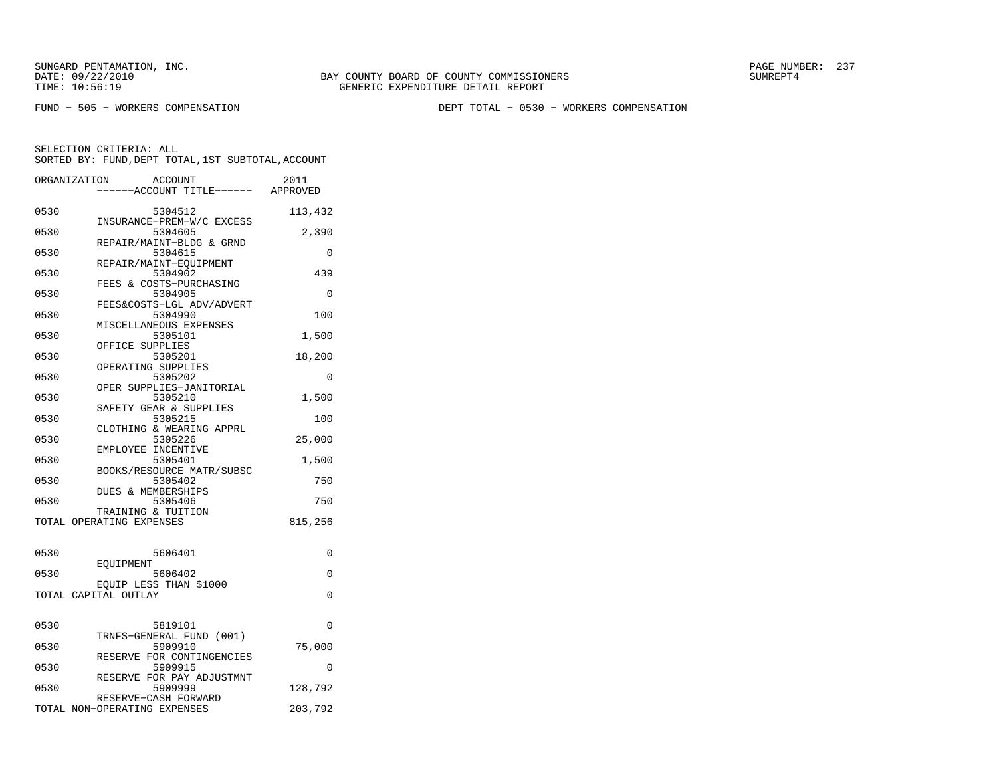BAY COUNTY BOARD OF COUNTY COMMISSIONERS TIME: 10:56:19 GENERIC EXPENDITURE DETAIL REPORT

FUND − 505 − WORKERS COMPENSATION DEPT TOTAL − 0530 − WORKERS COMPENSATION

|      | ORGANIZATION<br>ACCOUNT<br>-----ACCOUNT TITLE------ APPROVED | 2011     |
|------|--------------------------------------------------------------|----------|
| 0530 | 5304512                                                      | 113,432  |
| 0530 | INSURANCE-PREM-W/C EXCESS<br>5304605                         | 2,390    |
| 0530 | REPAIR/MAINT-BLDG & GRND<br>5304615                          | $\Omega$ |
| 0530 | REPAIR/MAINT-EQUIPMENT<br>5304902                            | 439      |
| 0530 | FEES & COSTS-PURCHASING<br>5304905                           | 0        |
| 0530 | FEES&COSTS-LGL ADV/ADVERT<br>5304990                         | 100      |
| 0530 | MISCELLANEOUS EXPENSES<br>5305101                            | 1,500    |
| 0530 | OFFICE SUPPLIES<br>5305201                                   | 18,200   |
| 0530 | OPERATING SUPPLIES<br>5305202                                | 0        |
|      | OPER SUPPLIES-JANITORIAL                                     |          |
| 0530 | 5305210<br>SAFETY GEAR & SUPPLIES                            | 1,500    |
| 0530 | 5305215<br>CLOTHING & WEARING APPRL                          | 100      |
| 0530 | 5305226<br>EMPLOYEE INCENTIVE                                | 25,000   |
| 0530 | 5305401<br>BOOKS/RESOURCE MATR/SUBSC                         | 1,500    |
| 0530 | 5305402<br><b>DUES &amp; MEMBERSHIPS</b>                     | 750      |
| 0530 | 5305406<br>TRAINING & TUITION                                | 750      |
|      | TOTAL OPERATING EXPENSES                                     | 815,256  |
| 0530 | 5606401                                                      | 0        |
| 0530 | <b>EOUIPMENT</b><br>5606402                                  | 0        |
|      | EQUIP LESS THAN \$1000<br>TOTAL CAPITAL OUTLAY               | 0        |
| 0530 | 5819101                                                      | 0        |
| 0530 | TRNFS-GENERAL FUND (001)<br>5909910                          | 75,000   |
| 0530 | RESERVE FOR CONTINGENCIES<br>5909915                         | $\Omega$ |
| 0530 | RESERVE FOR PAY ADJUSTMNT<br>5909999                         | 128,792  |
|      | RESERVE-CASH FORWARD<br>TOTAL NON-OPERATING EXPENSES         | 203,792  |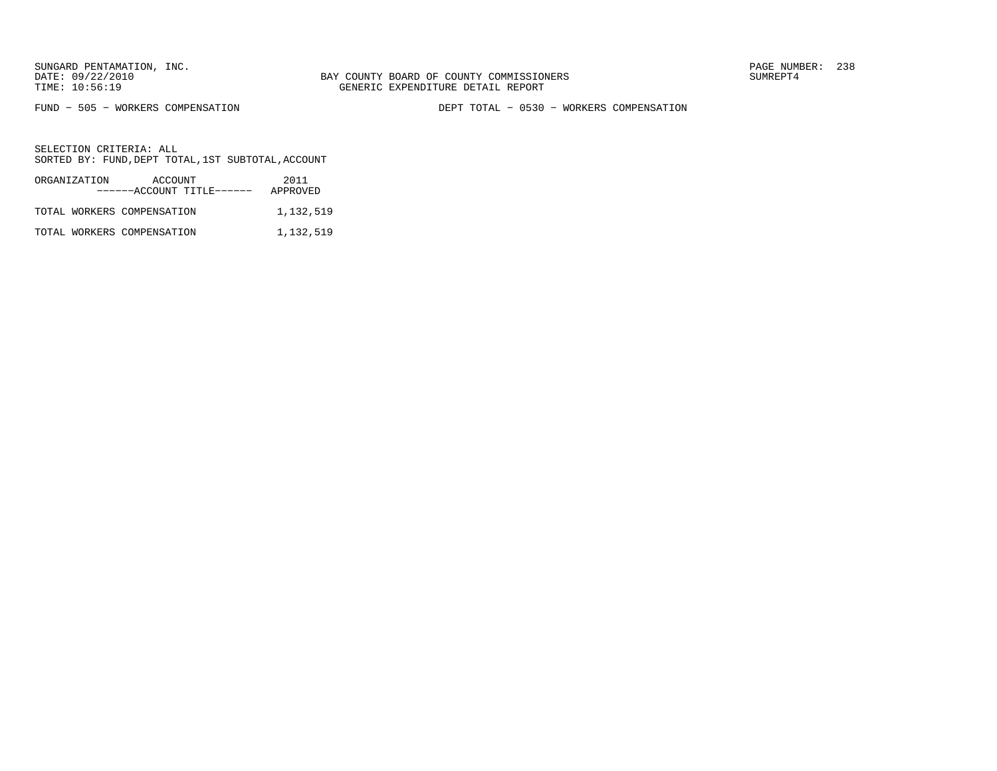FUND − 505 − WORKERS COMPENSATION DEPT TOTAL − 0530 − WORKERS COMPENSATION

| ORGANIZATION | ACCOUNT<br>------ACCOUNT TITLE------ | 2011<br>APPROVED |
|--------------|--------------------------------------|------------------|
|              | TOTAL WORKERS COMPENSATION           | 1,132,519        |
|              | TOTAL WORKERS COMPENSATION           | 1,132,519        |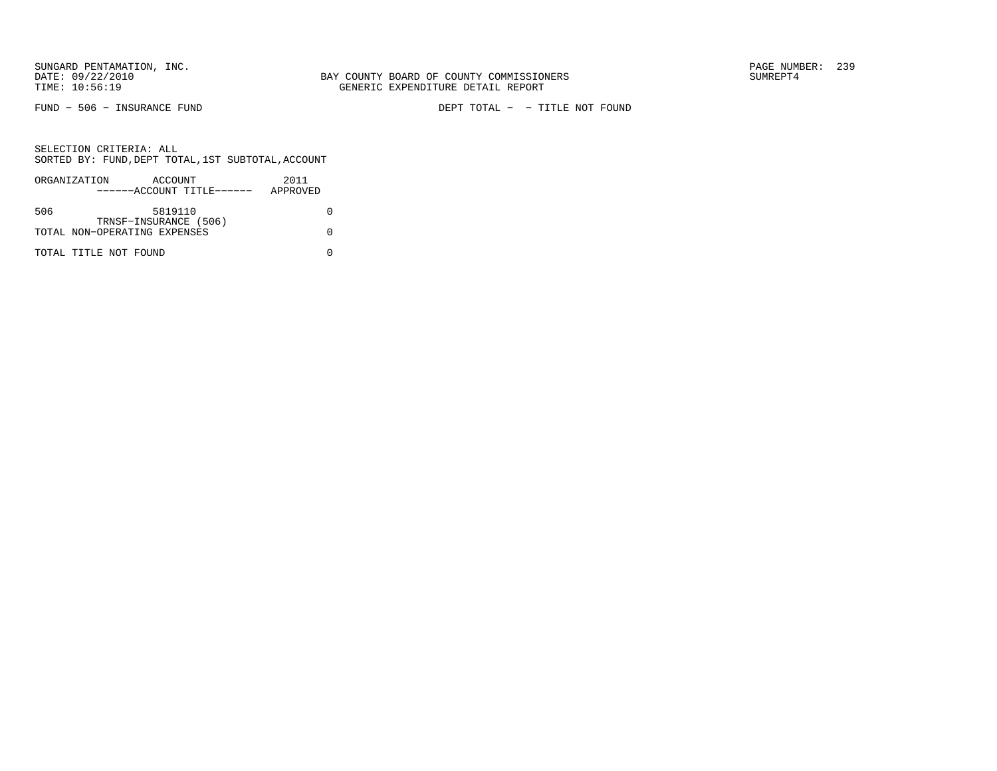FUND − 506 − INSURANCE FUND DEPT TOTAL − − TITLE NOT FOUND

|     | ORGANIZATION                 | ACCOUNT               |                           | 2011     |
|-----|------------------------------|-----------------------|---------------------------|----------|
|     |                              |                       | ------ACCOUNT TITLE------ | APPROVED |
|     |                              |                       |                           |          |
| 506 |                              | 5819110               |                           |          |
|     |                              | TRNSF-INSURANCE (506) |                           |          |
|     | TOTAL NON-OPERATING EXPENSES |                       |                           |          |
|     |                              |                       |                           |          |
|     | TOTAL TITLE NOT FOUND        |                       |                           |          |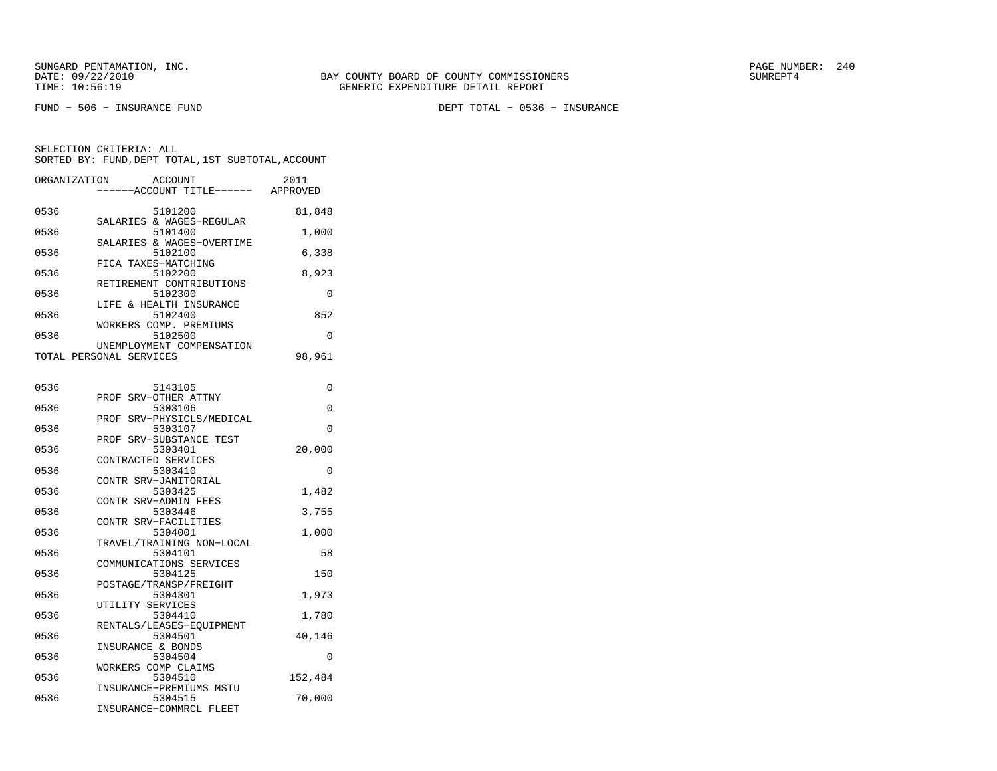FUND − 506 − INSURANCE FUND DEPT TOTAL − 0536 − INSURANCE

| ORGANIZATION | ACCOUNT<br>----ACCOUNT TITLE------ APPROVED          | 2011     |
|--------------|------------------------------------------------------|----------|
| 0536         | 5101200<br>SALARIES & WAGES-REGULAR                  | 81,848   |
| 0536         | 5101400<br>SALARIES & WAGES-OVERTIME                 | 1,000    |
| 0536         | 5102100                                              | 6,338    |
| 0536         | FICA TAXES-MATCHING<br>5102200                       | 8,923    |
| 0536         | RETIREMENT CONTRIBUTIONS<br>5102300                  | 0        |
| 0536         | LIFE & HEALTH INSURANCE<br>5102400                   | 852      |
| 0536         | WORKERS COMP. PREMIUMS<br>5102500                    | 0        |
|              | UNEMPLOYMENT COMPENSATION<br>TOTAL PERSONAL SERVICES | 98,961   |
| 0536         | 5143105                                              | 0        |
| 0536         | PROF SRV-OTHER ATTNY<br>5303106                      | 0        |
| 0536         | SRV-PHYSICLS/MEDICAL<br>PROF<br>5303107              | $\Omega$ |
| 0536         | PROF SRV-SUBSTANCE TEST<br>5303401                   | 20,000   |
| 0536         | CONTRACTED SERVICES<br>5303410                       | $\Omega$ |
| 0536         | CONTR SRV-JANITORIAL<br>5303425                      | 1,482    |
| 0536         | CONTR SRV-ADMIN FEES<br>5303446                      | 3,755    |
| 0536         | CONTR SRV-FACILITIES<br>5304001                      | 1,000    |
| 0536         | TRAVEL/TRAINING NON-LOCAL<br>5304101                 | 58       |
| 0536         | COMMUNICATIONS SERVICES<br>5304125                   | 150      |
| 0536         | POSTAGE/TRANSP/FREIGHT                               |          |
|              | 5304301<br>UTILITY SERVICES                          | 1,973    |
| 0536         | 5304410<br>RENTALS/LEASES-EOUIPMENT                  | 1,780    |
| 0536         | 5304501<br>INSURANCE & BONDS                         | 40,146   |
| 0536         | 5304504<br>WORKERS COMP CLAIMS                       | $\Omega$ |
| 0536         | 5304510<br>INSURANCE-PREMIUMS MSTU                   | 152,484  |
| 0536         | 5304515<br>INSURANCE-COMMRCL FLEET                   | 70,000   |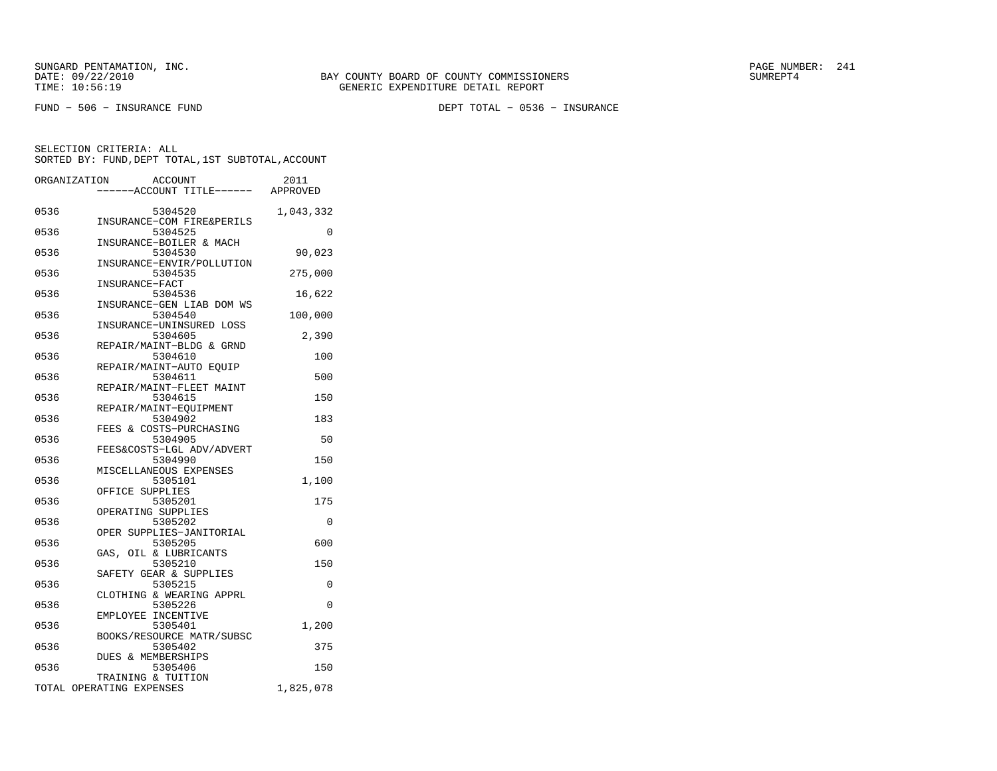FUND − 506 − INSURANCE FUND DEPT TOTAL − 0536 − INSURANCE

| ORGANIZATION | ACCOUNT                       |                           | 2011                             |
|--------------|-------------------------------|---------------------------|----------------------------------|
|              |                               |                           | ----ACCOUNT TITLE------ APPROVED |
|              |                               |                           |                                  |
| 0536         | 5304520                       |                           | 1,043,332                        |
| 0536         | 5304525                       | INSURANCE-COM FIRE&PERILS | 0                                |
|              |                               | INSURANCE-BOILER & MACH   |                                  |
| 0536         | 5304530                       |                           | 90,023                           |
|              |                               | INSURANCE-ENVIR/POLLUTION |                                  |
| 0536         | 5304535                       |                           | 275,000                          |
|              | INSURANCE-FACT                |                           |                                  |
| 0536         | 5304536                       |                           | 16,622                           |
|              |                               | INSURANCE-GEN LIAB DOM WS |                                  |
| 0536         | 5304540                       |                           | 100,000                          |
|              |                               | INSURANCE-UNINSURED LOSS  |                                  |
| 0536         | 5304605                       |                           | 2,390                            |
|              |                               | REPAIR/MAINT-BLDG & GRND  |                                  |
| 0536         | 5304610                       |                           | 100                              |
|              |                               | REPAIR/MAINT-AUTO EQUIP   |                                  |
| 0536         | 5304611                       |                           | 500                              |
|              |                               | REPAIR/MAINT-FLEET MAINT  |                                  |
| 0536         | 5304615                       |                           | 150                              |
|              |                               | REPAIR/MAINT-EOUIPMENT    |                                  |
| 0536         | 5304902                       |                           | 183                              |
|              |                               | FEES & COSTS-PURCHASING   |                                  |
| 0536         | 5304905                       |                           | 50                               |
|              |                               | FEES&COSTS-LGL ADV/ADVERT |                                  |
| 0536         | 5304990                       |                           | 150                              |
|              |                               | MISCELLANEOUS EXPENSES    |                                  |
| 0536         | 5305101                       |                           | 1,100                            |
|              | OFFICE SUPPLIES               |                           |                                  |
| 0536         | 5305201<br>OPERATING SUPPLIES |                           | 175                              |
| 0536         | 5305202                       |                           | 0                                |
|              |                               | OPER SUPPLIES-JANITORIAL  |                                  |
| 0536         | 5305205                       |                           | 600                              |
|              | GAS, OIL & LUBRICANTS         |                           |                                  |
| 0536         | 5305210                       |                           | 150                              |
|              |                               | SAFETY GEAR & SUPPLIES    |                                  |
| 0536         | 5305215                       |                           | 0                                |
|              |                               | CLOTHING & WEARING APPRL  |                                  |
| 0536         | 5305226                       |                           | 0                                |
|              | EMPLOYEE INCENTIVE            |                           |                                  |
| 0536         | 5305401                       |                           | 1,200                            |
|              |                               | BOOKS/RESOURCE MATR/SUBSC |                                  |
| 0536         | 5305402                       |                           | 375                              |
|              | DUES & MEMBERSHIPS            |                           |                                  |
| 0536         | 5305406                       |                           | 150                              |
|              | TRAINING & TUITION            |                           |                                  |
|              | TOTAL OPERATING EXPENSES      |                           | 1,825,078                        |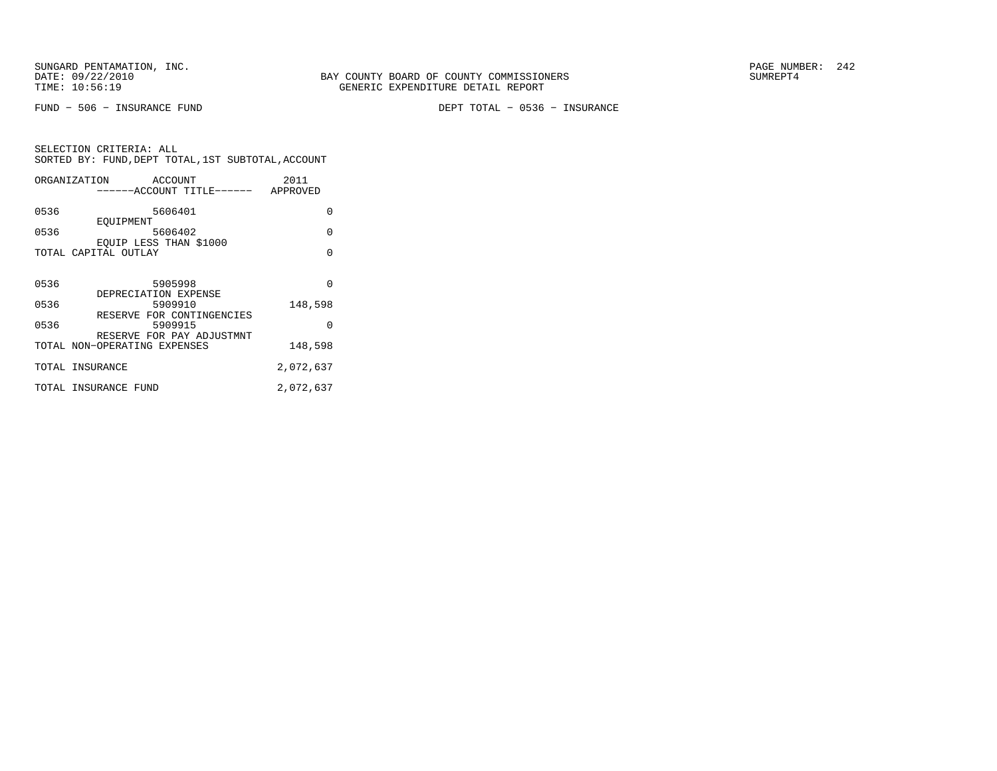FUND − 506 − INSURANCE FUND DEPT TOTAL − 0536 − INSURANCE

| SELECTION CRITERIA: ALL<br>SORTED BY: FUND, DEPT TOTAL, 1ST SUBTOTAL, ACCOUNT |         |      |
|-------------------------------------------------------------------------------|---------|------|
| ORGANIZATION                                                                  | ACCOUNT | 2011 |

|      | ------ACCOUNT TITLE------                                         | APPROVED  |
|------|-------------------------------------------------------------------|-----------|
| 0536 | 5606401<br>EOUIPMENT                                              | O         |
| 0536 | 5606402<br>EOUIP LESS THAN \$1000                                 | $\Omega$  |
|      | TOTAL CAPITAL OUTLAY                                              | $\Omega$  |
| 0536 | 5905998<br>DEPRECIATION EXPENSE                                   | $\Omega$  |
| 0536 | 5909910                                                           | 148,598   |
| 0536 | RESERVE FOR CONTINGENCIES<br>5909915<br>RESERVE FOR PAY ADJUSTMNT | O         |
|      | TOTAL NON-OPERATING EXPENSES                                      | 148,598   |
|      | TOTAL INSURANCE                                                   | 2,072,637 |
|      | TOTAL INSURANCE FUND                                              | 2,072,637 |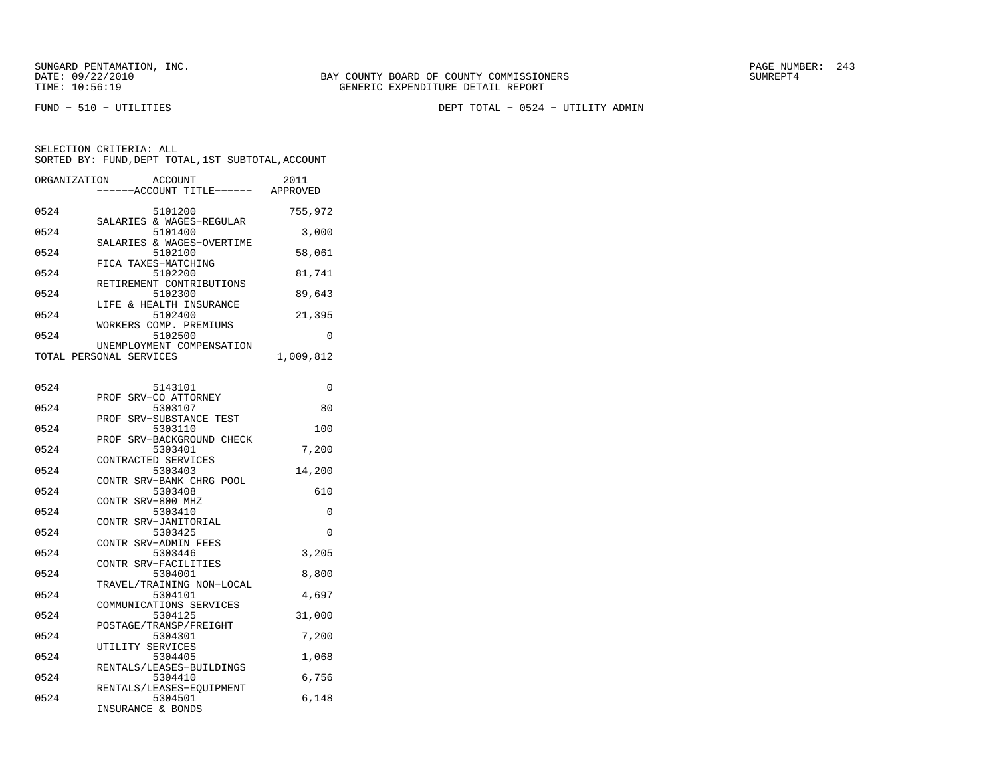FUND − 510 − UTILITIES DEPT TOTAL − 0524 − UTILITY ADMIN

SELECTION CRITERIA: ALLSORTED BY: FUND, DEPT TOTAL, 1ST SUBTOTAL, ACCOUNT ORGANIZATION ACCOUNT 20011

| ORGANIZATION | ACCOUNT<br>-----ACCOUNT TITLE------                            | 70 T T<br>APPROVED |
|--------------|----------------------------------------------------------------|--------------------|
| 0524         | 5101200                                                        | 755,972            |
| 0524         | SALARIES & WAGES-REGULAR<br>5101400                            | 3,000              |
| 0524         | SALARIES & WAGES-OVERTIME<br>5102100                           | 58,061             |
| 0524         | FICA TAXES-MATCHING<br>5102200                                 | 81,741             |
| 0524         | RETIREMENT CONTRIBUTIONS<br>5102300                            | 89,643             |
| 0524         | LIFE & HEALTH INSURANCE<br>5102400                             | 21,395             |
| 0524         | WORKERS COMP. PREMIUMS<br>5102500<br>UNEMPLOYMENT COMPENSATION | 0                  |
|              | TOTAL PERSONAL SERVICES                                        | 1,009,812          |
| 0524         | 5143101                                                        | 0                  |
| 0524         | PROF SRV-CO ATTORNEY<br>5303107                                | 80                 |
|              | PROF SRV-SUBSTANCE TEST                                        |                    |
| 0524         | 5303110<br>PROF SRV-BACKGROUND CHECK                           | 100                |
| 0524         | 5303401<br>CONTRACTED SERVICES                                 | 7,200              |
| 0524         | 5303403<br>CONTR SRV-BANK CHRG POOL                            | 14,200             |
| 0524         | 5303408<br>CONTR SRV-800 MHZ                                   | 610                |
| 0524         | 5303410<br>CONTR SRV-JANITORIAL                                | 0                  |
| 0524         | 5303425<br>CONTR SRV-ADMIN FEES                                | $\Omega$           |
| 0524         | 5303446<br>CONTR SRV-FACILITIES                                | 3,205              |
| 0524         | 5304001<br>TRAVEL/TRAINING NON-LOCAL                           | 8,800              |
| 0524         | 5304101<br>COMMUNICATIONS SERVICES                             | 4,697              |
| 0524         | 5304125                                                        | 31,000             |
| 0524         | POSTAGE/TRANSP/FREIGHT<br>5304301                              | 7,200              |
| 0524         | UTILITY SERVICES<br>5304405                                    | 1,068              |
| 0524         | RENTALS/LEASES-BUILDINGS<br>5304410                            | 6,756              |
| 0524         | RENTALS/LEASES-EQUIPMENT<br>5304501<br>INSURANCE & BONDS       | 6,148              |
|              |                                                                |                    |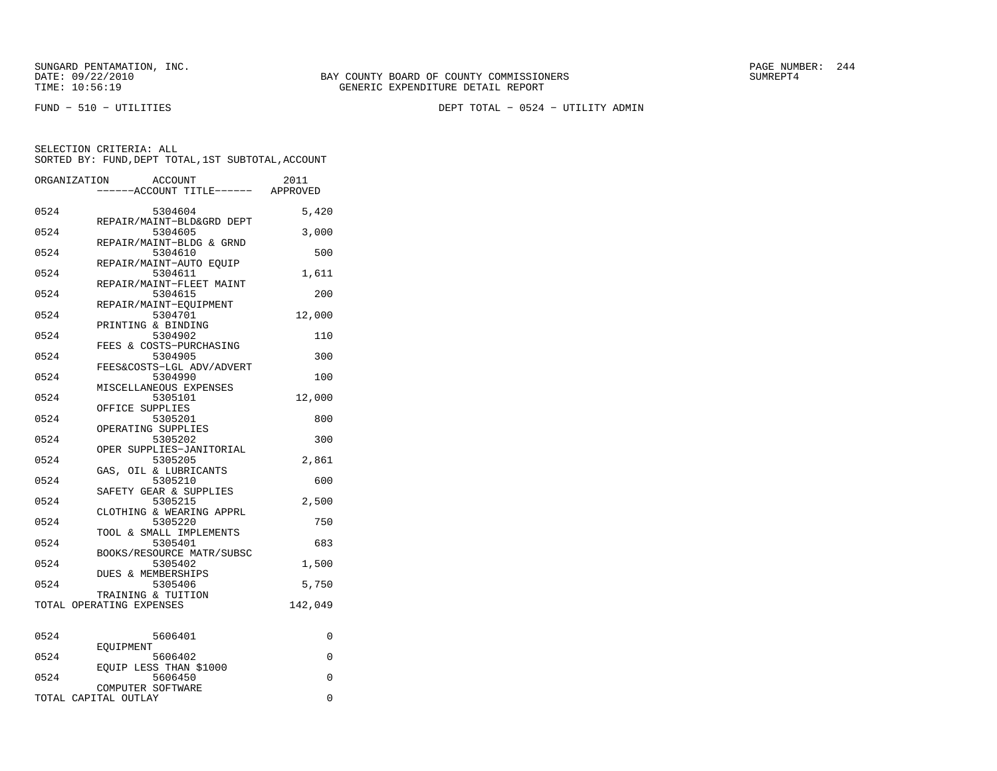FUND − 510 − UTILITIES DEPT TOTAL − 0524 − UTILITY ADMIN

|      | ORGANIZATION             | <b>ACCOUNT</b>                       | 2011    |
|------|--------------------------|--------------------------------------|---------|
|      |                          | ----ACCOUNT TITLE------ APPROVED     |         |
| 0524 |                          | 5304604                              | 5,420   |
| 0524 |                          | REPAIR/MAINT-BLD&GRD DEPT<br>5304605 | 3,000   |
| 0524 |                          | REPAIR/MAINT-BLDG & GRND<br>5304610  | 500     |
| 0524 |                          | REPAIR/MAINT-AUTO EOUIP<br>5304611   | 1,611   |
| 0524 |                          | REPAIR/MAINT-FLEET MAINT<br>5304615  | 200     |
|      |                          | REPAIR/MAINT-EQUIPMENT               |         |
| 0524 |                          | 5304701<br>PRINTING & BINDING        | 12,000  |
| 0524 |                          | 5304902<br>FEES & COSTS-PURCHASING   | 110     |
| 0524 |                          | 5304905<br>FEES&COSTS-LGL ADV/ADVERT | 300     |
| 0524 |                          | 5304990<br>MISCELLANEOUS EXPENSES    | 100     |
| 0524 |                          | 5305101                              | 12,000  |
| 0524 |                          | OFFICE SUPPLIES<br>5305201           | 800     |
| 0524 |                          | OPERATING SUPPLIES<br>5305202        | 300     |
| 0524 |                          | OPER SUPPLIES-JANITORIAL<br>5305205  | 2,861   |
| 0524 |                          | GAS, OIL & LUBRICANTS<br>5305210     | 600     |
| 0524 |                          | SAFETY GEAR & SUPPLIES<br>5305215    | 2,500   |
|      |                          | CLOTHING & WEARING APPRL             |         |
| 0524 |                          | 5305220<br>TOOL & SMALL IMPLEMENTS   | 750     |
| 0524 |                          | 5305401<br>BOOKS/RESOURCE MATR/SUBSC | 683     |
| 0524 |                          | 5305402<br>DUES & MEMBERSHIPS        | 1,500   |
| 0524 |                          | 5305406<br>TRAINING & TUITION        | 5,750   |
|      | TOTAL OPERATING EXPENSES |                                      | 142,049 |
| 0524 |                          | 5606401                              | 0       |
| 0524 | EOUIPMENT                | 5606402                              | 0       |
| 0524 |                          | EOUIP LESS THAN \$1000<br>5606450    | 0       |
|      |                          | COMPUTER SOFTWARE                    |         |
|      | TOTAL CAPITAL OUTLAY     |                                      | 0       |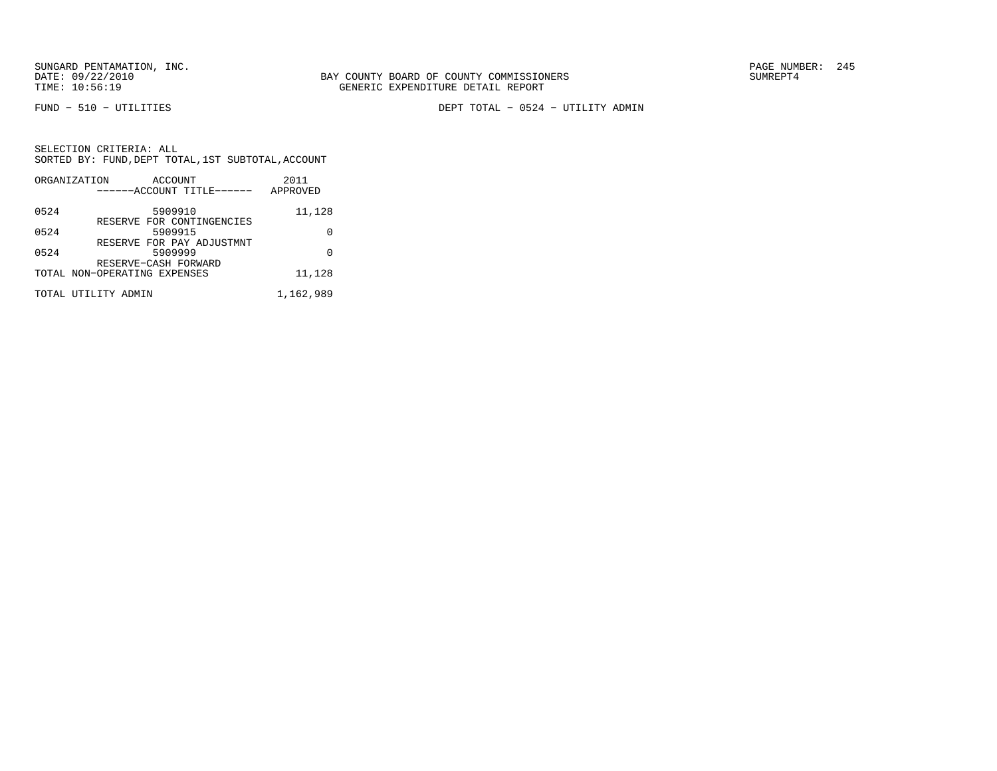FUND − 510 − UTILITIES DEPT TOTAL − 0524 − UTILITY ADMIN

|        | ORGANIZATION<br>ACCOUNT<br>------ACCOUNT TITLE------ | 2011<br>APPROVED |
|--------|------------------------------------------------------|------------------|
| 0524   | 5909910                                              | 11,128           |
| 0524   | RESERVE FOR CONTINGENCIES<br>5909915                 | U                |
| 0524   | RESERVE FOR PAY ADJUSTMNT<br>5909999                 | U                |
|        | RESERVE-CASH FORWARD<br>TOTAL NON-OPERATING EXPENSES | 11,128           |
|        |                                                      |                  |
| TOTAL. | UTILITY ADMIN                                        | 1,162,989        |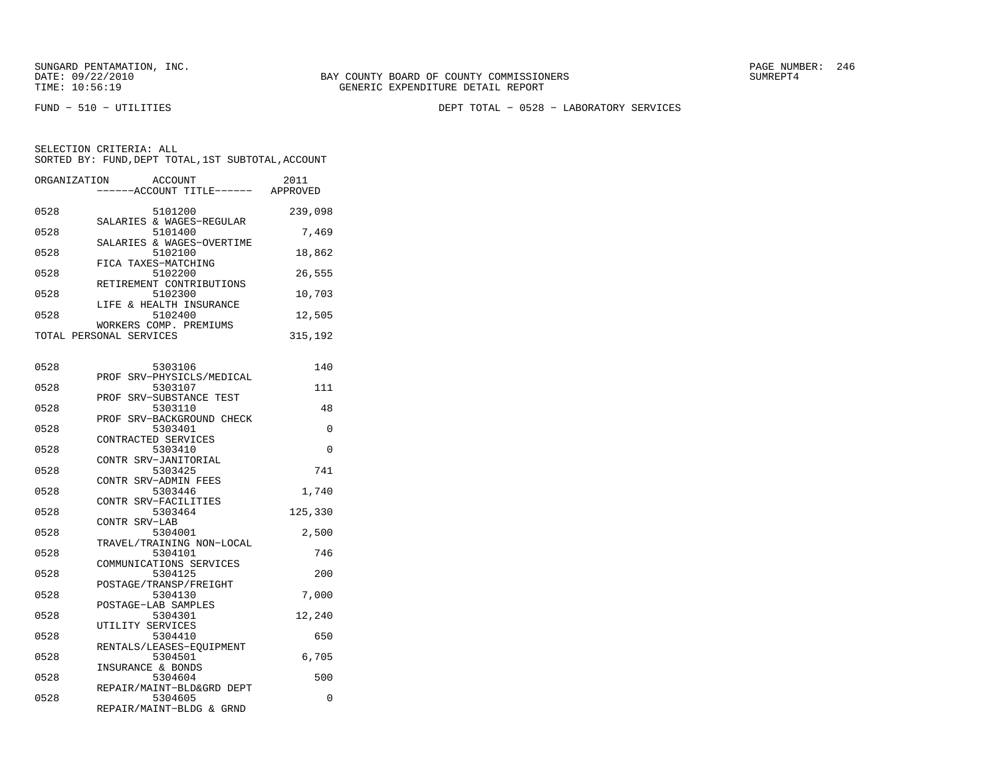FUND − 510 − UTILITIES DEPT TOTAL − 0528 − LABORATORY SERVICES

| ORGANIZATION            | ACCOUNT<br>------ACCOUNT TITLE------ | 2011<br>APPROVED |
|-------------------------|--------------------------------------|------------------|
| 0528                    | 5101200                              | 239,098          |
| 0528                    | SALARIES & WAGES-REGULAR<br>5101400  | 7,469            |
| 0528                    | SALARIES & WAGES-OVERTIME<br>5102100 | 18,862           |
| 0528                    | FICA TAXES-MATCHING<br>5102200       | 26,555           |
| 0528                    | RETIREMENT CONTRIBUTIONS<br>5102300  | 10,703           |
|                         | LIFE & HEALTH INSURANCE              |                  |
| 0528                    | 5102400<br>WORKERS COMP. PREMIUMS    | 12,505           |
| TOTAL PERSONAL SERVICES |                                      | 315,192          |

| 0528 | 5303106                   | 140      |
|------|---------------------------|----------|
|      | PROF SRV-PHYSICLS/MEDICAL |          |
| 0528 | 5303107                   | 111      |
|      | PROF SRV-SUBSTANCE TEST   |          |
| 0528 | 5303110                   | 48       |
|      | PROF SRV-BACKGROUND CHECK |          |
| 0528 | 5303401                   | 0        |
|      | CONTRACTED SERVICES       |          |
| 0528 | 5303410                   | $\Omega$ |
|      | CONTR SRV-JANITORIAL      |          |
| 0528 | 5303425                   | 741      |
|      | CONTR SRV-ADMIN FEES      |          |
| 0528 | 5303446                   | 1,740    |
|      | CONTR SRV-FACILITIES      |          |
| 0528 | 5303464                   | 125,330  |
|      | CONTR SRV-LAB             |          |
| 0528 | 5304001                   | 2,500    |
|      | TRAVEL/TRAINING NON-LOCAL |          |
| 0528 | 5304101                   | 746      |
|      | COMMUNICATIONS SERVICES   |          |
| 0528 | 5304125                   | 200      |
|      | POSTAGE/TRANSP/FREIGHT    |          |
| 0528 | 5304130                   | 7,000    |
|      | POSTAGE-LAB SAMPLES       |          |
| 0528 | 5304301                   | 12,240   |
|      | UTILITY SERVICES          |          |
| 0528 | 5304410                   | 650      |
|      | RENTALS/LEASES-EOUIPMENT  |          |
| 0528 | 5304501                   | 6,705    |
|      | INSURANCE & BONDS         |          |
| 0528 | 5304604                   | 500      |
|      | REPAIR/MAINT-BLD&GRD DEPT |          |
| 0528 | 5304605                   | $\Omega$ |
|      | REPAIR/MAINT-BLDG & GRND  |          |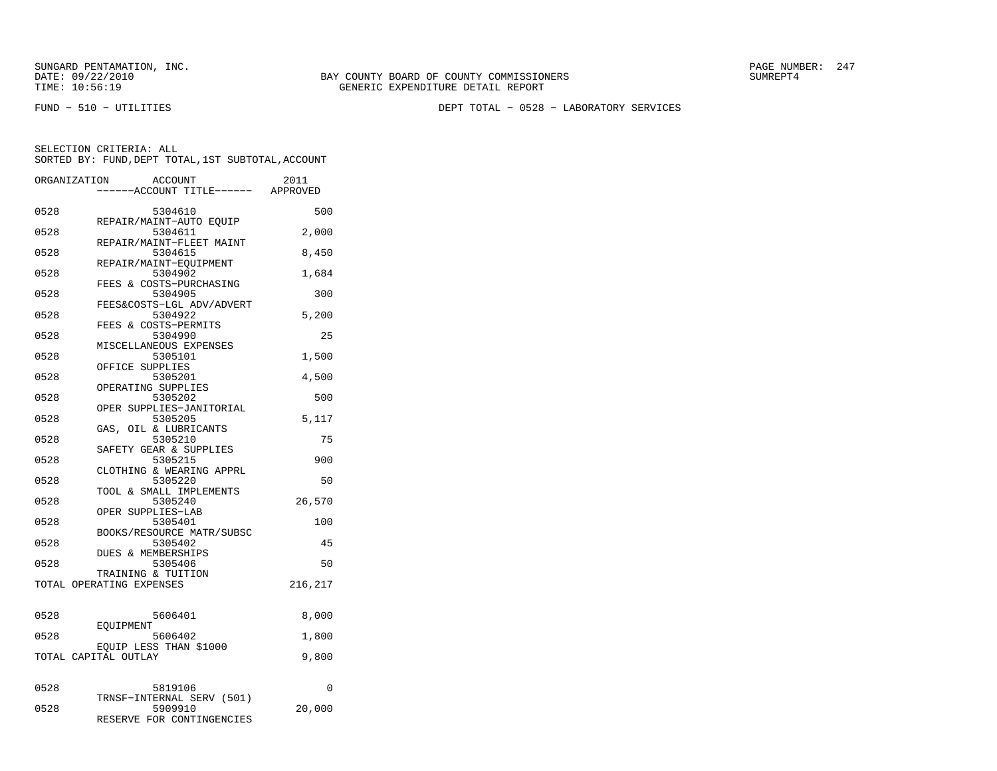FUND − 510 − UTILITIES DEPT TOTAL − 0528 − LABORATORY SERVICES

| ---ACCOUNT TITLE------ APPROVED<br>0528<br>5304610<br>500<br>REPAIR/MAINT-AUTO EQUIP<br>0528<br>5304611<br>2,000<br>REPAIR/MAINT-FLEET MAINT<br>0528<br>5304615<br>8,450<br>REPAIR/MAINT-EOUIPMENT<br>0528<br>5304902<br>1,684<br>FEES & COSTS-PURCHASING<br>0528<br>5304905<br>300<br>FEES&COSTS-LGL ADV/ADVERT<br>0528<br>5304922<br>5,200<br>FEES & COSTS-PERMITS<br>0528<br>5304990<br>25<br>MISCELLANEOUS EXPENSES<br>0528<br>5305101<br>1,500<br>OFFICE SUPPLIES<br>0528<br>4,500<br>5305201<br>OPERATING SUPPLIES<br>0528<br>5305202<br>500<br>OPER SUPPLIES-JANITORIAL<br>5305205<br>5,117<br>0528<br>GAS, OIL & LUBRICANTS<br>5305210<br>75<br>0528<br>SAFETY GEAR & SUPPLIES<br>0528<br>5305215<br>900<br>CLOTHING & WEARING APPRL<br>0528<br>5305220<br>50<br>TOOL & SMALL IMPLEMENTS<br>26,570<br>0528<br>5305240<br>OPER SUPPLIES-LAB<br>0528<br>5305401<br>100<br>BOOKS/RESOURCE MATR/SUBSC<br>0528<br>5305402<br>45<br><b>DUES &amp; MEMBERSHIPS</b><br>0528<br>5305406<br>50<br>TRAINING & TUITION<br>TOTAL OPERATING EXPENSES<br>216,217 |
|-----------------------------------------------------------------------------------------------------------------------------------------------------------------------------------------------------------------------------------------------------------------------------------------------------------------------------------------------------------------------------------------------------------------------------------------------------------------------------------------------------------------------------------------------------------------------------------------------------------------------------------------------------------------------------------------------------------------------------------------------------------------------------------------------------------------------------------------------------------------------------------------------------------------------------------------------------------------------------------------------------------------------------------------------------------|
|                                                                                                                                                                                                                                                                                                                                                                                                                                                                                                                                                                                                                                                                                                                                                                                                                                                                                                                                                                                                                                                           |
|                                                                                                                                                                                                                                                                                                                                                                                                                                                                                                                                                                                                                                                                                                                                                                                                                                                                                                                                                                                                                                                           |
|                                                                                                                                                                                                                                                                                                                                                                                                                                                                                                                                                                                                                                                                                                                                                                                                                                                                                                                                                                                                                                                           |
|                                                                                                                                                                                                                                                                                                                                                                                                                                                                                                                                                                                                                                                                                                                                                                                                                                                                                                                                                                                                                                                           |
|                                                                                                                                                                                                                                                                                                                                                                                                                                                                                                                                                                                                                                                                                                                                                                                                                                                                                                                                                                                                                                                           |
|                                                                                                                                                                                                                                                                                                                                                                                                                                                                                                                                                                                                                                                                                                                                                                                                                                                                                                                                                                                                                                                           |
|                                                                                                                                                                                                                                                                                                                                                                                                                                                                                                                                                                                                                                                                                                                                                                                                                                                                                                                                                                                                                                                           |
|                                                                                                                                                                                                                                                                                                                                                                                                                                                                                                                                                                                                                                                                                                                                                                                                                                                                                                                                                                                                                                                           |
|                                                                                                                                                                                                                                                                                                                                                                                                                                                                                                                                                                                                                                                                                                                                                                                                                                                                                                                                                                                                                                                           |
|                                                                                                                                                                                                                                                                                                                                                                                                                                                                                                                                                                                                                                                                                                                                                                                                                                                                                                                                                                                                                                                           |
|                                                                                                                                                                                                                                                                                                                                                                                                                                                                                                                                                                                                                                                                                                                                                                                                                                                                                                                                                                                                                                                           |
|                                                                                                                                                                                                                                                                                                                                                                                                                                                                                                                                                                                                                                                                                                                                                                                                                                                                                                                                                                                                                                                           |
|                                                                                                                                                                                                                                                                                                                                                                                                                                                                                                                                                                                                                                                                                                                                                                                                                                                                                                                                                                                                                                                           |
|                                                                                                                                                                                                                                                                                                                                                                                                                                                                                                                                                                                                                                                                                                                                                                                                                                                                                                                                                                                                                                                           |
|                                                                                                                                                                                                                                                                                                                                                                                                                                                                                                                                                                                                                                                                                                                                                                                                                                                                                                                                                                                                                                                           |
|                                                                                                                                                                                                                                                                                                                                                                                                                                                                                                                                                                                                                                                                                                                                                                                                                                                                                                                                                                                                                                                           |
|                                                                                                                                                                                                                                                                                                                                                                                                                                                                                                                                                                                                                                                                                                                                                                                                                                                                                                                                                                                                                                                           |
|                                                                                                                                                                                                                                                                                                                                                                                                                                                                                                                                                                                                                                                                                                                                                                                                                                                                                                                                                                                                                                                           |
|                                                                                                                                                                                                                                                                                                                                                                                                                                                                                                                                                                                                                                                                                                                                                                                                                                                                                                                                                                                                                                                           |
|                                                                                                                                                                                                                                                                                                                                                                                                                                                                                                                                                                                                                                                                                                                                                                                                                                                                                                                                                                                                                                                           |
|                                                                                                                                                                                                                                                                                                                                                                                                                                                                                                                                                                                                                                                                                                                                                                                                                                                                                                                                                                                                                                                           |
|                                                                                                                                                                                                                                                                                                                                                                                                                                                                                                                                                                                                                                                                                                                                                                                                                                                                                                                                                                                                                                                           |
|                                                                                                                                                                                                                                                                                                                                                                                                                                                                                                                                                                                                                                                                                                                                                                                                                                                                                                                                                                                                                                                           |
|                                                                                                                                                                                                                                                                                                                                                                                                                                                                                                                                                                                                                                                                                                                                                                                                                                                                                                                                                                                                                                                           |
|                                                                                                                                                                                                                                                                                                                                                                                                                                                                                                                                                                                                                                                                                                                                                                                                                                                                                                                                                                                                                                                           |
|                                                                                                                                                                                                                                                                                                                                                                                                                                                                                                                                                                                                                                                                                                                                                                                                                                                                                                                                                                                                                                                           |
|                                                                                                                                                                                                                                                                                                                                                                                                                                                                                                                                                                                                                                                                                                                                                                                                                                                                                                                                                                                                                                                           |
|                                                                                                                                                                                                                                                                                                                                                                                                                                                                                                                                                                                                                                                                                                                                                                                                                                                                                                                                                                                                                                                           |
|                                                                                                                                                                                                                                                                                                                                                                                                                                                                                                                                                                                                                                                                                                                                                                                                                                                                                                                                                                                                                                                           |
|                                                                                                                                                                                                                                                                                                                                                                                                                                                                                                                                                                                                                                                                                                                                                                                                                                                                                                                                                                                                                                                           |
|                                                                                                                                                                                                                                                                                                                                                                                                                                                                                                                                                                                                                                                                                                                                                                                                                                                                                                                                                                                                                                                           |
|                                                                                                                                                                                                                                                                                                                                                                                                                                                                                                                                                                                                                                                                                                                                                                                                                                                                                                                                                                                                                                                           |
|                                                                                                                                                                                                                                                                                                                                                                                                                                                                                                                                                                                                                                                                                                                                                                                                                                                                                                                                                                                                                                                           |
|                                                                                                                                                                                                                                                                                                                                                                                                                                                                                                                                                                                                                                                                                                                                                                                                                                                                                                                                                                                                                                                           |
|                                                                                                                                                                                                                                                                                                                                                                                                                                                                                                                                                                                                                                                                                                                                                                                                                                                                                                                                                                                                                                                           |
|                                                                                                                                                                                                                                                                                                                                                                                                                                                                                                                                                                                                                                                                                                                                                                                                                                                                                                                                                                                                                                                           |
| 0528<br>5606401<br>8,000                                                                                                                                                                                                                                                                                                                                                                                                                                                                                                                                                                                                                                                                                                                                                                                                                                                                                                                                                                                                                                  |
| EOUIPMENT                                                                                                                                                                                                                                                                                                                                                                                                                                                                                                                                                                                                                                                                                                                                                                                                                                                                                                                                                                                                                                                 |
| 0528<br>5606402<br>1,800                                                                                                                                                                                                                                                                                                                                                                                                                                                                                                                                                                                                                                                                                                                                                                                                                                                                                                                                                                                                                                  |
| EQUIP LESS THAN \$1000                                                                                                                                                                                                                                                                                                                                                                                                                                                                                                                                                                                                                                                                                                                                                                                                                                                                                                                                                                                                                                    |
| TOTAL CAPITAL OUTLAY<br>9,800                                                                                                                                                                                                                                                                                                                                                                                                                                                                                                                                                                                                                                                                                                                                                                                                                                                                                                                                                                                                                             |
|                                                                                                                                                                                                                                                                                                                                                                                                                                                                                                                                                                                                                                                                                                                                                                                                                                                                                                                                                                                                                                                           |
|                                                                                                                                                                                                                                                                                                                                                                                                                                                                                                                                                                                                                                                                                                                                                                                                                                                                                                                                                                                                                                                           |
| 0528<br>5819106<br>0                                                                                                                                                                                                                                                                                                                                                                                                                                                                                                                                                                                                                                                                                                                                                                                                                                                                                                                                                                                                                                      |
| TRNSF-INTERNAL SERV (501)<br>0528<br>5909910<br>20,000                                                                                                                                                                                                                                                                                                                                                                                                                                                                                                                                                                                                                                                                                                                                                                                                                                                                                                                                                                                                    |
| RESERVE FOR CONTINGENCIES                                                                                                                                                                                                                                                                                                                                                                                                                                                                                                                                                                                                                                                                                                                                                                                                                                                                                                                                                                                                                                 |